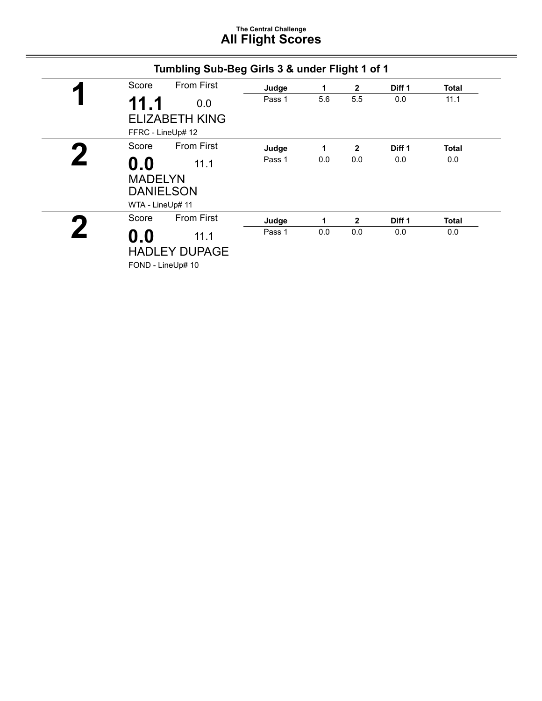# **The Central Challenge All Flight Scores**

| Score          |      | <b>From First</b>                                              | Judge  | 1   | $\mathbf{2}$ | Diff 1 | <b>Total</b> |
|----------------|------|----------------------------------------------------------------|--------|-----|--------------|--------|--------------|
|                | 11.1 | 0.0                                                            | Pass 1 | 5.6 | 5.5          | 0.0    | 11.1         |
|                |      | <b>ELIZABETH KING</b><br>FFRC - LineUp# 12                     |        |     |              |        |              |
| Score          |      | From First                                                     | Judge  | 1   | $\mathbf{2}$ | Diff 1 | <b>Total</b> |
| $\mathbf{0.0}$ |      | 11.1<br><b>MADELYN</b><br><b>DANIELSON</b><br>WTA - LineUp# 11 | Pass 1 | 0.0 | 0.0          | 0.0    | 0.0          |
| Score          |      | <b>From First</b>                                              | Judge  | 1   | $\mathbf{2}$ | Diff 1 | <b>Total</b> |
| $\mathbf{0.0}$ |      | 11.1                                                           | Pass 1 | 0.0 | 0.0          | 0.0    | 0.0          |
|                |      | <b>HADLEY DUPAGE</b><br>FOND - LineUp# 10                      |        |     |              |        |              |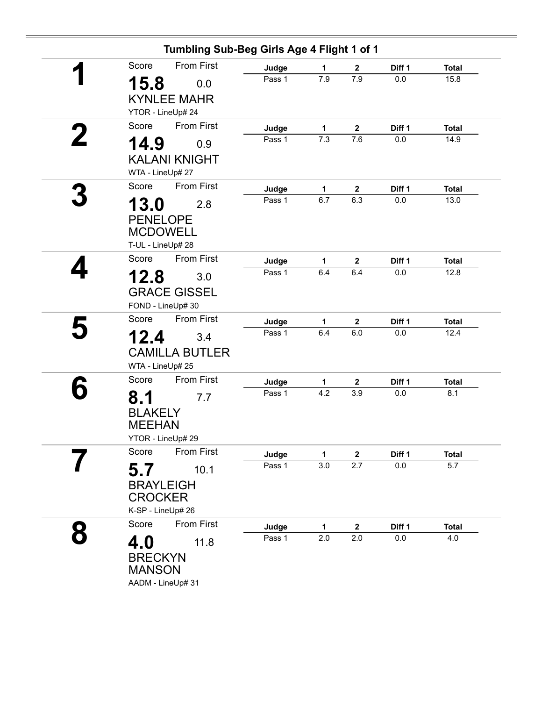| Tumbling Sub-Beg Girls Age 4 Flight 1 of 1 |        |     |                  |         |              |
|--------------------------------------------|--------|-----|------------------|---------|--------------|
| <b>From First</b><br>Score                 | Judge  | 1   | $\mathbf{2}$     | Diff 1  | <b>Total</b> |
| 15.8<br>0.0                                | Pass 1 | 7.9 | 7.9              | 0.0     | 15.8         |
| <b>KYNLEE MAHR</b>                         |        |     |                  |         |              |
| YTOR - LineUp# 24                          |        |     |                  |         |              |
| Score<br><b>From First</b>                 | Judge  | 1   | $\mathbf{2}$     | Diff 1  | <b>Total</b> |
| 14.9<br>0.9                                | Pass 1 | 7.3 | 7.6              | 0.0     | 14.9         |
| <b>KALANI KNIGHT</b>                       |        |     |                  |         |              |
| WTA - LineUp# 27                           |        |     |                  |         |              |
| <b>From First</b><br>Score                 | Judge  | 1   | 2                | Diff 1  | <b>Total</b> |
| 13.0<br>2.8                                | Pass 1 | 6.7 | 6.3              | 0.0     | 13.0         |
| <b>PENELOPE</b>                            |        |     |                  |         |              |
| <b>MCDOWELL</b>                            |        |     |                  |         |              |
| T-UL - LineUp# 28                          |        |     |                  |         |              |
| Score<br><b>From First</b>                 | Judge  | 1   | $\mathbf 2$      | Diff 1  | <b>Total</b> |
| 12.8<br>3.0                                | Pass 1 | 6.4 | 6.4              | $0.0\,$ | 12.8         |
| <b>GRACE GISSEL</b>                        |        |     |                  |         |              |
| FOND - LineUp# 30                          |        |     |                  |         |              |
| From First<br>Score                        | Judge  | 1   | $\boldsymbol{2}$ | Diff 1  | <b>Total</b> |
| 12.4<br>3.4                                | Pass 1 | 6.4 | 6.0              | 0.0     | 12.4         |
| <b>CAMILLA BUTLER</b>                      |        |     |                  |         |              |
| WTA - LineUp# 25                           |        |     |                  |         |              |
| <b>From First</b><br>Score                 | Judge  | 1   | $\mathbf{2}$     | Diff 1  | <b>Total</b> |
| 8.1<br>7.7                                 | Pass 1 | 4.2 | 3.9              | 0.0     | 8.1          |
| <b>BLAKELY</b>                             |        |     |                  |         |              |
| <b>MEEHAN</b>                              |        |     |                  |         |              |
| YTOR - LineUp# 29                          |        |     |                  |         |              |
| From First<br>Score                        | Judge  | 1   | $\mathbf 2$      | Diff 1  | <b>Total</b> |
| 5.7<br>10.1                                | Pass 1 | 3.0 | 2.7              | $0.0\,$ | 5.7          |
| <b>BRAYLEIGH</b>                           |        |     |                  |         |              |
| <b>CROCKER</b>                             |        |     |                  |         |              |
| K-SP - LineUp# 26                          |        |     |                  |         |              |
| <b>From First</b><br>Score                 | Judge  | 1   | $\mathbf{2}$     | Diff 1  | <b>Total</b> |
| 4.0<br>11.8                                | Pass 1 | 2.0 | 2.0              | $0.0\,$ | 4.0          |
| <b>BRECKYN</b>                             |        |     |                  |         |              |
| <b>MANSON</b>                              |        |     |                  |         |              |
| AADM - LineUp# 31                          |        |     |                  |         |              |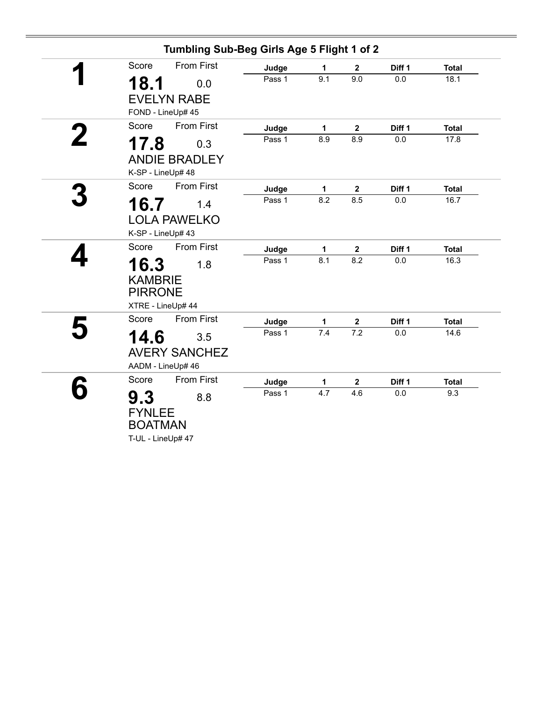|                                                                      | Tumbling Sub-Beg Girls Age 5 Flight 1 of 2 |     |                         |         |              |
|----------------------------------------------------------------------|--------------------------------------------|-----|-------------------------|---------|--------------|
| From First<br>Score                                                  | Judge                                      | 1   | $\mathbf 2$             | Diff 1  | <b>Total</b> |
| 18.1<br>0.0<br><b>EVELYN RABE</b>                                    | Pass 1                                     | 9.1 | 9.0                     | 0.0     | 18.1         |
| FOND - LineUp# 45                                                    |                                            |     |                         |         |              |
| <b>From First</b><br>Score                                           | Judge                                      | 1   | $\mathbf 2$             | Diff 1  | <b>Total</b> |
| 17.8<br>0.3                                                          | Pass 1                                     | 8.9 | 8.9                     | $0.0\,$ | 17.8         |
| <b>ANDIE BRADLEY</b><br>K-SP - LineUp# 48                            |                                            |     |                         |         |              |
| From First<br>Score                                                  | Judge                                      | 1   | $\mathbf{2}$            | Diff 1  | <b>Total</b> |
| 16.7<br>1.4                                                          | Pass 1                                     | 8.2 | 8.5                     | 0.0     | 16.7         |
| <b>LOLA PAWELKO</b><br>K-SP - LineUp# 43                             |                                            |     |                         |         |              |
| <b>From First</b><br>Score                                           | Judge                                      | 1   | $\mathbf 2$             | Diff 1  | <b>Total</b> |
| 16.3<br>1.8<br><b>KAMBRIE</b><br><b>PIRRONE</b><br>XTRE - LineUp# 44 | Pass 1                                     | 8.1 | 8.2                     | 0.0     | 16.3         |
| <b>From First</b><br>Score                                           | Judge                                      | 1   | $\overline{\mathbf{2}}$ | Diff 1  | <b>Total</b> |
| 14.6<br>3.5<br><b>AVERY SANCHEZ</b><br>AADM - LineUp# 46             | Pass 1                                     | 7.4 | 7.2                     | 0.0     | 14.6         |
| <b>From First</b><br>Score                                           | Judge                                      | 1   | $\mathbf 2$             | Diff 1  | <b>Total</b> |
| 9.3<br>8.8<br><b>FYNLEE</b><br><b>BOATMAN</b><br>T-UL - LineUp# 47   | Pass 1                                     | 4.7 | 4.6                     | 0.0     | 9.3          |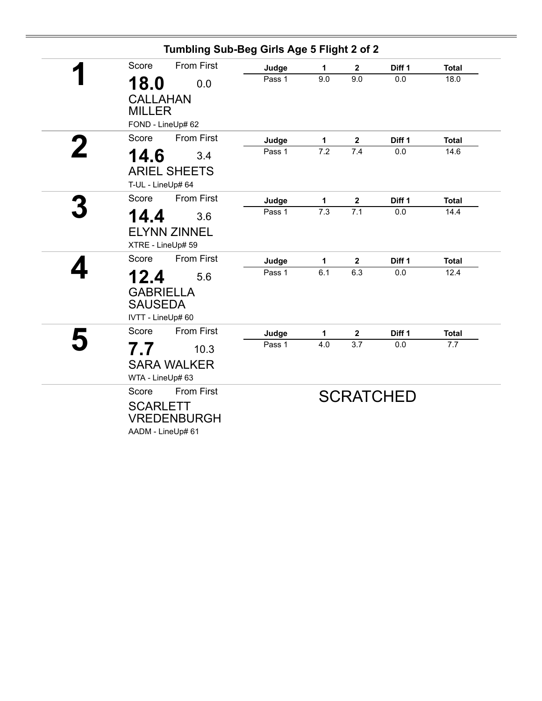|   |                                                 | Tumbling Sub-Beg Girls Age 5 Flight 2 of 2 |                     |                                |                  |                      |
|---|-------------------------------------------------|--------------------------------------------|---------------------|--------------------------------|------------------|----------------------|
|   | <b>From First</b><br>Score                      | Judge                                      | 1                   | $\mathbf{2}$                   | Diff 1           | <b>Total</b>         |
|   | 18.0<br>0.0                                     | Pass 1                                     | 9.0                 | 9.0                            | 0.0              | 18.0                 |
|   | <b>CALLAHAN</b><br><b>MILLER</b>                |                                            |                     |                                |                  |                      |
|   | FOND - LineUp# 62<br><b>From First</b><br>Score |                                            |                     |                                |                  |                      |
| 2 |                                                 | Judge<br>Pass 1                            | $\mathbf{1}$<br>7.2 | $\overline{\mathbf{2}}$<br>7.4 | Diff 1<br>0.0    | <b>Total</b><br>14.6 |
|   | 14.6<br>3.4                                     |                                            |                     |                                |                  |                      |
|   | <b>ARIEL SHEETS</b>                             |                                            |                     |                                |                  |                      |
|   | T-UL - LineUp# 64                               |                                            |                     |                                |                  |                      |
|   | <b>From First</b><br>Score                      | Judge                                      | 1                   | $\mathbf 2$                    | Diff 1           | <b>Total</b>         |
|   | 14.4<br>3.6                                     | Pass 1                                     | 7.3                 | 7.1                            | 0.0              | 14.4                 |
|   | <b>ELYNN ZINNEL</b>                             |                                            |                     |                                |                  |                      |
|   | XTRE - LineUp# 59                               |                                            |                     |                                |                  |                      |
|   | <b>From First</b><br>Score                      | Judge                                      | 1                   | $\mathbf{2}$                   | Diff 1           | <b>Total</b>         |
|   | 12.4<br>5.6                                     | Pass 1                                     | 6.1                 | 6.3                            | 0.0              | 12.4                 |
|   | <b>GABRIELLA</b>                                |                                            |                     |                                |                  |                      |
|   | <b>SAUSEDA</b>                                  |                                            |                     |                                |                  |                      |
|   | IVTT - LineUp# 60                               |                                            |                     |                                |                  |                      |
|   | <b>From First</b><br>Score                      | Judge                                      | 1                   | 2                              | Diff 1           | <b>Total</b>         |
|   | 7.7<br>10.3                                     | Pass 1                                     | 4.0                 | 3.7                            | 0.0              | 7.7                  |
|   | <b>SARA WALKER</b>                              |                                            |                     |                                |                  |                      |
|   | WTA - LineUp# 63                                |                                            |                     |                                |                  |                      |
|   | <b>From First</b><br>Score                      |                                            |                     |                                |                  |                      |
|   |                                                 |                                            |                     |                                | <b>SCRATCHED</b> |                      |
|   | <b>SCARLETT</b><br><b>VREDENBURGH</b>           |                                            |                     |                                |                  |                      |
|   | AADM - LineUp# 61                               |                                            |                     |                                |                  |                      |
|   |                                                 |                                            |                     |                                |                  |                      |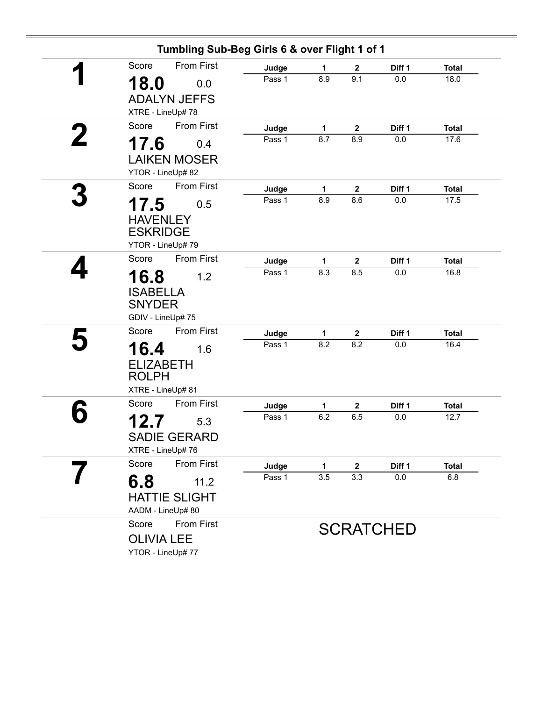|                      | Tumbling Sub-Beg Girls 6 & over Flight 1 of 1 |        |              |                  |                  |              |
|----------------------|-----------------------------------------------|--------|--------------|------------------|------------------|--------------|
| Score                | <b>From First</b>                             | Judge  | 1            | $\mathbf 2$      | Diff 1           | <b>Total</b> |
| 18.0                 | 0.0                                           | Pass 1 | 8.9          | 9.1              | 0.0              | 18.0         |
| <b>ADALYN JEFFS</b>  |                                               |        |              |                  |                  |              |
| XTRE - LineUp# 78    |                                               |        |              |                  |                  |              |
| Score                | <b>From First</b>                             | Judge  | 1            | $\mathbf{2}$     | Diff 1           | <b>Total</b> |
| 17.6                 | 0.4                                           | Pass 1 | 8.7          | 8.9              | 0.0              | 17.6         |
| <b>LAIKEN MOSER</b>  |                                               |        |              |                  |                  |              |
| YTOR - LineUp# 82    |                                               |        |              |                  |                  |              |
| Score                | <b>From First</b>                             | Judge  | 1            | $\mathbf 2$      | Diff 1           | <b>Total</b> |
| 17.5                 | 0.5                                           | Pass 1 | 8.9          | 8.6              | $0.0\,$          | 17.5         |
| <b>HAVENLEY</b>      |                                               |        |              |                  |                  |              |
| <b>ESKRIDGE</b>      |                                               |        |              |                  |                  |              |
| YTOR - LineUp# 79    |                                               |        |              |                  |                  |              |
| Score                | <b>From First</b>                             | Judge  | 1            | $\mathbf{2}$     | Diff 1           | <b>Total</b> |
| 16.8                 | 1.2                                           | Pass 1 | 8.3          | 8.5              | 0.0              | 16.8         |
| <b>ISABELLA</b>      |                                               |        |              |                  |                  |              |
| <b>SNYDER</b>        |                                               |        |              |                  |                  |              |
| GDIV - LineUp# 75    |                                               |        |              |                  |                  |              |
| Score                | <b>From First</b>                             | Judge  | $\mathbf{1}$ | $\mathbf 2$      | Diff 1           | <b>Total</b> |
| 16.4                 | 1.6                                           | Pass 1 | 8.2          | 8.2              | 0.0              | 16.4         |
| <b>ELIZABETH</b>     |                                               |        |              |                  |                  |              |
| <b>ROLPH</b>         |                                               |        |              |                  |                  |              |
| XTRE - LineUp# 81    |                                               |        |              |                  |                  |              |
| Score                | <b>From First</b>                             | Judge  | 1            | $\boldsymbol{2}$ | Diff 1           | <b>Total</b> |
| 12.7                 | 5.3                                           | Pass 1 | 6.2          | 6.5              | 0.0              | 12.7         |
| <b>SADIE GERARD</b>  |                                               |        |              |                  |                  |              |
| XTRE - LineUp#76     |                                               |        |              |                  |                  |              |
| Score                | From First                                    | Judge  | 1            | $\mathbf 2$      | Diff 1           | <b>Total</b> |
| 6.8                  | 11.2                                          | Pass 1 | 3.5          | 3.3              | 0.0              | 6.8          |
| <b>HATTIE SLIGHT</b> |                                               |        |              |                  |                  |              |
| AADM - LineUp# 80    |                                               |        |              |                  |                  |              |
| Score                | <b>From First</b>                             |        |              |                  | <b>SCRATCHED</b> |              |
| <b>OLIVIA LEE</b>    |                                               |        |              |                  |                  |              |
| YTOR - LineUp# 77    |                                               |        |              |                  |                  |              |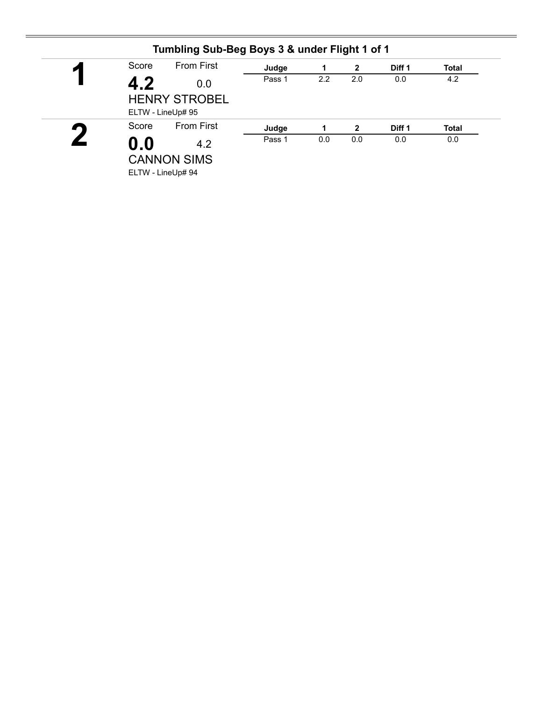| ◚         | Score             | <b>From First</b>    | Judge  | 1   | $\mathbf{2}$   | Diff <sub>1</sub> | <b>Total</b> |
|-----------|-------------------|----------------------|--------|-----|----------------|-------------------|--------------|
|           | 4.2<br>0.0        | Pass 1               | 2.2    | 2.0 | 0.0            | 4.2               |              |
|           | ELTW - LineUp# 95 | <b>HENRY STROBEL</b> |        |     |                |                   |              |
| $\bullet$ | Score             | <b>From First</b>    | Judge  | 1   | $\overline{2}$ | Diff 1            | <b>Total</b> |
|           | $\mathbf{0.0}$    | 4.2                  | Pass 1 | 0.0 | 0.0            | 0.0               | 0.0          |
|           |                   | <b>CANNON SIMS</b>   |        |     |                |                   |              |
|           |                   | ELTW - LineUp# 94    |        |     |                |                   |              |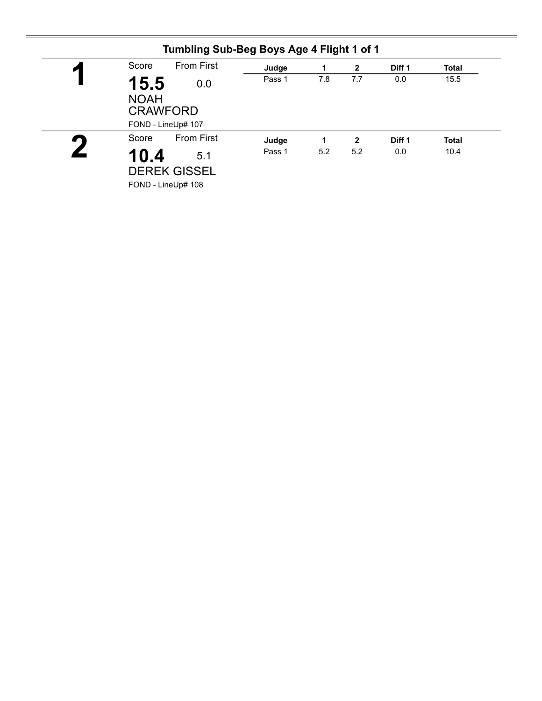| 7.8<br>7.7<br>Pass 1<br>0.0<br>15.5<br>0.0<br><b>NOAH</b><br><b>CRAWFORD</b><br>FOND - LineUp# 107<br><b>From First</b><br>Score<br>Judge<br>Diff <sub>1</sub><br>$\mathbf{2}$<br>1<br>5.2<br>Pass 1<br>5.2<br>0.0<br>5.1 | И | Score | <b>From First</b>  | Judge | 1 | $\mathbf{2}$ | Diff <sub>1</sub> | <b>Total</b> |
|---------------------------------------------------------------------------------------------------------------------------------------------------------------------------------------------------------------------------|---|-------|--------------------|-------|---|--------------|-------------------|--------------|
|                                                                                                                                                                                                                           |   |       |                    |       |   |              |                   | 15.5         |
|                                                                                                                                                                                                                           |   |       |                    |       |   |              |                   |              |
|                                                                                                                                                                                                                           |   |       |                    |       |   |              |                   | <b>Total</b> |
|                                                                                                                                                                                                                           |   | 10.4  |                    |       |   |              |                   | 10.4         |
|                                                                                                                                                                                                                           |   |       | FOND - LineUp# 108 |       |   |              |                   |              |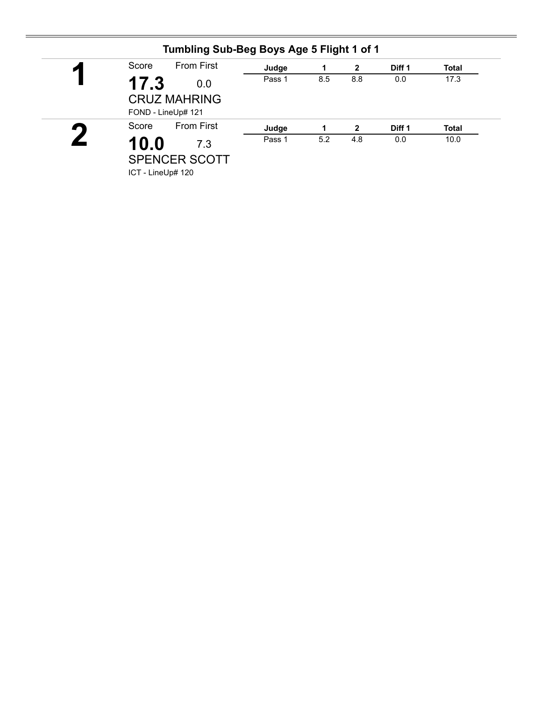| $\blacktriangleleft$ |                                                          |        |     | $\mathbf{2}$ | Diff 1            | <b>Total</b> |
|----------------------|----------------------------------------------------------|--------|-----|--------------|-------------------|--------------|
|                      | 17.3<br>0.0<br><b>CRUZ MAHRING</b><br>FOND - LineUp# 121 | Pass 1 | 8.5 | 8.8          | 0.0               | 17.3         |
| $\bullet$            | <b>From First</b><br>Score                               | Judge  | 1   | $\mathbf{2}$ | Diff <sub>1</sub> | <b>Total</b> |
|                      | 10.0<br>7.3<br><b>SPENCER SCOTT</b><br>ICT - LineUp# 120 | Pass 1 | 5.2 | 4.8          | 0.0               | 10.0         |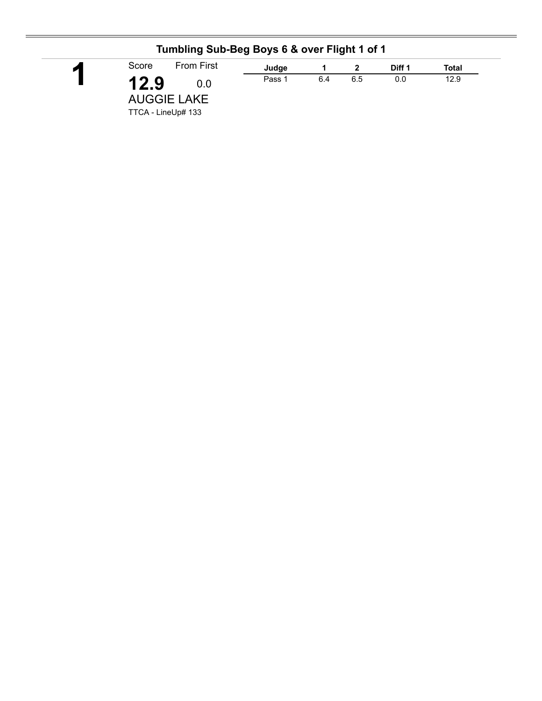| $\blacktriangleleft$ | <b>From First</b><br>Score                              | Judge  |     |     | Diff 1 | Total |
|----------------------|---------------------------------------------------------|--------|-----|-----|--------|-------|
|                      | 12.9<br>0.0<br><b>AUGGIE LAKE</b><br>TTCA - LineUp# 133 | Pass 1 | 6.4 | 6.5 | 0.0    | 12.9  |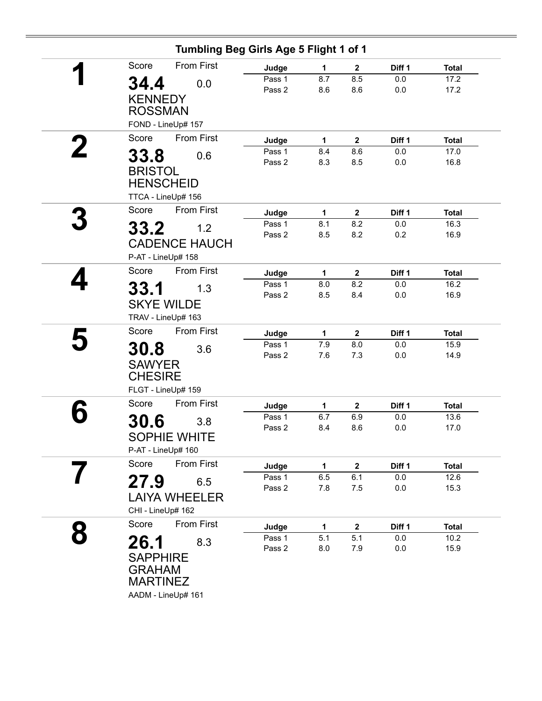| 1<br>8.7<br>8.6<br>$\mathbf{1}$<br>8.4<br>8.3<br>$\mathbf{1}$<br>8.1<br>8.5<br>1<br>8.0<br>8.5 | $\mathbf{2}$<br>8.5<br>8.6<br>$\mathbf{2}$<br>8.6<br>8.5<br>$\mathbf{2}$<br>8.2<br>8.2<br>$\boldsymbol{2}$<br>8.2<br>8.4 | Diff 1<br>0.0<br>0.0<br>Diff 1<br>0.0<br>0.0<br>Diff 1<br>0.0<br>0.2<br>Diff 1<br>0.0<br>0.0 | <b>Total</b><br>17.2<br>17.2<br><b>Total</b><br>17.0<br>16.8<br><b>Total</b><br>16.3<br>16.9<br><b>Total</b><br>16.2<br>16.9 |
|------------------------------------------------------------------------------------------------|--------------------------------------------------------------------------------------------------------------------------|----------------------------------------------------------------------------------------------|------------------------------------------------------------------------------------------------------------------------------|
|                                                                                                |                                                                                                                          |                                                                                              |                                                                                                                              |
|                                                                                                |                                                                                                                          |                                                                                              |                                                                                                                              |
|                                                                                                |                                                                                                                          |                                                                                              |                                                                                                                              |
|                                                                                                |                                                                                                                          |                                                                                              |                                                                                                                              |
|                                                                                                |                                                                                                                          |                                                                                              |                                                                                                                              |
|                                                                                                |                                                                                                                          |                                                                                              |                                                                                                                              |
|                                                                                                |                                                                                                                          |                                                                                              |                                                                                                                              |
|                                                                                                |                                                                                                                          |                                                                                              |                                                                                                                              |
|                                                                                                |                                                                                                                          |                                                                                              |                                                                                                                              |
|                                                                                                |                                                                                                                          |                                                                                              |                                                                                                                              |
|                                                                                                |                                                                                                                          |                                                                                              |                                                                                                                              |
|                                                                                                |                                                                                                                          |                                                                                              |                                                                                                                              |
|                                                                                                |                                                                                                                          |                                                                                              |                                                                                                                              |
|                                                                                                |                                                                                                                          |                                                                                              |                                                                                                                              |
|                                                                                                |                                                                                                                          |                                                                                              |                                                                                                                              |
|                                                                                                |                                                                                                                          |                                                                                              |                                                                                                                              |
|                                                                                                |                                                                                                                          |                                                                                              |                                                                                                                              |
|                                                                                                |                                                                                                                          |                                                                                              |                                                                                                                              |
|                                                                                                |                                                                                                                          |                                                                                              |                                                                                                                              |
|                                                                                                |                                                                                                                          |                                                                                              |                                                                                                                              |
|                                                                                                |                                                                                                                          |                                                                                              |                                                                                                                              |
| 1                                                                                              | $\mathbf{2}$                                                                                                             | Diff 1                                                                                       | <b>Total</b>                                                                                                                 |
| 7.9                                                                                            | 8.0                                                                                                                      | 0.0                                                                                          | 15.9                                                                                                                         |
| 7.6                                                                                            | 7.3                                                                                                                      | $0.0\,$                                                                                      | 14.9                                                                                                                         |
|                                                                                                |                                                                                                                          |                                                                                              |                                                                                                                              |
|                                                                                                |                                                                                                                          |                                                                                              |                                                                                                                              |
|                                                                                                |                                                                                                                          |                                                                                              | <b>Total</b>                                                                                                                 |
|                                                                                                |                                                                                                                          |                                                                                              | 13.6                                                                                                                         |
| 8.4                                                                                            | 8.6                                                                                                                      | 0.0                                                                                          | 17.0                                                                                                                         |
|                                                                                                |                                                                                                                          |                                                                                              |                                                                                                                              |
|                                                                                                |                                                                                                                          |                                                                                              |                                                                                                                              |
| 1                                                                                              | $\boldsymbol{2}$                                                                                                         | Diff 1                                                                                       | <b>Total</b>                                                                                                                 |
| 6.5                                                                                            | 6.1                                                                                                                      | 0.0                                                                                          | 12.6                                                                                                                         |
| 7.8                                                                                            | 7.5                                                                                                                      | $0.0\,$                                                                                      | 15.3                                                                                                                         |
|                                                                                                |                                                                                                                          |                                                                                              |                                                                                                                              |
|                                                                                                |                                                                                                                          |                                                                                              |                                                                                                                              |
| $\mathbf{1}$                                                                                   | $\mathbf{2}$                                                                                                             | Diff 1                                                                                       | <b>Total</b>                                                                                                                 |
| 5.1                                                                                            | 5.1                                                                                                                      | 0.0                                                                                          | 10.2                                                                                                                         |
|                                                                                                |                                                                                                                          |                                                                                              | 15.9                                                                                                                         |
|                                                                                                |                                                                                                                          |                                                                                              |                                                                                                                              |
|                                                                                                |                                                                                                                          |                                                                                              |                                                                                                                              |
|                                                                                                |                                                                                                                          |                                                                                              |                                                                                                                              |
|                                                                                                | 1<br>6.7<br>8.0                                                                                                          | $\boldsymbol{2}$<br>6.9<br>7.9                                                               | Diff 1<br>0.0<br>0.0                                                                                                         |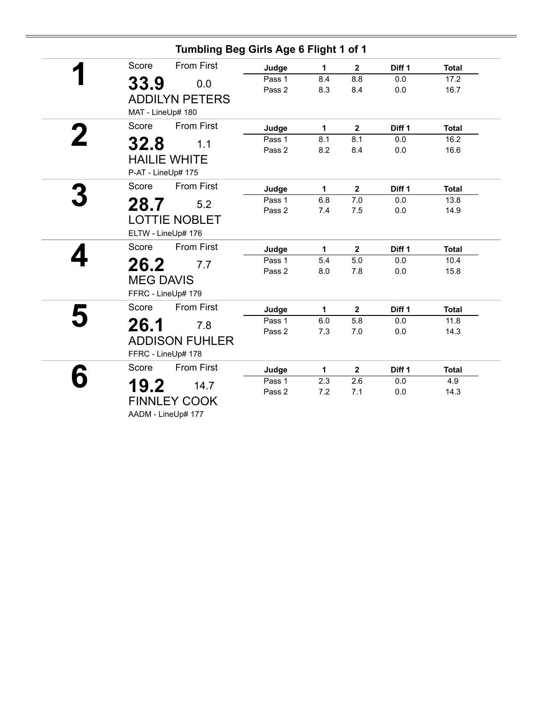| Tumbling Beg Girls Age 6 Flight 1 of 1 |        |     |                         |         |              |
|----------------------------------------|--------|-----|-------------------------|---------|--------------|
| Score<br><b>From First</b>             | Judge  | 1   | $\mathbf{2}$            | Diff 1  | <b>Total</b> |
| 33.9<br>0.0                            | Pass 1 | 8.4 | 8.8                     | 0.0     | 17.2         |
|                                        | Pass 2 | 8.3 | 8.4                     | 0.0     | 16.7         |
| <b>ADDILYN PETERS</b>                  |        |     |                         |         |              |
| MAT - LineUp# 180                      |        |     |                         |         |              |
| <b>From First</b><br>Score             | Judge  | 1   | $\mathbf{2}$            | Diff 1  | <b>Total</b> |
| 32.8<br>1.1                            | Pass 1 | 8.1 | 8.1                     | 0.0     | 16.2         |
|                                        | Pass 2 | 8.2 | 8.4                     | 0.0     | 16.6         |
| <b>HAILIE WHITE</b>                    |        |     |                         |         |              |
| P-AT - LineUp# 175                     |        |     |                         |         |              |
| <b>From First</b><br>Score             | Judge  | 1   | $\overline{\mathbf{2}}$ | Diff 1  | <b>Total</b> |
| 28.7<br>5.2                            | Pass 1 | 6.8 | 7.0                     | 0.0     | 13.8         |
|                                        | Pass 2 | 7.4 | 7.5                     | $0.0\,$ | 14.9         |
| <b>LOTTIE NOBLET</b>                   |        |     |                         |         |              |
| ELTW - LineUp# 176                     |        |     |                         |         |              |
| <b>From First</b><br>Score             | Judge  | 1   | $\mathbf{2}$            | Diff 1  | <b>Total</b> |
| 26.2<br>7.7                            | Pass 1 | 5.4 | 5.0                     | 0.0     | 10.4         |
|                                        | Pass 2 | 8.0 | 7.8                     | 0.0     | 15.8         |
| <b>MEG DAVIS</b>                       |        |     |                         |         |              |
| FFRC - LineUp# 179                     |        |     |                         |         |              |
| <b>From First</b><br>Score             | Judge  | 1   | $\mathbf{2}$            | Diff 1  | <b>Total</b> |
| 26.1<br>7.8                            | Pass 1 | 6.0 | 5.8                     | 0.0     | 11.8         |
|                                        | Pass 2 | 7.3 | 7.0                     | 0.0     | 14.3         |
| <b>ADDISON FUHLER</b>                  |        |     |                         |         |              |
| FFRC - LineUp# 178                     |        |     |                         |         |              |
| <b>From First</b><br>Score             | Judge  | 1   | $\overline{\mathbf{2}}$ | Diff 1  | <b>Total</b> |
| 19.2<br>14.7                           | Pass 1 | 2.3 | 2.6                     | 0.0     | 4.9          |
|                                        | Pass 2 | 7.2 | 7.1                     | 0.0     | 14.3         |
| <b>FINNLEY COOK</b>                    |        |     |                         |         |              |
| AADM - LineUp# 177                     |        |     |                         |         |              |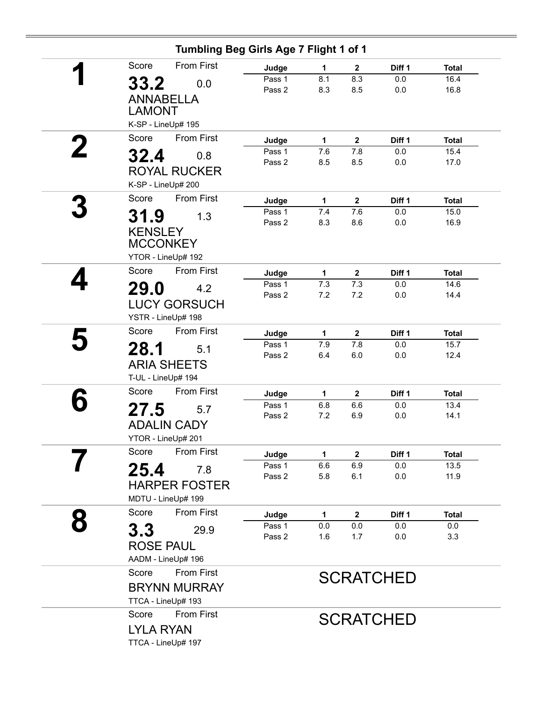|   | Tumbling Beg Girls Age 7 Flight 1 of 1                                  |                  |              |                  |                  |              |
|---|-------------------------------------------------------------------------|------------------|--------------|------------------|------------------|--------------|
|   | <b>From First</b><br>Score                                              | Judge            | 1            | $\mathbf{2}$     | Diff 1           | <b>Total</b> |
|   | 33.2<br>0.0<br><b>ANNABELLA</b>                                         | Pass 1<br>Pass 2 | 8.1<br>8.3   | 8.3<br>8.5       | 0.0<br>0.0       | 16.4<br>16.8 |
|   | <b>LAMONT</b><br>K-SP - LineUp# 195                                     |                  |              |                  |                  |              |
|   | <b>From First</b><br>Score                                              | Judge            | $\mathbf{1}$ | $\boldsymbol{2}$ | Diff 1           | <b>Total</b> |
|   | 32.4<br>0.8                                                             | Pass 1<br>Pass 2 | 7.6<br>8.5   | 7.8<br>8.5       | 0.0<br>0.0       | 15.4<br>17.0 |
|   | <b>ROYAL RUCKER</b><br>K-SP - LineUp# 200                               |                  |              |                  |                  |              |
|   | <b>From First</b><br>Score                                              | Judge            | $\mathbf{1}$ | $\mathbf{2}$     | Diff 1           | <b>Total</b> |
|   | 31.9<br>1.3                                                             | Pass 1<br>Pass 2 | 7.4<br>8.3   | 7.6<br>8.6       | 0.0<br>0.0       | 15.0<br>16.9 |
|   | <b>KENSLEY</b><br><b>MCCONKEY</b><br>YTOR - LineUp# 192                 |                  |              |                  |                  |              |
|   | <b>From First</b><br>Score                                              | Judge            | $\mathbf{1}$ | $\boldsymbol{2}$ | Diff 1           | <b>Total</b> |
|   | <b>29.0</b><br>4.2<br><b>LUCY GORSUCH</b><br>YSTR - LineUp# 198         | Pass 1<br>Pass 2 | 7.3<br>7.2   | 7.3<br>7.2       | 0.0<br>0.0       | 14.6<br>14.4 |
|   | <b>From First</b><br>Score                                              | Judge            | 1            | $\mathbf{2}$     | Diff 1           | <b>Total</b> |
|   | 28.1<br>5.1                                                             | Pass 1           | 7.9          | 7.8              | 0.0              | 15.7         |
|   | <b>ARIA SHEETS</b><br>T-UL - LineUp# 194                                | Pass 2           | 6.4          | 6.0              | 0.0              | 12.4         |
|   | <b>From First</b><br>Score                                              | Judge            | $\mathbf{1}$ | $\mathbf{2}$     | Diff 1           | <b>Total</b> |
|   | 27.5<br>5.7                                                             | Pass 1           | 6.8          | 6.6              | 0.0              | 13.4         |
|   | <b>ADALIN CADY</b><br>YTOR - LineUp# 201                                | Pass 2           | 7.2          | 6.9              | 0.0              | 14.1         |
|   | From First<br>Score                                                     | Judge            | 1            | $\mathbf 2$      | Diff 1           | <b>Total</b> |
|   | 25.4<br>7.8<br><b>HARPER FOSTER</b><br>MDTU - LineUp# 199               | Pass 1<br>Pass 2 | 6.6<br>5.8   | 6.9<br>6.1       | 0.0<br>0.0       | 13.5<br>11.9 |
| 8 | <b>From First</b><br>Score                                              | Judge            | 1            | $\mathbf{2}$     | Diff 1           | <b>Total</b> |
|   | 3.3<br>29.9                                                             | Pass 1           | 0.0          | 0.0              | 0.0              | 0.0          |
|   | <b>ROSE PAUL</b><br>AADM - LineUp# 196                                  | Pass 2           | 1.6          | 1.7              | 0.0              | 3.3          |
|   | Score<br><b>From First</b><br><b>BRYNN MURRAY</b><br>TTCA - LineUp# 193 |                  |              |                  | <b>SCRATCHED</b> |              |
|   | <b>From First</b><br>Score<br>LYLA RYAN<br>TTCA - LineUp# 197           |                  |              |                  | <b>SCRATCHED</b> |              |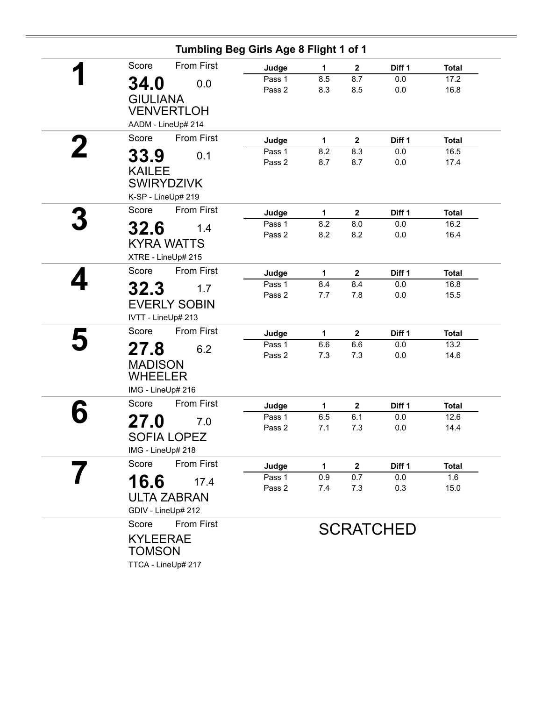| Score | <b>From First</b>       |                                                                                                                                                                                                                                                                                                                                                                                                                                                                                                                                                                       | 1                                                                                                               | $\mathbf{2}$                                                       | Diff 1                                                                                                                                      | <b>Total</b>                                                                                        |
|-------|-------------------------|-----------------------------------------------------------------------------------------------------------------------------------------------------------------------------------------------------------------------------------------------------------------------------------------------------------------------------------------------------------------------------------------------------------------------------------------------------------------------------------------------------------------------------------------------------------------------|-----------------------------------------------------------------------------------------------------------------|--------------------------------------------------------------------|---------------------------------------------------------------------------------------------------------------------------------------------|-----------------------------------------------------------------------------------------------------|
|       |                         | Pass 1                                                                                                                                                                                                                                                                                                                                                                                                                                                                                                                                                                | 8.5                                                                                                             | 8.7                                                                | 0.0                                                                                                                                         | 17.2                                                                                                |
|       |                         | Pass 2                                                                                                                                                                                                                                                                                                                                                                                                                                                                                                                                                                | 8.3                                                                                                             | 8.5                                                                | 0.0                                                                                                                                         | 16.8                                                                                                |
|       |                         |                                                                                                                                                                                                                                                                                                                                                                                                                                                                                                                                                                       |                                                                                                                 |                                                                    |                                                                                                                                             |                                                                                                     |
|       |                         |                                                                                                                                                                                                                                                                                                                                                                                                                                                                                                                                                                       |                                                                                                                 |                                                                    |                                                                                                                                             |                                                                                                     |
|       |                         |                                                                                                                                                                                                                                                                                                                                                                                                                                                                                                                                                                       |                                                                                                                 |                                                                    |                                                                                                                                             |                                                                                                     |
|       |                         | Judge                                                                                                                                                                                                                                                                                                                                                                                                                                                                                                                                                                 | $\mathbf{1}$                                                                                                    | $\mathbf{2}$                                                       | Diff 1                                                                                                                                      | <b>Total</b>                                                                                        |
|       | 0.1                     |                                                                                                                                                                                                                                                                                                                                                                                                                                                                                                                                                                       |                                                                                                                 |                                                                    |                                                                                                                                             | 16.5                                                                                                |
|       |                         |                                                                                                                                                                                                                                                                                                                                                                                                                                                                                                                                                                       |                                                                                                                 |                                                                    |                                                                                                                                             | 17.4                                                                                                |
|       |                         |                                                                                                                                                                                                                                                                                                                                                                                                                                                                                                                                                                       |                                                                                                                 |                                                                    |                                                                                                                                             |                                                                                                     |
|       |                         |                                                                                                                                                                                                                                                                                                                                                                                                                                                                                                                                                                       |                                                                                                                 |                                                                    |                                                                                                                                             |                                                                                                     |
|       |                         |                                                                                                                                                                                                                                                                                                                                                                                                                                                                                                                                                                       |                                                                                                                 |                                                                    |                                                                                                                                             |                                                                                                     |
|       |                         |                                                                                                                                                                                                                                                                                                                                                                                                                                                                                                                                                                       |                                                                                                                 |                                                                    |                                                                                                                                             | <b>Total</b>                                                                                        |
|       | 1.4                     |                                                                                                                                                                                                                                                                                                                                                                                                                                                                                                                                                                       |                                                                                                                 |                                                                    |                                                                                                                                             | 16.2<br>16.4                                                                                        |
|       |                         |                                                                                                                                                                                                                                                                                                                                                                                                                                                                                                                                                                       |                                                                                                                 |                                                                    |                                                                                                                                             |                                                                                                     |
|       |                         |                                                                                                                                                                                                                                                                                                                                                                                                                                                                                                                                                                       |                                                                                                                 |                                                                    |                                                                                                                                             |                                                                                                     |
| Score | <b>From First</b>       |                                                                                                                                                                                                                                                                                                                                                                                                                                                                                                                                                                       | $\mathbf{1}$                                                                                                    | $\boldsymbol{2}$                                                   | Diff 1                                                                                                                                      | <b>Total</b>                                                                                        |
|       |                         | Pass 1                                                                                                                                                                                                                                                                                                                                                                                                                                                                                                                                                                | 8.4                                                                                                             | 8.4                                                                | 0.0                                                                                                                                         | 16.8                                                                                                |
|       |                         | Pass 2                                                                                                                                                                                                                                                                                                                                                                                                                                                                                                                                                                | 7.7                                                                                                             | 7.8                                                                | 0.0                                                                                                                                         | 15.5                                                                                                |
|       |                         |                                                                                                                                                                                                                                                                                                                                                                                                                                                                                                                                                                       |                                                                                                                 |                                                                    |                                                                                                                                             |                                                                                                     |
|       |                         |                                                                                                                                                                                                                                                                                                                                                                                                                                                                                                                                                                       |                                                                                                                 |                                                                    |                                                                                                                                             |                                                                                                     |
| Score | <b>From First</b>       | Judge                                                                                                                                                                                                                                                                                                                                                                                                                                                                                                                                                                 | 1                                                                                                               | $\overline{2}$                                                     | Diff 1                                                                                                                                      | <b>Total</b>                                                                                        |
|       |                         | Pass 1                                                                                                                                                                                                                                                                                                                                                                                                                                                                                                                                                                | 6.6                                                                                                             | 6.6                                                                | 0.0                                                                                                                                         | 13.2                                                                                                |
|       |                         |                                                                                                                                                                                                                                                                                                                                                                                                                                                                                                                                                                       |                                                                                                                 |                                                                    |                                                                                                                                             | 14.6                                                                                                |
|       |                         |                                                                                                                                                                                                                                                                                                                                                                                                                                                                                                                                                                       |                                                                                                                 |                                                                    |                                                                                                                                             |                                                                                                     |
|       |                         |                                                                                                                                                                                                                                                                                                                                                                                                                                                                                                                                                                       |                                                                                                                 |                                                                    |                                                                                                                                             |                                                                                                     |
|       |                         |                                                                                                                                                                                                                                                                                                                                                                                                                                                                                                                                                                       |                                                                                                                 |                                                                    |                                                                                                                                             |                                                                                                     |
|       |                         |                                                                                                                                                                                                                                                                                                                                                                                                                                                                                                                                                                       | 1                                                                                                               |                                                                    |                                                                                                                                             | <b>Total</b>                                                                                        |
|       | 7.0                     |                                                                                                                                                                                                                                                                                                                                                                                                                                                                                                                                                                       |                                                                                                                 |                                                                    |                                                                                                                                             | 12.6                                                                                                |
|       |                         |                                                                                                                                                                                                                                                                                                                                                                                                                                                                                                                                                                       |                                                                                                                 |                                                                    |                                                                                                                                             | 14.4                                                                                                |
|       |                         |                                                                                                                                                                                                                                                                                                                                                                                                                                                                                                                                                                       |                                                                                                                 |                                                                    |                                                                                                                                             |                                                                                                     |
| Score | <b>From First</b>       |                                                                                                                                                                                                                                                                                                                                                                                                                                                                                                                                                                       |                                                                                                                 |                                                                    |                                                                                                                                             | Total                                                                                               |
|       |                         | Pass 1                                                                                                                                                                                                                                                                                                                                                                                                                                                                                                                                                                | 0.9                                                                                                             | 0.7                                                                | 0.0                                                                                                                                         | 1.6                                                                                                 |
|       |                         | Pass 2                                                                                                                                                                                                                                                                                                                                                                                                                                                                                                                                                                | 7.4                                                                                                             | 7.3                                                                | 0.3                                                                                                                                         | 15.0                                                                                                |
|       |                         |                                                                                                                                                                                                                                                                                                                                                                                                                                                                                                                                                                       |                                                                                                                 |                                                                    |                                                                                                                                             |                                                                                                     |
|       |                         |                                                                                                                                                                                                                                                                                                                                                                                                                                                                                                                                                                       |                                                                                                                 |                                                                    |                                                                                                                                             |                                                                                                     |
| Score | <b>From First</b>       |                                                                                                                                                                                                                                                                                                                                                                                                                                                                                                                                                                       |                                                                                                                 |                                                                    |                                                                                                                                             |                                                                                                     |
|       |                         |                                                                                                                                                                                                                                                                                                                                                                                                                                                                                                                                                                       |                                                                                                                 |                                                                    |                                                                                                                                             |                                                                                                     |
|       |                         |                                                                                                                                                                                                                                                                                                                                                                                                                                                                                                                                                                       |                                                                                                                 |                                                                    |                                                                                                                                             |                                                                                                     |
|       |                         |                                                                                                                                                                                                                                                                                                                                                                                                                                                                                                                                                                       |                                                                                                                 |                                                                    |                                                                                                                                             |                                                                                                     |
|       | Score<br>Score<br>Score | 34.0<br>0.0<br><b>GIULIANA</b><br><b>VENVERTLOH</b><br>AADM - LineUp# 214<br><b>From First</b><br>33.9<br><b>KAILEE</b><br><b>SWIRYDZIVK</b><br>K-SP - LineUp# 219<br><b>From First</b><br>32.6<br><b>KYRA WATTS</b><br>XTRE - LineUp# 215<br>32.3<br>1.7<br><b>EVERLY SOBIN</b><br>IVTT - LineUp# 213<br>27.8<br>6.2<br><b>MADISON</b><br><b>WHEELER</b><br>IMG - LineUp# 216<br>From First<br>27.0<br><b>SOFIA LOPEZ</b><br>IMG - LineUp# 218<br>16.6<br>17.4<br><b>ULTA ZABRAN</b><br>GDIV - LineUp# 212<br><b>KYLEERAE</b><br><b>TOMSON</b><br>TTCA - LineUp# 217 | Judge<br>Pass 1<br>Pass 2<br>Judge<br>Pass 1<br>Pass 2<br>Judge<br>Pass 2<br>Judge<br>Pass 1<br>Pass 2<br>Judge | 8.2<br>8.7<br>$\mathbf{1}$<br>8.2<br>8.2<br>7.3<br>6.5<br>7.1<br>1 | Tumbling Beg Girls Age 8 Flight 1 of 1<br>8.3<br>8.7<br>$\mathbf{2}$<br>8.0<br>8.2<br>7.3<br>$\boldsymbol{2}$<br>6.1<br>7.3<br>$\mathbf{2}$ | 0.0<br>0.0<br>Diff 1<br>0.0<br>0.0<br>$0.0\,$<br>Diff 1<br>0.0<br>0.0<br>Diff 1<br><b>SCRATCHED</b> |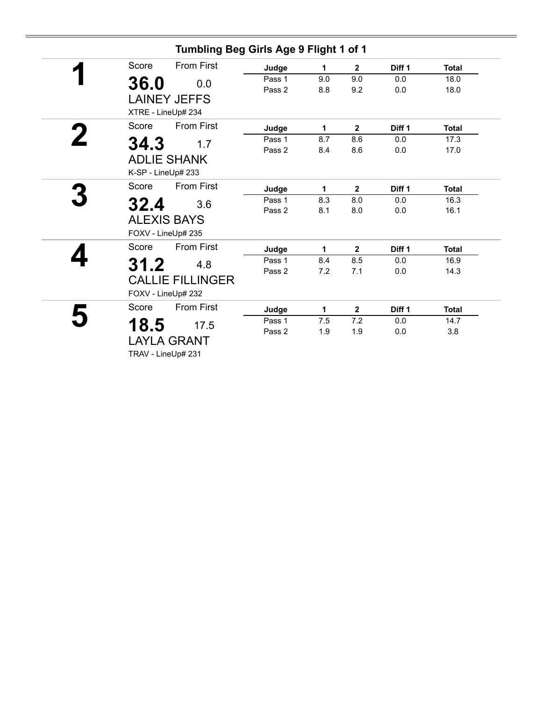| Tumbling Beg Girls Age 9 Flight 1 of 1 |        |     |                |                   |              |
|----------------------------------------|--------|-----|----------------|-------------------|--------------|
| <b>From First</b><br>Score             | Judge  | 1   | $\overline{2}$ | Diff <sub>1</sub> | <b>Total</b> |
| 36.0<br>0.0                            | Pass 1 | 9.0 | 9.0            | 0.0               | 18.0         |
|                                        | Pass 2 | 8.8 | 9.2            | 0.0               | 18.0         |
| <b>LAINEY JEFFS</b>                    |        |     |                |                   |              |
| XTRE - LineUp# 234                     |        |     |                |                   |              |
| <b>From First</b><br>Score             | Judge  | 1   | $\mathbf{2}$   | Diff <sub>1</sub> | <b>Total</b> |
| 34.3<br>1.7                            | Pass 1 | 8.7 | 8.6            | 0.0               | 17.3         |
|                                        | Pass 2 | 8.4 | 8.6            | 0.0               | 17.0         |
| <b>ADLIE SHANK</b>                     |        |     |                |                   |              |
| K-SP - LineUp# 233                     |        |     |                |                   |              |
| <b>From First</b><br>Score             | Judge  | 1   | $\overline{2}$ | Diff 1            | <b>Total</b> |
| 32.4<br>3.6                            | Pass 1 | 8.3 | 8.0            | 0.0               | 16.3         |
|                                        | Pass 2 | 8.1 | 8.0            | 0.0               | 16.1         |
| <b>ALEXIS BAYS</b>                     |        |     |                |                   |              |
| FOXV - LineUp# 235                     |        |     |                |                   |              |
| <b>From First</b><br>Score             | Judge  | 1   | $\overline{2}$ | Diff <sub>1</sub> | <b>Total</b> |
| 31.2<br>4.8                            | Pass 1 | 8.4 | 8.5            | 0.0               | 16.9         |
|                                        | Pass 2 | 7.2 | 7.1            | 0.0               | 14.3         |
| <b>CALLIE FILLINGER</b>                |        |     |                |                   |              |
| FOXV - LineUp# 232                     |        |     |                |                   |              |
| Score<br><b>From First</b>             | Judge  | 1   | $\mathbf{2}$   | Diff <sub>1</sub> | <b>Total</b> |
| 18.5<br>17.5                           | Pass 1 | 7.5 | 7.2            | 0.0               | 14.7         |
|                                        | Pass 2 | 1.9 | 1.9            | 0.0               | 3.8          |
| <b>LAYLA GRANT</b>                     |        |     |                |                   |              |
| TRAV - LineUp# 231                     |        |     |                |                   |              |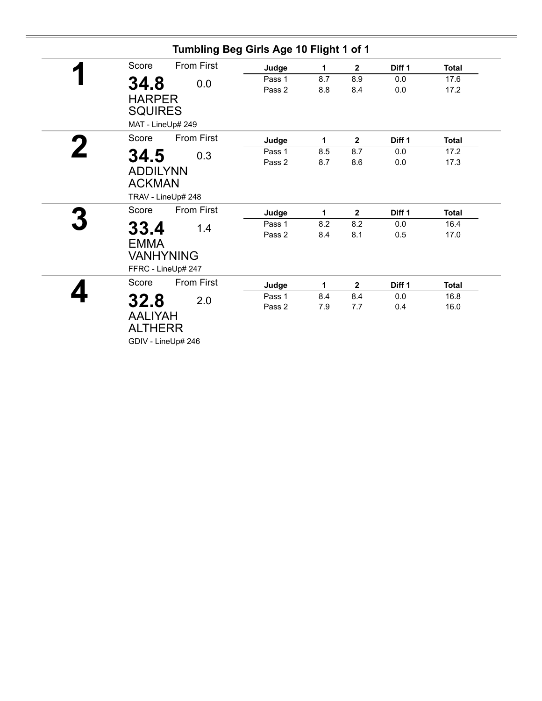|                                                                       | Tumbling Beg Girls Age 10 Flight 1 of 1 |                 |                            |                      |                              |
|-----------------------------------------------------------------------|-----------------------------------------|-----------------|----------------------------|----------------------|------------------------------|
| <b>From First</b><br>Score                                            | Judge                                   | 1               | $\overline{\mathbf{2}}$    | Diff 1               | <b>Total</b>                 |
| 34.8<br>0.0<br><b>HARPER</b><br><b>SQUIRES</b>                        | Pass 1<br>Pass 2                        | 8.7<br>8.8      | 8.9<br>8.4                 | 0.0<br>0.0           | 17.6<br>17.2                 |
| MAT - LineUp# 249                                                     |                                         |                 |                            |                      |                              |
| <b>From First</b><br>Score                                            | Judge                                   | 1               | $\mathbf{2}$               | Diff 1               | <b>Total</b>                 |
| 34.5<br>0.3<br><b>ADDILYNN</b><br><b>ACKMAN</b>                       | Pass 1<br>Pass 2                        | 8.5<br>8.7      | 8.7<br>8.6                 | 0.0<br>0.0           | 17.2<br>17.3                 |
| TRAV - LineUp# 248<br><b>From First</b><br>Score                      |                                         |                 |                            |                      |                              |
| 33.4<br>1.4<br><b>EMMA</b><br><b>VANHYNING</b><br>FFRC - LineUp# 247  | Judge<br>Pass 1<br>Pass 2               | 1<br>8.2<br>8.4 | $\mathbf{2}$<br>8.2<br>8.1 | Diff 1<br>0.0<br>0.5 | <b>Total</b><br>16.4<br>17.0 |
| Score<br><b>From First</b>                                            | Judge                                   | 1               | $\overline{2}$             | Diff 1               | <b>Total</b>                 |
| 32.8<br>2.0<br><b>AALIYAH</b><br><b>ALTHERR</b><br>GDIV - LineUp# 246 | Pass 1<br>Pass 2                        | 8.4<br>7.9      | 8.4<br>7.7                 | 0.0<br>0.4           | 16.8<br>16.0                 |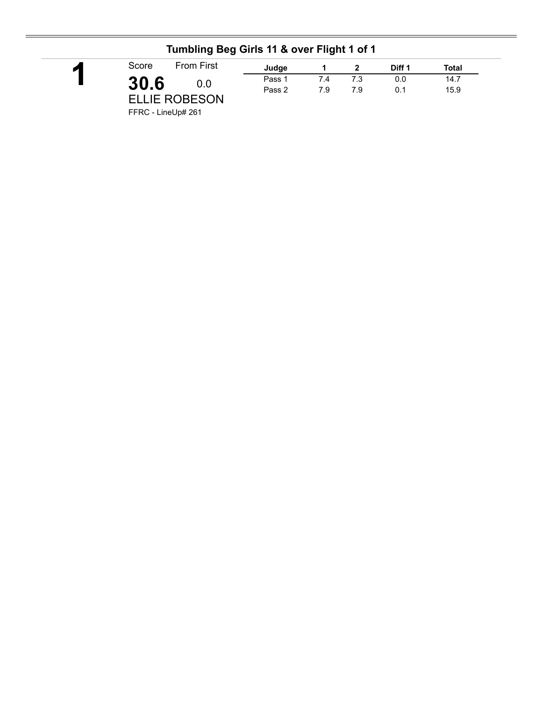#### **Tumbling Beg Girls 11 & over Flight 1 of 1**

FFRC - LineUp# 261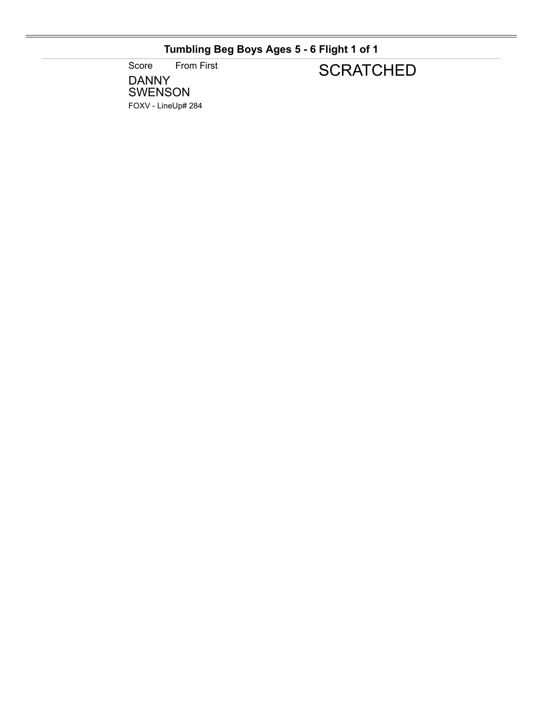### **Tumbling Beg Boys Ages 5 - 6 Flight 1 of 1**

Score From First

### **SCRATCHED**

DANNY SWENSON FOXV - LineUp# 284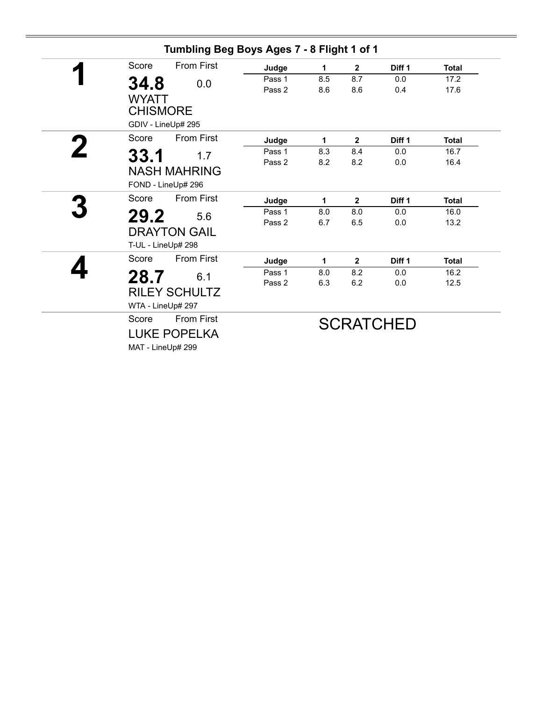| Score | <b>From First</b>                      | Judge                                                                                                                                                                                                                                                                                                                                       | 1      | $\mathbf{2}$ | Diff <sub>1</sub> | <b>Total</b>                                                          |
|-------|----------------------------------------|---------------------------------------------------------------------------------------------------------------------------------------------------------------------------------------------------------------------------------------------------------------------------------------------------------------------------------------------|--------|--------------|-------------------|-----------------------------------------------------------------------|
|       |                                        | Pass 1                                                                                                                                                                                                                                                                                                                                      | 8.5    | 8.7          | 0.0               | 17.2                                                                  |
|       |                                        | Pass 2                                                                                                                                                                                                                                                                                                                                      | 8.6    | 8.6          | 0.4               | 17.6                                                                  |
|       |                                        |                                                                                                                                                                                                                                                                                                                                             |        |              |                   |                                                                       |
|       |                                        |                                                                                                                                                                                                                                                                                                                                             |        |              |                   |                                                                       |
|       |                                        |                                                                                                                                                                                                                                                                                                                                             |        |              |                   |                                                                       |
|       |                                        | Judge                                                                                                                                                                                                                                                                                                                                       | 1      | $\mathbf{2}$ | Diff <sub>1</sub> | <b>Total</b>                                                          |
|       |                                        | Pass 1                                                                                                                                                                                                                                                                                                                                      | 8.3    | 8.4          | 0.0               | 16.7                                                                  |
|       |                                        | Pass 2                                                                                                                                                                                                                                                                                                                                      | 8.2    | 8.2          | 0.0               | 16.4                                                                  |
|       |                                        |                                                                                                                                                                                                                                                                                                                                             |        |              |                   |                                                                       |
|       |                                        |                                                                                                                                                                                                                                                                                                                                             |        |              |                   |                                                                       |
| Score |                                        | Judge                                                                                                                                                                                                                                                                                                                                       | 1      | $\mathbf{2}$ | Diff 1            | <b>Total</b>                                                          |
|       |                                        | Pass 1                                                                                                                                                                                                                                                                                                                                      | 8.0    | 8.0          | 0.0               | 16.0                                                                  |
|       |                                        |                                                                                                                                                                                                                                                                                                                                             |        |              |                   | 13.2                                                                  |
|       |                                        |                                                                                                                                                                                                                                                                                                                                             |        |              |                   |                                                                       |
|       |                                        |                                                                                                                                                                                                                                                                                                                                             |        |              |                   |                                                                       |
|       |                                        | Judge                                                                                                                                                                                                                                                                                                                                       | 1      | $\mathbf{2}$ | Diff 1            | <b>Total</b>                                                          |
|       |                                        | Pass 1                                                                                                                                                                                                                                                                                                                                      | 8.0    | 8.2          | 0.0               | 16.2                                                                  |
|       |                                        | Pass 2                                                                                                                                                                                                                                                                                                                                      | 6.3    |              | 0.0               | 12.5                                                                  |
|       |                                        |                                                                                                                                                                                                                                                                                                                                             |        |              |                   |                                                                       |
|       |                                        |                                                                                                                                                                                                                                                                                                                                             |        |              |                   |                                                                       |
| Score | <b>From First</b>                      |                                                                                                                                                                                                                                                                                                                                             |        |              |                   |                                                                       |
|       |                                        |                                                                                                                                                                                                                                                                                                                                             |        |              |                   |                                                                       |
|       |                                        |                                                                                                                                                                                                                                                                                                                                             |        |              |                   |                                                                       |
|       | 34.8<br>Score<br>33.1<br>Score<br>28.7 | 0.0<br><b>WYATT</b><br><b>CHISMORE</b><br>GDIV - LineUp# 295<br><b>From First</b><br>1.7<br><b>NASH MAHRING</b><br>FOND - LineUp# 296<br><b>From First</b><br>29.2<br>5.6<br><b>DRAYTON GAIL</b><br>T-UL - LineUp# 298<br><b>From First</b><br>6.1<br><b>RILEY SCHULTZ</b><br>WTA - LineUp# 297<br><b>LUKE POPELKA</b><br>MAT - LineUp# 299 | Pass 2 | 6.7          | 6.5<br>6.2        | Tumbling Beg Boys Ages 7 - 8 Flight 1 of 1<br>0.0<br><b>SCRATCHED</b> |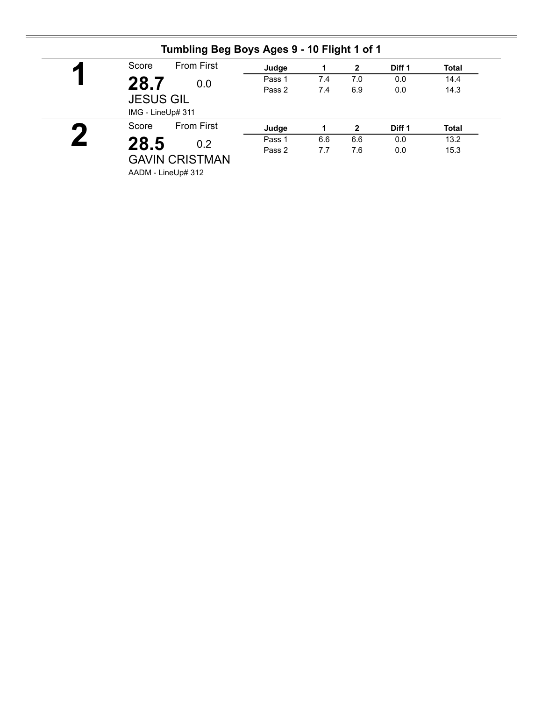| ◢ | Score                                 | <b>From First</b>     | Judge  |     | $\mathbf{2}$ | Diff 1 | <b>Total</b> |
|---|---------------------------------------|-----------------------|--------|-----|--------------|--------|--------------|
|   | 28.7                                  | 0.0                   | Pass 1 | 7.4 | 7.0          | 0.0    | 14.4         |
|   | <b>JESUS GIL</b><br>IMG - LineUp# 311 |                       | Pass 2 | 7.4 | 6.9          | 0.0    | 14.3         |
| ▞ | Score                                 | <b>From First</b>     | Judge  |     | $\mathbf{2}$ | Diff 1 | <b>Total</b> |
|   | 28.5                                  | 0.2                   | Pass 1 | 6.6 | 6.6          | 0.0    | 13.2         |
|   |                                       | <b>GAVIN CRISTMAN</b> | Pass 2 | 7.7 | 7.6          | 0.0    | 15.3         |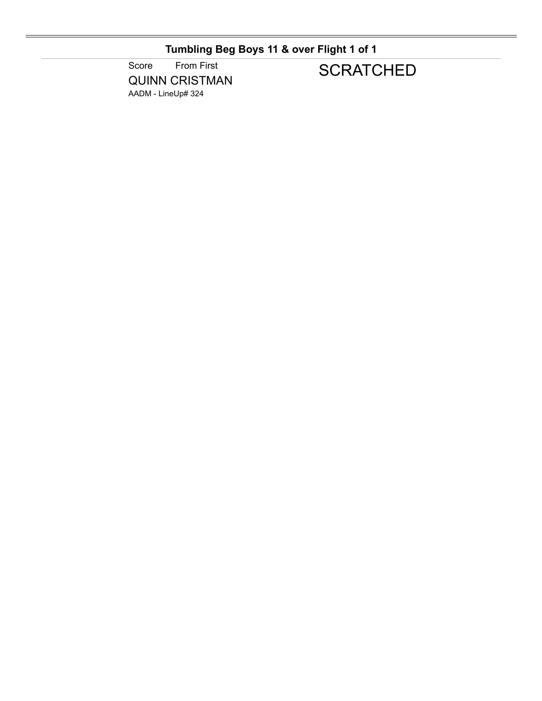**Tumbling Beg Boys 11 & over Flight 1 of 1**

Score From First QUINN CRISTMAN AADM - LineUp# 324

## **SCRATCHED**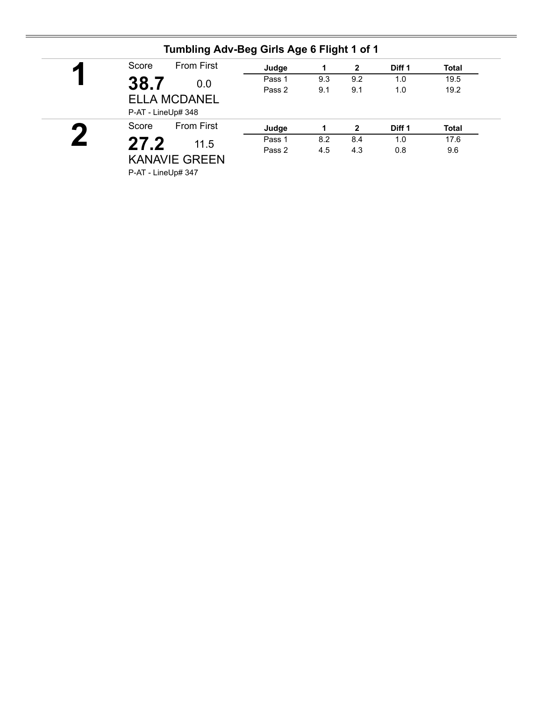| ◚         | Score              | <b>From First</b>       | Judge  |     | $\mathbf{2}$ | Diff 1 | <b>Total</b> |
|-----------|--------------------|-------------------------|--------|-----|--------------|--------|--------------|
|           | 38.7               | Pass 1<br>0.0<br>Pass 2 | 9.3    | 9.2 | 1.0          | 19.5   |              |
|           |                    |                         |        | 9.1 | 9.1          | 1.0    | 19.2         |
|           |                    | <b>ELLA MCDANEL</b>     |        |     |              |        |              |
|           | P-AT - LineUp# 348 |                         |        |     |              |        |              |
| $\bullet$ | Score              | <b>From First</b>       | Judge  |     | $\mathbf{2}$ | Diff 1 | <b>Total</b> |
|           |                    |                         |        |     |              |        |              |
|           |                    |                         | Pass 1 | 8.2 | 8.4          | 1.0    | 17.6         |
|           | 27.2               | 11.5                    | Pass 2 | 4.5 | 4.3          | 0.8    | 9.6          |
|           |                    | <b>KANAVIE GREEN</b>    |        |     |              |        |              |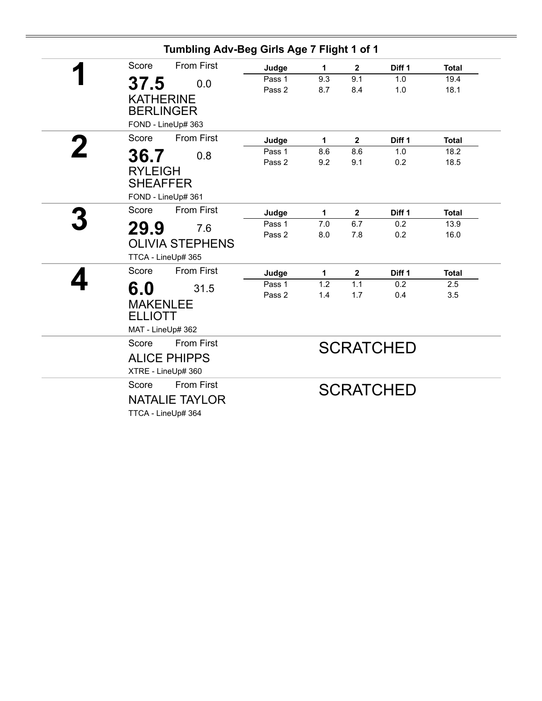|             |                                      | Tumbling Adv-Beg Girls Age 7 Flight 1 of 1 |            |              |                   |              |
|-------------|--------------------------------------|--------------------------------------------|------------|--------------|-------------------|--------------|
|             | <b>From First</b><br>Score           | Judge                                      | 1          | $\mathbf{2}$ | Diff 1            | <b>Total</b> |
|             | 37.5<br>0.0                          | Pass 1                                     | 9.3        | 9.1          | 1.0               | 19.4         |
|             |                                      | Pass 2                                     | 8.7        | 8.4          | 1.0               | 18.1         |
|             | <b>KATHERINE</b><br><b>BERLINGER</b> |                                            |            |              |                   |              |
|             | FOND - LineUp# 363                   |                                            |            |              |                   |              |
|             | <b>From First</b><br>Score           |                                            |            |              |                   |              |
| $\mathbf 2$ |                                      | Judge                                      | 1          | $\mathbf{2}$ | Diff 1            | <b>Total</b> |
|             | 36.7<br>0.8                          | Pass 1<br>Pass 2                           | 8.6<br>9.2 | 8.6<br>9.1   | 1.0               | 18.2<br>18.5 |
|             | <b>RYLEIGH</b>                       |                                            |            |              | 0.2               |              |
|             | <b>SHEAFFER</b>                      |                                            |            |              |                   |              |
|             | FOND - LineUp# 361                   |                                            |            |              |                   |              |
|             | <b>From First</b><br>Score           | Judge                                      | 1          | $\mathbf{2}$ | Diff <sub>1</sub> | <b>Total</b> |
|             | 29.9<br>7.6                          | Pass 1                                     | 7.0        | 6.7          | 0.2               | 13.9         |
|             |                                      | Pass 2                                     | 8.0        | 7.8          | 0.2               | 16.0         |
|             | <b>OLIVIA STEPHENS</b>               |                                            |            |              |                   |              |
|             | TTCA - LineUp# 365                   |                                            |            |              |                   |              |
|             | <b>From First</b><br>Score           | Judge                                      | 1          | $\mathbf{2}$ | Diff 1            | <b>Total</b> |
|             | 6.0<br>31.5                          | Pass 1                                     | 1.2        | 1.1          | 0.2               | 2.5          |
|             | <b>MAKENLEE</b>                      | Pass 2                                     | 1.4        | 1.7          | 0.4               | 3.5          |
|             | <b>ELLIOTT</b>                       |                                            |            |              |                   |              |
|             |                                      |                                            |            |              |                   |              |
|             | MAT - LineUp# 362                    |                                            |            |              |                   |              |
|             | <b>From First</b><br>Score           |                                            |            |              | <b>SCRATCHED</b>  |              |
|             | <b>ALICE PHIPPS</b>                  |                                            |            |              |                   |              |
|             | XTRE - LineUp# 360                   |                                            |            |              |                   |              |
|             | <b>From First</b><br>Score           |                                            |            |              | <b>SCRATCHED</b>  |              |
|             | <b>NATALIE TAYLOR</b>                |                                            |            |              |                   |              |
|             | TTCA - LineUp# 364                   |                                            |            |              |                   |              |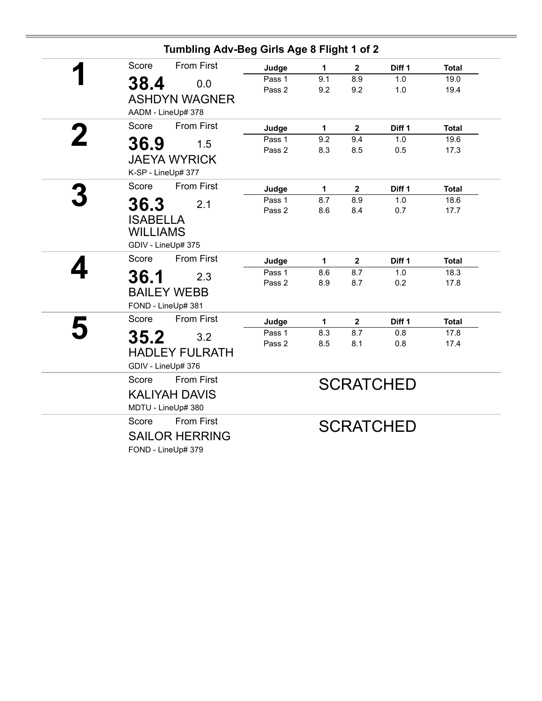|   | Tumbling Adv-Beg Girls Age 8 Flight 1 of 2                                |                  |             |                         |                  |              |
|---|---------------------------------------------------------------------------|------------------|-------------|-------------------------|------------------|--------------|
|   | <b>From First</b><br>Score                                                | Judge            | 1           | $\overline{\mathbf{2}}$ | Diff 1           | <b>Total</b> |
|   | 38.4<br>0.0<br><b>ASHDYN WAGNER</b>                                       | Pass 1<br>Pass 2 | 9.1<br>9.2  | 8.9<br>9.2              | 1.0<br>1.0       | 19.0<br>19.4 |
|   | AADM - LineUp# 378<br><b>From First</b><br>Score                          | Judge            | $\mathbf 1$ | $\overline{2}$          | Diff 1           | <b>Total</b> |
|   | 36.9<br>1.5<br><b>JAEYA WYRICK</b><br>K-SP - LineUp# 377                  | Pass 1<br>Pass 2 | 9.2<br>8.3  | 9.4<br>8.5              | 1.0<br>0.5       | 19.6<br>17.3 |
|   | <b>From First</b><br>Score                                                | Judge            | 1           | $\mathbf 2$             | Diff 1           | <b>Total</b> |
|   | 36.3<br>2.1<br><b>ISABELLA</b><br><b>WILLIAMS</b><br>GDIV - LineUp# 375   | Pass 1<br>Pass 2 | 8.7<br>8.6  | 8.9<br>8.4              | 1.0<br>0.7       | 18.6<br>17.7 |
|   | <b>From First</b><br>Score                                                | Judge            | 1           | $\mathbf{2}$            | Diff 1           | <b>Total</b> |
|   | 36.1<br>2.3<br><b>BAILEY WEBB</b><br>FOND - LineUp# 381                   | Pass 1<br>Pass 2 | 8.6<br>8.9  | 8.7<br>8.7              | 1.0<br>0.2       | 18.3<br>17.8 |
|   | <b>From First</b><br>Score                                                | Judge            | 1           | $\mathbf{2}$            | Diff 1           | <b>Total</b> |
| 5 | 35.2<br>3.2<br><b>HADLEY FULRATH</b><br>GDIV - LineUp# 376                | Pass 1<br>Pass 2 | 8.3<br>8.5  | 8.7<br>8.1              | 0.8<br>0.8       | 17.8<br>17.4 |
|   | <b>From First</b><br>Score<br><b>KALIYAH DAVIS</b><br>MDTU - LineUp# 380  |                  |             |                         | <b>SCRATCHED</b> |              |
|   | <b>From First</b><br>Score<br><b>SAILOR HERRING</b><br>FOND - LineUp# 379 |                  |             |                         | <b>SCRATCHED</b> |              |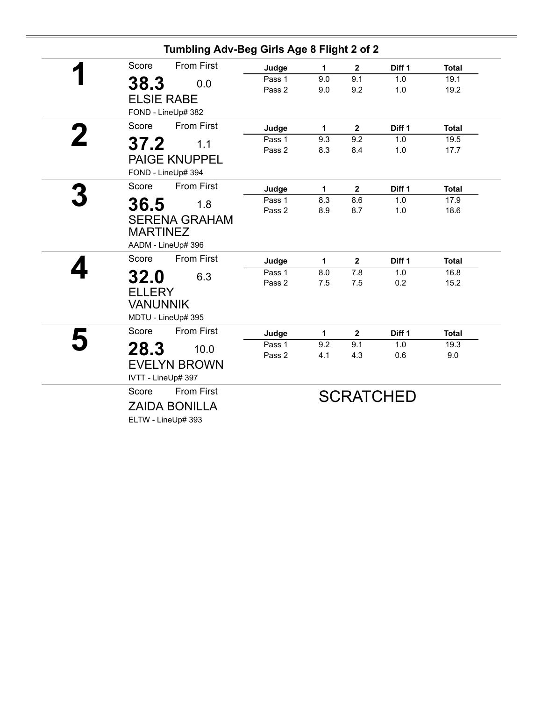|   | Tumbling Adv-Beg Girls Age 8 Flight 2 of 2 |        |     |                |                   |              |
|---|--------------------------------------------|--------|-----|----------------|-------------------|--------------|
|   | <b>From First</b><br>Score                 | Judge  | 1   | $\mathbf{2}$   | Diff <sub>1</sub> | <b>Total</b> |
|   | 38.3<br>0.0                                | Pass 1 | 9.0 | 9.1            | 1.0               | 19.1         |
|   |                                            | Pass 2 | 9.0 | 9.2            | 1.0               | 19.2         |
|   | <b>ELSIE RABE</b>                          |        |     |                |                   |              |
|   | FOND - LineUp# 382                         |        |     |                |                   |              |
| 2 | Score<br><b>From First</b>                 | Judge  | 1   | $\overline{2}$ | Diff <sub>1</sub> | <b>Total</b> |
|   | 37.2<br>1.1                                | Pass 1 | 9.3 | 9.2            | 1.0               | 19.5         |
|   | <b>PAIGE KNUPPEL</b>                       | Pass 2 | 8.3 | 8.4            | 1.0               | 17.7         |
|   |                                            |        |     |                |                   |              |
|   | FOND - LineUp# 394                         |        |     |                |                   |              |
|   | <b>From First</b><br>Score                 | Judge  | 1   | $\mathbf{2}$   | Diff <sub>1</sub> | <b>Total</b> |
|   | 36.5<br>1.8                                | Pass 1 | 8.3 | 8.6            | 1.0               | 17.9         |
|   | <b>SERENA GRAHAM</b>                       | Pass 2 | 8.9 | 8.7            | 1.0               | 18.6         |
|   | <b>MARTINEZ</b>                            |        |     |                |                   |              |
|   |                                            |        |     |                |                   |              |
|   | AADM - LineUp# 396                         |        |     |                |                   |              |
|   | Score<br><b>From First</b>                 | Judge  | 1   | $\mathbf{2}$   | Diff 1            | <b>Total</b> |
|   | 32.0<br>6.3                                | Pass 1 | 8.0 | 7.8            | 1.0               | 16.8         |
|   | <b>ELLERY</b>                              | Pass 2 | 7.5 | 7.5            | 0.2               | 15.2         |
|   |                                            |        |     |                |                   |              |
|   | <b>VANUNNIK</b>                            |        |     |                |                   |              |
|   | MDTU - LineUp# 395                         |        |     |                |                   |              |
|   | Score<br><b>From First</b>                 | Judge  | 1   | $\mathbf{2}$   | Diff 1            | <b>Total</b> |
|   | 28.3<br>10.0                               | Pass 1 | 9.2 | 9.1            | 1.0               | 19.3         |
|   |                                            | Pass 2 | 4.1 | 4.3            | 0.6               | 9.0          |
|   | <b>EVELYN BROWN</b>                        |        |     |                |                   |              |
|   | IVTT - LineUp# 397                         |        |     |                |                   |              |
|   | <b>From First</b><br>Score                 |        |     |                | <b>SCRATCHED</b>  |              |
|   | <b>ZAIDA BONILLA</b>                       |        |     |                |                   |              |
|   | ELTW - LineUp# 393                         |        |     |                |                   |              |
|   |                                            |        |     |                |                   |              |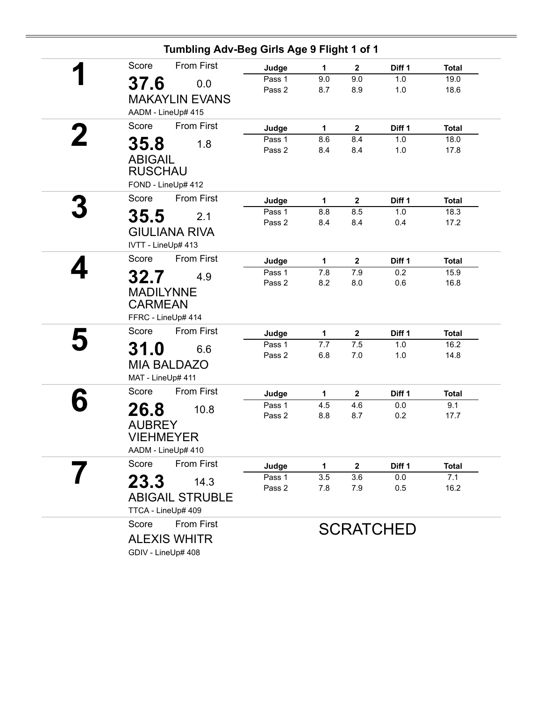| Tumbling Adv-Beg Girls Age 9 Flight 1 of 1 |                  |            |                       |                  |                      |
|--------------------------------------------|------------------|------------|-----------------------|------------------|----------------------|
| <b>From First</b><br>Score                 | Judge            | 1          | $\mathbf 2$           | Diff 1           | <b>Total</b>         |
| 37.6<br>0.0                                | Pass 1           | 9.0        | 9.0                   | 1.0              | 19.0                 |
| <b>MAKAYLIN EVANS</b>                      | Pass 2           | 8.7        | 8.9                   | 1.0              | 18.6                 |
|                                            |                  |            |                       |                  |                      |
| AADM - LineUp# 415                         |                  |            |                       |                  |                      |
| <b>From First</b><br>Score                 | Judge            | 1          | $\overline{2}$        | Diff 1           | <b>Total</b>         |
| 35.8<br>1.8                                | Pass 1<br>Pass 2 | 8.6<br>8.4 | 8.4<br>8.4            | 1.0<br>1.0       | 18.0<br>17.8         |
| <b>ABIGAIL</b>                             |                  |            |                       |                  |                      |
| <b>RUSCHAU</b>                             |                  |            |                       |                  |                      |
| FOND - LineUp# 412                         |                  |            |                       |                  |                      |
| <b>From First</b><br>Score                 | Judge            | 1          | $\mathbf 2$           | Diff 1           | <b>Total</b>         |
| 35.5<br>2.1                                | Pass 1           | 8.8        | 8.5                   | 1.0              | 18.3                 |
| <b>GIULIANA RIVA</b>                       | Pass 2           | 8.4        | 8.4                   | 0.4              | 17.2                 |
| IVTT - LineUp# 413                         |                  |            |                       |                  |                      |
| <b>From First</b><br>Score                 |                  |            |                       |                  |                      |
|                                            | Judge<br>Pass 1  | 1<br>7.8   | $\overline{2}$<br>7.9 | Diff 1<br>0.2    | <b>Total</b><br>15.9 |
| 32.7<br>4.9                                | Pass 2           | 8.2        | 8.0                   | 0.6              | 16.8                 |
| <b>MADILYNNE</b>                           |                  |            |                       |                  |                      |
| <b>CARMEAN</b>                             |                  |            |                       |                  |                      |
| FFRC - LineUp# 414                         |                  |            |                       |                  |                      |
| <b>From First</b><br>Score                 | Judge            | 1          | $\mathbf 2$           | Diff 1           | <b>Total</b>         |
| 31.0<br>6.6                                | Pass 1           | 7.7        | 7.5                   | 1.0              | 16.2                 |
| <b>MIA BALDAZO</b>                         | Pass 2           | 6.8        | 7.0                   | 1.0              | 14.8                 |
| MAT - LineUp# 411                          |                  |            |                       |                  |                      |
| From First<br>Score                        | Judge            | 1          | $\mathbf{2}$          | Diff 1           | <b>Total</b>         |
| 10.8                                       | Pass 1           | 4.5        | 4.6                   | 0.0              | 9.1                  |
| 26.8                                       | Pass 2           | 8.8        | 8.7                   | 0.2              | 17.7                 |
| <b>AUBREY</b>                              |                  |            |                       |                  |                      |
| <b>VIEHMEYER</b><br>AADM - LineUp# 410     |                  |            |                       |                  |                      |
| Score<br>From First                        |                  |            |                       |                  |                      |
|                                            | Judge<br>Pass 1  | 1<br>3.5   | 2<br>3.6              | Diff 1<br>0.0    | <b>Total</b><br>7.1  |
| 23.3<br>14.3                               | Pass 2           | 7.8        | 7.9                   | 0.5              | 16.2                 |
| <b>ABIGAIL STRUBLE</b>                     |                  |            |                       |                  |                      |
| TTCA - LineUp# 409                         |                  |            |                       |                  |                      |
| Score<br><b>From First</b>                 |                  |            |                       | <b>SCRATCHED</b> |                      |
| <b>ALEXIS WHITR</b>                        |                  |            |                       |                  |                      |
| GDIV - LineUp# 408                         |                  |            |                       |                  |                      |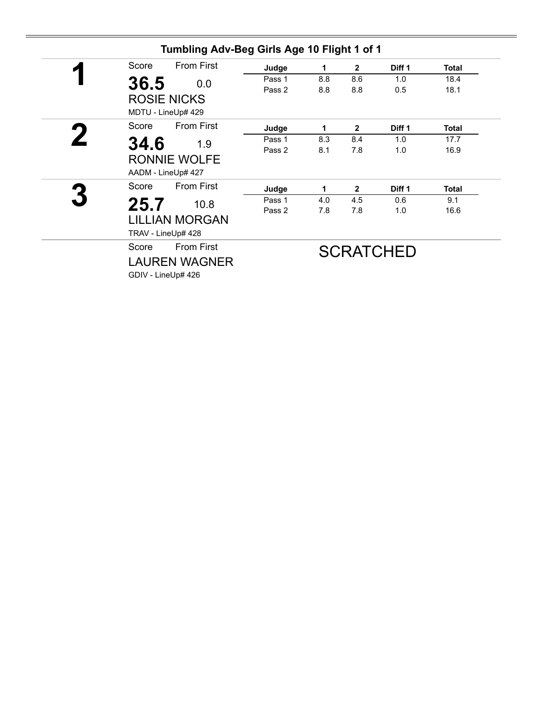| Tumbling Adv-Beg Girls Age 10 Flight 1 of 1 |        |     |                |                   |              |
|---------------------------------------------|--------|-----|----------------|-------------------|--------------|
| <b>From First</b><br>Score                  | Judge  | 1   | $\mathbf{2}$   | Diff <sub>1</sub> | <b>Total</b> |
| 36.5<br>0.0                                 | Pass 1 | 8.8 | 8.6            | 1.0               | 18.4         |
| <b>ROSIE NICKS</b>                          | Pass 2 | 8.8 | 8.8            | 0.5               | 18.1         |
| MDTU - LineUp# 429                          |        |     |                |                   |              |
| <b>From First</b><br>Score                  | Judge  | 1   | $\mathbf{2}$   | Diff 1            | <b>Total</b> |
| 34.6<br>1.9                                 | Pass 1 | 8.3 | 8.4            | 1.0               | 17.7         |
| <b>RONNIE WOLFE</b><br>AADM - LineUp# 427   | Pass 2 | 8.1 | 7.8            | 1.0               | 16.9         |
| <b>From First</b><br>Score                  | Judge  | 1   | $\overline{2}$ | Diff <sub>1</sub> | <b>Total</b> |
| 25.7<br>10.8                                | Pass 1 | 4.0 | 4.5            | 0.6               | 9.1          |
| <b>LILLIAN MORGAN</b><br>TRAV - LineUp# 428 | Pass 2 | 7.8 | 7.8            | 1.0               | 16.6         |
| <b>From First</b><br>Score                  |        |     |                | <b>SCRATCHED</b>  |              |
| <b>LAUREN WAGNER</b><br>GDIV - LineUp# 426  |        |     |                |                   |              |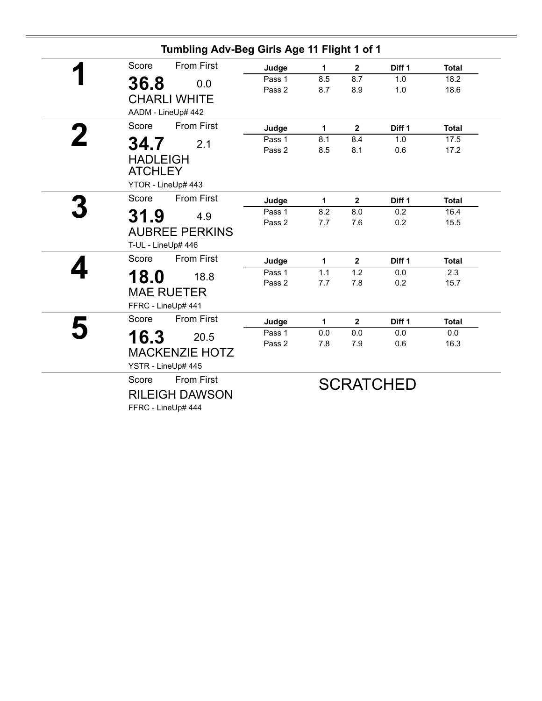| Tumbling Adv-Beg Girls Age 11 Flight 1 of 1                               |                  |              |                         |                   |              |
|---------------------------------------------------------------------------|------------------|--------------|-------------------------|-------------------|--------------|
| <b>From First</b><br>Score                                                | Judge            | 1            | $\overline{\mathbf{2}}$ | Diff <sub>1</sub> | <b>Total</b> |
| 36.8<br>0.0<br><b>CHARLI WHITE</b>                                        | Pass 1<br>Pass 2 | 8.5<br>8.7   | 8.7<br>8.9              | 1.0<br>1.0        | 18.2<br>18.6 |
| AADM - LineUp# 442                                                        |                  |              |                         |                   |              |
| <b>From First</b><br>Score                                                | Judge            | $\mathbf{1}$ | $\mathbf 2$             | Diff 1            | <b>Total</b> |
| 34.7<br>2.1<br><b>HADLEIGH</b><br><b>ATCHLEY</b>                          | Pass 1<br>Pass 2 | 8.1<br>8.5   | 8.4<br>8.1              | 1.0<br>0.6        | 17.5<br>17.2 |
| YTOR - LineUp# 443                                                        |                  |              |                         |                   |              |
| <b>From First</b><br>Score                                                | Judge            | 1            | $\mathbf{2}$            | Diff 1            | <b>Total</b> |
| 31.9<br>4.9<br><b>AUBREE PERKINS</b><br>T-UL - LineUp# 446                | Pass 1<br>Pass 2 | 8.2<br>7.7   | 8.0<br>7.6              | 0.2<br>0.2        | 16.4<br>15.5 |
| <b>From First</b><br>Score                                                | Judge            | 1            | $\overline{2}$          | Diff 1            | <b>Total</b> |
| 18.0<br>18.8<br><b>MAE RUETER</b><br>FFRC - LineUp# 441                   | Pass 1<br>Pass 2 | 1.1<br>7.7   | 1.2<br>7.8              | 0.0<br>0.2        | 2.3<br>15.7  |
| Score<br><b>From First</b>                                                | Judge            | 1            | $\mathbf{2}$            | Diff <sub>1</sub> | <b>Total</b> |
| 16.3<br>20.5<br><b>MACKENZIE HOTZ</b><br>YSTR - LineUp# 445               | Pass 1<br>Pass 2 | 0.0<br>7.8   | 0.0<br>7.9              | 0.0<br>0.6        | 0.0<br>16.3  |
| <b>From First</b><br>Score<br><b>RILEIGH DAWSON</b><br>FFRC - LineUp# 444 |                  |              |                         | <b>SCRATCHED</b>  |              |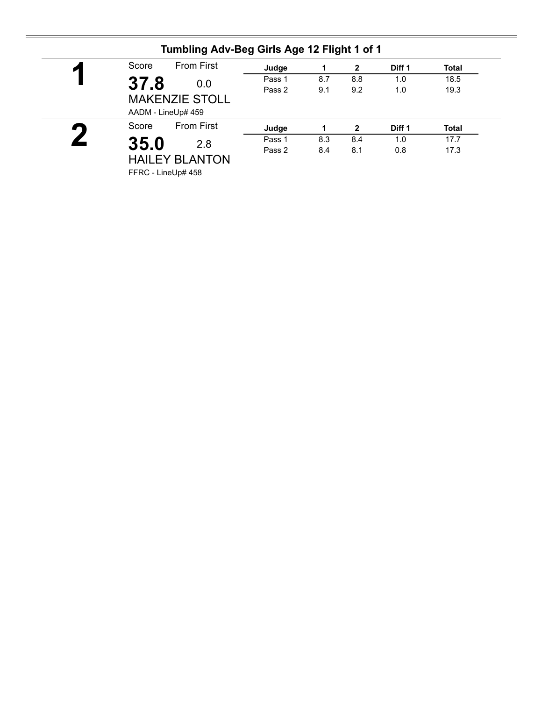| ◸         | <b>From First</b><br>Score                  | Judge  |     | $\mathbf{2}$ | Diff 1 | <b>Total</b> |
|-----------|---------------------------------------------|--------|-----|--------------|--------|--------------|
|           | 37.8<br>0.0                                 | Pass 1 | 8.7 | 8.8          | 1.0    | 18.5         |
|           | <b>MAKENZIE STOLL</b><br>AADM - LineUp# 459 | Pass 2 | 9.1 | 9.2          | 1.0    | 19.3         |
| $\bullet$ | <b>From First</b><br>Score                  | Judge  |     | $\mathbf{2}$ | Diff 1 | <b>Total</b> |
|           | 35.0<br>2.8                                 | Pass 1 | 8.3 | 8.4          | 1.0    | 17.7         |
|           | <b>HAILEY BLANTON</b>                       | Pass 2 | 8.4 | 8.1          | 0.8    | 17.3         |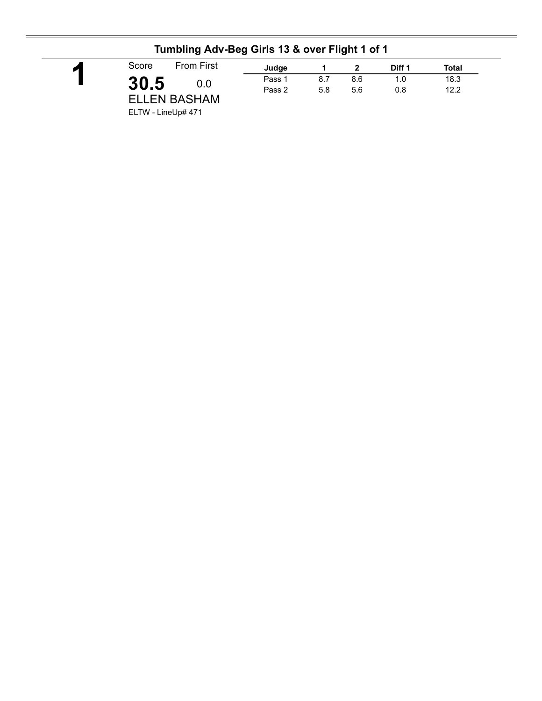| <b>From First</b><br>Score | Judge  |     |     | Diff 1 | <b>Total</b> |  |
|----------------------------|--------|-----|-----|--------|--------------|--|
| 30.5<br>0.0                | Pass 1 | 8.7 | 8.6 | 1.0    | 18.3         |  |
|                            | Pass 2 | 5.8 | 5.6 | 0.8    | 12.2         |  |
| <b>ELLEN BASHAM</b>        |        |     |     |        |              |  |
| ELTW - LineUp# 471         |        |     |     |        |              |  |

### **Tumbling Adv-Beg Girls 13 & over Flight 1 of 1**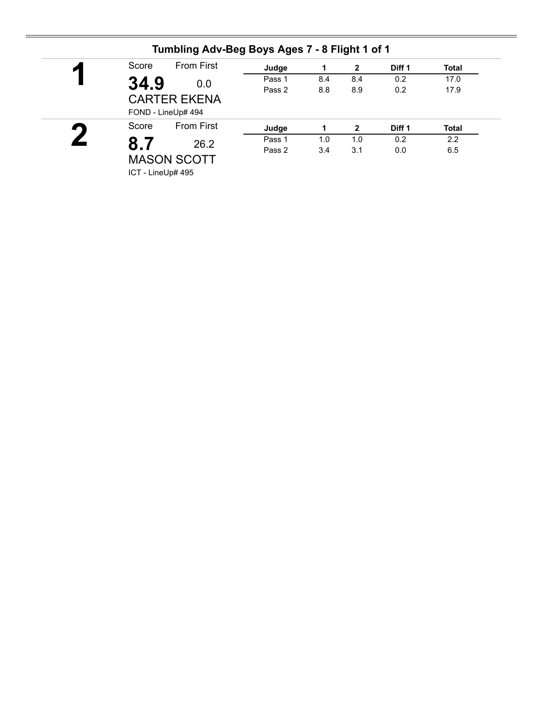| И | Score | <b>From First</b>                         | Judge  | 1   | $\mathbf{2}$ | Diff 1            | <b>Total</b> |
|---|-------|-------------------------------------------|--------|-----|--------------|-------------------|--------------|
|   | 34.9  | 0.0                                       | Pass 1 | 8.4 | 8.4          | 0.2               | 17.0         |
|   |       | <b>CARTER EKENA</b><br>FOND - LineUp# 494 | Pass 2 | 8.8 | 8.9          | 0.2               | 17.9         |
|   | Score | <b>From First</b>                         | Judge  |     | 2            | Diff <sub>1</sub> | <b>Total</b> |
|   | 8.7   | 26.2                                      | Pass 1 | 1.0 | 1.0          | 0.2               | 2.2          |
|   |       | <b>MASON SCOTT</b>                        | Pass 2 | 3.4 | 3.1          | 0.0               | 6.5          |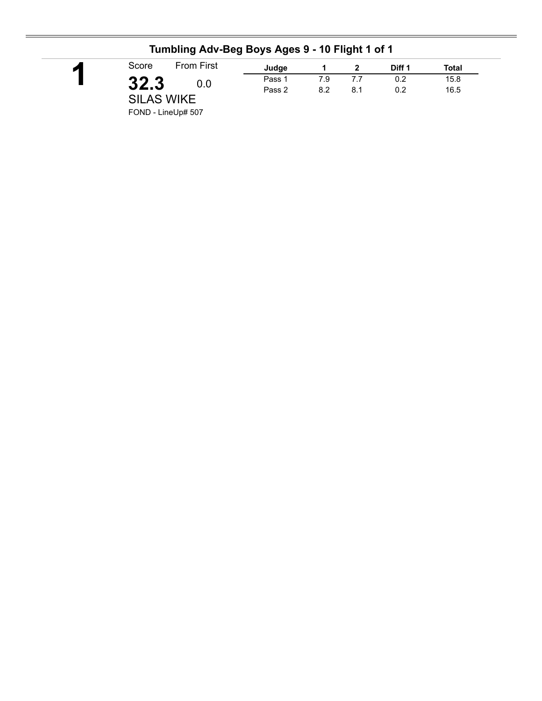|                   |     |        |     |     | Diff 1 | Total |
|-------------------|-----|--------|-----|-----|--------|-------|
| 32.3              | 0.0 | Pass 1 | 7.9 | 7.7 | 0.2    | 15.8  |
| <b>SILAS WIKE</b> |     | Pass 2 | 8.2 | 8.1 | 0.2    | 16.5  |

#### **Tumbling Adv-Beg Boys Ages 9 - 10 Flight 1 of 1**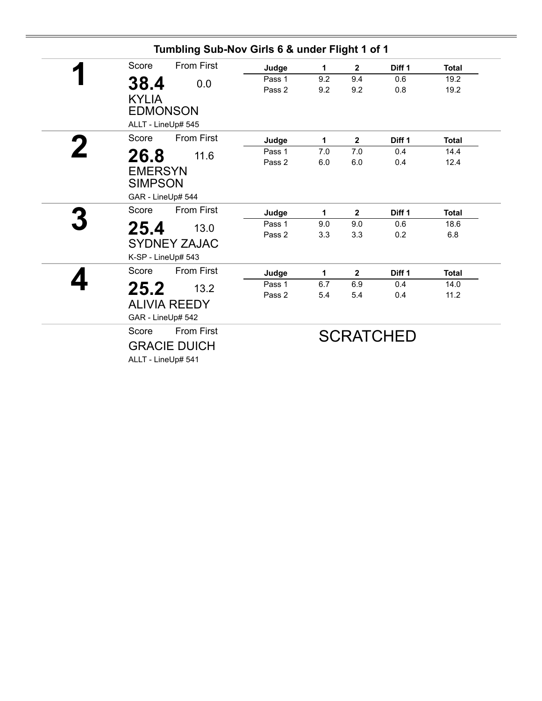|   |                                                    |                   | Tumbling Sub-Nov Girls 6 & under Flight 1 of 1 |            |              |                   |              |
|---|----------------------------------------------------|-------------------|------------------------------------------------|------------|--------------|-------------------|--------------|
|   | Score                                              | <b>From First</b> | Judge                                          | 1          | $\mathbf{2}$ | Diff <sub>1</sub> | <b>Total</b> |
|   | 38.4<br><b>KYLIA</b>                               | 0.0               | Pass 1<br>Pass 2                               | 9.2<br>9.2 | 9.4<br>9.2   | 0.6<br>0.8        | 19.2<br>19.2 |
|   | <b>EDMONSON</b><br>ALLT - LineUp# 545              |                   |                                                |            |              |                   |              |
|   | Score                                              | <b>From First</b> | Judge                                          | 1          | $\mathbf{2}$ | Diff <sub>1</sub> | <b>Total</b> |
| 2 | 26.8<br><b>EMERSYN</b><br><b>SIMPSON</b>           | 11.6              | Pass 1<br>Pass 2                               | 7.0<br>6.0 | 7.0<br>6.0   | 0.4<br>0.4        | 14.4<br>12.4 |
|   | GAR - LineUp# 544                                  |                   |                                                |            |              |                   |              |
|   | Score                                              | <b>From First</b> | Judge                                          | 1          | $\mathbf{2}$ | Diff <sub>1</sub> | <b>Total</b> |
|   | 25.4<br><b>SYDNEY ZAJAC</b><br>K-SP - LineUp# 543  | 13.0              | Pass 1<br>Pass 2                               | 9.0<br>3.3 | 9.0<br>3.3   | 0.6<br>0.2        | 18.6<br>6.8  |
|   | Score                                              | <b>From First</b> | Judge                                          | 1          | $\mathbf{2}$ | Diff 1            | <b>Total</b> |
|   | 25.2<br><b>ALIVIA REEDY</b><br>GAR - LineUp# 542   | 13.2              | Pass 1<br>Pass 2                               | 6.7<br>5.4 | 6.9<br>5.4   | 0.4<br>0.4        | 14.0<br>11.2 |
|   | Score<br><b>GRACIE DUICH</b><br>ALLT - LineUp# 541 | <b>From First</b> |                                                |            |              | <b>SCRATCHED</b>  |              |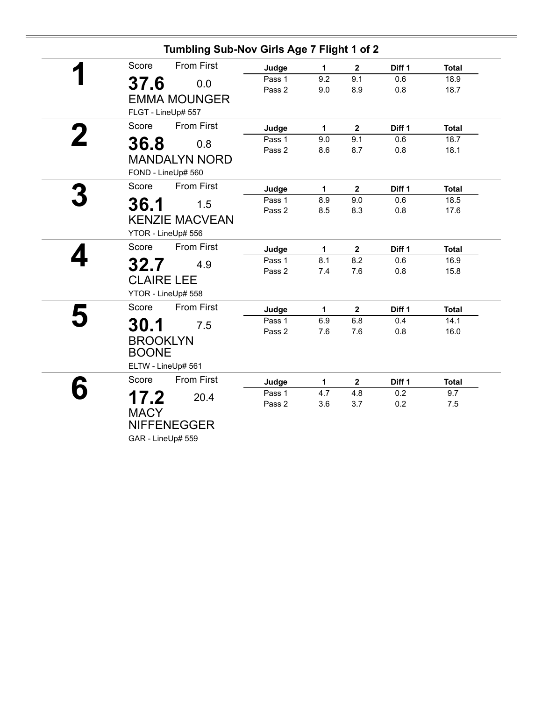| Tumbling Sub-Nov Girls Age 7 Flight 1 of 2 |        |             |                         |        |              |
|--------------------------------------------|--------|-------------|-------------------------|--------|--------------|
| <b>From First</b><br>Score                 | Judge  | $\mathbf 1$ | $\mathbf{2}$            | Diff 1 | <b>Total</b> |
| 37.6<br>0.0                                | Pass 1 | 9.2         | 9.1                     | 0.6    | 18.9         |
|                                            | Pass 2 | 9.0         | 8.9                     | 0.8    | 18.7         |
| <b>EMMA MOUNGER</b>                        |        |             |                         |        |              |
| FLGT - LineUp# 557                         |        |             |                         |        |              |
| <b>From First</b><br>Score                 | Judge  | 1           | $\boldsymbol{2}$        | Diff 1 | <b>Total</b> |
| 36.8<br>0.8                                | Pass 1 | 9.0         | 9.1                     | 0.6    | 18.7         |
|                                            | Pass 2 | 8.6         | 8.7                     | 0.8    | 18.1         |
| <b>MANDALYN NORD</b>                       |        |             |                         |        |              |
| FOND - LineUp# 560                         |        |             |                         |        |              |
| <b>From First</b><br>Score                 | Judge  | $\mathbf 1$ | $\overline{2}$          | Diff 1 | <b>Total</b> |
| 36.1<br>1.5                                | Pass 1 | 8.9         | 9.0                     | 0.6    | 18.5         |
|                                            | Pass 2 | 8.5         | 8.3                     | 0.8    | 17.6         |
| <b>KENZIE MACVEAN</b>                      |        |             |                         |        |              |
| YTOR - LineUp# 556                         |        |             |                         |        |              |
| <b>From First</b><br>Score                 | Judge  | 1           | $\mathbf{2}$            | Diff 1 | <b>Total</b> |
| 32.7<br>4.9                                | Pass 1 | 8.1         | 8.2                     | 0.6    | 16.9         |
|                                            | Pass 2 | 7.4         | 7.6                     | 0.8    | 15.8         |
| <b>CLAIRE LEE</b>                          |        |             |                         |        |              |
| YTOR - LineUp# 558                         |        |             |                         |        |              |
| Score<br><b>From First</b>                 | Judge  | 1           | $\overline{\mathbf{2}}$ | Diff 1 | <b>Total</b> |
| 30.1<br>7.5                                | Pass 1 | 6.9         | 6.8                     | 0.4    | 14.1         |
|                                            | Pass 2 | 7.6         | 7.6                     | 0.8    | 16.0         |
| <b>BROOKLYN</b>                            |        |             |                         |        |              |
| <b>BOONE</b>                               |        |             |                         |        |              |
| ELTW - LineUp# 561                         |        |             |                         |        |              |
| Score<br><b>From First</b>                 | Judge  | 1           | $\mathbf{2}$            | Diff 1 | <b>Total</b> |
| 17.2<br>20.4                               | Pass 1 | 4.7         | 4.8                     | 0.2    | 9.7          |
| <b>MACY</b>                                | Pass 2 | 3.6         | 3.7                     | 0.2    | 7.5          |
|                                            |        |             |                         |        |              |
| <b>NIFFENEGGER</b>                         |        |             |                         |        |              |
| GAR - LineUp# 559                          |        |             |                         |        |              |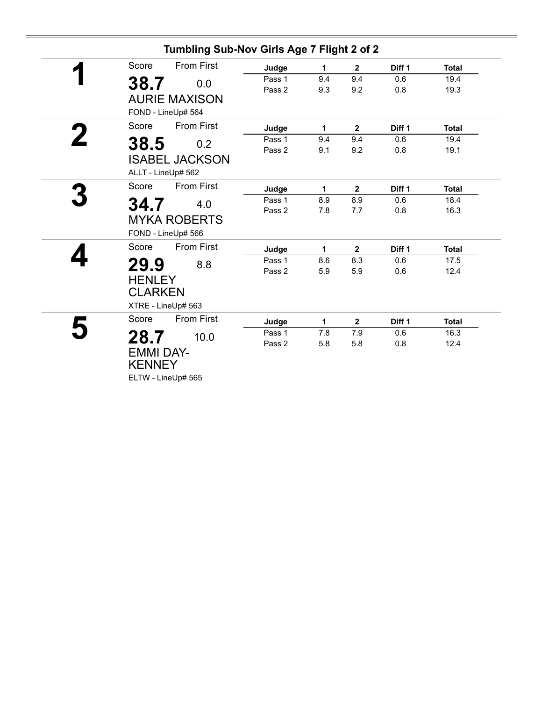|                                           | Tumbling Sub-Nov Girls Age 7 Flight 2 of 2 |                  |              |                  |                   |              |
|-------------------------------------------|--------------------------------------------|------------------|--------------|------------------|-------------------|--------------|
| Score                                     | <b>From First</b>                          | Judge            | 1            | $\mathbf{2}$     | Diff <sub>1</sub> | <b>Total</b> |
| 38.7                                      | 0.0                                        | Pass 1<br>Pass 2 | 9.4<br>9.3   | 9.4<br>9.2       | 0.6<br>0.8        | 19.4<br>19.3 |
|                                           | <b>AURIE MAXISON</b><br>FOND - LineUp# 564 |                  |              |                  |                   |              |
| Score                                     | <b>From First</b>                          | Judge            | $\mathbf{1}$ | $\mathbf{2}$     | Diff <sub>1</sub> | <b>Total</b> |
| 38.5                                      | 0.2<br><b>ISABEL JACKSON</b>               | Pass 1<br>Pass 2 | 9.4<br>9.1   | 9.4<br>9.2       | 0.6<br>0.8        | 19.4<br>19.1 |
|                                           | ALLT - LineUp# 562                         |                  |              |                  |                   |              |
| Score                                     | <b>From First</b>                          | Judge            | 1            | $\mathbf{2}$     | Diff 1            | <b>Total</b> |
| 34.7                                      | 4.0                                        | Pass 1           | 8.9          | 8.9              | 0.6               | 18.4         |
|                                           | <b>MYKA ROBERTS</b><br>FOND - LineUp# 566  | Pass 2           | 7.8          | 7.7              | 0.8               | 16.3         |
| Score                                     | <b>From First</b>                          | Judge            | 1            | $\mathbf{2}$     | Diff 1            | <b>Total</b> |
| 29.9<br><b>HENLEY</b><br><b>CLARKEN</b>   | 8.8<br>XTRE - LineUp# 563                  | Pass 1<br>Pass 2 | 8.6<br>5.9   | 8.3<br>5.9       | 0.6<br>0.6        | 17.5<br>12.4 |
| Score                                     | <b>From First</b>                          | Judge            | 1            | $\boldsymbol{2}$ | Diff 1            | <b>Total</b> |
| 28.7<br><b>EMMI DAY-</b><br><b>KENNEY</b> | 10.0                                       | Pass 1<br>Pass 2 | 7.8<br>5.8   | 7.9<br>5.8       | 0.6<br>0.8        | 16.3<br>12.4 |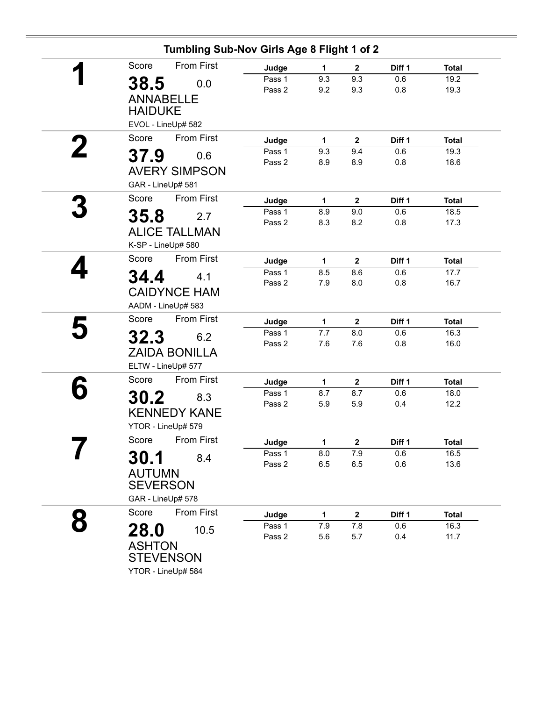| Score              | <b>From First</b>    |                  |              |                    |                   |                      |
|--------------------|----------------------|------------------|--------------|--------------------|-------------------|----------------------|
|                    |                      | Judge            | 1            | $\mathbf 2$        | Diff <sub>1</sub> | <b>Total</b>         |
| 38.5               | 0.0                  | Pass 1           | 9.3          | 9.3                | 0.6               | 19.2                 |
| <b>ANNABELLE</b>   |                      | Pass 2           | 9.2          | 9.3                | 0.8               | 19.3                 |
| <b>HAIDUKE</b>     |                      |                  |              |                    |                   |                      |
| EVOL - LineUp# 582 |                      |                  |              |                    |                   |                      |
| Score              | <b>From First</b>    | Judge            | $\mathbf{1}$ | $\mathbf{2}$       | Diff 1            | <b>Total</b>         |
|                    |                      | Pass 1           | 9.3          | 9.4                | 0.6               | 19.3                 |
| 37.9               | 0.6                  | Pass 2           | 8.9          | 8.9                | 0.8               | 18.6                 |
|                    | <b>AVERY SIMPSON</b> |                  |              |                    |                   |                      |
| GAR - LineUp# 581  |                      |                  |              |                    |                   |                      |
| Score              | <b>From First</b>    | Judge            | 1            | $\mathbf 2$        | Diff 1            | <b>Total</b>         |
| 35.8               | 2.7                  | Pass 1           | 8.9          | 9.0                | 0.6               | 18.5                 |
|                    | <b>ALICE TALLMAN</b> | Pass 2           | 8.3          | 8.2                | 0.8               | 17.3                 |
| K-SP - LineUp# 580 |                      |                  |              |                    |                   |                      |
| Score              | From First           | Judge            | 1            | $\overline{2}$     | Diff 1            | <b>Total</b>         |
|                    |                      | Pass 1           | 8.5          | 8.6                | 0.6               | $\overline{17.7}$    |
| 34.4               | 4.1                  | Pass 2           | 7.9          | 8.0                | 0.8               | 16.7                 |
|                    | <b>CAIDYNCE HAM</b>  |                  |              |                    |                   |                      |
| AADM - LineUp# 583 |                      |                  |              |                    |                   |                      |
| Score              | <b>From First</b>    | Judge            | $\mathbf{1}$ | $\mathbf{2}$       | Diff 1            | <b>Total</b>         |
| 32.3               | 6.2                  | Pass 1           | 7.7          | 8.0                | 0.6               | 16.3                 |
|                    | <b>ZAIDA BONILLA</b> | Pass 2           | 7.6          | 7.6                | 0.8               | 16.0                 |
| ELTW - LineUp# 577 |                      |                  |              |                    |                   |                      |
| Score              | From First           |                  |              |                    |                   |                      |
|                    |                      | Judge<br>Pass 1  | 1<br>8.7     | $\mathbf 2$<br>8.7 | Diff 1<br>0.6     | <b>Total</b><br>18.0 |
| <b>30.2</b>        | 8.3                  | Pass 2           | 5.9          | 5.9                | 0.4               | 12.2                 |
|                    | <b>KENNEDY KANE</b>  |                  |              |                    |                   |                      |
| YTOR - LineUp# 579 |                      |                  |              |                    |                   |                      |
| Score              | From First           | Judge            | 1            | $\mathbf 2$        | Diff 1            | <b>Total</b>         |
| 30.1               | 8.4                  | Pass 1           | 8.0          | 7.9                | 0.6               | 16.5                 |
|                    |                      | Pass 2           | 6.5          | 6.5                | 0.6               | 13.6                 |
| <b>AUTUMN</b>      |                      |                  |              |                    |                   |                      |
| <b>SEVERSON</b>    |                      |                  |              |                    |                   |                      |
| GAR - LineUp# 578  |                      |                  |              |                    |                   |                      |
| Score              | From First           | Judge            | 1            | $\mathbf 2$        | Diff 1            | <b>Total</b>         |
| 28.0               | 10.5                 | Pass 1<br>Pass 2 | 7.9<br>5.6   | 7.8<br>5.7         | 0.6               | 16.3<br>11.7         |
| <b>ASHTON</b>      |                      |                  |              |                    | 0.4               |                      |
| <b>STEVENSON</b>   |                      |                  |              |                    |                   |                      |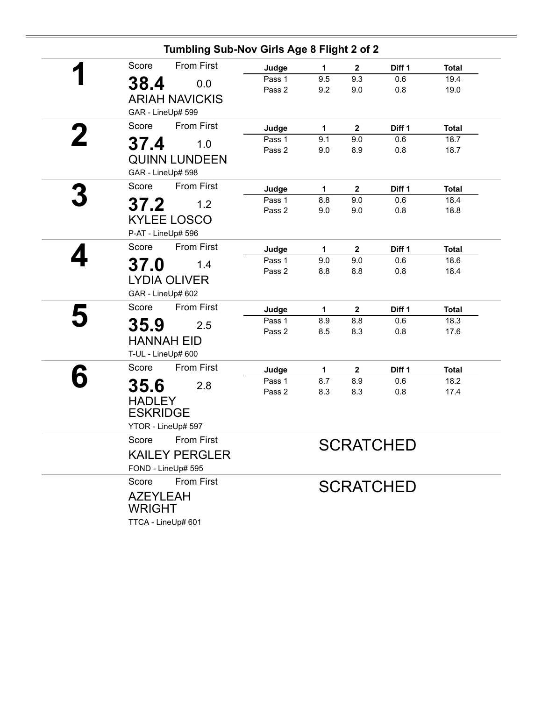| Tumbling Sub-Nov Girls Age 8 Flight 2 of 2 |                 |                     |                    |                   |                      |  |  |  |  |
|--------------------------------------------|-----------------|---------------------|--------------------|-------------------|----------------------|--|--|--|--|
| <b>From First</b><br>Score                 | Judge           | 1                   | $\mathbf 2$        | Diff <sub>1</sub> | <b>Total</b>         |  |  |  |  |
| 38.4<br>0.0                                | Pass 1          | 9.5                 | 9.3                | 0.6               | 19.4                 |  |  |  |  |
| <b>ARIAH NAVICKIS</b>                      | Pass 2          | 9.2                 | 9.0                | 0.8               | 19.0                 |  |  |  |  |
| GAR - LineUp# 599                          |                 |                     |                    |                   |                      |  |  |  |  |
| <b>From First</b><br>Score                 |                 |                     |                    |                   |                      |  |  |  |  |
|                                            | Judge<br>Pass 1 | 1<br>9.1            | $\boldsymbol{2}$   | Diff 1<br>0.6     | <b>Total</b><br>18.7 |  |  |  |  |
| 37.4<br>1.0                                | Pass 2          | 9.0                 | 9.0<br>8.9         | 0.8               | 18.7                 |  |  |  |  |
| <b>QUINN LUNDEEN</b>                       |                 |                     |                    |                   |                      |  |  |  |  |
| GAR - LineUp# 598                          |                 |                     |                    |                   |                      |  |  |  |  |
| From First<br>Score                        | Judge           | 1                   | $\mathbf 2$        | Diff 1            | <b>Total</b>         |  |  |  |  |
| 37.2<br>1.2                                | Pass 1          | 8.8                 | 9.0                | 0.6               | 18.4                 |  |  |  |  |
| <b>KYLEE LOSCO</b>                         | Pass 2          | 9.0                 | 9.0                | 0.8               | 18.8                 |  |  |  |  |
| P-AT - LineUp# 596                         |                 |                     |                    |                   |                      |  |  |  |  |
| <b>From First</b><br>Score                 |                 |                     |                    |                   |                      |  |  |  |  |
|                                            | Judge<br>Pass 1 | $\mathbf{1}$<br>9.0 | $\mathbf 2$<br>9.0 | Diff 1<br>0.6     | <b>Total</b><br>18.6 |  |  |  |  |
| 37.0<br>1.4                                | Pass 2          | 8.8                 | 8.8                | 0.8               | 18.4                 |  |  |  |  |
| <b>LYDIA OLIVER</b>                        |                 |                     |                    |                   |                      |  |  |  |  |
| GAR - LineUp# 602                          |                 |                     |                    |                   |                      |  |  |  |  |
| Score<br><b>From First</b>                 | Judge           | 1                   | $\mathbf 2$        | Diff 1            | <b>Total</b>         |  |  |  |  |
| 35.9<br>2.5                                | Pass 1          | 8.9                 | 8.8                | 0.6               | 18.3                 |  |  |  |  |
| <b>HANNAH EID</b>                          | Pass 2          | 8.5                 | 8.3                | 0.8               | 17.6                 |  |  |  |  |
| T-UL - LineUp# 600                         |                 |                     |                    |                   |                      |  |  |  |  |
| From First<br>Score                        | Judge           | 1                   | $\mathbf{2}$       | Diff 1            | <b>Total</b>         |  |  |  |  |
|                                            | Pass 1          | 8.7                 | 8.9                | 0.6               | 18.2                 |  |  |  |  |
| 35.6<br>2.8                                | Pass 2          | 8.3                 | 8.3                | 0.8               | 17.4                 |  |  |  |  |
| <b>HADLEY</b>                              |                 |                     |                    |                   |                      |  |  |  |  |
| <b>ESKRIDGE</b>                            |                 |                     |                    |                   |                      |  |  |  |  |
| YTOR - LineUp# 597                         |                 |                     |                    |                   |                      |  |  |  |  |
| Score From First                           |                 |                     |                    | <b>SCRATCHED</b>  |                      |  |  |  |  |
| <b>KAILEY PERGLER</b>                      |                 |                     |                    |                   |                      |  |  |  |  |
| FOND - LineUp# 595                         |                 |                     |                    |                   |                      |  |  |  |  |
| <b>From First</b><br>Score                 |                 |                     |                    | <b>SCRATCHED</b>  |                      |  |  |  |  |
| <b>AZEYLEAH</b>                            |                 |                     |                    |                   |                      |  |  |  |  |
| <b>WRIGHT</b>                              |                 |                     |                    |                   |                      |  |  |  |  |
| TTCA - LineUp# 601                         |                 |                     |                    |                   |                      |  |  |  |  |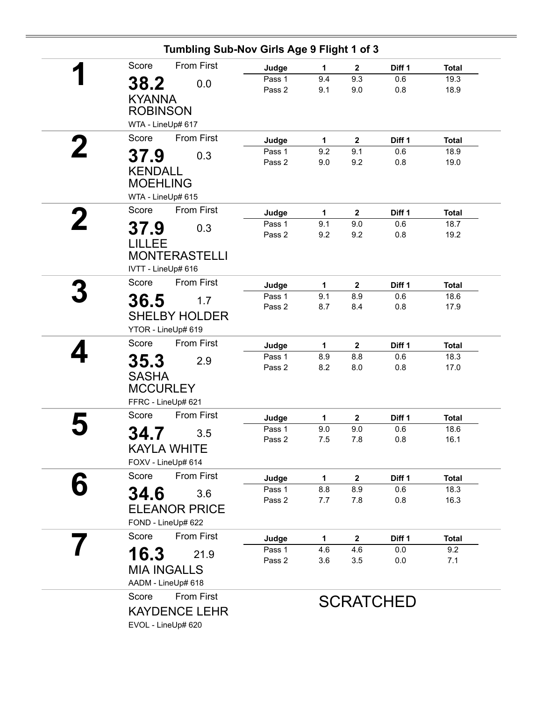| Tumbling Sub-Nov Girls Age 9 Flight 1 of 3                           |                           |                 |                            |                      |                              |
|----------------------------------------------------------------------|---------------------------|-----------------|----------------------------|----------------------|------------------------------|
| <b>From First</b><br>Score                                           | Judge                     | 1               | $\mathbf{2}$               | Diff 1               | <b>Total</b>                 |
| 38.2<br>0.0<br><b>KYANNA</b><br><b>ROBINSON</b>                      | Pass 1<br>Pass 2          | 9.4<br>9.1      | 9.3<br>9.0                 | 0.6<br>0.8           | 19.3<br>18.9                 |
| WTA - LineUp# 617                                                    |                           |                 |                            |                      |                              |
| Score<br><b>From First</b>                                           | Judge                     | $\mathbf{1}$    | $\mathbf{2}$               | Diff 1               | <b>Total</b>                 |
| 37.9<br>0.3<br><b>KENDALL</b><br><b>MOEHLING</b>                     | Pass 1<br>Pass 2          | 9.2<br>9.0      | 9.1<br>9.2                 | 0.6<br>0.8           | 18.9<br>19.0                 |
| WTA - LineUp# 615                                                    |                           |                 |                            |                      |                              |
| Score<br><b>From First</b><br>37.9<br>0.3<br>LILLEE                  | Judge<br>Pass 1<br>Pass 2 | 1<br>9.1<br>9.2 | $\mathbf{2}$<br>9.0<br>9.2 | Diff 1<br>0.6<br>0.8 | <b>Total</b><br>18.7<br>19.2 |
| <b>MONTERASTELLI</b><br>IVTT - LineUp# 616                           |                           |                 |                            |                      |                              |
| <b>From First</b><br>Score                                           | Judge                     | $\mathbf{1}$    | $\mathbf{2}$               | Diff 1               | <b>Total</b>                 |
| 36.5<br>1.7<br><b>SHELBY HOLDER</b><br>YTOR - LineUp# 619            | Pass 1<br>Pass 2          | 9.1<br>8.7      | 8.9<br>8.4                 | 0.6<br>0.8           | 18.6<br>17.9                 |
| From First<br>Score                                                  | Judge                     | 1               | $\mathbf{2}$               | Diff 1               | <b>Total</b>                 |
| 35.3<br>2.9<br><b>SASHA</b><br><b>MCCURLEY</b><br>FFRC - LineUp# 621 | Pass 1<br>Pass 2          | 8.9<br>8.2      | 8.8<br>8.0                 | 0.6<br>0.8           | 18.3<br>17.0                 |
| <b>From First</b><br>Score                                           | Judge                     | 1               | $\boldsymbol{2}$           | Diff 1               | <b>Total</b>                 |
| 34.7<br>3.5<br><b>KAYLA WHITE</b><br>FOXV - LineUp# 614              | Pass 1<br>Pass 2          | 9.0<br>7.5      | 9.0<br>7.8                 | 0.6<br>0.8           | 18.6<br>16.1                 |
| Score<br>From First                                                  | Judge                     | 1.              | $\mathbf{2}$               | Diff 1               | <b>Total</b>                 |
| 34.6<br>3.6<br><b>ELEANOR PRICE</b><br>FOND - LineUp# 622            | Pass 1<br>Pass 2          | 8.8<br>7.7      | 8.9<br>7.8                 | 0.6<br>0.8           | 18.3<br>16.3                 |
| <b>From First</b><br>Score                                           | Judge                     | $\mathbf{1}$    | $\mathbf{2}$               | Diff 1               | <b>Total</b>                 |
| 16.3<br>21.9<br><b>MIA INGALLS</b><br>AADM - LineUp# 618             | Pass 1<br>Pass 2          | 4.6<br>3.6      | 4.6<br>3.5                 | 0.0<br>0.0           | 9.2<br>7.1                   |
| Score<br>From First<br><b>KAYDENCE LEHR</b><br>EVOL - LineUp# 620    |                           |                 |                            | <b>SCRATCHED</b>     |                              |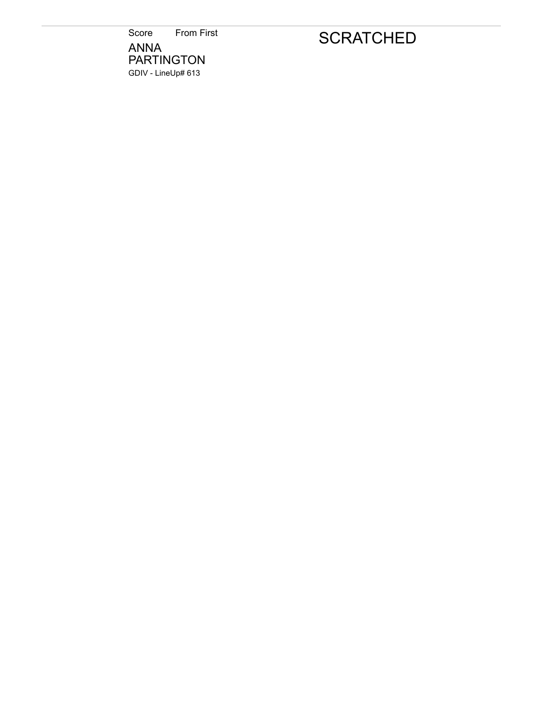Score From First ANNA PARTINGTON GDIV - LineUp# 613

## **SCRATCHED**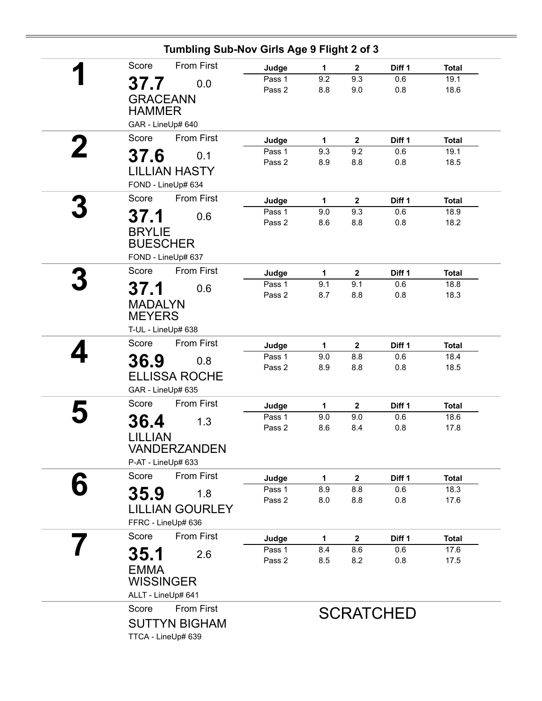|   | Tumbling Sub-Nov Girls Age 9 Flight 2 of 3                                 |                           |                            |                            |                      |                              |
|---|----------------------------------------------------------------------------|---------------------------|----------------------------|----------------------------|----------------------|------------------------------|
|   | <b>From First</b><br>Score                                                 | Judge                     | $\mathbf{1}$               | $\mathbf{2}$               | Diff 1               | <b>Total</b>                 |
|   | 37.7<br>0.0<br><b>GRACEANN</b><br><b>HAMMER</b>                            | Pass 1<br>Pass 2          | 9.2<br>8.8                 | 9.3<br>9.0                 | 0.6<br>0.8           | 19.1<br>18.6                 |
|   | GAR - LineUp# 640<br>Score<br><b>From First</b>                            |                           |                            |                            |                      |                              |
| 2 | 37.6<br>0.1<br><b>LILLIAN HASTY</b><br>FOND - LineUp# 634                  | Judge<br>Pass 1<br>Pass 2 | $\mathbf{1}$<br>9.3<br>8.9 | $\mathbf{2}$<br>9.2<br>8.8 | Diff 1<br>0.6<br>0.8 | <b>Total</b><br>19.1<br>18.5 |
|   | <b>From First</b><br>Score                                                 | Judge                     | $\mathbf{1}$               | $\mathbf 2$                | Diff 1               | <b>Total</b>                 |
|   | 37.1<br>0.6<br><b>BRYLIE</b><br><b>BUESCHER</b><br>FOND - LineUp# 637      | Pass 1<br>Pass 2          | 9.0<br>8.6                 | 9.3<br>8.8                 | 0.6<br>0.8           | 18.9<br>18.2                 |
|   | From First<br>Score                                                        | Judge                     | 1                          | $\mathbf{2}$               | Diff 1               | <b>Total</b>                 |
|   | 37.1<br>0.6<br><b>MADALYN</b><br><b>MEYERS</b>                             | Pass 1<br>Pass 2          | 9.1<br>8.7                 | 9.1<br>8.8                 | 0.6<br>0.8           | 18.8<br>18.3                 |
|   | T-UL - LineUp# 638<br>Score                                                |                           |                            |                            |                      |                              |
|   | From First<br>36.9<br>0.8<br><b>ELLISSA ROCHE</b><br>GAR - LineUp# 635     | Judge<br>Pass 1<br>Pass 2 | 1<br>9.0<br>8.9            | $\mathbf 2$<br>8.8<br>8.8  | Diff 1<br>0.6<br>0.8 | <b>Total</b><br>18.4<br>18.5 |
|   | Score<br><b>From First</b>                                                 | Judge                     | $\mathbf{1}$               | $\mathbf{2}$               | Diff 1               | <b>Total</b>                 |
|   | 36.4<br>1.3<br><b>LILLIAN</b><br><b>VANDERZANDEN</b><br>P-AT - LineUp# 633 | Pass 1<br>Pass 2          | 9.0<br>8.6                 | 9.0<br>8.4                 | 0.6<br>0.8           | 18.6<br>17.8                 |
|   | From First<br>Score                                                        | Judge                     | 1                          | $\mathbf 2$                | Diff <sub>1</sub>    | <b>Total</b>                 |
|   | 35.9<br>1.8<br><b>LILLIAN GOURLEY</b><br>FFRC - LineUp# 636                | Pass 1<br>Pass 2          | 8.9<br>8.0                 | 8.8<br>8.8                 | 0.6<br>0.8           | 18.3<br>17.6                 |
|   | <b>From First</b><br>Score                                                 | Judge                     | 1                          | $\mathbf{2}$               | Diff 1               | <b>Total</b>                 |
|   | 35.1<br>2.6<br><b>EMMA</b><br><b>WISSINGER</b><br>ALLT - LineUp# 641       | Pass 1<br>Pass 2          | 8.4<br>8.5                 | 8.6<br>8.2                 | 0.6<br>0.8           | 17.6<br>17.5                 |
|   | From First<br>Score<br><b>SUTTYN BIGHAM</b><br>TTCA - LineUp# 639          |                           |                            |                            | <b>SCRATCHED</b>     |                              |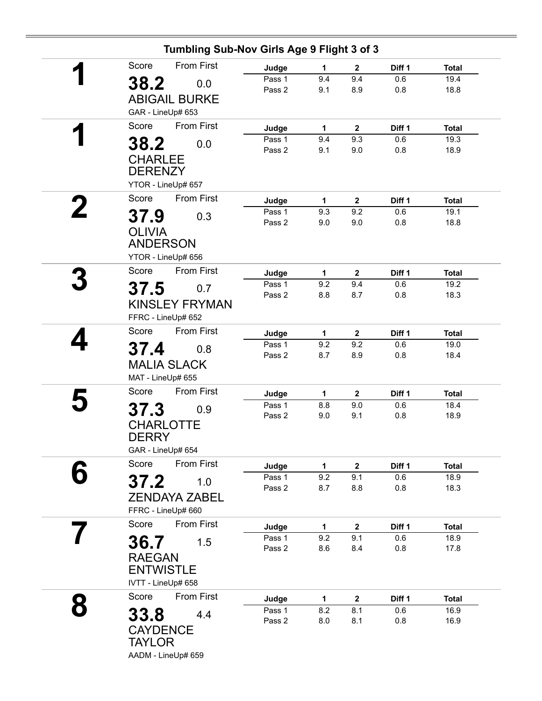|   | Tumbling Sub-Nov Girls Age 9 Flight 3 of 3 |                  |              |                     |               |                      |
|---|--------------------------------------------|------------------|--------------|---------------------|---------------|----------------------|
|   | <b>From First</b><br>Score                 | Judge            | $\mathbf{1}$ | $\mathbf{2}$        | Diff 1        | <b>Total</b>         |
|   | 38.2<br>0.0                                | Pass 1           | 9.4          | 9.4                 | 0.6           | 19.4                 |
|   | <b>ABIGAIL BURKE</b>                       | Pass 2           | 9.1          | 8.9                 | 0.8           | 18.8                 |
|   | GAR - LineUp# 653                          |                  |              |                     |               |                      |
|   | <b>From First</b><br>Score                 |                  |              |                     |               |                      |
| И |                                            | Judge<br>Pass 1  | 1<br>9.4     | $\mathbf{2}$<br>9.3 | Diff 1<br>0.6 | <b>Total</b><br>19.3 |
|   | 38.2<br>0.0                                | Pass 2           | 9.1          | 9.0                 | 0.8           | 18.9                 |
|   | <b>CHARLEE</b>                             |                  |              |                     |               |                      |
|   | <b>DERENZY</b>                             |                  |              |                     |               |                      |
|   | YTOR - LineUp# 657                         |                  |              |                     |               |                      |
|   | <b>From First</b><br>Score                 | Judge            | $\mathbf{1}$ | $\boldsymbol{2}$    | Diff 1        | <b>Total</b>         |
|   | 37.9<br>0.3                                | Pass 1           | 9.3          | 9.2                 | 0.6           | 19.1                 |
|   | <b>OLIVIA</b>                              | Pass 2           | 9.0          | 9.0                 | 0.8           | 18.8                 |
|   | <b>ANDERSON</b>                            |                  |              |                     |               |                      |
|   | YTOR - LineUp# 656                         |                  |              |                     |               |                      |
|   | <b>From First</b><br>Score                 |                  |              |                     | Diff 1        | <b>Total</b>         |
|   |                                            | Judge<br>Pass 1  | 1<br>9.2     | $\mathbf{2}$<br>9.4 | 0.6           | 19.2                 |
|   | 37.5<br>0.7                                | Pass 2           | 8.8          | 8.7                 | 0.8           | 18.3                 |
|   | <b>KINSLEY FRYMAN</b>                      |                  |              |                     |               |                      |
|   | FFRC - LineUp# 652                         |                  |              |                     |               |                      |
|   | <b>From First</b><br>Score                 | Judge            | $\mathbf{1}$ | $\boldsymbol{2}$    | Diff 1        | <b>Total</b>         |
|   | 37.4<br>0.8                                | Pass 1           | 9.2          | 9.2                 | 0.6           | 19.0                 |
|   | <b>MALIA SLACK</b>                         | Pass 2           | 8.7          | 8.9                 | 0.8           | 18.4                 |
|   | MAT - LineUp# 655                          |                  |              |                     |               |                      |
|   | <b>From First</b><br>Score                 | Judge            | 1            | $\mathbf{2}$        | Diff 1        | <b>Total</b>         |
|   |                                            | Pass 1           | 8.8          | 9.0                 | 0.6           | 18.4                 |
|   | 37.3<br>0.9                                | Pass 2           | 9.0          | 9.1                 | 0.8           | 18.9                 |
|   | <b>CHARLOTTE</b>                           |                  |              |                     |               |                      |
|   | <b>DERRY</b>                               |                  |              |                     |               |                      |
|   | GAR - LineUp# 654                          |                  |              |                     |               |                      |
|   | Score<br>From First                        | Judge            | $\mathbf 1$  | $\boldsymbol{2}$    | Diff 1        | <b>Total</b>         |
|   | 37.2<br>1.0                                | Pass 1<br>Pass 2 | 9.2<br>8.7   | 9.1<br>8.8          | 0.6<br>0.8    | 18.9<br>18.3         |
|   | <b>ZENDAYA ZABEL</b>                       |                  |              |                     |               |                      |
|   | FFRC - LineUp# 660                         |                  |              |                     |               |                      |
|   | From First<br>Score                        | Judge            | 1            | $\mathbf{2}$        | Diff 1        | <b>Total</b>         |
|   |                                            | Pass 1           | 9.2          | 9.1                 | 0.6           | 18.9                 |
|   | 36.7<br>1.5                                | Pass 2           | 8.6          | 8.4                 | 0.8           | 17.8                 |
|   | <b>RAEGAN</b>                              |                  |              |                     |               |                      |
|   | <b>ENTWISTLE</b>                           |                  |              |                     |               |                      |
|   | IVTT - LineUp# 658                         |                  |              |                     |               |                      |
|   | Score<br>From First                        | Judge            | $\mathbf{1}$ | $\boldsymbol{2}$    | Diff 1        | <b>Total</b>         |
|   | 33.8<br>4.4                                | Pass 1           | 8.2          | 8.1                 | 0.6           | 16.9                 |
|   |                                            | Pass 2           | 8.0          | 8.1                 | 0.8           | 16.9                 |
|   |                                            |                  |              |                     |               |                      |
|   | <b>CAYDENCE</b><br><b>TAYLOR</b>           |                  |              |                     |               |                      |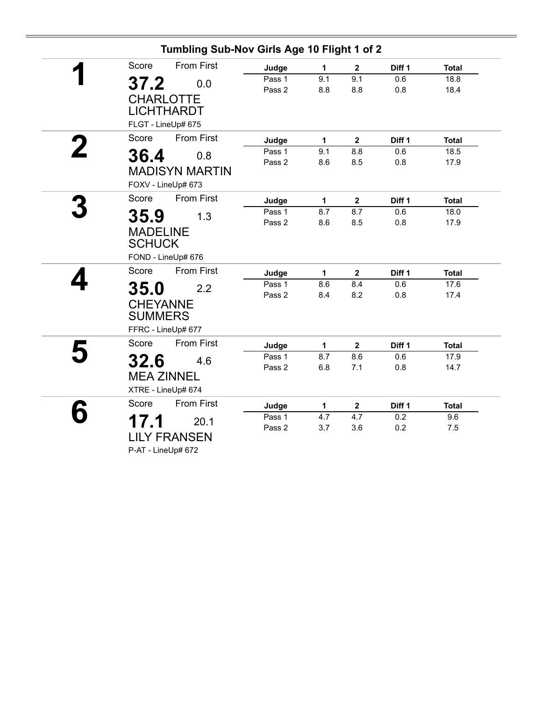| Tumbling Sub-Nov Girls Age 10 Flight 1 of 2 |        |     |                |        |              |
|---------------------------------------------|--------|-----|----------------|--------|--------------|
| <b>From First</b><br>Score                  | Judge  | 1   | $\mathbf{2}$   | Diff 1 | <b>Total</b> |
| 37.2<br>0.0                                 | Pass 1 | 9.1 | 9.1            | 0.6    | 18.8         |
|                                             | Pass 2 | 8.8 | 8.8            | 0.8    | 18.4         |
| <b>CHARLOTTE</b>                            |        |     |                |        |              |
| <b>LICHTHARDT</b>                           |        |     |                |        |              |
| FLGT - LineUp# 675                          |        |     |                |        |              |
| <b>From First</b><br>Score                  | Judge  | 1   | $\overline{2}$ | Diff 1 | <b>Total</b> |
| 36.4<br>0.8                                 | Pass 1 | 9.1 | 8.8            | 0.6    | 18.5         |
|                                             | Pass 2 | 8.6 | 8.5            | 0.8    | 17.9         |
| <b>MADISYN MARTIN</b>                       |        |     |                |        |              |
| FOXV - LineUp# 673                          |        |     |                |        |              |
| <b>From First</b><br>Score                  | Judge  | 1   | $\mathbf{2}$   | Diff 1 | <b>Total</b> |
| 35.9<br>1.3                                 | Pass 1 | 8.7 | 8.7            | 0.6    | 18.0         |
|                                             | Pass 2 | 8.6 | 8.5            | 0.8    | 17.9         |
| <b>MADELINE</b>                             |        |     |                |        |              |
| <b>SCHUCK</b>                               |        |     |                |        |              |
| FOND - LineUp# 676                          |        |     |                |        |              |
| <b>From First</b><br>Score                  | Judge  | 1   | $\mathbf{2}$   | Diff 1 | <b>Total</b> |
| <b>35.0</b><br>2.2                          | Pass 1 | 8.6 | 8.4            | 0.6    | 17.6         |
|                                             | Pass 2 | 8.4 | 8.2            | 0.8    | 17.4         |
| <b>CHEYANNE</b>                             |        |     |                |        |              |
| <b>SUMMERS</b>                              |        |     |                |        |              |
| FFRC - LineUp# 677                          |        |     |                |        |              |
| Score<br><b>From First</b>                  | Judge  | 1   | $\mathbf{2}$   | Diff 1 | <b>Total</b> |
| 32.6<br>4.6                                 | Pass 1 | 8.7 | 8.6            | 0.6    | 17.9         |
|                                             | Pass 2 | 6.8 | 7.1            | 0.8    | 14.7         |
| <b>MEA ZINNEL</b>                           |        |     |                |        |              |
| XTRE - LineUp# 674                          |        |     |                |        |              |
| <b>From First</b><br>Score                  | Judge  | 1   | $\mathbf 2$    | Diff 1 | <b>Total</b> |
| 17.1<br>20.1                                | Pass 1 | 4.7 | 4.7            | 0.2    | 9.6          |
|                                             | Pass 2 | 3.7 | 3.6            | 0.2    | 7.5          |
| <b>LILY FRANSEN</b>                         |        |     |                |        |              |
| P-AT - LineUp# 672                          |        |     |                |        |              |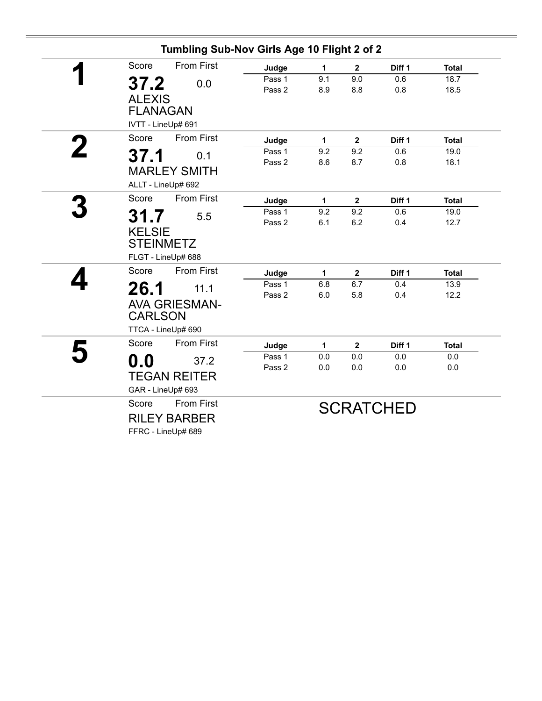| Tumbling Sub-Nov Girls Age 10 Flight 2 of 2                                  |                  |              |                |                   |              |
|------------------------------------------------------------------------------|------------------|--------------|----------------|-------------------|--------------|
| <b>From First</b><br>Score                                                   | Judge            | 1            | $\mathbf{2}$   | Diff <sub>1</sub> | <b>Total</b> |
| 37.2<br>0.0<br><b>ALEXIS</b><br><b>FLANAGAN</b><br>IVTT - LineUp# 691        | Pass 1<br>Pass 2 | 9.1<br>8.9   | 9.0<br>8.8     | 0.6<br>0.8        | 18.7<br>18.5 |
| Score<br><b>From First</b>                                                   | Judge            | $\mathbf{1}$ | $\mathbf 2$    | Diff 1            | <b>Total</b> |
| 37.1<br>0.1<br><b>MARLEY SMITH</b><br>ALLT - LineUp# 692                     | Pass 1<br>Pass 2 | 9.2<br>8.6   | 9.2<br>8.7     | 0.6<br>0.8        | 19.0<br>18.1 |
| <b>From First</b><br>Score                                                   | Judge            | 1            | $\mathbf{2}$   | Diff 1            | <b>Total</b> |
| 31.7<br>5.5<br><b>KELSIE</b><br><b>STEINMETZ</b><br>FLGT - LineUp# 688       | Pass 1<br>Pass 2 | 9.2<br>6.1   | 9.2<br>6.2     | 0.6<br>0.4        | 19.0<br>12.7 |
| <b>From First</b><br>Score                                                   | Judge            | 1            | $\mathbf{2}$   | Diff 1            | <b>Total</b> |
| 26.1<br>11.1<br><b>AVA GRIESMAN-</b><br><b>CARLSON</b><br>TTCA - LineUp# 690 | Pass 1<br>Pass 2 | 6.8<br>6.0   | 6.7<br>5.8     | 0.4<br>0.4        | 13.9<br>12.2 |
| <b>From First</b><br>Score                                                   | Judge            | 1            | $\overline{2}$ | Diff 1            | <b>Total</b> |
| $\mathbf{0.0}$<br>37.2<br><b>TEGAN REITER</b><br>GAR - LineUp# 693           | Pass 1<br>Pass 2 | 0.0<br>0.0   | 0.0<br>0.0     | 0.0<br>0.0        | 0.0<br>0.0   |
| Score<br><b>From First</b><br><b>RILEY BARBER</b><br>FFRC - LineUp# 689      |                  |              |                | <b>SCRATCHED</b>  |              |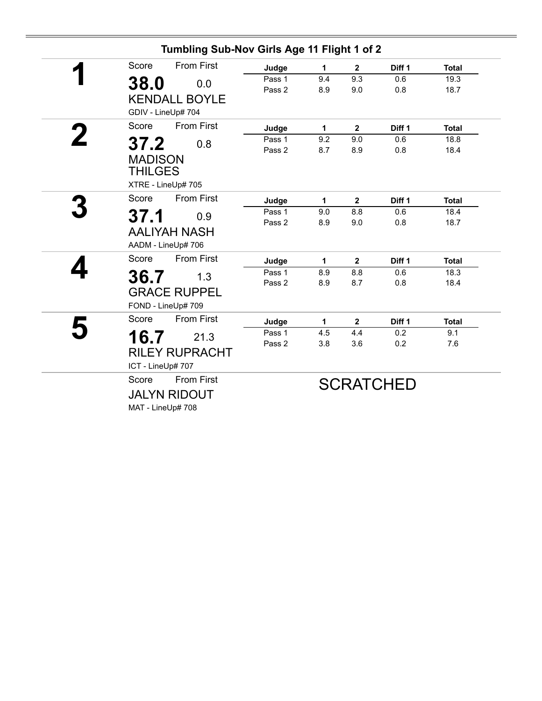|   | Tumbling Sub-Nov Girls Age 11 Flight 1 of 2                            |                  |            |              |                  |              |
|---|------------------------------------------------------------------------|------------------|------------|--------------|------------------|--------------|
|   | <b>From First</b><br>Score                                             | Judge            | 1          | $\mathbf{2}$ | Diff 1           | <b>Total</b> |
|   | 38.0<br>0.0<br><b>KENDALL BOYLE</b>                                    | Pass 1<br>Pass 2 | 9.4<br>8.9 | 9.3<br>9.0   | 0.6<br>0.8       | 19.3<br>18.7 |
|   | GDIV - LineUp# 704                                                     |                  |            |              |                  |              |
| 2 | <b>From First</b><br>Score                                             | Judge            | 1          | $\mathbf{2}$ | Diff 1           | <b>Total</b> |
|   | 37.2<br>0.8<br><b>MADISON</b><br><b>THILGES</b><br>XTRE - LineUp# 705  | Pass 1<br>Pass 2 | 9.2<br>8.7 | 9.0<br>8.9   | 0.6<br>0.8       | 18.8<br>18.4 |
|   | <b>From First</b><br>Score                                             | Judge            | 1          | $\mathbf{2}$ | Diff 1           | <b>Total</b> |
|   | 37.1<br>0.9<br><b>AALIYAH NASH</b><br>AADM - LineUp# 706               | Pass 1<br>Pass 2 | 9.0<br>8.9 | 8.8<br>9.0   | 0.6<br>0.8       | 18.4<br>18.7 |
|   | <b>From First</b><br>Score                                             | Judge            | 1          | $\mathbf{2}$ | Diff 1           | <b>Total</b> |
|   | 36.7<br>1.3<br><b>GRACE RUPPEL</b><br>FOND - LineUp# 709               | Pass 1<br>Pass 2 | 8.9<br>8.9 | 8.8<br>8.7   | 0.6<br>0.8       | 18.3<br>18.4 |
|   | <b>From First</b><br>Score                                             | Judge            | 1          | $\mathbf{2}$ | Diff 1           | <b>Total</b> |
|   | 16.7<br>21.3<br><b>RILEY RUPRACHT</b><br>ICT - LineUp# 707             | Pass 1<br>Pass 2 | 4.5<br>3.8 | 4.4<br>3.6   | 0.2<br>0.2       | 9.1<br>7.6   |
|   | <b>From First</b><br>Score<br><b>JALYN RIDOUT</b><br>MAT - LineUp# 708 |                  |            |              | <b>SCRATCHED</b> |              |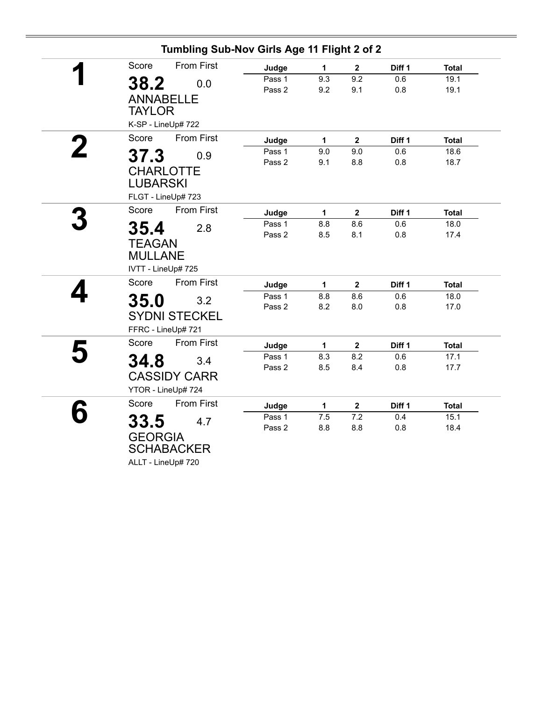| Tumbling Sub-Nov Girls Age 11 Flight 2 of 2 |        |              |                |        |              |  |
|---------------------------------------------|--------|--------------|----------------|--------|--------------|--|
| <b>From First</b><br>Score                  | Judge  | $\mathbf{1}$ | $\mathbf{2}$   | Diff 1 | <b>Total</b> |  |
| 0.0                                         | Pass 1 | 9.3          | 9.2            | 0.6    | 19.1         |  |
| 38.2                                        | Pass 2 | 9.2          | 9.1            | 0.8    | 19.1         |  |
| <b>ANNABELLE</b>                            |        |              |                |        |              |  |
| <b>TAYLOR</b>                               |        |              |                |        |              |  |
| K-SP - LineUp# 722                          |        |              |                |        |              |  |
| Score<br><b>From First</b>                  | Judge  | $\mathbf{1}$ | $\mathbf{2}$   | Diff 1 | <b>Total</b> |  |
| 37.3<br>0.9                                 | Pass 1 | 9.0          | 9.0            | 0.6    | 18.6         |  |
|                                             | Pass 2 | 9.1          | 8.8            | 0.8    | 18.7         |  |
| <b>CHARLOTTE</b>                            |        |              |                |        |              |  |
| <b>LUBARSKI</b>                             |        |              |                |        |              |  |
| FLGT - LineUp# 723                          |        |              |                |        |              |  |
| From First<br>Score                         | Judge  | $\mathbf{1}$ | $\overline{2}$ | Diff 1 | <b>Total</b> |  |
| 35.4<br>2.8                                 | Pass 1 | 8.8          | 8.6            | 0.6    | 18.0         |  |
|                                             | Pass 2 | 8.5          | 8.1            | 0.8    | 17.4         |  |
| <b>TEAGAN</b>                               |        |              |                |        |              |  |
| <b>MULLANE</b>                              |        |              |                |        |              |  |
| IVTT - LineUp# 725                          |        |              |                |        |              |  |
| Score<br><b>From First</b>                  | Judge  | 1            | $\mathbf{2}$   | Diff 1 | <b>Total</b> |  |
| 35.0<br>3.2                                 | Pass 1 | 8.8          | 8.6            | 0.6    | 18.0         |  |
|                                             | Pass 2 | 8.2          | 8.0            | 0.8    | 17.0         |  |
| <b>SYDNI STECKEL</b>                        |        |              |                |        |              |  |
| FFRC - LineUp# 721                          |        |              |                |        |              |  |
| Score<br><b>From First</b>                  | Judge  | $\mathbf{1}$ | $\mathbf 2$    | Diff 1 | <b>Total</b> |  |
| 34.8<br>3.4                                 | Pass 1 | 8.3          | 8.2            | 0.6    | 17.1         |  |
|                                             | Pass 2 | 8.5          | 8.4            | 0.8    | 17.7         |  |
| <b>CASSIDY CARR</b>                         |        |              |                |        |              |  |
| YTOR - LineUp# 724                          |        |              |                |        |              |  |
| <b>From First</b><br>Score                  | Judge  | 1            | $\mathbf{2}$   | Diff 1 | <b>Total</b> |  |
| 33.5<br>4.7                                 | Pass 1 | 7.5          | 7.2            | 0.4    | 15.1         |  |
|                                             | Pass 2 | 8.8          | 8.8            | 0.8    | 18.4         |  |
| <b>GEORGIA</b>                              |        |              |                |        |              |  |
| <b>SCHABACKER</b>                           |        |              |                |        |              |  |
| ALLT - LineUp# 720                          |        |              |                |        |              |  |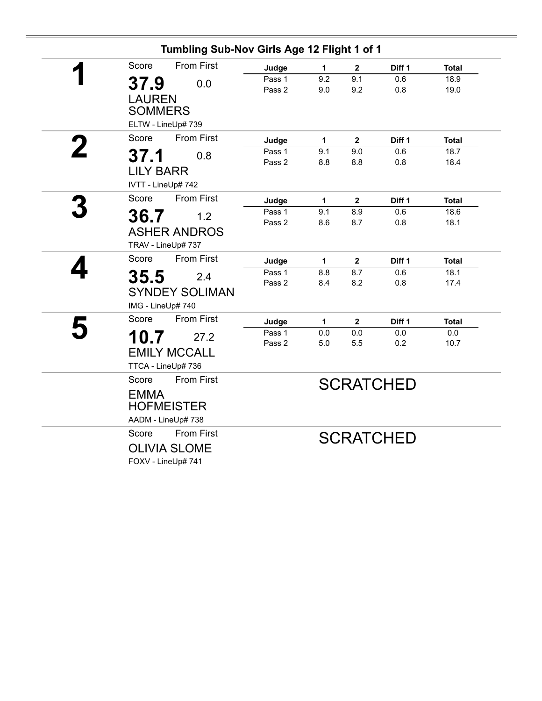|   | Tumbling Sub-Nov Girls Age 12 Flight 1 of 1 |        |              |              |                  |              |
|---|---------------------------------------------|--------|--------------|--------------|------------------|--------------|
|   | <b>From First</b><br>Score                  | Judge  | 1            | $\mathbf{2}$ | Diff 1           | <b>Total</b> |
|   | 37.9<br>0.0                                 | Pass 1 | 9.2          | 9.1          | 0.6              | 18.9         |
|   |                                             | Pass 2 | 9.0          | 9.2          | 0.8              | 19.0         |
|   | <b>LAUREN</b>                               |        |              |              |                  |              |
|   | <b>SOMMERS</b>                              |        |              |              |                  |              |
|   | ELTW - LineUp# 739                          |        |              |              |                  |              |
| 2 | From First<br>Score                         | Judge  | 1            | $\mathbf{2}$ | Diff 1           | <b>Total</b> |
|   | 37.1<br>0.8                                 | Pass 1 | 9.1          | 9.0          | 0.6              | 18.7         |
|   | <b>LILY BARR</b>                            | Pass 2 | 8.8          | 8.8          | 0.8              | 18.4         |
|   |                                             |        |              |              |                  |              |
|   | IVTT - LineUp# 742                          |        |              |              |                  |              |
|   | <b>From First</b><br>Score                  | Judge  | 1            | $\mathbf{2}$ | Diff 1           | <b>Total</b> |
|   | 36.7<br>1.2                                 | Pass 1 | 9.1          | 8.9          | 0.6              | 18.6         |
|   |                                             | Pass 2 | 8.6          | 8.7          | 0.8              | 18.1         |
|   | <b>ASHER ANDROS</b>                         |        |              |              |                  |              |
|   | TRAV - LineUp# 737                          |        |              |              |                  |              |
|   | Score<br><b>From First</b>                  | Judge  | 1            | $\mathbf 2$  | Diff 1           | <b>Total</b> |
|   | 35.5<br>2.4                                 | Pass 1 | 8.8          | 8.7          | 0.6              | 18.1         |
|   | <b>SYNDEY SOLIMAN</b>                       | Pass 2 | 8.4          | 8.2          | 0.8              | 17.4         |
|   |                                             |        |              |              |                  |              |
|   | IMG - LineUp# 740                           |        |              |              |                  |              |
|   | <b>From First</b><br>Score                  | Judge  | $\mathbf{1}$ | $\mathbf{2}$ | Diff 1           | <b>Total</b> |
|   | 10.7<br>27.2                                | Pass 1 | 0.0          | 0.0          | 0.0              | 0.0          |
|   | <b>EMILY MCCALL</b>                         | Pass 2 | 5.0          | 5.5          | 0.2              | 10.7         |
|   |                                             |        |              |              |                  |              |
|   | TTCA - LineUp# 736                          |        |              |              |                  |              |
|   | <b>From First</b><br>Score                  |        |              |              | <b>SCRATCHED</b> |              |
|   | <b>EMMA</b>                                 |        |              |              |                  |              |
|   | <b>HOFMEISTER</b>                           |        |              |              |                  |              |
|   | AADM - LineUp# 738                          |        |              |              |                  |              |
|   | Score<br><b>From First</b>                  |        |              |              |                  |              |
|   | <b>OLIVIA SLOME</b>                         |        |              |              | <b>SCRATCHED</b> |              |
|   |                                             |        |              |              |                  |              |
|   | FOXV - LineUp# 741                          |        |              |              |                  |              |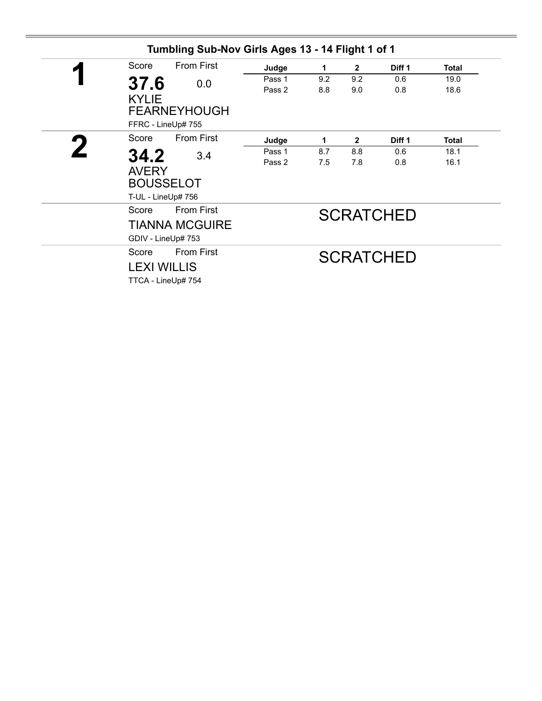|   |                    | Tumbling Sub-Nov Girls Ages 13 - 14 Flight 1 of 1 |        |                  |                |                   |              |
|---|--------------------|---------------------------------------------------|--------|------------------|----------------|-------------------|--------------|
| И | Score              | <b>From First</b>                                 | Judge  | 1                | $\mathbf{2}$   | Diff <sub>1</sub> | <b>Total</b> |
|   | 37.6               | 0.0                                               | Pass 1 | 9.2              | 9.2            | 0.6               | 19.0         |
|   |                    |                                                   | Pass 2 | 8.8              | 9.0            | 0.8               | 18.6         |
|   | <b>KYLIE</b>       | <b>FEARNEYHOUGH</b>                               |        |                  |                |                   |              |
|   | FFRC - LineUp# 755 |                                                   |        |                  |                |                   |              |
|   | Score              | <b>From First</b>                                 | Judge  | 1                | $\overline{2}$ | Diff <sub>1</sub> | <b>Total</b> |
|   | 34.2               | 3.4                                               | Pass 1 | 8.7              | 8.8            | 0.6               | 18.1         |
|   |                    |                                                   | Pass 2 | 7.5              | 7.8            | 0.8               | 16.1         |
|   | <b>AVERY</b>       |                                                   |        |                  |                |                   |              |
|   | <b>BOUSSELOT</b>   |                                                   |        |                  |                |                   |              |
|   | T-UL - LineUp# 756 |                                                   |        |                  |                |                   |              |
|   | Score              | <b>From First</b>                                 |        | <b>SCRATCHED</b> |                |                   |              |
|   |                    | <b>TIANNA MCGUIRE</b>                             |        |                  |                |                   |              |
|   | GDIV - LineUp# 753 |                                                   |        |                  |                |                   |              |
|   | Score              | <b>From First</b>                                 |        |                  |                | <b>SCRATCHED</b>  |              |
|   | <b>LEXI WILLIS</b> |                                                   |        |                  |                |                   |              |
|   | TTCA - LineUp# 754 |                                                   |        |                  |                |                   |              |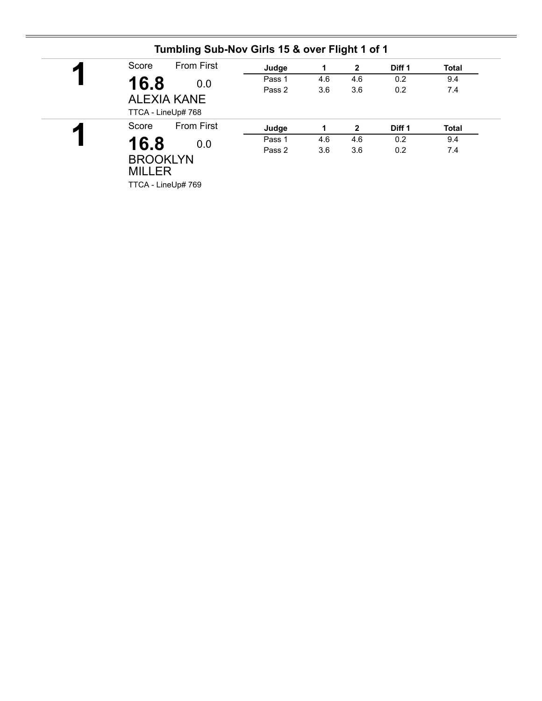| И | Score         | <b>From First</b>  | Judge  | 1   | $\overline{2}$ | Diff 1 | <b>Total</b> |
|---|---------------|--------------------|--------|-----|----------------|--------|--------------|
|   | 16.8          | 0.0                | Pass 1 | 4.6 | 4.6            | 0.2    | 9.4          |
|   |               |                    | Pass 2 | 3.6 | 3.6            | 0.2    | 7.4          |
|   |               | <b>ALEXIA KANE</b> |        |     |                |        |              |
|   |               | TTCA - LineUp# 768 |        |     |                |        |              |
| ◸ | Score         | <b>From First</b>  | Judge  | 1   | $\mathbf{2}$   | Diff 1 | <b>Total</b> |
|   | 16.8          | 0.0                | Pass 1 | 4.6 | 4.6            | 0.2    | 9.4          |
|   |               |                    | Pass 2 | 3.6 | 3.6            | 0.2    | 7.4          |
|   |               | <b>BROOKLYN</b>    |        |     |                |        |              |
|   |               |                    |        |     |                |        |              |
|   | <b>MILLER</b> |                    |        |     |                |        |              |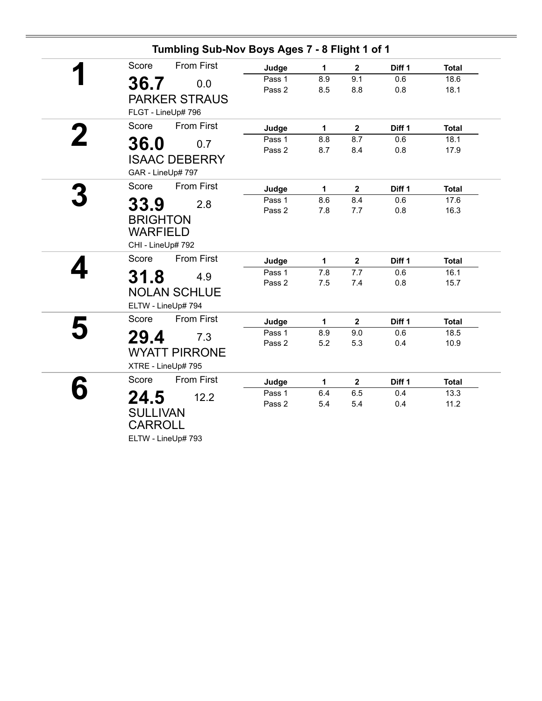| Tumbling Sub-Nov Boys Ages 7 - 8 Flight 1 of 1 |        |              |                |                   |              |
|------------------------------------------------|--------|--------------|----------------|-------------------|--------------|
| <b>From First</b><br>Score                     | Judge  | 1            | $\mathbf{2}$   | Diff 1            | <b>Total</b> |
| 36.7<br>0.0                                    | Pass 1 | 8.9          | 9.1            | 0.6               | 18.6         |
|                                                | Pass 2 | 8.5          | 8.8            | 0.8               | 18.1         |
| <b>PARKER STRAUS</b>                           |        |              |                |                   |              |
| FLGT - LineUp# 796                             |        |              |                |                   |              |
| <b>From First</b><br>Score                     | Judge  | 1            | $\mathbf 2$    | Diff 1            | <b>Total</b> |
| 36.0<br>0.7                                    | Pass 1 | 8.8          | 8.7            | 0.6               | 18.1         |
|                                                | Pass 2 | 8.7          | 8.4            | 0.8               | 17.9         |
| <b>ISAAC DEBERRY</b>                           |        |              |                |                   |              |
| GAR - LineUp# 797                              |        |              |                |                   |              |
| Score<br><b>From First</b>                     | Judge  | 1            | $\mathbf{2}$   | Diff 1            | <b>Total</b> |
| 33.9<br>2.8                                    | Pass 1 | 8.6          | 8.4            | 0.6               | 17.6         |
|                                                | Pass 2 | 7.8          | 7.7            | 0.8               | 16.3         |
| <b>BRIGHTON</b>                                |        |              |                |                   |              |
| <b>WARFIELD</b>                                |        |              |                |                   |              |
| CHI - LineUp# 792                              |        |              |                |                   |              |
| Score<br><b>From First</b>                     | Judge  | $\mathbf{1}$ | $\overline{2}$ | Diff <sub>1</sub> | <b>Total</b> |
| 31.8<br>4.9                                    | Pass 1 | 7.8          | 7.7            | 0.6               | 16.1         |
|                                                | Pass 2 | 7.5          | 7.4            | 0.8               | 15.7         |
| <b>NOLAN SCHLUE</b>                            |        |              |                |                   |              |
| ELTW - LineUp# 794                             |        |              |                |                   |              |
| <b>From First</b><br>Score                     | Judge  | 1            | $\mathbf 2$    | Diff 1            | <b>Total</b> |
| 29.4<br>7.3                                    | Pass 1 | 8.9          | 9.0            | 0.6               | 18.5         |
|                                                | Pass 2 | 5.2          | 5.3            | 0.4               | 10.9         |
| <b>WYATT PIRRONE</b>                           |        |              |                |                   |              |
| XTRE - LineUp# 795                             |        |              |                |                   |              |
| Score<br><b>From First</b>                     | Judge  | 1            | $\mathbf{2}$   | Diff 1            | <b>Total</b> |
| 24.5<br>12.2                                   | Pass 1 | 6.4          | 6.5            | 0.4               | 13.3         |
|                                                | Pass 2 | 5.4          | 5.4            | 0.4               | 11.2         |
| <b>SULLIVAN</b>                                |        |              |                |                   |              |
| <b>CARROLL</b>                                 |        |              |                |                   |              |
| ELTW - LineUp# 793                             |        |              |                |                   |              |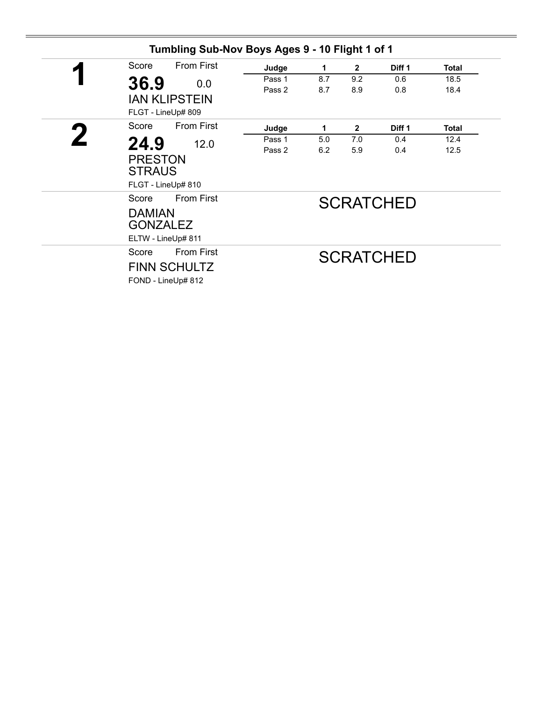| <b>From First</b><br>Score | Judge  | 1   | $\mathbf{2}$ | Diff 1           | <b>Total</b> |
|----------------------------|--------|-----|--------------|------------------|--------------|
| 36.9<br>0.0                | Pass 1 | 8.7 | 9.2          | 0.6              | 18.5         |
|                            | Pass 2 | 8.7 | 8.9          | 0.8              | 18.4         |
| <b>IAN KLIPSTEIN</b>       |        |     |              |                  |              |
| FLGT - LineUp# 809         |        |     |              |                  |              |
| <b>From First</b><br>Score | Judge  | 1   | $\mathbf{2}$ | Diff 1           | <b>Total</b> |
| 24.9<br>12.0               | Pass 1 | 5.0 | 7.0          | 0.4              | 12.4         |
|                            | Pass 2 | 6.2 | 5.9          | 0.4              | 12.5         |
| <b>PRESTON</b>             |        |     |              |                  |              |
| <b>STRAUS</b>              |        |     |              |                  |              |
| FLGT - LineUp# 810         |        |     |              |                  |              |
| <b>From First</b><br>Score |        |     |              | <b>SCRATCHED</b> |              |
| <b>DAMIAN</b>              |        |     |              |                  |              |
| <b>GONZALEZ</b>            |        |     |              |                  |              |
| ELTW - LineUp# 811         |        |     |              |                  |              |
| <b>From First</b><br>Score |        |     |              |                  |              |
|                            |        |     |              | <b>SCRATCHED</b> |              |
| <b>FINN SCHULTZ</b>        |        |     |              |                  |              |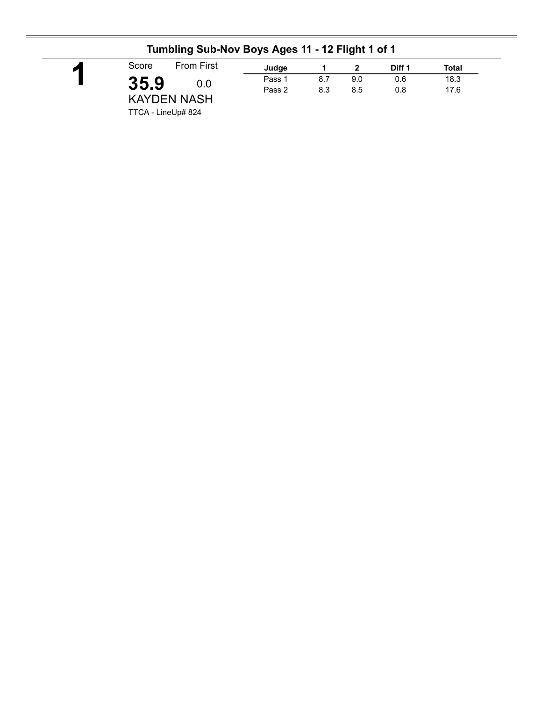| <b>From First</b><br>Score | Judge  |     |     | Diff 1 | Total |
|----------------------------|--------|-----|-----|--------|-------|
| 35.9<br>0.0                | Pass 1 | 8.7 | 9.0 | 0.6    | 18.3  |
| <b>KAYDEN NASH</b>         | Pass 2 | 8.3 | 8.5 | 0.8    | 17.6  |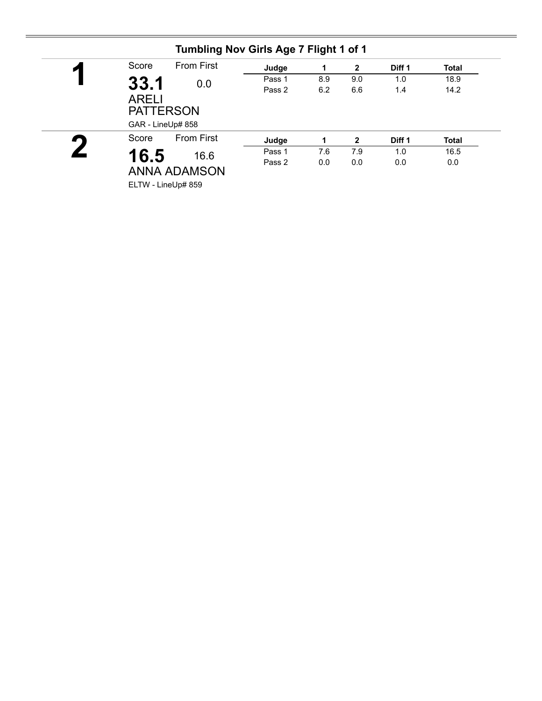| И                   | Score<br><b>From First</b> |                                       | Judge  | 1   | $\overline{2}$ | Diff 1 | <b>Total</b> |
|---------------------|----------------------------|---------------------------------------|--------|-----|----------------|--------|--------------|
|                     | 33.1                       | 0.0                                   | Pass 1 | 8.9 | 9.0            | 1.0    | 18.9         |
|                     | <b>ARELI</b>               | <b>PATTERSON</b><br>GAR - LineUp# 858 | Pass 2 | 6.2 | 6.6            | 1.4    | 14.2         |
| $\blacksquare$      | Score                      | <b>From First</b>                     | Judge  | 1   | $\mathbf{2}$   | Diff 1 | <b>Total</b> |
|                     |                            | 16.6                                  | Pass 1 | 7.6 | 7.9            | 1.0    | 16.5         |
| <b>ANNA ADAMSON</b> | 16.5                       |                                       | Pass 2 | 0.0 | 0.0            | 0.0    | 0.0          |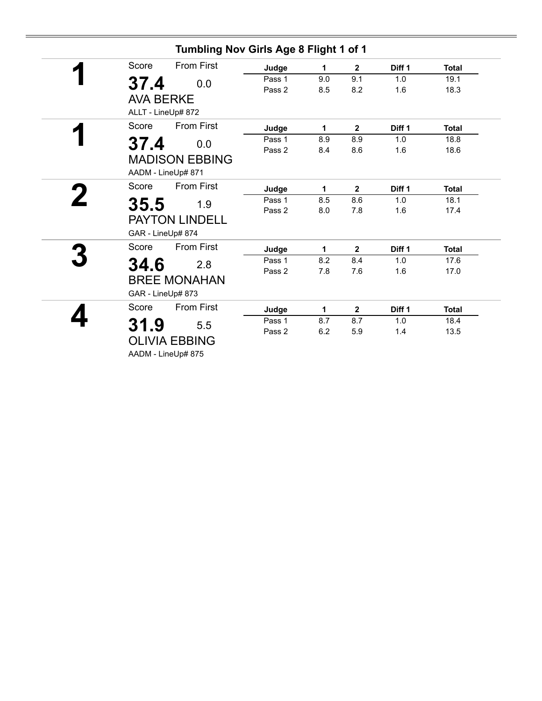|                  | Tumbling Nov Girls Age 8 Flight 1 of 1 |        |     |                         |                   |              |
|------------------|----------------------------------------|--------|-----|-------------------------|-------------------|--------------|
| Score            | <b>From First</b>                      | Judge  | 1   | $\mathbf{2}$            | Diff 1            | <b>Total</b> |
| 37.4             | 0.0                                    | Pass 1 | 9.0 | 9.1                     | 1.0               | 19.1         |
|                  |                                        | Pass 2 | 8.5 | 8.2                     | 1.6               | 18.3         |
| <b>AVA BERKE</b> |                                        |        |     |                         |                   |              |
|                  | ALLT - LineUp# 872                     |        |     |                         |                   |              |
| Score            | <b>From First</b>                      | Judge  | 1   | $\overline{\mathbf{2}}$ | Diff 1            | <b>Total</b> |
| 37.4             | 0.0                                    | Pass 1 | 8.9 | 8.9                     | 1.0               | 18.8         |
|                  |                                        | Pass 2 | 8.4 | 8.6                     | 1.6               | 18.6         |
|                  | <b>MADISON EBBING</b>                  |        |     |                         |                   |              |
|                  | AADM - LineUp# 871                     |        |     |                         |                   |              |
| Score            | <b>From First</b>                      | Judge  | 1   | $\mathbf 2$             | Diff 1            | <b>Total</b> |
| 35.5             | 1.9                                    | Pass 1 | 8.5 | 8.6                     | 1.0               | 18.1         |
|                  |                                        | Pass 2 | 8.0 | 7.8                     | 1.6               | 17.4         |
|                  | <b>PAYTON LINDELL</b>                  |        |     |                         |                   |              |
|                  | GAR - LineUp# 874                      |        |     |                         |                   |              |
| Score            | <b>From First</b>                      | Judge  | 1   | $\mathbf{2}$            | Diff <sub>1</sub> | <b>Total</b> |
| 34.6             | 2.8                                    | Pass 1 | 8.2 | 8.4                     | 1.0               | 17.6         |
|                  |                                        | Pass 2 | 7.8 | 7.6                     | 1.6               | 17.0         |
|                  | <b>BREE MONAHAN</b>                    |        |     |                         |                   |              |
|                  | GAR - LineUp# 873                      |        |     |                         |                   |              |
| Score            | <b>From First</b>                      | Judge  | 1   | $\mathbf{2}$            | Diff 1            | <b>Total</b> |
| 31.9             | 5.5                                    | Pass 1 | 8.7 | 8.7                     | 1.0               | 18.4         |
|                  |                                        | Pass 2 | 6.2 | 5.9                     | 1.4               | 13.5         |
|                  | <b>OLIVIA EBBING</b>                   |        |     |                         |                   |              |
|                  | AADM - LineUp# 875                     |        |     |                         |                   |              |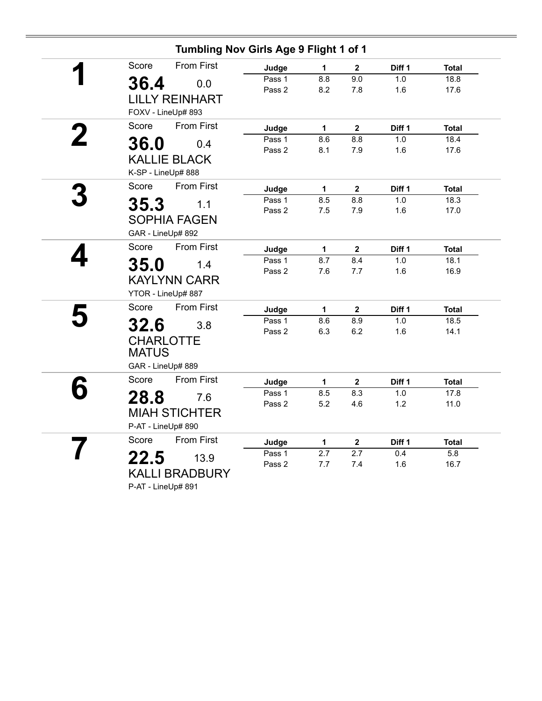| Tumbling Nov Girls Age 9 Flight 1 of 1 |                  |              |                         |            |              |
|----------------------------------------|------------------|--------------|-------------------------|------------|--------------|
| <b>From First</b><br>Score             | Judge            | $\mathbf{1}$ | $\overline{\mathbf{2}}$ | Diff 1     | <b>Total</b> |
| 36.4<br>0.0                            | Pass 1           | 8.8          | 9.0                     | 1.0        | 18.8         |
|                                        | Pass 2           | 8.2          | 7.8                     | 1.6        | 17.6         |
| <b>LILLY REINHART</b>                  |                  |              |                         |            |              |
| FOXV - LineUp# 893                     |                  |              |                         |            |              |
| <b>From First</b><br>Score             | Judge            | $\mathbf 1$  | $\overline{2}$          | Diff 1     | <b>Total</b> |
| 36.0<br>0.4                            | Pass 1           | 8.6          | 8.8                     | 1.0        | 18.4         |
|                                        | Pass 2           | 8.1          | 7.9                     | 1.6        | 17.6         |
| <b>KALLIE BLACK</b>                    |                  |              |                         |            |              |
| K-SP - LineUp# 888                     |                  |              |                         |            |              |
| Score<br><b>From First</b>             | Judge            | $\mathbf{1}$ | $\mathbf{2}$            | Diff 1     | <b>Total</b> |
| 35.3<br>1.1                            | Pass 1           | 8.5          | 8.8                     | 1.0        | 18.3         |
|                                        | Pass 2           | 7.5          | 7.9                     | 1.6        | 17.0         |
| <b>SOPHIA FAGEN</b>                    |                  |              |                         |            |              |
| GAR - LineUp# 892                      |                  |              |                         |            |              |
| Score<br><b>From First</b>             | Judge            | 1            | $\mathbf{2}$            | Diff 1     | <b>Total</b> |
| <b>35.0</b><br>1.4                     | Pass 1           | 8.7          | 8.4                     | 1.0        | 18.1         |
| <b>KAYLYNN CARR</b>                    | Pass 2           | 7.6          | 7.7                     | 1.6        | 16.9         |
|                                        |                  |              |                         |            |              |
| YTOR - LineUp# 887                     |                  |              |                         |            |              |
| <b>From First</b><br>Score             | Judge            | 1            | $\mathbf 2$             | Diff 1     | <b>Total</b> |
| 32.6<br>3.8                            | Pass 1           | 8.6          | 8.9                     | 1.0        | 18.5         |
| <b>CHARLOTTE</b>                       | Pass 2           | 6.3          | 6.2                     | 1.6        | 14.1         |
| <b>MATUS</b>                           |                  |              |                         |            |              |
| GAR - LineUp# 889                      |                  |              |                         |            |              |
|                                        |                  |              |                         |            |              |
| Score<br><b>From First</b>             | Judge            | $\mathbf{1}$ | $\mathbf{2}$            | Diff 1     | <b>Total</b> |
| 28.8<br>7.6                            | Pass 1           | 8.5          | 8.3                     | 1.0        | 17.8         |
| <b>MIAH STICHTER</b>                   | Pass 2           | 5.2          | 4.6                     | 1.2        | 11.0         |
| P-AT - LineUp# 890                     |                  |              |                         |            |              |
| <b>From First</b><br>Score             |                  |              |                         |            |              |
|                                        | Judge            | 1            | $\mathbf{2}$            | Diff 1     | <b>Total</b> |
| 22.5<br>13.9                           | Pass 1<br>Pass 2 | 2.7<br>7.7   | 2.7<br>7.4              | 0.4<br>1.6 | 5.8<br>16.7  |
| <b>KALLI BRADBURY</b>                  |                  |              |                         |            |              |
| P-AT - LineUp# 891                     |                  |              |                         |            |              |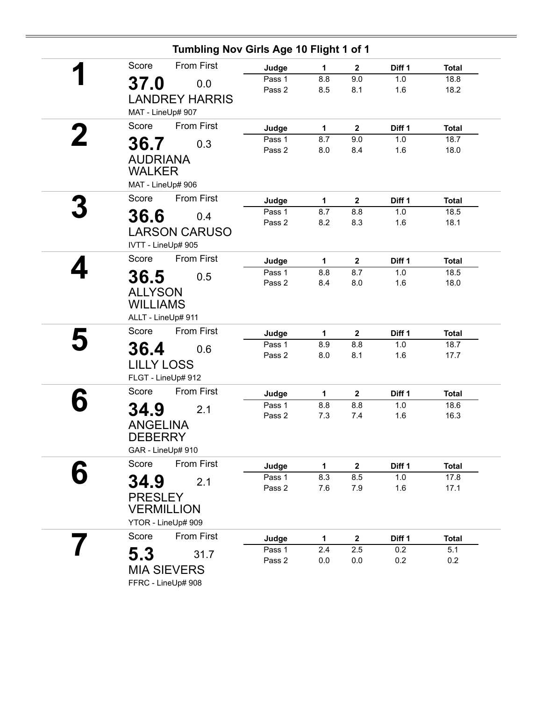| Tumbling Nov Girls Age 10 Flight 1 of 1 |                  |            |              |                   |              |
|-----------------------------------------|------------------|------------|--------------|-------------------|--------------|
| <b>From First</b><br>Score              | Judge            | 1          | $\mathbf{2}$ | Diff <sub>1</sub> | <b>Total</b> |
| 37.0<br>0.0                             | Pass 1           | 8.8        | 9.0          | 1.0               | 18.8         |
|                                         | Pass 2           | 8.5        | 8.1          | 1.6               | 18.2         |
| <b>LANDREY HARRIS</b>                   |                  |            |              |                   |              |
| MAT - LineUp# 907                       |                  |            |              |                   |              |
| <b>From First</b><br>Score              | Judge            | 1          | $\mathbf{2}$ | Diff 1            | <b>Total</b> |
| 36.7<br>0.3                             | Pass 1           | 8.7        | 9.0          | 1.0               | 18.7         |
| <b>AUDRIANA</b>                         | Pass 2           | 8.0        | 8.4          | 1.6               | 18.0         |
| <b>WALKER</b>                           |                  |            |              |                   |              |
| MAT - LineUp# 906                       |                  |            |              |                   |              |
| <b>From First</b>                       |                  |            |              |                   |              |
| Score                                   | Judge            | 1          | $\mathbf{2}$ | Diff 1            | <b>Total</b> |
| 36.6<br>0.4                             | Pass 1<br>Pass 2 | 8.7<br>8.2 | 8.8<br>8.3   | 1.0<br>1.6        | 18.5<br>18.1 |
| <b>LARSON CARUSO</b>                    |                  |            |              |                   |              |
| IVTT - LineUp# 905                      |                  |            |              |                   |              |
| <b>From First</b><br>Score              | Judge            | 1          | $\mathbf{2}$ | Diff 1            | <b>Total</b> |
| 36.5<br>0.5                             | Pass 1           | 8.8        | 8.7          | 1.0               | 18.5         |
|                                         | Pass 2           | 8.4        | 8.0          | 1.6               | 18.0         |
| <b>ALLYSON</b>                          |                  |            |              |                   |              |
| <b>WILLIAMS</b>                         |                  |            |              |                   |              |
| ALLT - LineUp# 911                      |                  |            |              |                   |              |
| <b>From First</b><br>Score              | Judge            | 1          | $\mathbf{2}$ | Diff 1            | <b>Total</b> |
| 36.4<br>0.6                             | Pass 1           | 8.9        | 8.8          | 1.0               | 18.7         |
| <b>LILLY LOSS</b>                       | Pass 2           | 8.0        | 8.1          | 1.6               | 17.7         |
| FLGT - LineUp# 912                      |                  |            |              |                   |              |
| <b>From First</b><br>Score              | Judge            | 1          | $\mathbf{2}$ | Diff 1            | <b>Total</b> |
|                                         | Pass 1           | 8.8        | 8.8          | 1.0               | 18.6         |
| <b>34.9</b><br>2.1                      | Pass 2           | 7.3        | 7.4          | 1.6               | 16.3         |
| <b>ANGELINA</b>                         |                  |            |              |                   |              |
| <b>DEBERRY</b>                          |                  |            |              |                   |              |
| GAR - LineUp# 910                       |                  |            |              |                   |              |
| Score<br>From First                     | Judge            | 1          | $\mathbf 2$  | Diff 1            | <b>Total</b> |
| 34.9<br>2.1                             | Pass 1           | 8.3        | 8.5          | 1.0               | 17.8         |
|                                         | Pass 2           | 7.6        | 7.9          | 1.6               | 17.1         |
| <b>PRESLEY</b><br><b>VERMILLION</b>     |                  |            |              |                   |              |
|                                         |                  |            |              |                   |              |
| YTOR - LineUp# 909                      |                  |            |              |                   |              |
| Score<br>From First                     | Judge            | 1          | $\mathbf 2$  | Diff 1            | <b>Total</b> |
| 5.3<br>31.7                             | Pass 1<br>Pass 2 | 2.4<br>0.0 | 2.5<br>0.0   | 0.2<br>0.2        | 5.1<br>0.2   |
| <b>MIA SIEVERS</b>                      |                  |            |              |                   |              |
| FFRC - LineUp# 908                      |                  |            |              |                   |              |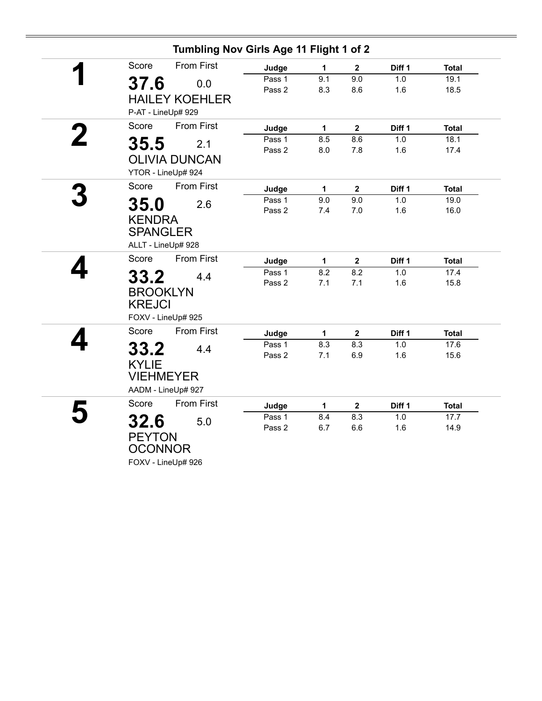|   | Tumbling Nov Girls Age 11 Flight 1 of 2 |        |              |                         |        |              |
|---|-----------------------------------------|--------|--------------|-------------------------|--------|--------------|
|   | <b>From First</b><br>Score              | Judge  | $\mathbf{1}$ | $\mathbf{2}$            | Diff 1 | <b>Total</b> |
|   | 37.6<br>0.0                             | Pass 1 | 9.1          | 9.0                     | 1.0    | 19.1         |
|   |                                         | Pass 2 | 8.3          | 8.6                     | 1.6    | 18.5         |
|   | <b>HAILEY KOEHLER</b>                   |        |              |                         |        |              |
|   | P-AT - LineUp# 929                      |        |              |                         |        |              |
|   | <b>From First</b><br>Score              | Judge  | 1            | $\mathbf{2}$            | Diff 1 | <b>Total</b> |
| 2 | 35.5<br>2.1                             | Pass 1 | 8.5          | 8.6                     | 1.0    | 18.1         |
|   | <b>OLIVIA DUNCAN</b>                    | Pass 2 | 8.0          | 7.8                     | 1.6    | 17.4         |
|   |                                         |        |              |                         |        |              |
|   | YTOR - LineUp# 924                      |        |              |                         |        |              |
|   | From First<br>Score                     | Judge  | $\mathbf 1$  | $\overline{\mathbf{2}}$ | Diff 1 | <b>Total</b> |
|   | 35.0<br>2.6                             | Pass 1 | 9.0          | 9.0                     | 1.0    | 19.0         |
|   |                                         | Pass 2 | 7.4          | $7.0$                   | 1.6    | 16.0         |
|   | <b>KENDRA</b>                           |        |              |                         |        |              |
|   | <b>SPANGLER</b>                         |        |              |                         |        |              |
|   | ALLT - LineUp# 928                      |        |              |                         |        |              |
|   | Score<br><b>From First</b>              | Judge  | $\mathbf{1}$ | $\mathbf 2$             | Diff 1 | <b>Total</b> |
|   | 33.2<br>4.4                             | Pass 1 | 8.2          | 8.2                     | 1.0    | 17.4         |
|   | <b>BROOKLYN</b>                         | Pass 2 | 7.1          | 7.1                     | 1.6    | 15.8         |
|   | <b>KREJCI</b>                           |        |              |                         |        |              |
|   |                                         |        |              |                         |        |              |
|   | FOXV - LineUp# 925                      |        |              |                         |        |              |
|   | <b>From First</b><br>Score              | Judge  | 1            | $\mathbf{2}$            | Diff 1 | <b>Total</b> |
|   | 33.2<br>4.4                             | Pass 1 | 8.3          | 8.3                     | 1.0    | 17.6         |
|   | <b>KYLIE</b>                            | Pass 2 | 7.1          | 6.9                     | 1.6    | 15.6         |
|   | <b>VIEHMEYER</b>                        |        |              |                         |        |              |
|   |                                         |        |              |                         |        |              |
|   | AADM - LineUp# 927                      |        |              |                         |        |              |
|   | <b>From First</b><br>Score              | Judge  | 1            | $\mathbf 2$             | Diff 1 | <b>Total</b> |
|   | 32.6<br>5.0                             | Pass 1 | 8.4          | 8.3                     | 1.0    | 17.7         |
|   | <b>PEYTON</b>                           | Pass 2 | 6.7          | 6.6                     | 1.6    | 14.9         |
|   | <b>OCONNOR</b>                          |        |              |                         |        |              |
|   |                                         |        |              |                         |        |              |
|   | FOXV - LineUp# 926                      |        |              |                         |        |              |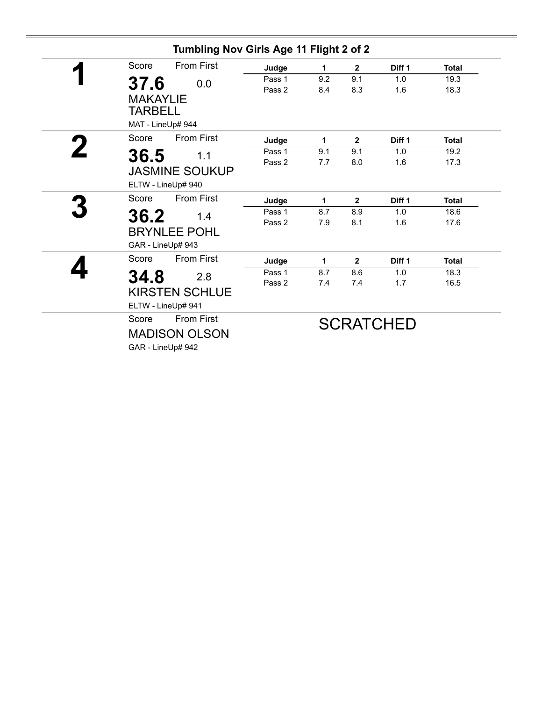| Tumbling Nov Girls Age 11 Flight 2 of 2                |        |     |                |                  |              |
|--------------------------------------------------------|--------|-----|----------------|------------------|--------------|
| Score<br><b>From First</b>                             | Judge  | 1   | $\mathbf{2}$   | Diff 1           | <b>Total</b> |
| 37.6<br>0.0                                            | Pass 1 | 9.2 | 9.1            | 1.0              | 19.3         |
| <b>MAKAYLIE</b><br><b>TARBELL</b><br>MAT - LineUp# 944 | Pass 2 | 8.4 | 8.3            | 1.6              | 18.3         |
| <b>From First</b><br>Score                             | Judge  | 1   | $\mathbf{2}$   | Diff 1           | <b>Total</b> |
| 36.5                                                   | Pass 1 | 9.1 | 9.1            | 1.0              | 19.2         |
| 1.1                                                    | Pass 2 | 7.7 | 8.0            | 1.6              | 17.3         |
| <b>JASMINE SOUKUP</b><br>ELTW - LineUp# 940            |        |     |                |                  |              |
| <b>From First</b><br>Score                             | Judge  | 1   | $\mathbf{2}$   | Diff 1           | <b>Total</b> |
| 36.2<br>1.4                                            | Pass 1 | 8.7 | 8.9            | 1.0              | 18.6         |
|                                                        | Pass 2 | 7.9 | 8.1            | 1.6              | 17.6         |
| <b>BRYNLEE POHL</b>                                    |        |     |                |                  |              |
| GAR - LineUp# 943                                      |        |     |                |                  |              |
| <b>From First</b><br>Score                             | Judge  | 1   | $\overline{2}$ | Diff 1           | <b>Total</b> |
| 34.8<br>2.8                                            | Pass 1 | 8.7 | 8.6            | 1.0              | 18.3         |
|                                                        | Pass 2 | 7.4 | 7.4            | 1.7              | 16.5         |
| <b>KIRSTEN SCHLUE</b>                                  |        |     |                |                  |              |
| ELTW - LineUp# 941                                     |        |     |                |                  |              |
| <b>From First</b><br>Score                             |        |     |                | <b>SCRATCHED</b> |              |
| <b>MADISON OLSON</b>                                   |        |     |                |                  |              |
| GAR - LineUp# 942                                      |        |     |                |                  |              |
|                                                        |        |     |                |                  |              |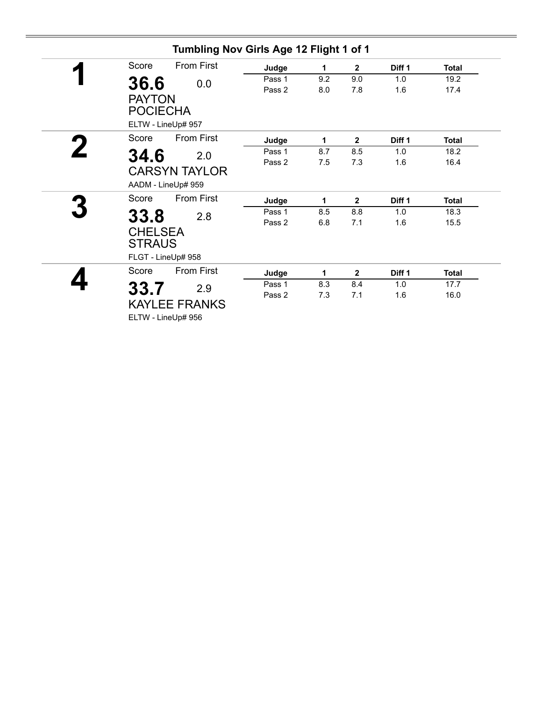| Score                            | <b>From First</b>                          | Judge  | 1   | $\overline{2}$ | Diff <sub>1</sub> | <b>Total</b> |
|----------------------------------|--------------------------------------------|--------|-----|----------------|-------------------|--------------|
| 36.6                             | 0.0                                        | Pass 1 | 9.2 | 9.0            | 1.0               | 19.2         |
| <b>PAYTON</b><br><b>POCIECHA</b> |                                            | Pass 2 | 8.0 | 7.8            | 1.6               | 17.4         |
|                                  | ELTW - LineUp# 957                         |        |     |                |                   |              |
| Score                            | <b>From First</b>                          | Judge  | 1   | $\mathbf{2}$   | Diff <sub>1</sub> | <b>Total</b> |
| 34.6                             | 2.0                                        | Pass 1 | 8.7 | 8.5            | 1.0               | 18.2         |
|                                  | <b>CARSYN TAYLOR</b><br>AADM - LineUp# 959 | Pass 2 | 7.5 | 7.3            | 1.6               | 16.4         |
| Score                            | <b>From First</b>                          | Judge  | 1   | $\mathbf{2}$   | Diff 1            | <b>Total</b> |
| 33.8                             | 2.8                                        | Pass 1 | 8.5 | 8.8            | 1.0               | 18.3         |
| <b>CHELSEA</b><br><b>STRAUS</b>  |                                            | Pass 2 | 6.8 | 7.1            | 1.6               | 15.5         |
|                                  | FLGT - LineUp# 958                         |        |     |                |                   |              |
| Score                            | <b>From First</b>                          | Judge  | 1   | $\overline{2}$ | Diff 1            | <b>Total</b> |
| 33.7                             | 2.9                                        | Pass 1 | 8.3 | 8.4            | 1.0               | 17.7         |
|                                  | <b>KAYLEE FRANKS</b><br>ELTW - LineUp# 956 | Pass 2 | 7.3 | 7.1            | 1.6               | 16.0         |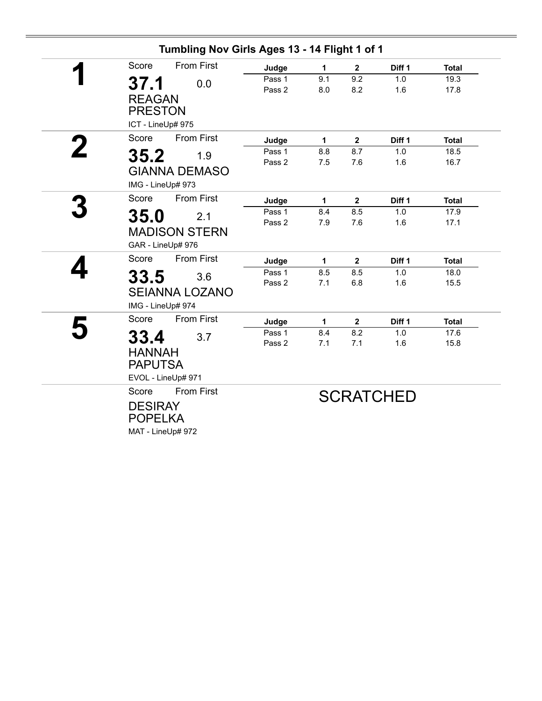| Tumbling Nov Girls Ages 13 - 14 Flight 1 of 1 |        |              |                         |                  |              |
|-----------------------------------------------|--------|--------------|-------------------------|------------------|--------------|
| <b>From First</b><br>Score                    | Judge  | 1            | $\mathbf{2}$            | Diff 1           | <b>Total</b> |
| 37.1<br>0.0                                   | Pass 1 | 9.1          | 9.2                     | 1.0              | 19.3         |
|                                               | Pass 2 | 8.0          | 8.2                     | 1.6              | 17.8         |
| <b>REAGAN</b>                                 |        |              |                         |                  |              |
| <b>PRESTON</b>                                |        |              |                         |                  |              |
| ICT - LineUp# 975                             |        |              |                         |                  |              |
| <b>From First</b><br>Score                    | Judge  | 1            | $\overline{\mathbf{2}}$ | Diff 1           | <b>Total</b> |
| 35.2<br>1.9                                   | Pass 1 | 8.8          | 8.7                     | 1.0              | 18.5         |
|                                               | Pass 2 | 7.5          | 7.6                     | 1.6              | 16.7         |
| <b>GIANNA DEMASO</b>                          |        |              |                         |                  |              |
| IMG - LineUp# 973                             |        |              |                         |                  |              |
| <b>From First</b><br>Score                    | Judge  | 1            | $\overline{2}$          | Diff 1           | <b>Total</b> |
| 35.0<br>2.1                                   | Pass 1 | 8.4          | 8.5                     | 1.0              | 17.9         |
|                                               | Pass 2 | 7.9          | 7.6                     | 1.6              | 17.1         |
| <b>MADISON STERN</b>                          |        |              |                         |                  |              |
| GAR - LineUp# 976                             |        |              |                         |                  |              |
| <b>From First</b><br>Score                    | Judge  | $\mathbf{1}$ | $\overline{2}$          | Diff 1           | <b>Total</b> |
| 33.5<br>3.6                                   | Pass 1 | 8.5          | 8.5                     | 1.0              | 18.0         |
| <b>SEIANNA LOZANO</b>                         | Pass 2 | 7.1          | 6.8                     | 1.6              | 15.5         |
|                                               |        |              |                         |                  |              |
| IMG - LineUp# 974                             |        |              |                         |                  |              |
| Score<br><b>From First</b>                    | Judge  | 1            | $\mathbf{2}$            | Diff 1           | <b>Total</b> |
| 33.4<br>3.7                                   | Pass 1 | 8.4          | 8.2                     | 1.0              | 17.6         |
| <b>HANNAH</b>                                 | Pass 2 | 7.1          | 7.1                     | 1.6              | 15.8         |
| <b>PAPUTSA</b>                                |        |              |                         |                  |              |
|                                               |        |              |                         |                  |              |
| EVOL - LineUp# 971                            |        |              |                         |                  |              |
| <b>From First</b><br>Score                    |        |              |                         | <b>SCRATCHED</b> |              |
| <b>DESIRAY</b>                                |        |              |                         |                  |              |
| <b>POPELKA</b>                                |        |              |                         |                  |              |
| MAT - LineUp# 972                             |        |              |                         |                  |              |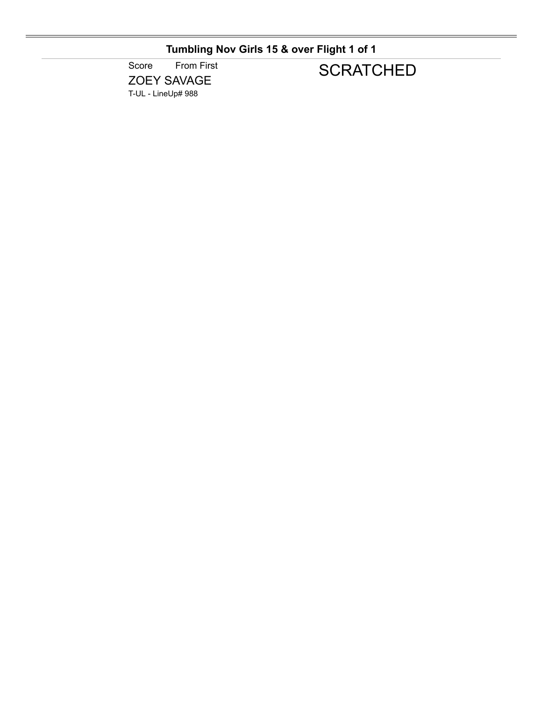### **Tumbling Nov Girls 15 & over Flight 1 of 1**

Score From First ZOEY SAVAGE T-UL - LineUp# 988

# **SCRATCHED**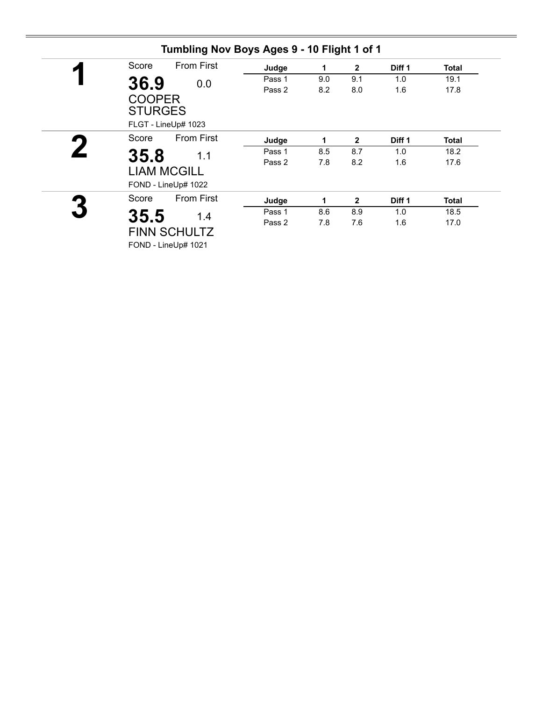| Score                                                    | <b>From First</b> | Judge  | 1   | $\mathbf{2}$ | Diff 1 | <b>Total</b> |
|----------------------------------------------------------|-------------------|--------|-----|--------------|--------|--------------|
| 36.9                                                     | 0.0               | Pass 1 | 9.0 | 9.1          | 1.0    | 19.1         |
| <b>COOPER</b>                                            |                   | Pass 2 | 8.2 | 8.0          | 1.6    | 17.8         |
| <b>STURGES</b><br>FLGT - LineUp# 1023                    |                   |        |     |              |        |              |
| Score                                                    | <b>From First</b> | Judge  | 1   | $\mathbf{2}$ | Diff 1 | <b>Total</b> |
|                                                          |                   | Pass 1 | 8.5 | 8.7          | 1.0    | 18.2         |
| 35.8<br>1.1<br><b>LIAM MCGILL</b><br>FOND - LineUp# 1022 |                   | Pass 2 | 7.8 | 8.2          | 1.6    | 17.6         |
| Score                                                    | <b>From First</b> | Judge  | 1   | $\mathbf{2}$ | Diff 1 | <b>Total</b> |
| 35.5                                                     | 1.4               | Pass 1 | 8.6 | 8.9          | 1.0    | 18.5         |
| <b>FINN SCHULTZ</b><br>FOND - LineUp# 1021               |                   | Pass 2 | 7.8 | 7.6          | 1.6    | 17.0         |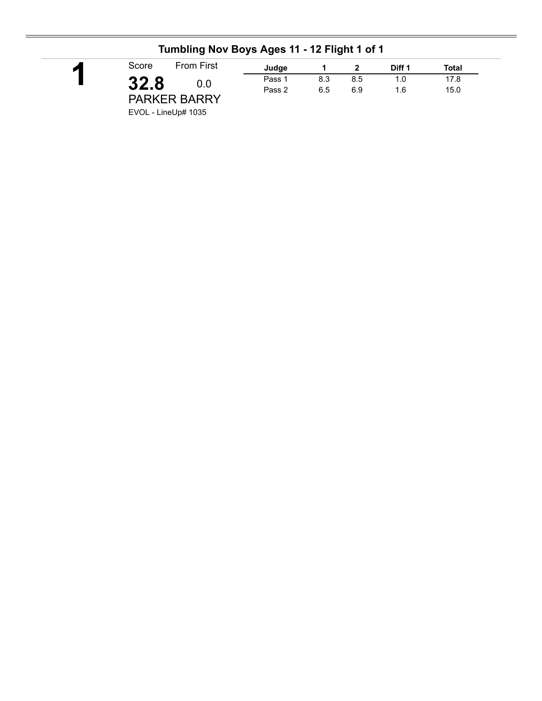| <b>From First</b><br>Score | Judge         |     |     | Diff 1 | Total |
|----------------------------|---------------|-----|-----|--------|-------|
| 32.8                       | Pass 1<br>0.0 | 8.3 | 8.5 | 1.0    | 17.8  |
|                            | Pass 2        | 6.5 | 6.9 | 1.6    | 15.0  |
| <b>PARKER BARRY</b>        |               |     |     |        |       |
| $-1/2$ $-1$ $-1$ $-1/2$    |               |     |     |        |       |

### **Tumbling Nov Boys Ages 11 - 12 Flight 1 of 1**

EVOL - LineUp# 1035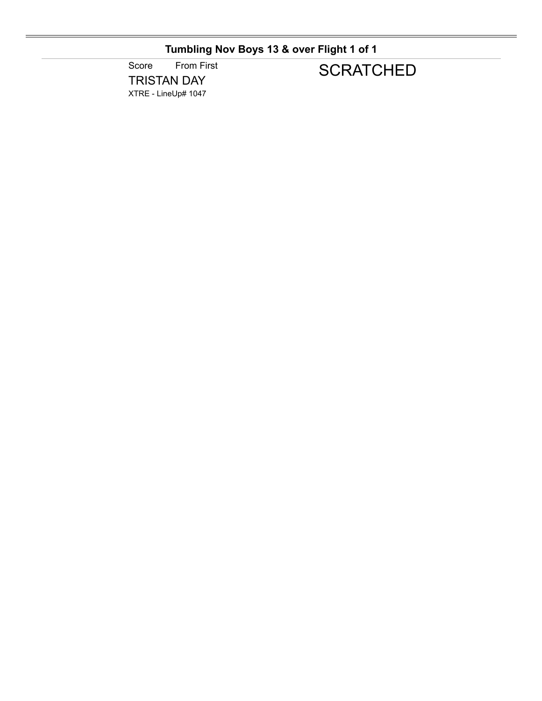## **Tumbling Nov Boys 13 & over Flight 1 of 1**

Score From First TRISTAN DAY XTRE - LineUp# 1047

# **SCRATCHED**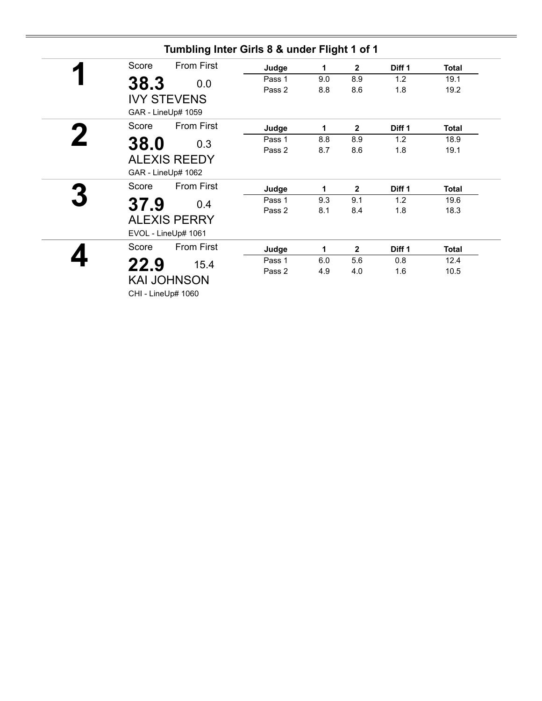| Score | <b>From First</b>   | Judge  | 1   | $\mathbf{2}$   | Diff 1 | <b>Total</b> |
|-------|---------------------|--------|-----|----------------|--------|--------------|
| 38.3  | 0.0                 | Pass 1 | 9.0 | 8.9            | 1.2    | 19.1         |
|       |                     | Pass 2 | 8.8 | 8.6            | 1.8    | 19.2         |
|       | <b>IVY STEVENS</b>  |        |     |                |        |              |
|       | GAR - LineUp# 1059  |        |     |                |        |              |
| Score | From First          | Judge  | 1   | $\mathbf{2}$   | Diff 1 | Total        |
| 38.0  | 0.3                 | Pass 1 | 8.8 | 8.9            | 1.2    | 18.9         |
|       |                     | Pass 2 | 8.7 | 8.6            | 1.8    | 19.1         |
|       | <b>ALEXIS REEDY</b> |        |     |                |        |              |
|       | GAR - LineUp# 1062  |        |     |                |        |              |
| Score | <b>From First</b>   | Judge  | 1   | $\mathbf{2}$   | Diff 1 | Total        |
| 37.9  | 0.4                 | Pass 1 | 9.3 | 9.1            | 1.2    | 19.6         |
|       |                     | Pass 2 | 8.1 | 8.4            | 1.8    | 18.3         |
|       | <b>ALEXIS PERRY</b> |        |     |                |        |              |
|       | EVOL - LineUp# 1061 |        |     |                |        |              |
| Score | <b>From First</b>   | Judge  | 1   | $\overline{2}$ | Diff 1 | <b>Total</b> |
| 22.9  | 15.4                | Pass 1 | 6.0 | 5.6            | 0.8    | 12.4         |
|       |                     | Pass 2 | 4.9 | 4.0            | 1.6    | 10.5         |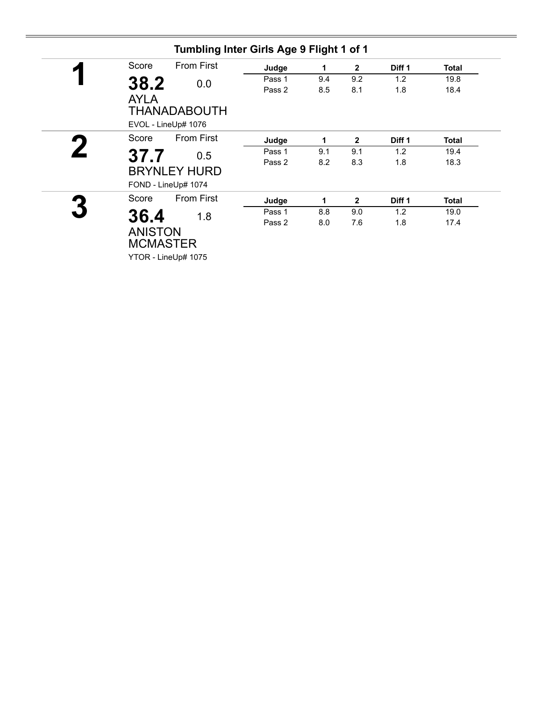| Score       | <b>From First</b>                          |     | Judge  | 1   | $\mathbf{2}$ | Diff 1 | <b>Total</b> |
|-------------|--------------------------------------------|-----|--------|-----|--------------|--------|--------------|
| 38.2        |                                            | 0.0 | Pass 1 | 9.4 | 9.2          | 1.2    | 19.8         |
| <b>AYLA</b> |                                            |     | Pass 2 | 8.5 | 8.1          | 1.8    | 18.4         |
|             | <b>THANADABOUTH</b><br>EVOL - LineUp# 1076 |     |        |     |              |        |              |
| Score       | <b>From First</b>                          |     | Judge  | 1   | $\mathbf{2}$ | Diff 1 | <b>Total</b> |
| 37.7        |                                            | 0.5 | Pass 1 | 9.1 | 9.1          | 1.2    | 19.4         |
|             | <b>BRYNLEY HURD</b><br>FOND - LineUp# 1074 |     | Pass 2 | 8.2 | 8.3          | 1.8    | 18.3         |
| Score       | <b>From First</b>                          |     | Judge  | 1   | $\mathbf{2}$ | Diff 1 | <b>Total</b> |
| 36.4        |                                            | 1.8 | Pass 1 | 8.8 | 9.0          | 1.2    | 19.0         |
|             | <b>ANISTON</b><br><b>MCMASTER</b>          |     | Pass 2 | 8.0 | 7.6          | 1.8    | 17.4         |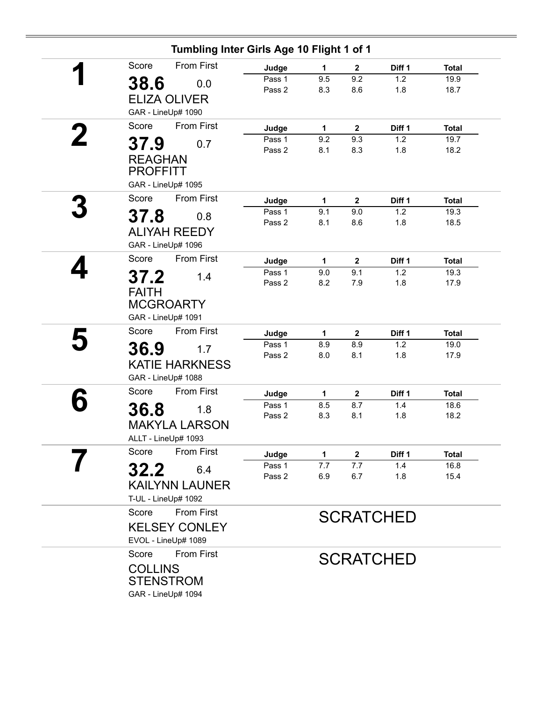| Tumbling Inter Girls Age 10 Flight 1 of 1<br><b>From First</b><br>Score |                  |            |                       |                  |                      |
|-------------------------------------------------------------------------|------------------|------------|-----------------------|------------------|----------------------|
|                                                                         | Judge            | 1          | $\mathbf{2}$          | Diff 1           | <b>Total</b>         |
| 38.6<br>0.0                                                             | Pass 1<br>Pass 2 | 9.5<br>8.3 | 9.2<br>8.6            | 1.2<br>1.8       | 19.9<br>18.7         |
| <b>ELIZA OLIVER</b>                                                     |                  |            |                       |                  |                      |
| GAR - LineUp# 1090                                                      |                  |            |                       |                  |                      |
| <b>From First</b><br>Score                                              | Judge            | 1          | $\overline{2}$        | Diff 1           | <b>Total</b>         |
|                                                                         | Pass 1           | 9.2        | 9.3                   | 1.2              | 19.7                 |
| 37.9<br>0.7                                                             | Pass 2           | 8.1        | 8.3                   | 1.8              | 18.2                 |
| <b>REAGHAN</b><br><b>PROFFITT</b>                                       |                  |            |                       |                  |                      |
| GAR - LineUp# 1095                                                      |                  |            |                       |                  |                      |
| <b>From First</b><br>Score                                              | Judge            | 1          | $\boldsymbol{2}$      | Diff 1           | <b>Total</b>         |
| 37.8<br>0.8                                                             | Pass 1           | 9.1        | 9.0                   | 1.2              | 19.3                 |
|                                                                         | Pass 2           | 8.1        | 8.6                   | 1.8              | 18.5                 |
| <b>ALIYAH REEDY</b>                                                     |                  |            |                       |                  |                      |
| GAR - LineUp# 1096<br><b>From First</b><br>Score                        |                  |            |                       |                  |                      |
|                                                                         | Judge            | 1          | $\mathbf{2}$          | Diff 1           | <b>Total</b>         |
| 37.2<br>1.4                                                             | Pass 1           | 9.0        | 9.1                   | 1.2              | 19.3                 |
| <b>FAITH</b>                                                            | Pass 2           | 8.2        | 7.9                   | 1.8              | 17.9                 |
| <b>MCGROARTY</b>                                                        |                  |            |                       |                  |                      |
| GAR - LineUp# 1091                                                      |                  |            |                       |                  |                      |
| <b>From First</b><br>Score                                              | Judge            | 1          | $\mathbf{2}$          | Diff 1           | <b>Total</b>         |
|                                                                         | Pass 1           | 8.9        | 8.9                   | 1.2              | 19.0                 |
| 36.9<br>1.7                                                             | Pass 2           | 8.0        | 8.1                   | 1.8              | 17.9                 |
| <b>KATIE HARKNESS</b>                                                   |                  |            |                       |                  |                      |
| GAR - LineUp# 1088                                                      |                  |            |                       |                  |                      |
| From First<br>Score                                                     | Judge            | 1          | $\mathbf{2}$          | Diff 1           | <b>Total</b>         |
| 36.8<br>1.8                                                             | Pass 1           | 8.5        | 8.7                   | 1.4              | 18.6                 |
|                                                                         | Pass 2           | 8.3        | 8.1                   | 1.8              | 18.2                 |
| <b>MAKYLA LARSON</b>                                                    |                  |            |                       |                  |                      |
| ALLT - LineUp# 1093<br><b>From First</b><br>Score                       |                  |            |                       |                  |                      |
|                                                                         | Judge<br>Pass 1  | 1.<br>7.7  | $\overline{2}$<br>7.7 | Diff 1<br>1.4    | <b>Total</b><br>16.8 |
| 32.2<br>6.4                                                             | Pass 2           | 6.9        | 6.7                   | 1.8              | 15.4                 |
| <b>KAILYNN LAUNER</b>                                                   |                  |            |                       |                  |                      |
| T-UL - LineUp# 1092                                                     |                  |            |                       |                  |                      |
| From First<br>Score                                                     |                  |            |                       |                  |                      |
| <b>KELSEY CONLEY</b>                                                    |                  |            |                       | <b>SCRATCHED</b> |                      |
|                                                                         |                  |            |                       |                  |                      |
| EVOL - LineUp# 1089                                                     |                  |            |                       |                  |                      |
| <b>From First</b><br>Score                                              |                  |            |                       | <b>SCRATCHED</b> |                      |
| <b>COLLINS</b>                                                          |                  |            |                       |                  |                      |
| <b>STENSTROM</b>                                                        |                  |            |                       |                  |                      |
| GAR - LineUp# 1094                                                      |                  |            |                       |                  |                      |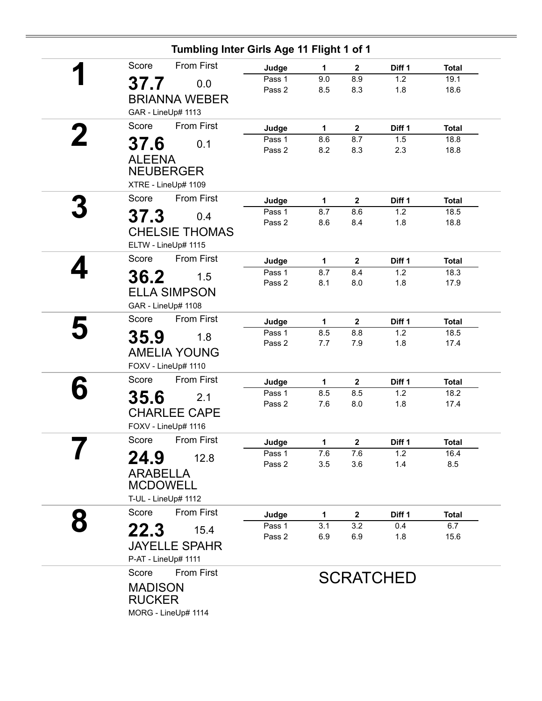|   | Tumbling Inter Girls Age 11 Flight 1 of 1        |                 |                     |                         |                  |                      |
|---|--------------------------------------------------|-----------------|---------------------|-------------------------|------------------|----------------------|
|   | <b>From First</b><br>Score                       | Judge           | $\mathbf{1}$        | $\boldsymbol{2}$        | Diff 1           | <b>Total</b>         |
|   | 37.7<br>0.0                                      | Pass 1          | 9.0                 | 8.9                     | 1.2              | 19.1                 |
|   | <b>BRIANNA WEBER</b>                             | Pass 2          | 8.5                 | 8.3                     | 1.8              | 18.6                 |
|   |                                                  |                 |                     |                         |                  |                      |
|   | GAR - LineUp# 1113<br><b>From First</b><br>Score |                 |                     |                         |                  |                      |
|   |                                                  | Judge<br>Pass 1 | $\mathbf{1}$<br>8.6 | $\mathbf{2}$<br>8.7     | Diff 1<br>1.5    | <b>Total</b><br>18.8 |
|   | 37.6<br>0.1                                      | Pass 2          | 8.2                 | 8.3                     | 2.3              | 18.8                 |
|   | <b>ALEENA</b>                                    |                 |                     |                         |                  |                      |
|   | <b>NEUBERGER</b>                                 |                 |                     |                         |                  |                      |
|   | XTRE - LineUp# 1109                              |                 |                     |                         |                  |                      |
|   | <b>From First</b><br>Score                       | Judge           | 1                   | $\mathbf 2$             | Diff 1           | <b>Total</b>         |
|   | 37.3<br>0.4                                      | Pass 1          | 8.7                 | 8.6                     | 1.2              | 18.5                 |
|   | <b>CHELSIE THOMAS</b>                            | Pass 2          | 8.6                 | 8.4                     | 1.8              | 18.8                 |
|   | ELTW - LineUp# 1115                              |                 |                     |                         |                  |                      |
|   | <b>From First</b><br>Score                       |                 |                     |                         |                  |                      |
|   |                                                  | Judge<br>Pass 1 | 1<br>8.7            | $\mathbf{2}$<br>8.4     | Diff 1<br>1.2    | <b>Total</b><br>18.3 |
|   | 36.2<br>1.5                                      | Pass 2          | 8.1                 | 8.0                     | 1.8              | 17.9                 |
|   | <b>ELLA SIMPSON</b>                              |                 |                     |                         |                  |                      |
|   | GAR - LineUp# 1108                               |                 |                     |                         |                  |                      |
|   | <b>From First</b><br>Score                       | Judge           | $\mathbf{1}$        | $\overline{\mathbf{2}}$ | Diff 1           | <b>Total</b>         |
|   | 35.9<br>1.8                                      | Pass 1          | 8.5                 | 8.8                     | 1.2              | 18.5                 |
|   |                                                  | Pass 2          | 7.7                 | 7.9                     | 1.8              | 17.4                 |
|   | <b>AMELIA YOUNG</b><br>FOXV - LineUp# 1110       |                 |                     |                         |                  |                      |
|   | From First<br>Score                              |                 |                     |                         |                  |                      |
|   |                                                  | Judge<br>Pass 1 | 1                   | $\boldsymbol{2}$        | Diff 1<br>1.2    | <b>Total</b>         |
|   | 35.6<br>2.1                                      | Pass 2          | 8.5<br>7.6          | 8.5<br>8.0              | 1.8              | 18.2<br>17.4         |
|   | <b>CHARLEE CAPE</b>                              |                 |                     |                         |                  |                      |
|   | FOXV - LineUp# 1116                              |                 |                     |                         |                  |                      |
|   | Score<br><b>From First</b>                       | Judge           | 1                   | $\mathbf{2}$            | Diff 1           | <b>Total</b>         |
|   | 24.9<br>12.8                                     | Pass 1          | 7.6                 | 7.6                     | 1.2              | 16.4                 |
|   | <b>ARABELLA</b>                                  | Pass 2          | 3.5                 | 3.6                     | 1.4              | 8.5                  |
|   | <b>MCDOWELL</b>                                  |                 |                     |                         |                  |                      |
|   | T-UL - LineUp# 1112                              |                 |                     |                         |                  |                      |
|   | <b>From First</b><br>Score                       |                 |                     |                         |                  |                      |
| 8 |                                                  | Judge<br>Pass 1 | 1<br>3.1            | $\mathbf{2}$<br>3.2     | Diff 1<br>0.4    | <b>Total</b><br>6.7  |
|   | 22.3<br>15.4                                     | Pass 2          | 6.9                 | 6.9                     | 1.8              | 15.6                 |
|   | <b>JAYELLE SPAHR</b>                             |                 |                     |                         |                  |                      |
|   | P-AT - LineUp# 1111                              |                 |                     |                         |                  |                      |
|   | <b>From First</b><br>Score                       |                 |                     |                         | <b>SCRATCHED</b> |                      |
|   | <b>MADISON</b>                                   |                 |                     |                         |                  |                      |
|   | <b>RUCKER</b>                                    |                 |                     |                         |                  |                      |
|   | MORG - LineUp# 1114                              |                 |                     |                         |                  |                      |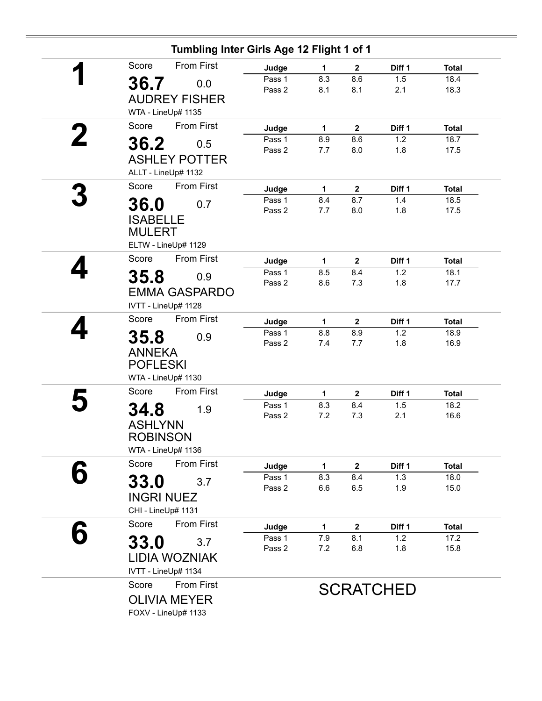|             | Tumbling Inter Girls Age 12 Flight 1 of 1  |                  |              |                |                   |              |
|-------------|--------------------------------------------|------------------|--------------|----------------|-------------------|--------------|
| Score       | <b>From First</b>                          | Judge            | $\mathbf{1}$ | $\mathbf{2}$   | Diff <sub>1</sub> | <b>Total</b> |
|             | 36.7<br>0.0                                | Pass 1<br>Pass 2 | 8.3<br>8.1   | 8.6<br>8.1     | 1.5<br>2.1        | 18.4<br>18.3 |
|             | <b>AUDREY FISHER</b><br>WTA - LineUp# 1135 |                  |              |                |                   |              |
| Score       | <b>From First</b>                          | Judge            | 1            | $\overline{2}$ | Diff 1            | <b>Total</b> |
|             | 36.2<br>0.5                                | Pass 1           | 8.9          | 8.6            | 1.2               | 18.7         |
|             | <b>ASHLEY POTTER</b>                       | Pass 2           | 7.7          | 8.0            | 1.8               | 17.5         |
|             | ALLT - LineUp# 1132                        |                  |              |                |                   |              |
| Score       | <b>From First</b>                          | Judge            | 1            | $\mathbf{2}$   | Diff 1            | <b>Total</b> |
| <b>36.0</b> | 0.7                                        | Pass 1           | 8.4          | 8.7            | 1.4               | 18.5         |
|             |                                            | Pass 2           | 7.7          | 8.0            | 1.8               | 17.5         |
|             | <b>ISABELLE</b><br><b>MULERT</b>           |                  |              |                |                   |              |
|             | ELTW - LineUp# 1129                        |                  |              |                |                   |              |
| Score       | <b>From First</b>                          | Judge            | 1            | $\mathbf{2}$   | Diff 1            | <b>Total</b> |
|             | 35.8<br>0.9                                | Pass 1           | 8.5          | 8.4            | 1.2               | 18.1         |
|             | <b>EMMA GASPARDO</b>                       | Pass 2           | 8.6          | 7.3            | 1.8               | 17.7         |
|             | IVTT - LineUp# 1128                        |                  |              |                |                   |              |
| Score       | <b>From First</b>                          | Judge            | $\mathbf{1}$ | $\mathbf{2}$   | Diff 1            | <b>Total</b> |
| 35.8        | 0.9                                        | Pass 1           | 8.8          | 8.9            | 1.2               | 18.9         |
|             |                                            | Pass 2           | 7.4          | 7.7            | 1.8               | 16.9         |
|             | <b>ANNEKA</b><br><b>POFLESKI</b>           |                  |              |                |                   |              |
|             | WTA - LineUp# 1130                         |                  |              |                |                   |              |
| Score       | From First                                 | Judge            | 1            | $\mathbf{2}$   | Diff 1            | <b>Total</b> |
| 34.8        | 1.9                                        | Pass 1           | 8.3          | 8.4            | 1.5               | 18.2         |
|             |                                            | Pass 2           | 7.2          | 7.3            | 2.1               | 16.6         |
|             | <b>ASHLYNN</b><br><b>ROBINSON</b>          |                  |              |                |                   |              |
|             | WTA - LineUp# 1136                         |                  |              |                |                   |              |
| Score       | <b>From First</b>                          | Judge            | $\mathbf 1$  | $\mathbf{2}$   | Diff 1            | <b>Total</b> |
| 33.0        | 3.7                                        | Pass 1           | 8.3          | 8.4            | 1.3               | 18.0         |
|             | <b>INGRI NUEZ</b>                          | Pass 2           | 6.6          | 6.5            | 1.9               | 15.0         |
|             | CHI - LineUp# 1131                         |                  |              |                |                   |              |
| Score       | <b>From First</b>                          | Judge            | 1            | $\mathbf{2}$   | Diff 1            | <b>Total</b> |
|             |                                            | Pass 1           | 7.9          | 8.1            | 1.2               | 17.2         |
| <b>33.0</b> | 3.7                                        | Pass 2           | 7.2          | 6.8            | 1.8               | 15.8         |
|             | <b>LIDIA WOZNIAK</b>                       |                  |              |                |                   |              |
|             | IVTT - LineUp# 1134                        |                  |              |                |                   |              |
| Score       | <b>From First</b>                          |                  |              |                | <b>SCRATCHED</b>  |              |
|             | <b>OLIVIA MEYER</b>                        |                  |              |                |                   |              |
|             | FOXV - LineUp# 1133                        |                  |              |                |                   |              |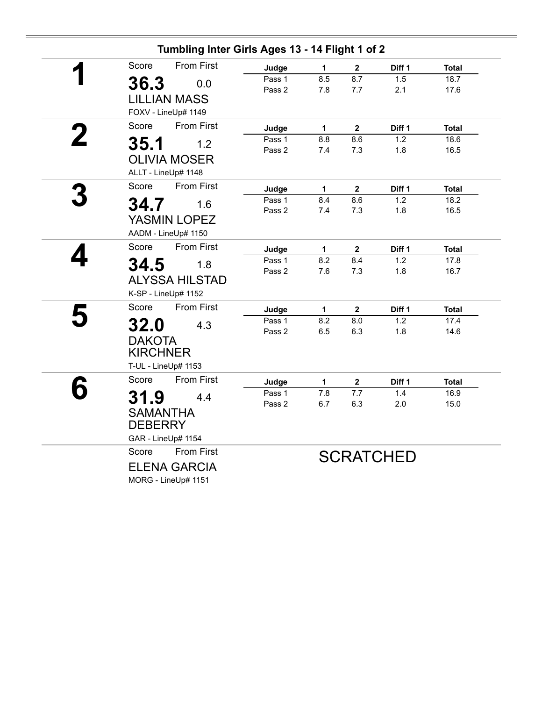|                                                                           |                          | Tumbling Inter Girls Ages 13 - 14 Flight 1 of 2 |                                        |                                        |                      |                              |
|---------------------------------------------------------------------------|--------------------------|-------------------------------------------------|----------------------------------------|----------------------------------------|----------------------|------------------------------|
| Score                                                                     | <b>From First</b>        | Judge                                           | 1                                      | $\mathbf 2$                            | Diff 1               | <b>Total</b>                 |
| 36.3                                                                      | 0.0                      | Pass 1<br>Pass 2                                | 8.5<br>7.8                             | 8.7<br>7.7                             | 1.5<br>2.1           | 18.7<br>17.6                 |
| <b>LILLIAN MASS</b><br>FOXV - LineUp# 1149                                |                          |                                                 |                                        |                                        |                      |                              |
| Score                                                                     | <b>From First</b>        | Judge                                           | $\mathbf{1}$                           | $\mathbf{2}$                           | Diff 1               | <b>Total</b>                 |
| 35.1<br><b>OLIVIA MOSER</b><br>ALLT - LineUp# 1148                        | 1.2                      | Pass 1<br>Pass 2                                | 8.8<br>7.4                             | 8.6<br>7.3                             | 1.2<br>1.8           | 18.6<br>16.5                 |
| Score                                                                     | <b>From First</b>        | Judge                                           | $\mathbf{1}$                           | $\overline{\mathbf{2}}$                | Diff 1               | <b>Total</b>                 |
| 34.7<br>YASMIN LOPEZ<br>AADM - LineUp# 1150                               | 1.6                      | Pass 1<br>Pass 2                                | 8.4<br>7.4                             | 8.6<br>7.3                             | 1.2<br>1.8           | 18.2<br>16.5                 |
| Score                                                                     | From First               | Judge                                           | $\mathbf 1$                            | $\mathbf{2}$                           | Diff 1               | <b>Total</b>                 |
| 34.5<br><b>ALYSSA HILSTAD</b><br>K-SP - LineUp# 1152                      | 1.8                      | Pass 1<br>Pass 2                                | 8.2<br>7.6                             | 8.4<br>7.3                             | 1.2<br>1.8           | 17.8<br>16.7                 |
| Score                                                                     | <b>From First</b>        | Judge                                           | $\mathbf 1$                            | $\overline{\mathbf{2}}$                | Diff 1               | <b>Total</b>                 |
| <b>32.0</b><br><b>DAKOTA</b><br><b>KIRCHNER</b>                           | 4.3                      | Pass 1<br>Pass 2                                | 8.2<br>6.5                             | 8.0<br>6.3                             | 1.2<br>1.8           | 17.4<br>14.6                 |
| T-UL - LineUp# 1153                                                       |                          |                                                 |                                        |                                        |                      |                              |
| Score<br>31.9<br><b>SAMANTHA</b><br><b>DEBERRY</b>                        | <b>From First</b><br>4.4 | Judge<br>Pass 1<br>Pass 2                       | $\mathbf 1$<br>$\overline{7.8}$<br>6.7 | $\mathbf 2$<br>$\overline{7.7}$<br>6.3 | Diff 1<br>1.4<br>2.0 | <b>Total</b><br>16.9<br>15.0 |
| GAR - LineUp# 1154<br>Score<br><b>ELENA GARCIA</b><br>MORG - LineUp# 1151 | <b>From First</b>        |                                                 |                                        |                                        | <b>SCRATCHED</b>     |                              |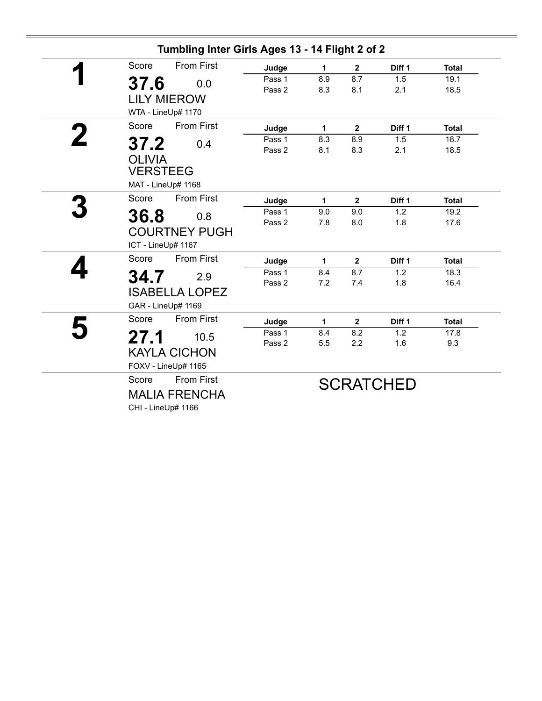| Tumbling Inter Girls Ages 13 - 14 Flight 2 of 2                          |                  |            |              |                   |              |
|--------------------------------------------------------------------------|------------------|------------|--------------|-------------------|--------------|
| <b>From First</b><br>Score                                               | Judge            | 1          | $\mathbf{2}$ | Diff <sub>1</sub> | <b>Total</b> |
| 37.6<br>0.0<br><b>LILY MIEROW</b><br>WTA - LineUp# 1170                  | Pass 1<br>Pass 2 | 8.9<br>8.3 | 8.7<br>8.1   | 1.5<br>2.1        | 19.1<br>18.5 |
| <b>From First</b><br>Score                                               | Judge            | 1          | $\mathbf{2}$ | Diff 1            | <b>Total</b> |
| 37.2<br>0.4<br><b>OLIVIA</b><br><b>VERSTEEG</b><br>MAT - LineUp# 1168    | Pass 1<br>Pass 2 | 8.3<br>8.1 | 8.9<br>8.3   | 1.5<br>2.1        | 18.7<br>18.5 |
| <b>From First</b><br>Score                                               | Judge            | 1          | $\mathbf{2}$ | Diff 1            | <b>Total</b> |
| 36.8<br>0.8<br><b>COURTNEY PUGH</b><br>ICT - LineUp# 1167                | Pass 1<br>Pass 2 | 9.0<br>7.8 | 9.0<br>8.0   | 1.2<br>1.8        | 19.2<br>17.6 |
| <b>From First</b><br>Score                                               | Judge            | 1          | $\mathbf{2}$ | Diff 1            | <b>Total</b> |
| 34.7<br>2.9<br><b>ISABELLA LOPEZ</b><br>GAR - LineUp# 1169               | Pass 1<br>Pass 2 | 8.4<br>7.2 | 8.7<br>7.4   | 1.2<br>1.8        | 18.3<br>16.4 |
| <b>From First</b><br>Score                                               | Judge            | 1          | $\mathbf{2}$ | Diff 1            | <b>Total</b> |
| 27.1<br>10.5<br><b>KAYLA CICHON</b><br>FOXV - LineUp# 1165               | Pass 1<br>Pass 2 | 8.4<br>5.5 | 8.2<br>2.2   | 1.2<br>1.6        | 17.8<br>9.3  |
| <b>From First</b><br>Score<br><b>MALIA FRENCHA</b><br>CHI - LineUp# 1166 |                  |            |              | <b>SCRATCHED</b>  |              |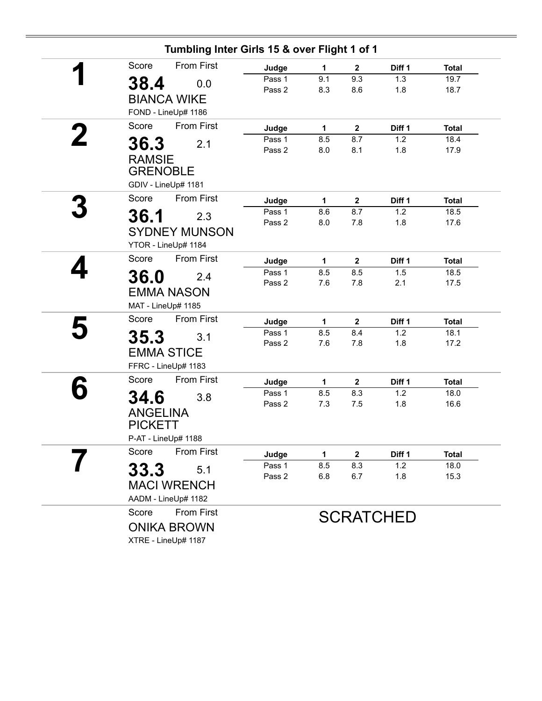| Tumbling Inter Girls 15 & over Flight 1 of 1 |                  |              |                         |                  |              |
|----------------------------------------------|------------------|--------------|-------------------------|------------------|--------------|
| <b>From First</b><br>Score                   | Judge            | 1            | $\boldsymbol{2}$        | Diff 1           | <b>Total</b> |
| 38.4<br>0.0                                  | Pass 1           | 9.1          | 9.3                     | 1.3              | 19.7         |
| <b>BIANCA WIKE</b>                           | Pass 2           | 8.3          | 8.6                     | 1.8              | 18.7         |
|                                              |                  |              |                         |                  |              |
| FOND - LineUp# 1186                          |                  |              |                         |                  |              |
| <b>From First</b><br>Score                   | Judge            | $\mathbf{1}$ | $\mathbf{2}$            | Diff 1           | <b>Total</b> |
| 36.3<br>2.1                                  | Pass 1<br>Pass 2 | 8.5<br>8.0   | 8.7<br>8.1              | 1.2<br>1.8       | 18.4<br>17.9 |
| <b>RAMSIE</b>                                |                  |              |                         |                  |              |
| <b>GRENOBLE</b>                              |                  |              |                         |                  |              |
| GDIV - LineUp# 1181                          |                  |              |                         |                  |              |
| <b>From First</b><br>Score                   | Judge            | 1            | $\mathbf 2$             | Diff 1           | <b>Total</b> |
| 36.1<br>2.3                                  | Pass 1           | 8.6          | 8.7                     | 1.2              | 18.5         |
|                                              | Pass 2           | 8.0          | 7.8                     | 1.8              | 17.6         |
| <b>SYDNEY MUNSON</b>                         |                  |              |                         |                  |              |
| YTOR - LineUp# 1184                          |                  |              |                         |                  |              |
| Score<br><b>From First</b>                   | Judge            | 1            | $\mathbf{2}$            | Diff 1           | <b>Total</b> |
| 36.0<br>2.4                                  | Pass 1<br>Pass 2 | 8.5<br>7.6   | 8.5                     | 1.5              | 18.5         |
| <b>EMMA NASON</b>                            |                  |              | 7.8                     | 2.1              | 17.5         |
| MAT - LineUp# 1185                           |                  |              |                         |                  |              |
| <b>From First</b><br>Score                   | Judge            | 1            | $\overline{\mathbf{2}}$ | Diff 1           | <b>Total</b> |
|                                              | Pass 1           | 8.5          | 8.4                     | 1.2              | 18.1         |
| 35.3<br>3.1                                  | Pass 2           | 7.6          | 7.8                     | 1.8              | 17.2         |
| <b>EMMA STICE</b>                            |                  |              |                         |                  |              |
| FFRC - LineUp# 1183                          |                  |              |                         |                  |              |
| <b>From First</b><br>Score                   | Judge            | 1            | $\mathbf 2$             | Diff 1           | <b>Total</b> |
| 34.6<br>3.8                                  | Pass 1           | 8.5          | 8.3                     | 1.2              | 18.0         |
| <b>ANGELINA</b>                              | Pass 2           | 7.3          | 7.5                     | 1.8              | 16.6         |
| <b>PICKETT</b>                               |                  |              |                         |                  |              |
| P-AT - LineUp# 1188                          |                  |              |                         |                  |              |
| <b>From First</b><br>Score                   | Judge            | 1            | $\mathbf{2}$            | Diff 1           | <b>Total</b> |
| 5.1                                          | Pass 1           | 8.5          | 8.3                     | 1.2              | 18.0         |
| 33.3                                         | Pass 2           | 6.8          | 6.7                     | 1.8              | 15.3         |
| <b>MACI WRENCH</b>                           |                  |              |                         |                  |              |
| AADM - LineUp# 1182                          |                  |              |                         |                  |              |
| From First<br>Score                          |                  |              |                         | <b>SCRATCHED</b> |              |
| <b>ONIKA BROWN</b>                           |                  |              |                         |                  |              |
| XTRE - LineUp# 1187                          |                  |              |                         |                  |              |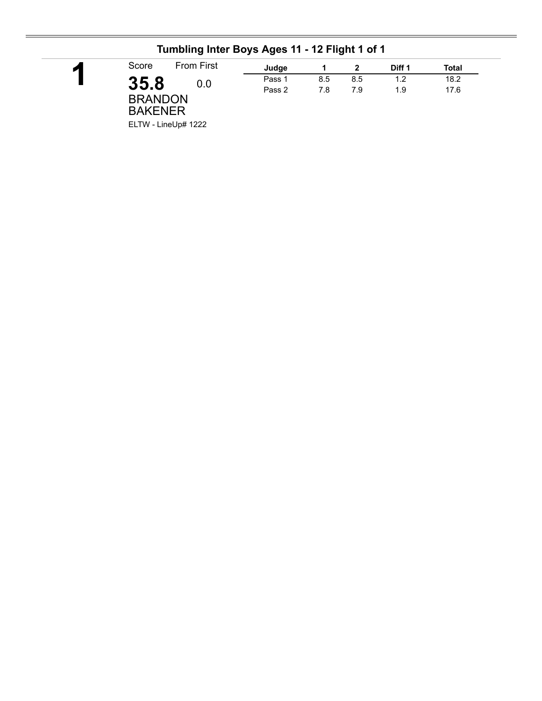| Score                            | <b>From First</b>   | Judge  |     |     | Diff 1 | Total |
|----------------------------------|---------------------|--------|-----|-----|--------|-------|
| 35.8                             | 0.0                 | Pass 1 | 8.5 | 8.5 | 1.2    | 18.2  |
| <b>BRANDON</b><br><b>BAKENER</b> | ELTW - LineUp# 1222 | Pass 2 | 7.8 | 7.9 | 1.9    | 17.6  |

#### **Tumbling Inter Boys Ages 11 - 12 Flight 1 of 1**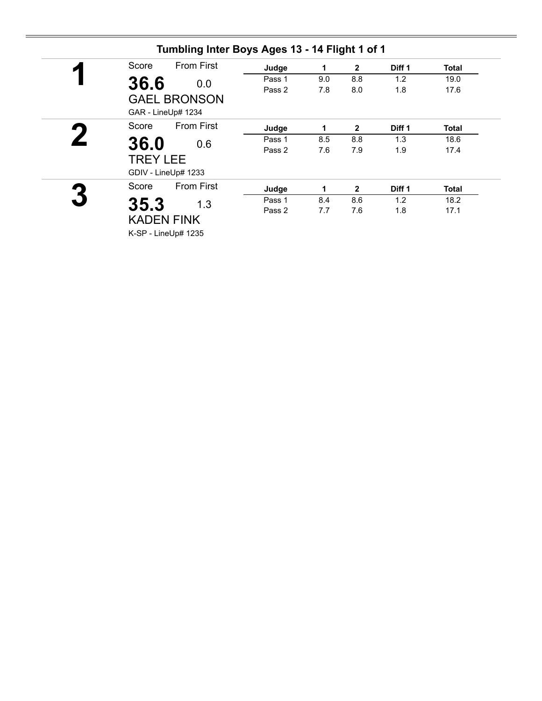| Score               | <b>From First</b><br>Judge | 1   | $\overline{2}$ | Diff 1 | <b>Total</b> |
|---------------------|----------------------------|-----|----------------|--------|--------------|
| 36.6                | Pass 1<br>0.0              | 9.0 | 8.8            | 1.2    | 19.0         |
| <b>GAEL BRONSON</b> | Pass 2                     | 7.8 | 8.0            | 1.8    | 17.6         |
| GAR - LineUp# 1234  |                            |     |                |        |              |
| Score               | <b>From First</b><br>Judge | 1   | $\overline{2}$ | Diff 1 | <b>Total</b> |
| 36.0                | Pass 1<br>0.6              | 8.5 | 8.8            | 1.3    | 18.6         |
| <b>TREY LEE</b>     | Pass 2                     | 7.6 | 7.9            | 1.9    | 17.4         |
| GDIV - LineUp# 1233 |                            |     |                |        |              |
| Score               | <b>From First</b><br>Judge | 1   | $\overline{2}$ | Diff 1 | Total        |
| 35.3                | Pass 1<br>1.3              | 8.4 | 8.6            | 1.2    | 18.2         |
| <b>KADEN FINK</b>   | Pass 2                     | 7.7 | 7.6            | 1.8    | 17.1         |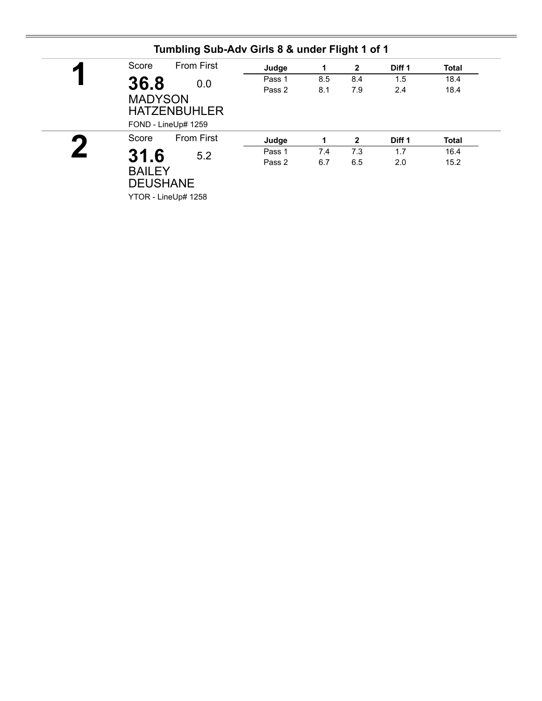| <b>From First</b> | Judge                                                                                                                          | 1   | $\mathbf{2}$ | Diff 1 | <b>Total</b> |
|-------------------|--------------------------------------------------------------------------------------------------------------------------------|-----|--------------|--------|--------------|
|                   | Pass 1                                                                                                                         | 8.5 | 8.4          | 1.5    | 18.4         |
|                   | Pass 2                                                                                                                         | 8.1 | 7.9          | 2.4    | 18.4         |
| <b>From First</b> | Judge                                                                                                                          | 1   | $\mathbf{2}$ | Diff 1 | <b>Total</b> |
|                   | Pass 1                                                                                                                         | 7.4 | 7.3          | 1.7    | 16.4         |
|                   | Pass 2                                                                                                                         | 6.7 | 6.5          | 2.0    | 15.2         |
|                   | 36.8<br>0.0<br><b>MADYSON</b><br><b>HATZENBUHLER</b><br>FOND - LineUp# 1259<br>31.6<br>5.2<br><b>BAILEY</b><br><b>DEUSHANE</b> |     |              |        |              |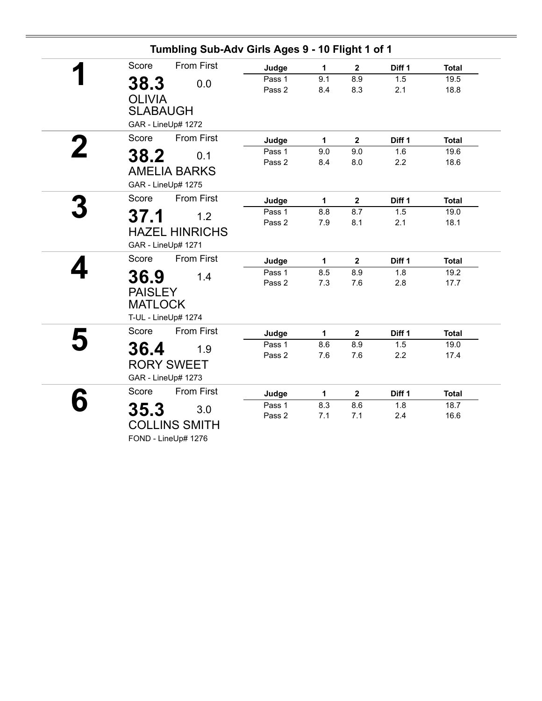| Score                            | <b>From First</b>                       | Judge            | 1           | $\mathbf{2}$ | Diff 1     | <b>Total</b> |
|----------------------------------|-----------------------------------------|------------------|-------------|--------------|------------|--------------|
| 38.3<br><b>OLIVIA</b>            | 0.0                                     | Pass 1<br>Pass 2 | 9.1<br>8.4  | 8.9<br>8.3   | 1.5<br>2.1 | 19.5<br>18.8 |
| <b>SLABAUGH</b>                  | GAR - LineUp# 1272                      |                  |             |              |            |              |
| Score                            | <b>From First</b>                       | Judge            | 1           | $\mathbf{2}$ | Diff 1     | <b>Total</b> |
| 38.2                             | 0.1                                     | Pass 1           | 9.0         | 9.0          | 1.6        | 19.6         |
| GAR - LineUp# 1275               | <b>AMELIA BARKS</b>                     | Pass 2           | 8.4         | 8.0          | 2.2        | 18.6         |
| Score                            | <b>From First</b>                       | Judge            | 1           | $\mathbf 2$  | Diff 1     | <b>Total</b> |
| 37.1                             | 1.2                                     | Pass 1           | 8.8         | 8.7          | 1.5        | 19.0         |
| GAR - LineUp# 1271               | <b>HAZEL HINRICHS</b>                   | Pass 2           | 7.9         | 8.1          | 2.1        | 18.1         |
| Score                            | <b>From First</b>                       | Judge            | $\mathbf 1$ | $\mathbf{2}$ | Diff 1     | <b>Total</b> |
| 36.9                             | 1.4                                     | Pass 1           | 8.5         | 8.9          | 1.8        | 19.2         |
| <b>PAISLEY</b><br><b>MATLOCK</b> | T-UL - LineUp# 1274                     | Pass 2           | 7.3         | 7.6          | 2.8        | 17.7         |
| Score                            | <b>From First</b>                       | Judge            | 1           | $\mathbf{2}$ | Diff 1     | <b>Total</b> |
| 36.4                             | 1.9                                     | Pass 1           | 8.6         | 8.9          | 1.5        | 19.0         |
|                                  | <b>RORY SWEET</b><br>GAR - LineUp# 1273 | Pass 2           | 7.6         | 7.6          | 2.2        | 17.4         |
| Score                            | <b>From First</b>                       | Judge            | 1           | $\mathbf{2}$ | Diff 1     | <b>Total</b> |
| 35.3                             | 3.0                                     | Pass 1           | 8.3         | 8.6          | 1.8        | 18.7         |
|                                  | <b>COLLINS SMITH</b>                    | Pass 2           | 7.1         | 7.1          | 2.4        | 16.6         |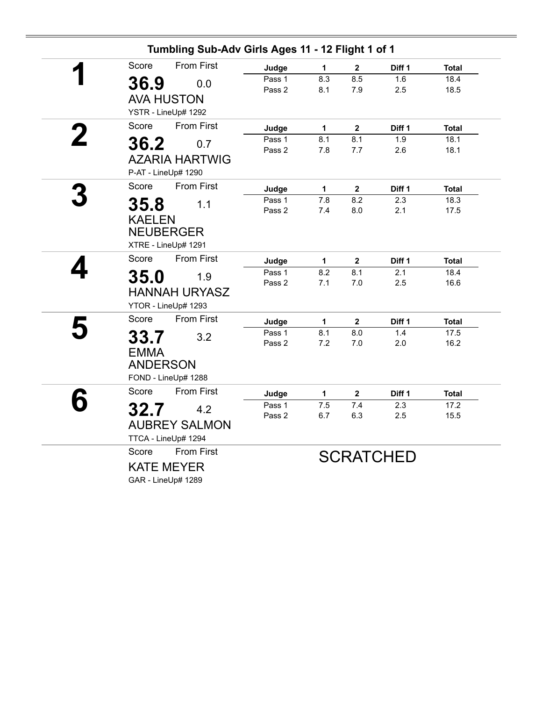| Tumbling Sub-Adv Girls Ages 11 - 12 Flight 1 of 1 |                  |                  |                         |                  |                      |
|---------------------------------------------------|------------------|------------------|-------------------------|------------------|----------------------|
| Score<br><b>From First</b>                        | Judge            | 1                | $\mathbf 2$             | Diff 1           | <b>Total</b>         |
| 36.9<br>0.0                                       | Pass 1           | 8.3              | 8.5                     | 1.6              | 18.4                 |
|                                                   | Pass 2           | 8.1              | 7.9                     | 2.5              | 18.5                 |
| <b>AVA HUSTON</b>                                 |                  |                  |                         |                  |                      |
| YSTR - LineUp# 1292                               |                  |                  |                         |                  |                      |
| <b>From First</b><br>Score                        | Judge            | $\mathbf 1$      | $\mathbf{2}$            | Diff 1           | <b>Total</b>         |
| 36.2<br>0.7                                       | Pass 1           | 8.1              | 8.1                     | 1.9              | 18.1                 |
| <b>AZARIA HARTWIG</b>                             | Pass 2           | 7.8              | 7.7                     | 2.6              | 18.1                 |
| P-AT - LineUp# 1290                               |                  |                  |                         |                  |                      |
| <b>From First</b><br>Score                        | Judge            | $\mathbf 1$      | $\mathbf{2}$            | Diff 1           | <b>Total</b>         |
| 35.8<br>1.1                                       | Pass 1           | $\overline{7.8}$ | 8.2                     | 2.3              | 18.3                 |
| <b>KAELEN</b>                                     | Pass 2           | 7.4              | 8.0                     | 2.1              | 17.5                 |
| <b>NEUBERGER</b>                                  |                  |                  |                         |                  |                      |
| XTRE - LineUp# 1291                               |                  |                  |                         |                  |                      |
|                                                   |                  |                  |                         |                  |                      |
| <b>From First</b><br>Score                        | Judge            | 1                | $\mathbf 2$             | Diff 1           | <b>Total</b>         |
| 35.0<br>1.9                                       | Pass 1<br>Pass 2 | 8.2<br>7.1       | 8.1<br>$7.0$            | 2.1<br>2.5       | 18.4<br>16.6         |
| <b>HANNAH URYASZ</b>                              |                  |                  |                         |                  |                      |
| YTOR - LineUp# 1293                               |                  |                  |                         |                  |                      |
| From First<br>Score                               | Judge            | $\mathbf 1$      | $\overline{\mathbf{2}}$ | Diff 1           | <b>Total</b>         |
| 33.7<br>3.2                                       | Pass 1           | 8.1              | 8.0                     | 1.4              | 17.5                 |
| <b>EMMA</b>                                       | Pass 2           | 7.2              | 7.0                     | 2.0              | 16.2                 |
| <b>ANDERSON</b>                                   |                  |                  |                         |                  |                      |
| FOND - LineUp# 1288                               |                  |                  |                         |                  |                      |
| <b>From First</b><br>Score                        |                  |                  |                         |                  |                      |
|                                                   | Judge<br>Pass 1  | 1<br>7.5         | $\mathbf 2$<br>7.4      | Diff 1<br>2.3    | <b>Total</b><br>17.2 |
| 32.7<br>4.2                                       | Pass 2           | 6.7              | 6.3                     | 2.5              | 15.5                 |
| <b>AUBREY SALMON</b>                              |                  |                  |                         |                  |                      |
| TTCA - LineUp# 1294                               |                  |                  |                         |                  |                      |
| <b>From First</b><br>Score                        |                  |                  |                         | <b>SCRATCHED</b> |                      |
| <b>KATE MEYER</b>                                 |                  |                  |                         |                  |                      |
| GAR - LineUp# 1289                                |                  |                  |                         |                  |                      |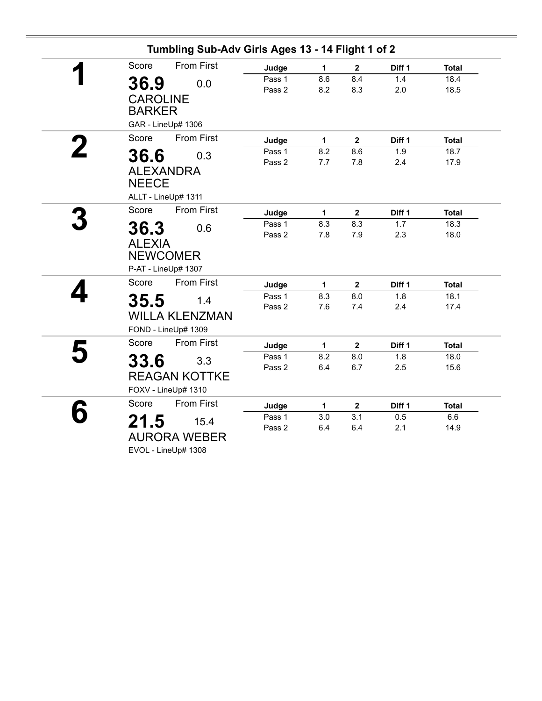| Tumbling Sub-Adv Girls Ages 13 - 14 Flight 1 of 2                      |                  |              |                         |            |              |
|------------------------------------------------------------------------|------------------|--------------|-------------------------|------------|--------------|
| <b>From First</b><br>Score                                             | Judge            | $\mathbf 1$  | $\overline{\mathbf{2}}$ | Diff 1     | <b>Total</b> |
| 36.9<br>0.0<br><b>CAROLINE</b><br><b>BARKER</b>                        | Pass 1<br>Pass 2 | 8.6<br>8.2   | 8.4<br>8.3              | 1.4<br>2.0 | 18.4<br>18.5 |
| GAR - LineUp# 1306                                                     |                  |              |                         |            |              |
| <b>From First</b><br>Score                                             | Judge            | $\mathbf 1$  | $\mathbf{2}$            | Diff 1     | <b>Total</b> |
| 36.6<br>0.3<br><b>ALEXANDRA</b><br><b>NEECE</b><br>ALLT - LineUp# 1311 | Pass 1<br>Pass 2 | 8.2<br>7.7   | 8.6<br>7.8              | 1.9<br>2.4 | 18.7<br>17.9 |
| Score<br><b>From First</b>                                             | Judge            | $\mathbf{1}$ | $\mathbf{2}$            | Diff 1     | <b>Total</b> |
| 36.3<br>0.6<br><b>ALEXIA</b><br><b>NEWCOMER</b><br>P-AT - LineUp# 1307 | Pass 1<br>Pass 2 | 8.3<br>7.8   | 8.3<br>7.9              | 1.7<br>2.3 | 18.3<br>18.0 |
| <b>From First</b><br>Score                                             | Judge            | 1            | $\overline{2}$          | Diff 1     | <b>Total</b> |
| 35.5<br>1.4<br><b>WILLA KLENZMAN</b><br>FOND - LineUp# 1309            | Pass 1<br>Pass 2 | 8.3<br>7.6   | 8.0<br>7.4              | 1.8<br>2.4 | 18.1<br>17.4 |
| Score<br><b>From First</b>                                             | Judge            | $\mathbf{1}$ | $\mathbf{2}$            | Diff 1     | <b>Total</b> |
| 33.6<br>3.3<br><b>REAGAN KOTTKE</b><br>FOXV - LineUp# 1310             | Pass 1<br>Pass 2 | 8.2<br>6.4   | 8.0<br>6.7              | 1.8<br>2.5 | 18.0<br>15.6 |
| <b>From First</b><br>Score                                             | Judge            | 1            | $\mathbf{2}$            | Diff 1     | <b>Total</b> |
| 21.5<br>15.4<br><b>AURORA WEBER</b><br>EVOL - LineUp# 1308             | Pass 1<br>Pass 2 | 3.0<br>6.4   | 3.1<br>6.4              | 0.5<br>2.1 | 6.6<br>14.9  |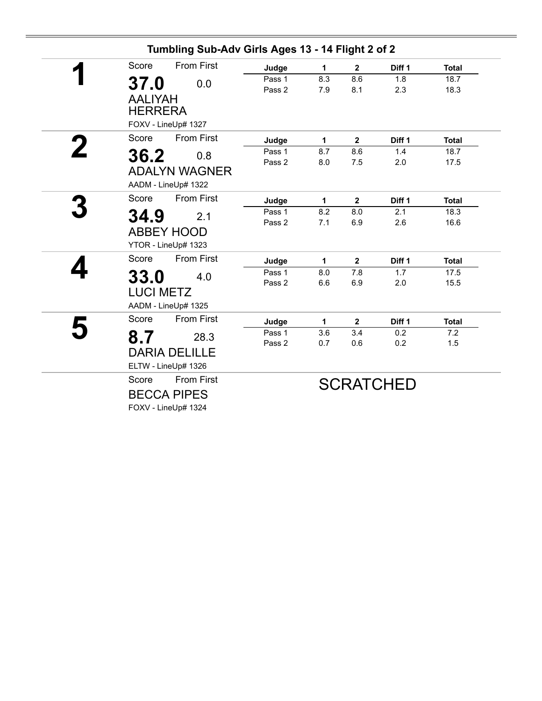| Score            | <b>From First</b>    | Judge  | 1   | $\mathbf{2}$ | Diff 1           | <b>Total</b> |
|------------------|----------------------|--------|-----|--------------|------------------|--------------|
| 37.0             | 0.0                  | Pass 1 | 8.3 | 8.6          | 1.8              | 18.7         |
|                  |                      | Pass 2 | 7.9 | 8.1          | 2.3              | 18.3         |
| <b>AALIYAH</b>   |                      |        |     |              |                  |              |
| <b>HERRERA</b>   |                      |        |     |              |                  |              |
|                  | FOXV - LineUp# 1327  |        |     |              |                  |              |
| Score            | <b>From First</b>    | Judge  | 1   | $\mathbf{2}$ | Diff 1           | <b>Total</b> |
| 36.2             | 0.8                  | Pass 1 | 8.7 | 8.6          | 1.4              | 18.7         |
|                  |                      | Pass 2 | 8.0 | 7.5          | 2.0              | 17.5         |
|                  | <b>ADALYN WAGNER</b> |        |     |              |                  |              |
|                  | AADM - LineUp# 1322  |        |     |              |                  |              |
| Score            | <b>From First</b>    | Judge  | 1   | $\mathbf{2}$ | Diff 1           | <b>Total</b> |
| 34.9             | 2.1                  | Pass 1 | 8.2 | 8.0          | 2.1              | 18.3         |
|                  | <b>ABBEY HOOD</b>    | Pass 2 | 7.1 | 6.9          | 2.6              | 16.6         |
|                  |                      |        |     |              |                  |              |
|                  | YTOR - LineUp# 1323  |        |     |              |                  |              |
| Score            | <b>From First</b>    | Judge  | 1   | $\mathbf{2}$ | Diff 1           | <b>Total</b> |
| 33.0             | 4.0                  | Pass 1 | 8.0 | 7.8          | 1.7              | 17.5         |
| <b>LUCI METZ</b> |                      | Pass 2 | 6.6 | 6.9          | 2.0              | 15.5         |
|                  | AADM - LineUp# 1325  |        |     |              |                  |              |
|                  |                      |        |     |              |                  |              |
| Score            | <b>From First</b>    | Judge  | 1   | $\mathbf{2}$ | Diff 1           | <b>Total</b> |
| 8.7              | 28.3                 | Pass 1 | 3.6 | 3.4          | 0.2              | 7.2          |
|                  | <b>DARIA DELILLE</b> | Pass 2 | 0.7 | 0.6          | 0.2              | 1.5          |
|                  | ELTW - LineUp# 1326  |        |     |              |                  |              |
|                  |                      |        |     |              |                  |              |
| Score            | <b>From First</b>    |        |     |              | <b>SCRATCHED</b> |              |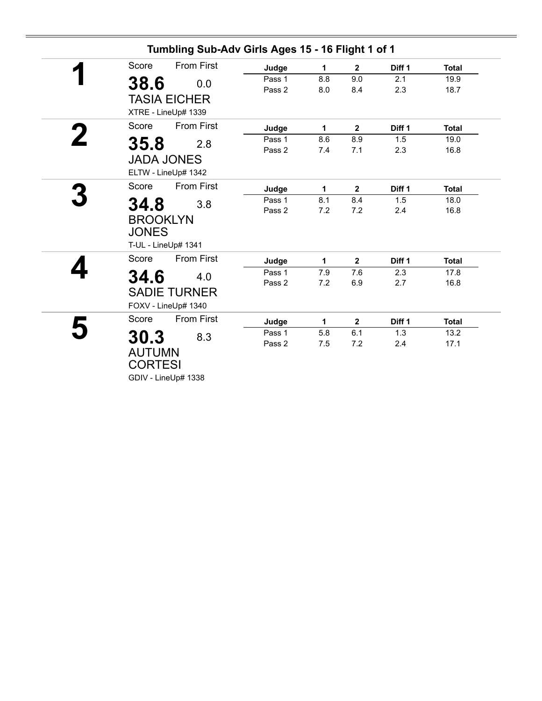| Score                                   | <b>From First</b>   | Judge  | 1   | $\mathbf{2}$ | Diff 1            | <b>Total</b> |
|-----------------------------------------|---------------------|--------|-----|--------------|-------------------|--------------|
| 38.6                                    | 0.0                 | Pass 1 | 8.8 | 9.0          | 2.1               | 19.9         |
|                                         | <b>TASIA EICHER</b> | Pass 2 | 8.0 | 8.4          | 2.3               | 18.7         |
|                                         | XTRE - LineUp# 1339 |        |     |              |                   |              |
| Score                                   | <b>From First</b>   | Judge  | 1   | $\mathbf{2}$ | Diff <sub>1</sub> | <b>Total</b> |
| 35.8                                    | 2.8                 | Pass 1 | 8.6 | 8.9          | 1.5               | 19.0         |
|                                         | <b>JADA JONES</b>   | Pass 2 | 7.4 | 7.1          | 2.3               | 16.8         |
|                                         | ELTW - LineUp# 1342 |        |     |              |                   |              |
| Score                                   | <b>From First</b>   | Judge  | 1   | $\mathbf{2}$ | Diff 1            | <b>Total</b> |
|                                         |                     | Pass 1 | 8.1 | 8.4          | 1.5               | 18.0         |
| 34.8<br><b>BROOKLYN</b><br><b>JONES</b> | 3.8                 | Pass 2 | 7.2 | 7.2          | 2.4               | 16.8         |
|                                         | T-UL - LineUp# 1341 |        |     |              |                   |              |
| Score                                   | <b>From First</b>   | Judge  | 1   | $\mathbf 2$  | Diff 1            | <b>Total</b> |
| 34.6                                    | 4.0                 | Pass 1 | 7.9 | 7.6          | 2.3               | 17.8         |
|                                         | <b>SADIE TURNER</b> | Pass 2 | 7.2 | 6.9          | 2.7               | 16.8         |
|                                         | FOXV - LineUp# 1340 |        |     |              |                   |              |
| Score                                   | <b>From First</b>   | Judge  | 1   | $\mathbf 2$  | Diff 1            | <b>Total</b> |
| 30.3                                    | 8.3                 | Pass 1 | 5.8 | 6.1          | 1.3               | 13.2         |
| <b>AUTUMN</b>                           |                     | Pass 2 | 7.5 | 7.2          | 2.4               | 17.1         |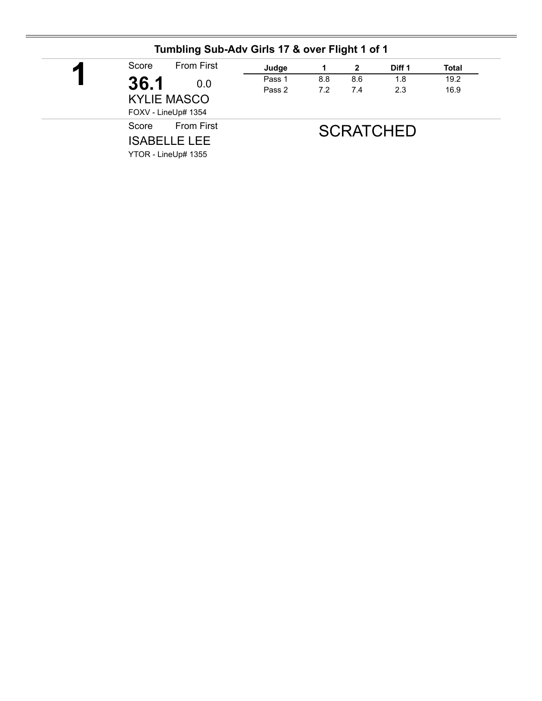| И | <b>From First</b><br>Score                        | Judge  |     | 2   | Diff 1           | <b>Total</b> |
|---|---------------------------------------------------|--------|-----|-----|------------------|--------------|
|   | 36.1<br>0.0                                       | Pass 1 | 8.8 | 8.6 | 1.8              | 19.2         |
|   | <b>KYLIE MASCO</b><br>FOXV - LineUp# 1354         | Pass 2 | 7.2 | 7.4 | 2.3              | 16.9         |
|   | <b>From First</b><br>Score<br><b>ISABELLE LEE</b> |        |     |     | <b>SCRATCHED</b> |              |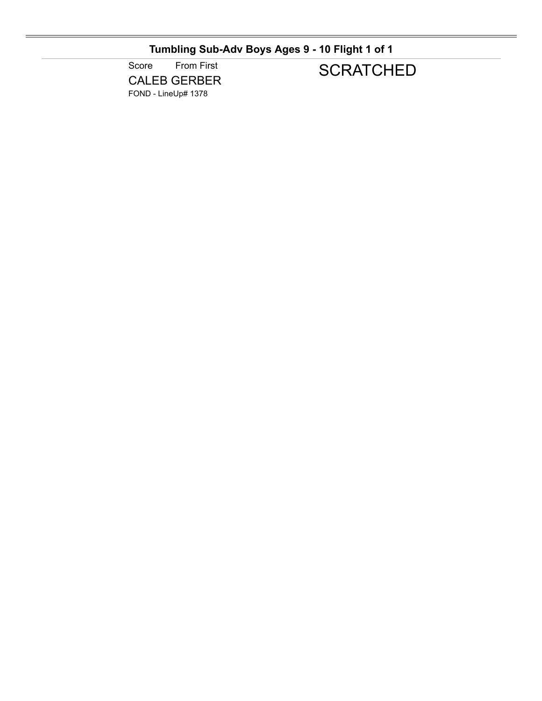**Tumbling Sub-Adv Boys Ages 9 - 10 Flight 1 of 1**

Score From First CALEB GERBER FOND - LineUp# 1378

# **SCRATCHED**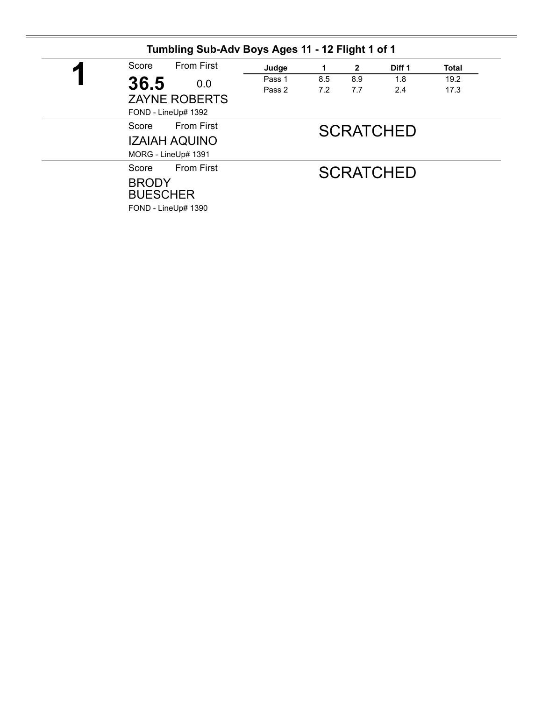| Score<br>η |                                                                                                                  | <b>From First</b> | Judge      | 1          | $\mathbf{2}$ | Diff 1           | <b>Total</b> |
|------------|------------------------------------------------------------------------------------------------------------------|-------------------|------------|------------|--------------|------------------|--------------|
|            | 36.5<br>0.0<br><b>ZAYNE ROBERTS</b><br>FOND - LineUp# 1392<br><b>From First</b><br>Score<br><b>IZAIAH AQUINO</b> | Pass 1<br>Pass 2  | 8.5<br>7.2 | 8.9<br>7.7 | 1.8<br>2.4   | 19.2<br>17.3     |              |
|            | MORG - LineUp# 1391                                                                                              |                   |            |            |              | <b>SCRATCHED</b> |              |
| Score      | <b>BRODY</b><br><b>BUESCHER</b><br>FOND - LineUp# 1390                                                           | <b>From First</b> |            |            |              | <b>SCRATCHED</b> |              |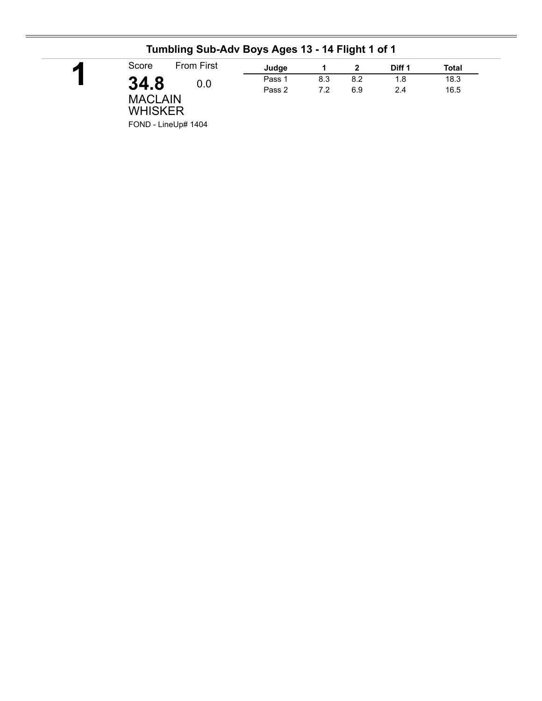|                                                         |     | Judge  |     | 2   | Diff 1 | Total |
|---------------------------------------------------------|-----|--------|-----|-----|--------|-------|
| 34.8                                                    | 0.0 | Pass 1 | 8.3 | 8.2 | 1.8    | 18.3  |
| <b>MACLAIN</b><br><b>WHISKER</b><br>FOND - LineUp# 1404 |     | Pass 2 | 7.2 | 6.9 | 2.4    | 16.5  |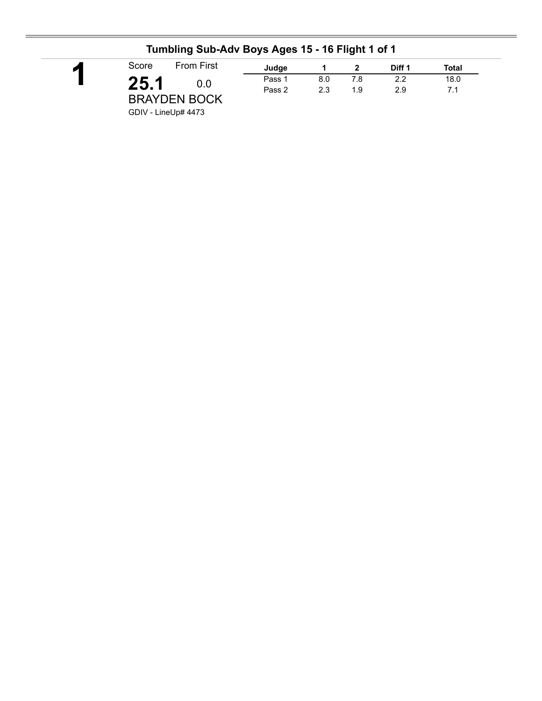| Score               | <b>From First</b> | Judge  |     |     | Diff 1 | Total |
|---------------------|-------------------|--------|-----|-----|--------|-------|
| 25.1                | 0.0               | Pass 1 | 8.0 | 7.8 | 2.2    | 18.0  |
| <b>BRAYDEN BOCK</b> |                   | Pass 2 | 2.3 | 1.9 | 2.9    | 7.1   |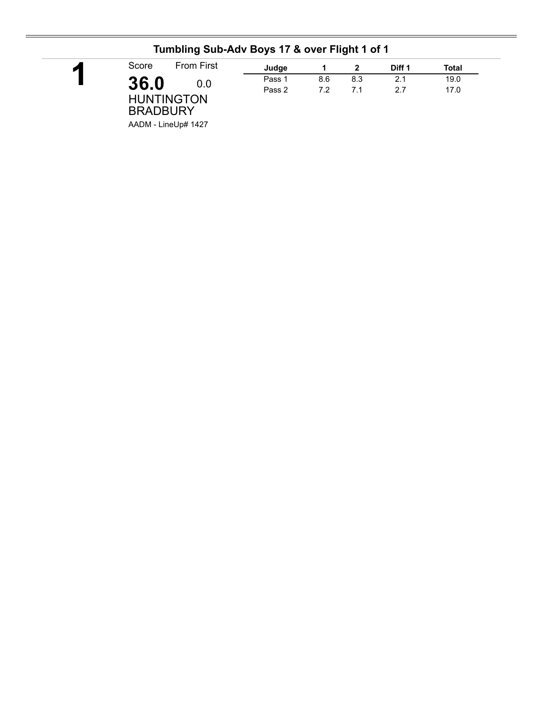| <b>From First</b><br>Score           | Judge  |     |     | Diff 1 | Total |
|--------------------------------------|--------|-----|-----|--------|-------|
| 36.0<br>0.0                          | Pass 1 | 8.6 | 8.3 | 2.1    | 19.0  |
| <b>HUNTINGTON</b><br><b>BRADBURY</b> | Pass 2 | 7.2 | 71  | 27     | 17.0  |

#### **Tumbling Sub-Adv Boys 17 & over Flight 1 of 1**

AADM - LineUp# 1427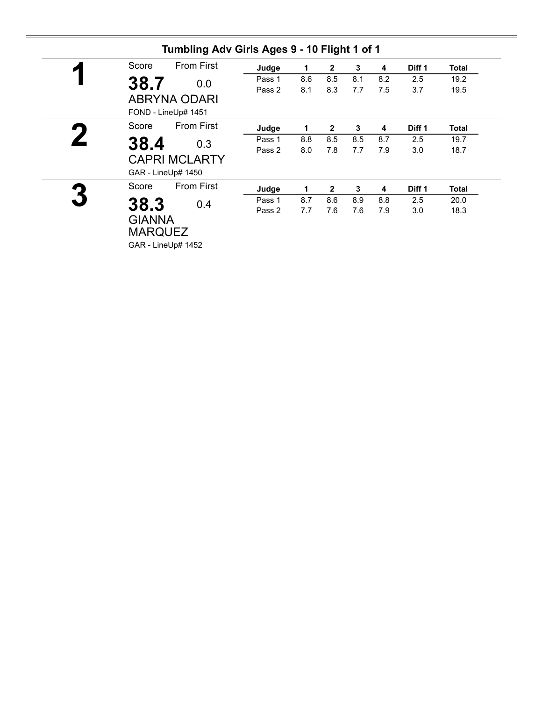| Score         | <b>From First</b>    | Judge  | 1   | $\mathbf{2}$ | 3   | 4   | Diff 1            | <b>Total</b> |
|---------------|----------------------|--------|-----|--------------|-----|-----|-------------------|--------------|
| 38.7          | 0.0                  | Pass 1 | 8.6 | 8.5          | 8.1 | 8.2 | 2.5               | 19.2         |
|               |                      | Pass 2 | 8.1 | 8.3          | 7.7 | 7.5 | 3.7               | 19.5         |
|               | <b>ABRYNA ODARI</b>  |        |     |              |     |     |                   |              |
|               | FOND - LineUp# 1451  |        |     |              |     |     |                   |              |
| Score         | <b>From First</b>    | Judge  | 1   | $\mathbf{2}$ | 3   | 4   | Diff 1            | Total        |
| 38.4          | 0.3                  | Pass 1 | 8.8 | 8.5          | 8.5 | 8.7 | 2.5               | 19.7         |
|               |                      | Pass 2 | 8.0 | 7.8          | 7.7 | 7.9 | 3.0               | 18.7         |
|               | <b>CAPRI MCLARTY</b> |        |     |              |     |     |                   |              |
|               | GAR - LineUp# 1450   |        |     |              |     |     |                   |              |
| Score         | <b>From First</b>    | Judge  | 1.  | $\mathbf{2}$ | 3   | 4   | Diff <sub>1</sub> | <b>Total</b> |
| 38.3          | 0.4                  | Pass 1 | 8.7 | 8.6          | 8.9 | 8.8 | 2.5               | 20.0         |
|               |                      | Pass 2 | 7.7 | 7.6          | 7.6 | 7.9 | 3.0               | 18.3         |
| <b>GIANNA</b> |                      |        |     |              |     |     |                   |              |
|               | <b>MARQUEZ</b>       |        |     |              |     |     |                   |              |
|               | GAR - LineUp# 1452   |        |     |              |     |     |                   |              |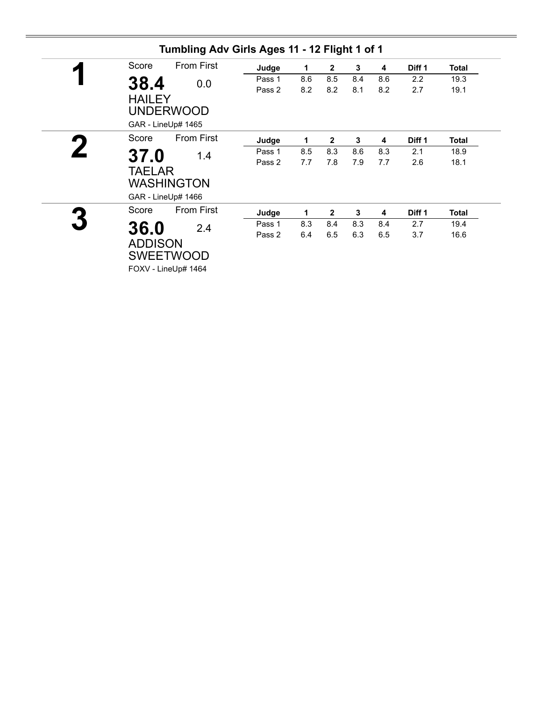|                | Tumbling Adv Girls Ages 11 - 12 Flight 1 of 1 |        |     |                |     |     |        |              |
|----------------|-----------------------------------------------|--------|-----|----------------|-----|-----|--------|--------------|
| Score          | <b>From First</b>                             | Judge  | 1   | $\mathbf{2}$   | 3   | 4   | Diff 1 | Total        |
| 38.4           | 0.0                                           | Pass 1 | 8.6 | 8.5            | 8.4 | 8.6 | 2.2    | 19.3         |
|                |                                               | Pass 2 | 8.2 | 8.2            | 8.1 | 8.2 | 2.7    | 19.1         |
| <b>HAILEY</b>  |                                               |        |     |                |     |     |        |              |
|                | <b>UNDERWOOD</b>                              |        |     |                |     |     |        |              |
|                | GAR - LineUp# 1465                            |        |     |                |     |     |        |              |
| Score          | <b>From First</b>                             | Judge  | 1   | $\mathbf{2}$   | 3   | 4   | Diff 1 | <b>Total</b> |
| 37.0           | 1.4                                           | Pass 1 | 8.5 | 8.3            | 8.6 | 8.3 | 2.1    | 18.9         |
|                |                                               | Pass 2 | 7.7 | 7.8            | 7.9 | 7.7 | 2.6    | 18.1         |
| <b>TAELAR</b>  |                                               |        |     |                |     |     |        |              |
|                | <b>WASHINGTON</b>                             |        |     |                |     |     |        |              |
|                | GAR - LineUp# 1466                            |        |     |                |     |     |        |              |
| Score          | <b>From First</b>                             | Judge  | 1   | $\overline{2}$ | 3   | 4   | Diff 1 | <b>Total</b> |
| 36.0           | 2.4                                           | Pass 1 | 8.3 | 8.4            | 8.3 | 8.4 | 2.7    | 19.4         |
|                |                                               | Pass 2 | 6.4 | 6.5            | 6.3 | 6.5 | 3.7    | 16.6         |
| <b>ADDISON</b> |                                               |        |     |                |     |     |        |              |
|                | <b>SWEETWOOD</b>                              |        |     |                |     |     |        |              |
|                | FOXV - LineUp# 1464                           |        |     |                |     |     |        |              |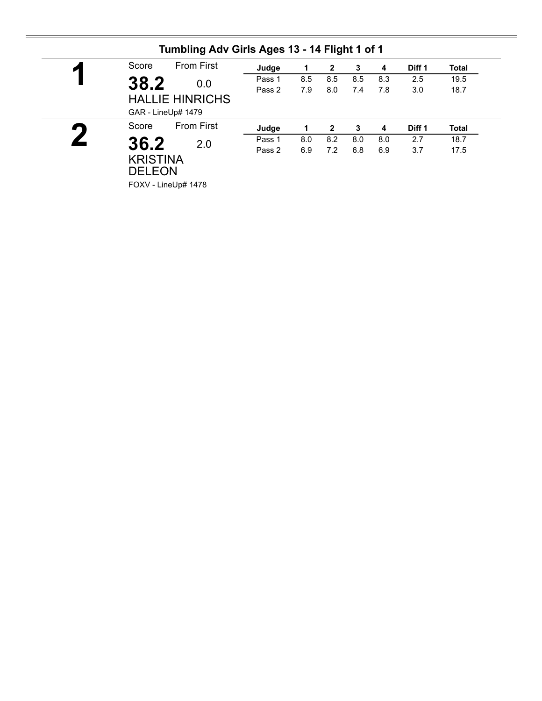| $\blacktriangledown$ | Score           | <b>From First</b>      | Judge  | 1   | 2   | 3   | 4   | Diff 1 | <b>Total</b> |
|----------------------|-----------------|------------------------|--------|-----|-----|-----|-----|--------|--------------|
|                      | 38.2            | 0.0                    | Pass 1 | 8.5 | 8.5 | 8.5 | 8.3 | 2.5    | 19.5         |
|                      |                 |                        | Pass 2 | 7.9 | 8.0 | 7.4 | 7.8 | 3.0    | 18.7         |
|                      |                 | <b>HALLIE HINRICHS</b> |        |     |     |     |     |        |              |
|                      |                 | GAR - LineUp# 1479     |        |     |     |     |     |        |              |
| ŋ                    | Score           | <b>From First</b>      | Judge  | 1   | 2   | 3   | 4   | Diff 1 | <b>Total</b> |
|                      |                 | 2.0                    | Pass 1 | 8.0 | 8.2 | 8.0 | 8.0 | 2.7    | 18.7         |
|                      |                 |                        |        |     |     |     |     |        |              |
|                      | 36.2            |                        | Pass 2 | 6.9 | 7.2 | 6.8 | 6.9 | 3.7    | 17.5         |
|                      | <b>KRISTINA</b> |                        |        |     |     |     |     |        |              |
|                      | <b>DELEON</b>   |                        |        |     |     |     |     |        |              |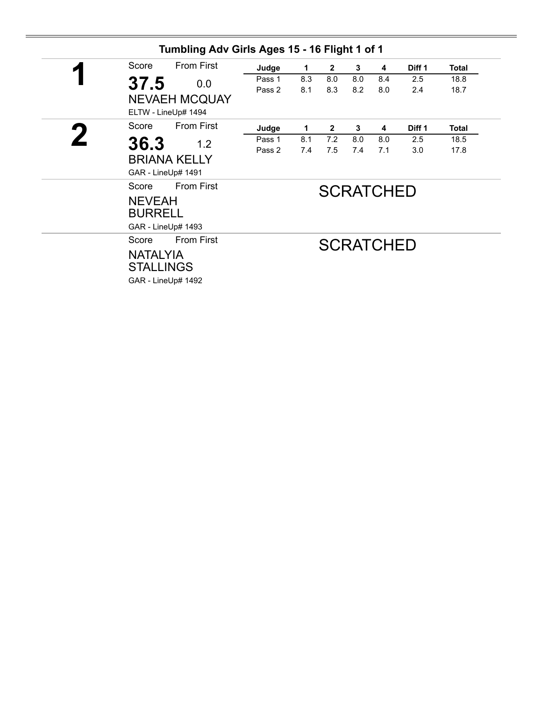| Tumbling Adv Girls Ages 15 - 16 Flight 1 of 1                                           |                  |            |                |            |                  |            |              |
|-----------------------------------------------------------------------------------------|------------------|------------|----------------|------------|------------------|------------|--------------|
| <b>From First</b><br>Score                                                              | Judge            | 1          | $\mathbf{2}$   | 3          | 4                | Diff 1     | <b>Total</b> |
| 37.5<br>0.0<br><b>NEVAEH MCQUAY</b><br>ELTW - LineUp# 1494                              | Pass 1<br>Pass 2 | 8.3<br>8.1 | 8.0<br>8.3     | 8.0<br>8.2 | 8.4<br>8.0       | 2.5<br>2.4 | 18.8<br>18.7 |
| <b>From First</b><br>Score                                                              | Judge            | 1          | $\overline{2}$ | 3          | 4                | Diff 1     | Total        |
| 36.3<br>1.2<br><b>BRIANA KELLY</b><br>GAR - LineUp# 1491                                | Pass 1<br>Pass 2 | 8.1<br>7.4 | 7.2<br>7.5     | 8.0<br>7.4 | 8.0<br>7.1       | 2.5<br>3.0 | 18.5<br>17.8 |
| <b>From First</b><br>Score<br><b>NEVEAH</b><br><b>BURRELL</b><br>GAR - LineUp# 1493     |                  |            |                |            | <b>SCRATCHED</b> |            |              |
| <b>From First</b><br>Score<br><b>NATALYIA</b><br><b>STALLINGS</b><br>GAR - LineUp# 1492 |                  |            |                |            | <b>SCRATCHED</b> |            |              |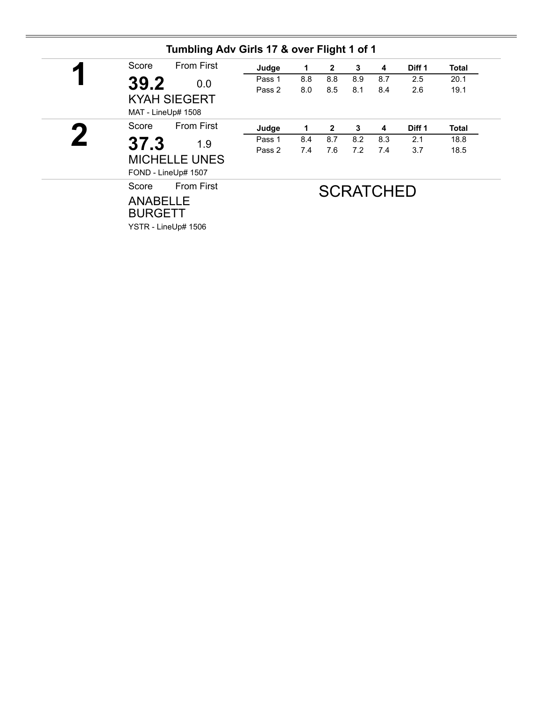| Score                                                    | <b>From First</b> | Judge  | 1   | $\overline{2}$ | 3   | 4                | Diff 1 | <b>Total</b> |
|----------------------------------------------------------|-------------------|--------|-----|----------------|-----|------------------|--------|--------------|
| 39.2                                                     | 0.0               | Pass 1 | 8.8 | 8.8            | 8.9 | 8.7              | 2.5    | 20.1         |
| <b>KYAH SIEGERT</b><br>MAT - LineUp# 1508                |                   | Pass 2 | 8.0 | 8.5            | 8.1 | 8.4              | 2.6    | 19.1         |
| Score                                                    | From First        | Judge  | 1   | $\mathbf{2}$   | 3   | 4                | Diff 1 | Total        |
| 37.3                                                     | 1.9               | Pass 1 | 8.4 | 8.7            | 8.2 | 8.3              | 2.1    | 18.8         |
| <b>MICHELLE UNES</b><br>FOND - LineUp# 1507              |                   | Pass 2 | 7.4 | 7.6            | 7.2 | 7.4              | 3.7    | 18.5         |
| Score                                                    | <b>From First</b> |        |     |                |     | <b>SCRATCHED</b> |        |              |
| <b>ANABELLE</b><br><b>BURGETT</b><br>YSTR - LineUp# 1506 |                   |        |     |                |     |                  |        |              |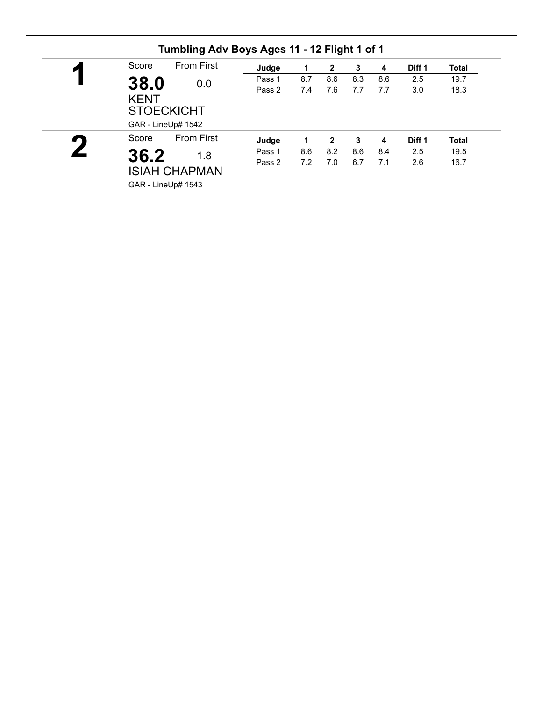| $\blacktriangleleft$ | Score       | <b>From First</b>  | Judge  | 1   | 2            | 3   | 4   | Diff <sub>1</sub> | <b>Total</b> |
|----------------------|-------------|--------------------|--------|-----|--------------|-----|-----|-------------------|--------------|
|                      | 38.0        | 0.0                | Pass 1 | 8.7 | 8.6          | 8.3 | 8.6 | 2.5               | 19.7         |
|                      | <b>KENT</b> |                    | Pass 2 | 7.4 | 7.6          | 7.7 | 7.7 | 3.0               | 18.3         |
|                      |             | <b>STOECKICHT</b>  |        |     |              |     |     |                   |              |
|                      |             | GAR - LineUp# 1542 |        |     |              |     |     |                   |              |
|                      | Score       | <b>From First</b>  | Judge  | 1   | $\mathbf{2}$ | 3   | 4   | Diff 1            | <b>Total</b> |
|                      | 36.2        | 1.8                | Pass 1 | 8.6 | 8.2          | 8.6 | 8.4 | 2.5               | 19.5         |
|                      |             |                    | Pass 2 | 7.2 | 7.0          | 6.7 | 7.1 | 2.6               | 16.7         |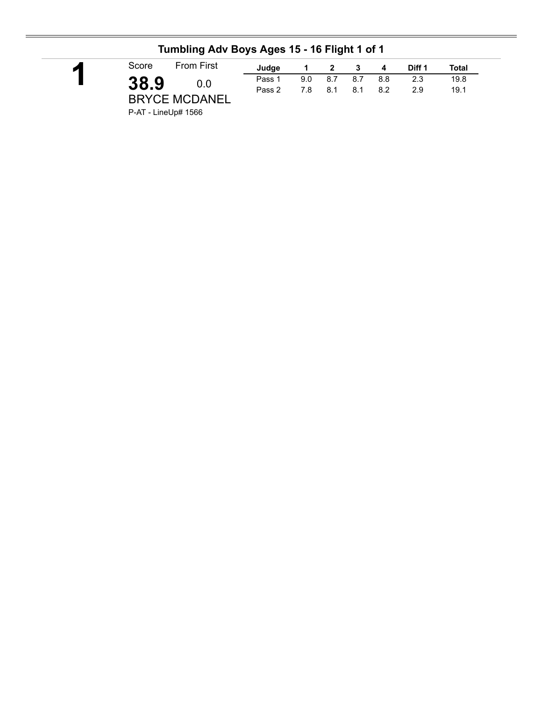| И | Score | <b>From First</b>    | Judge  |     | $1 \quad 2 \quad 3$ |       | $\overline{\mathbf{4}}$ | Diff 1 | Total |  |
|---|-------|----------------------|--------|-----|---------------------|-------|-------------------------|--------|-------|--|
|   | 38.9  | 0.0                  | Pass 1 | 9.0 | 8.7                 | - 8.7 | 8.8                     | 2.3    | 19.8  |  |
|   |       | <b>BRYCE MCDANEL</b> | Pass 2 | 7.8 | 8.1                 | 8.1   | 8.2                     | 29     | 19.1  |  |
|   |       |                      |        |     |                     |       |                         |        |       |  |

### **Tumbling Adv Boys Ages 15 - 16 Flight 1 of 1**

P-AT - LineUp# 1566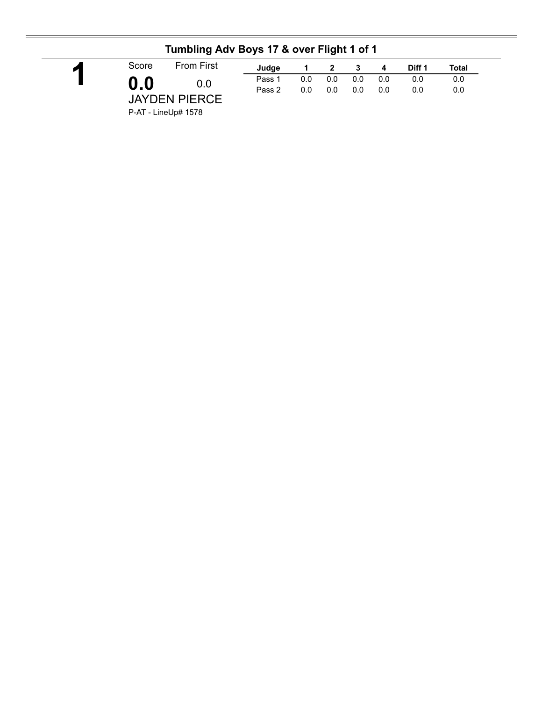|                     | .                    |        |     |     |     |     |        |       |
|---------------------|----------------------|--------|-----|-----|-----|-----|--------|-------|
| Score               | <b>From First</b>    | Judge  |     |     | 2 3 | -4  | Diff 1 | Total |
| $\mathbf{0.0}$      | 0.0                  | Pass 1 | 0.0 | 0.0 | 0.0 | 0.0 | 0.0    | 0.0   |
|                     |                      | Pass 2 | 0.0 | 0.0 | 0.0 | 0.0 | 0.0    | 0.0   |
|                     | <b>JAYDEN PIERCE</b> |        |     |     |     |     |        |       |
| P-AT - LineUp# 1578 |                      |        |     |     |     |     |        |       |

#### **Tumbling Adv Boys 17 & over Flight 1 of 1**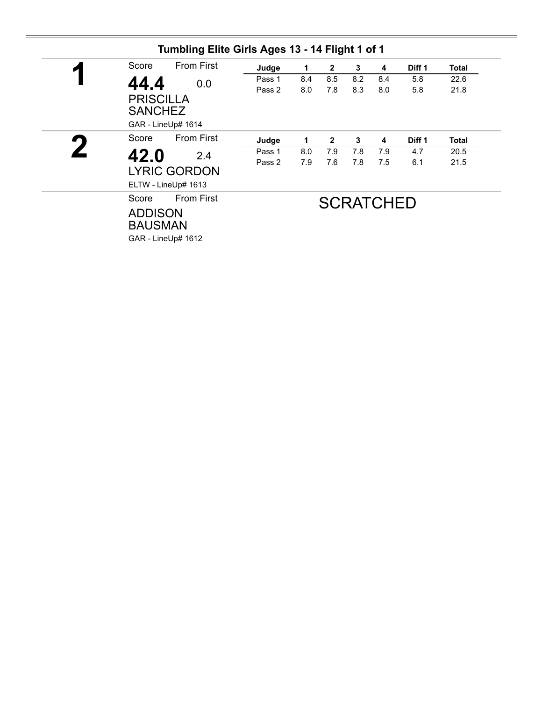| Score | <b>From First</b>                                                           | Judge  | 1   | $\mathbf{2}$   | 3   | 4                | Diff 1 | Total |
|-------|-----------------------------------------------------------------------------|--------|-----|----------------|-----|------------------|--------|-------|
| 44.4  | 0.0                                                                         | Pass 1 | 8.4 | 8.5            | 8.2 | 8.4              | 5.8    | 22.6  |
|       | <b>PRISCILLA</b><br><b>SANCHEZ</b><br>GAR - LineUp# 1614                    | Pass 2 | 8.0 | 7.8            | 8.3 | 8.0              | 5.8    | 21.8  |
| Score | <b>From First</b>                                                           | Judge  | 1   | $\overline{2}$ | 3   | 4                | Diff 1 | Total |
|       | 2.4                                                                         | Pass 1 | 8.0 | 7.9            | 7.8 | 7.9              | 4.7    | 20.5  |
| 42.0  | <b>LYRIC GORDON</b><br>ELTW - LineUp# 1613                                  | Pass 2 | 7.9 | 7.6            | 7.8 | 7.5              | 6.1    | 21.5  |
| Score | <b>From First</b><br><b>ADDISON</b><br><b>BAUSMAN</b><br>GAR - LineUp# 1612 |        |     |                |     | <b>SCRATCHED</b> |        |       |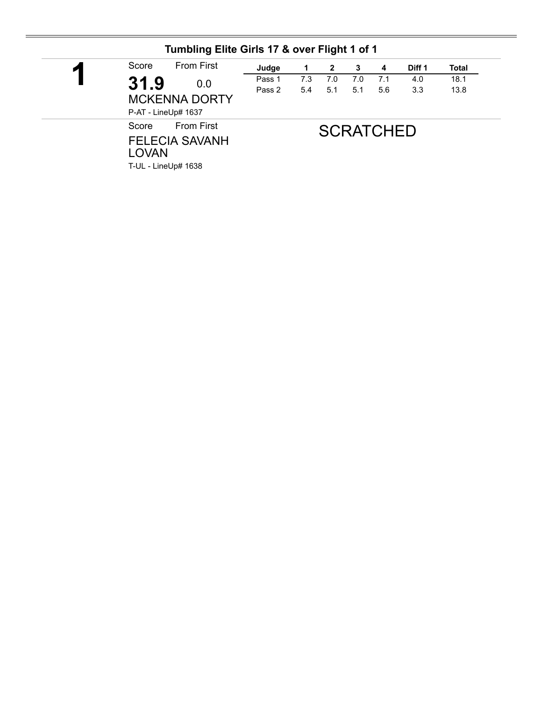| $\blacksquare$ | <b>From First</b><br>Score                                                                 | Judge  | 1   | $\mathbf{2}$ | 3   | 4                | Diff 1 | <b>Total</b> |
|----------------|--------------------------------------------------------------------------------------------|--------|-----|--------------|-----|------------------|--------|--------------|
|                | 31.9<br>0.0                                                                                | Pass 1 | 7.3 | 7.0          | 7.0 | 7.1              | 4.0    | 18.1         |
|                | <b>MCKENNA DORTY</b><br>P-AT - LineUp# 1637                                                | Pass 2 | 5.4 | 5.1          | 5.1 | 5.6              | 3.3    | 13.8         |
|                | <b>From First</b><br>Score<br><b>FELECIA SAVANH</b><br><b>LOVAN</b><br>T-UL - LineUp# 1638 |        |     |              |     | <b>SCRATCHED</b> |        |              |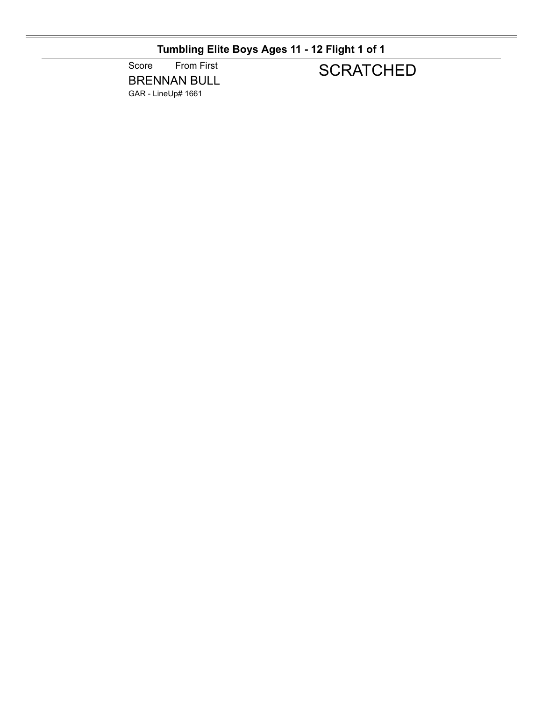## **Tumbling Elite Boys Ages 11 - 12 Flight 1 of 1**

Score From First BRENNAN BULL GAR - LineUp# 1661

## **SCRATCHED**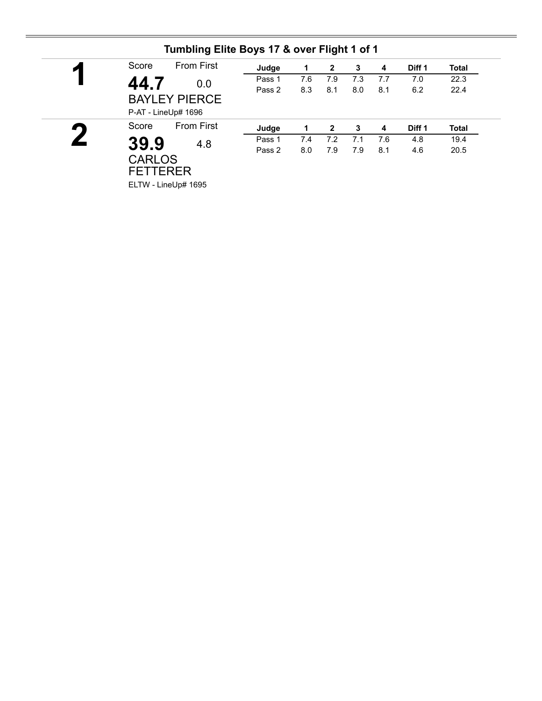| И              | Score                            | <b>From First</b>                           | Judge  | 1   | 2   | 3   | 4   | Diff 1 | <b>Total</b> |
|----------------|----------------------------------|---------------------------------------------|--------|-----|-----|-----|-----|--------|--------------|
|                | 44.7                             | 0.0                                         | Pass 1 | 7.6 | 7.9 | 7.3 | 7.7 | 7.0    | 22.3         |
|                |                                  | <b>BAYLEY PIERCE</b><br>P-AT - LineUp# 1696 | Pass 2 | 8.3 | 8.1 | 8.0 | 8.1 | 6.2    | 22.4         |
| $\blacksquare$ | Score                            | <b>From First</b>                           | Judge  |     | 2   | 3   | 4   | Diff 1 | <b>Total</b> |
|                | 39.9                             | 4.8                                         | Pass 1 | 7.4 | 7.2 | 7.1 | 7.6 | 4.8    | 19.4         |
|                | <b>CARLOS</b><br><b>FETTERER</b> |                                             | Pass 2 | 8.0 | 7.9 | 7.9 | 8.1 | 4.6    | 20.5         |

### **Tumbling Elite Boys 17 & over Flight 1 of 1**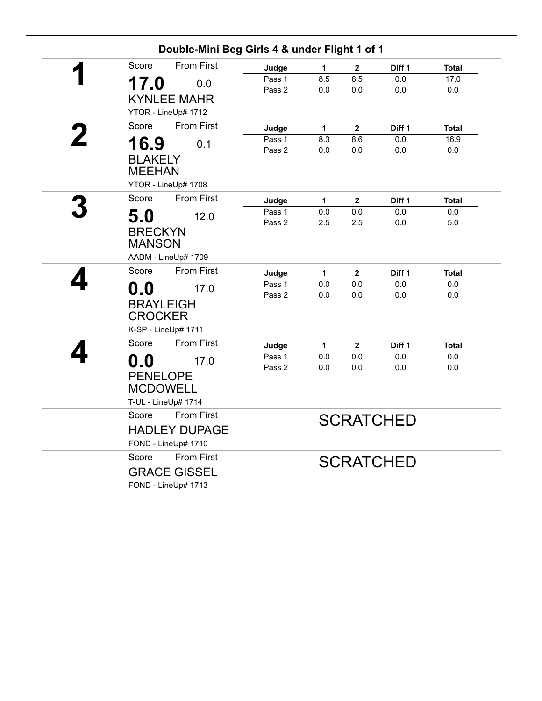| Score            | <b>From First</b>    | Judge           | 1        | $\boldsymbol{2}$    | Diff 1                   | <b>Total</b>        |
|------------------|----------------------|-----------------|----------|---------------------|--------------------------|---------------------|
|                  |                      | Pass 1          | 8.5      | 8.5                 | $0.0\,$                  | 17.0                |
| 17.0             | 0.0                  | Pass 2          | 0.0      | 0.0                 | 0.0                      | 0.0                 |
|                  | <b>KYNLEE MAHR</b>   |                 |          |                     |                          |                     |
|                  | YTOR - LineUp# 1712  |                 |          |                     |                          |                     |
| Score            | <b>From First</b>    | Judge           | 1        | $\mathbf{2}$        | Diff <sub>1</sub>        | <b>Total</b>        |
| 16.9             | 0.1                  | Pass 1          | 8.3      | 8.6                 | 0.0                      | 16.9                |
| <b>BLAKELY</b>   |                      | Pass 2          | $0.0\,$  | $0.0\,$             | $0.0\,$                  | 0.0                 |
| <b>MEEHAN</b>    |                      |                 |          |                     |                          |                     |
|                  |                      |                 |          |                     |                          |                     |
|                  | YTOR - LineUp# 1708  |                 |          |                     |                          |                     |
| Score            | <b>From First</b>    | Judge           | 1        | $\mathbf{2}$        | Diff 1                   | Total               |
| 5.0              | 12.0                 | Pass 1          | $0.0\,$  | $0.0\,$             | 0.0                      | $0.0\,$             |
| <b>BRECKYN</b>   |                      | Pass 2          | 2.5      | 2.5                 | 0.0                      | 5.0                 |
| <b>MANSON</b>    |                      |                 |          |                     |                          |                     |
|                  | AADM - LineUp# 1709  |                 |          |                     |                          |                     |
| Score            | <b>From First</b>    |                 |          |                     |                          |                     |
|                  |                      | Judge<br>Pass 1 | 1<br>0.0 | $\mathbf{2}$<br>0.0 | Diff <sub>1</sub><br>0.0 | <b>Total</b><br>0.0 |
| $\mathbf{0.0}$   | 17.0                 | Pass 2          | 0.0      | 0.0                 | 0.0                      | 0.0                 |
| <b>BRAYLEIGH</b> |                      |                 |          |                     |                          |                     |
| <b>CROCKER</b>   |                      |                 |          |                     |                          |                     |
|                  | K-SP - LineUp# 1711  |                 |          |                     |                          |                     |
| Score            | <b>From First</b>    | Judge           | 1        | $\mathbf{2}$        | Diff <sub>1</sub>        | <b>Total</b>        |
| 0.0              | 17.0                 | Pass 1          | 0.0      | 0.0                 | 0.0                      | $0.0\,$             |
|                  |                      | Pass 2          | 0.0      | 0.0                 | 0.0                      | 0.0                 |
| <b>PENELOPE</b>  |                      |                 |          |                     |                          |                     |
| <b>MCDOWELL</b>  |                      |                 |          |                     |                          |                     |
|                  | T-UL - LineUp# 1714  |                 |          |                     |                          |                     |
| Score            | <b>From First</b>    |                 |          |                     | <b>SCRATCHED</b>         |                     |
|                  | <b>HADLEY DUPAGE</b> |                 |          |                     |                          |                     |
|                  | FOND - LineUp# 1710  |                 |          |                     |                          |                     |
| Score            | <b>From First</b>    |                 |          |                     | <b>SCRATCHED</b>         |                     |
|                  | <b>GRACE GISSEL</b>  |                 |          |                     |                          |                     |
|                  | FOND - LineUp# 1713  |                 |          |                     |                          |                     |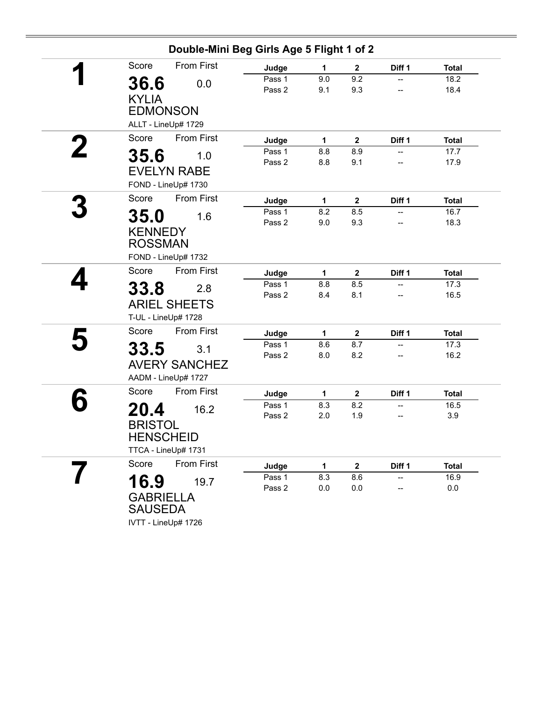|                     | Double-Mini Beg Girls Age 5 Flight 1 of 2 |        |              |              |        |              |
|---------------------|-------------------------------------------|--------|--------------|--------------|--------|--------------|
| Score               | <b>From First</b>                         | Judge  | 1            | $\mathbf 2$  | Diff 1 | <b>Total</b> |
| 36.6                | 0.0                                       | Pass 1 | 9.0          | 9.2          | --     | 18.2         |
| <b>KYLIA</b>        |                                           | Pass 2 | 9.1          | 9.3          | --     | 18.4         |
| <b>EDMONSON</b>     |                                           |        |              |              |        |              |
|                     |                                           |        |              |              |        |              |
| ALLT - LineUp# 1729 |                                           |        |              |              |        |              |
| Score               | <b>From First</b>                         | Judge  | $\mathbf{1}$ | $\mathbf 2$  | Diff 1 | <b>Total</b> |
| 35.6                | 1.0                                       | Pass 1 | 8.8          | 8.9          | --     | 17.7         |
|                     |                                           | Pass 2 | 8.8          | 9.1          |        | 17.9         |
| <b>EVELYN RABE</b>  |                                           |        |              |              |        |              |
| FOND - LineUp# 1730 |                                           |        |              |              |        |              |
| Score               | <b>From First</b>                         | Judge  | 1            | $\mathbf 2$  | Diff 1 | <b>Total</b> |
| 35.0                | 1.6                                       | Pass 1 | 8.2          | 8.5          | --     | 16.7         |
|                     |                                           | Pass 2 | 9.0          | 9.3          |        | 18.3         |
| <b>KENNEDY</b>      |                                           |        |              |              |        |              |
| <b>ROSSMAN</b>      |                                           |        |              |              |        |              |
| FOND - LineUp# 1732 |                                           |        |              |              |        |              |
| Score               | <b>From First</b>                         | Judge  | 1            | $\mathbf 2$  | Diff 1 | <b>Total</b> |
| 33.8                | 2.8                                       | Pass 1 | 8.8          | 8.5          | --     | 17.3         |
|                     |                                           | Pass 2 | 8.4          | 8.1          | --     | 16.5         |
|                     | <b>ARIEL SHEETS</b>                       |        |              |              |        |              |
| T-UL - LineUp# 1728 |                                           |        |              |              |        |              |
| Score               | <b>From First</b>                         | Judge  | 1            | $\mathbf 2$  | Diff 1 | <b>Total</b> |
| 33.5                | 3.1                                       | Pass 1 | 8.6          | 8.7          | --     | 17.3         |
|                     |                                           | Pass 2 | 8.0          | 8.2          | --     | 16.2         |
|                     | <b>AVERY SANCHEZ</b>                      |        |              |              |        |              |
| AADM - LineUp# 1727 |                                           |        |              |              |        |              |
| Score               | <b>From First</b>                         | Judge  | 1            | $\mathbf{2}$ | Diff 1 | <b>Total</b> |
| 20.4                | 16.2                                      | Pass 1 | 8.3          | 8.2          |        | 16.5         |
|                     |                                           | Pass 2 | 2.0          | 1.9          |        | 3.9          |
| <b>BRISTOL</b>      |                                           |        |              |              |        |              |
| <b>HENSCHEID</b>    |                                           |        |              |              |        |              |
| TTCA - LineUp# 1731 |                                           |        |              |              |        |              |
| Score               | From First                                | Judge  | 1            | $\mathbf 2$  | Diff 1 | <b>Total</b> |
| 16.9                | 19.7                                      | Pass 1 | 8.3          | 8.6          |        | 16.9         |
|                     |                                           | Pass 2 | 0.0          | 0.0          |        | $0.0\,$      |
| <b>GABRIELLA</b>    |                                           |        |              |              |        |              |
| <b>SAUSEDA</b>      |                                           |        |              |              |        |              |
| IVTT - LineUp# 1726 |                                           |        |              |              |        |              |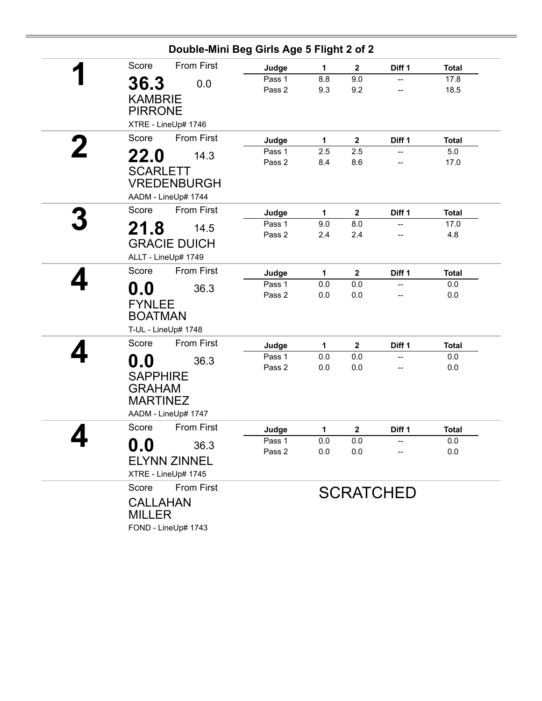|   | Double-Mini Beg Girls Age 5 Flight 2 of 2 |                     |        |     |                  |                  |              |  |
|---|-------------------------------------------|---------------------|--------|-----|------------------|------------------|--------------|--|
|   | Score                                     | <b>From First</b>   | Judge  | 1   | $\boldsymbol{2}$ | Diff 1           | <b>Total</b> |  |
|   | 36.3                                      | 0.0                 | Pass 1 | 8.8 | 9.0              | --               | 17.8         |  |
|   |                                           |                     | Pass 2 | 9.3 | 9.2              |                  | 18.5         |  |
|   | <b>KAMBRIE</b>                            |                     |        |     |                  |                  |              |  |
|   | <b>PIRRONE</b>                            |                     |        |     |                  |                  |              |  |
|   |                                           | XTRE - LineUp# 1746 |        |     |                  |                  |              |  |
|   | Score                                     | <b>From First</b>   | Judge  | 1   | $\mathbf{2}$     | Diff 1           | <b>Total</b> |  |
| 2 | 22.0                                      | 14.3                | Pass 1 | 2.5 | 2.5              |                  | 5.0          |  |
|   |                                           |                     | Pass 2 | 8.4 | 8.6              |                  | 17.0         |  |
|   | <b>SCARLETT</b>                           |                     |        |     |                  |                  |              |  |
|   |                                           | <b>VREDENBURGH</b>  |        |     |                  |                  |              |  |
|   |                                           | AADM - LineUp# 1744 |        |     |                  |                  |              |  |
|   | Score                                     | <b>From First</b>   | Judge  | 1   | $\mathbf{2}$     | Diff 1           | <b>Total</b> |  |
|   | 21.8                                      | 14.5                | Pass 1 | 9.0 | 8.0              | --               | 17.0         |  |
|   |                                           |                     | Pass 2 | 2.4 | 2.4              | --               | 4.8          |  |
|   |                                           | <b>GRACIE DUICH</b> |        |     |                  |                  |              |  |
|   |                                           | ALLT - LineUp# 1749 |        |     |                  |                  |              |  |
|   | Score                                     | <b>From First</b>   | Judge  | 1   | $\mathbf{2}$     | Diff 1           | <b>Total</b> |  |
|   | 0.0                                       | 36.3                | Pass 1 | 0.0 | 0.0              |                  | 0.0          |  |
|   |                                           |                     | Pass 2 | 0.0 | 0.0              |                  | 0.0          |  |
|   | <b>FYNLEE</b>                             |                     |        |     |                  |                  |              |  |
|   | <b>BOATMAN</b>                            |                     |        |     |                  |                  |              |  |
|   |                                           | T-UL - LineUp# 1748 |        |     |                  |                  |              |  |
|   | Score                                     | <b>From First</b>   | Judge  | 1   | $\mathbf{2}$     | Diff 1           | <b>Total</b> |  |
|   | 0.0                                       | 36.3                | Pass 1 | 0.0 | 0.0              | --               | 0.0          |  |
|   |                                           |                     | Pass 2 | 0.0 | 0.0              | --               | 0.0          |  |
|   | <b>SAPPHIRE</b>                           |                     |        |     |                  |                  |              |  |
|   | <b>GRAHAM</b>                             |                     |        |     |                  |                  |              |  |
|   | <b>MARTINEZ</b>                           |                     |        |     |                  |                  |              |  |
|   |                                           | AADM - LineUp# 1747 |        |     |                  |                  |              |  |
|   | Score                                     | <b>From First</b>   | Judge  | 1   | $\mathbf{2}$     | Diff 1           | <b>Total</b> |  |
|   | 0.0                                       | 36.3                | Pass 1 | 0.0 | 0.0              |                  | 0.0          |  |
|   |                                           |                     | Pass 2 | 0.0 | 0.0              |                  | 0.0          |  |
|   |                                           | <b>ELYNN ZINNEL</b> |        |     |                  |                  |              |  |
|   |                                           | XTRE - LineUp# 1745 |        |     |                  |                  |              |  |
|   | Score                                     | From First          |        |     |                  | <b>SCRATCHED</b> |              |  |
|   | <b>CALLAHAN</b>                           |                     |        |     |                  |                  |              |  |
|   | <b>MILLER</b>                             |                     |        |     |                  |                  |              |  |
|   |                                           |                     |        |     |                  |                  |              |  |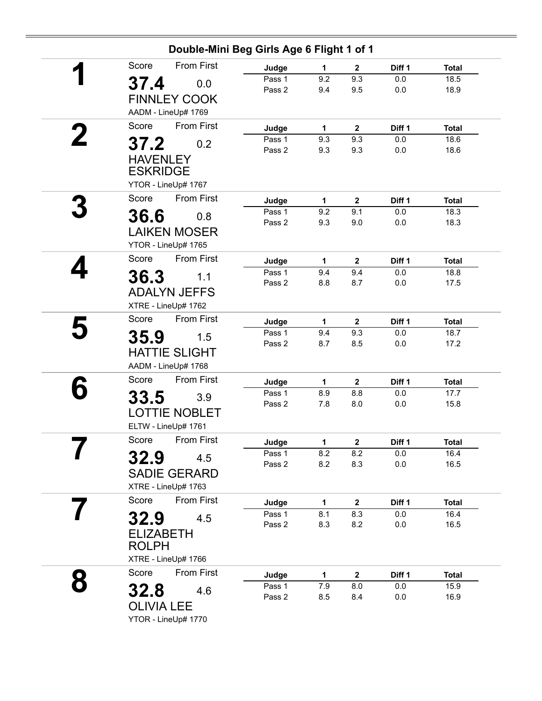|  | Double-Mini Beg Girls Age 6 Flight 1 of 1 |                  |            |                     |                   |                      |
|--|-------------------------------------------|------------------|------------|---------------------|-------------------|----------------------|
|  | <b>From First</b><br>Score                | Judge            | 1          | $\mathbf 2$         | Diff <sub>1</sub> | <b>Total</b>         |
|  | 37.4<br>0.0                               | Pass 1           | 9.2        | 9.3                 | 0.0               | 18.5                 |
|  | <b>FINNLEY COOK</b>                       | Pass 2           | 9.4        | 9.5                 | 0.0               | 18.9                 |
|  | AADM - LineUp# 1769                       |                  |            |                     |                   |                      |
|  | <b>From First</b><br>Score                | Judge            | 1          | $\mathbf{2}$        | Diff 1            | <b>Total</b>         |
|  | 37.2<br>0.2                               | Pass 1           | 9.3        | 9.3                 | 0.0               | 18.6                 |
|  | <b>HAVENLEY</b>                           | Pass 2           | 9.3        | 9.3                 | 0.0               | 18.6                 |
|  | <b>ESKRIDGE</b>                           |                  |            |                     |                   |                      |
|  | YTOR - LineUp# 1767                       |                  |            |                     |                   |                      |
|  | <b>From First</b><br>Score                | Judge            | 1          | 2                   | Diff 1            | <b>Total</b>         |
|  |                                           | Pass 1           | 9.2        | 9.1                 | 0.0               | 18.3                 |
|  | 36.6<br>0.8                               | Pass 2           | 9.3        | 9.0                 | 0.0               | 18.3                 |
|  | <b>LAIKEN MOSER</b>                       |                  |            |                     |                   |                      |
|  | YTOR - LineUp# 1765                       |                  |            |                     |                   |                      |
|  | <b>From First</b><br>Score                | Judge            | 1          | $\overline{2}$      | Diff 1            | <b>Total</b>         |
|  | 36.3<br>1.1                               | Pass 1<br>Pass 2 | 9.4<br>8.8 | 9.4<br>8.7          | 0.0<br>0.0        | 18.8<br>17.5         |
|  | <b>ADALYN JEFFS</b>                       |                  |            |                     |                   |                      |
|  | XTRE - LineUp# 1762                       |                  |            |                     |                   |                      |
|  | <b>From First</b><br>Score                | Judge            | 1          | $\mathbf{2}$        | Diff 1            | <b>Total</b>         |
|  | 35.9<br>1.5                               | Pass 1           | 9.4        | 9.3                 | 0.0               | 18.7                 |
|  | <b>HATTIE SLIGHT</b>                      | Pass 2           | 8.7        | 8.5                 | 0.0               | 17.2                 |
|  | AADM - LineUp# 1768                       |                  |            |                     |                   |                      |
|  | From First<br>Score                       | Judge            | 1          | 2                   | Diff 1            | <b>Total</b>         |
|  |                                           | Pass 1           | 8.9        | 8.8                 | 0.0               | 17.7                 |
|  | 33.5<br>3.9                               | Pass 2           | 7.8        | 8.0                 | 0.0               | 15.8                 |
|  | <b>LOTTIE NOBLET</b>                      |                  |            |                     |                   |                      |
|  | ELTW - LineUp# 1761                       |                  |            |                     |                   |                      |
|  | Score<br>From First                       | Judge            | 1          | $\mathbf 2$         | Diff 1            | <b>Total</b>         |
|  | 32.9<br>4.5                               | Pass 1<br>Pass 2 | 8.2<br>8.2 | 8.2<br>8.3          | 0.0<br>0.0        | 16.4<br>16.5         |
|  | <b>SADIE GERARD</b>                       |                  |            |                     |                   |                      |
|  | XTRE - LineUp# 1763                       |                  |            |                     |                   |                      |
|  | From First<br>Score                       | Judge            | 1          | $\mathbf{2}$        | Diff 1            | <b>Total</b>         |
|  | 32.9<br>4.5                               | Pass 1           | 8.1        | 8.3                 | 0.0               | 16.4                 |
|  |                                           | Pass 2           | 8.3        | 8.2                 | 0.0               | 16.5                 |
|  | <b>ELIZABETH</b><br><b>ROLPH</b>          |                  |            |                     |                   |                      |
|  | XTRE - LineUp# 1766                       |                  |            |                     |                   |                      |
|  | <b>From First</b><br>Score                |                  |            |                     | Diff 1            |                      |
|  |                                           | Judge<br>Pass 1  | 1<br>7.9   | $\mathbf{2}$<br>8.0 | 0.0               | <b>Total</b><br>15.9 |
|  | 32.8<br>4.6                               | Pass 2           | 8.5        | 8.4                 | 0.0               | 16.9                 |
|  | <b>OLIVIA LEE</b>                         |                  |            |                     |                   |                      |
|  | YTOR - LineUp# 1770                       |                  |            |                     |                   |                      |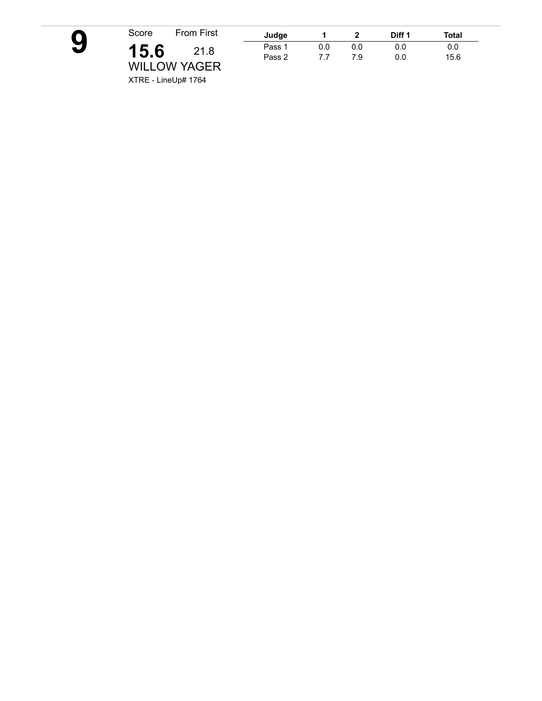

| First      | Judge  |     |     | Diff 1 | Total |
|------------|--------|-----|-----|--------|-------|
| 1.8        | Pass 1 | 0.0 | 0.0 | 0.0    | 0.0   |
| <b>CER</b> | Pass 2 | 77  | 7.9 | 0.0    | 15.6  |

XTRE - LineUp# 1764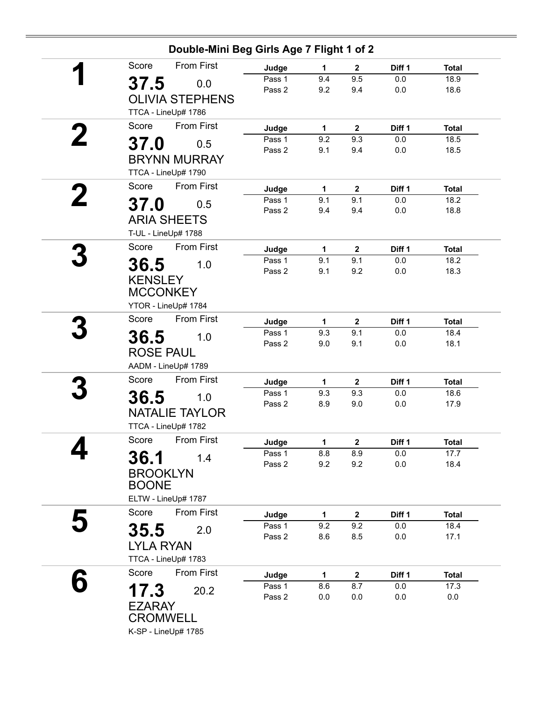| Double-Mini Beg Girls Age 7 Flight 1 of 2                               |                           |                     |                            |               |                      |
|-------------------------------------------------------------------------|---------------------------|---------------------|----------------------------|---------------|----------------------|
| <b>From First</b><br>Score                                              | Judge                     | 1                   | $\mathbf{2}$               | Diff 1        | <b>Total</b>         |
| 37.5<br>0.0<br><b>OLIVIA STEPHENS</b>                                   | Pass 1<br>Pass 2          | 9.4<br>9.2          | 9.5<br>9.4                 | 0.0<br>0.0    | 18.9<br>18.6         |
| TTCA - LineUp# 1786                                                     |                           |                     |                            |               |                      |
| Score<br>From First                                                     | Judge                     | 1                   | $\mathbf 2$                | Diff 1        | <b>Total</b>         |
| 37.0<br>0.5                                                             | Pass 1<br>Pass 2          | 9.2<br>9.1          | 9.3<br>9.4                 | 0.0<br>0.0    | 18.5<br>18.5         |
| <b>BRYNN MURRAY</b><br>TTCA - LineUp# 1790                              |                           |                     |                            |               |                      |
| From First<br>Score                                                     | Judge                     | 1                   | $\mathbf{2}$               | Diff 1        | <b>Total</b>         |
| 37.0<br>0.5<br><b>ARIA SHEETS</b>                                       | Pass 1<br>Pass 2          | 9.1<br>9.4          | 9.1<br>9.4                 | 0.0<br>0.0    | 18.2<br>18.8         |
| T-UL - LineUp# 1788<br><b>From First</b><br>Score                       |                           |                     |                            |               |                      |
|                                                                         | Judge<br>Pass 1           | $\mathbf{1}$<br>9.1 | $\mathbf{2}$<br>9.1        | Diff 1<br>0.0 | <b>Total</b><br>18.2 |
| 36.5<br>1.0<br><b>KENSLEY</b><br><b>MCCONKEY</b><br>YTOR - LineUp# 1784 | Pass 2                    | 9.1                 | 9.2                        | 0.0           | 18.3                 |
| <b>From First</b><br>Score                                              |                           |                     |                            | Diff 1        | <b>Total</b>         |
| 36.5<br>1.0<br><b>ROSE PAUL</b><br>AADM - LineUp# 1789                  | Judge<br>Pass 1<br>Pass 2 | 1<br>9.3<br>9.0     | $\mathbf{2}$<br>9.1<br>9.1 | 0.0<br>0.0    | 18.4<br>18.1         |
| From First<br>Score                                                     | Judge                     | 1                   | $\mathbf{2}$               | Diff 1        | <b>Total</b>         |
| 36.5<br>1.0<br><b>NATALIE TAYLOR</b><br>TTCA - LineUp# 1782             | Pass 1<br>Pass 2          | 9.3<br>8.9          | 9.3<br>9.0                 | 0.0<br>0.0    | 18.6<br>17.9         |
| Score From First                                                        | Judge                     | 1                   | $\mathbf{2}$               | Diff 1        | <b>Total</b>         |
| 36.1<br>1.4<br><b>BROOKLYN</b><br><b>BOONE</b><br>ELTW - LineUp# 1787   | Pass 1<br>Pass 2          | 8.8<br>9.2          | 8.9<br>9.2                 | 0.0<br>0.0    | 17.7<br>18.4         |
| From First<br>Score                                                     | Judge                     | 1                   | $\mathbf{2}$               | Diff 1        | <b>Total</b>         |
| 35.5<br>2.0<br><b>LYLA RYAN</b><br>TTCA - LineUp# 1783                  | Pass 1<br>Pass 2          | 9.2<br>8.6          | 9.2<br>8.5                 | 0.0<br>0.0    | 18.4<br>17.1         |
| From First<br>Score                                                     | Judge                     | 1                   | $\mathbf{2}$               | Diff 1        | <b>Total</b>         |
| 17.3<br>20.2<br><b>EZARAY</b><br><b>CROMWELL</b>                        | Pass 1<br>Pass 2          | 8.6<br>0.0          | 8.7<br>0.0                 | 0.0<br>0.0    | 17.3<br>0.0          |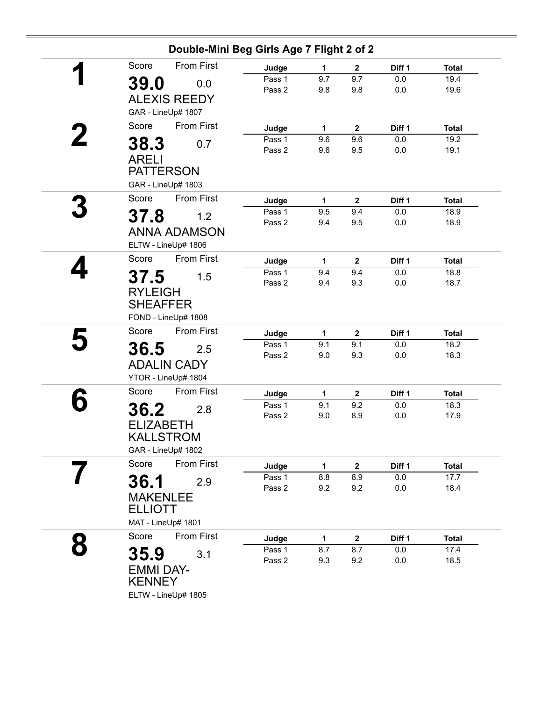| Double-Mini Beg Girls Age 7 Flight 2 of 2         |                  |              |                         |                |              |  |  |  |
|---------------------------------------------------|------------------|--------------|-------------------------|----------------|--------------|--|--|--|
| <b>From First</b><br>Score                        | Judge            | 1            | $\mathbf{2}$            | Diff 1         | <b>Total</b> |  |  |  |
| 39.0<br>0.0                                       | Pass 1           | 9.7          | 9.7                     | 0.0            | 19.4         |  |  |  |
|                                                   | Pass 2           | 9.8          | 9.8                     | 0.0            | 19.6         |  |  |  |
| <b>ALEXIS REEDY</b>                               |                  |              |                         |                |              |  |  |  |
| GAR - LineUp# 1807                                |                  |              |                         |                |              |  |  |  |
| <b>From First</b><br>Score                        | Judge            | 1            | $\mathbf{2}$            | Diff 1         | <b>Total</b> |  |  |  |
| 38.3<br>0.7                                       | Pass 1           | 9.6          | 9.6                     | 0.0            | 19.2         |  |  |  |
|                                                   | Pass 2           | 9.6          | 9.5                     | 0.0            | 19.1         |  |  |  |
| <b>ARELI</b><br><b>PATTERSON</b>                  |                  |              |                         |                |              |  |  |  |
|                                                   |                  |              |                         |                |              |  |  |  |
| GAR - LineUp# 1803                                |                  |              |                         |                |              |  |  |  |
| From First<br>Score                               | Judge            | 1            | $\mathbf{2}$            | Diff 1         | <b>Total</b> |  |  |  |
| 37.8<br>1.2                                       | Pass 1           | 9.5          | 9.4                     | 0.0            | 18.9         |  |  |  |
| <b>ANNA ADAMSON</b>                               | Pass 2           | 9.4          | 9.5                     | 0.0            | 18.9         |  |  |  |
|                                                   |                  |              |                         |                |              |  |  |  |
| ELTW - LineUp# 1806<br><b>From First</b><br>Score |                  |              |                         |                |              |  |  |  |
|                                                   | Judge            | 1            | $\mathbf{2}$            | Diff 1         | <b>Total</b> |  |  |  |
| 37.5<br>1.5                                       | Pass 1<br>Pass 2 | 9.4<br>9.4   | 9.4<br>9.3              | 0.0<br>$0.0\,$ | 18.8<br>18.7 |  |  |  |
| <b>RYLEIGH</b>                                    |                  |              |                         |                |              |  |  |  |
| <b>SHEAFFER</b>                                   |                  |              |                         |                |              |  |  |  |
| FOND - LineUp# 1808                               |                  |              |                         |                |              |  |  |  |
| <b>From First</b><br>Score                        | Judge            | 1            | $\overline{\mathbf{2}}$ | Diff 1         | <b>Total</b> |  |  |  |
|                                                   | Pass 1           | 9.1          | 9.1                     | 0.0            | 18.2         |  |  |  |
| 36.5<br>2.5                                       | Pass 2           | 9.0          | 9.3                     | 0.0            | 18.3         |  |  |  |
| <b>ADALIN CADY</b>                                |                  |              |                         |                |              |  |  |  |
| YTOR - LineUp# 1804                               |                  |              |                         |                |              |  |  |  |
| From First<br>Score                               | Judge            | 1            | $\mathbf{2}$            | Diff 1         | <b>Total</b> |  |  |  |
| 36.2<br>2.8                                       | Pass 1           | 9.1          | 9.2                     | 0.0            | 18.3         |  |  |  |
|                                                   | Pass 2           | 9.0          | 8.9                     | 0.0            | 17.9         |  |  |  |
| <b>ELIZABETH</b>                                  |                  |              |                         |                |              |  |  |  |
| <b>KALLSTROM</b>                                  |                  |              |                         |                |              |  |  |  |
| GAR - LineUp# 1802                                |                  |              |                         |                |              |  |  |  |
| Score<br>From First                               | Judge            | $\mathbf{1}$ | $\mathbf{2}$            | Diff 1         | <b>Total</b> |  |  |  |
| 36.1<br>2.9                                       | Pass 1           | 8.8          | 8.9                     | $0.0\,$        | 17.7         |  |  |  |
| <b>MAKENLEE</b>                                   | Pass 2           | 9.2          | 9.2                     | 0.0            | 18.4         |  |  |  |
| <b>ELLIOTT</b>                                    |                  |              |                         |                |              |  |  |  |
| MAT - LineUp# 1801                                |                  |              |                         |                |              |  |  |  |
| <b>From First</b>                                 |                  |              |                         |                |              |  |  |  |
| Score                                             | Judge            | 1            | $\mathbf{2}$            | Diff 1         | <b>Total</b> |  |  |  |
| 35.9<br>3.1                                       | Pass 1<br>Pass 2 | 8.7<br>9.3   | 8.7<br>9.2              | 0.0<br>0.0     | 17.4<br>18.5 |  |  |  |
| <b>EMMI DAY-</b>                                  |                  |              |                         |                |              |  |  |  |
| <b>KENNEY</b>                                     |                  |              |                         |                |              |  |  |  |
| ELTW - LineUp# 1805                               |                  |              |                         |                |              |  |  |  |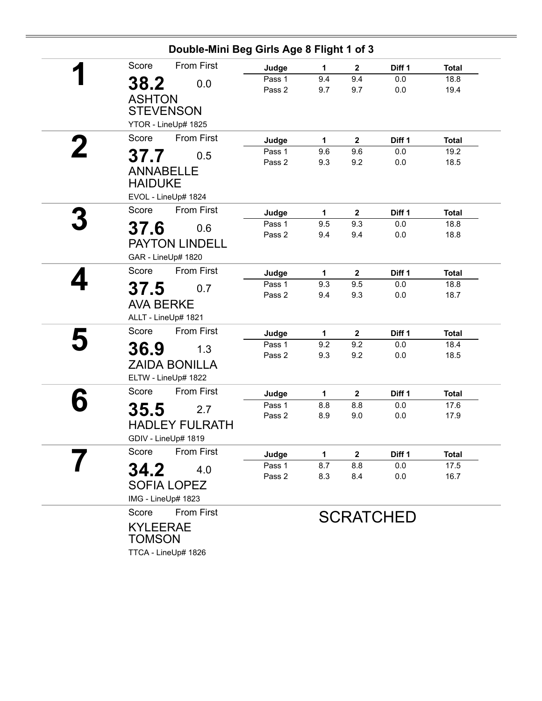|   | Double-Mini Beg Girls Age 8 Flight 1 of 3 |                  |            |                         |                  |                      |
|---|-------------------------------------------|------------------|------------|-------------------------|------------------|----------------------|
|   | <b>From First</b><br>Score                | Judge            | 1          | $\mathbf{2}$            | Diff 1           | <b>Total</b>         |
|   | 38.2<br>0.0                               | Pass 1           | 9.4        | 9.4                     | 0.0              | 18.8                 |
|   |                                           | Pass 2           | 9.7        | 9.7                     | $0.0\,$          | 19.4                 |
|   | <b>ASHTON</b>                             |                  |            |                         |                  |                      |
|   | <b>STEVENSON</b>                          |                  |            |                         |                  |                      |
|   | YTOR - LineUp# 1825                       |                  |            |                         |                  |                      |
| 2 | <b>From First</b><br>Score                | Judge            | 1          | $\overline{2}$          | Diff 1           | <b>Total</b>         |
|   | 37.7<br>0.5                               | Pass 1           | 9.6        | 9.6                     | 0.0              | 19.2                 |
|   | <b>ANNABELLE</b>                          | Pass 2           | 9.3        | 9.2                     | 0.0              | 18.5                 |
|   | <b>HAIDUKE</b>                            |                  |            |                         |                  |                      |
|   | EVOL - LineUp# 1824                       |                  |            |                         |                  |                      |
|   | <b>From First</b><br>Score                |                  |            |                         |                  |                      |
|   |                                           | Judge            | 1          | $\mathbf{2}$            | Diff 1           | <b>Total</b>         |
|   | 37.6<br>0.6                               | Pass 1<br>Pass 2 | 9.5<br>9.4 | 9.3<br>9.4              | 0.0<br>0.0       | 18.8<br>18.8         |
|   | <b>PAYTON LINDELL</b>                     |                  |            |                         |                  |                      |
|   | GAR - LineUp# 1820                        |                  |            |                         |                  |                      |
|   | From First<br>Score                       | Judge            | 1          | $\overline{\mathbf{2}}$ | Diff 1           | <b>Total</b>         |
|   |                                           | Pass 1           | 9.3        | 9.5                     | 0.0              | 18.8                 |
|   | 37.5<br>0.7                               | Pass 2           | 9.4        | 9.3                     | 0.0              | 18.7                 |
|   | <b>AVA BERKE</b>                          |                  |            |                         |                  |                      |
|   | ALLT - LineUp# 1821                       |                  |            |                         |                  |                      |
|   | From First<br>Score                       | Judge            | 1          | $\overline{\mathbf{2}}$ | Diff 1           | <b>Total</b>         |
|   | 36.9<br>1.3                               | Pass 1           | 9.2        | 9.2                     | 0.0              | 18.4                 |
|   | <b>ZAIDA BONILLA</b>                      | Pass 2           | 9.3        | 9.2                     | 0.0              | 18.5                 |
|   | ELTW - LineUp# 1822                       |                  |            |                         |                  |                      |
|   | <b>From First</b><br>Score                |                  |            |                         |                  |                      |
|   |                                           | Judge<br>Pass 1  | 1<br>8.8   | $\mathbf 2$<br>8.8      | Diff 1<br>0.0    | <b>Total</b><br>17.6 |
|   | 35.5<br>2.7                               | Pass 2           | 8.9        | 9.0                     | 0.0              | 17.9                 |
|   | <b>HADLEY FULRATH</b>                     |                  |            |                         |                  |                      |
|   | GDIV - LineUp# 1819                       |                  |            |                         |                  |                      |
|   | <b>From First</b><br>Score                | Judge            | 1          | $\mathbf 2$             | Diff 1           | <b>Total</b>         |
|   | 34.2<br>4.0                               | Pass 1           | 8.7        | 8.8                     | $0.0\,$          | 17.5                 |
|   |                                           | Pass 2           | 8.3        | 8.4                     | 0.0              | 16.7                 |
|   | <b>SOFIA LOPEZ</b>                        |                  |            |                         |                  |                      |
|   | IMG - LineUp# 1823                        |                  |            |                         |                  |                      |
|   | From First<br>Score                       |                  |            |                         | <b>SCRATCHED</b> |                      |
|   | <b>KYLEERAE</b>                           |                  |            |                         |                  |                      |
|   | <b>TOMSON</b>                             |                  |            |                         |                  |                      |
|   | TTCA - LineUp# 1826                       |                  |            |                         |                  |                      |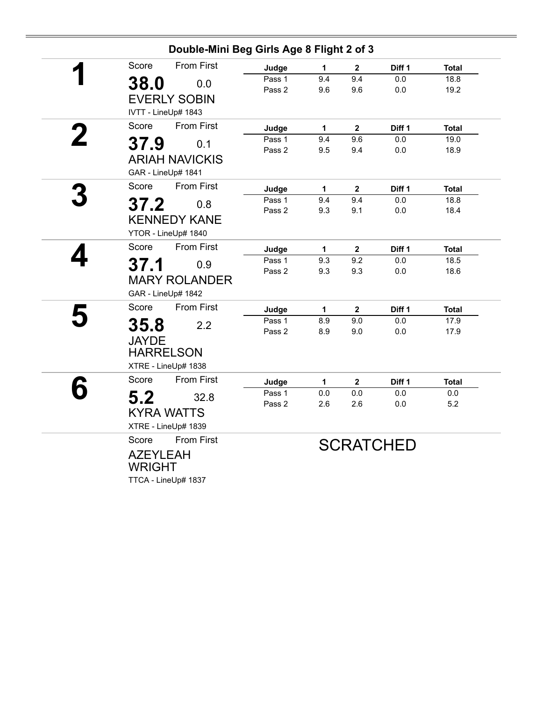|                                                                  | Double-Mini Beg Girls Age 8 Flight 2 of 3 |                  |              |                  |                   |                |  |
|------------------------------------------------------------------|-------------------------------------------|------------------|--------------|------------------|-------------------|----------------|--|
| Score<br>1                                                       | <b>From First</b>                         | Judge            | $\mathbf 1$  | $\mathbf{2}$     | Diff <sub>1</sub> | <b>Total</b>   |  |
| 38.0<br><b>EVERLY SOBIN</b>                                      | 0.0                                       | Pass 1<br>Pass 2 | 9.4<br>9.6   | 9.4<br>9.6       | 0.0<br>0.0        | 18.8<br>19.2   |  |
| IVTT - LineUp# 1843                                              |                                           |                  |              |                  |                   |                |  |
| Score                                                            | <b>From First</b>                         | Judge            | 1            | $\mathbf{2}$     | Diff 1            | <b>Total</b>   |  |
| 37.9<br><b>ARIAH NAVICKIS</b><br>GAR - LineUp# 1841              | 0.1                                       | Pass 1<br>Pass 2 | 9.4<br>9.5   | 9.6<br>9.4       | 0.0<br>$0.0\,$    | 19.0<br>18.9   |  |
| Score                                                            | <b>From First</b>                         | Judge            | $\mathbf{1}$ | $\overline{2}$   | Diff 1            | <b>Total</b>   |  |
| 37.2<br><b>KENNEDY KANE</b><br>YTOR - LineUp# 1840               | 0.8                                       | Pass 1<br>Pass 2 | 9.4<br>9.3   | 9.4<br>9.1       | 0.0<br>0.0        | 18.8<br>18.4   |  |
| Score                                                            | From First                                | Judge            | $\mathbf{1}$ | $\mathbf{2}$     | Diff 1            | <b>Total</b>   |  |
| 37.1<br><b>MARY ROLANDER</b><br>GAR - LineUp# 1842               | 0.9                                       | Pass 1<br>Pass 2 | 9.3<br>9.3   | 9.2<br>9.3       | 0.0<br>$0.0\,$    | 18.5<br>18.6   |  |
| Score                                                            | <b>From First</b>                         | Judge            | $\mathbf{1}$ | $\boldsymbol{2}$ | Diff 1            | <b>Total</b>   |  |
| 35.8<br><b>JAYDE</b>                                             | 2.2                                       | Pass 1<br>Pass 2 | 8.9<br>8.9   | 9.0<br>9.0       | 0.0<br>0.0        | 17.9<br>17.9   |  |
| <b>HARRELSON</b><br>XTRE - LineUp# 1838                          |                                           |                  |              |                  |                   |                |  |
| Score                                                            | <b>From First</b>                         | Judge            | 1            | $\boldsymbol{2}$ | Diff <sub>1</sub> | <b>Total</b>   |  |
| 5.2<br><b>KYRA WATTS</b><br>XTRE - LineUp# 1839                  | 32.8                                      | Pass 1<br>Pass 2 | 0.0<br>2.6   | $0.0\,$<br>2.6   | 0.0<br>0.0        | $0.0\,$<br>5.2 |  |
| Score<br><b>AZEYLEAH</b><br><b>WRIGHT</b><br>TTCA - LineUp# 1837 | <b>From First</b>                         | <b>SCRATCHED</b> |              |                  |                   |                |  |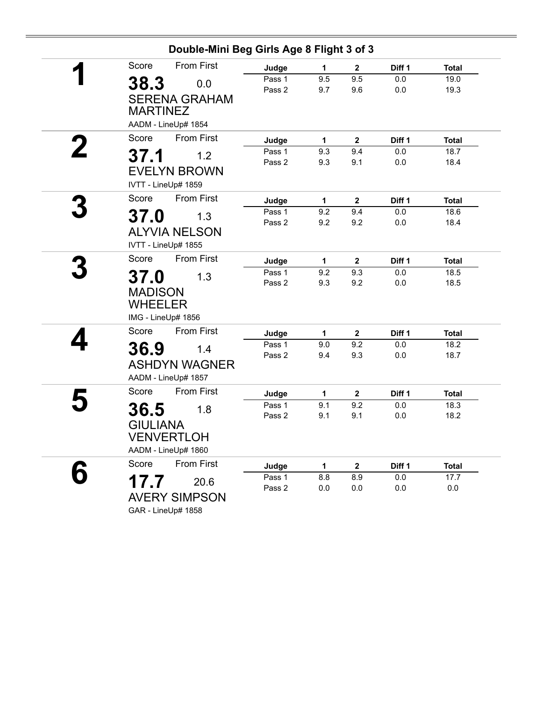|                 | Double-Mini Beg Girls Age 8 Flight 3 of 3 |                  |              |                     |            |              |
|-----------------|-------------------------------------------|------------------|--------------|---------------------|------------|--------------|
| Score           | <b>From First</b>                         | Judge            | $\mathbf{1}$ | $\mathbf{2}$        | Diff 1     | <b>Total</b> |
| 38.3            | 0.0                                       | Pass 1           | 9.5          | 9.5                 | 0.0        | 19.0         |
|                 |                                           | Pass 2           | 9.7          | 9.6                 | 0.0        | 19.3         |
|                 | <b>SERENA GRAHAM</b>                      |                  |              |                     |            |              |
| <b>MARTINEZ</b> |                                           |                  |              |                     |            |              |
|                 | AADM - LineUp# 1854                       |                  |              |                     |            |              |
| Score           | <b>From First</b>                         | Judge            | 1            | $\mathbf{2}$        | Diff 1     | <b>Total</b> |
| 37.1            | 1.2                                       | Pass 1           | 9.3          | 9.4                 | 0.0        | 18.7         |
|                 |                                           | Pass 2           | 9.3          | 9.1                 | 0.0        | 18.4         |
|                 | <b>EVELYN BROWN</b>                       |                  |              |                     |            |              |
|                 | IVTT - LineUp# 1859                       |                  |              |                     |            |              |
| Score           | From First                                | Judge            | 1            | $\mathbf 2$         | Diff 1     | <b>Total</b> |
| 37.0            | 1.3                                       | Pass 1           | 9.2          | 9.4                 | 0.0        | 18.6         |
|                 | <b>ALYVIA NELSON</b>                      | Pass 2           | 9.2          | 9.2                 | 0.0        | 18.4         |
|                 |                                           |                  |              |                     |            |              |
|                 | IVTT - LineUp# 1855                       |                  |              |                     |            |              |
| Score           | <b>From First</b>                         | Judge            | 1            | $\mathbf{2}$        | Diff 1     | <b>Total</b> |
| 37.0            | 1.3                                       | Pass 1           | 9.2          | 9.3                 | 0.0        | 18.5         |
| <b>MADISON</b>  |                                           | Pass 2           | 9.3          | 9.2                 | 0.0        | 18.5         |
| <b>WHEELER</b>  |                                           |                  |              |                     |            |              |
|                 | IMG - LineUp# 1856                        |                  |              |                     |            |              |
| Score           | <b>From First</b>                         |                  |              |                     |            |              |
|                 |                                           | Judge            | $\mathbf{1}$ | $\mathbf{2}$<br>9.2 | Diff 1     | <b>Total</b> |
| 36.9            | 1.4                                       | Pass 1<br>Pass 2 | 9.0<br>9.4   | 9.3                 | 0.0<br>0.0 | 18.2<br>18.7 |
|                 | <b>ASHDYN WAGNER</b>                      |                  |              |                     |            |              |
|                 | AADM - LineUp# 1857                       |                  |              |                     |            |              |
| Score           | <b>From First</b>                         | Judge            | 1            | $\mathbf{2}$        | Diff 1     | <b>Total</b> |
|                 |                                           | Pass 1           | 9.1          | 9.2                 | 0.0        | 18.3         |
| 36.5            | 1.8                                       | Pass 2           | 9.1          | 9.1                 | 0.0        | 18.2         |
| <b>GIULIANA</b> |                                           |                  |              |                     |            |              |
|                 | <b>VENVERTLOH</b>                         |                  |              |                     |            |              |
|                 | AADM - LineUp# 1860                       |                  |              |                     |            |              |
| Score           | From First                                | Judge            | $\mathbf{1}$ | $\mathbf 2$         | Diff 1     | <b>Total</b> |
| 17.7            | 20.6                                      | Pass 1           | 8.8          | 8.9                 | $0.0\,$    | 17.7         |
|                 |                                           | Pass 2           | 0.0          | 0.0                 | 0.0        | $0.0\,$      |
|                 | <b>AVERY SIMPSON</b>                      |                  |              |                     |            |              |
|                 | GAR - LineUp# 1858                        |                  |              |                     |            |              |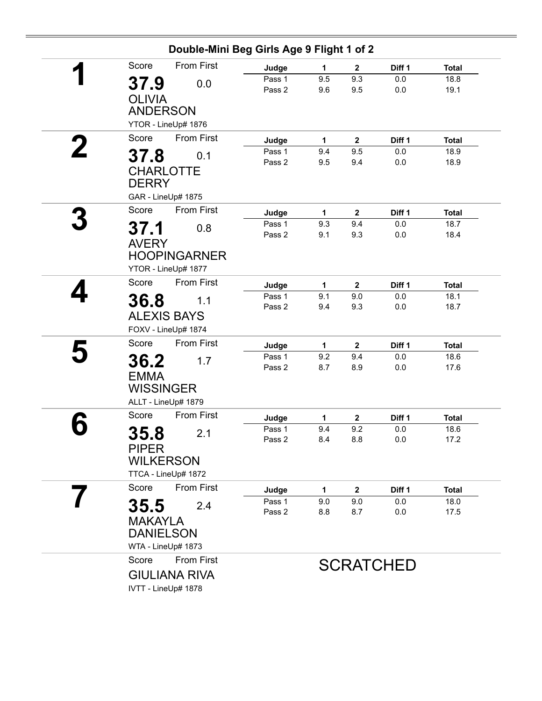| Double-Mini Beg Girls Age 9 Flight 1 of 2 |                    |            |                     |                  |                      |
|-------------------------------------------|--------------------|------------|---------------------|------------------|----------------------|
| <b>From First</b><br>Score                | Judge              | 1          | $\mathbf{2}$        | Diff 1           | <b>Total</b>         |
| 37.9<br>0.0                               | Pass 1             | 9.5        | 9.3                 | 0.0              | 18.8                 |
| <b>OLIVIA</b>                             | Pass 2             | 9.6        | 9.5                 | 0.0              | 19.1                 |
| <b>ANDERSON</b>                           |                    |            |                     |                  |                      |
| YTOR - LineUp# 1876                       |                    |            |                     |                  |                      |
|                                           |                    |            |                     |                  |                      |
| Score<br><b>From First</b>                | Judge              | 1          | $\overline{2}$      | Diff 1           | <b>Total</b>         |
| 37.8<br>0.1                               | Pass 1<br>Pass 2   | 9.4<br>9.5 | 9.5<br>9.4          | 0.0<br>0.0       | 18.9<br>18.9         |
| <b>CHARLOTTE</b><br><b>DERRY</b>          |                    |            |                     |                  |                      |
| GAR - LineUp# 1875                        |                    |            |                     |                  |                      |
| <b>From First</b><br>Score                |                    |            |                     |                  |                      |
|                                           | Judge<br>$P$ ass 1 | 1<br>9.3   | $\mathbf{2}$<br>9.4 | Diff 1<br>0.0    | <b>Total</b><br>18.7 |
| 37.1<br>0.8                               | Pass 2             | 9.1        | 9.3                 | 0.0              | 18.4                 |
| <b>AVERY</b>                              |                    |            |                     |                  |                      |
| <b>HOOPINGARNER</b>                       |                    |            |                     |                  |                      |
| YTOR - LineUp# 1877                       |                    |            |                     |                  |                      |
| <b>From First</b><br>Score                | Judge              | 1          | $\mathbf{2}$        | Diff 1           | <b>Total</b>         |
| 36.8<br>1.1                               | Pass 1             | 9.1        | 9.0                 | 0.0              | 18.1                 |
|                                           | Pass 2             | 9.4        | 9.3                 | 0.0              | 18.7                 |
| <b>ALEXIS BAYS</b>                        |                    |            |                     |                  |                      |
| FOXV - LineUp# 1874                       |                    |            |                     |                  |                      |
| <b>From First</b><br>Score                | Judge              | 1          | $\mathbf{2}$        | Diff 1           | <b>Total</b>         |
| 36.2<br>1.7                               | Pass 1             | 9.2        | 9.4                 | 0.0              | 18.6                 |
| <b>EMMA</b>                               | Pass 2             | 8.7        | 8.9                 | 0.0              | 17.6                 |
| <b>WISSINGER</b>                          |                    |            |                     |                  |                      |
| ALLT - LineUp# 1879                       |                    |            |                     |                  |                      |
| Score<br><b>From First</b>                | Judge              | 1          | $\boldsymbol{2}$    | Diff 1           | <b>Total</b>         |
|                                           | Pass 1             | 9.4        | 9.2                 | 0.0              | 18.6                 |
| 35.8<br>2.1                               | Pass 2             | 8.4        | 8.8                 | $0.0\,$          | 17.2                 |
| <b>PIPER</b>                              |                    |            |                     |                  |                      |
| <b>WILKERSON</b>                          |                    |            |                     |                  |                      |
| TTCA - LineUp# 1872                       |                    |            |                     |                  |                      |
| Score<br>From First                       | Judge              | 1          | $\mathbf{2}$        | Diff 1           | <b>Total</b>         |
| 35.5<br>2.4                               | Pass 1             | 9.0        | 9.0                 | 0.0              | 18.0                 |
| <b>MAKAYLA</b>                            | Pass 2             | 8.8        | 8.7                 | 0.0              | 17.5                 |
| <b>DANIELSON</b>                          |                    |            |                     |                  |                      |
| WTA - LineUp# 1873                        |                    |            |                     |                  |                      |
| From First<br>Score                       |                    |            |                     |                  |                      |
|                                           |                    |            |                     | <b>SCRATCHED</b> |                      |
| <b>GIULIANA RIVA</b>                      |                    |            |                     |                  |                      |
| IVTT - LineUp# 1878                       |                    |            |                     |                  |                      |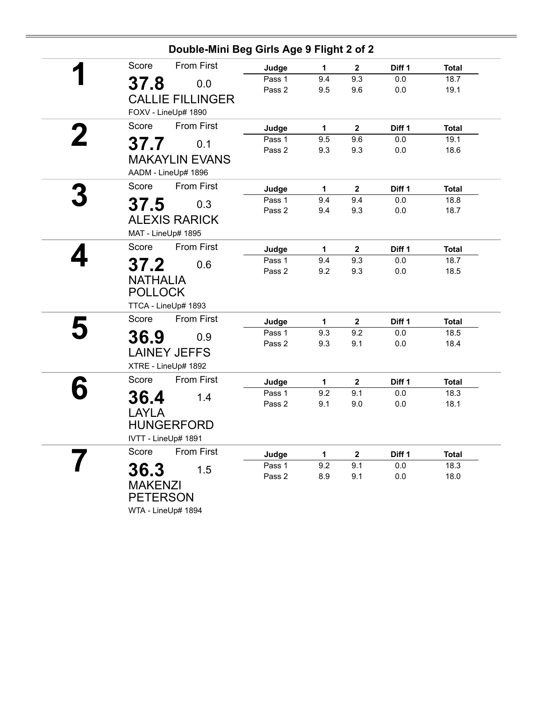| Double-Mini Beg Girls Age 9 Flight 2 of 2 |        |     |                  |         |              |
|-------------------------------------------|--------|-----|------------------|---------|--------------|
| <b>From First</b><br>Score                | Judge  | 1   | $\mathbf{2}$     | Diff 1  | <b>Total</b> |
| 37.8<br>0.0                               | Pass 1 | 9.4 | 9.3              | 0.0     | 18.7         |
|                                           | Pass 2 | 9.5 | 9.6              | 0.0     | 19.1         |
| <b>CALLIE FILLINGER</b>                   |        |     |                  |         |              |
| FOXV - LineUp# 1890                       |        |     |                  |         |              |
| <b>From First</b><br>Score                | Judge  | 1   | $\boldsymbol{2}$ | Diff 1  | <b>Total</b> |
| 37.7<br>0.1                               | Pass 1 | 9.5 | 9.6              | 0.0     | 19.1         |
| <b>MAKAYLIN EVANS</b>                     | Pass 2 | 9.3 | 9.3              | 0.0     | 18.6         |
|                                           |        |     |                  |         |              |
| AADM - LineUp# 1896                       |        |     |                  |         |              |
| Score<br>From First                       | Judge  | 1   | $\mathbf{2}$     | Diff 1  | <b>Total</b> |
| 37.5<br>0.3                               | Pass 1 | 9.4 | 9.4              | 0.0     | 18.8         |
| <b>ALEXIS RARICK</b>                      | Pass 2 | 9.4 | 9.3              | $0.0\,$ | 18.7         |
| MAT - LineUp# 1895                        |        |     |                  |         |              |
| <b>From First</b><br>Score                | Judge  | 1   | $\mathbf{2}$     | Diff 1  | <b>Total</b> |
|                                           | Pass 1 | 9.4 | 9.3              | 0.0     | 18.7         |
| 37.2<br>0.6                               | Pass 2 | 9.2 | 9.3              | 0.0     | 18.5         |
| <b>NATHALIA</b>                           |        |     |                  |         |              |
| <b>POLLOCK</b>                            |        |     |                  |         |              |
| TTCA - LineUp# 1893                       |        |     |                  |         |              |
| Score<br><b>From First</b>                | Judge  | 1   | $\mathbf{2}$     | Diff 1  | <b>Total</b> |
| 36.9<br>0.9                               | Pass 1 | 9.3 | 9.2              | 0.0     | 18.5         |
|                                           | Pass 2 | 9.3 | 9.1              | 0.0     | 18.4         |
| <b>LAINEY JEFFS</b>                       |        |     |                  |         |              |
| XTRE - LineUp# 1892                       |        |     |                  |         |              |
| <b>From First</b><br>Score                | Judge  | 1   | $\mathbf 2$      | Diff 1  | <b>Total</b> |
| 36.4<br>1.4                               | Pass 1 | 9.2 | 9.1              | 0.0     | 18.3         |
| <b>LAYLA</b>                              | Pass 2 | 9.1 | 9.0              | 0.0     | 18.1         |
| <b>HUNGERFORD</b>                         |        |     |                  |         |              |
| IVTT - LineUp# 1891                       |        |     |                  |         |              |
| From First<br>Score                       | Judge  | 1   | $\mathbf{2}$     | Diff 1  | <b>Total</b> |
|                                           | Pass 1 | 9.2 | 9.1              | 0.0     | 18.3         |
| 36.3<br>1.5                               | Pass 2 | 8.9 | 9.1              | 0.0     | 18.0         |
| <b>MAKENZI</b>                            |        |     |                  |         |              |
| <b>PETERSON</b>                           |        |     |                  |         |              |
| WTA - LineUp# 1894                        |        |     |                  |         |              |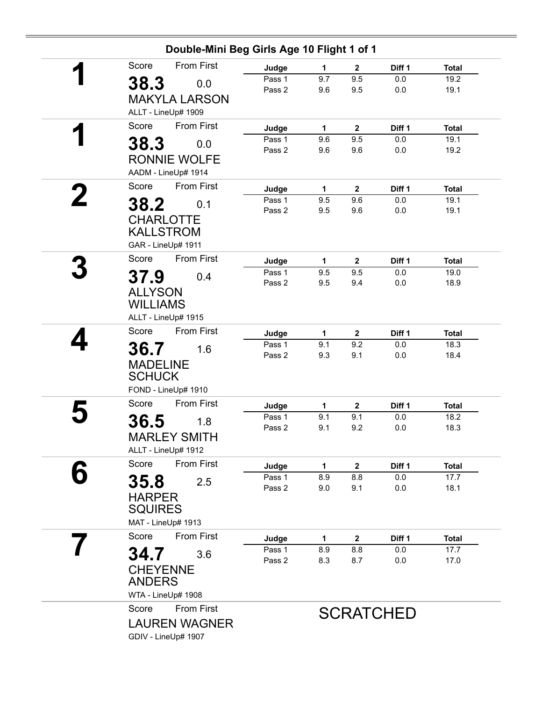|   | Double-Mini Beg Girls Age 10 Flight 1 of 1                                |                  |            |                         |                  |                      |  |  |
|---|---------------------------------------------------------------------------|------------------|------------|-------------------------|------------------|----------------------|--|--|
|   | <b>From First</b><br>Score                                                | Judge            | 1          | $\mathbf{2}$            | Diff 1           | <b>Total</b>         |  |  |
|   | 38.3<br>0.0<br><b>MAKYLA LARSON</b>                                       | Pass 1<br>Pass 2 | 9.7<br>9.6 | 9.5<br>9.5              | 0.0<br>0.0       | 19.2<br>19.1         |  |  |
|   | ALLT - LineUp# 1909                                                       |                  |            |                         |                  |                      |  |  |
|   | From First<br>Score                                                       | Judge            | 1          | $\mathbf 2$             | Diff 1           | <b>Total</b>         |  |  |
|   | 38.3<br>0.0                                                               | Pass 1           | 9.6        | 9.5                     | 0.0              | 19.1                 |  |  |
|   | <b>RONNIE WOLFE</b><br>AADM - LineUp# 1914                                | Pass 2           | 9.6        | 9.6                     | 0.0              | 19.2                 |  |  |
|   | From First<br>Score                                                       | Judge            | 1          | $\mathbf{2}$            | Diff 1           | <b>Total</b>         |  |  |
| 2 | 38.2<br>0.1                                                               | Pass 1           | 9.5        | 9.6                     | 0.0              | 19.1                 |  |  |
|   | <b>CHARLOTTE</b><br><b>KALLSTROM</b><br>GAR - LineUp# 1911                | Pass 2           | 9.5        | 9.6                     | $0.0\,$          | 19.1                 |  |  |
|   | From First<br>Score                                                       | Judge            | 1          | $\overline{\mathbf{2}}$ | Diff 1           | <b>Total</b>         |  |  |
|   |                                                                           | Pass 1           | 9.5        | 9.5                     | 0.0              | 19.0                 |  |  |
|   | 37.9<br>0.4<br><b>ALLYSON</b><br><b>WILLIAMS</b><br>ALLT - LineUp# 1915   | Pass 2           | 9.5        | 9.4                     | 0.0              | 18.9                 |  |  |
|   | <b>From First</b><br>Score                                                |                  |            |                         |                  |                      |  |  |
|   |                                                                           | Judge<br>Pass 1  | 1<br>9.1   | $\mathbf{2}$<br>9.2     | Diff 1<br>0.0    | <b>Total</b><br>18.3 |  |  |
|   | 36.7<br>1.6<br><b>MADELINE</b><br><b>SCHUCK</b><br>FOND - LineUp# 1910    | Pass 2           | 9.3        | 9.1                     | $0.0\,$          | 18.4                 |  |  |
|   | Score<br>From First                                                       | Judge            | 1          | $\mathbf{2}$            | Diff 1           | <b>Total</b>         |  |  |
|   |                                                                           | Pass 1           | 9.1        | 9.1                     | $0.0\,$          | 18.2                 |  |  |
|   | 36.5<br>1.8<br><b>MARLEY SMITH</b><br>ALLT - LineUp# 1912                 | Pass 2           | 9.1        | 9.2                     | $0.0\,$          | 18.3                 |  |  |
|   | Score<br><b>From First</b>                                                | Judge            | 1          | $\mathbf{2}$            | Diff 1           | <b>Total</b>         |  |  |
|   | 35.8<br>2.5                                                               | Pass 1           | 8.9        | 8.8                     | 0.0              | 17.7                 |  |  |
|   | <b>HARPER</b><br><b>SQUIRES</b><br>MAT - LineUp# 1913                     | Pass 2           | 9.0        | 9.1                     | 0.0              | 18.1                 |  |  |
|   | <b>From First</b><br>Score                                                | Judge            | 1          | $\mathbf{2}$            | Diff 1           | <b>Total</b>         |  |  |
|   |                                                                           | Pass 1           | 8.9        | 8.8                     | 0.0              | 17.7                 |  |  |
|   | 34.7<br>3.6<br><b>CHEYENNE</b><br><b>ANDERS</b>                           | Pass 2           | 8.3        | 8.7                     | 0.0              | 17.0                 |  |  |
|   | WTA - LineUp# 1908                                                        |                  |            |                         |                  |                      |  |  |
|   | <b>From First</b><br>Score<br><b>LAUREN WAGNER</b><br>GDIV - LineUp# 1907 |                  |            |                         | <b>SCRATCHED</b> |                      |  |  |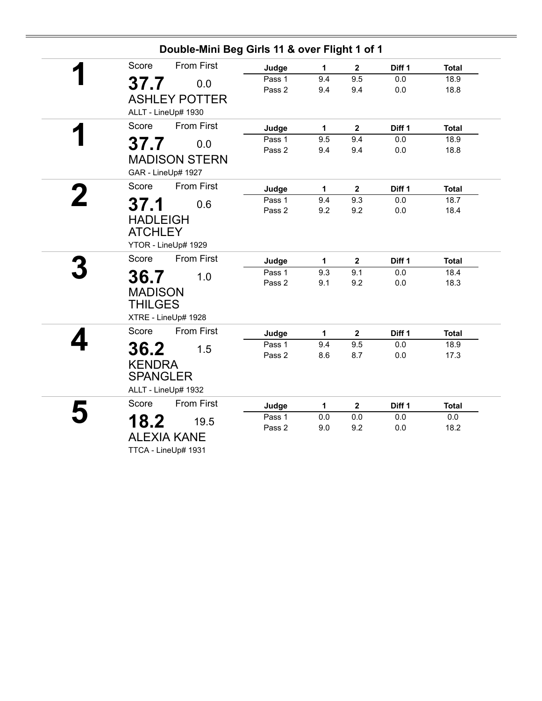|                            | Double-Mini Beg Girls 11 & over Flight 1 of 1 |     |                |        |              |  |  |  |
|----------------------------|-----------------------------------------------|-----|----------------|--------|--------------|--|--|--|
| <b>From First</b><br>Score | Judge                                         | 1   | $\mathbf{2}$   | Diff 1 | <b>Total</b> |  |  |  |
| 37.7<br>0.0                | Pass 1                                        | 9.4 | 9.5            | 0.0    | 18.9         |  |  |  |
|                            | Pass 2                                        | 9.4 | 9.4            | 0.0    | 18.8         |  |  |  |
| <b>ASHLEY POTTER</b>       |                                               |     |                |        |              |  |  |  |
| ALLT - LineUp# 1930        |                                               |     |                |        |              |  |  |  |
| From First<br>Score        | Judge                                         | 1   | $\overline{2}$ | Diff 1 | <b>Total</b> |  |  |  |
| 37.7<br>0.0                | Pass 1                                        | 9.5 | 9.4            | 0.0    | 18.9         |  |  |  |
| <b>MADISON STERN</b>       | Pass 2                                        | 9.4 | 9.4            | 0.0    | 18.8         |  |  |  |
|                            |                                               |     |                |        |              |  |  |  |
| GAR - LineUp# 1927         |                                               |     |                |        |              |  |  |  |
| <b>From First</b><br>Score | Judge                                         | 1   | $\mathbf{2}$   | Diff 1 | <b>Total</b> |  |  |  |
| 37.1<br>0.6                | Pass 1                                        | 9.4 | 9.3            | 0.0    | 18.7         |  |  |  |
|                            | Pass 2                                        | 9.2 | 9.2            | 0.0    | 18.4         |  |  |  |
| <b>HADLEIGH</b>            |                                               |     |                |        |              |  |  |  |
| <b>ATCHLEY</b>             |                                               |     |                |        |              |  |  |  |
| YTOR - LineUp# 1929        |                                               |     |                |        |              |  |  |  |
| <b>From First</b><br>Score | Judge                                         | 1   | $\mathbf{2}$   | Diff 1 | <b>Total</b> |  |  |  |
| 36.7<br>1.0                | Pass 1                                        | 9.3 | 9.1            | 0.0    | 18.4         |  |  |  |
|                            | Pass 2                                        | 9.1 | 9.2            | 0.0    | 18.3         |  |  |  |
| <b>MADISON</b>             |                                               |     |                |        |              |  |  |  |
| <b>THILGES</b>             |                                               |     |                |        |              |  |  |  |
| XTRE - LineUp# 1928        |                                               |     |                |        |              |  |  |  |
| <b>From First</b><br>Score | Judge                                         | 1   | $\mathbf{2}$   | Diff 1 | <b>Total</b> |  |  |  |
| 36.2<br>1.5                | Pass 1                                        | 9.4 | 9.5            | 0.0    | 18.9         |  |  |  |
|                            | Pass 2                                        | 8.6 | 8.7            | 0.0    | 17.3         |  |  |  |
| <b>KENDRA</b>              |                                               |     |                |        |              |  |  |  |
| <b>SPANGLER</b>            |                                               |     |                |        |              |  |  |  |
| ALLT - LineUp# 1932        |                                               |     |                |        |              |  |  |  |
| <b>From First</b><br>Score | Judge                                         | 1   | $\mathbf{2}$   | Diff 1 | <b>Total</b> |  |  |  |
| 18.2<br>19.5               | Pass 1                                        | 0.0 | 0.0            | 0.0    | $0.0\,$      |  |  |  |
| <b>ALEXIA KANE</b>         | Pass 2                                        | 9.0 | 9.2            | 0.0    | 18.2         |  |  |  |
|                            |                                               |     |                |        |              |  |  |  |
| TTCA - LineUp# 1931        |                                               |     |                |        |              |  |  |  |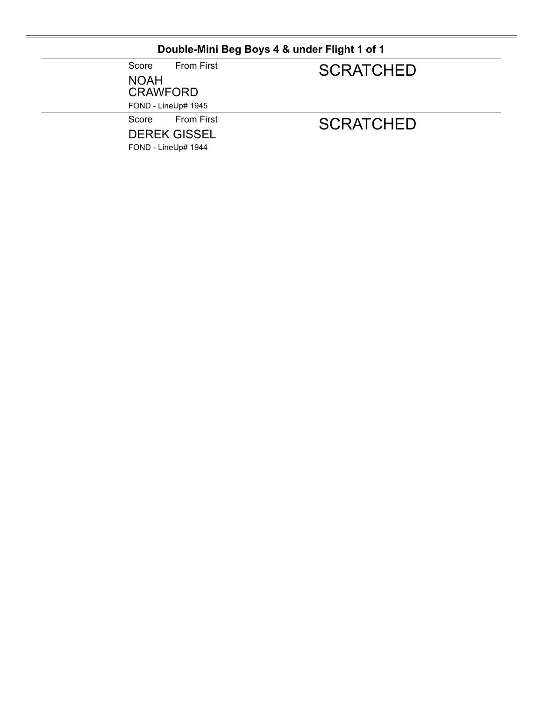### **Double-Mini Beg Boys 4 & under Flight 1 of 1**

Score From First NOAH CRAWFORD

# **SCRATCHED**

FOND - LineUp# 1945

Score From First

DEREK GISSEL FOND - LineUp# 1944

**SCRATCHED**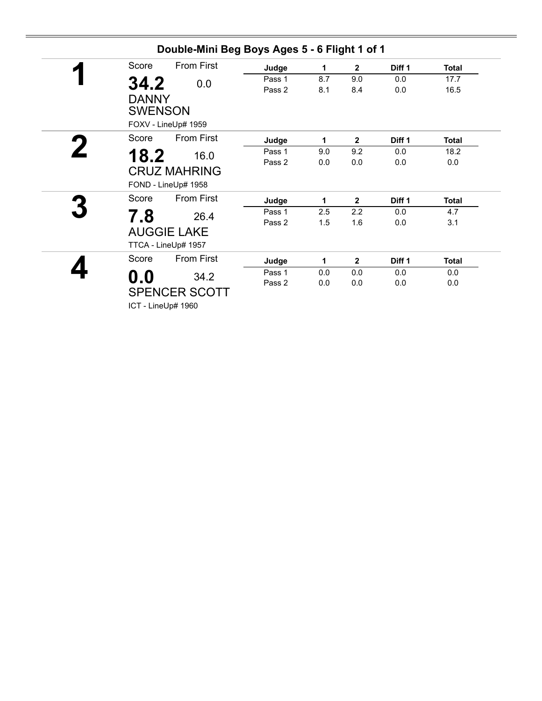| Score | <b>From First</b>                          | Judge  | 1   | $\mathbf{2}$   | Diff 1            | <b>Total</b> |
|-------|--------------------------------------------|--------|-----|----------------|-------------------|--------------|
| 34.2  | 0.0                                        | Pass 1 | 8.7 | 9.0            | 0.0               | 17.7         |
|       | <b>DANNY</b><br><b>SWENSON</b>             | Pass 2 | 8.1 | 8.4            | 0.0               | 16.5         |
|       | FOXV - LineUp# 1959                        |        |     |                |                   |              |
| Score | <b>From First</b>                          | Judge  | 1   | $\mathbf{2}$   | Diff 1            | <b>Total</b> |
| 18.2  | 16.0                                       | Pass 1 | 9.0 | 9.2            | 0.0               | 18.2         |
|       |                                            | Pass 2 | 0.0 | 0.0            | 0.0               | 0.0          |
|       | <b>CRUZ MAHRING</b><br>FOND - LineUp# 1958 |        |     |                |                   |              |
| Score | <b>From First</b>                          | Judge  | 1   | $\mathbf{2}$   | Diff 1            | <b>Total</b> |
| 7.8   | 26.4                                       | Pass 1 | 2.5 | 2.2            | 0.0               | 4.7          |
|       | <b>AUGGIE LAKE</b><br>TTCA - LineUp# 1957  | Pass 2 | 1.5 | 1.6            | 0.0               | 3.1          |
| Score | <b>From First</b>                          | Judge  | 1   | $\overline{2}$ | Diff <sub>1</sub> | <b>Total</b> |
| 0.0   | 34.2                                       | Pass 1 | 0.0 | 0.0            | 0.0               | 0.0          |
|       | <b>SPENCER SCOTT</b>                       | Pass 2 | 0.0 | 0.0            | 0.0               | 0.0          |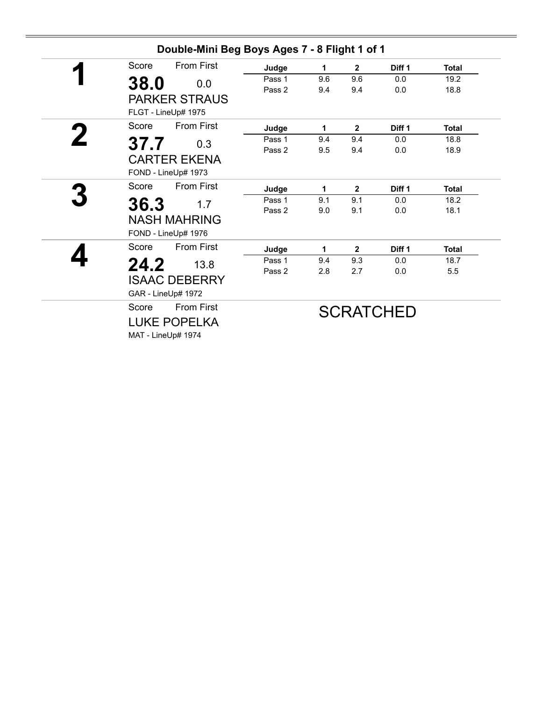| Score | <b>From First</b>    | Judge  | 1   | $\mathbf{2}$   | Diff <sub>1</sub> | <b>Total</b> |
|-------|----------------------|--------|-----|----------------|-------------------|--------------|
| 38.0  | 0.0                  | Pass 1 | 9.6 | 9.6            | 0.0               | 19.2         |
|       |                      | Pass 2 | 9.4 | 9.4            | 0.0               | 18.8         |
|       | <b>PARKER STRAUS</b> |        |     |                |                   |              |
|       | FLGT - LineUp# 1975  |        |     |                |                   |              |
| Score | From First           | Judge  | 1   | $\overline{2}$ | Diff 1            | <b>Total</b> |
| 37.7  | 0.3                  | Pass 1 | 9.4 | 9.4            | 0.0               | 18.8         |
|       |                      | Pass 2 | 9.5 | 9.4            | 0.0               | 18.9         |
|       | <b>CARTER EKENA</b>  |        |     |                |                   |              |
|       | FOND - LineUp# 1973  |        |     |                |                   |              |
| Score | <b>From First</b>    | Judge  | 1   | $\mathbf{2}$   | Diff 1            | <b>Total</b> |
| 36.3  | 1.7                  | Pass 1 | 9.1 | 9.1            | 0.0               | 18.2         |
|       | <b>NASH MAHRING</b>  | Pass 2 | 9.0 | 9.1            | 0.0               | 18.1         |
|       | FOND - LineUp# 1976  |        |     |                |                   |              |
|       |                      |        |     |                |                   |              |
| Score | <b>From First</b>    | Judge  | 1   | $\overline{2}$ | Diff <sub>1</sub> | <b>Total</b> |
| 24.2  | 13.8                 | Pass 1 | 9.4 | 9.3            | 0.0               | 18.7         |
|       | <b>ISAAC DEBERRY</b> | Pass 2 | 2.8 | 2.7            | 0.0               | 5.5          |
|       | GAR - LineUp# 1972   |        |     |                |                   |              |
|       |                      |        |     |                |                   |              |
| Score | <b>From First</b>    |        |     |                | <b>SCRATCHED</b>  |              |
|       | <b>LUKE POPELKA</b>  |        |     |                |                   |              |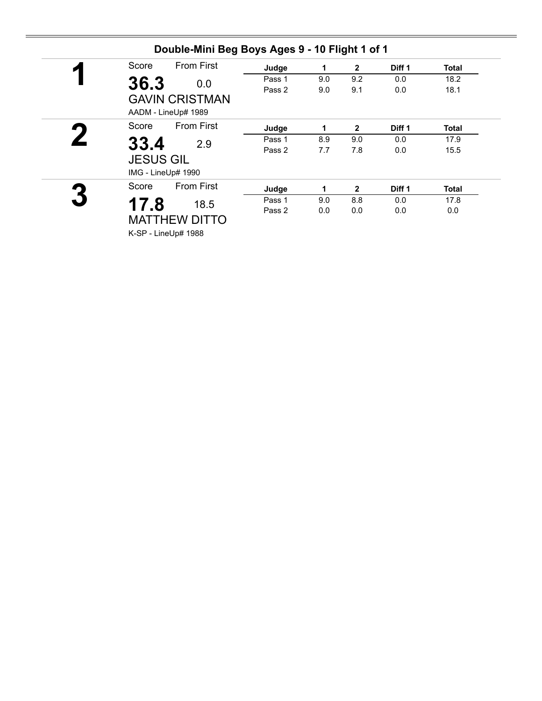| Score | <b>From First</b>                            | Judge  | 1   | $\mathbf{2}$ | Diff 1            | <b>Total</b> |
|-------|----------------------------------------------|--------|-----|--------------|-------------------|--------------|
| 36.3  | 0.0                                          | Pass 1 | 9.0 | 9.2          | 0.0               | 18.2         |
|       | <b>GAVIN CRISTMAN</b><br>AADM - LineUp# 1989 | Pass 2 | 9.0 | 9.1          | 0.0               | 18.1         |
| Score | <b>From First</b>                            | Judge  | 1   | $\mathbf{2}$ | Diff 1            | Total        |
|       | 2.9                                          | Pass 1 | 8.9 | 9.0          | 0.0               | 17.9         |
| 33.4  | <b>JESUS GIL</b><br>IMG - LineUp# 1990       | Pass 2 | 7.7 | 7.8          | 0.0               | 15.5         |
| Score | <b>From First</b>                            | Judge  | 1   | $\mathbf{2}$ | Diff <sub>1</sub> | <b>Total</b> |
| 17.8  | 18.5                                         | Pass 1 | 9.0 | 8.8          | 0.0               | 17.8         |
|       | <b>MATTHEW DITTO</b><br>K-SP - LineUp# 1988  | Pass 2 | 0.0 | 0.0          | 0.0               | 0.0          |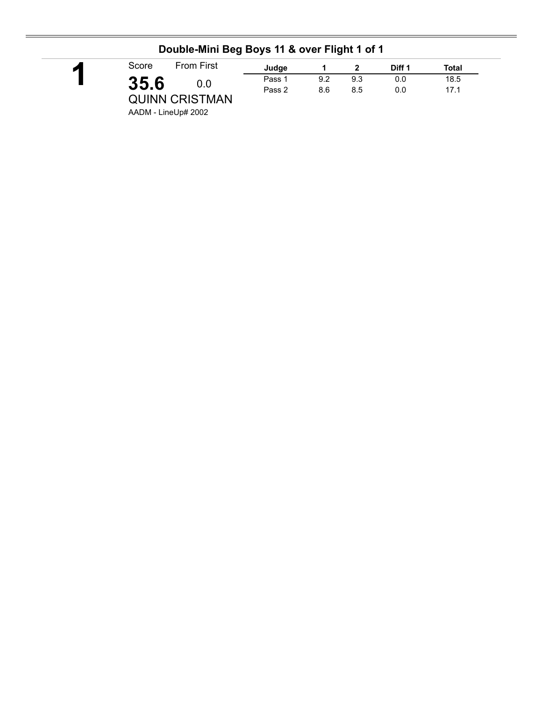| ◤ | Score | <b>From First</b>     | Judge  |     |     | Diff 1 | Total |  |
|---|-------|-----------------------|--------|-----|-----|--------|-------|--|
|   | 35.6  | 0.0                   | Pass 1 | 9.2 | 9.3 | 0.0    | 18.5  |  |
|   |       | <b>QUINN CRISTMAN</b> | Pass 2 | 8.6 | 8.5 | 0.0    | 17.1  |  |

### **Double-Mini Beg Boys 11 & over Flight 1 of 1**

AADM - LineUp# 2002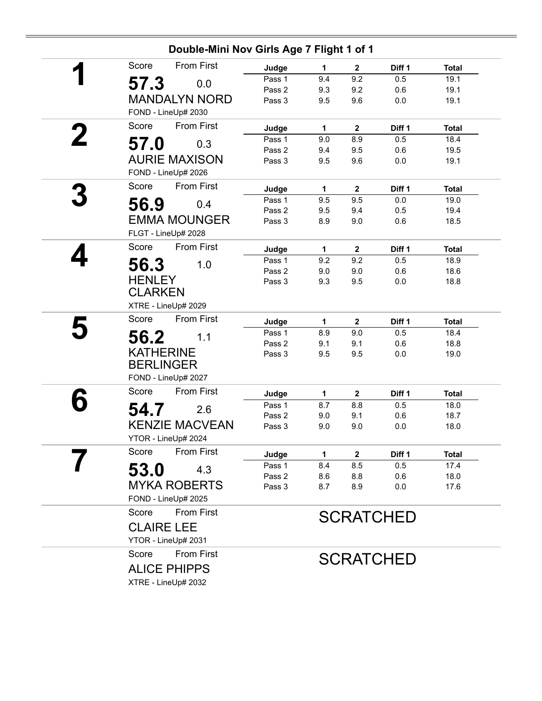| Double-Mini Nov Girls Age 7 Flight 1 of 1 |        |             |              |                  |              |  |  |
|-------------------------------------------|--------|-------------|--------------|------------------|--------------|--|--|
| <b>From First</b><br>Score                | Judge  | 1           | $\mathbf 2$  | Diff 1           | <b>Total</b> |  |  |
| 57.3<br>0.0                               | Pass 1 | 9.4         | 9.2          | 0.5              | 19.1         |  |  |
|                                           | Pass 2 | 9.3         | 9.2          | 0.6              | 19.1         |  |  |
| <b>MANDALYN NORD</b>                      | Pass 3 | 9.5         | 9.6          | 0.0              | 19.1         |  |  |
| FOND - LineUp# 2030                       |        |             |              |                  |              |  |  |
| From First<br>Score                       | Judge  | 1           | $\mathbf 2$  | Diff 1           | <b>Total</b> |  |  |
| 57.0<br>0.3                               | Pass 1 | 9.0         | 8.9          | 0.5              | 18.4         |  |  |
|                                           | Pass 2 | 9.4         | 9.5          | 0.6              | 19.5         |  |  |
| <b>AURIE MAXISON</b>                      | Pass 3 | 9.5         | 9.6          | $0.0\,$          | 19.1         |  |  |
| FOND - LineUp# 2026                       |        |             |              |                  |              |  |  |
| <b>From First</b><br>Score                | Judge  | 1           | $\mathbf{2}$ | Diff 1           | <b>Total</b> |  |  |
| 56.9<br>0.4                               | Pass 1 | 9.5         | 9.5          | 0.0              | 19.0         |  |  |
|                                           | Pass 2 | 9.5         | 9.4          | 0.5              | 19.4         |  |  |
| <b>EMMA MOUNGER</b>                       | Pass 3 | 8.9         | 9.0          | 0.6              | 18.5         |  |  |
| FLGT - LineUp# 2028                       |        |             |              |                  |              |  |  |
| <b>From First</b><br>Score                | Judge  | $\mathbf 1$ | $\mathbf{2}$ | Diff 1           | <b>Total</b> |  |  |
| 56.3<br>1.0                               | Pass 1 | 9.2         | 9.2          | 0.5              | 18.9         |  |  |
|                                           | Pass 2 | 9.0         | 9.0          | 0.6              | 18.6         |  |  |
| <b>HENLEY</b>                             | Pass 3 | 9.3         | 9.5          | 0.0              | 18.8         |  |  |
| <b>CLARKEN</b>                            |        |             |              |                  |              |  |  |
| XTRE - LineUp# 2029                       |        |             |              |                  |              |  |  |
| <b>From First</b><br>Score                | Judge  | 1           | $\mathbf 2$  | Diff 1           | <b>Total</b> |  |  |
| 56.2<br>1.1                               | Pass 1 | 8.9         | 9.0          | 0.5              | 18.4         |  |  |
|                                           | Pass 2 | 9.1         | 9.1          | 0.6              | 18.8         |  |  |
| <b>KATHERINE</b>                          | Pass 3 | 9.5         | 9.5          | 0.0              | 19.0         |  |  |
| <b>BERLINGER</b>                          |        |             |              |                  |              |  |  |
| FOND - LineUp# 2027                       |        |             |              |                  |              |  |  |
| From First<br>Score                       | Judge  | 1           | $\mathbf 2$  | Diff 1           | <b>Total</b> |  |  |
| 54.7<br>2.6                               | Pass 1 | 8.7         | 8.8          | 0.5              | 18.0         |  |  |
|                                           | Pass 2 | 9.0         | 9.1          | 0.6              | 18.7         |  |  |
| <b>KENZIE MACVEAN</b>                     | Pass 3 | 9.0         | 9.0          | 0.0              | 18.0         |  |  |
| YTOR - LineUp# 2024                       |        |             |              |                  |              |  |  |
| Score<br><b>From First</b>                | Judge  | 1           | $\mathbf{2}$ | Diff 1           | <b>Total</b> |  |  |
| 53.0<br>4.3                               | Pass 1 | 8.4         | 8.5          | 0.5              | 17.4         |  |  |
|                                           | Pass 2 | 8.6         | 8.8          | 0.6              | 18.0         |  |  |
| <b>MYKA ROBERTS</b>                       | Pass 3 | 8.7         | 8.9          | 0.0              | 17.6         |  |  |
| FOND - LineUp# 2025                       |        |             |              |                  |              |  |  |
| <b>From First</b><br>Score                |        |             |              | <b>SCRATCHED</b> |              |  |  |
| <b>CLAIRE LEE</b>                         |        |             |              |                  |              |  |  |
| YTOR - LineUp# 2031                       |        |             |              |                  |              |  |  |
| <b>From First</b><br>Score                |        |             |              |                  |              |  |  |
|                                           |        |             |              | <b>SCRATCHED</b> |              |  |  |
| <b>ALICE PHIPPS</b>                       |        |             |              |                  |              |  |  |
| XTRE - LineUp# 2032                       |        |             |              |                  |              |  |  |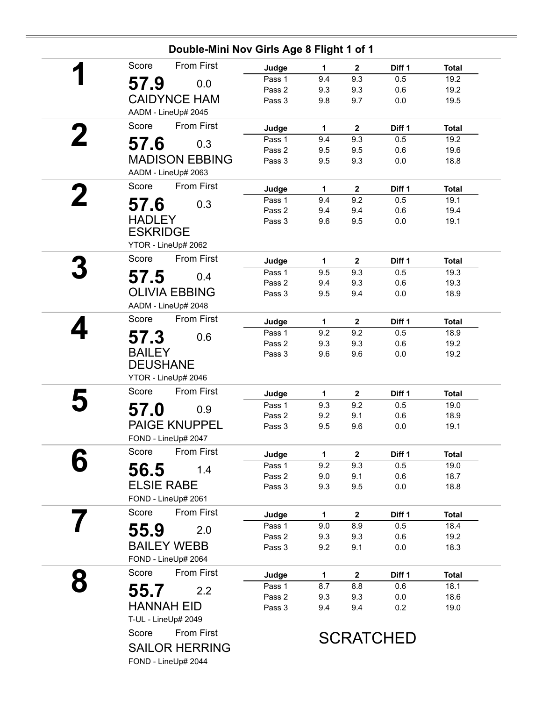|   | Double-Mini Nov Girls Age 8 Flight 1 of 1         |                  |              |                         |                  |              |  |  |  |
|---|---------------------------------------------------|------------------|--------------|-------------------------|------------------|--------------|--|--|--|
|   | <b>From First</b><br>Score                        | Judge            | $\mathbf{1}$ | $\mathbf{2}$            | Diff 1           | <b>Total</b> |  |  |  |
|   | 57.9<br>0.0                                       | Pass 1           | 9.4          | 9.3                     | 0.5              | 19.2         |  |  |  |
|   |                                                   | Pass 2           | 9.3          | 9.3                     | 0.6              | 19.2         |  |  |  |
|   | <b>CAIDYNCE HAM</b>                               | Pass 3           | 9.8          | 9.7                     | 0.0              | 19.5         |  |  |  |
|   | AADM - LineUp# 2045                               |                  |              |                         |                  |              |  |  |  |
|   | From First<br>Score                               | Judge            | $\mathbf 1$  | $\overline{\mathbf{2}}$ | Diff 1           | <b>Total</b> |  |  |  |
|   | 57.6<br>0.3                                       | Pass 1           | 9.4          | 9.3                     | 0.5              | 19.2         |  |  |  |
|   | <b>MADISON EBBING</b>                             | Pass 2<br>Pass 3 | 9.5<br>9.5   | 9.5<br>9.3              | 0.6<br>0.0       | 19.6<br>18.8 |  |  |  |
|   | AADM - LineUp# 2063                               |                  |              |                         |                  |              |  |  |  |
|   | Score<br>From First                               | Judge            | 1            | $\mathbf{2}$            | Diff 1           | <b>Total</b> |  |  |  |
| 2 |                                                   | Pass 1           | 9.4          | 9.2                     | 0.5              | 19.1         |  |  |  |
|   | 57.6<br>0.3                                       | Pass 2           | 9.4          | 9.4                     | 0.6              | 19.4         |  |  |  |
|   | <b>HADLEY</b>                                     | Pass 3           | 9.6          | 9.5                     | 0.0              | 19.1         |  |  |  |
|   | <b>ESKRIDGE</b>                                   |                  |              |                         |                  |              |  |  |  |
|   | YTOR - LineUp# 2062                               |                  |              |                         |                  |              |  |  |  |
|   | From First<br>Score                               | Judge            | $\mathbf 1$  | $\overline{\mathbf{2}}$ | Diff 1           | <b>Total</b> |  |  |  |
|   | 57.5<br>0.4                                       | Pass 1           | 9.5          | 9.3                     | 0.5              | 19.3         |  |  |  |
|   | <b>OLIVIA EBBING</b>                              | Pass 2           | 9.4          | 9.3                     | 0.6              | 19.3         |  |  |  |
|   |                                                   | Pass 3           | 9.5          | 9.4                     | 0.0              | 18.9         |  |  |  |
|   | AADM - LineUp# 2048<br>Score<br><b>From First</b> |                  |              |                         |                  |              |  |  |  |
|   |                                                   | Judge            | $\mathbf{1}$ | $\mathbf{2}$            | Diff 1           | <b>Total</b> |  |  |  |
|   | 57.3<br>0.6                                       | Pass 1<br>Pass 2 | 9.2<br>9.3   | 9.2<br>9.3              | 0.5<br>0.6       | 18.9<br>19.2 |  |  |  |
|   | <b>BAILEY</b>                                     | Pass 3           | 9.6          | 9.6                     | 0.0              | 19.2         |  |  |  |
|   | <b>DEUSHANE</b>                                   |                  |              |                         |                  |              |  |  |  |
|   | YTOR - LineUp# 2046                               |                  |              |                         |                  |              |  |  |  |
|   | <b>From First</b><br>Score                        | Judge            | $\mathbf 1$  | $\mathbf{2}$            | Diff 1           | <b>Total</b> |  |  |  |
|   | 57.0<br>0.9                                       | Pass 1           | 9.3          | 9.2                     | 0.5              | 19.0         |  |  |  |
|   |                                                   | Pass 2           | 9.2          | 9.1                     | 0.6              | 18.9         |  |  |  |
|   | <b>PAIGE KNUPPEL</b><br>FOND - LineUp# 2047       | Pass 3           | 9.5          | 9.6                     | 0.0              | 19.1         |  |  |  |
|   | <b>From First</b><br>Score                        |                  | 1            |                         | Diff 1           | <b>Total</b> |  |  |  |
|   |                                                   | Judge<br>Pass 1  | 9.2          | $\mathbf{2}$<br>9.3     | 0.5              | 19.0         |  |  |  |
|   | 56.5<br>1.4                                       | Pass 2           | 9.0          | 9.1                     | 0.6              | 18.7         |  |  |  |
|   | <b>ELSIE RABE</b>                                 | Pass 3           | 9.3          | 9.5                     | 0.0              | 18.8         |  |  |  |
|   | FOND - LineUp# 2061                               |                  |              |                         |                  |              |  |  |  |
|   | <b>From First</b><br>Score                        | Judge            | 1            | $\mathbf{2}$            | Diff 1           | <b>Total</b> |  |  |  |
|   | 55.9<br>2.0                                       | Pass 1           | 9.0          | 8.9                     | 0.5              | 18.4         |  |  |  |
|   |                                                   | Pass 2           | 9.3          | 9.3                     | 0.6              | 19.2         |  |  |  |
|   | <b>BAILEY WEBB</b>                                | Pass 3           | 9.2          | 9.1                     | 0.0              | 18.3         |  |  |  |
|   | FOND - LineUp# 2064                               |                  |              |                         |                  |              |  |  |  |
|   | From First<br>Score                               | Judge            | 1            | $\mathbf 2$             | Diff 1           | <b>Total</b> |  |  |  |
|   | 55.7<br>2.2                                       | Pass 1           | 8.7          | 8.8                     | 0.6              | 18.1         |  |  |  |
|   | <b>HANNAH EID</b>                                 | Pass 2           | 9.3          | 9.3                     | 0.0              | 18.6         |  |  |  |
|   | T-UL - LineUp# 2049                               | Pass 3           | 9.4          | 9.4                     | 0.2              | 19.0         |  |  |  |
|   | From First<br>Score                               |                  |              |                         |                  |              |  |  |  |
|   | <b>SAILOR HERRING</b>                             |                  |              |                         | <b>SCRATCHED</b> |              |  |  |  |
|   |                                                   |                  |              |                         |                  |              |  |  |  |
|   | FOND - LineUp# 2044                               |                  |              |                         |                  |              |  |  |  |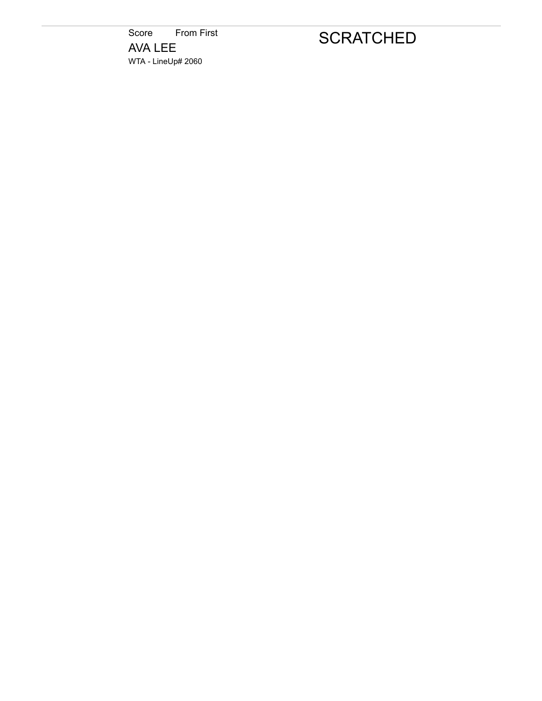Score From First AVA LEE WTA - LineUp# 2060

# **SCRATCHED**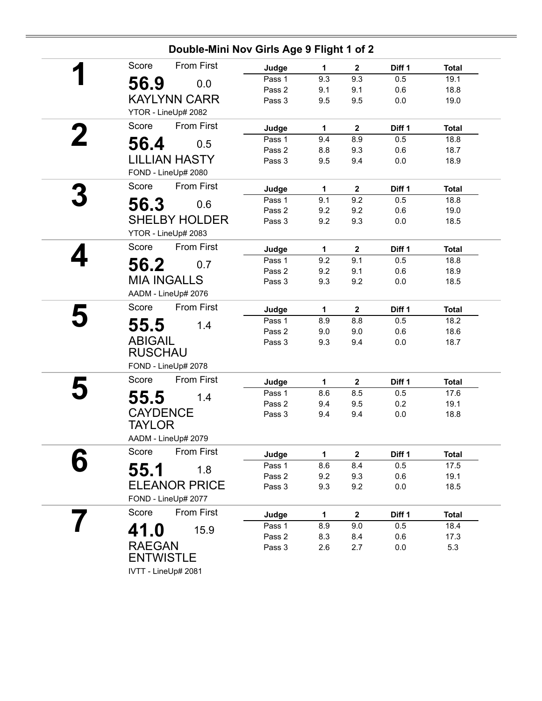| Double-Mini Nov Girls Age 9 Flight 1 of 2 |        |              |              |        |              |  |  |  |
|-------------------------------------------|--------|--------------|--------------|--------|--------------|--|--|--|
| <b>From First</b><br>Score                | Judge  | 1            | $\mathbf{2}$ | Diff 1 | <b>Total</b> |  |  |  |
| 56.9<br>0.0                               | Pass 1 | 9.3          | 9.3          | 0.5    | 19.1         |  |  |  |
|                                           | Pass 2 | 9.1          | 9.1          | 0.6    | 18.8         |  |  |  |
| <b>KAYLYNN CARR</b>                       | Pass 3 | 9.5          | 9.5          | 0.0    | 19.0         |  |  |  |
| YTOR - LineUp# 2082                       |        |              |              |        |              |  |  |  |
| From First<br>Score                       | Judge  | 1.           | $\mathbf{2}$ | Diff 1 | <b>Total</b> |  |  |  |
| 56.4<br>0.5                               | Pass 1 | 9.4          | 8.9          | 0.5    | 18.8         |  |  |  |
|                                           | Pass 2 | 8.8          | 9.3          | 0.6    | 18.7         |  |  |  |
| <b>LILLIAN HASTY</b>                      | Pass 3 | 9.5          | 9.4          | 0.0    | 18.9         |  |  |  |
| FOND - LineUp# 2080                       |        |              |              |        |              |  |  |  |
| From First<br>Score                       | Judge  | $\mathbf{1}$ | $\mathbf 2$  | Diff 1 | <b>Total</b> |  |  |  |
| 56.3<br>0.6                               | Pass 1 | 9.1          | 9.2          | 0.5    | 18.8         |  |  |  |
|                                           | Pass 2 | 9.2          | 9.2          | 0.6    | 19.0         |  |  |  |
| <b>SHELBY HOLDER</b>                      | Pass 3 | 9.2          | 9.3          | 0.0    | 18.5         |  |  |  |
| YTOR - LineUp# 2083                       |        |              |              |        |              |  |  |  |
| <b>From First</b><br>Score                | Judge  | 1            | $\mathbf 2$  | Diff 1 | <b>Total</b> |  |  |  |
| 56.2<br>0.7                               | Pass 1 | 9.2          | 9.1          | 0.5    | 18.8         |  |  |  |
|                                           | Pass 2 | 9.2          | 9.1          | 0.6    | 18.9         |  |  |  |
| <b>MIA INGALLS</b>                        | Pass 3 | 9.3          | 9.2          | 0.0    | 18.5         |  |  |  |
| AADM - LineUp# 2076                       |        |              |              |        |              |  |  |  |
| From First<br>Score                       | Judge  | 1            | $\mathbf 2$  | Diff 1 | <b>Total</b> |  |  |  |
| 55.5<br>1.4                               | Pass 1 | 8.9          | 8.8          | 0.5    | 18.2         |  |  |  |
|                                           | Pass 2 | 9.0          | 9.0          | 0.6    | 18.6         |  |  |  |
| <b>ABIGAIL</b>                            | Pass 3 | 9.3          | 9.4          | 0.0    | 18.7         |  |  |  |
| <b>RUSCHAU</b>                            |        |              |              |        |              |  |  |  |
| FOND - LineUp# 2078                       |        |              |              |        |              |  |  |  |
| From First<br>Score                       | Judge  | 1            | $\mathbf{2}$ | Diff 1 | <b>Total</b> |  |  |  |
| 55.5<br>1.4                               | Pass 1 | 8.6          | 8.5          | 0.5    | 17.6         |  |  |  |
|                                           | Pass 2 | 9.4          | 9.5          | 0.2    | 19.1         |  |  |  |
| <b>CAYDENCE</b>                           | Pass 3 | 9.4          | 9.4          | 0.0    | 18.8         |  |  |  |
| TAYLOR                                    |        |              |              |        |              |  |  |  |
| AADM - LineUp# 2079                       |        |              |              |        |              |  |  |  |
| <b>From First</b><br>Score                | Judge  | 1            | $\mathbf 2$  | Diff 1 | <b>Total</b> |  |  |  |
| 55.1<br>1.8                               | Pass 1 | 8.6          | 8.4          | 0.5    | 17.5         |  |  |  |
|                                           | Pass 2 | 9.2          | 9.3          | 0.6    | 19.1         |  |  |  |
| <b>ELEANOR PRICE</b>                      | Pass 3 | 9.3          | 9.2          | 0.0    | 18.5         |  |  |  |
| FOND - LineUp# 2077                       |        |              |              |        |              |  |  |  |
| From First<br>Score                       | Judge  | 1            | $\mathbf 2$  | Diff 1 | <b>Total</b> |  |  |  |
| 41.0<br>15.9                              | Pass 1 | 8.9          | 9.0          | 0.5    | 18.4         |  |  |  |
|                                           | Pass 2 | 8.3          | 8.4          | 0.6    | 17.3         |  |  |  |
| <b>RAEGAN</b>                             | Pass 3 | 2.6          | 2.7          | 0.0    | 5.3          |  |  |  |
| <b>ENTWISTLE</b>                          |        |              |              |        |              |  |  |  |
| IVTT - LineUp# 2081                       |        |              |              |        |              |  |  |  |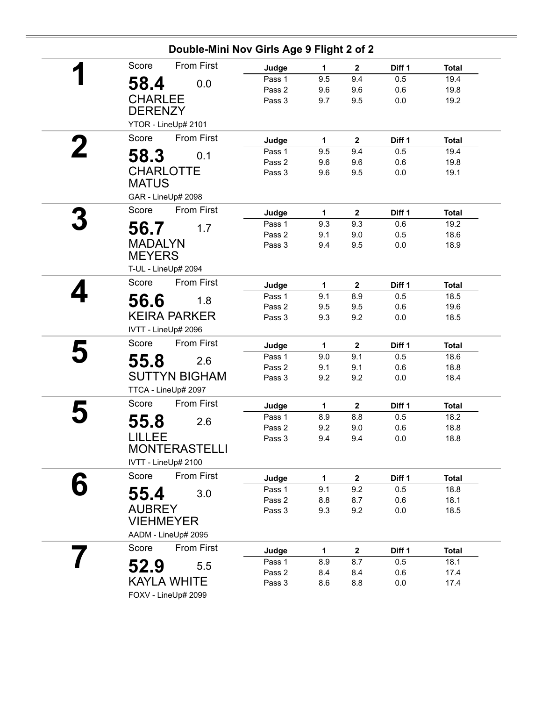| Double-Mini Nov Girls Age 9 Flight 2 of 2 |        |              |                         |         |              |  |  |  |
|-------------------------------------------|--------|--------------|-------------------------|---------|--------------|--|--|--|
| <b>From First</b><br>Score                | Judge  | 1            | $\mathbf 2$             | Diff 1  | <b>Total</b> |  |  |  |
| 58.4<br>0.0                               | Pass 1 | 9.5          | 9.4                     | 0.5     | 19.4         |  |  |  |
|                                           | Pass 2 | 9.6          | 9.6                     | 0.6     | 19.8         |  |  |  |
| <b>CHARLEE</b>                            | Pass 3 | 9.7          | 9.5                     | 0.0     | 19.2         |  |  |  |
| <b>DERENZY</b>                            |        |              |                         |         |              |  |  |  |
| YTOR - LineUp# 2101                       |        |              |                         |         |              |  |  |  |
| Score<br><b>From First</b>                | Judge  | 1            | $\mathbf{2}$            | Diff 1  | <b>Total</b> |  |  |  |
| 0.1                                       | Pass 1 | 9.5          | 9.4                     | 0.5     | 19.4         |  |  |  |
| 58.3                                      | Pass 2 | 9.6          | 9.6                     | 0.6     | 19.8         |  |  |  |
| <b>CHARLOTTE</b>                          | Pass 3 | 9.6          | 9.5                     | 0.0     | 19.1         |  |  |  |
| <b>MATUS</b>                              |        |              |                         |         |              |  |  |  |
| GAR - LineUp# 2098                        |        |              |                         |         |              |  |  |  |
| From First<br>Score                       | Judge  | $\mathbf{1}$ | $\mathbf{2}$            | Diff 1  | <b>Total</b> |  |  |  |
|                                           | Pass 1 | 9.3          | 9.3                     | 0.6     | 19.2         |  |  |  |
| 56.7<br>1.7                               | Pass 2 | 9.1          | 9.0                     | 0.5     | 18.6         |  |  |  |
| <b>MADALYN</b>                            | Pass 3 | 9.4          | 9.5                     | 0.0     | 18.9         |  |  |  |
| <b>MEYERS</b>                             |        |              |                         |         |              |  |  |  |
| T-UL - LineUp# 2094                       |        |              |                         |         |              |  |  |  |
| <b>From First</b><br>Score                | Judge  | 1            | $\mathbf{2}$            | Diff 1  | <b>Total</b> |  |  |  |
|                                           | Pass 1 | 9.1          | 8.9                     | 0.5     | 18.5         |  |  |  |
| 56.6<br>1.8                               | Pass 2 | 9.5          | 9.5                     | 0.6     | 19.6         |  |  |  |
| <b>KEIRA PARKER</b>                       | Pass 3 | 9.3          | 9.2                     | $0.0\,$ | 18.5         |  |  |  |
| IVTT - LineUp# 2096                       |        |              |                         |         |              |  |  |  |
| From First<br>Score                       | Judge  | $\mathbf{1}$ | $\mathbf 2$             | Diff 1  | <b>Total</b> |  |  |  |
|                                           | Pass 1 | 9.0          | 9.1                     | 0.5     | 18.6         |  |  |  |
| 55.8<br>2.6                               | Pass 2 | 9.1          | 9.1                     | 0.6     | 18.8         |  |  |  |
| <b>SUTTYN BIGHAM</b>                      | Pass 3 | 9.2          | 9.2                     | 0.0     | 18.4         |  |  |  |
| TTCA - LineUp# 2097                       |        |              |                         |         |              |  |  |  |
| Score<br><b>From First</b>                | Judge  | 1            | $\overline{\mathbf{2}}$ | Diff 1  | <b>Total</b> |  |  |  |
|                                           | Pass 1 | 8.9          | 8.8                     | 0.5     | 18.2         |  |  |  |
| 55.8<br>2.6                               | Pass 2 | 9.2          | 9.0                     | 0.6     | 18.8         |  |  |  |
| LILLEE                                    | Pass 3 | 9.4          | 9.4                     | 0.0     | 18.8         |  |  |  |
| <b>MONTERASTELLI</b>                      |        |              |                         |         |              |  |  |  |
| IVTT - LineUp# 2100                       |        |              |                         |         |              |  |  |  |
| <b>From First</b><br>Score                | Judge  | $\mathbf{1}$ | $\mathbf{2}$            | Diff 1  | <b>Total</b> |  |  |  |
|                                           | Pass 1 | 9.1          | 9.2                     | 0.5     | 18.8         |  |  |  |
| 55.4<br>3.0                               | Pass 2 | 8.8          | 8.7                     | 0.6     | 18.1         |  |  |  |
| <b>AUBREY</b>                             | Pass 3 | 9.3          | 9.2                     | 0.0     | 18.5         |  |  |  |
| <b>VIEHMEYER</b>                          |        |              |                         |         |              |  |  |  |
| AADM - LineUp# 2095                       |        |              |                         |         |              |  |  |  |
| From First<br>Score                       | Judge  | 1            | $\mathbf{2}$            | Diff 1  | <b>Total</b> |  |  |  |
|                                           | Pass 1 | 8.9          | 8.7                     | 0.5     | 18.1         |  |  |  |
| 52.9<br>5.5                               | Pass 2 | 8.4          | 8.4                     | 0.6     | 17.4         |  |  |  |
|                                           |        |              |                         |         |              |  |  |  |
| <b>KAYLA WHITE</b>                        | Pass 3 | 8.6          | 8.8                     | 0.0     | 17.4         |  |  |  |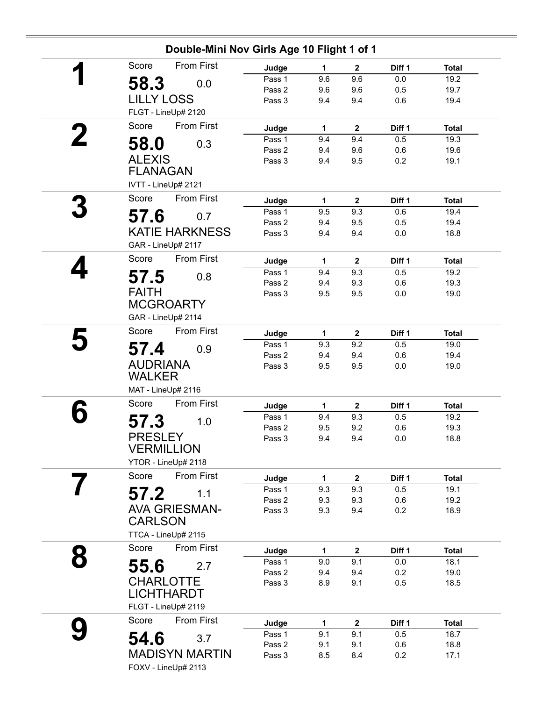| Double-Mini Nov Girls Age 10 Flight 1 of 1 |        |              |              |        |              |  |  |  |
|--------------------------------------------|--------|--------------|--------------|--------|--------------|--|--|--|
| <b>From First</b><br>Score                 | Judge  | 1            | $\mathbf{2}$ | Diff 1 | <b>Total</b> |  |  |  |
| 58.3<br>0.0                                | Pass 1 | 9.6          | 9.6          | 0.0    | 19.2         |  |  |  |
|                                            | Pass 2 | 9.6          | 9.6          | 0.5    | 19.7         |  |  |  |
| <b>LILLY LOSS</b>                          | Pass 3 | 9.4          | 9.4          | 0.6    | 19.4         |  |  |  |
| FLGT - LineUp# 2120                        |        |              |              |        |              |  |  |  |
| <b>From First</b><br>Score                 | Judge  | 1            | $\mathbf 2$  | Diff 1 | <b>Total</b> |  |  |  |
| 58.0<br>0.3                                | Pass 1 | 9.4          | 9.4          | 0.5    | 19.3         |  |  |  |
|                                            | Pass 2 | 9.4          | 9.6          | 0.6    | 19.6         |  |  |  |
| <b>ALEXIS</b>                              | Pass 3 | 9.4          | 9.5          | 0.2    | 19.1         |  |  |  |
| <b>FLANAGAN</b>                            |        |              |              |        |              |  |  |  |
| IVTT - LineUp# 2121                        |        |              |              |        |              |  |  |  |
| Score<br><b>From First</b>                 | Judge  | 1            | $\mathbf{2}$ | Diff 1 | <b>Total</b> |  |  |  |
| 57.6<br>0.7                                | Pass 1 | 9.5          | 9.3          | 0.6    | 19.4         |  |  |  |
|                                            | Pass 2 | 9.4          | 9.5          | 0.5    | 19.4         |  |  |  |
| <b>KATIE HARKNESS</b>                      | Pass 3 | 9.4          | 9.4          | 0.0    | 18.8         |  |  |  |
| GAR - LineUp# 2117                         |        |              |              |        |              |  |  |  |
| From First<br>Score                        | Judge  | $\mathbf{1}$ | $\mathbf{2}$ | Diff 1 | <b>Total</b> |  |  |  |
| 57.5<br>0.8                                | Pass 1 | 9.4          | 9.3          | 0.5    | 19.2         |  |  |  |
|                                            | Pass 2 | 9.4          | 9.3          | 0.6    | 19.3         |  |  |  |
| <b>FAITH</b>                               | Pass 3 | 9.5          | 9.5          | 0.0    | 19.0         |  |  |  |
| <b>MCGROARTY</b>                           |        |              |              |        |              |  |  |  |
| GAR - LineUp# 2114                         |        |              |              |        |              |  |  |  |
| Score<br><b>From First</b>                 | Judge  | 1            | $\mathbf{2}$ | Diff 1 | <b>Total</b> |  |  |  |
| 57.4<br>0.9                                | Pass 1 | 9.3          | 9.2          | 0.5    | 19.0         |  |  |  |
|                                            | Pass 2 | 9.4          | 9.4          | 0.6    | 19.4         |  |  |  |
| <b>AUDRIANA</b>                            | Pass 3 | 9.5          | 9.5          | 0.0    | 19.0         |  |  |  |
| <b>WALKER</b>                              |        |              |              |        |              |  |  |  |
| MAT - LineUp# 2116                         |        |              |              |        |              |  |  |  |
| <b>From First</b><br>Score                 | Judge  | 1            | $\mathbf{2}$ | Diff 1 | <b>Total</b> |  |  |  |
| 57.3<br>1.0                                | Pass 1 | 9.4          | 9.3          | 0.5    | 19.2         |  |  |  |
|                                            | Pass 2 | 9.5          | 9.2          | 0.6    | 19.3         |  |  |  |
| <b>PRESLEY</b>                             | Pass 3 | 9.4          | 9.4          | 0.0    | 18.8         |  |  |  |
| <b>VERMILLION</b>                          |        |              |              |        |              |  |  |  |
| YTOR - LineUp# 2118                        |        |              |              |        |              |  |  |  |
| From First<br>Score                        | Judge  | $\mathbf{1}$ | $\mathbf{2}$ | Diff 1 | <b>Total</b> |  |  |  |
| 57.2<br>1.1                                | Pass 1 | 9.3          | 9.3          | 0.5    | 19.1         |  |  |  |
|                                            | Pass 2 | 9.3          | 9.3          | 0.6    | 19.2         |  |  |  |
| <b>AVA GRIESMAN-</b>                       | Pass 3 | 9.3          | 9.4          | 0.2    | 18.9         |  |  |  |
| <b>CARLSON</b>                             |        |              |              |        |              |  |  |  |
| TTCA - LineUp# 2115                        |        |              |              |        |              |  |  |  |
| From First<br>Score                        | Judge  | 1            | $\mathbf{2}$ | Diff 1 | <b>Total</b> |  |  |  |
| 2.7                                        | Pass 1 | 9.0          | 9.1          | 0.0    | 18.1         |  |  |  |
| 55.6                                       | Pass 2 | 9.4          | 9.4          | 0.2    | 19.0         |  |  |  |
| <b>CHARLOTTE</b>                           | Pass 3 | 8.9          | 9.1          | 0.5    | 18.5         |  |  |  |
| <b>LICHTHARDT</b>                          |        |              |              |        |              |  |  |  |
| FLGT - LineUp# 2119                        |        |              |              |        |              |  |  |  |
| Score<br><b>From First</b>                 | Judge  | 1            | $\mathbf 2$  | Diff 1 | <b>Total</b> |  |  |  |
|                                            | Pass 1 | 9.1          | 9.1          | 0.5    | 18.7         |  |  |  |
| 54.6<br>3.7                                | Pass 2 | 9.1          | 9.1          | 0.6    | 18.8         |  |  |  |
| <b>MADISYN MARTIN</b>                      | Pass 3 | 8.5          | 8.4          | 0.2    | 17.1         |  |  |  |
| FOXV - LineUp# 2113                        |        |              |              |        |              |  |  |  |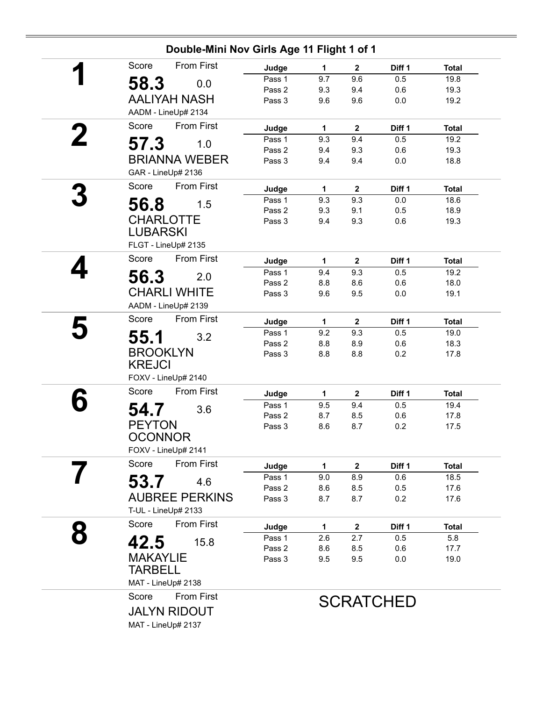| Double-Mini Nov Girls Age 11 Flight 1 of 1 |        |              |                         |                  |              |  |  |
|--------------------------------------------|--------|--------------|-------------------------|------------------|--------------|--|--|
| <b>From First</b><br>Score                 | Judge  | 1            | $\mathbf{2}$            | Diff 1           | <b>Total</b> |  |  |
| 58.3<br>0.0                                | Pass 1 | 9.7          | 9.6                     | 0.5              | 19.8         |  |  |
|                                            | Pass 2 | 9.3          | 9.4                     | 0.6              | 19.3         |  |  |
| <b>AALIYAH NASH</b>                        | Pass 3 | 9.6          | 9.6                     | 0.0              | 19.2         |  |  |
| AADM - LineUp# 2134                        |        |              |                         |                  |              |  |  |
| Score<br>From First                        | Judge  | 1            | $\overline{\mathbf{2}}$ | Diff 1           | <b>Total</b> |  |  |
| 57.3<br>1.0                                | Pass 1 | 9.3          | 9.4                     | 0.5              | 19.2         |  |  |
|                                            | Pass 2 | 9.4          | 9.3                     | 0.6              | 19.3         |  |  |
| <b>BRIANNA WEBER</b>                       | Pass 3 | 9.4          | 9.4                     | 0.0              | 18.8         |  |  |
| GAR - LineUp# 2136                         |        |              |                         |                  |              |  |  |
| From First<br>Score                        | Judge  | 1            | $\mathbf{2}$            | Diff 1           | <b>Total</b> |  |  |
| 56.8<br>1.5                                | Pass 1 | 9.3          | 9.3                     | 0.0              | 18.6         |  |  |
|                                            | Pass 2 | 9.3          | 9.1                     | 0.5              | 18.9         |  |  |
| <b>CHARLOTTE</b>                           | Pass 3 | 9.4          | 9.3                     | 0.6              | 19.3         |  |  |
| <b>LUBARSKI</b>                            |        |              |                         |                  |              |  |  |
| FLGT - LineUp# 2135                        |        |              |                         |                  |              |  |  |
| From First<br>Score                        | Judge  | $\mathbf{1}$ | $\mathbf{2}$            | Diff 1           | <b>Total</b> |  |  |
| 56.3<br>2.0                                | Pass 1 | 9.4          | 9.3                     | 0.5              | 19.2         |  |  |
| <b>CHARLI WHITE</b>                        | Pass 2 | 8.8          | 8.6                     | 0.6              | 18.0         |  |  |
|                                            | Pass 3 | 9.6          | 9.5                     | 0.0              | 19.1         |  |  |
| AADM - LineUp# 2139                        |        |              |                         |                  |              |  |  |
| Score<br><b>From First</b>                 | Judge  | 1            | $\overline{\mathbf{2}}$ | Diff 1           | <b>Total</b> |  |  |
| 55.1<br>3.2                                | Pass 1 | 9.2          | 9.3                     | 0.5              | 19.0         |  |  |
| <b>BROOKLYN</b>                            | Pass 2 | 8.8          | 8.9                     | 0.6              | 18.3         |  |  |
|                                            | Pass 3 | 8.8          | 8.8                     | 0.2              | 17.8         |  |  |
| <b>KREJCI</b>                              |        |              |                         |                  |              |  |  |
| FOXV - LineUp# 2140                        |        |              |                         |                  |              |  |  |
| From First<br>Score                        | Judge  | 1            | $\mathbf{2}$            | Diff 1           | <b>Total</b> |  |  |
| 54.7<br>3.6                                | Pass 1 | 9.5          | 9.4                     | 0.5              | 19.4         |  |  |
|                                            | Pass 2 | 8.7          | 8.5                     | 0.6              | 17.8         |  |  |
| <b>PEYTON</b>                              | Pass 3 | 8.6          | 8.7                     | 0.2              | 17.5         |  |  |
| <b>OCONNOR</b>                             |        |              |                         |                  |              |  |  |
| FOXV - LineUp# 2141                        |        |              |                         |                  |              |  |  |
| <b>From First</b><br>Score                 | Judge  | 1            | $\mathbf{2}$            | Diff 1           | <b>Total</b> |  |  |
| 53.7<br>4.6                                | Pass 1 | 9.0          | 8.9                     | 0.6              | 18.5         |  |  |
|                                            | Pass 2 | 8.6          | 8.5                     | 0.5              | 17.6         |  |  |
| <b>AUBREE PERKINS</b>                      | Pass 3 | 8.7          | 8.7                     | 0.2              | 17.6         |  |  |
| T-UL - LineUp# 2133                        |        |              |                         |                  |              |  |  |
| Score<br><b>From First</b>                 | Judge  | 1            | $\mathbf{2}$            | Diff 1           | <b>Total</b> |  |  |
| 42.5<br>15.8                               | Pass 1 | 2.6          | 2.7                     | 0.5              | 5.8          |  |  |
|                                            | Pass 2 | 8.6          | 8.5                     | 0.6              | 17.7         |  |  |
| <b>MAKAYLIE</b>                            | Pass 3 | 9.5          | 9.5                     | 0.0              | 19.0         |  |  |
| <b>TARBELL</b>                             |        |              |                         |                  |              |  |  |
| MAT - LineUp# 2138                         |        |              |                         |                  |              |  |  |
| <b>From First</b><br>Score                 |        |              |                         | <b>SCRATCHED</b> |              |  |  |
| <b>JALYN RIDOUT</b>                        |        |              |                         |                  |              |  |  |
| MAT - LineUp# 2137                         |        |              |                         |                  |              |  |  |
|                                            |        |              |                         |                  |              |  |  |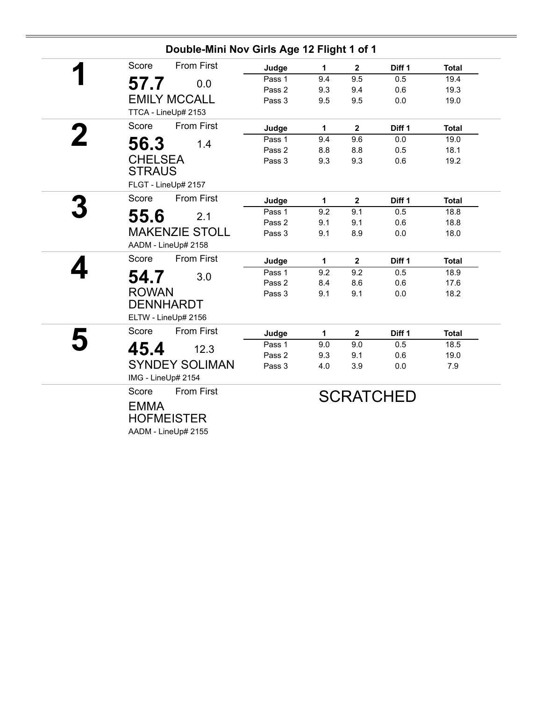|   | Double-Mini Nov Girls Age 12 Flight 1 of 1 |        |     |              |                  |              |
|---|--------------------------------------------|--------|-----|--------------|------------------|--------------|
| ◢ | <b>From First</b><br>Score                 | Judge  | 1   | $\mathbf{2}$ | Diff 1           | <b>Total</b> |
|   | 57.7<br>0.0                                | Pass 1 | 9.4 | 9.5          | 0.5              | 19.4         |
|   |                                            | Pass 2 | 9.3 | 9.4          | 0.6              | 19.3         |
|   | <b>EMILY MCCALL</b>                        | Pass 3 | 9.5 | 9.5          | 0.0              | 19.0         |
|   | TTCA - LineUp# 2153                        |        |     |              |                  |              |
|   | <b>From First</b><br>Score                 | Judge  | 1   | $\mathbf{2}$ | Diff 1           | <b>Total</b> |
|   | 56.3<br>1.4                                | Pass 1 | 9.4 | 9.6          | 0.0              | 19.0         |
|   |                                            | Pass 2 | 8.8 | 8.8          | 0.5              | 18.1         |
|   | <b>CHELSEA</b>                             | Pass 3 | 9.3 | 9.3          | 0.6              | 19.2         |
|   | <b>STRAUS</b>                              |        |     |              |                  |              |
|   | FLGT - LineUp# 2157                        |        |     |              |                  |              |
|   | Score<br><b>From First</b>                 | Judge  | 1   | $\mathbf 2$  | Diff 1           | <b>Total</b> |
|   | 55.6<br>2.1                                | Pass 1 | 9.2 | 9.1          | 0.5              | 18.8         |
|   |                                            | Pass 2 | 9.1 | 9.1          | 0.6              | 18.8         |
|   | <b>MAKENZIE STOLL</b>                      | Pass 3 | 9.1 | 8.9          | 0.0              | 18.0         |
|   | AADM - LineUp# 2158                        |        |     |              |                  |              |
|   | Score<br><b>From First</b>                 | Judge  | 1   | $\mathbf 2$  | Diff 1           | <b>Total</b> |
|   | 54.7<br>3.0                                | Pass 1 | 9.2 | 9.2          | 0.5              | 18.9         |
|   |                                            | Pass 2 | 8.4 | 8.6          | 0.6              | 17.6         |
|   | <b>ROWAN</b>                               | Pass 3 | 9.1 | 9.1          | 0.0              | 18.2         |
|   | <b>DENNHARDT</b>                           |        |     |              |                  |              |
|   | ELTW - LineUp# 2156                        |        |     |              |                  |              |
|   | <b>From First</b><br>Score                 | Judge  | 1   | $\mathbf{2}$ | Diff 1           | <b>Total</b> |
|   | 45.4<br>12.3                               | Pass 1 | 9.0 | 9.0          | 0.5              | 18.5         |
|   |                                            | Pass 2 | 9.3 | 9.1          | 0.6              | 19.0         |
|   | <b>SYNDEY SOLIMAN</b>                      | Pass 3 | 4.0 | 3.9          | $0.0\,$          | 7.9          |
|   | IMG - LineUp# 2154                         |        |     |              |                  |              |
|   | Score<br><b>From First</b>                 |        |     |              | <b>SCRATCHED</b> |              |
|   | <b>EMMA</b>                                |        |     |              |                  |              |
|   | <b>HOFMEISTER</b>                          |        |     |              |                  |              |
|   |                                            |        |     |              |                  |              |
|   | AADM - LineUp# 2155                        |        |     |              |                  |              |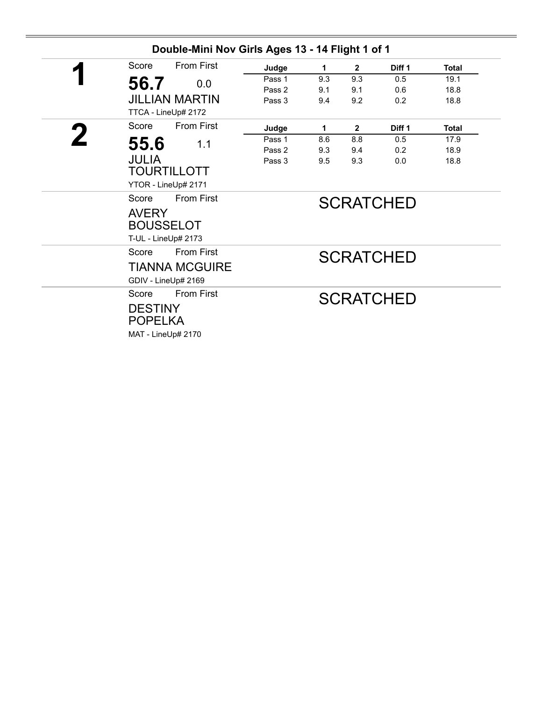| 56.7<br>0.0<br><b>JILLIAN MARTIN</b><br>TTCA - LineUp# 2172<br><b>From First</b><br>Score<br>55.6<br>1.1<br><b>JULIA</b><br><b>TOURTILLOTT</b><br>YTOR - LineUp# 2171<br><b>From First</b><br>Score<br><b>AVERY</b><br><b>BOUSSELOT</b><br>T-UL - LineUp# 2173 | Judge<br>Pass 1<br>Pass 2<br>Pass 3<br>Judge<br>Pass 1<br>Pass 2<br>Pass 3 | 9.3<br>9.1<br>9.4<br>1<br>8.6<br>9.3<br>9.5 | 9.3<br>9.1<br>9.2<br>$\mathbf{2}$<br>8.8<br>9.4<br>9.3<br><b>SCRATCHED</b> | 0.5<br>0.6<br>0.2<br>Diff 1<br>0.5<br>0.2<br>0.0 | 19.1<br>18.8<br>18.8<br><b>Total</b><br>17.9<br>18.9<br>18.8 |  |
|----------------------------------------------------------------------------------------------------------------------------------------------------------------------------------------------------------------------------------------------------------------|----------------------------------------------------------------------------|---------------------------------------------|----------------------------------------------------------------------------|--------------------------------------------------|--------------------------------------------------------------|--|
|                                                                                                                                                                                                                                                                |                                                                            |                                             |                                                                            |                                                  |                                                              |  |
|                                                                                                                                                                                                                                                                |                                                                            |                                             |                                                                            |                                                  |                                                              |  |
|                                                                                                                                                                                                                                                                |                                                                            |                                             |                                                                            |                                                  |                                                              |  |
|                                                                                                                                                                                                                                                                |                                                                            |                                             |                                                                            |                                                  |                                                              |  |
|                                                                                                                                                                                                                                                                |                                                                            |                                             |                                                                            |                                                  |                                                              |  |
|                                                                                                                                                                                                                                                                |                                                                            |                                             |                                                                            |                                                  |                                                              |  |
|                                                                                                                                                                                                                                                                |                                                                            |                                             |                                                                            |                                                  |                                                              |  |
|                                                                                                                                                                                                                                                                |                                                                            |                                             |                                                                            |                                                  |                                                              |  |
|                                                                                                                                                                                                                                                                |                                                                            |                                             |                                                                            |                                                  |                                                              |  |
|                                                                                                                                                                                                                                                                |                                                                            |                                             |                                                                            |                                                  |                                                              |  |
|                                                                                                                                                                                                                                                                |                                                                            |                                             |                                                                            |                                                  |                                                              |  |
|                                                                                                                                                                                                                                                                |                                                                            |                                             |                                                                            |                                                  |                                                              |  |
|                                                                                                                                                                                                                                                                |                                                                            |                                             |                                                                            |                                                  |                                                              |  |
|                                                                                                                                                                                                                                                                |                                                                            |                                             |                                                                            |                                                  |                                                              |  |
| <b>From First</b><br>Score                                                                                                                                                                                                                                     |                                                                            |                                             |                                                                            | <b>SCRATCHED</b>                                 |                                                              |  |
| <b>TIANNA MCGUIRE</b>                                                                                                                                                                                                                                          |                                                                            |                                             |                                                                            |                                                  |                                                              |  |
| GDIV - LineUp# 2169                                                                                                                                                                                                                                            |                                                                            |                                             |                                                                            |                                                  |                                                              |  |
| <b>From First</b><br>Score                                                                                                                                                                                                                                     |                                                                            |                                             |                                                                            | <b>SCRATCHED</b>                                 |                                                              |  |
| <b>DESTINY</b>                                                                                                                                                                                                                                                 |                                                                            |                                             |                                                                            |                                                  |                                                              |  |
| <b>POPELKA</b>                                                                                                                                                                                                                                                 |                                                                            |                                             |                                                                            |                                                  |                                                              |  |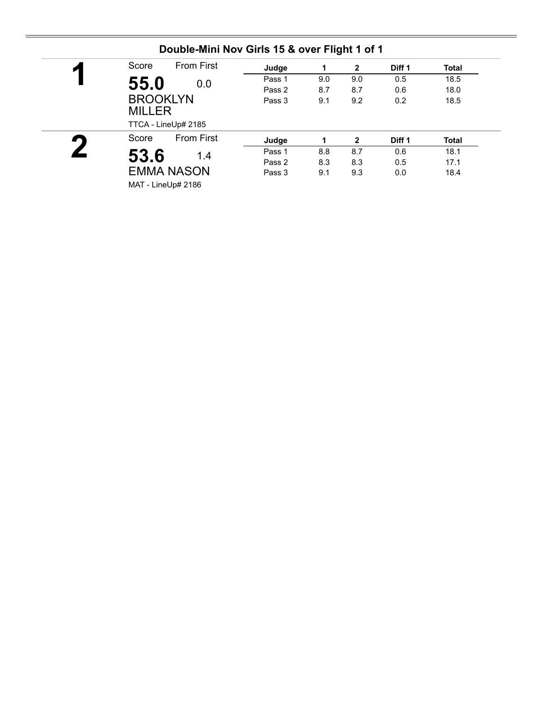| Score<br>$\blacksquare$ | <b>From First</b>                      | Judge  | 1   | $\mathbf{2}$ | Diff 1 | <b>Total</b> |
|-------------------------|----------------------------------------|--------|-----|--------------|--------|--------------|
| 55.0                    | 0.0                                    | Pass 1 | 9.0 | 9.0          | 0.5    | 18.5         |
|                         |                                        | Pass 2 | 8.7 | 8.7          | 0.6    | 18.0         |
| <b>MILLER</b>           | <b>BROOKLYN</b><br>TTCA - LineUp# 2185 | Pass 3 | 9.1 | 9.2          | 0.2    | 18.5         |
| Score                   | <b>From First</b>                      | Judge  |     | $\mathbf{2}$ | Diff 1 | <b>Total</b> |
| 53.6                    | 1.4                                    | Pass 1 | 8.8 | 8.7          | 0.6    | 18.1         |
|                         |                                        | Pass 2 | 8.3 | 8.3          | 0.5    | 17.1         |
|                         | <b>EMMA NASON</b>                      | Pass 3 | 9.1 | 9.3          | 0.0    | 18.4         |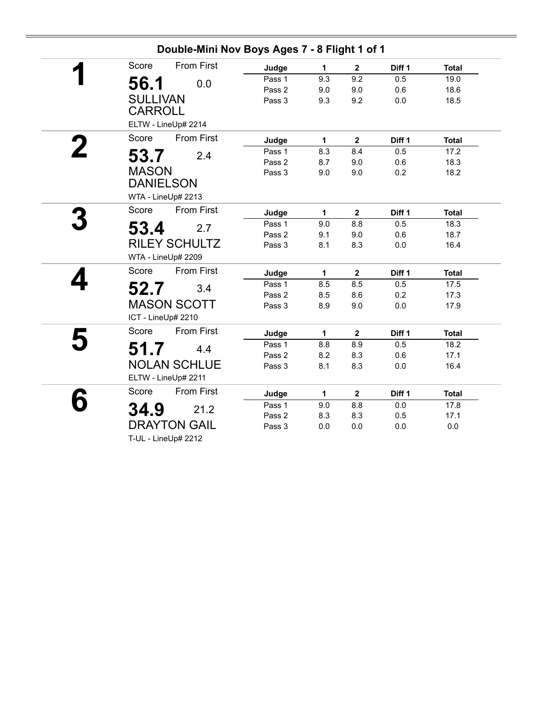| Double-Mini Nov Boys Ages 7 - 8 Flight 1 of 1 |        |              |                |        |              |  |  |  |  |
|-----------------------------------------------|--------|--------------|----------------|--------|--------------|--|--|--|--|
| <b>From First</b><br>Score                    | Judge  | 1            | $\mathbf{2}$   | Diff 1 | <b>Total</b> |  |  |  |  |
| 0.0                                           | Pass 1 | 9.3          | 9.2            | 0.5    | 19.0         |  |  |  |  |
| 56.1                                          | Pass 2 | 9.0          | 9.0            | 0.6    | 18.6         |  |  |  |  |
| <b>SULLIVAN</b>                               | Pass 3 | 9.3          | 9.2            | 0.0    | 18.5         |  |  |  |  |
| <b>CARROLL</b><br>ELTW - LineUp# 2214         |        |              |                |        |              |  |  |  |  |
| <b>From First</b><br>Score                    | Judge  | 1            | $\mathbf 2$    | Diff 1 | <b>Total</b> |  |  |  |  |
|                                               | Pass 1 | 8.3          | 8.4            | 0.5    | 17.2         |  |  |  |  |
| 53.7<br>2.4                                   | Pass 2 | 8.7          | 9.0            | 0.6    | 18.3         |  |  |  |  |
| <b>MASON</b>                                  | Pass 3 | 9.0          | 9.0            | 0.2    | 18.2         |  |  |  |  |
| <b>DANIELSON</b>                              |        |              |                |        |              |  |  |  |  |
| WTA - LineUp# 2213                            |        |              |                |        |              |  |  |  |  |
| <b>From First</b><br>Score                    | Judge  | 1            | $\mathbf{2}$   | Diff 1 | <b>Total</b> |  |  |  |  |
| 53.4<br>2.7                                   | Pass 1 | 9.0          | 8.8            | 0.5    | 18.3         |  |  |  |  |
|                                               | Pass 2 | 9.1          | 9.0            | 0.6    | 18.7         |  |  |  |  |
| <b>RILEY SCHULTZ</b>                          | Pass 3 | 8.1          | 8.3            | 0.0    | 16.4         |  |  |  |  |
| WTA - LineUp# 2209                            |        |              |                |        |              |  |  |  |  |
| Score<br><b>From First</b>                    | Judge  | $\mathbf{1}$ | $\overline{2}$ | Diff 1 | <b>Total</b> |  |  |  |  |
| 52.7<br>3.4                                   | Pass 1 | 8.5          | 8.5            | 0.5    | 17.5         |  |  |  |  |
|                                               | Pass 2 | 8.5          | 8.6            | 0.2    | 17.3         |  |  |  |  |
| <b>MASON SCOTT</b><br>ICT - LineUp# 2210      | Pass 3 | 8.9          | 9.0            | 0.0    | 17.9         |  |  |  |  |
| Score<br><b>From First</b>                    | Judge  | 1            | $\overline{2}$ | Diff 1 | <b>Total</b> |  |  |  |  |
|                                               | Pass 1 | 8.8          | 8.9            | 0.5    | 18.2         |  |  |  |  |
| 51.7<br>4.4                                   | Pass 2 | 8.2          | 8.3            | 0.6    | 17.1         |  |  |  |  |
| <b>NOLAN SCHLUE</b>                           | Pass 3 | 8.1          | 8.3            | 0.0    | 16.4         |  |  |  |  |
| ELTW - LineUp# 2211                           |        |              |                |        |              |  |  |  |  |
| From First<br>Score                           | Judge  | $\mathbf{1}$ | $\mathbf 2$    | Diff 1 | <b>Total</b> |  |  |  |  |
| 34.9<br>21.2                                  | Pass 1 | 9.0          | 8.8            | 0.0    | 17.8         |  |  |  |  |
|                                               | Pass 2 | 8.3          | 8.3            | 0.5    | 17.1         |  |  |  |  |
| <b>DRAYTON GAIL</b>                           | Pass 3 | 0.0          | 0.0            | 0.0    | $0.0\,$      |  |  |  |  |
| T-UL - LineUp# 2212                           |        |              |                |        |              |  |  |  |  |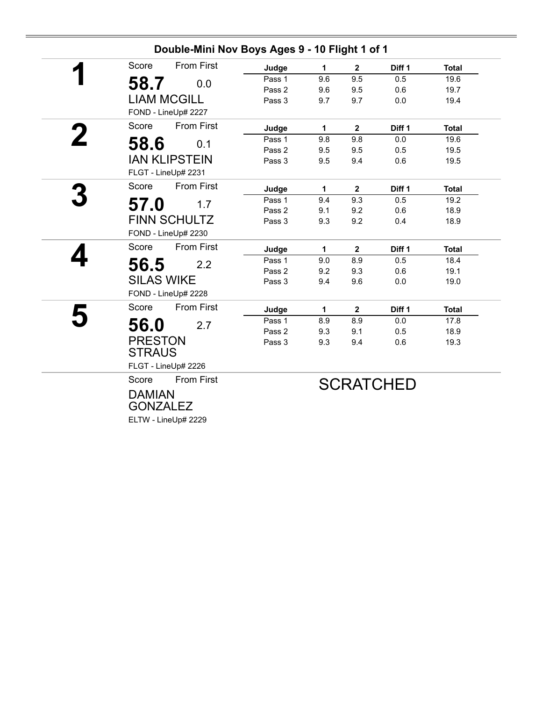|             | Double-Mini Nov Boys Ages 9 - 10 Flight 1 of 1 |        |     |                |                   |              |  |  |  |  |
|-------------|------------------------------------------------|--------|-----|----------------|-------------------|--------------|--|--|--|--|
|             | <b>From First</b><br>Score                     | Judge  | 1   | $\overline{2}$ | Diff 1            | <b>Total</b> |  |  |  |  |
|             | 58.7<br>0.0                                    | Pass 1 | 9.6 | 9.5            | 0.5               | 19.6         |  |  |  |  |
|             |                                                | Pass 2 | 9.6 | 9.5            | 0.6               | 19.7         |  |  |  |  |
|             | <b>LIAM MCGILL</b>                             | Pass 3 | 9.7 | 9.7            | 0.0               | 19.4         |  |  |  |  |
|             | FOND - LineUp# 2227                            |        |     |                |                   |              |  |  |  |  |
|             | <b>From First</b><br>Score                     | Judge  | 1   | $\mathbf{2}$   | Diff <sub>1</sub> | <b>Total</b> |  |  |  |  |
| $\mathbf 2$ | 58.6<br>0.1                                    | Pass 1 | 9.8 | 9.8            | 0.0               | 19.6         |  |  |  |  |
|             |                                                | Pass 2 | 9.5 | 9.5            | 0.5               | 19.5         |  |  |  |  |
|             | <b>IAN KLIPSTEIN</b>                           | Pass 3 | 9.5 | 9.4            | 0.6               | 19.5         |  |  |  |  |
|             | FLGT - LineUp# 2231                            |        |     |                |                   |              |  |  |  |  |
|             | <b>From First</b><br>Score                     | Judge  | 1   | $\mathbf{2}$   | Diff 1            | <b>Total</b> |  |  |  |  |
|             | 57.0<br>1.7                                    | Pass 1 | 9.4 | 9.3            | 0.5               | 19.2         |  |  |  |  |
|             |                                                | Pass 2 | 9.1 | 9.2            | 0.6               | 18.9         |  |  |  |  |
|             | FINN SCHULTZ                                   | Pass 3 | 9.3 | 9.2            | 0.4               | 18.9         |  |  |  |  |
|             | FOND - LineUp# 2230                            |        |     |                |                   |              |  |  |  |  |
|             | <b>From First</b><br>Score                     | Judge  | 1   | $\overline{2}$ | Diff 1            | <b>Total</b> |  |  |  |  |
|             | 56.5<br>2.2                                    | Pass 1 | 9.0 | 8.9            | 0.5               | 18.4         |  |  |  |  |
|             |                                                | Pass 2 | 9.2 | 9.3            | 0.6               | 19.1         |  |  |  |  |
|             | <b>SILAS WIKE</b>                              | Pass 3 | 9.4 | 9.6            | 0.0               | 19.0         |  |  |  |  |
|             | FOND - LineUp# 2228                            |        |     |                |                   |              |  |  |  |  |
|             | <b>From First</b><br>Score                     | Judge  | 1   | $\mathbf{2}$   | Diff 1            | <b>Total</b> |  |  |  |  |
|             | 56.0<br>2.7                                    | Pass 1 | 8.9 | 8.9            | 0.0               | 17.8         |  |  |  |  |
|             |                                                | Pass 2 | 9.3 | 9.1            | 0.5               | 18.9         |  |  |  |  |
|             | <b>PRESTON</b>                                 | Pass 3 | 9.3 | 9.4            | 0.6               | 19.3         |  |  |  |  |
|             | <b>STRAUS</b>                                  |        |     |                |                   |              |  |  |  |  |
|             | FLGT - LineUp# 2226                            |        |     |                |                   |              |  |  |  |  |
|             | <b>From First</b><br>Score                     |        |     |                | <b>SCRATCHED</b>  |              |  |  |  |  |
|             | <b>DAMIAN</b><br><b>GONZALEZ</b>               |        |     |                |                   |              |  |  |  |  |

ELTW - LineUp# 2229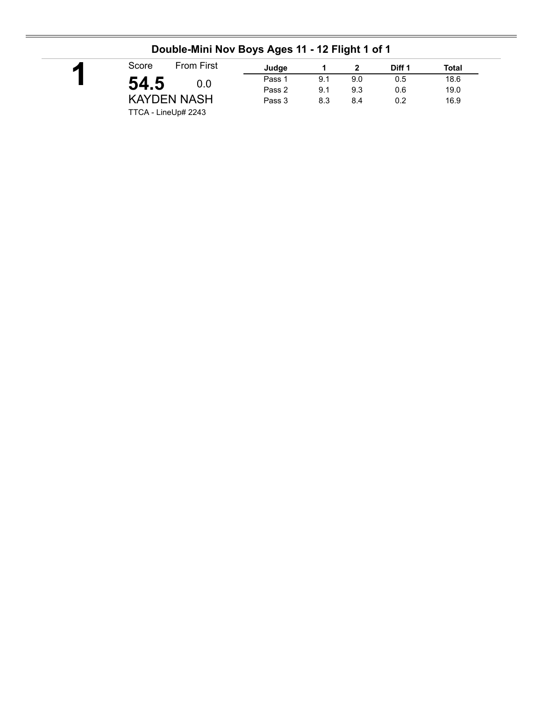| Judge<br>Pass 1 | 9.1 | 9.0 | Diff 1<br>0.5 | <b>Total</b><br>18.6 |
|-----------------|-----|-----|---------------|----------------------|
|                 |     |     |               |                      |
|                 |     |     |               |                      |
| Pass 2          | 9.1 | 9.3 | 0.6           | 19.0                 |
| Pass 3          | 8.3 | 8.4 | 0.2           | 16.9                 |
|                 |     |     |               |                      |

### **Double-Mini Nov Boys Ages 11 - 12 Flight 1 of 1**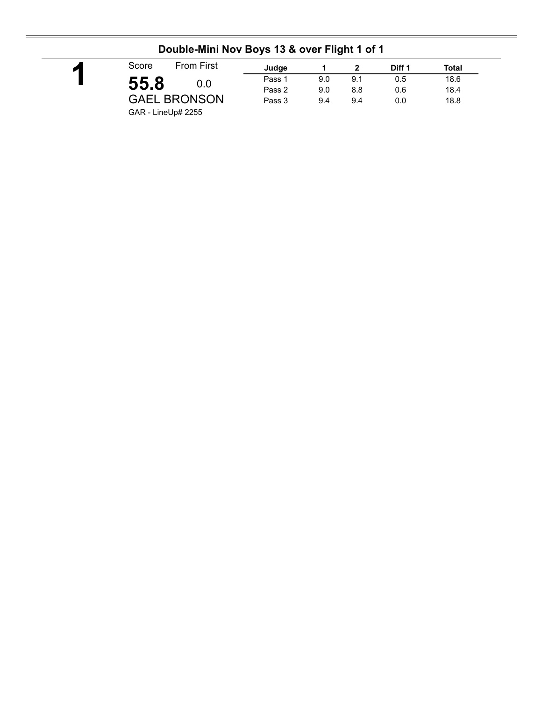| Score              | <b>From First</b>   | Judge  |     |     | Diff 1 | Total |
|--------------------|---------------------|--------|-----|-----|--------|-------|
| 55.8               | 0.0                 | Pass 1 | 9.0 | 9.1 | 0.5    | 18.6  |
|                    |                     | Pass 2 | 9.0 | 8.8 | 0.6    | 18.4  |
|                    | <b>GAEL BRONSON</b> | Pass 3 | 9.4 | 9.4 | 0.0    | 18.8  |
| GAR - LineUp# 2255 |                     |        |     |     |        |       |

## **Double-Mini Nov Boys 13 & over Flight 1 of 1**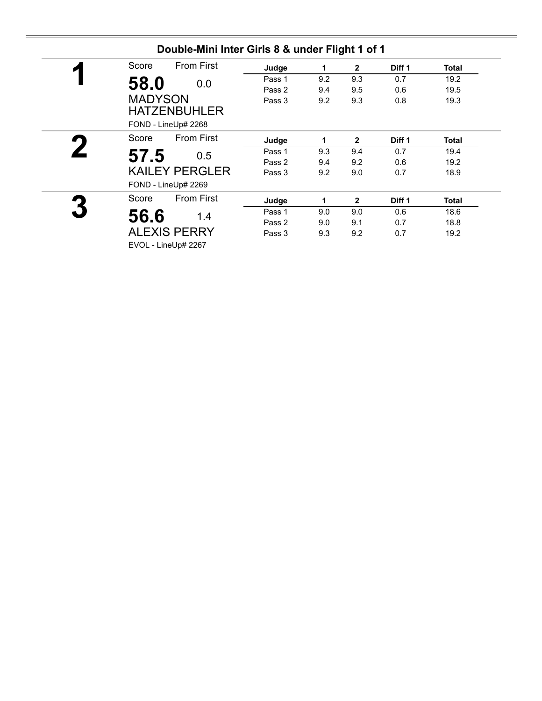| <b>From First</b><br>Score | Judge  | 1   | $\mathbf{2}$ | Diff 1 | Total |
|----------------------------|--------|-----|--------------|--------|-------|
| 58.0<br>0.0                | Pass 1 | 9.2 | 9.3          | 0.7    | 19.2  |
|                            | Pass 2 | 9.4 | 9.5          | 0.6    | 19.5  |
| <b>MADYSON</b>             | Pass 3 | 9.2 | 9.3          | 0.8    | 19.3  |
| <b>HATZENBUHLER</b>        |        |     |              |        |       |
| FOND - LineUp# 2268        |        |     |              |        |       |
| <b>From First</b><br>Score | Judge  | 1   | $\mathbf{2}$ | Diff 1 | Total |
| 57.5<br>0.5                | Pass 1 | 9.3 | 9.4          | 0.7    | 19.4  |
|                            | Pass 2 | 9.4 | 9.2          | 0.6    | 19.2  |
| <b>KAILEY PERGLER</b>      | Pass 3 | 9.2 | 9.0          | 0.7    | 18.9  |
| FOND - LineUp# 2269        |        |     |              |        |       |
| <b>From First</b><br>Score | Judge  | 1   | $\mathbf{2}$ | Diff 1 | Total |
| 56.6<br>1.4                | Pass 1 | 9.0 | 9.0          | 0.6    | 18.6  |
|                            | Pass 2 | 9.0 | 9.1          | 0.7    | 18.8  |
| <b>ALEXIS PERRY</b>        | Pass 3 | 9.3 | 9.2          | 0.7    | 19.2  |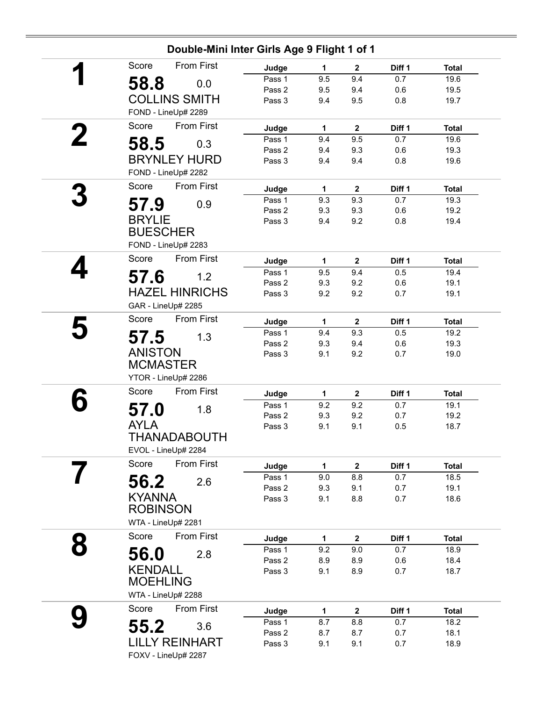|   | Double-Mini Inter Girls Age 9 Flight 1 of 1 |        |             |              |        |              |
|---|---------------------------------------------|--------|-------------|--------------|--------|--------------|
|   | <b>From First</b><br>Score                  | Judge  | 1           | $\mathbf{2}$ | Diff 1 | <b>Total</b> |
|   | 58.8<br>0.0                                 | Pass 1 | 9.5         | 9.4          | 0.7    | 19.6         |
|   |                                             | Pass 2 | 9.5         | 9.4          | 0.6    | 19.5         |
|   | <b>COLLINS SMITH</b>                        | Pass 3 | 9.4         | 9.5          | 0.8    | 19.7         |
|   | FOND - LineUp# 2289                         |        |             |              |        |              |
|   | From First<br>Score                         | Judge  | $\mathbf 1$ | $\mathbf 2$  | Diff 1 | <b>Total</b> |
|   | 58.5<br>0.3                                 | Pass 1 | 9.4         | 9.5          | 0.7    | 19.6         |
|   |                                             | Pass 2 | 9.4         | 9.3          | 0.6    | 19.3         |
|   | <b>BRYNLEY HURD</b>                         | Pass 3 | 9.4         | 9.4          | 0.8    | 19.6         |
|   | FOND - LineUp# 2282                         |        |             |              |        |              |
|   | Score<br>From First                         | Judge  | 1           | $\mathbf{2}$ | Diff 1 | <b>Total</b> |
|   | 57.9<br>0.9                                 | Pass 1 | 9.3         | 9.3          | 0.7    | 19.3         |
|   |                                             | Pass 2 | 9.3         | 9.3          | 0.6    | 19.2         |
|   | <b>BRYLIE</b>                               | Pass 3 | 9.4         | 9.2          | 0.8    | 19.4         |
|   | <b>BUESCHER</b>                             |        |             |              |        |              |
|   | FOND - LineUp# 2283                         |        |             |              |        |              |
|   | From First<br>Score                         | Judge  | $\mathbf 1$ | $\mathbf 2$  | Diff 1 | <b>Total</b> |
|   | 57.6<br>1.2                                 | Pass 1 | 9.5         | 9.4          | 0.5    | 19.4         |
|   |                                             | Pass 2 | 9.3         | 9.2          | 0.6    | 19.1         |
|   | <b>HAZEL HINRICHS</b>                       | Pass 3 | 9.2         | 9.2          | 0.7    | 19.1         |
|   | GAR - LineUp# 2285                          |        |             |              |        |              |
|   | Score<br>From First                         | Judge  | 1           | $\mathbf 2$  | Diff 1 | <b>Total</b> |
|   | 57.5<br>1.3                                 | Pass 1 | 9.4         | 9.3          | 0.5    | 19.2         |
|   |                                             | Pass 2 | 9.3         | 9.4          | 0.6    | 19.3         |
|   | <b>ANISTON</b>                              | Pass 3 | 9.1         | 9.2          | 0.7    | 19.0         |
|   | <b>MCMASTER</b>                             |        |             |              |        |              |
|   | YTOR - LineUp# 2286                         |        |             |              |        |              |
|   | <b>From First</b><br>Score                  | Judge  | $\mathbf 1$ | $\mathbf 2$  | Diff 1 | <b>Total</b> |
|   | 57.0<br>1.8                                 | Pass 1 | 9.2         | 9.2          | 0.7    | 19.1         |
|   |                                             | Pass 2 | 9.3         | 9.2          | 0.7    | 19.2         |
|   | <b>AYLA</b>                                 | Pass 3 | 9.1         | 9.1          | 0.5    | 18.7         |
|   | THANADABOUTH                                |        |             |              |        |              |
|   | EVOL - LineUp# 2284                         |        |             |              |        |              |
|   | From First<br>Score                         | Judge  | 1           | $\mathbf 2$  | Diff 1 | <b>Total</b> |
|   | 56.2<br>2.6                                 | Pass 1 | 9.0         | 8.8          | 0.7    | 18.5         |
|   |                                             | Pass 2 | 9.3         | 9.1          | 0.7    | 19.1         |
|   | <b>KYANNA</b>                               | Pass 3 | 9.1         | 8.8          | 0.7    | 18.6         |
|   | <b>ROBINSON</b>                             |        |             |              |        |              |
|   | WTA - LineUp# 2281                          |        |             |              |        |              |
|   | Score<br><b>From First</b>                  | Judge  | 1           | $\mathbf 2$  | Diff 1 | <b>Total</b> |
| 8 | 2.8                                         | Pass 1 | 9.2         | 9.0          | 0.7    | 18.9         |
|   | 56.0                                        | Pass 2 | 8.9         | 8.9          | 0.6    | 18.4         |
|   | <b>KENDALL</b>                              | Pass 3 | 9.1         | 8.9          | 0.7    | 18.7         |
|   | <b>MOEHLING</b>                             |        |             |              |        |              |
|   | WTA - LineUp# 2288                          |        |             |              |        |              |
|   | From First<br>Score                         | Judge  | 1           | $\mathbf 2$  | Diff 1 | <b>Total</b> |
|   |                                             | Pass 1 | 8.7         | 8.8          | 0.7    | 18.2         |
|   | 55.2<br>3.6                                 | Pass 2 | 8.7         | 8.7          | 0.7    | 18.1         |
|   |                                             |        |             |              |        |              |
|   | <b>LILLY REINHART</b>                       | Pass 3 | 9.1         | 9.1          | 0.7    | 18.9         |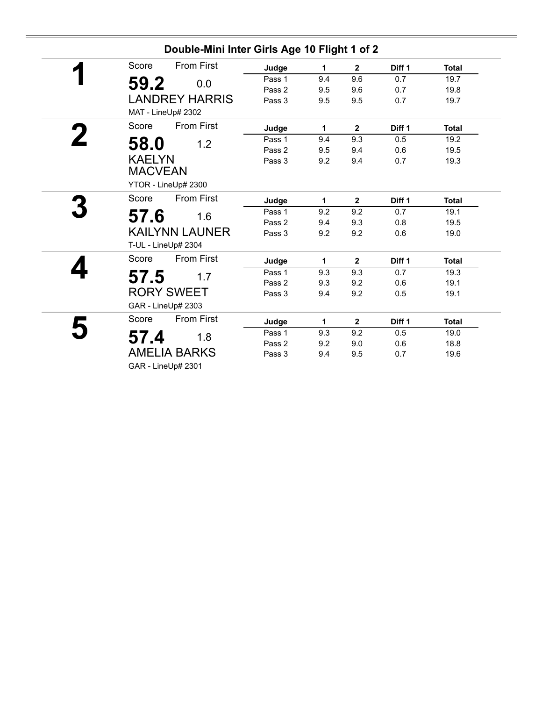| <b>From First</b><br>Score | Judge  | 1   | $\overline{2}$ | Diff <sub>1</sub> | <b>Total</b> |
|----------------------------|--------|-----|----------------|-------------------|--------------|
| 59.2<br>0.0                | Pass 1 | 9.4 | 9.6            | 0.7               | 19.7         |
|                            | Pass 2 | 9.5 | 9.6            | 0.7               | 19.8         |
| <b>LANDREY HARRIS</b>      | Pass 3 | 9.5 | 9.5            | 0.7               | 19.7         |
| MAT - LineUp# 2302         |        |     |                |                   |              |
| Score<br><b>From First</b> | Judge  | 1   | $\mathbf{2}$   | Diff 1            | <b>Total</b> |
| 58.0<br>1.2                | Pass 1 | 9.4 | 9.3            | 0.5               | 19.2         |
|                            | Pass 2 | 9.5 | 9.4            | 0.6               | 19.5         |
| <b>KAELYN</b>              | Pass 3 | 9.2 | 9.4            | 0.7               | 19.3         |
| <b>MACVEAN</b>             |        |     |                |                   |              |
| YTOR - LineUp# 2300        |        |     |                |                   |              |
| <b>From First</b><br>Score | Judge  | 1.  | $\mathbf{2}$   | Diff 1            | <b>Total</b> |
| 57.6<br>1.6                | Pass 1 | 9.2 | 9.2            | 0.7               | 19.1         |
|                            | Pass 2 | 9.4 | 9.3            | 0.8               | 19.5         |
| <b>KAILYNN LAUNER</b>      | Pass 3 | 9.2 | 9.2            | 0.6               | 19.0         |
| T-UL - LineUp# 2304        |        |     |                |                   |              |
| <b>From First</b><br>Score | Judge  | 1   | $\mathbf{2}$   | Diff 1            | <b>Total</b> |
| 57.5<br>1.7                | Pass 1 | 9.3 | 9.3            | 0.7               | 19.3         |
|                            | Pass 2 | 9.3 | 9.2            | 0.6               | 19.1         |
| <b>RORY SWEET</b>          | Pass 3 | 9.4 | 9.2            | 0.5               | 19.1         |
| GAR - LineUp# 2303         |        |     |                |                   |              |
| <b>From First</b><br>Score | Judge  | 1   | $\mathbf 2$    | Diff 1            | <b>Total</b> |
| 57.4<br>1.8                | Pass 1 | 9.3 | 9.2            | 0.5               | 19.0         |
| <b>AMELIA BARKS</b>        | Pass 2 | 9.2 | 9.0            | 0.6               | 18.8         |
|                            | Pass 3 | 9.4 | 9.5            | 0.7               | 19.6         |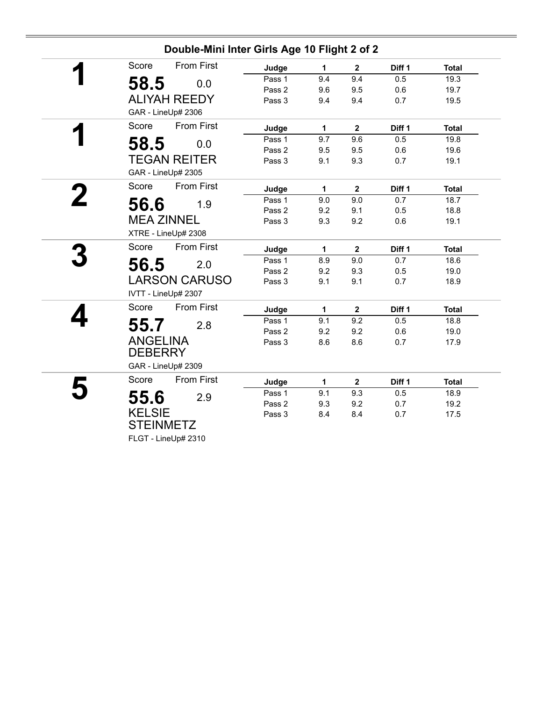|                                   |                      | Double-Mini Inter Girls Age 10 Flight 2 of 2 |              |                         |        |              |
|-----------------------------------|----------------------|----------------------------------------------|--------------|-------------------------|--------|--------------|
| Score                             | <b>From First</b>    | Judge                                        | 1            | $\mathbf{2}$            | Diff 1 | <b>Total</b> |
| 58.5                              | 0.0                  | Pass 1                                       | 9.4          | 9.4                     | 0.5    | 19.3         |
|                                   |                      | Pass 2                                       | 9.6          | 9.5                     | 0.6    | 19.7         |
|                                   | <b>ALIYAH REEDY</b>  | Pass 3                                       | 9.4          | 9.4                     | 0.7    | 19.5         |
| GAR - LineUp# 2306                |                      |                                              |              |                         |        |              |
| Score                             | <b>From First</b>    | Judge                                        | $\mathbf{1}$ | $\overline{2}$          | Diff 1 | <b>Total</b> |
| 58.5                              | 0.0                  | Pass 1                                       | 9.7          | 9.6                     | 0.5    | 19.8         |
|                                   |                      | Pass 2                                       | 9.5          | 9.5                     | 0.6    | 19.6         |
|                                   | <b>TEGAN REITER</b>  | Pass 3                                       | 9.1          | 9.3                     | 0.7    | 19.1         |
| GAR - LineUp# 2305                |                      |                                              |              |                         |        |              |
| Score                             | <b>From First</b>    | Judge                                        | $\mathbf{1}$ | $\mathbf{2}$            | Diff 1 | <b>Total</b> |
| 56.6                              | 1.9                  | Pass 1                                       | 9.0          | 9.0                     | 0.7    | 18.7         |
|                                   |                      | Pass 2                                       | 9.2          | 9.1                     | 0.5    | 18.8         |
| <b>MEA ZINNEL</b>                 |                      | Pass 3                                       | 9.3          | 9.2                     | 0.6    | 19.1         |
|                                   | XTRE - LineUp# 2308  |                                              |              |                         |        |              |
| Score                             | <b>From First</b>    | Judge                                        | 1            | $\overline{\mathbf{2}}$ | Diff 1 | <b>Total</b> |
| 56.5                              | 2.0                  | Pass 1                                       | 8.9          | 9.0                     | 0.7    | 18.6         |
|                                   |                      | Pass 2                                       | 9.2          | 9.3                     | 0.5    | 19.0         |
|                                   | <b>LARSON CARUSO</b> | Pass 3                                       | 9.1          | 9.1                     | 0.7    | 18.9         |
| IVTT - LineUp# 2307               |                      |                                              |              |                         |        |              |
| Score                             | <b>From First</b>    | Judge                                        | 1            | $\mathbf{2}$            | Diff 1 | <b>Total</b> |
| 55.7                              | 2.8                  | Pass 1                                       | 9.1          | 9.2                     | 0.5    | 18.8         |
|                                   |                      | Pass 2                                       | 9.2          | 9.2                     | 0.6    | 19.0         |
| <b>ANGELINA</b>                   |                      | Pass 3                                       | 8.6          | 8.6                     | 0.7    | 17.9         |
| <b>DEBERRY</b>                    |                      |                                              |              |                         |        |              |
| GAR - LineUp# 2309                |                      |                                              |              |                         |        |              |
| Score                             | <b>From First</b>    | Judge                                        | $\mathbf{1}$ | $\overline{\mathbf{2}}$ | Diff 1 | <b>Total</b> |
| 55.6                              | 2.9                  | Pass 1                                       | 9.1          | 9.3                     | 0.5    | 18.9         |
|                                   |                      | Pass 2                                       | 9.3          | 9.2                     | 0.7    | 19.2         |
|                                   |                      |                                              |              |                         |        |              |
| <b>KELSIE</b><br><b>STEINMETZ</b> |                      | Pass 3                                       | 8.4          | 8.4                     | 0.7    | 17.5         |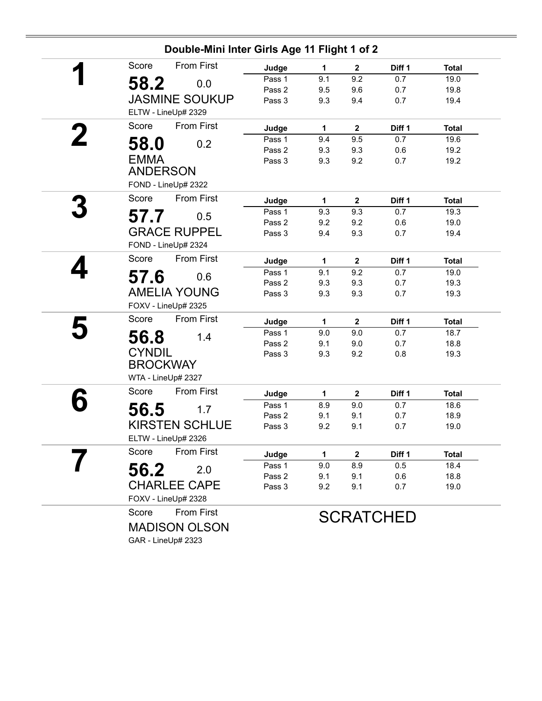| Score<br>58.2<br><b>JASMINE SOUKUP</b><br>ELTW - LineUp# 2329 | <b>From First</b><br>0.0                                                                   | Judge<br>Pass 1<br>Pass 2<br>Pass 3                                                                                                                                                                                                                                                                                                                                                   | 1.<br>9.1<br>9.5                                                             | $\mathbf{2}$<br>9.2<br>9.6             | Diff 1<br>0.7                                                             | <b>Total</b><br>19.0                                                            |
|---------------------------------------------------------------|--------------------------------------------------------------------------------------------|---------------------------------------------------------------------------------------------------------------------------------------------------------------------------------------------------------------------------------------------------------------------------------------------------------------------------------------------------------------------------------------|------------------------------------------------------------------------------|----------------------------------------|---------------------------------------------------------------------------|---------------------------------------------------------------------------------|
|                                                               |                                                                                            |                                                                                                                                                                                                                                                                                                                                                                                       |                                                                              |                                        |                                                                           |                                                                                 |
|                                                               |                                                                                            |                                                                                                                                                                                                                                                                                                                                                                                       |                                                                              |                                        |                                                                           |                                                                                 |
|                                                               |                                                                                            |                                                                                                                                                                                                                                                                                                                                                                                       |                                                                              |                                        | 0.7                                                                       | 19.8                                                                            |
|                                                               |                                                                                            |                                                                                                                                                                                                                                                                                                                                                                                       | 9.3                                                                          | 9.4                                    | 0.7                                                                       | 19.4                                                                            |
|                                                               | <b>From First</b><br>Score                                                                 |                                                                                                                                                                                                                                                                                                                                                                                       |                                                                              |                                        |                                                                           |                                                                                 |
|                                                               |                                                                                            | Judge                                                                                                                                                                                                                                                                                                                                                                                 | 1                                                                            | $\mathbf{2}$                           | Diff 1                                                                    | <b>Total</b>                                                                    |
| 58.0                                                          | 0.2                                                                                        | Pass 1                                                                                                                                                                                                                                                                                                                                                                                | 9.4                                                                          | 9.5                                    | 0.7                                                                       | 19.6                                                                            |
|                                                               |                                                                                            | Pass 2                                                                                                                                                                                                                                                                                                                                                                                | 9.3                                                                          | 9.3                                    | 0.6                                                                       | 19.2                                                                            |
| <b>EMMA</b>                                                   |                                                                                            | Pass 3                                                                                                                                                                                                                                                                                                                                                                                | 9.3                                                                          | 9.2                                    | 0.7                                                                       | 19.2                                                                            |
| <b>ANDERSON</b>                                               |                                                                                            |                                                                                                                                                                                                                                                                                                                                                                                       |                                                                              |                                        |                                                                           |                                                                                 |
| FOND - LineUp# 2322                                           |                                                                                            |                                                                                                                                                                                                                                                                                                                                                                                       |                                                                              |                                        |                                                                           |                                                                                 |
| Score                                                         | From First                                                                                 | Judge                                                                                                                                                                                                                                                                                                                                                                                 | 1                                                                            | $\mathbf{2}$                           | Diff 1                                                                    | <b>Total</b>                                                                    |
| 57.7                                                          | 0.5                                                                                        | Pass 1                                                                                                                                                                                                                                                                                                                                                                                | 9.3                                                                          | 9.3                                    | 0.7                                                                       | 19.3                                                                            |
|                                                               |                                                                                            |                                                                                                                                                                                                                                                                                                                                                                                       | 9.2                                                                          |                                        |                                                                           | 19.0                                                                            |
|                                                               |                                                                                            |                                                                                                                                                                                                                                                                                                                                                                                       |                                                                              |                                        |                                                                           | 19.4                                                                            |
|                                                               |                                                                                            |                                                                                                                                                                                                                                                                                                                                                                                       |                                                                              |                                        |                                                                           |                                                                                 |
|                                                               |                                                                                            | Judge                                                                                                                                                                                                                                                                                                                                                                                 | $\mathbf{1}$                                                                 | $\overline{2}$                         | Diff 1                                                                    | <b>Total</b>                                                                    |
|                                                               |                                                                                            | Pass 1                                                                                                                                                                                                                                                                                                                                                                                | 9.1                                                                          |                                        | 0.7                                                                       | 19.0                                                                            |
|                                                               |                                                                                            |                                                                                                                                                                                                                                                                                                                                                                                       |                                                                              |                                        |                                                                           | 19.3                                                                            |
|                                                               |                                                                                            |                                                                                                                                                                                                                                                                                                                                                                                       |                                                                              |                                        |                                                                           | 19.3                                                                            |
|                                                               |                                                                                            |                                                                                                                                                                                                                                                                                                                                                                                       |                                                                              |                                        |                                                                           |                                                                                 |
|                                                               |                                                                                            | Judge                                                                                                                                                                                                                                                                                                                                                                                 | 1                                                                            | $\mathbf 2$                            | Diff 1                                                                    | <b>Total</b>                                                                    |
|                                                               |                                                                                            | Pass 1                                                                                                                                                                                                                                                                                                                                                                                | 9.0                                                                          | 9.0                                    | 0.7                                                                       | 18.7                                                                            |
|                                                               |                                                                                            | Pass 2                                                                                                                                                                                                                                                                                                                                                                                |                                                                              |                                        |                                                                           | 18.8                                                                            |
|                                                               |                                                                                            | Pass 3                                                                                                                                                                                                                                                                                                                                                                                | 9.3                                                                          |                                        |                                                                           | 19.3                                                                            |
|                                                               |                                                                                            |                                                                                                                                                                                                                                                                                                                                                                                       |                                                                              |                                        |                                                                           |                                                                                 |
|                                                               |                                                                                            |                                                                                                                                                                                                                                                                                                                                                                                       |                                                                              |                                        |                                                                           |                                                                                 |
|                                                               |                                                                                            | Judge                                                                                                                                                                                                                                                                                                                                                                                 | 1                                                                            | $\mathbf{2}$                           | Diff 1                                                                    | <b>Total</b>                                                                    |
|                                                               |                                                                                            | Pass 1                                                                                                                                                                                                                                                                                                                                                                                | 8.9                                                                          | 9.0                                    | 0.7                                                                       | 18.6                                                                            |
|                                                               |                                                                                            |                                                                                                                                                                                                                                                                                                                                                                                       | 9.1                                                                          |                                        | 0.7                                                                       | 18.9                                                                            |
|                                                               |                                                                                            |                                                                                                                                                                                                                                                                                                                                                                                       |                                                                              |                                        |                                                                           | 19.0                                                                            |
|                                                               |                                                                                            |                                                                                                                                                                                                                                                                                                                                                                                       |                                                                              |                                        |                                                                           |                                                                                 |
|                                                               |                                                                                            | Judge                                                                                                                                                                                                                                                                                                                                                                                 | 1                                                                            | 2                                      | Diff 1                                                                    | <b>Total</b>                                                                    |
|                                                               |                                                                                            | Pass 1                                                                                                                                                                                                                                                                                                                                                                                | 9.0                                                                          | 8.9                                    | 0.5                                                                       | 18.4                                                                            |
|                                                               |                                                                                            |                                                                                                                                                                                                                                                                                                                                                                                       | 9.1                                                                          |                                        |                                                                           | 18.8                                                                            |
|                                                               |                                                                                            |                                                                                                                                                                                                                                                                                                                                                                                       |                                                                              |                                        |                                                                           | 19.0                                                                            |
|                                                               |                                                                                            |                                                                                                                                                                                                                                                                                                                                                                                       |                                                                              |                                        |                                                                           |                                                                                 |
|                                                               |                                                                                            |                                                                                                                                                                                                                                                                                                                                                                                       |                                                                              |                                        |                                                                           |                                                                                 |
|                                                               |                                                                                            |                                                                                                                                                                                                                                                                                                                                                                                       |                                                                              |                                        |                                                                           |                                                                                 |
|                                                               |                                                                                            |                                                                                                                                                                                                                                                                                                                                                                                       |                                                                              |                                        |                                                                           |                                                                                 |
|                                                               | Score<br>57.6<br>Score<br>56.8<br><b>CYNDIL</b><br>Score<br>56.5<br>Score<br>56.2<br>Score | <b>GRACE RUPPEL</b><br>FOND - LineUp# 2324<br>From First<br>0.6<br><b>AMELIA YOUNG</b><br>FOXV - LineUp# 2325<br><b>From First</b><br>1.4<br><b>BROCKWAY</b><br>WTA - LineUp# 2327<br><b>From First</b><br>1.7<br><b>KIRSTEN SCHLUE</b><br>ELTW - LineUp# 2326<br><b>From First</b><br>2.0<br><b>CHARLEE CAPE</b><br>FOXV - LineUp# 2328<br><b>From First</b><br><b>MADISON OLSON</b> | Pass 2<br>Pass 3<br>Pass 2<br>Pass 3<br>Pass 2<br>Pass 3<br>Pass 2<br>Pass 3 | 9.4<br>9.3<br>9.3<br>9.1<br>9.2<br>9.2 | 9.2<br>9.3<br>9.2<br>9.3<br>9.3<br>9.0<br>9.2<br>9.1<br>9.1<br>9.1<br>9.1 | 0.6<br>0.7<br>0.7<br>0.7<br>0.7<br>0.8<br>0.7<br>0.6<br>0.7<br><b>SCRATCHED</b> |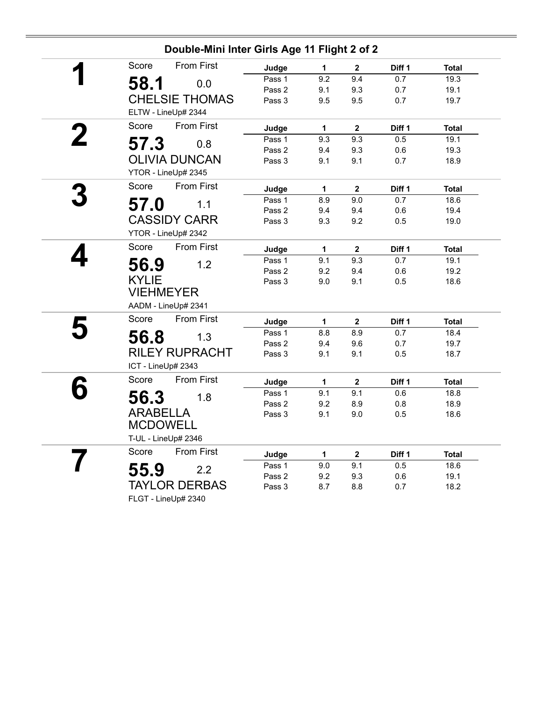|                 | Double-Mini Inter Girls Age 11 Flight 2 of 2 |        |              |                         |        |              |
|-----------------|----------------------------------------------|--------|--------------|-------------------------|--------|--------------|
| Score           | <b>From First</b>                            | Judge  | 1            | $\overline{2}$          | Diff 1 | <b>Total</b> |
| 58.1            | 0.0                                          | Pass 1 | 9.2          | 9.4                     | 0.7    | 19.3         |
|                 |                                              | Pass 2 | 9.1          | 9.3                     | 0.7    | 19.1         |
|                 | <b>CHELSIE THOMAS</b>                        | Pass 3 | 9.5          | 9.5                     | 0.7    | 19.7         |
|                 | ELTW - LineUp# 2344                          |        |              |                         |        |              |
| Score           | <b>From First</b>                            | Judge  | 1            | $\mathbf{2}$            | Diff 1 | <b>Total</b> |
| 57.3            | 0.8                                          | Pass 1 | 9.3          | 9.3                     | 0.5    | 19.1         |
|                 |                                              | Pass 2 | 9.4          | 9.3                     | 0.6    | 19.3         |
|                 | <b>OLIVIA DUNCAN</b>                         | Pass 3 | 9.1          | 9.1                     | 0.7    | 18.9         |
|                 | YTOR - LineUp# 2345                          |        |              |                         |        |              |
| Score           | <b>From First</b>                            | Judge  | 1            | $\mathbf{2}$            | Diff 1 | <b>Total</b> |
| 57.0            | 1.1                                          | Pass 1 | 8.9          | 9.0                     | 0.7    | 18.6         |
|                 |                                              | Pass 2 | 9.4          | 9.4                     | 0.6    | 19.4         |
|                 | <b>CASSIDY CARR</b>                          | Pass 3 | 9.3          | 9.2                     | 0.5    | 19.0         |
|                 | YTOR - LineUp# 2342                          |        |              |                         |        |              |
| Score           | <b>From First</b>                            | Judge  | 1            | $\mathbf 2$             | Diff 1 | <b>Total</b> |
| 56.9            | 1.2                                          | Pass 1 | 9.1          | 9.3                     | 0.7    | 19.1         |
|                 |                                              | Pass 2 | 9.2          | 9.4                     | 0.6    | 19.2         |
| <b>KYLIE</b>    |                                              | Pass 3 | 9.0          | 9.1                     | 0.5    | 18.6         |
|                 | <b>VIEHMEYER</b>                             |        |              |                         |        |              |
|                 | AADM - LineUp# 2341                          |        |              |                         |        |              |
| Score           | <b>From First</b>                            | Judge  | 1            | $\mathbf 2$             | Diff 1 | <b>Total</b> |
| 56.8            | 1.3                                          | Pass 1 | 8.8          | 8.9                     | 0.7    | 18.4         |
|                 |                                              | Pass 2 | 9.4          | 9.6                     | 0.7    | 19.7         |
|                 | <b>RILEY RUPRACHT</b>                        | Pass 3 | 9.1          | 9.1                     | 0.5    | 18.7         |
|                 | ICT - LineUp# 2343                           |        |              |                         |        |              |
| Score           | <b>From First</b>                            | Judge  | $\mathbf{1}$ | $\mathbf{2}$            | Diff 1 | <b>Total</b> |
| 56.3            | 1.8                                          | Pass 1 | 9.1          | 9.1                     | 0.6    | 18.8         |
|                 |                                              | Pass 2 | 9.2          | 8.9                     | 0.8    | 18.9         |
| <b>ARABELLA</b> |                                              | Pass 3 | 9.1          | 9.0                     | 0.5    | 18.6         |
|                 | <b>MCDOWELL</b>                              |        |              |                         |        |              |
|                 | T-UL - LineUp# 2346                          |        |              |                         |        |              |
| Score           | <b>From First</b>                            | Judge  | $\mathbf{1}$ | $\overline{\mathbf{2}}$ | Diff 1 | <b>Total</b> |
| 55.9            | 2.2                                          | Pass 1 | 9.0          | 9.1                     | 0.5    | 18.6         |
|                 |                                              | Pass 2 | 9.2          | 9.3                     | 0.6    | 19.1         |
|                 | <b>TAYLOR DERBAS</b>                         | Pass 3 | 8.7          | 8.8                     | 0.7    | 18.2         |
|                 | FLGT - LineUp# 2340                          |        |              |                         |        |              |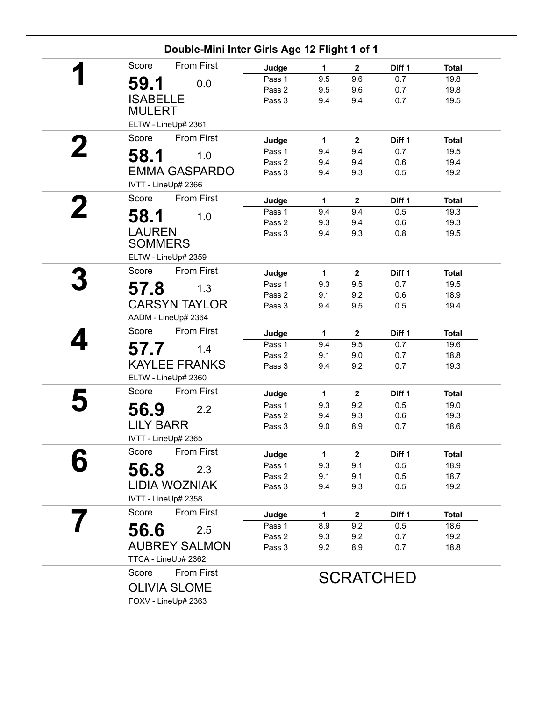| Double-Mini Inter Girls Age 12 Flight 1 of 1 |                  |            |                  |                  |              |
|----------------------------------------------|------------------|------------|------------------|------------------|--------------|
| <b>From First</b><br>Score                   | Judge            | 1          | $\mathbf{2}$     | Diff 1           | <b>Total</b> |
| 59.1<br>0.0                                  | Pass 1           | 9.5        | 9.6              | 0.7              | 19.8         |
|                                              | Pass 2           | 9.5        | 9.6              | 0.7              | 19.8         |
| <b>ISABELLE</b><br><b>MULERT</b>             | Pass 3           | 9.4        | 9.4              | 0.7              | 19.5         |
| ELTW - LineUp# 2361                          |                  |            |                  |                  |              |
| <b>From First</b><br>Score                   | Judge            | 1          | $\mathbf{2}$     | Diff 1           | <b>Total</b> |
| 1.0                                          | Pass 1           | 9.4        | 9.4              | 0.7              | 19.5         |
| 58.1                                         | Pass 2           | 9.4        | 9.4              | 0.6              | 19.4         |
| <b>EMMA GASPARDO</b>                         | Pass 3           | 9.4        | 9.3              | 0.5              | 19.2         |
| IVTT - LineUp# 2366                          |                  |            |                  |                  |              |
| Score<br>From First                          | Judge            | 1          | $\mathbf{2}$     | Diff 1           | <b>Total</b> |
| 58.1<br>1.0                                  | Pass 1           | 9.4        | 9.4              | 0.5              | 19.3         |
|                                              | Pass 2           | 9.3        | 9.4              | 0.6              | 19.3         |
| <b>LAUREN</b>                                | Pass 3           | 9.4        | 9.3              | 0.8              | 19.5         |
| <b>SOMMERS</b>                               |                  |            |                  |                  |              |
| ELTW - LineUp# 2359                          |                  |            |                  |                  |              |
| Score<br><b>From First</b>                   | Judge            | 1          | $\mathbf{2}$     | Diff 1           | <b>Total</b> |
| 57.8<br>1.3                                  | Pass 1           | 9.3        | 9.5              | 0.7              | 19.5         |
| <b>CARSYN TAYLOR</b>                         | Pass 2<br>Pass 3 | 9.1        | 9.2<br>9.5       | 0.6<br>0.5       | 18.9<br>19.4 |
|                                              |                  | 9.4        |                  |                  |              |
| AADM - LineUp# 2364                          |                  |            |                  |                  |              |
| Score<br>From First                          | Judge            | 1          | $\mathbf{2}$     | Diff 1           | <b>Total</b> |
| 57.7<br>1.4                                  | Pass 1           | 9.4        | 9.5              | 0.7              | 19.6         |
| <b>KAYLEE FRANKS</b>                         | Pass 2<br>Pass 3 | 9.1<br>9.4 | 9.0<br>9.2       | 0.7<br>0.7       | 18.8<br>19.3 |
| ELTW - LineUp# 2360                          |                  |            |                  |                  |              |
| From First<br>Score                          | Judge            | 1          | $\boldsymbol{2}$ | Diff 1           | <b>Total</b> |
|                                              | Pass 1           | 9.3        | 9.2              | 0.5              | 19.0         |
| 56.9<br>2.2                                  | Pass 2           | 9.4        | 9.3              | 0.6              | 19.3         |
| <b>LILY BARR</b>                             | Pass 3           | 9.0        | 8.9              | 0.7              | 18.6         |
| IVTT - LineUp# 2365                          |                  |            |                  |                  |              |
| <b>From First</b><br>Score                   | Judge            | 1          | $\mathbf{2}$     | Diff 1           | <b>Total</b> |
| 56.8<br>2.3                                  | Pass 1           | 9.3        | 9.1              | 0.5              | 18.9         |
|                                              | Pass 2           | 9.1        | 9.1              | 0.5              | 18.7         |
| <b>LIDIA WOZNIAK</b>                         | Pass 3           | 9.4        | 9.3              | 0.5              | 19.2         |
| IVTT - LineUp# 2358                          |                  |            |                  |                  |              |
| <b>From First</b><br>Score                   | Judge            | 1          | $\mathbf{2}$     | Diff 1           | <b>Total</b> |
| 56.6<br>2.5                                  | Pass 1           | 8.9        | 9.2              | 0.5              | 18.6         |
| <b>AUBREY SALMON</b>                         | Pass 2           | 9.3        | 9.2              | 0.7              | 19.2         |
| TTCA - LineUp# 2362                          | Pass 3           | 9.2        | 8.9              | 0.7              | 18.8         |
| Score<br>From First                          |                  |            |                  | <b>SCRATCHED</b> |              |
| <b>OLIVIA SLOME</b>                          |                  |            |                  |                  |              |
|                                              |                  |            |                  |                  |              |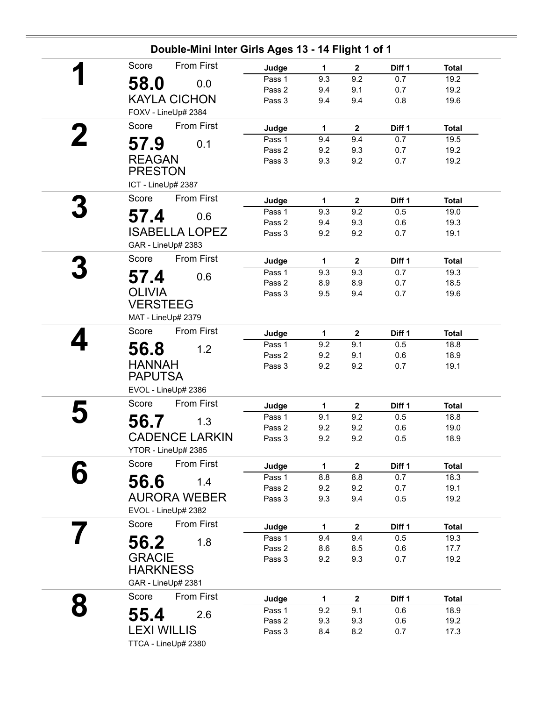| Double-Mini Inter Girls Ages 13 - 14 Flight 1 of 1 |        |              |              |        |              |
|----------------------------------------------------|--------|--------------|--------------|--------|--------------|
| <b>From First</b><br>Score                         | Judge  | $\mathbf{1}$ | $\mathbf{2}$ | Diff 1 | <b>Total</b> |
| 58.0<br>0.0                                        | Pass 1 | 9.3          | 9.2          | 0.7    | 19.2         |
|                                                    | Pass 2 | 9.4          | 9.1          | 0.7    | 19.2         |
| <b>KAYLA CICHON</b>                                | Pass 3 | 9.4          | 9.4          | 0.8    | 19.6         |
| FOXV - LineUp# 2384                                |        |              |              |        |              |
| From First<br>Score                                | Judge  | $\mathbf{1}$ | $\mathbf 2$  | Diff 1 | <b>Total</b> |
| 57.9<br>0.1                                        | Pass 1 | 9.4          | 9.4          | 0.7    | 19.5         |
|                                                    | Pass 2 | 9.2          | 9.3          | 0.7    | 19.2         |
| <b>REAGAN</b>                                      | Pass 3 | 9.3          | 9.2          | 0.7    | 19.2         |
| <b>PRESTON</b>                                     |        |              |              |        |              |
| ICT - LineUp# 2387                                 |        |              |              |        |              |
| Score<br>From First                                | Judge  | 1            | $\mathbf{2}$ | Diff 1 | <b>Total</b> |
| 57.4<br>0.6                                        | Pass 1 | 9.3          | 9.2          | 0.5    | 19.0         |
|                                                    | Pass 2 | 9.4          | 9.3          | 0.6    | 19.3         |
| <b>ISABELLA LOPEZ</b>                              | Pass 3 | 9.2          | 9.2          | 0.7    | 19.1         |
| GAR - LineUp# 2383                                 |        |              |              |        |              |
| From First<br>Score                                | Judge  | $\mathbf{1}$ | $\mathbf 2$  | Diff 1 | <b>Total</b> |
| 57.4<br>0.6                                        | Pass 1 | 9.3          | 9.3          | 0.7    | 19.3         |
|                                                    | Pass 2 | 8.9          | 8.9          | 0.7    | 18.5         |
| <b>OLIVIA</b>                                      | Pass 3 | 9.5          | 9.4          | 0.7    | 19.6         |
| <b>VERSTEEG</b>                                    |        |              |              |        |              |
| MAT - LineUp# 2379                                 |        |              |              |        |              |
| Score<br>From First                                | Judge  | $\mathbf{1}$ | $\mathbf{2}$ | Diff 1 | <b>Total</b> |
| 56.8<br>1.2                                        | Pass 1 | 9.2          | 9.1          | 0.5    | 18.8         |
|                                                    | Pass 2 | 9.2          | 9.1          | 0.6    | 18.9         |
| <b>HANNAH</b>                                      | Pass 3 | 9.2          | 9.2          | 0.7    | 19.1         |
| <b>PAPUTSA</b>                                     |        |              |              |        |              |
| EVOL - LineUp# 2386                                |        |              |              |        |              |
| Score<br><b>From First</b>                         | Judge  | 1            | $\mathbf{2}$ | Diff 1 | <b>Total</b> |
| 56.7<br>1.3                                        | Pass 1 | 9.1          | 9.2          | 0.5    | 18.8         |
|                                                    | Pass 2 | 9.2          | 9.2          | 0.6    | 19.0         |
| <b>CADENCE LARKIN</b>                              | Pass 3 | 9.2          | 9.2          | 0.5    | 18.9         |
| YTOR - LineUp# 2385                                |        |              |              |        |              |
| <b>From First</b><br>Score                         | Judge  | $\mathbf{1}$ | $\mathbf{2}$ | Diff 1 | <b>Total</b> |
| 56.6<br>1.4                                        | Pass 1 | 8.8          | 8.8          | 0.7    | 18.3         |
|                                                    | Pass 2 | 9.2          | 9.2          | 0.7    | 19.1         |
| <b>AURORA WEBER</b>                                | Pass 3 | 9.3          | 9.4          | 0.5    | 19.2         |
| EVOL - LineUp# 2382                                |        |              |              |        |              |
| Score<br>From First                                | Judge  | 1            | $\mathbf 2$  | Diff 1 | <b>Total</b> |
| 1.8                                                | Pass 1 | 9.4          | 9.4          | 0.5    | 19.3         |
| 56.2                                               | Pass 2 | 8.6          | 8.5          | 0.6    | 17.7         |
| <b>GRACIE</b>                                      | Pass 3 | 9.2          | 9.3          | 0.7    | 19.2         |
| <b>HARKNESS</b>                                    |        |              |              |        |              |
| GAR - LineUp# 2381                                 |        |              |              |        |              |
| Score<br>From First                                | Judge  | 1            | $\mathbf{2}$ | Diff 1 | <b>Total</b> |
|                                                    | Pass 1 | 9.2          | 9.1          | 0.6    | 18.9         |
| 55.4<br>2.6                                        | Pass 2 | 9.3          | 9.3          | 0.6    | 19.2         |
| <b>LEXI WILLIS</b>                                 | Pass 3 | 8.4          | 8.2          | 0.7    | 17.3         |
| TTCA - LineUp# 2380                                |        |              |              |        |              |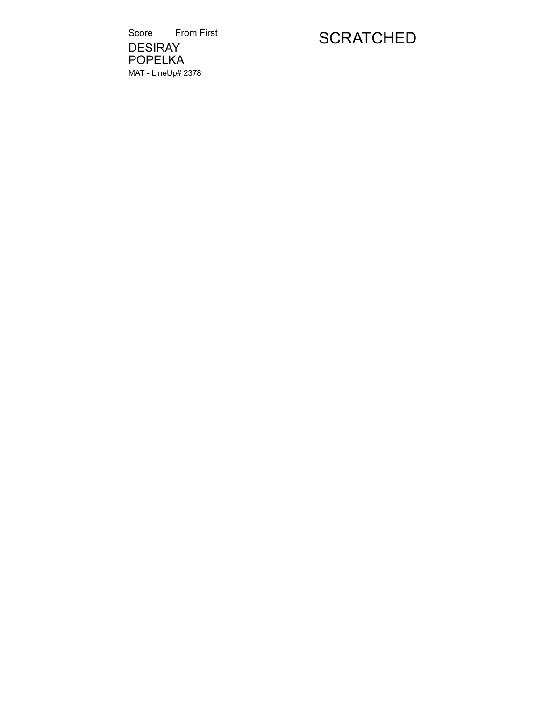Score From First **DESIRAY** POPELKA MAT - LineUp# 2378

# **SCRATCHED**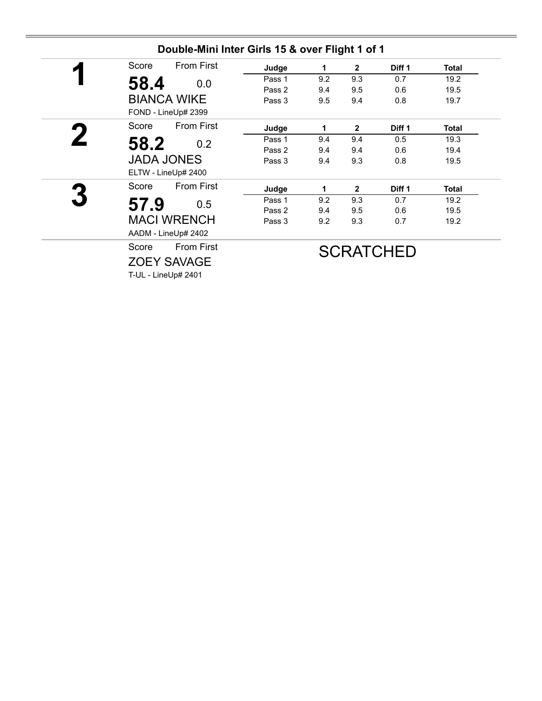| Score | <b>From First</b>   | Judge  | 1   | $\mathbf{2}$ | Diff 1            | Total        |
|-------|---------------------|--------|-----|--------------|-------------------|--------------|
| 58.4  | 0.0                 | Pass 1 | 9.2 | 9.3          | 0.7               | 19.2         |
|       |                     | Pass 2 | 9.4 | 9.5          | 0.6               | 19.5         |
|       | <b>BIANCA WIKE</b>  | Pass 3 | 9.5 | 9.4          | 0.8               | 19.7         |
|       | FOND - LineUp# 2399 |        |     |              |                   |              |
| Score | <b>From First</b>   | Judge  | 1   | $\mathbf{2}$ | Diff <sub>1</sub> | Total        |
| 58.2  | 0.2                 | Pass 1 | 9.4 | 9.4          | 0.5               | 19.3         |
|       |                     | Pass 2 | 9.4 | 9.4          | 0.6               | 19.4         |
|       | <b>JADA JONES</b>   | Pass 3 | 9.4 | 9.3          | 0.8               | 19.5         |
|       | ELTW - LineUp# 2400 |        |     |              |                   |              |
| Score | <b>From First</b>   | Judge  | 1   | $\mathbf{2}$ | Diff 1            | <b>Total</b> |
| 57.9  | 0.5                 | Pass 1 | 9.2 | 9.3          | 0.7               | 19.2         |
|       |                     | Pass 2 | 9.4 | 9.5          | 0.6               | 19.5         |
|       | <b>MACI WRENCH</b>  | Pass 3 | 9.2 | 9.3          | 0.7               | 19.2         |
|       | AADM - LineUp# 2402 |        |     |              |                   |              |
| Score | <b>From First</b>   |        |     |              | <b>SCRATCHED</b>  |              |
|       | <b>ZOEY SAVAGE</b>  |        |     |              |                   |              |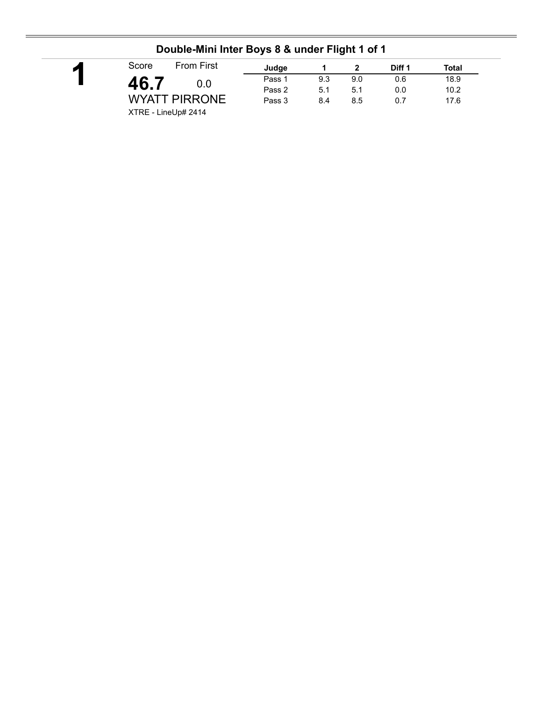|                            |        |     | -   |        |       |  |
|----------------------------|--------|-----|-----|--------|-------|--|
| <b>From First</b><br>Score | Judge  |     |     | Diff 1 | Total |  |
| 46. .<br>0.0               | Pass 1 | 9.3 | 9.0 | 0.6    | 18.9  |  |
|                            | Pass 2 | 5.1 | 5.1 | 0.0    | 10.2  |  |
| <b>WYATT PIRRONE</b>       | Pass 3 | 8.4 | 8.5 | 0.7    | 17.6  |  |
| XTRE - LineUp# 2414        |        |     |     |        |       |  |

### **Double-Mini Inter Boys 8 & under Flight 1 of 1**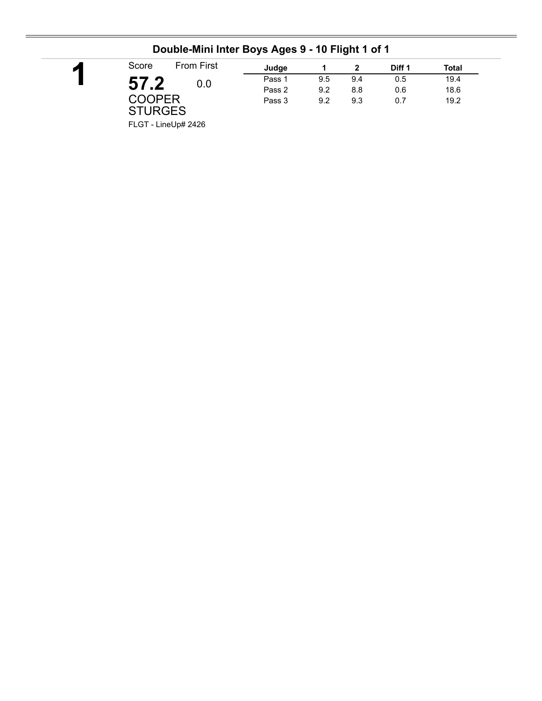| $\blacktriangleright$ | Score                    | <b>From First</b> | Judge  |     |     | Diff 1 | Total |
|-----------------------|--------------------------|-------------------|--------|-----|-----|--------|-------|
|                       | 57.2                     | 0.0               | Pass 1 | 9.5 | 9.4 | 0.5    | 19.4  |
|                       |                          |                   | Pass 2 | 9.2 | 8.8 | 0.6    | 18.6  |
|                       | COOPER<br><b>STURGES</b> |                   | Pass 3 | 9.2 | 9.3 | 0.7    | 19.2  |

### **Double-Mini Inter Boys Ages 9 - 10 Flight 1 of 1**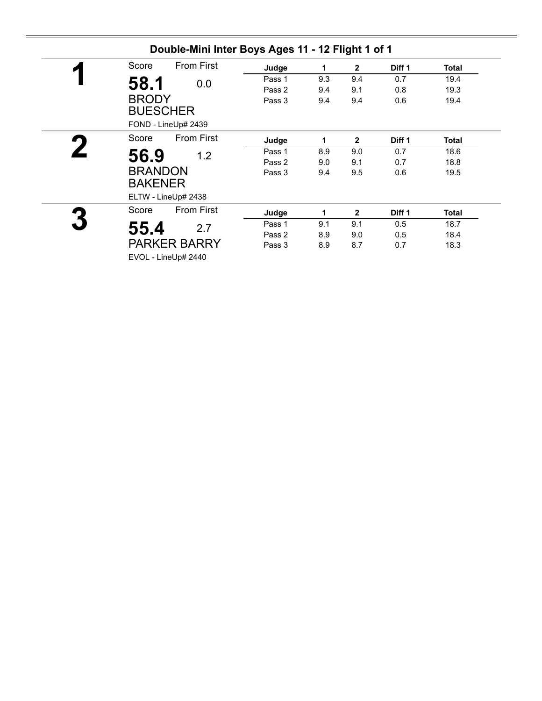| Score | <b>From First</b>   | Judge  | 1   | $\mathbf{2}$ | Diff 1 | Total |
|-------|---------------------|--------|-----|--------------|--------|-------|
| 58.1  | 0.0                 | Pass 1 | 9.3 | 9.4          | 0.7    | 19.4  |
|       |                     | Pass 2 | 9.4 | 9.1          | 0.8    | 19.3  |
|       | <b>BRODY</b>        | Pass 3 | 9.4 | 9.4          | 0.6    | 19.4  |
|       | <b>BUESCHER</b>     |        |     |              |        |       |
|       | FOND - LineUp# 2439 |        |     |              |        |       |
| Score | <b>From First</b>   | Judge  | 1   | $\mathbf{2}$ | Diff 1 | Total |
| 56.9  | 1.2                 | Pass 1 | 8.9 | 9.0          | 0.7    | 18.6  |
|       |                     | Pass 2 | 9.0 | 9.1          | 0.7    | 18.8  |
|       | <b>BRANDON</b>      | Pass 3 | 9.4 | 9.5          | 0.6    | 19.5  |
|       | <b>BAKENER</b>      |        |     |              |        |       |
|       | ELTW - LineUp# 2438 |        |     |              |        |       |
| Score | <b>From First</b>   | Judge  | 1   | $\mathbf{2}$ | Diff 1 | Total |
| 55.4  | 2.7                 | Pass 1 | 9.1 | 9.1          | 0.5    | 18.7  |
|       |                     | Pass 2 | 8.9 | 9.0          | 0.5    | 18.4  |
|       | <b>PARKER BARRY</b> | Pass 3 | 8.9 | 8.7          | 0.7    | 18.3  |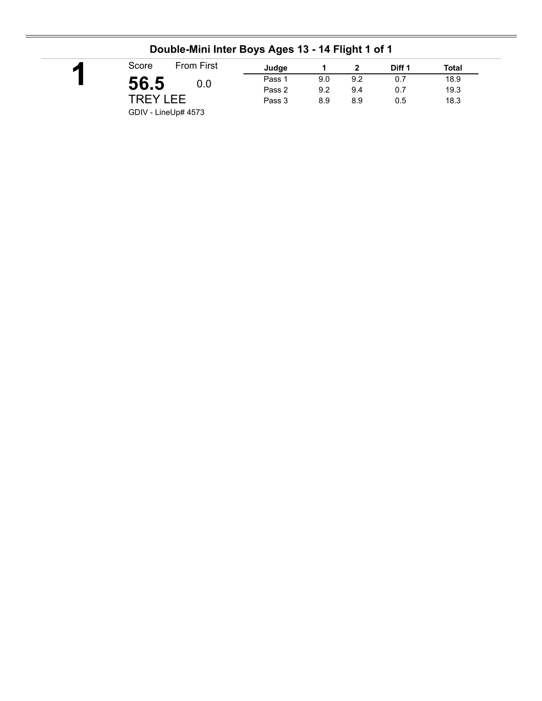| Score           | <b>From First</b> | Judge  |     |     | Diff 1 | Total |
|-----------------|-------------------|--------|-----|-----|--------|-------|
| 56.5            | 0.0               | Pass 1 | 9.0 | 9.2 | 0.7    | 18.9  |
|                 |                   | Pass 2 | 9.2 | 9.4 | 0.7    | 19.3  |
| <b>TREY LEE</b> |                   | Pass 3 | 8.9 | 8.9 | 0.5    | 18.3  |

### **Double-Mini Inter Boys Ages 13 - 14 Flight 1 of 1**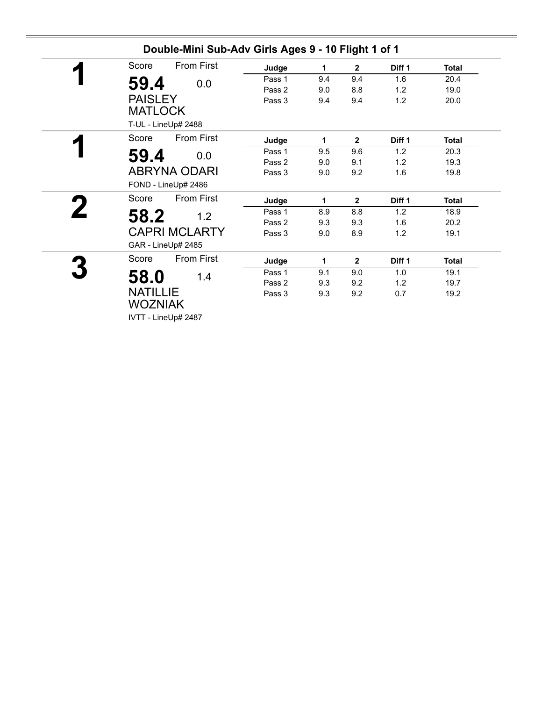| <b>From First</b><br>Score       | Judge  | 1   | $\mathbf{2}$ | Diff <sub>1</sub> | <b>Total</b> |
|----------------------------------|--------|-----|--------------|-------------------|--------------|
| 59.4<br>0.0                      | Pass 1 | 9.4 | 9.4          | 1.6               | 20.4         |
|                                  | Pass 2 | 9.0 | 8.8          | 1.2               | 19.0         |
| <b>PAISLEY</b><br><b>MATLOCK</b> | Pass 3 | 9.4 | 9.4          | 1.2               | 20.0         |
| T-UL - LineUp# 2488              |        |     |              |                   |              |
| <b>From First</b><br>Score       | Judge  | 1   | $\mathbf{2}$ | Diff <sub>1</sub> | <b>Total</b> |
| 59.4<br>0.0                      | Pass 1 | 9.5 | 9.6          | 1.2               | 20.3         |
|                                  | Pass 2 | 9.0 | 9.1          | 1.2               | 19.3         |
| <b>ABRYNA ODARI</b>              | Pass 3 | 9.0 | 9.2          | 1.6               | 19.8         |
| FOND - LineUp# 2486              |        |     |              |                   |              |
| <b>From First</b><br>Score       | Judge  | 1   | $\mathbf{2}$ | Diff 1            | <b>Total</b> |
| 58.2<br>1.2                      | Pass 1 | 8.9 | 8.8          | 1.2               | 18.9         |
|                                  | Pass 2 | 9.3 | 9.3          | 1.6               | 20.2         |
| <b>CAPRI MCLARTY</b>             | Pass 3 | 9.0 | 8.9          | 1.2               | 19.1         |
| GAR - LineUp# 2485               |        |     |              |                   |              |
| From First<br>Score              | Judge  | 1   | $\mathbf{2}$ | Diff <sub>1</sub> | <b>Total</b> |
| 1.4                              | Pass 1 | 9.1 | 9.0          | 1.0               | 19.1         |
| 58.0                             | Pass 2 | 9.3 | 9.2          | 1.2               | 19.7         |
| <b>NATILLIE</b>                  | Pass 3 | 9.3 | 9.2          | 0.7               | 19.2         |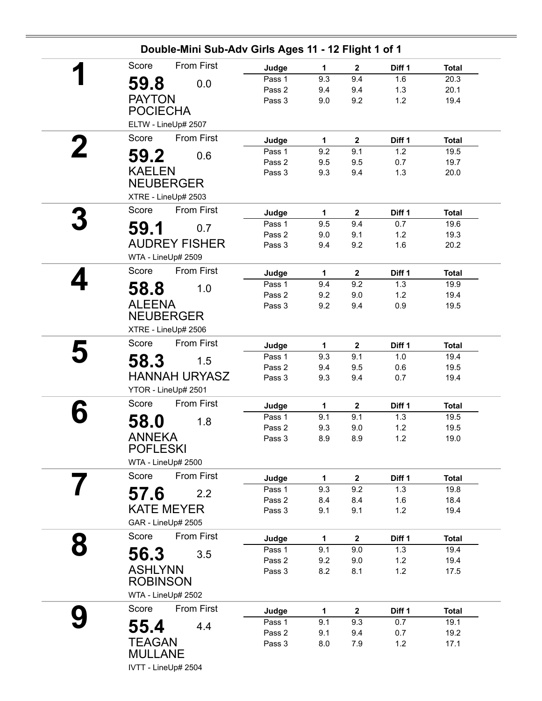| 2 | 59.8<br><b>PAYTON</b><br><b>POCIECHA</b><br>Score<br>59.2<br><b>KAELEN</b><br>Score<br>59.1<br>WTA - LineUp# 2509<br>Score<br>58.8<br><b>ALEENA</b><br><b>NEUBERGER</b> | 0.0<br>ELTW - LineUp# 2507<br><b>From First</b><br>0.6<br><b>NEUBERGER</b><br>XTRE - LineUp# 2503<br>From First<br>0.7<br><b>AUDREY FISHER</b><br>From First<br>1.0 | Judge<br>Pass 1<br>Pass 2<br>Pass 3<br>Judge<br>Pass 1<br>Pass 2<br>Pass 3<br>Judge<br>Pass 1<br>Pass 2<br>Pass 3<br>Judge | $\mathbf{1}$<br>9.3<br>9.4<br>9.0<br>1<br>9.2<br>9.5<br>9.3<br>1<br>9.5<br>9.0<br>9.4 | $\mathbf 2$<br>9.4<br>9.4<br>9.2<br>$\mathbf{2}$<br>9.1<br>9.5<br>9.4<br>$\boldsymbol{2}$<br>9.4<br>9.1<br>9.2 | Diff 1<br>1.6<br>1.3<br>1.2<br>Diff 1<br>1.2<br>0.7<br>1.3<br>Diff 1<br>0.7<br>$1.2$<br>1.6 | <b>Total</b><br>20.3<br>20.1<br>19.4<br><b>Total</b><br>19.5<br>19.7<br>20.0<br><b>Total</b><br>19.6<br>19.3 |
|---|-------------------------------------------------------------------------------------------------------------------------------------------------------------------------|---------------------------------------------------------------------------------------------------------------------------------------------------------------------|----------------------------------------------------------------------------------------------------------------------------|---------------------------------------------------------------------------------------|----------------------------------------------------------------------------------------------------------------|---------------------------------------------------------------------------------------------|--------------------------------------------------------------------------------------------------------------|
|   |                                                                                                                                                                         |                                                                                                                                                                     |                                                                                                                            |                                                                                       |                                                                                                                |                                                                                             |                                                                                                              |
|   |                                                                                                                                                                         |                                                                                                                                                                     |                                                                                                                            |                                                                                       |                                                                                                                |                                                                                             |                                                                                                              |
|   |                                                                                                                                                                         |                                                                                                                                                                     |                                                                                                                            |                                                                                       |                                                                                                                |                                                                                             |                                                                                                              |
|   |                                                                                                                                                                         |                                                                                                                                                                     |                                                                                                                            |                                                                                       |                                                                                                                |                                                                                             |                                                                                                              |
|   |                                                                                                                                                                         |                                                                                                                                                                     |                                                                                                                            |                                                                                       |                                                                                                                |                                                                                             |                                                                                                              |
|   |                                                                                                                                                                         |                                                                                                                                                                     |                                                                                                                            |                                                                                       |                                                                                                                |                                                                                             |                                                                                                              |
|   |                                                                                                                                                                         |                                                                                                                                                                     |                                                                                                                            |                                                                                       |                                                                                                                |                                                                                             |                                                                                                              |
|   |                                                                                                                                                                         |                                                                                                                                                                     |                                                                                                                            |                                                                                       |                                                                                                                |                                                                                             |                                                                                                              |
|   |                                                                                                                                                                         |                                                                                                                                                                     |                                                                                                                            |                                                                                       |                                                                                                                |                                                                                             |                                                                                                              |
|   |                                                                                                                                                                         |                                                                                                                                                                     |                                                                                                                            |                                                                                       |                                                                                                                |                                                                                             |                                                                                                              |
|   |                                                                                                                                                                         |                                                                                                                                                                     |                                                                                                                            |                                                                                       |                                                                                                                |                                                                                             |                                                                                                              |
|   |                                                                                                                                                                         |                                                                                                                                                                     |                                                                                                                            |                                                                                       |                                                                                                                |                                                                                             |                                                                                                              |
|   |                                                                                                                                                                         |                                                                                                                                                                     |                                                                                                                            |                                                                                       |                                                                                                                |                                                                                             |                                                                                                              |
|   |                                                                                                                                                                         |                                                                                                                                                                     |                                                                                                                            |                                                                                       |                                                                                                                |                                                                                             |                                                                                                              |
|   |                                                                                                                                                                         |                                                                                                                                                                     |                                                                                                                            |                                                                                       |                                                                                                                |                                                                                             | 20.2                                                                                                         |
|   |                                                                                                                                                                         |                                                                                                                                                                     |                                                                                                                            | 1                                                                                     | $\mathbf{2}$                                                                                                   | Diff 1                                                                                      | <b>Total</b>                                                                                                 |
|   |                                                                                                                                                                         |                                                                                                                                                                     | Pass 1                                                                                                                     | 9.4                                                                                   | 9.2                                                                                                            | 1.3                                                                                         | 19.9                                                                                                         |
|   |                                                                                                                                                                         |                                                                                                                                                                     | Pass 2                                                                                                                     | 9.2                                                                                   | 9.0                                                                                                            | 1.2                                                                                         | 19.4                                                                                                         |
|   |                                                                                                                                                                         |                                                                                                                                                                     | Pass 3                                                                                                                     | 9.2                                                                                   | 9.4                                                                                                            | 0.9                                                                                         | 19.5                                                                                                         |
|   |                                                                                                                                                                         |                                                                                                                                                                     |                                                                                                                            |                                                                                       |                                                                                                                |                                                                                             |                                                                                                              |
|   |                                                                                                                                                                         | XTRE - LineUp# 2506                                                                                                                                                 |                                                                                                                            |                                                                                       |                                                                                                                |                                                                                             |                                                                                                              |
|   | Score                                                                                                                                                                   | From First                                                                                                                                                          | Judge                                                                                                                      | 1                                                                                     | $\boldsymbol{2}$                                                                                               | Diff 1                                                                                      | <b>Total</b>                                                                                                 |
|   | 58.3                                                                                                                                                                    | 1.5                                                                                                                                                                 | Pass 1                                                                                                                     | 9.3                                                                                   | 9.1                                                                                                            | 1.0                                                                                         | 19.4                                                                                                         |
|   |                                                                                                                                                                         |                                                                                                                                                                     | Pass 2                                                                                                                     | 9.4                                                                                   | 9.5                                                                                                            | 0.6                                                                                         | 19.5                                                                                                         |
|   |                                                                                                                                                                         | <b>HANNAH URYASZ</b>                                                                                                                                                | Pass 3                                                                                                                     | 9.3                                                                                   | 9.4                                                                                                            | 0.7                                                                                         | 19.4                                                                                                         |
|   |                                                                                                                                                                         | YTOR - LineUp# 2501                                                                                                                                                 |                                                                                                                            |                                                                                       |                                                                                                                |                                                                                             |                                                                                                              |
|   | Score                                                                                                                                                                   | <b>From First</b>                                                                                                                                                   | Judge                                                                                                                      | 1                                                                                     | $\mathbf{2}$                                                                                                   | Diff 1                                                                                      | <b>Total</b>                                                                                                 |
|   | 58.0                                                                                                                                                                    | 1.8                                                                                                                                                                 | Pass 1                                                                                                                     | 9.1                                                                                   | 9.1                                                                                                            | 1.3                                                                                         | 19.5                                                                                                         |
|   |                                                                                                                                                                         |                                                                                                                                                                     | Pass 2                                                                                                                     | 9.3                                                                                   | 9.0                                                                                                            | 1.2                                                                                         | 19.5                                                                                                         |
|   | <b>ANNEKA</b>                                                                                                                                                           |                                                                                                                                                                     | Pass 3                                                                                                                     | 8.9                                                                                   | 8.9                                                                                                            | 1.2                                                                                         | 19.0                                                                                                         |
|   | <b>POFLESKI</b>                                                                                                                                                         |                                                                                                                                                                     |                                                                                                                            |                                                                                       |                                                                                                                |                                                                                             |                                                                                                              |
|   | WTA - LineUp# 2500                                                                                                                                                      |                                                                                                                                                                     |                                                                                                                            |                                                                                       |                                                                                                                |                                                                                             |                                                                                                              |
|   | Score                                                                                                                                                                   | From First                                                                                                                                                          | Judge                                                                                                                      | $\mathbf 1$                                                                           | $\overline{\mathbf{2}}$                                                                                        | Diff 1                                                                                      | <b>Total</b>                                                                                                 |
|   | 57.6                                                                                                                                                                    | 2.2                                                                                                                                                                 | Pass 1                                                                                                                     | 9.3                                                                                   | 9.2                                                                                                            | 1.3                                                                                         | 19.8                                                                                                         |
|   |                                                                                                                                                                         | <b>KATE MEYER</b>                                                                                                                                                   | Pass 2<br>Pass 3                                                                                                           | 8.4<br>9.1                                                                            | 8.4<br>9.1                                                                                                     | 1.6<br>1.2                                                                                  | 18.4<br>19.4                                                                                                 |
|   | GAR - LineUp# 2505                                                                                                                                                      |                                                                                                                                                                     |                                                                                                                            |                                                                                       |                                                                                                                |                                                                                             |                                                                                                              |
|   | Score                                                                                                                                                                   | From First                                                                                                                                                          | Judge                                                                                                                      | $\mathbf{1}$                                                                          | $\mathbf{2}$                                                                                                   | Diff 1                                                                                      | <b>Total</b>                                                                                                 |
| 8 |                                                                                                                                                                         |                                                                                                                                                                     | Pass 1                                                                                                                     | 9.1                                                                                   | 9.0                                                                                                            | 1.3                                                                                         | 19.4                                                                                                         |
|   | 56.3                                                                                                                                                                    | 3.5                                                                                                                                                                 | Pass 2                                                                                                                     | 9.2                                                                                   | 9.0                                                                                                            | $1.2$                                                                                       | 19.4                                                                                                         |
|   | <b>ASHLYNN</b>                                                                                                                                                          |                                                                                                                                                                     | Pass 3                                                                                                                     | 8.2                                                                                   | 8.1                                                                                                            | $1.2$                                                                                       | 17.5                                                                                                         |
|   | <b>ROBINSON</b>                                                                                                                                                         |                                                                                                                                                                     |                                                                                                                            |                                                                                       |                                                                                                                |                                                                                             |                                                                                                              |
|   | WTA - LineUp# 2502                                                                                                                                                      |                                                                                                                                                                     |                                                                                                                            |                                                                                       |                                                                                                                |                                                                                             |                                                                                                              |
|   | Score                                                                                                                                                                   | From First                                                                                                                                                          | Judge                                                                                                                      | 1                                                                                     | $\mathbf 2$                                                                                                    | Diff 1                                                                                      | <b>Total</b>                                                                                                 |
|   | 55.4                                                                                                                                                                    | 4.4                                                                                                                                                                 | Pass 1                                                                                                                     | 9.1                                                                                   | 9.3                                                                                                            | 0.7                                                                                         | 19.1                                                                                                         |
|   |                                                                                                                                                                         |                                                                                                                                                                     | Pass 2                                                                                                                     | 9.1                                                                                   | 9.4                                                                                                            | 0.7                                                                                         | 19.2                                                                                                         |
|   | <b>TEAGAN</b>                                                                                                                                                           |                                                                                                                                                                     | Pass 3                                                                                                                     | 8.0                                                                                   | 7.9                                                                                                            | 1.2                                                                                         | 17.1                                                                                                         |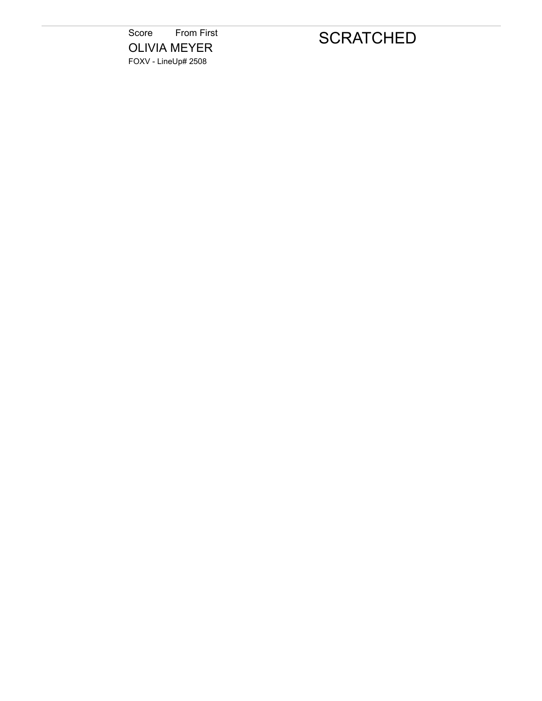Score From First OLIVIA MEYER FOXV - LineUp# 2508

# **SCRATCHED**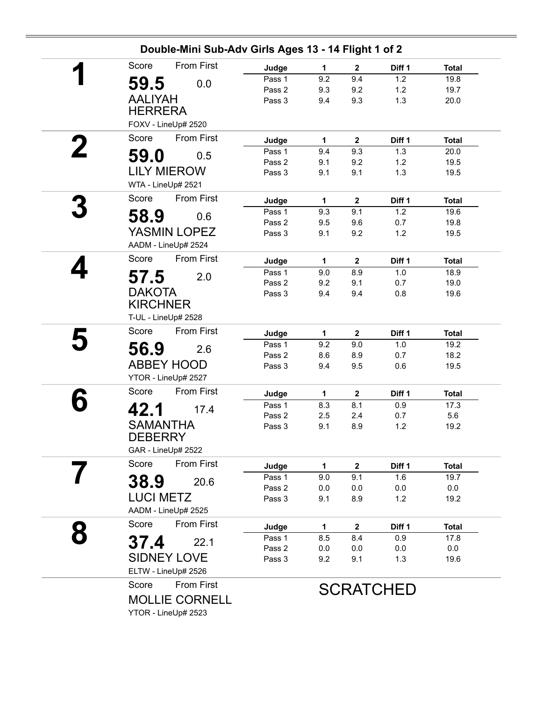| From First<br>Score             | Judge            | $\mathbf{1}$ | $\mathbf 2$             | Diff 1           | <b>Total</b> |
|---------------------------------|------------------|--------------|-------------------------|------------------|--------------|
| 59.5<br>0.0                     | Pass 1           | 9.2          | 9.4                     | 1.2              | 19.8         |
|                                 | Pass 2           | 9.3          | 9.2                     | 1.2              | 19.7         |
| <b>AALIYAH</b>                  | Pass 3           | 9.4          | 9.3                     | 1.3              | 20.0         |
| <b>HERRERA</b>                  |                  |              |                         |                  |              |
| FOXV - LineUp# 2520             |                  |              |                         |                  |              |
| <b>From First</b><br>Score<br>2 | Judge            | 1            | $\mathbf{2}$            | Diff 1           | <b>Total</b> |
| 59.0<br>0.5                     | Pass 1           | 9.4          | 9.3                     | 1.3              | 20.0         |
| <b>LILY MIEROW</b>              | Pass 2<br>Pass 3 | 9.1          | 9.2<br>9.1              | 1.2              | 19.5         |
| WTA - LineUp# 2521              |                  | 9.1          |                         | 1.3              | 19.5         |
| Score<br>From First             |                  |              |                         |                  |              |
|                                 | Judge            | 1            | $\mathbf 2$             | Diff 1           | <b>Total</b> |
| 58.9<br>0.6                     | Pass 1<br>Pass 2 | 9.3<br>9.5   | 9.1<br>9.6              | 1.2<br>0.7       | 19.6<br>19.8 |
| YASMIN LOPEZ                    | Pass 3           | 9.1          | 9.2                     | $1.2$            | 19.5         |
| AADM - LineUp# 2524             |                  |              |                         |                  |              |
| From First<br>Score             | Judge            | $\mathbf 1$  | $\mathbf 2$             | Diff 1           | <b>Total</b> |
|                                 | Pass 1           | 9.0          | 8.9                     | 1.0              | 18.9         |
| 57.5<br>2.0                     | Pass 2           | 9.2          | 9.1                     | 0.7              | 19.0         |
| <b>DAKOTA</b>                   | Pass 3           | 9.4          | 9.4                     | 0.8              | 19.6         |
| <b>KIRCHNER</b>                 |                  |              |                         |                  |              |
| T-UL - LineUp# 2528             |                  |              |                         |                  |              |
| From First<br>Score             | Judge            | $\mathbf{1}$ | $\overline{\mathbf{2}}$ | Diff 1           | <b>Total</b> |
| 56.9<br>2.6                     | Pass 1           | 9.2          | 9.0                     | 1.0              | 19.2         |
|                                 | Pass 2           | 8.6          | 8.9                     | 0.7              | 18.2         |
| <b>ABBEY HOOD</b>               | Pass 3           | 9.4          | 9.5                     | 0.6              | 19.5         |
| YTOR - LineUp# 2527             |                  |              |                         |                  |              |
| From First<br>Score             | Judge            | $\mathbf{1}$ | $\mathbf{2}$            | Diff 1           | <b>Total</b> |
| 42.1<br>17.4                    | Pass 1           | 8.3          | 8.1                     | 0.9              | 17.3         |
| <b>SAMANTHA</b>                 | Pass 2<br>Pass 3 | 2.5<br>9.1   | 2.4<br>8.9              | 0.7<br>1.2       | 5.6<br>19.2  |
| <b>DEBERRY</b>                  |                  |              |                         |                  |              |
| GAR - LineUp# 2522              |                  |              |                         |                  |              |
| Score<br><b>From First</b>      | Judge            | $\mathbf{1}$ | $\mathbf{2}$            | Diff 1           | <b>Total</b> |
|                                 | Pass 1           | 9.0          | 9.1                     | 1.6              | 19.7         |
| 38.9<br>20.6                    | Pass 2           | 0.0          | 0.0                     | 0.0              | 0.0          |
| <b>LUCI METZ</b>                | Pass 3           | 9.1          | 8.9                     | $1.2$            | 19.2         |
| AADM - LineUp# 2525             |                  |              |                         |                  |              |
| From First<br>Score             | Judge            | 1            | $\mathbf 2$             | Diff 1           | <b>Total</b> |
| 37.4<br>22.1                    | Pass 1           | 8.5          | 8.4                     | 0.9              | 17.8         |
|                                 | Pass 2           | 0.0          | 0.0                     | 0.0              | $0.0\,$      |
| <b>SIDNEY LOVE</b>              | Pass 3           | 9.2          | 9.1                     | 1.3              | 19.6         |
| ELTW - LineUp# 2526             |                  |              |                         |                  |              |
| From First<br>Score             |                  |              |                         | <b>SCRATCHED</b> |              |
|                                 |                  |              |                         |                  |              |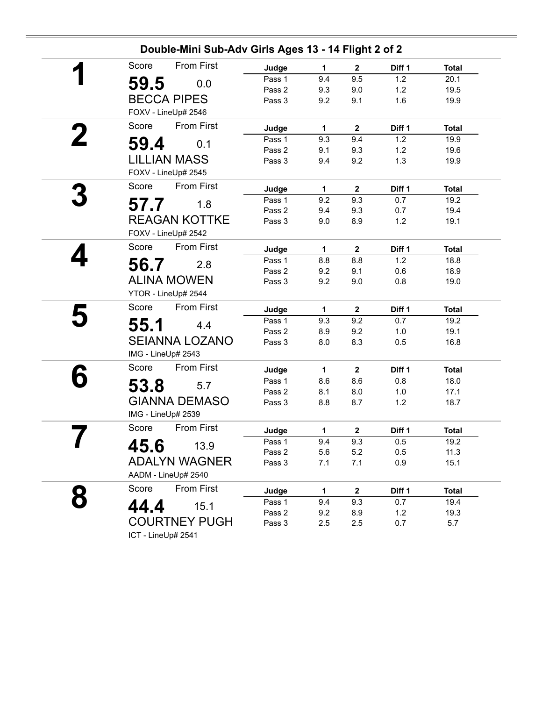|   | <b>From First</b><br>Score           | Judge            | 1           | $\mathbf{2}$ | Diff 1     | <b>Total</b> |
|---|--------------------------------------|------------------|-------------|--------------|------------|--------------|
|   | 59.5<br>0.0                          | Pass 1           | 9.4         | 9.5          | 1.2        | 20.1         |
|   |                                      | Pass 2           | 9.3         | 9.0          | 1.2        | 19.5         |
|   | <b>BECCA PIPES</b>                   | Pass 3           | 9.2         | 9.1          | 1.6        | 19.9         |
|   | FOXV - LineUp# 2546                  |                  |             |              |            |              |
|   | <b>From First</b><br>Score           | Judge            | 1           | $\mathbf{2}$ | Diff 1     | <b>Total</b> |
|   | 0.1                                  | Pass 1           | 9.3         | 9.4          | 1.2        | 19.9         |
|   | 59.4                                 | Pass 2           | 9.1         | 9.3          | 1.2        | 19.6         |
|   | <b>LILLIAN MASS</b>                  | Pass 3           | 9.4         | 9.2          | 1.3        | 19.9         |
|   | FOXV - LineUp# 2545                  |                  |             |              |            |              |
|   | <b>From First</b><br>Score           | Judge            | 1           | $\mathbf{2}$ | Diff 1     | <b>Total</b> |
|   | 57.7<br>1.8                          | Pass 1           | 9.2         | 9.3          | 0.7        | 19.2         |
|   |                                      | Pass 2           | 9.4         | 9.3          | 0.7        | 19.4         |
|   | <b>REAGAN KOTTKE</b>                 | Pass 3           | 9.0         | 8.9          | 1.2        | 19.1         |
|   | FOXV - LineUp# 2542                  |                  |             |              |            |              |
|   | <b>From First</b><br>Score           | Judge            | $\mathbf 1$ | $\mathbf{2}$ | Diff 1     | <b>Total</b> |
|   | 2.8                                  | Pass 1           | 8.8         | 8.8          | 1.2        | 18.8         |
|   | 56.7                                 | Pass 2           | 9.2         | 9.1          | 0.6        | 18.9         |
|   | <b>ALINA MOWEN</b>                   | Pass 3           | 9.2         | 9.0          | 0.8        | 19.0         |
|   | YTOR - LineUp# 2544                  |                  |             |              |            |              |
|   | Score<br><b>From First</b>           | Judge            | 1           | $\mathbf{2}$ | Diff 1     | <b>Total</b> |
|   | 55.1<br>4.4                          | Pass 1           | 9.3         | 9.2          | 0.7        | 19.2         |
|   |                                      | Pass 2           | 8.9         | 9.2          | 1.0        | 19.1         |
|   | <b>SEIANNA LOZANO</b>                | Pass 3           | 8.0         | 8.3          | 0.5        | 16.8         |
|   | IMG - LineUp# 2543                   |                  |             |              |            |              |
|   | Score<br>From First                  | Judge            | 1           | $\mathbf{2}$ | Diff 1     | <b>Total</b> |
|   | 53.8<br>5.7                          | Pass 1           | 8.6         | 8.6          | 0.8        | 18.0         |
|   |                                      | Pass 2           | 8.1         | 8.0          | 1.0        | 17.1         |
|   | <b>GIANNA DEMASO</b>                 | Pass 3           | 8.8         | 8.7          | 1.2        | 18.7         |
|   | IMG - LineUp# 2539                   |                  |             |              |            |              |
|   | <b>From First</b><br>Score           | Judge            | 1           | $\mathbf 2$  | Diff 1     | <b>Total</b> |
| ı | 45.6<br>13.9                         | Pass 1           | 9.4         | 9.3          | 0.5        | 19.2         |
|   |                                      | Pass 2           | 5.6         | 5.2          | 0.5        | 11.3         |
|   | <b>ADALYN WAGNER</b>                 | Pass 3           | 7.1         | 7.1          | 0.9        | 15.1         |
|   | AADM - LineUp# 2540                  |                  |             |              |            |              |
|   | Score<br>From First                  | Judge            | 1           | $\mathbf{2}$ | Diff 1     | <b>Total</b> |
|   |                                      | Pass 1           | 9.4         | 9.3          | 0.7        | 19.4         |
|   |                                      |                  |             |              |            |              |
|   | 44.4<br>15.1<br><b>COURTNEY PUGH</b> | Pass 2<br>Pass 3 | 9.2         | 8.9<br>2.5   | 1.2<br>0.7 | 19.3<br>5.7  |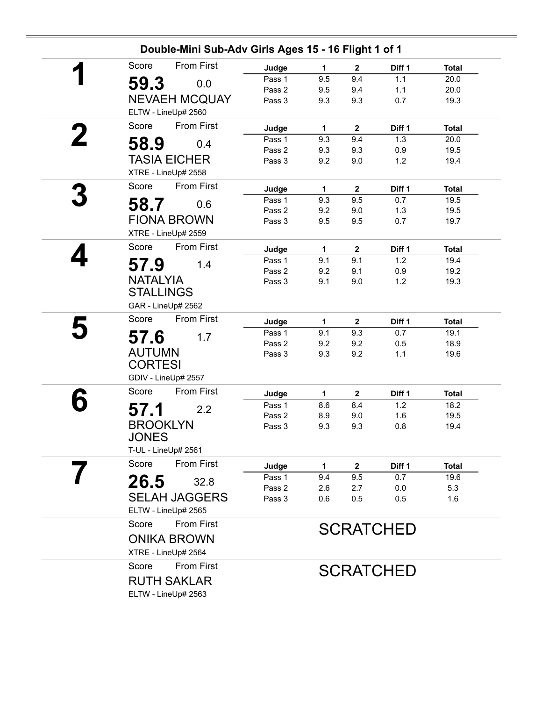| <b>From First</b><br>Score<br>59.3<br>0.0 | Judge            | 1          |                  |                  |              |
|-------------------------------------------|------------------|------------|------------------|------------------|--------------|
|                                           |                  |            | $\mathbf{2}$     | Diff 1           | <b>Total</b> |
|                                           | Pass 1           | 9.5        | 9.4              | 1.1              | 20.0         |
|                                           | Pass 2           | 9.5        | 9.4              | 1.1              | 20.0         |
| <b>NEVAEH MCQUAY</b>                      | Pass 3           | 9.3        | 9.3              | 0.7              | 19.3         |
| ELTW - LineUp# 2560                       |                  |            |                  |                  |              |
| <b>From First</b><br>Score                | Judge            | 1          | $\mathbf{2}$     | Diff 1           | <b>Total</b> |
| 58.9<br>0.4                               | Pass 1           | 9.3        | 9.4              | 1.3              | 20.0         |
|                                           | Pass 2           | 9.3        | 9.3              | 0.9              | 19.5         |
| <b>TASIA EICHER</b>                       | Pass 3           | 9.2        | 9.0              | 1.2              | 19.4         |
| XTRE - LineUp# 2558                       |                  |            |                  |                  |              |
| From First<br>Score                       | Judge            | 1          | $\mathbf{2}$     | Diff 1           | <b>Total</b> |
| 58.7<br>0.6                               | Pass 1           | 9.3        | 9.5              | 0.7              | 19.5         |
|                                           | Pass 2           | 9.2        | 9.0              | 1.3              | 19.5         |
| <b>FIONA BROWN</b>                        | Pass 3           | 9.5        | 9.5              | 0.7              | 19.7         |
| XTRE - LineUp# 2559                       |                  |            |                  |                  |              |
| From First<br>Score                       | Judge            | 1          | $\mathbf 2$      | Diff 1           | <b>Total</b> |
| 57.9<br>1.4                               | Pass 1           | 9.1        | 9.1              | 1.2              | 19.4         |
|                                           | Pass 2           | 9.2        | 9.1              | 0.9              | 19.2         |
| <b>NATALYIA</b>                           | Pass 3           | 9.1        | 9.0              | 1.2              | 19.3         |
| <b>STALLINGS</b>                          |                  |            |                  |                  |              |
| GAR - LineUp# 2562                        |                  |            |                  |                  |              |
| Score<br>From First                       | Judge            | 1          | $\mathbf{2}$     | Diff 1           | Total        |
| 57.6<br>1.7                               | Pass 1           | 9.1        | 9.3              | 0.7              | 19.1         |
|                                           | Pass 2           | 9.2        | 9.2              | 0.5              | 18.9         |
| <b>AUTUMN</b>                             | Pass 3           | 9.3        | 9.2              | 1.1              | 19.6         |
| <b>CORTESI</b>                            |                  |            |                  |                  |              |
| GDIV - LineUp# 2557                       |                  |            |                  |                  |              |
| From First<br>Score                       | Judge            | 1          | $\mathbf{2}$     | Diff 1           | <b>Total</b> |
| 57.1<br>2.2                               | Pass 1           | 8.6        | 8.4              | 1.2              | 18.2         |
| <b>BROOKLYN</b>                           | Pass 2           | 8.9        | 9.0              | 1.6              | 19.5         |
| JONES                                     | Pass 3           | 9.3        | 9.3              | 0.8              | 19.4         |
|                                           |                  |            |                  |                  |              |
| T-UL - LineUp# 2561                       |                  |            |                  |                  |              |
| Score<br><b>From First</b>                | Judge            | 1          | $\boldsymbol{2}$ | Diff 1           | <b>Total</b> |
| 26.5<br>32.8                              | Pass 1<br>Pass 2 | 9.4        | 9.5              | 0.7              | 19.6         |
| <b>SELAH JAGGERS</b>                      | Pass 3           | 2.6<br>0.6 | 2.7<br>0.5       | 0.0<br>0.5       | 5.3<br>1.6   |
| ELTW - LineUp# 2565                       |                  |            |                  |                  |              |
| <b>From First</b><br>Score                |                  |            |                  |                  |              |
|                                           |                  |            |                  | <b>SCRATCHED</b> |              |
| <b>ONIKA BROWN</b>                        |                  |            |                  |                  |              |
| XTRE - LineUp# 2564                       |                  |            |                  |                  |              |
| <b>From First</b><br>Score                |                  |            |                  | <b>SCRATCHED</b> |              |
| <b>RUTH SAKLAR</b>                        |                  |            |                  |                  |              |
| ELTW - LineUp# 2563                       |                  |            |                  |                  |              |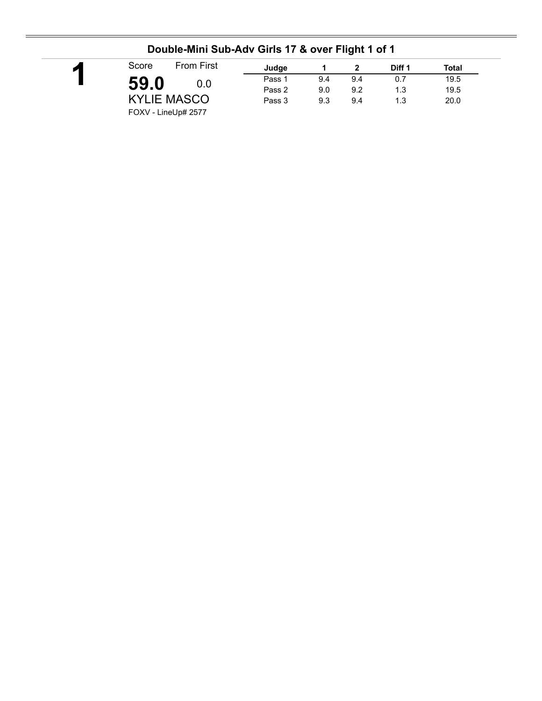| <b>From First</b><br>Score | Judge  |     |     | Diff 1 | <b>Total</b> |
|----------------------------|--------|-----|-----|--------|--------------|
| 59.0<br>0.0                | Pass 1 | 9.4 | 9.4 | 0.7    | 19.5         |
|                            | Pass 2 | 9.0 | 9.2 | 1.3    | 19.5         |
| <b>KYLIE MASCO</b>         | Pass 3 | 9.3 | 9.4 | 1.3    | 20.0         |

### **Double-Mini Sub-Adv Girls 17 & over Flight 1 of 1**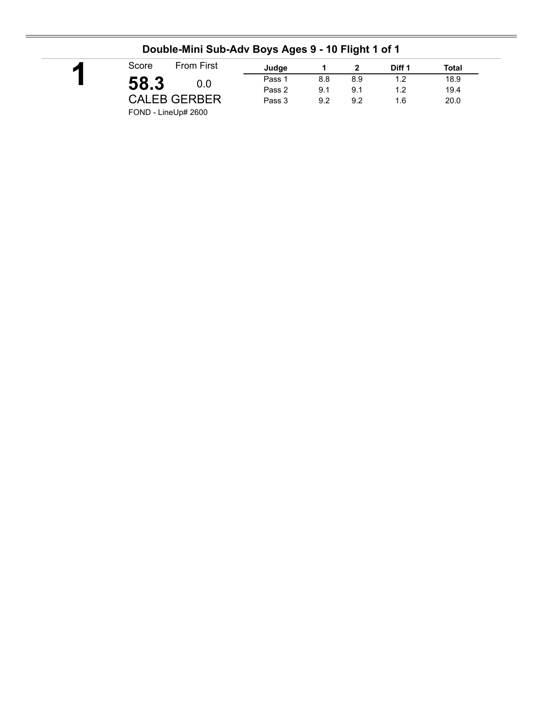|                            | . .    |     | -   |        |              |  |
|----------------------------|--------|-----|-----|--------|--------------|--|
| <b>From First</b><br>Score | Judge  |     |     | Diff 1 | <b>Total</b> |  |
| 58.3<br>0.0                | Pass 1 | 8.8 | 8.9 | 1.2    | 18.9         |  |
|                            | Pass 2 | 9.1 | 9.1 | 1.2    | 19.4         |  |
| <b>CALEB GERBER</b>        | Pass 3 | 9.2 | 9.2 | 1.6    | 20.0         |  |
| FOND - LineUp# 2600        |        |     |     |        |              |  |

### **Double-Mini Sub-Adv Boys Ages 9 - 10 Flight 1 of 1**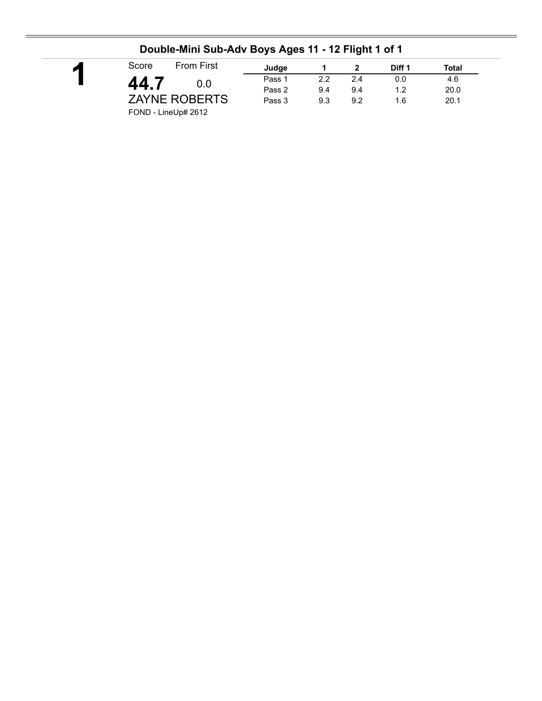| <b>From First</b><br>Score | Judge  |     |     | Diff 1 | Total |
|----------------------------|--------|-----|-----|--------|-------|
| 44.7<br>0.0                | Pass 1 | 2.2 | 2.4 | 0.0    | 4.6   |
|                            | Pass 2 | 9.4 | 9.4 | 1.2    | 20.0  |
| <b>ZAYNE ROBERTS</b>       | Pass 3 | 9.3 | 9.2 | 1.6    | 20.1  |

## **Double-Mini Sub-Adv Boys Ages 11 - 12 Flight 1 of 1**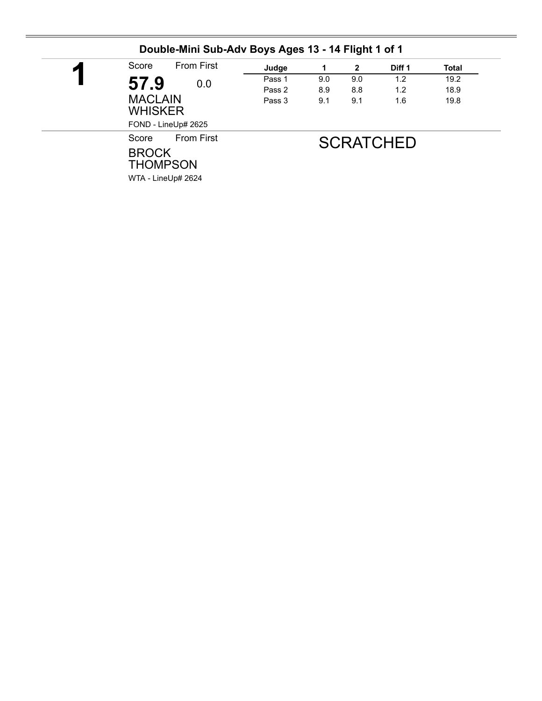| Score<br>И            | <b>From First</b>                                       | Judge<br>Pass 1<br>Pass 2 | 1          | $\mathbf{2}$ | Diff 1<br>1.2<br>1.2 | <b>Total</b> |
|-----------------------|---------------------------------------------------------|---------------------------|------------|--------------|----------------------|--------------|
| 57.9                  | 0.0                                                     |                           | 9.0<br>8.9 | 9.0          |                      | 19.2         |
|                       |                                                         |                           |            | 8.8          |                      | 18.9         |
|                       | <b>MACLAIN</b><br><b>WHISKER</b><br>FOND - LineUp# 2625 | Pass 3                    | 9.1        | 9.1          | 1.6                  | 19.8         |
| Score<br><b>BROCK</b> | <b>From First</b><br><b>THOMPSON</b>                    |                           |            |              | <b>SCRATCHED</b>     |              |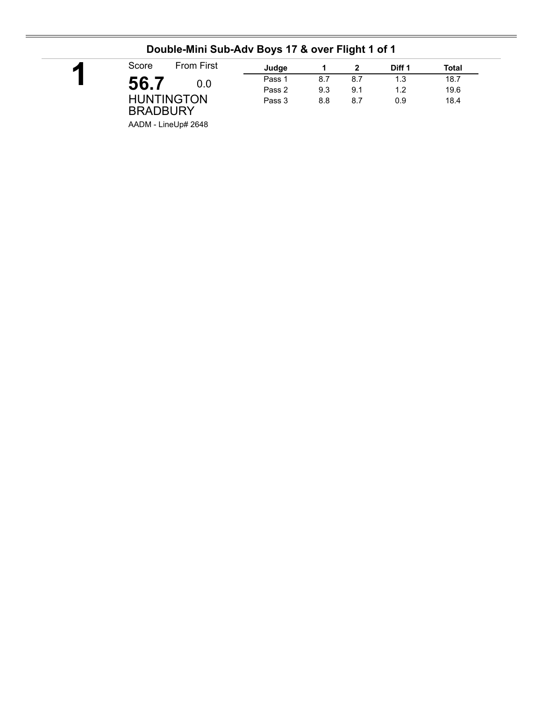| <b>From First</b><br>Score           | Judge  |     |     | Diff 1 | Total |
|--------------------------------------|--------|-----|-----|--------|-------|
| 56.7<br>0.0 <sub>1</sub>             | Pass 1 | 8.7 | 8.7 | 1.3    | 18.7  |
|                                      | Pass 2 | 9.3 | 9.1 | 1.2    | 19.6  |
| <b>HUNTINGTON</b><br><b>BRADBURY</b> | Pass 3 | 8.8 | 8.7 | 0.9    | 18.4  |

## **Double-Mini Sub-Adv Boys 17 & over Flight 1 of 1**

AADM - LineUp# 2648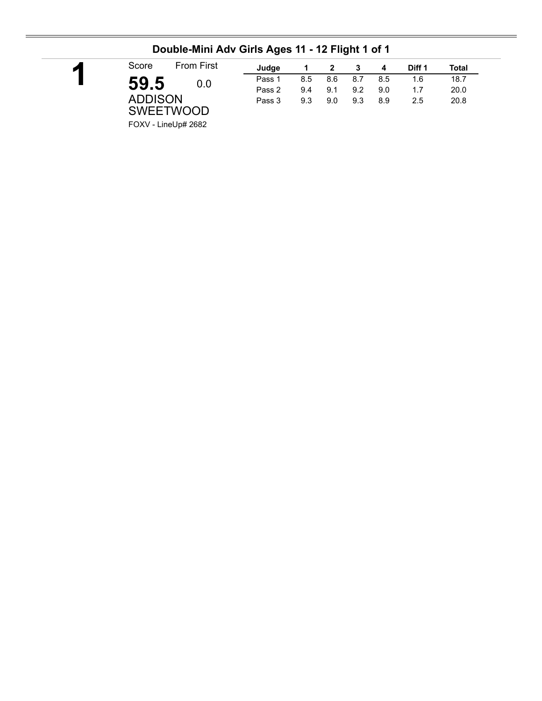| <b>From First</b><br>Score | Judge  |     | $\overline{\mathbf{2}}$ | - 3 | -4  | Diff 1 | Total |
|----------------------------|--------|-----|-------------------------|-----|-----|--------|-------|
| 59.5<br>0.0                | Pass 1 | 8.5 | 8.6                     | 8.7 | 8.5 | 1.6    | 18.7  |
|                            | Pass 2 | 9.4 | 9.1                     | 9.2 | 9.0 | 1.7    | 20.0  |
| <b>ADDISON</b>             | Pass 3 | 9.3 | 9.0                     | 9.3 | 8.9 | 2.5    | 20.8  |
| <b>SWEETWOOD</b>           |        |     |                         |     |     |        |       |
| $FONU + L = LL + H$        |        |     |                         |     |     |        |       |

#### **Double-Mini Adv Girls Ages 11 - 12 Flight 1 of 1**

FOXV - LineUp# 2682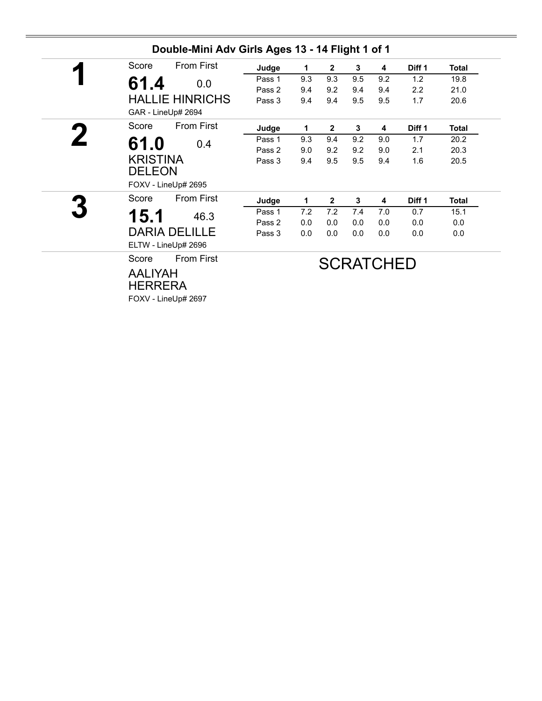| Score                            | <b>From First</b>      | Judge  | 1   | $\overline{2}$ | 3   | 4                | Diff 1        | <b>Total</b> |
|----------------------------------|------------------------|--------|-----|----------------|-----|------------------|---------------|--------------|
| 61.4                             | 0.0                    | Pass 1 | 9.3 | 9.3            | 9.5 | 9.2              | 1.2           | 19.8         |
|                                  |                        | Pass 2 | 9.4 | 9.2            | 9.4 | 9.4              | $2.2^{\circ}$ | 21.0         |
|                                  | <b>HALLIE HINRICHS</b> | Pass 3 | 9.4 | 9.4            | 9.5 | 9.5              | 1.7           | 20.6         |
|                                  | GAR - LineUp# 2694     |        |     |                |     |                  |               |              |
| Score                            | From First             | Judge  | 1   | $\overline{2}$ | 3   | 4                | Diff 1        | <b>Total</b> |
| 61.0                             | 0.4                    | Pass 1 | 9.3 | 9.4            | 9.2 | 9.0              | 1.7           | 20.2         |
|                                  |                        | Pass 2 | 9.0 | 9.2            | 9.2 | 9.0              | 2.1           | 20.3         |
| <b>KRISTINA</b><br><b>DELEON</b> |                        | Pass 3 | 9.4 | 9.5            | 9.5 | 9.4              | 1.6           | 20.5         |
|                                  | FOXV - LineUp# 2695    |        |     |                |     |                  |               |              |
| Score                            | <b>From First</b>      | Judge  | 1   | $\overline{2}$ | 3   | 4                | Diff 1        | <b>Total</b> |
| 15.1                             | 46.3                   | Pass 1 | 7.2 | 7.2            | 7.4 | 7.0              | 0.7           | 15.1         |
|                                  |                        | Pass 2 | 0.0 | 0.0            | 0.0 | 0.0              | 0.0           | 0.0          |
|                                  | <b>DARIA DELILLE</b>   | Pass 3 | 0.0 | 0.0            | 0.0 | 0.0              | 0.0           | 0.0          |
|                                  | ELTW - LineUp# 2696    |        |     |                |     |                  |               |              |
| Score                            | <b>From First</b>      |        |     |                |     | <b>SCRATCHED</b> |               |              |
| <b>AALIYAH</b>                   |                        |        |     |                |     |                  |               |              |

FOXV - LineUp# 2697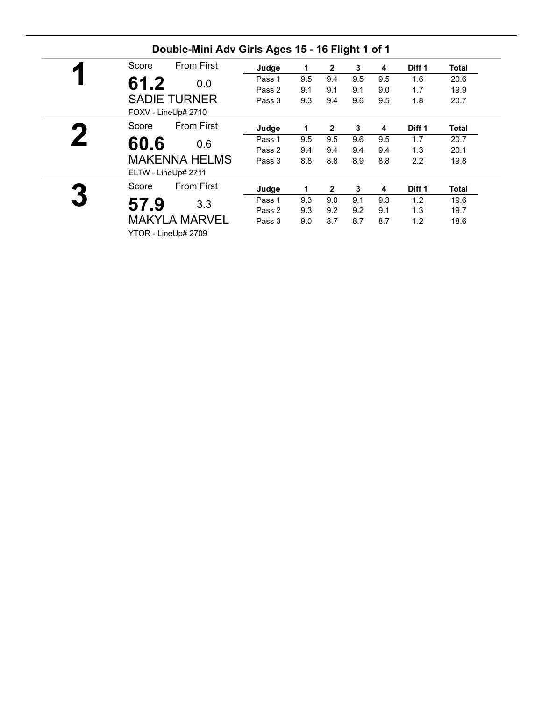| From First<br>Score        | Judge  | 1   | 2              | 3   | 4   | Diff <sub>1</sub> | Total |
|----------------------------|--------|-----|----------------|-----|-----|-------------------|-------|
| 61.2<br>0.0                | Pass 1 | 9.5 | 9.4            | 9.5 | 9.5 | 1.6               | 20.6  |
|                            | Pass 2 | 9.1 | 9.1            | 9.1 | 9.0 | 1.7               | 19.9  |
| <b>SADIE TURNER</b>        | Pass 3 | 9.3 | 9.4            | 9.6 | 9.5 | 1.8               | 20.7  |
| FOXV - LineUp# 2710        |        |     |                |     |     |                   |       |
| <b>From First</b><br>Score | Judge  | 1   | $\overline{2}$ | 3   | 4   | Diff 1            | Total |
| 60.6<br>0.6                | Pass 1 | 9.5 | 9.5            | 9.6 | 9.5 | 1.7               | 20.7  |
|                            | Pass 2 | 9.4 | 9.4            | 9.4 | 9.4 | 1.3               | 20.1  |
| <b>MAKENNA HELMS</b>       | Pass 3 | 8.8 | 8.8            | 8.9 | 8.8 | $2.2\phantom{0}$  | 19.8  |
| ELTW - LineUp# 2711        |        |     |                |     |     |                   |       |
| <b>From First</b><br>Score | Judge  | 1   | $\overline{2}$ | 3   | 4   | Diff 1            | Total |
| 57.9<br>3.3                | Pass 1 | 9.3 | 9.0            | 9.1 | 9.3 | 1.2               | 19.6  |
|                            | Pass 2 | 9.3 | 9.2            | 9.2 | 9.1 | 1.3               | 19.7  |
| <b>MAKYLA MARVEL</b>       | Pass 3 | 9.0 | 8.7            | 8.7 | 8.7 | 1.2               | 18.6  |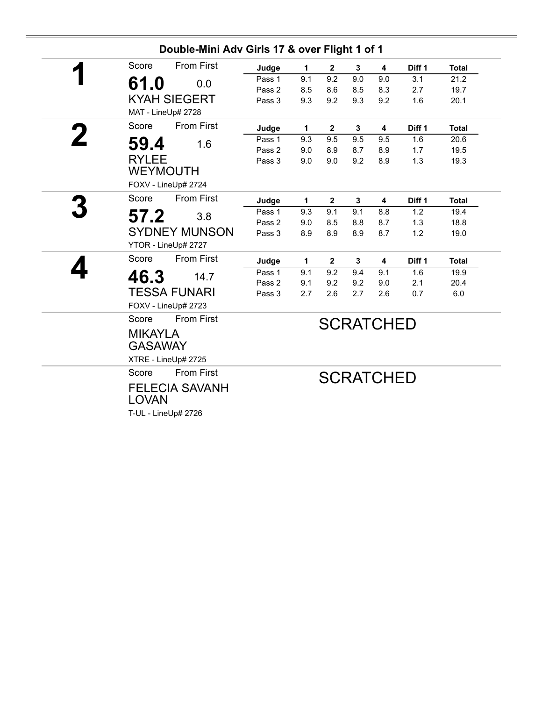| 1<br>9.1<br>8.5<br>9.3<br>1<br>9.3 | $\mathbf{2}$<br>9.2<br>8.6<br>9.2 | 3<br>9.0<br>8.5<br>9.3 | 4<br>9.0<br>8.3<br>9.2 | Diff 1<br>3.1<br>2.7 | <b>Total</b><br>21.2                        |
|------------------------------------|-----------------------------------|------------------------|------------------------|----------------------|---------------------------------------------|
|                                    |                                   |                        |                        |                      |                                             |
|                                    |                                   |                        |                        |                      |                                             |
|                                    |                                   |                        |                        |                      | 19.7                                        |
|                                    |                                   |                        |                        | 1.6                  | 20.1                                        |
|                                    |                                   |                        |                        |                      |                                             |
|                                    | $\mathbf{2}$                      | 3                      | 4                      | Diff 1               | <b>Total</b>                                |
|                                    | 9.5                               | 9.5                    | 9.5                    | 1.6                  | 20.6                                        |
| 9.0                                | 8.9                               | 8.7                    | 8.9                    | 1.7                  | 19.5                                        |
| 9.0                                | 9.0                               | 9.2                    | 8.9                    | 1.3                  | 19.3                                        |
|                                    |                                   |                        |                        |                      |                                             |
| 1                                  | $\overline{2}$                    | 3                      | 4                      | Diff <sub>1</sub>    | <b>Total</b>                                |
| 9.3                                | 9.1                               | 9.1                    | 8.8                    | 1.2                  | 19.4                                        |
| 9.0                                | 8.5                               | 8.8                    | 8.7                    | 1.3                  | 18.8                                        |
| 8.9                                | 8.9                               | 8.9                    | 8.7                    | 1.2                  | 19.0                                        |
|                                    |                                   |                        |                        |                      |                                             |
| $\mathbf{1}$                       | $\mathbf{2}$                      | 3                      | 4                      | Diff 1               | <b>Total</b>                                |
| 9.1                                |                                   | 9.4                    | 9.1                    | 1.6                  | 19.9                                        |
| 9.1                                |                                   |                        | 9.0                    | 2.1                  | 20.4                                        |
|                                    |                                   |                        |                        |                      | 6.0                                         |
|                                    |                                   |                        |                        |                      |                                             |
|                                    |                                   |                        |                        |                      |                                             |
|                                    |                                   |                        |                        |                      |                                             |
|                                    |                                   |                        |                        |                      |                                             |
|                                    |                                   |                        |                        |                      |                                             |
|                                    |                                   |                        |                        |                      |                                             |
|                                    |                                   |                        |                        |                      |                                             |
|                                    |                                   |                        |                        |                      |                                             |
|                                    |                                   |                        |                        |                      |                                             |
|                                    | 2.7                               | 9.2<br>9.2<br>2.6      | 9.2<br>2.7             | 2.6                  | 0.7<br><b>SCRATCHED</b><br><b>SCRATCHED</b> |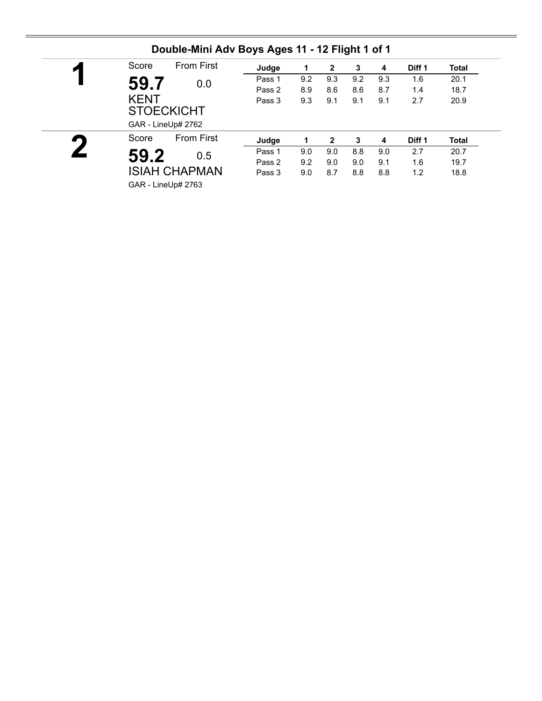| ◸ | Score       | <b>From First</b>                       | Judge  |     | 2   | 3   | 4   | Diff 1 | <b>Total</b> |
|---|-------------|-----------------------------------------|--------|-----|-----|-----|-----|--------|--------------|
|   | 59.7        | 0.0                                     | Pass 1 | 9.2 | 9.3 | 9.2 | 9.3 | 1.6    | 20.1         |
|   |             |                                         | Pass 2 | 8.9 | 8.6 | 8.6 | 8.7 | 1.4    | 18.7         |
|   | <b>KENT</b> | <b>STOECKICHT</b><br>GAR - LineUp# 2762 | Pass 3 | 9.3 | 9.1 | 9.1 | 9.1 | 2.7    | 20.9         |
|   | Score       | <b>From First</b>                       | Judge  |     | 2   | 3   | 4   | Diff 1 | <b>Total</b> |
|   | 59.2        | 0.5                                     | Pass 1 | 9.0 | 9.0 | 8.8 | 9.0 | 2.7    | 20.7         |
|   |             |                                         | Pass 2 | 9.2 | 9.0 | 9.0 | 9.1 | 1.6    | 19.7         |
|   |             | <b>ISIAH CHAPMAN</b>                    | Pass 3 | 9.0 | 8.7 | 8.8 | 8.8 | 1.2    | 18.8         |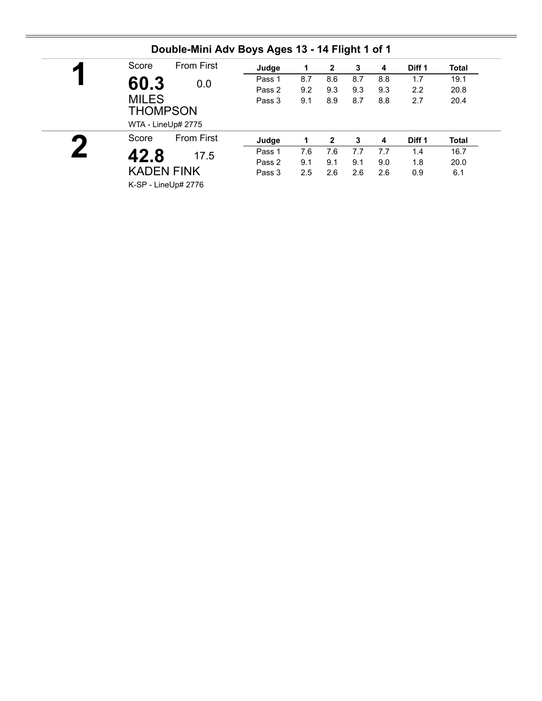| ◸ | Score                           | <b>From First</b>         | Judge  | 1   | $\mathbf{2}$ | 3   | 4   | Diff 1 | <b>Total</b> |
|---|---------------------------------|---------------------------|--------|-----|--------------|-----|-----|--------|--------------|
|   | 60.3                            | 0.0                       | Pass 1 | 8.7 | 8.6          | 8.7 | 8.8 | 1.7    | 19.1         |
|   |                                 |                           | Pass 2 | 9.2 | 9.3          | 9.3 | 9.3 | 2.2    | 20.8         |
|   | <b>MILES</b><br><b>THOMPSON</b> | WTA - LineUp# 2775        | Pass 3 | 9.1 | 8.9          | 8.7 | 8.8 | 2.7    | 20.4         |
|   | Score                           | <b>From First</b>         | Judge  |     | $\mathbf{2}$ | 3   | 4   | Diff 1 | <b>Total</b> |
|   |                                 |                           | Pass 1 | 7.6 | 7.6          | 7.7 | 7.7 | 1.4    | 16.7         |
|   |                                 |                           |        |     |              |     |     |        |              |
|   | 42.8                            | 17.5<br><b>KADEN FINK</b> | Pass 2 | 9.1 | 9.1          | 9.1 | 9.0 | 1.8    | 20.0         |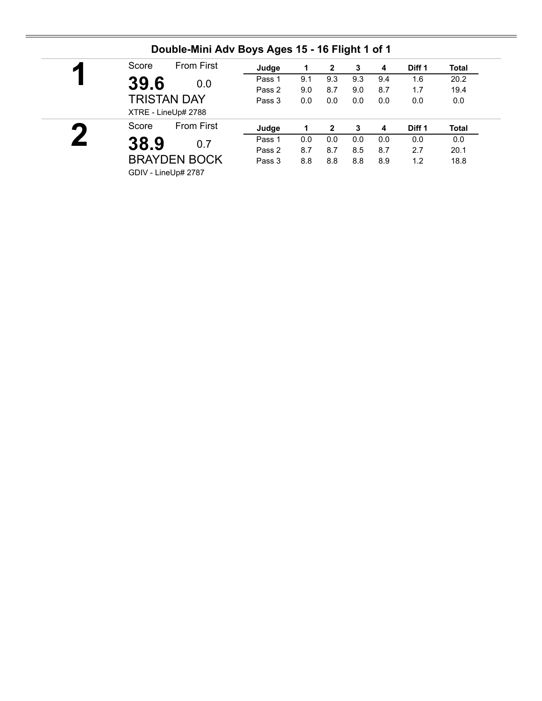| ◚ | <b>From First</b><br>Score | Judge  |     | 2              | 3   | 4   | Diff 1 | Total |
|---|----------------------------|--------|-----|----------------|-----|-----|--------|-------|
|   | 39.6<br>0.0                | Pass 1 | 9.1 | 9.3            | 9.3 | 9.4 | 1.6    | 20.2  |
|   |                            | Pass 2 | 9.0 | 8.7            | 9.0 | 8.7 | 1.7    | 19.4  |
|   | <b>TRISTAN DAY</b>         | Pass 3 | 0.0 | 0.0            | 0.0 | 0.0 | 0.0    | 0.0   |
|   | XTRE - LineUp# 2788        |        |     |                |     |     |        |       |
| 9 | <b>From First</b><br>Score | Judge  |     | $\overline{2}$ | 3   | 4   | Diff 1 | Total |
|   | 38.9<br>0.7                | Pass 1 | 0.0 | 0.0            | 0.0 | 0.0 | 0.0    | 0.0   |
|   |                            | Pass 2 | 8.7 | 8.7            | 8.5 | 8.7 | 2.7    | 20.1  |
|   | <b>BRAYDEN BOCK</b>        | Pass 3 | 8.8 | 8.8            | 8.8 | 8.9 | 1.2    | 18.8  |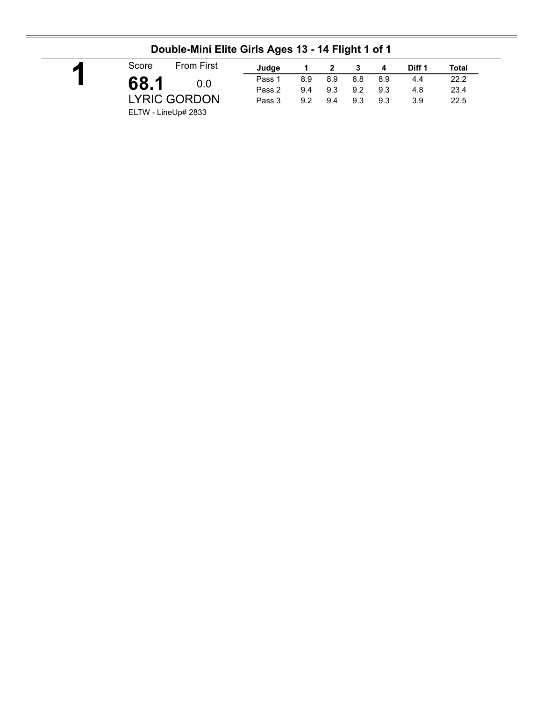|                     |                     | . .    |     |     |     |     |        |       |
|---------------------|---------------------|--------|-----|-----|-----|-----|--------|-------|
| Score               | <b>From First</b>   | Judge  |     |     |     | 4   | Diff 1 | Total |
| 68.1                | 0.0                 | Pass 1 | 8.9 | 8.9 | 8.8 | 8.9 | 4.4    | 22.2  |
|                     |                     | Pass 2 | 9.4 | 9.3 | 9.2 | 9.3 | 4.8    | 23.4  |
|                     | <b>LYRIC GORDON</b> | Pass 3 | 9.2 | 9.4 | 9.3 | 9.3 | 3.9    | 22.5  |
| ELTW - LineUp# 2833 |                     |        |     |     |     |     |        |       |

### **Double-Mini Elite Girls Ages 13 - 14 Flight 1 of 1**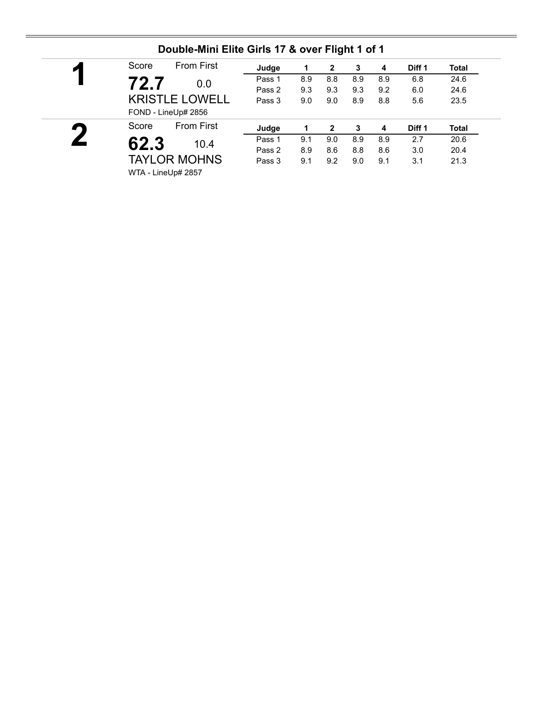|                             | <b>From First</b><br>Score | Judge  |     | 2   | 3   | 4   | Diff 1 | Total |
|-----------------------------|----------------------------|--------|-----|-----|-----|-----|--------|-------|
|                             | 72.7<br>0.0                | Pass 1 | 8.9 | 8.8 | 8.9 | 8.9 | 6.8    | 24.6  |
|                             |                            | Pass 2 | 9.3 | 9.3 | 9.3 | 9.2 | 6.0    | 24.6  |
|                             | <b>KRISTLE LOWELL</b>      | Pass 3 | 9.0 | 9.0 | 8.9 | 8.8 | 5.6    | 23.5  |
|                             | FOND - LineUp# 2856        |        |     |     |     |     |        |       |
| $\mathcal{L}_{\mathcal{A}}$ | <b>From First</b><br>Score | Judge  |     | 2   | 3   | 4   | Diff 1 | Total |
|                             | 62.3<br>10.4               | Pass 1 | 9.1 | 9.0 | 8.9 | 8.9 | 2.7    | 20.6  |
|                             |                            | Pass 2 | 8.9 | 8.6 | 8.8 | 8.6 | 3.0    | 20.4  |
|                             |                            | Pass 3 | 9.1 | 9.2 | 9.0 | 9.1 | 3.1    | 21.3  |
|                             | <b>TAYLOR MOHNS</b>        |        |     |     |     |     |        |       |

#### **Double-Mini Elite Girls 17 & over Flight 1 of 1**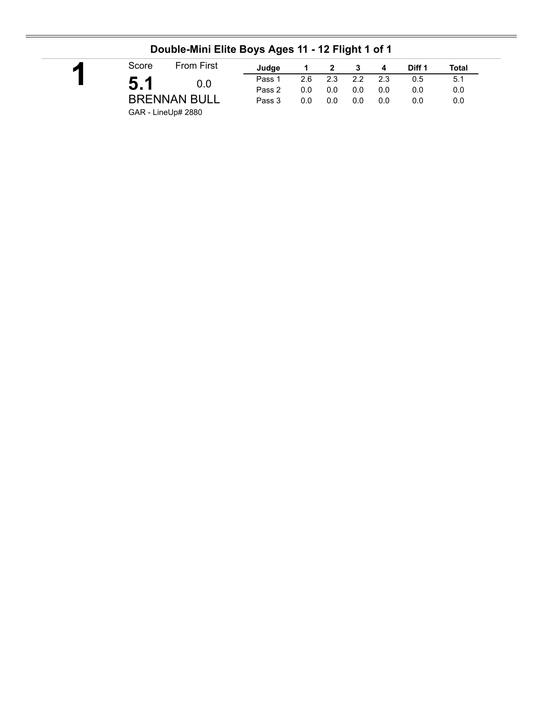| Score | <b>From First</b>   | Judae  |     |     |     | 4   | Diff 1 | Total |
|-------|---------------------|--------|-----|-----|-----|-----|--------|-------|
|       | 0.0                 | Pass 1 | 2.6 | 2.3 | 2.2 | 2.3 | 0.5    | 5.1   |
|       |                     | Pass 2 | 0.0 | 0.0 | 0.0 | 0.0 | 0.0    | 0.0   |
|       | <b>BRENNAN BULL</b> | Pass 3 | 0.0 | 0.0 | 0.0 | 0.0 | 0.0    | 0.0   |

### **Double-Mini Elite Boys Ages 11 - 12 Flight 1 of 1**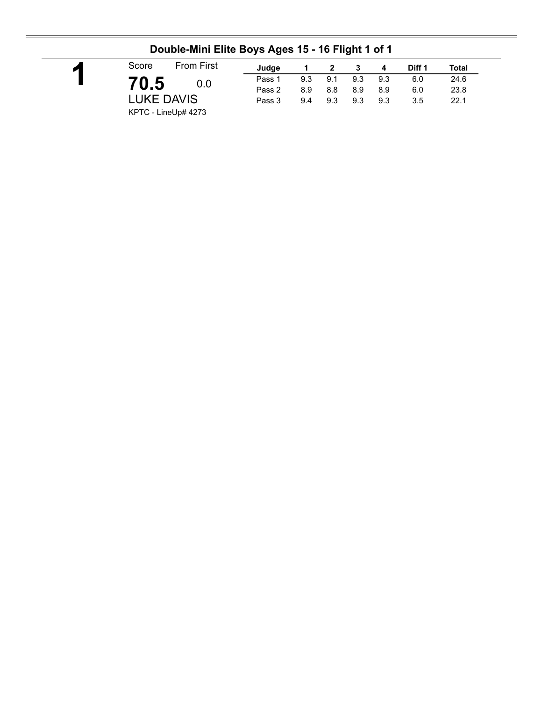| Score               | <b>From First</b> | Judge  |     | 2   | - 3 | 4   | Diff 1 | Total |
|---------------------|-------------------|--------|-----|-----|-----|-----|--------|-------|
|                     |                   | Pass 1 | 9.3 | 9.1 | 9.3 | 9.3 | 6.0    | 24.6  |
| 70.5                | 0.0               | Pass 2 | 8.9 | 8.8 | 8.9 | 8.9 | 6.0    | 23.8  |
| <b>LUKE DAVIS</b>   |                   | Pass 3 | 9.4 | 9.3 | 9.3 | 9.3 | 3.5    | 22.1  |
| KPTC - LineUp# 4273 |                   |        |     |     |     |     |        |       |

### **Double-Mini Elite Boys Ages 15 - 16 Flight 1 of 1**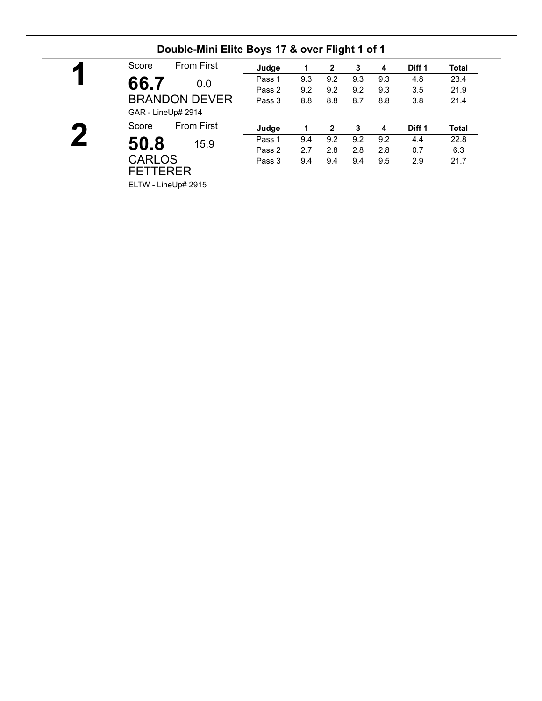| И         | <b>From First</b><br>Score | Judge  | 1   | 2            | 3   | 4   | Diff 1 | Total |
|-----------|----------------------------|--------|-----|--------------|-----|-----|--------|-------|
|           | 66.7<br>0.0                | Pass 1 | 9.3 | 9.2          | 9.3 | 9.3 | 4.8    | 23.4  |
|           |                            | Pass 2 | 9.2 | 9.2          | 9.2 | 9.3 | 3.5    | 21.9  |
|           | <b>BRANDON DEVER</b>       | Pass 3 | 8.8 | 8.8          | 8.7 | 8.8 | 3.8    | 21.4  |
|           | GAR - LineUp# 2914         |        |     |              |     |     |        |       |
| $\bullet$ | <b>From First</b><br>Score | Judge  |     | $\mathbf{2}$ | 3   | 4   | Diff 1 | Total |
|           | 50.8<br>15.9               | Pass 1 | 9.4 | 9.2          | 9.2 | 9.2 | 4.4    | 22.8  |
|           |                            | Pass 2 | 2.7 | 2.8          | 2.8 | 2.8 | 0.7    | 6.3   |
|           |                            |        |     |              |     |     |        |       |
|           | <b>CARLOS</b>              | Pass 3 | 9.4 | 9.4          | 9.4 | 9.5 | 2.9    |       |
|           | <b>FETTERER</b>            |        |     |              |     |     |        | 21.7  |

#### **Double-Mini Elite Boys 17 & over Flight 1 of 1**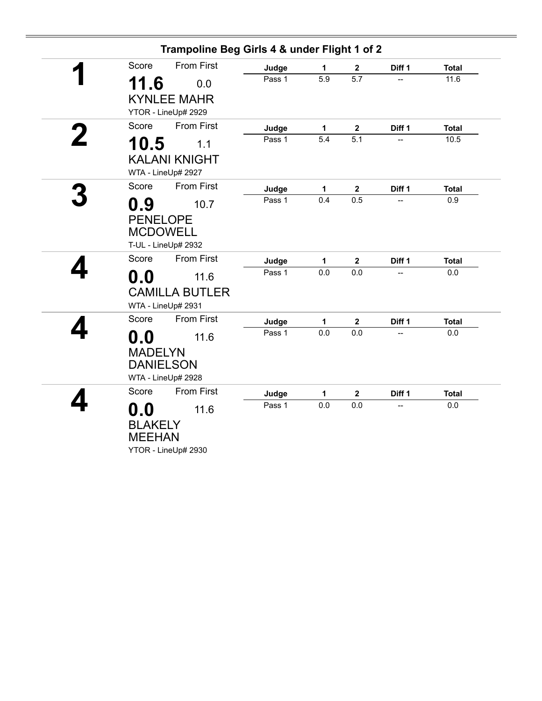| Trampoline Beg Girls 4 & under Flight 1 of 2              |        |     |                  |        |              |
|-----------------------------------------------------------|--------|-----|------------------|--------|--------------|
| <b>From First</b><br>Score                                | Judge  | 1   | $\boldsymbol{2}$ | Diff 1 | <b>Total</b> |
| 11.6<br>0.0                                               | Pass 1 | 5.9 | 5.7              |        | 11.6         |
| <b>KYNLEE MAHR</b>                                        |        |     |                  |        |              |
| YTOR - LineUp# 2929                                       |        |     |                  |        |              |
| <b>From First</b><br>Score                                | Judge  | 1   | $\mathbf 2$      | Diff 1 | <b>Total</b> |
| 10.5<br>1.1                                               | Pass 1 | 5.4 | $\overline{5.1}$ |        | 10.5         |
| <b>KALANI KNIGHT</b>                                      |        |     |                  |        |              |
| WTA - LineUp# 2927                                        |        |     |                  |        |              |
| <b>From First</b><br>Score                                | Judge  | 1   | $\mathbf{2}$     | Diff 1 | <b>Total</b> |
| 0.9<br>10.7                                               | Pass 1 | 0.4 | 0.5              |        | 0.9          |
| <b>PENELOPE</b><br><b>MCDOWELL</b><br>T-UL - LineUp# 2932 |        |     |                  |        |              |
| <b>From First</b><br>Score                                | Judge  | 1   | $\mathbf 2$      | Diff 1 | <b>Total</b> |
| 0.0<br>11.6                                               | Pass 1 | 0.0 | 0.0              |        | 0.0          |
| <b>CAMILLA BUTLER</b><br>WTA - LineUp# 2931               |        |     |                  |        |              |
| <b>From First</b><br>Score                                | Judge  | 1   | $\mathbf 2$      | Diff 1 | <b>Total</b> |
| $\mathbf{0.0}$<br>11.6                                    | Pass 1 | 0.0 | 0.0              |        | 0.0          |
| <b>MADELYN</b><br><b>DANIELSON</b><br>WTA - LineUp# 2928  |        |     |                  |        |              |
| <b>From First</b><br>Score                                | Judge  | 1   | $\boldsymbol{2}$ | Diff 1 | <b>Total</b> |
| $\mathbf{0.0}$<br>11.6                                    | Pass 1 | 0.0 | 0.0              |        | 0.0          |
| <b>BLAKELY</b><br><b>MEEHAN</b><br>YTOR - LineUp# 2930    |        |     |                  |        |              |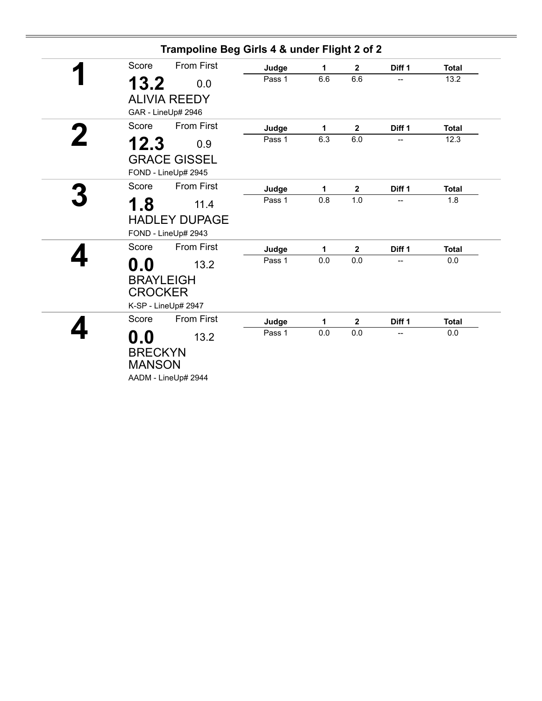|                                                   | Trampoline Beg Girls 4 & under Flight 2 of 2 |        |     |                         |        |              |
|---------------------------------------------------|----------------------------------------------|--------|-----|-------------------------|--------|--------------|
| Score                                             | <b>From First</b>                            | Judge  | 1   | $\mathbf 2$             | Diff 1 | <b>Total</b> |
| 13.2                                              | 0.0                                          | Pass 1 | 6.6 | 6.6                     |        | 13.2         |
|                                                   | <b>ALIVIA REEDY</b><br>GAR - LineUp# 2946    |        |     |                         |        |              |
| Score                                             | <b>From First</b>                            | Judge  | 1   | $\mathbf 2$             | Diff 1 | <b>Total</b> |
| 12.3                                              | 0.9                                          | Pass 1 | 6.3 | 6.0                     | --     | 12.3         |
|                                                   | <b>GRACE GISSEL</b><br>FOND - LineUp# 2945   |        |     |                         |        |              |
| Score                                             | <b>From First</b>                            | Judge  | 1   | $\mathbf 2$             | Diff 1 | <b>Total</b> |
| 1.8                                               | 11.4                                         | Pass 1 | 0.8 | 1.0                     |        | 1.8          |
|                                                   | <b>HADLEY DUPAGE</b><br>FOND - LineUp# 2943  |        |     |                         |        |              |
| Score                                             | <b>From First</b>                            | Judge  | 1   | $\mathbf 2$             | Diff 1 | <b>Total</b> |
| $\mathbf{0.0}$<br><b>BRAYLEIGH</b>                | 13.2                                         | Pass 1 | 0.0 | 0.0                     |        | 0.0          |
| <b>CROCKER</b>                                    | K-SP - LineUp# 2947                          |        |     |                         |        |              |
| Score                                             | <b>From First</b>                            | Judge  | 1   | $\overline{\mathbf{2}}$ | Diff 1 | <b>Total</b> |
| $\mathbf{0.0}$<br><b>BRECKYN</b><br><b>MANSON</b> | 13.2<br>AADM - LineUp# 2944                  | Pass 1 | 0.0 | 0.0                     | --     | 0.0          |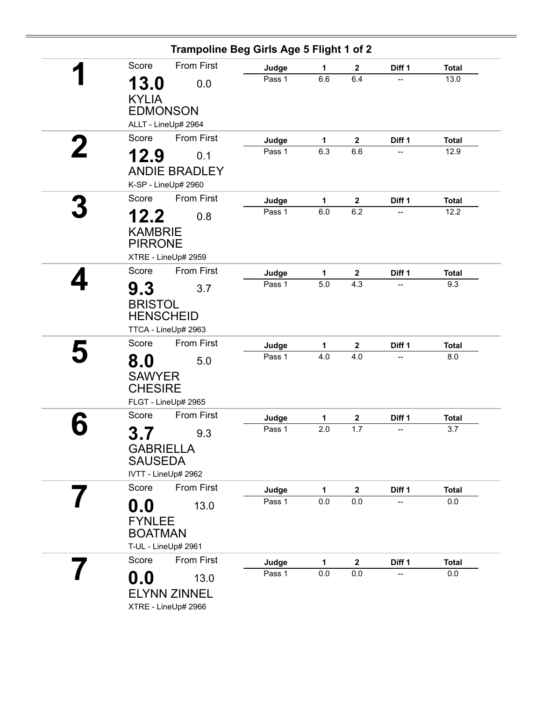|                                  | Trampoline Beg Girls Age 5 Flight 1 of 2 |                 |              |                    |        |                         |
|----------------------------------|------------------------------------------|-----------------|--------------|--------------------|--------|-------------------------|
| Score                            | <b>From First</b>                        | Judge           | 1            | $\mathbf{2}$       | Diff 1 | <b>Total</b>            |
| 13.0<br><b>KYLIA</b>             | 0.0                                      | Pass 1          | 6.6          | 6.4                | --     | 13.0                    |
| <b>EDMONSON</b>                  |                                          |                 |              |                    |        |                         |
|                                  | ALLT - LineUp# 2964                      |                 |              |                    |        |                         |
| Score                            | <b>From First</b>                        | Judge           | $\mathbf{1}$ | $\boldsymbol{2}$   | Diff 1 | <b>Total</b>            |
| 12.9                             | 0.1                                      | Pass 1          | 6.3          | 6.6                | --     | 12.9                    |
|                                  | <b>ANDIE BRADLEY</b>                     |                 |              |                    |        |                         |
|                                  | K-SP - LineUp# 2960                      |                 |              |                    |        |                         |
| Score                            | <b>From First</b>                        | Judge           | 1            | $\mathbf{2}$       | Diff 1 | <b>Total</b>            |
| 12.2                             | 0.8                                      | Pass 1          | 6.0          | 6.2                |        | 12.2                    |
|                                  |                                          |                 |              |                    |        |                         |
| <b>KAMBRIE</b><br><b>PIRRONE</b> |                                          |                 |              |                    |        |                         |
|                                  | XTRE - LineUp# 2959                      |                 |              |                    |        |                         |
| Score                            | <b>From First</b>                        | Judge           | $\mathbf{1}$ | $\mathbf 2$        | Diff 1 | <b>Total</b>            |
|                                  |                                          | Pass 1          | 5.0          | 4.3                | --     | 9.3                     |
| 9.3                              | 3.7                                      |                 |              |                    |        |                         |
| <b>BRISTOL</b>                   |                                          |                 |              |                    |        |                         |
| <b>HENSCHEID</b>                 |                                          |                 |              |                    |        |                         |
|                                  | TTCA - LineUp# 2963                      |                 |              |                    |        |                         |
| Score                            | <b>From First</b>                        | Judge           | 1            | $\mathbf 2$        | Diff 1 | <b>Total</b>            |
| 8.0                              | 5.0                                      | Pass 1          | 4.0          | 4.0                | --     | 8.0                     |
| <b>SAWYER</b>                    |                                          |                 |              |                    |        |                         |
| <b>CHESIRE</b>                   |                                          |                 |              |                    |        |                         |
|                                  | FLGT - LineUp# 2965                      |                 |              |                    |        |                         |
| Score                            | <b>From First</b>                        | Judge           | 1            | $\mathbf 2$        | Diff 1 | <b>Total</b>            |
| 7<br>3                           | 9.3                                      | Pass 1          | 2.0          | 1.7                | --     | 3.7                     |
| v. I<br><b>GABRIELLA</b>         |                                          |                 |              |                    |        |                         |
| <b>SAUSEDA</b>                   |                                          |                 |              |                    |        |                         |
|                                  | IVTT - LineUp# 2962                      |                 |              |                    |        |                         |
| Score                            | From First                               | Judge           | 1            | $\mathbf 2$        | Diff 1 | <b>Total</b>            |
| 0.0                              | 13.0                                     | Pass 1          | 0.0          | 0.0                | --     | $0.0\,$                 |
|                                  |                                          |                 |              |                    |        |                         |
| <b>FYNLEE</b><br><b>BOATMAN</b>  |                                          |                 |              |                    |        |                         |
| T-UL - LineUp# 2961              |                                          |                 |              |                    |        |                         |
| Score                            | From First                               |                 |              |                    |        |                         |
|                                  |                                          | Judge<br>Pass 1 | 1<br>0.0     | $\mathbf 2$<br>0.0 | Diff 1 | <b>Total</b><br>$0.0\,$ |
| $\mathbf{0.0}$                   | 13.0                                     |                 |              |                    |        |                         |
|                                  | <b>ELYNN ZINNEL</b>                      |                 |              |                    |        |                         |
|                                  | XTRE - LineUp# 2966                      |                 |              |                    |        |                         |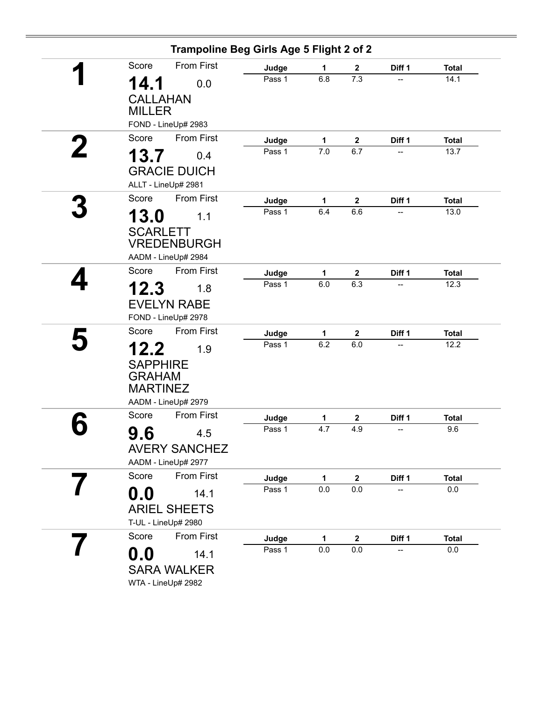|       |                                                                                   | Trampoline Beg Girls Age 5 Flight 2 of 2 |              |                  |        |              |
|-------|-----------------------------------------------------------------------------------|------------------------------------------|--------------|------------------|--------|--------------|
| Score | From First                                                                        | Judge                                    | 1            | $\mathbf{2}$     | Diff 1 | <b>Total</b> |
| 14.1  | 0.0                                                                               | Pass 1                                   | 6.8          | 7.3              |        | 14.1         |
|       | <b>CALLAHAN</b><br><b>MILLER</b>                                                  |                                          |              |                  |        |              |
|       | FOND - LineUp# 2983                                                               |                                          |              |                  |        |              |
| Score | <b>From First</b>                                                                 | Judge                                    | $\mathbf{1}$ | $\mathbf 2$      | Diff 1 | <b>Total</b> |
| 13.7  | 0.4                                                                               | Pass 1                                   | 7.0          | 6.7              |        | 13.7         |
|       | <b>GRACIE DUICH</b><br>ALLT - LineUp# 2981                                        |                                          |              |                  |        |              |
| Score | <b>From First</b>                                                                 | Judge                                    | 1            | $\mathbf 2$      | Diff 1 | <b>Total</b> |
| 13.0  | 1.1                                                                               | Pass 1                                   | 6.4          | 6.6              |        | 13.0         |
|       | <b>SCARLETT</b><br><b>VREDENBURGH</b>                                             |                                          |              |                  |        |              |
|       | AADM - LineUp# 2984                                                               |                                          |              |                  |        |              |
| Score | <b>From First</b>                                                                 | Judge                                    | 1            | $\mathbf 2$      | Diff 1 | <b>Total</b> |
| 12.3  | 1.8                                                                               | Pass 1                                   | 6.0          | 6.3              |        | 12.3         |
|       | <b>EVELYN RABE</b>                                                                |                                          |              |                  |        |              |
|       | FOND - LineUp# 2978                                                               |                                          |              |                  |        |              |
| Score | <b>From First</b>                                                                 | Judge                                    | 1            | $\mathbf 2$      | Diff 1 | <b>Total</b> |
| 12.2  | 1.9<br><b>SAPPHIRE</b><br><b>GRAHAM</b><br><b>MARTINEZ</b><br>AADM - LineUp# 2979 | Pass 1                                   | 6.2          | 6.0              |        | 12.2         |
| Score | <b>From First</b>                                                                 | Judge                                    | 1            | $\mathbf{2}$     | Diff 1 | <b>Total</b> |
| 9.6   | 4.5                                                                               | Pass 1                                   | 4.7          | 4.9              | --     | 9.6          |
|       | <b>AVERY SANCHEZ</b><br>AADM - LineUp# 2977                                       |                                          |              |                  |        |              |
| Score | From First                                                                        | Judge                                    | 1            | $\mathbf 2$      | Diff 1 | <b>Total</b> |
| 0.0   | 14.1                                                                              | Pass 1                                   | 0.0          | 0.0              |        | 0.0          |
|       | <b>ARIEL SHEETS</b><br>T-UL - LineUp# 2980                                        |                                          |              |                  |        |              |
| Score | From First                                                                        | Judge                                    | $\mathbf{1}$ | $\boldsymbol{2}$ | Diff 1 | <b>Total</b> |
|       | 14.1                                                                              | Pass 1                                   | 0.0          | 0.0              |        | 0.0          |
| 0.0   | <b>SARA WALKER</b><br>WTA - LineUp# 2982                                          |                                          |              |                  |        |              |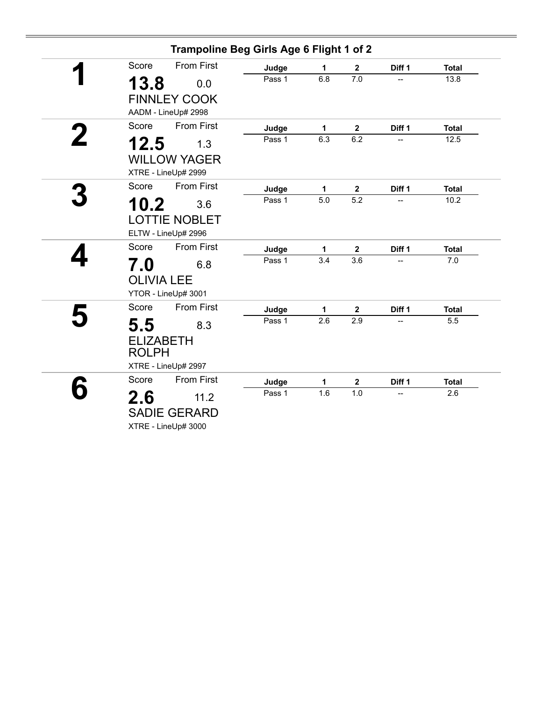|                   | Trampoline Beg Girls Age 6 Flight 1 of 2 |        |                  |                  |                |              |
|-------------------|------------------------------------------|--------|------------------|------------------|----------------|--------------|
| Score             | <b>From First</b>                        | Judge  | 1                | $\mathbf{2}$     | Diff 1         | <b>Total</b> |
| 13.8              | 0.0                                      | Pass 1 | 6.8              | 7.0              | $\overline{a}$ | 13.8         |
|                   | <b>FINNLEY COOK</b>                      |        |                  |                  |                |              |
|                   | AADM - LineUp# 2998                      |        |                  |                  |                |              |
| Score             | <b>From First</b>                        | Judge  | $\mathbf{1}$     | $\mathbf 2$      | Diff 1         | <b>Total</b> |
| 12.5              | 1.3                                      | Pass 1 | 6.3              | 6.2              |                | 12.5         |
|                   | <b>WILLOW YAGER</b>                      |        |                  |                  |                |              |
|                   | XTRE - LineUp# 2999                      |        |                  |                  |                |              |
| Score             | <b>From First</b>                        | Judge  | 1                | $\mathbf{2}$     | Diff 1         | <b>Total</b> |
| 10.2              | 3.6                                      | Pass 1 | $\overline{5.0}$ | $\overline{5.2}$ |                | 10.2         |
|                   | <b>LOTTIE NOBLET</b>                     |        |                  |                  |                |              |
|                   | ELTW - LineUp# 2996                      |        |                  |                  |                |              |
| Score             | <b>From First</b>                        | Judge  | 1                | $\mathbf 2$      | Diff 1         | <b>Total</b> |
| 7.0               | 6.8                                      | Pass 1 | 3.4              | 3.6              |                | 7.0          |
| <b>OLIVIA LEE</b> |                                          |        |                  |                  |                |              |
|                   | YTOR - LineUp# 3001                      |        |                  |                  |                |              |
| Score             | <b>From First</b>                        | Judge  | 1                | $\mathbf{2}$     | Diff 1         | <b>Total</b> |
| 5.5               | 8.3                                      | Pass 1 | 2.6              | 2.9              |                | 5.5          |
| <b>ELIZABETH</b>  |                                          |        |                  |                  |                |              |
| <b>ROLPH</b>      |                                          |        |                  |                  |                |              |
|                   | XTRE - LineUp# 2997                      |        |                  |                  |                |              |
| Score             | <b>From First</b>                        | Judge  | 1                | $\boldsymbol{2}$ | Diff 1         | <b>Total</b> |
| 2.6               | 11.2                                     | Pass 1 | 1.6              | 1.0              |                | 2.6          |
|                   | <b>SADIE GERARD</b>                      |        |                  |                  |                |              |
|                   | XTRE - LineUp# 3000                      |        |                  |                  |                |              |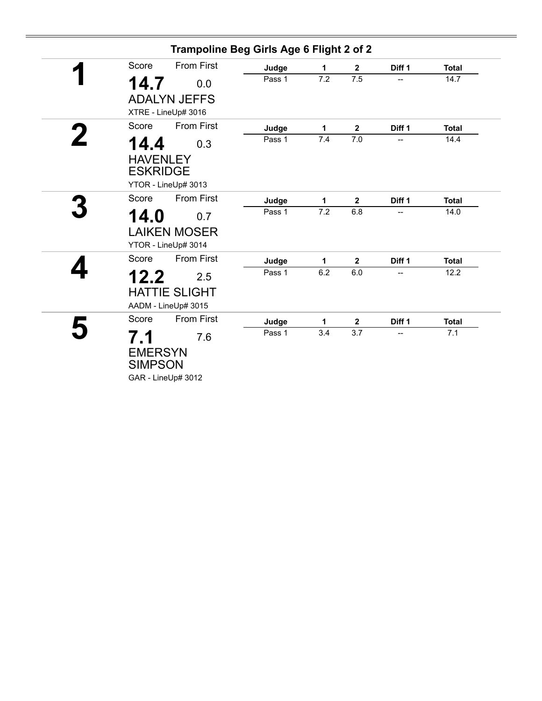|                                            | Trampoline Beg Girls Age 6 Flight 2 of 2           |        |     |              |                |              |
|--------------------------------------------|----------------------------------------------------|--------|-----|--------------|----------------|--------------|
| Score                                      | <b>From First</b>                                  | Judge  | 1   | $\mathbf{2}$ | Diff 1         | <b>Total</b> |
| 14.7                                       | 0.0                                                | Pass 1 | 7.2 | 7.5          |                | 14.7         |
|                                            | <b>ADALYN JEFFS</b><br>XTRE - LineUp# 3016         |        |     |              |                |              |
| Score                                      | <b>From First</b>                                  | Judge  | 1   | $\mathbf 2$  | Diff 1         | <b>Total</b> |
| 14.4<br><b>HAVENLEY</b><br><b>ESKRIDGE</b> | 0.3                                                | Pass 1 | 7.4 | 7.0          | $\overline{a}$ | 14.4         |
|                                            | YTOR - LineUp# 3013                                |        |     |              |                |              |
| Score                                      | <b>From First</b>                                  | Judge  | 1   | $\mathbf 2$  | Diff 1         | <b>Total</b> |
| 14.0                                       | 0.7<br><b>LAIKEN MOSER</b><br>YTOR - LineUp# 3014  | Pass 1 | 7.2 | 6.8          |                | 14.0         |
| Score                                      | <b>From First</b>                                  | Judge  | 1   | $\mathbf 2$  | Diff 1         | <b>Total</b> |
| 12.2                                       | 2.5<br><b>HATTIE SLIGHT</b><br>AADM - LineUp# 3015 | Pass 1 | 6.2 | 6.0          | --             | 12.2         |
| Score                                      | <b>From First</b>                                  | Judge  | 1   | $\mathbf{2}$ | Diff 1         | <b>Total</b> |
| 7.1<br><b>EMERSYN</b><br><b>SIMPSON</b>    | 7.6<br>GAR - LineUp# 3012                          | Pass 1 | 3.4 | 3.7          | --             | 7.1          |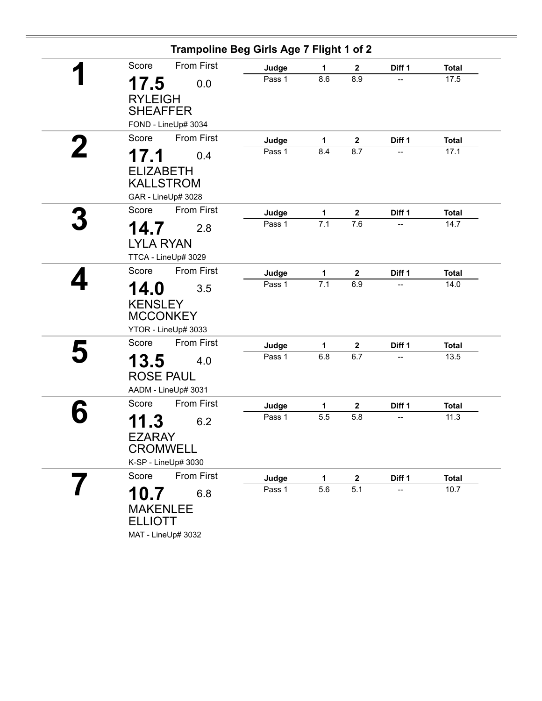| Trampoline Beg Girls Age 7 Flight 1 of 2 |        |              |                  |        |              |
|------------------------------------------|--------|--------------|------------------|--------|--------------|
| <b>From First</b><br>Score               | Judge  | 1            | $\mathbf{2}$     | Diff 1 | <b>Total</b> |
| 17.5<br>0.0                              | Pass 1 | 8.6          | 8.9              |        | 17.5         |
| <b>RYLEIGH</b><br><b>SHEAFFER</b>        |        |              |                  |        |              |
| FOND - LineUp# 3034                      |        |              |                  |        |              |
| Score<br><b>From First</b>               | Judge  | $\mathbf{1}$ | $\mathbf 2$      | Diff 1 | <b>Total</b> |
| 17.1<br>0.4                              | Pass 1 | 8.4          | 8.7              | --     | 17.1         |
| <b>ELIZABETH</b>                         |        |              |                  |        |              |
| <b>KALLSTROM</b>                         |        |              |                  |        |              |
| GAR - LineUp# 3028                       |        |              |                  |        |              |
| Score<br><b>From First</b>               | Judge  | $\mathbf{1}$ | $\mathbf 2$      | Diff 1 | <b>Total</b> |
| 14.7<br>2.8                              | Pass 1 | 7.1          | 7.6              |        | 14.7         |
| <b>LYLA RYAN</b>                         |        |              |                  |        |              |
| TTCA - LineUp# 3029                      |        |              |                  |        |              |
| From First<br>Score                      | Judge  | 1            | $\boldsymbol{2}$ | Diff 1 | <b>Total</b> |
| 14.0<br>3.5                              | Pass 1 | 7.1          | 6.9              |        | 14.0         |
| <b>KENSLEY</b>                           |        |              |                  |        |              |
| <b>MCCONKEY</b>                          |        |              |                  |        |              |
| YTOR - LineUp# 3033                      |        |              |                  |        |              |
| <b>From First</b><br>Score               | Judge  | 1            | $\mathbf 2$      | Diff 1 | <b>Total</b> |
| 13.5<br>4.0                              | Pass 1 | 6.8          | 6.7              | --     | 13.5         |
| <b>ROSE PAUL</b>                         |        |              |                  |        |              |
| AADM - LineUp# 3031                      |        |              |                  |        |              |
| <b>From First</b><br>Score               | Judge  | 1            | $\mathbf 2$      | Diff 1 | <b>Total</b> |
| 11.3<br>6.2                              | Pass 1 | 5.5          | 5.8              | --     | 11.3         |
| <b>EZARAY</b>                            |        |              |                  |        |              |
| <b>CROMWELL</b>                          |        |              |                  |        |              |
| K-SP - LineUp# 3030                      |        |              |                  |        |              |
| <b>From First</b><br>Score               | Judge  | 1            | $\mathbf 2$      | Diff 1 | <b>Total</b> |
| 10.7<br>6.8                              | Pass 1 | 5.6          | 5.1              |        | 10.7         |
| <b>MAKENLEE</b>                          |        |              |                  |        |              |
| <b>ELLIOTT</b>                           |        |              |                  |        |              |
| MAT - LineUp# 3032                       |        |              |                  |        |              |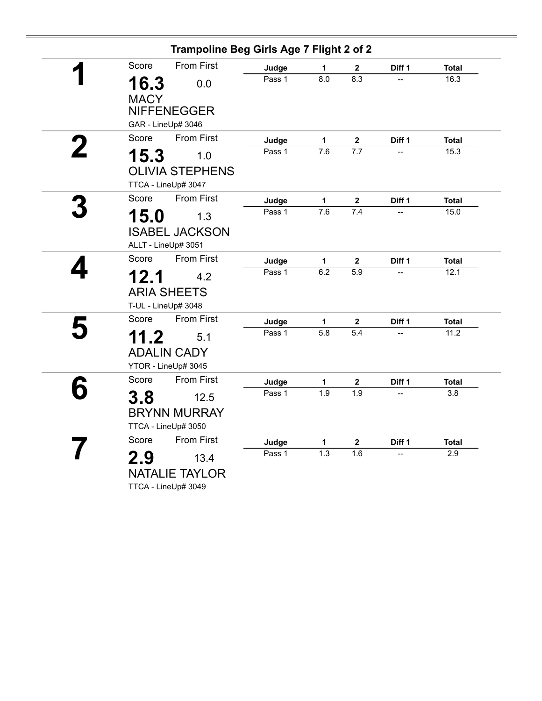| Trampoline Beg Girls Age 7 Flight 2 of 2      |        |                  |                |        |              |
|-----------------------------------------------|--------|------------------|----------------|--------|--------------|
| <b>From First</b><br>Score                    | Judge  | 1                | $\mathbf 2$    | Diff 1 | <b>Total</b> |
| 16.3<br>0.0<br><b>MACY</b>                    | Pass 1 | $\overline{8.0}$ | 8.3            |        | 16.3         |
| <b>NIFFENEGGER</b><br>GAR - LineUp# 3046      |        |                  |                |        |              |
| Score<br><b>From First</b>                    | Judge  | $\mathbf{1}$     | $\mathbf{2}$   | Diff 1 | <b>Total</b> |
| 15.3<br>1.0                                   | Pass 1 | 7.6              | 7.7            |        | 15.3         |
| <b>OLIVIA STEPHENS</b><br>TTCA - LineUp# 3047 |        |                  |                |        |              |
| <b>From First</b><br>Score                    | Judge  | $\mathbf 1$      | $\mathbf 2$    | Diff 1 | <b>Total</b> |
| 15.0<br>1.3                                   | Pass 1 | $\overline{7.6}$ | 7.4            |        | 15.0         |
| <b>ISABEL JACKSON</b><br>ALLT - LineUp# 3051  |        |                  |                |        |              |
| Score<br><b>From First</b>                    | Judge  | 1                | $\mathbf{2}$   | Diff 1 | <b>Total</b> |
| 12.1<br>4.2                                   | Pass 1 | 6.2              | 5.9            |        | 12.1         |
| <b>ARIA SHEETS</b><br>T-UL - LineUp# 3048     |        |                  |                |        |              |
| <b>From First</b><br>Score                    | Judge  | $\mathbf 1$      | $\overline{2}$ | Diff 1 | <b>Total</b> |
| 11.2<br>5.1                                   | Pass 1 | 5.8              | 5.4            |        | 11.2         |
| <b>ADALIN CADY</b><br>YTOR - LineUp# 3045     |        |                  |                |        |              |
| <b>From First</b><br>Score                    | Judge  | 1                | $\mathbf{2}$   | Diff 1 | <b>Total</b> |
| 3.8<br>12.5                                   | Pass 1 | 1.9              | 1.9            |        | 3.8          |
| <b>BRYNN MURRAY</b><br>TTCA - LineUp# 3050    |        |                  |                |        |              |
| Score<br>From First                           | Judge  | 1                | $\overline{2}$ | Diff 1 | <b>Total</b> |
| 2.9<br>13.4                                   | Pass 1 | 1.3              | 1.6            |        | 2.9          |
| <b>NATALIE TAYLOR</b><br>TTCA - LineUp# 3049  |        |                  |                |        |              |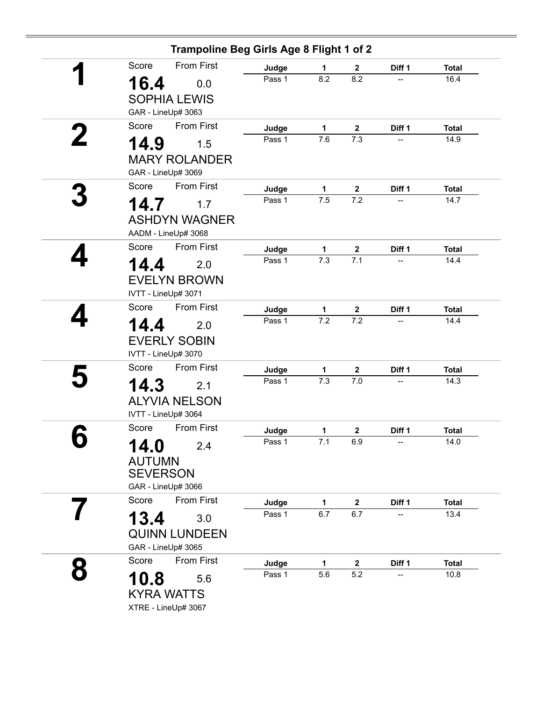|   |                     | Trampoline Beg Girls Age 8 Flight 1 of 2 |                 |                     |                      |                                    |              |
|---|---------------------|------------------------------------------|-----------------|---------------------|----------------------|------------------------------------|--------------|
|   | Score               | <b>From First</b>                        | Judge           | 1                   | $\mathbf 2$          | Diff 1                             | <b>Total</b> |
|   | 16.4                | 0.0                                      | Pass 1          | 8.2                 | 8.2                  |                                    | 16.4         |
|   |                     | <b>SOPHIA LEWIS</b>                      |                 |                     |                      |                                    |              |
|   | GAR - LineUp# 3063  |                                          |                 |                     |                      |                                    |              |
|   | Score               | <b>From First</b>                        | Judge           | 1                   | $\mathbf{2}$         | Diff 1                             | <b>Total</b> |
|   | 14.9                | 1.5                                      | Pass 1          | $\overline{7.6}$    | 7.3                  |                                    | 14.9         |
|   |                     | <b>MARY ROLANDER</b>                     |                 |                     |                      |                                    |              |
|   | GAR - LineUp# 3069  |                                          |                 |                     |                      |                                    |              |
|   | Score               | <b>From First</b>                        | Judge           | 1                   | $\boldsymbol{2}$     | Diff 1                             | <b>Total</b> |
|   | 14.7                | 1.7                                      | Pass 1          | 7.5                 | 7.2                  |                                    | 14.7         |
|   |                     | <b>ASHDYN WAGNER</b>                     |                 |                     |                      |                                    |              |
|   |                     | AADM - LineUp# 3068                      |                 |                     |                      |                                    |              |
|   | Score               | <b>From First</b>                        | Judge           | 1                   | $\mathbf 2$          | Diff 1                             | <b>Total</b> |
|   | 14.4                | 2.0                                      | Pass 1          | 7.3                 | 7.1                  | $\overline{\phantom{a}}$           | 14.4         |
|   |                     | <b>EVELYN BROWN</b>                      |                 |                     |                      |                                    |              |
|   | IVTT - LineUp# 3071 |                                          |                 |                     |                      |                                    |              |
|   | Score               | <b>From First</b>                        | Judge           | 1                   | $\mathbf 2$          | Diff 1                             | <b>Total</b> |
|   | 14.4                | 2.0                                      | Pass 1          | $\overline{7.2}$    | 7.2                  |                                    | 14.4         |
|   |                     | <b>EVERLY SOBIN</b>                      |                 |                     |                      |                                    |              |
|   | IVTT - LineUp# 3070 |                                          |                 |                     |                      |                                    |              |
|   | Score               | <b>From First</b>                        |                 |                     |                      |                                    | <b>Total</b> |
|   |                     |                                          | Judge<br>Pass 1 | $\mathbf{1}$<br>7.3 | $\mathbf 2$<br>$7.0$ | Diff 1<br>$\overline{\phantom{a}}$ | 14.3         |
|   | 14.3                | 2.1                                      |                 |                     |                      |                                    |              |
|   |                     | <b>ALYVIA NELSON</b>                     |                 |                     |                      |                                    |              |
|   | IVTT - LineUp# 3064 |                                          |                 |                     |                      |                                    |              |
|   | Score               | <b>From First</b>                        | Judge           | 1                   | $\mathbf 2$          | Diff 1                             | <b>Total</b> |
| U | 14.0                | 2.4                                      | Pass 1          | 7.1                 | 6.9                  |                                    | 14.0         |
|   | <b>AUTUMN</b>       |                                          |                 |                     |                      |                                    |              |
|   | <b>SEVERSON</b>     |                                          |                 |                     |                      |                                    |              |
|   | GAR - LineUp# 3066  |                                          |                 |                     |                      |                                    |              |
|   | Score               | <b>From First</b>                        | Judge           | 1                   | $\boldsymbol{2}$     | Diff 1                             | <b>Total</b> |
|   | 13.4                | 3.0                                      | Pass 1          | 6.7                 | 6.7                  | $\overline{\phantom{a}}$           | 13.4         |
|   |                     | <b>QUINN LUNDEEN</b>                     |                 |                     |                      |                                    |              |
|   | GAR - LineUp# 3065  |                                          |                 |                     |                      |                                    |              |
|   | Score               | <b>From First</b>                        | Judge           | 1                   | $\mathbf 2$          | Diff 1                             | <b>Total</b> |
|   | 10.8                | 5.6                                      | Pass 1          | 5.6                 | 5.2                  |                                    | 10.8         |
|   |                     | <b>KYRA WATTS</b>                        |                 |                     |                      |                                    |              |
|   |                     | XTRE - LineUp# 3067                      |                 |                     |                      |                                    |              |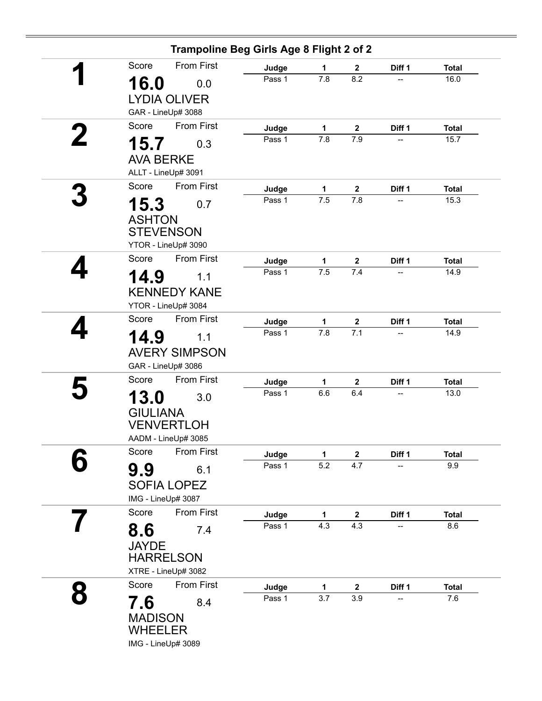| Trampoline Beg Girls Age 8 Flight 2 of 2 |                 |              |                         |              |                      |
|------------------------------------------|-----------------|--------------|-------------------------|--------------|----------------------|
| <b>From First</b><br>Score               | Judge           | 1            | $\mathbf 2$             | Diff 1       | <b>Total</b>         |
| 16.0<br>0.0                              | Pass 1          | 7.8          | 8.2                     |              | 16.0                 |
| <b>LYDIA OLIVER</b>                      |                 |              |                         |              |                      |
| GAR - LineUp# 3088                       |                 |              |                         |              |                      |
| <b>From First</b><br>Score               | Judge           | 1            | $\mathbf 2$             | Diff 1       | <b>Total</b>         |
| 15.7<br>0.3                              | Pass 1          | 7.8          | 7.9                     |              | 15.7                 |
| <b>AVA BERKE</b>                         |                 |              |                         |              |                      |
| ALLT - LineUp# 3091                      |                 |              |                         |              |                      |
| <b>From First</b><br>Score               |                 |              |                         |              |                      |
|                                          | Judge<br>Pass 1 | 1<br>7.5     | $\boldsymbol{2}$<br>7.8 | Diff 1<br>-- | <b>Total</b><br>15.3 |
| 15.3<br>0.7                              |                 |              |                         |              |                      |
| <b>ASHTON</b>                            |                 |              |                         |              |                      |
| <b>STEVENSON</b>                         |                 |              |                         |              |                      |
| YTOR - LineUp# 3090                      |                 |              |                         |              |                      |
| <b>From First</b><br>Score               | Judge           | 1<br>7.5     | $\mathbf 2$             | Diff 1       | <b>Total</b>         |
| 14.9<br>1.1                              | Pass 1          |              | 7.4                     |              | 14.9                 |
| <b>KENNEDY KANE</b>                      |                 |              |                         |              |                      |
| YTOR - LineUp# 3084                      |                 |              |                         |              |                      |
| From First<br>Score                      | Judge           | $\mathbf{1}$ | $\boldsymbol{2}$        | Diff 1       | <b>Total</b>         |
| 14.9<br>1.1                              | Pass 1          | 7.8          | 7.1                     | --           | 14.9                 |
| <b>AVERY SIMPSON</b>                     |                 |              |                         |              |                      |
| GAR - LineUp# 3086                       |                 |              |                         |              |                      |
| From First<br>Score                      | Judge           | 1            | $\mathbf 2$             | Diff 1       | <b>Total</b>         |
| 3.0                                      | Pass 1          | 6.6          | 6.4                     |              | 13.0                 |
| 13.0                                     |                 |              |                         |              |                      |
| <b>GIULIANA</b><br><b>VENVERTLOH</b>     |                 |              |                         |              |                      |
| AADM - LineUp# 3085                      |                 |              |                         |              |                      |
| From First<br>Score                      | Judge           | $\mathbf{1}$ | $\boldsymbol{2}$        | Diff 1       | <b>Total</b>         |
|                                          | Pass 1          | 5.2          | 4.7                     |              | 9.9                  |
| 9.9<br>6.1                               |                 |              |                         |              |                      |
| <b>SOFIA LOPEZ</b>                       |                 |              |                         |              |                      |
| IMG - LineUp# 3087                       |                 |              |                         |              |                      |
| <b>From First</b><br>Score               | Judge           | 1            | $\mathbf{2}$            | Diff 1       | <b>Total</b>         |
| 8.6<br>7.4                               | Pass 1          | 4.3          | 4.3                     |              | 8.6                  |
| <b>JAYDE</b>                             |                 |              |                         |              |                      |
| <b>HARRELSON</b>                         |                 |              |                         |              |                      |
| XTRE - LineUp# 3082                      |                 |              |                         |              |                      |
| From First<br>Score                      | Judge           | 1            | $\boldsymbol{2}$        | Diff 1       | <b>Total</b>         |
| 7.6<br>8.4                               | Pass 1          | 3.7          | 3.9                     | --           | 7.6                  |
| <b>MADISON</b>                           |                 |              |                         |              |                      |
| <b>WHEELER</b>                           |                 |              |                         |              |                      |
| IMG - LineUp# 3089                       |                 |              |                         |              |                      |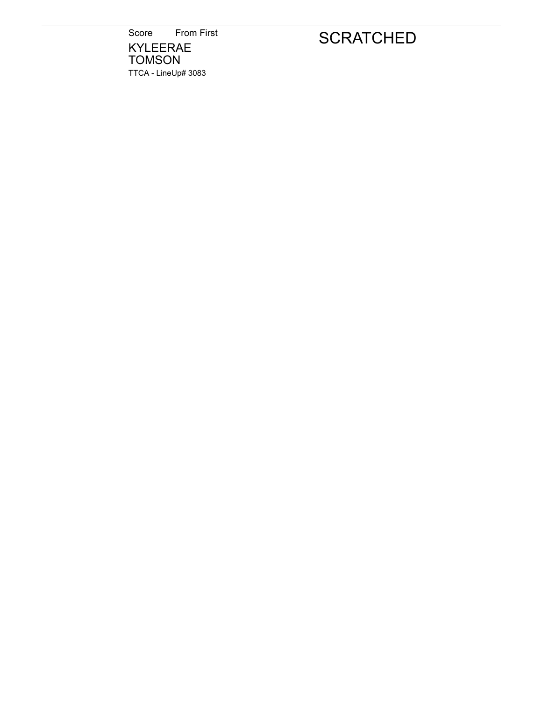Score From First KYLEERAE TOMSON TTCA - LineUp# 3083

# **SCRATCHED**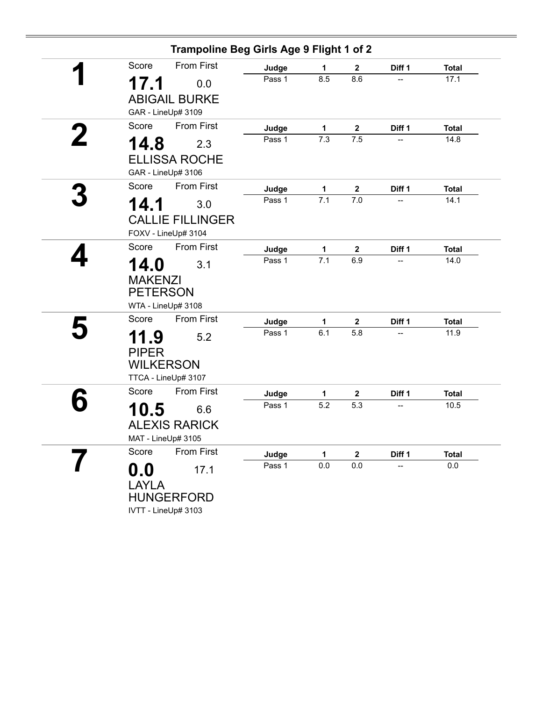|   |                                           | Trampoline Beg Girls Age 9 Flight 1 of 2              |        |     |              |                          |              |
|---|-------------------------------------------|-------------------------------------------------------|--------|-----|--------------|--------------------------|--------------|
|   | Score                                     | <b>From First</b>                                     | Judge  | 1   | $\mathbf{2}$ | Diff 1                   | <b>Total</b> |
|   | 17.1                                      | 0.0<br><b>ABIGAIL BURKE</b><br>GAR - LineUp# 3109     | Pass 1 | 8.5 | 8.6          | --                       | 17.1         |
|   | Score                                     | <b>From First</b>                                     | Judge  | 1   | $\mathbf{2}$ | Diff 1                   | <b>Total</b> |
| 2 | 14.8                                      | 2.3                                                   | Pass 1 | 7.3 | 7.5          |                          | 14.8         |
|   |                                           | <b>ELLISSA ROCHE</b><br>GAR - LineUp# 3106            |        |     |              |                          |              |
|   | Score                                     | <b>From First</b>                                     | Judge  | 1   | $\mathbf 2$  | Diff 1                   | <b>Total</b> |
|   | 14.1                                      | 3.0<br><b>CALLIE FILLINGER</b><br>FOXV - LineUp# 3104 | Pass 1 | 7.1 | 7.0          | $\overline{\phantom{a}}$ | 14.1         |
|   | Score                                     | From First                                            | Judge  | 1   | $\mathbf{2}$ | Diff 1                   | <b>Total</b> |
|   | 14.0<br><b>MAKENZI</b><br><b>PETERSON</b> | 3.1<br>WTA - LineUp# 3108                             | Pass 1 | 7.1 | 6.9          |                          | 14.0         |
|   | Score                                     | From First                                            | Judge  | 1   | $\mathbf 2$  | Diff 1                   | <b>Total</b> |
|   | 11.9<br><b>PIPER</b><br><b>WILKERSON</b>  | 5.2<br>TTCA - LineUp# 3107                            | Pass 1 | 6.1 | 5.8          | --                       | 11.9         |
|   | Score                                     | <b>From First</b>                                     | Judge  | 1   | $\mathbf{2}$ | Diff 1                   | <b>Total</b> |
|   | 10.5<br>MAT - LineUp# 3105                | 6.6<br><b>ALEXIS RARICK</b>                           | Pass 1 | 5.2 | 5.3          |                          | 10.5         |
|   | Score                                     | From First                                            | Judge  | 1   | $\mathbf 2$  | Diff 1                   | <b>Total</b> |
|   | 0.0<br><b>LAYLA</b>                       | 17.1<br><b>HUNGERFORD</b><br>IVTT - LineUp# 3103      | Pass 1 | 0.0 | 0.0          | --                       | $0.0\,$      |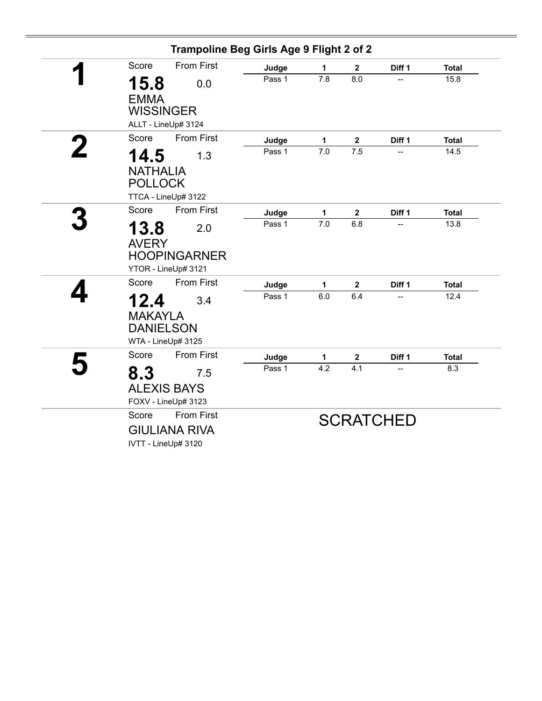| Trampoline Beg Girls Age 9 Flight 2 of 2                                  |        |              |                  |                  |              |
|---------------------------------------------------------------------------|--------|--------------|------------------|------------------|--------------|
| <b>From First</b><br>Score                                                | Judge  | 1            | $\mathbf{2}$     | Diff 1           | <b>Total</b> |
| 15.8<br>0.0<br><b>EMMA</b>                                                | Pass 1 | 7.8          | 8.0              |                  | 15.8         |
| <b>WISSINGER</b>                                                          |        |              |                  |                  |              |
| ALLT - LineUp# 3124                                                       |        |              |                  |                  |              |
| <b>From First</b><br>Score                                                | Judge  | 1            | $\mathbf 2$      | Diff 1           | <b>Total</b> |
| 14.5<br>1.3                                                               | Pass 1 | 7.0          | 7.5              | --               | 14.5         |
| <b>NATHALIA</b><br><b>POLLOCK</b>                                         |        |              |                  |                  |              |
| TTCA - LineUp# 3122                                                       |        |              |                  |                  |              |
| <b>From First</b><br>Score                                                | Judge  | $\mathbf{1}$ | $\boldsymbol{2}$ | Diff 1           | <b>Total</b> |
| 13.8<br>2.0<br><b>AVERY</b><br><b>HOOPINGARNER</b><br>YTOR - LineUp# 3121 | Pass 1 | 7.0          | 6.8              |                  | 13.8         |
| Score<br><b>From First</b>                                                | Judge  | 1            | 2                | Diff 1           | <b>Total</b> |
| 12.4<br>3.4<br><b>MAKAYLA</b><br><b>DANIELSON</b><br>WTA - LineUp# 3125   | Pass 1 | 6.0          | 6.4              |                  | 12.4         |
| <b>From First</b><br>Score                                                | Judge  | $\mathbf{1}$ | $\boldsymbol{2}$ | Diff 1           | <b>Total</b> |
| 8.3<br>7.5<br><b>ALEXIS BAYS</b><br>FOXV - LineUp# 3123                   | Pass 1 | 4.2          | 4.1              | --               | 8.3          |
| Score<br><b>From First</b><br><b>GIULIANA RIVA</b><br>IVTT - LineUp# 3120 |        |              |                  | <b>SCRATCHED</b> |              |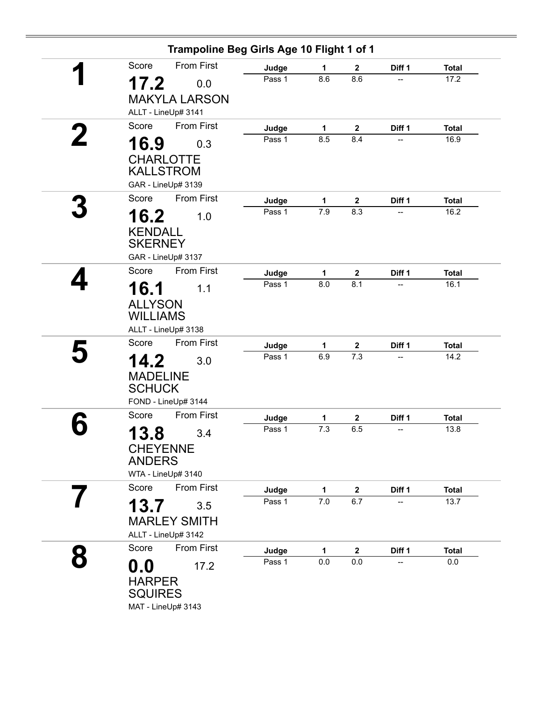|   |                 | Trampoline Beg Girls Age 10 Flight 1 of 1 |        |              |                  |                          |              |
|---|-----------------|-------------------------------------------|--------|--------------|------------------|--------------------------|--------------|
|   | Score           | <b>From First</b>                         | Judge  | 1            | $\mathbf{2}$     | Diff 1                   | <b>Total</b> |
|   | 17.2            | 0.0                                       | Pass 1 | 8.6          | 8.6              | $\overline{\phantom{a}}$ | 17.2         |
|   |                 | <b>MAKYLA LARSON</b>                      |        |              |                  |                          |              |
|   |                 | ALLT - LineUp# 3141                       |        |              |                  |                          |              |
|   | Score           | <b>From First</b>                         | Judge  | $\mathbf{1}$ | $\mathbf 2$      | Diff 1                   | <b>Total</b> |
| 2 | 16.9            | 0.3                                       | Pass 1 | 8.5          | 8.4              |                          | 16.9         |
|   |                 | <b>CHARLOTTE</b>                          |        |              |                  |                          |              |
|   |                 | <b>KALLSTROM</b>                          |        |              |                  |                          |              |
|   |                 | GAR - LineUp# 3139                        |        |              |                  |                          |              |
|   | Score           | <b>From First</b>                         | Judge  | 1            | $\mathbf 2$      | Diff 1                   | <b>Total</b> |
|   | 16.2            | 1.0                                       | Pass 1 | 7.9          | 8.3              |                          | 16.2         |
|   | <b>KENDALL</b>  |                                           |        |              |                  |                          |              |
|   | <b>SKERNEY</b>  |                                           |        |              |                  |                          |              |
|   |                 | GAR - LineUp# 3137                        |        |              |                  |                          |              |
|   | Score           | <b>From First</b>                         | Judge  | 1            | $\boldsymbol{2}$ | Diff 1                   | <b>Total</b> |
|   | 16.1            | 1.1                                       | Pass 1 | 8.0          | 8.1              | --                       | 16.1         |
|   | <b>ALLYSON</b>  |                                           |        |              |                  |                          |              |
|   | <b>WILLIAMS</b> |                                           |        |              |                  |                          |              |
|   |                 | ALLT - LineUp# 3138                       |        |              |                  |                          |              |
|   | Score           | From First                                | Judge  | 1            | $\mathbf 2$      | Diff 1                   | <b>Total</b> |
|   | 14.2            | 3.0                                       | Pass 1 | 6.9          | 7.3              |                          | 14.2         |
|   | <b>MADELINE</b> |                                           |        |              |                  |                          |              |
|   | <b>SCHUCK</b>   |                                           |        |              |                  |                          |              |
|   |                 | FOND - LineUp# 3144                       |        |              |                  |                          |              |
|   | Score           | <b>From First</b>                         | Judge  | 1            | $\mathbf 2$      | Diff 1                   | <b>Total</b> |
|   | 13.8            | 3.4                                       | Pass 1 | 7.3          | 6.5              | --                       | 13.8         |
|   | <b>CHEYENNE</b> |                                           |        |              |                  |                          |              |
|   | <b>ANDERS</b>   |                                           |        |              |                  |                          |              |
|   |                 | WTA - LineUp# 3140                        |        |              |                  |                          |              |
|   | Score           | From First                                | Judge  | 1            | $\mathbf 2$      | Diff 1                   | <b>Total</b> |
|   | 13.7            | 3.5                                       | Pass 1 | 7.0          | 6.7              | --                       | 13.7         |
|   |                 | <b>MARLEY SMITH</b>                       |        |              |                  |                          |              |
|   |                 | ALLT - LineUp# 3142                       |        |              |                  |                          |              |
| 0 | Score           | <b>From First</b>                         | Judge  | 1            | $\mathbf 2$      | Diff 1                   | <b>Total</b> |
|   | $\mathbf{0.0}$  | 17.2                                      | Pass 1 | 0.0          | 0.0              |                          | $0.0\,$      |
|   | <b>HARPER</b>   |                                           |        |              |                  |                          |              |
|   | <b>SQUIRES</b>  |                                           |        |              |                  |                          |              |
|   |                 | MAT - LineUp# 3143                        |        |              |                  |                          |              |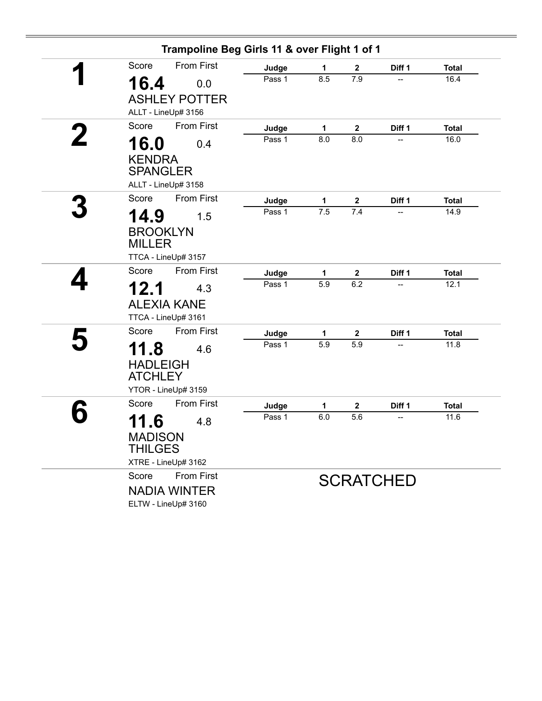| Trampoline Beg Girls 11 & over Flight 1 of 1 |                 |             |                         |                  |                      |
|----------------------------------------------|-----------------|-------------|-------------------------|------------------|----------------------|
| <b>From First</b><br>Score                   | Judge           | 1           | $\mathbf{2}$            | Diff 1           | <b>Total</b>         |
| 16.4<br>0.0                                  | Pass 1          | 8.5         | 7.9                     | --               | 16.4                 |
| <b>ASHLEY POTTER</b>                         |                 |             |                         |                  |                      |
| ALLT - LineUp# 3156                          |                 |             |                         |                  |                      |
| <b>From First</b><br>Score                   | Judge           | $\mathbf 1$ | $\overline{\mathbf{2}}$ | Diff 1           | <b>Total</b>         |
| 16.0<br>0.4                                  | Pass 1          | 8.0         | 8.0                     |                  | 16.0                 |
| <b>KENDRA</b>                                |                 |             |                         |                  |                      |
| <b>SPANGLER</b>                              |                 |             |                         |                  |                      |
| ALLT - LineUp# 3158                          |                 |             |                         |                  |                      |
| <b>From First</b><br>Score                   | Judge           | 1           | $\mathbf 2$             | Diff 1           | <b>Total</b>         |
| 14.9<br>1.5                                  | Pass 1          | 7.5         | 7.4                     |                  | 14.9                 |
| <b>BROOKLYN</b>                              |                 |             |                         |                  |                      |
| <b>MILLER</b>                                |                 |             |                         |                  |                      |
| TTCA - LineUp# 3157                          |                 |             |                         |                  |                      |
| Score<br><b>From First</b>                   | Judge           | 1           | $\boldsymbol{2}$        | Diff 1           | <b>Total</b>         |
| 12.1<br>4.3                                  | Pass 1          | 5.9         | 6.2                     |                  | 12.1                 |
| <b>ALEXIA KANE</b>                           |                 |             |                         |                  |                      |
| TTCA - LineUp# 3161                          |                 |             |                         |                  |                      |
| From First<br>Score                          |                 |             |                         |                  |                      |
|                                              | Judge<br>Pass 1 | 1<br>5.9    | $\mathbf 2$<br>5.9      | Diff 1           | <b>Total</b><br>11.8 |
| 11.8<br>4.6                                  |                 |             |                         |                  |                      |
| <b>HADLEIGH</b>                              |                 |             |                         |                  |                      |
| <b>ATCHLEY</b><br>YTOR - LineUp# 3159        |                 |             |                         |                  |                      |
| <b>From First</b><br>Score                   |                 |             |                         |                  |                      |
|                                              | Judge<br>Pass 1 | 1<br>6.0    | $\mathbf 2$<br>5.6      | Diff 1           | <b>Total</b><br>11.6 |
| 11.6<br>4.8                                  |                 |             |                         |                  |                      |
| <b>MADISON</b>                               |                 |             |                         |                  |                      |
| <b>THILGES</b>                               |                 |             |                         |                  |                      |
| XTRE - LineUp# 3162<br>From First<br>Score   |                 |             |                         |                  |                      |
|                                              |                 |             |                         | <b>SCRATCHED</b> |                      |
| <b>NADIA WINTER</b><br>ELTW - LineUp# 3160   |                 |             |                         |                  |                      |
|                                              |                 |             |                         |                  |                      |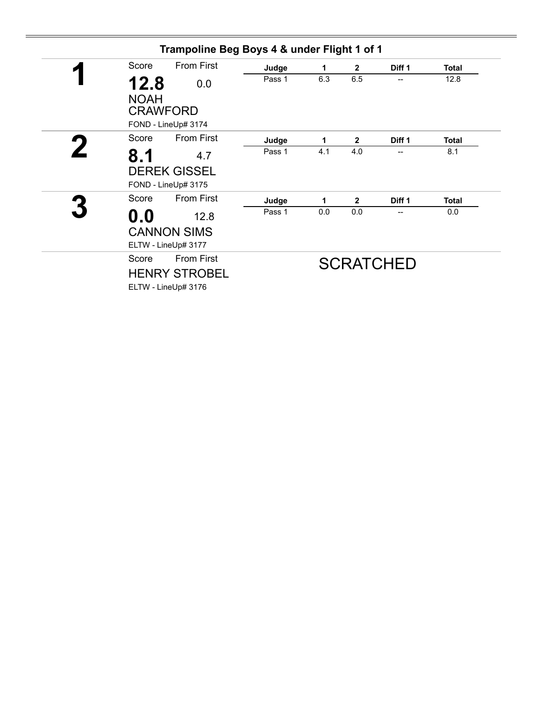| Score               | <b>From First</b>                                 | Judge  | 1   | $\overline{2}$ | Diff 1                   | <b>Total</b> |
|---------------------|---------------------------------------------------|--------|-----|----------------|--------------------------|--------------|
| 12.8<br><b>NOAH</b> | 0.0                                               | Pass 1 | 6.3 | 6.5            | $\overline{\phantom{a}}$ | 12.8         |
|                     | <b>CRAWFORD</b><br>FOND - LineUp# 3174            |        |     |                |                          |              |
| Score               | <b>From First</b>                                 | Judge  | 1   | $\mathbf{2}$   | Diff 1                   | <b>Total</b> |
| 8.1                 | 4.7                                               | Pass 1 | 4.1 | 4.0            | $\overline{\phantom{a}}$ | 8.1          |
|                     | <b>DEREK GISSEL</b><br>FOND - LineUp# 3175        |        |     |                |                          |              |
| Score               | <b>From First</b>                                 | Judge  | 1   | $\mathbf{2}$   | Diff 1                   | <b>Total</b> |
| $\mathbf{0.0}$      | 12.8<br><b>CANNON SIMS</b><br>ELTW - LineUp# 3177 | Pass 1 | 0.0 | 0.0            |                          | 0.0          |
| Score               | <b>From First</b>                                 |        |     |                | <b>SCRATCHED</b>         |              |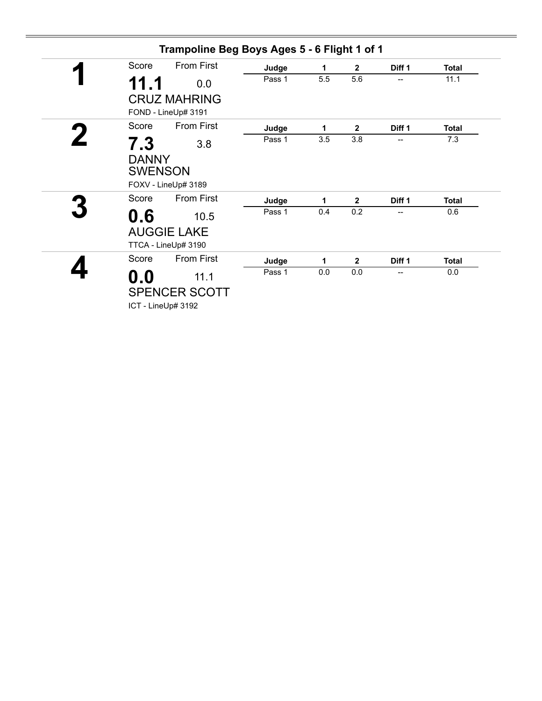| Trampoline Beg Boys Ages 5 - 6 Flight 1 of 1                         |        |     |                |                   |              |
|----------------------------------------------------------------------|--------|-----|----------------|-------------------|--------------|
| <b>From First</b><br>Score                                           | Judge  | 1   | $\mathbf{2}$   | Diff <sub>1</sub> | <b>Total</b> |
| 11.1<br>0.0                                                          | Pass 1 | 5.5 | 5.6            | --                | 11.1         |
| <b>CRUZ MAHRING</b><br>FOND - LineUp# 3191                           |        |     |                |                   |              |
| <b>From First</b><br>Score                                           | Judge  | 1   | $\mathbf{2}$   | Diff 1            | <b>Total</b> |
| 7.3<br>3.8<br><b>DANNY</b><br><b>SWENSON</b><br>FOXV - LineUp# 3189  | Pass 1 | 3.5 | 3.8            |                   | 7.3          |
| From First<br>Score                                                  | Judge  | 1   | $\overline{2}$ | Diff <sub>1</sub> | <b>Total</b> |
| 0.6<br>10.5<br><b>AUGGIE LAKE</b><br>TTCA - LineUp# 3190             | Pass 1 | 0.4 | 0.2            | --                | 0.6          |
| <b>From First</b><br>Score                                           | Judge  | 1   | $\overline{2}$ | Diff 1            | <b>Total</b> |
| $\mathbf{0.0}$<br>11.1<br><b>SPENCER SCOTT</b><br>ICT - LineUp# 3192 | Pass 1 | 0.0 | 0.0            | --                | 0.0          |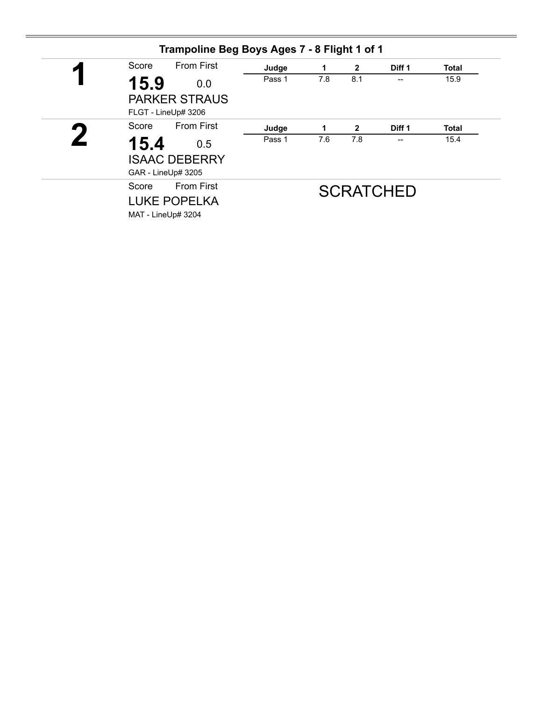| И | <b>From First</b><br>Score                                              | Judge  | 1   | $\mathbf{2}$ | Diff 1           | <b>Total</b> |
|---|-------------------------------------------------------------------------|--------|-----|--------------|------------------|--------------|
|   | 15.9<br>0.0<br><b>PARKER STRAUS</b><br>FLGT - LineUp# 3206              | Pass 1 | 7.8 | 8.1          | --               | 15.9         |
|   | <b>From First</b><br>Score                                              | Judge  | 1   | $\mathbf{2}$ | Diff 1           | <b>Total</b> |
|   | 15.4<br>0.5<br><b>ISAAC DEBERRY</b><br>GAR - LineUp# 3205               | Pass 1 | 7.6 | 7.8          | --               | 15.4         |
|   | <b>From First</b><br>Score<br><b>LUKE POPELKA</b><br>MAT - LineUp# 3204 |        |     |              | <b>SCRATCHED</b> |              |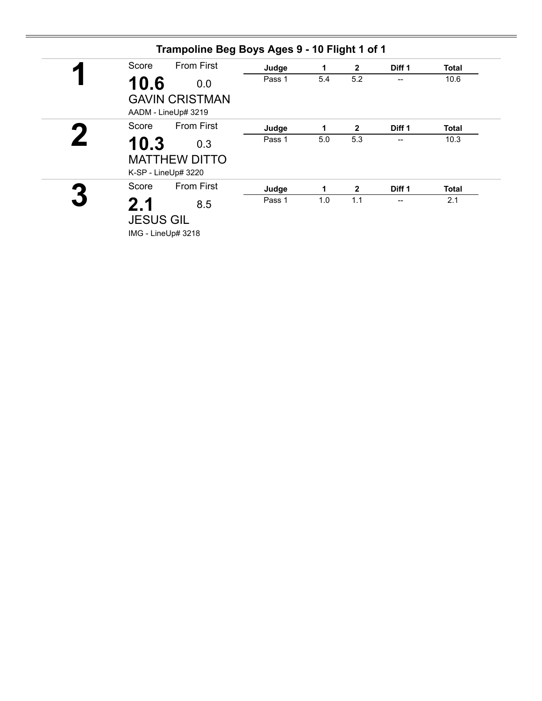| Score | <b>From First</b>                                  | Judge  | 1   | $\overline{2}$ | Diff 1                   | <b>Total</b> |
|-------|----------------------------------------------------|--------|-----|----------------|--------------------------|--------------|
| 10.6  | 0.0                                                | Pass 1 | 5.4 | 5.2            | --                       | 10.6         |
|       | <b>GAVIN CRISTMAN</b><br>AADM - LineUp# 3219       |        |     |                |                          |              |
| Score | <b>From First</b>                                  | Judge  | 1   | $\mathbf{2}$   | Diff 1                   | Total        |
| 10.3  | 0.3<br><b>MATTHEW DITTO</b><br>K-SP - LineUp# 3220 | Pass 1 | 5.0 | 5.3            |                          | 10.3         |
| Score | <b>From First</b>                                  | Judge  | 1.  | $\mathbf{2}$   | Diff 1                   | <b>Total</b> |
| 2.1   | 8.5<br><b>JESUS GIL</b>                            | Pass 1 | 1.0 | 1.1            | $\overline{\phantom{a}}$ | 2.1          |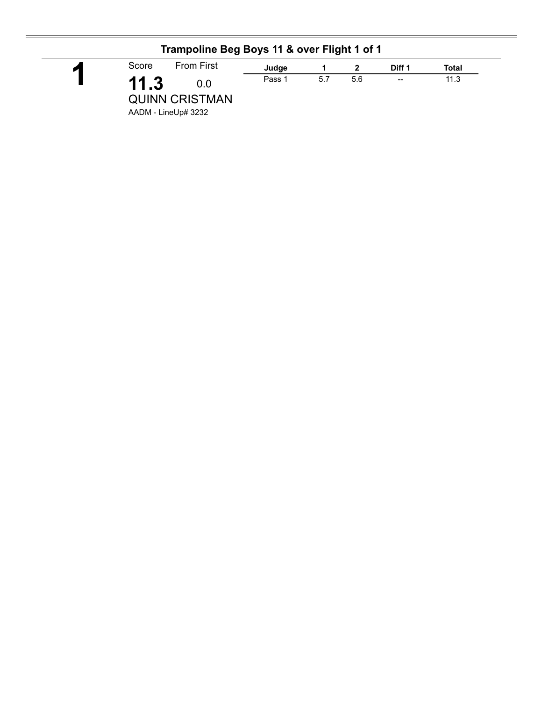|       | Trampoline Beg Boys 11 & over Flight 1 of 1         |        |     |     |                          |       |
|-------|-----------------------------------------------------|--------|-----|-----|--------------------------|-------|
| Score | <b>From First</b>                                   | Judge  |     |     | Diff 1                   | Total |
| 11.3  | 0.0<br><b>QUINN CRISTMAN</b><br>AADM - LineUp# 3232 | Pass 1 | 5.7 | 5.6 | $\overline{\phantom{a}}$ | 11.3  |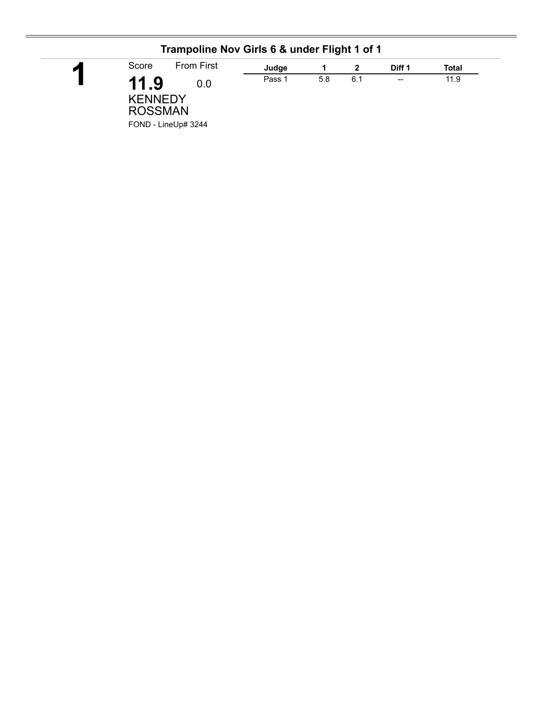| Trampoline Nov Girls 6 & under Flight 1 of 1                           |        |     |     |                                                |       |
|------------------------------------------------------------------------|--------|-----|-----|------------------------------------------------|-------|
| <b>From First</b><br>Score                                             | Judge  |     |     | Diff 1                                         | Total |
| 11.9<br>0.0<br><b>KENNEDY</b><br><b>ROSSMAN</b><br>FOND - LineUp# 3244 | Pass 1 | 5.8 | 6.1 | $\hspace{0.1mm}-\hspace{0.1mm}-\hspace{0.1mm}$ | 11.9  |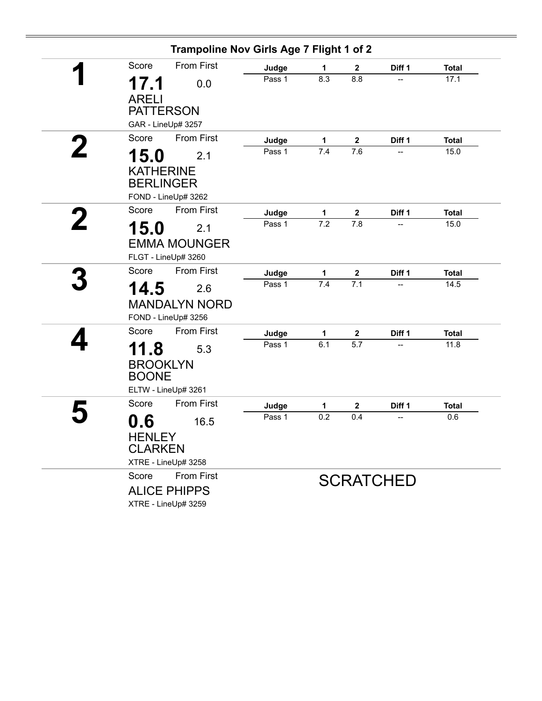| Trampoline Nov Girls Age 7 Flight 1 of 2                                 |        |              |                         |                          |              |
|--------------------------------------------------------------------------|--------|--------------|-------------------------|--------------------------|--------------|
| <b>From First</b><br>Score                                               | Judge  | 1            | $\overline{\mathbf{2}}$ | Diff 1                   | <b>Total</b> |
| 17.1<br>0.0<br><b>ARELI</b>                                              | Pass 1 | 8.3          | 8.8                     |                          | 17.1         |
| <b>PATTERSON</b><br>GAR - LineUp# 3257                                   |        |              |                         |                          |              |
| <b>From First</b><br>Score                                               | Judge  | 1            | $\mathbf{2}$            | Diff 1                   | <b>Total</b> |
| 15.0<br>2.1                                                              | Pass 1 | 7.4          | 7.6                     | $\overline{\phantom{a}}$ | 15.0         |
| <b>KATHERINE</b><br><b>BERLINGER</b><br>FOND - LineUp# 3262              |        |              |                         |                          |              |
| <b>From First</b><br>Score                                               | Judge  | $\mathbf{1}$ | $\mathbf{2}$            | Diff 1                   | <b>Total</b> |
| 15.0<br>2.1                                                              | Pass 1 | 7.2          | 7.8                     |                          | 15.0         |
| <b>EMMA MOUNGER</b><br>FLGT - LineUp# 3260                               |        |              |                         |                          |              |
| Score<br><b>From First</b>                                               | Judge  | 1            | $\mathbf{2}$            | Diff 1                   | <b>Total</b> |
| 14.5<br>2.6<br><b>MANDALYN NORD</b><br>FOND - LineUp# 3256               | Pass 1 | 7.4          | $\overline{7.1}$        | $\overline{\phantom{a}}$ | 14.5         |
| <b>From First</b><br>Score                                               | Judge  | 1            | $\mathbf{2}$            | Diff 1                   | <b>Total</b> |
| 11.8<br>5.3<br><b>BROOKLYN</b><br><b>BOONE</b><br>ELTW - LineUp# 3261    | Pass 1 | 6.1          | 5.7                     |                          | 11.8         |
| <b>From First</b><br>Score                                               | Judge  | 1            | $\mathbf{2}$            | Diff 1                   | <b>Total</b> |
| 0.6<br>16.5<br><b>HENLEY</b><br><b>CLARKEN</b><br>XTRE - LineUp# 3258    | Pass 1 | 0.2          | 0.4                     |                          | 0.6          |
| <b>From First</b><br>Score<br><b>ALICE PHIPPS</b><br>XTRE - LineUp# 3259 |        |              |                         | <b>SCRATCHED</b>         |              |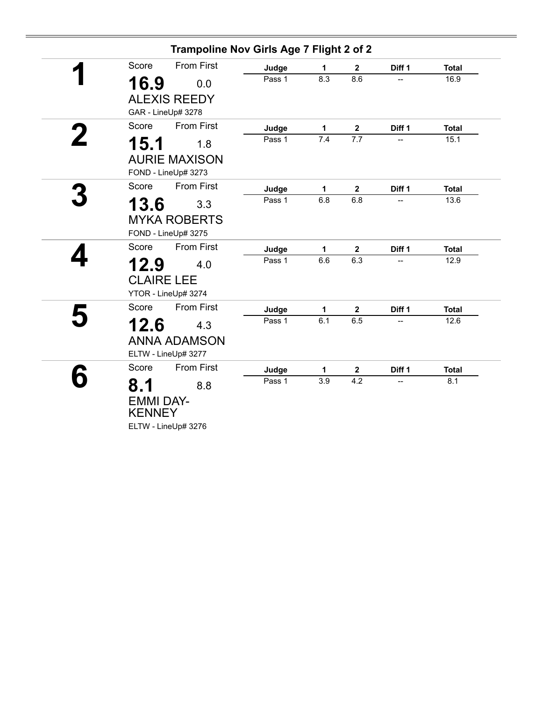|                            | Trampoline Nov Girls Age 7 Flight 2 of 2 |     |                         |        |              |
|----------------------------|------------------------------------------|-----|-------------------------|--------|--------------|
| <b>From First</b><br>Score | Judge                                    | 1   | $\overline{\mathbf{2}}$ | Diff 1 | <b>Total</b> |
| 16.9<br>0.0                | Pass 1                                   | 8.3 | 8.6                     |        | 16.9         |
| <b>ALEXIS REEDY</b>        |                                          |     |                         |        |              |
| GAR - LineUp# 3278         |                                          |     |                         |        |              |
| <b>From First</b><br>Score | Judge                                    | 1   | $\mathbf{2}$            | Diff 1 | <b>Total</b> |
| 15.1<br>1.8                | Pass 1                                   | 7.4 | $\overline{7.7}$        |        | 15.1         |
| <b>AURIE MAXISON</b>       |                                          |     |                         |        |              |
| FOND - LineUp# 3273        |                                          |     |                         |        |              |
| <b>From First</b><br>Score | Judge                                    | 1   | $\mathbf{2}$            | Diff 1 | <b>Total</b> |
| 13.6<br>3.3                | Pass 1                                   | 6.8 | 6.8                     |        | 13.6         |
| <b>MYKA ROBERTS</b>        |                                          |     |                         |        |              |
| FOND - LineUp# 3275        |                                          |     |                         |        |              |
| <b>From First</b><br>Score | Judge                                    | 1   | $\boldsymbol{2}$        | Diff 1 | <b>Total</b> |
| 12.9<br>4.0                | Pass 1                                   | 6.6 | 6.3                     |        | 12.9         |
| <b>CLAIRE LEE</b>          |                                          |     |                         |        |              |
| YTOR - LineUp# 3274        |                                          |     |                         |        |              |
| <b>From First</b><br>Score | Judge                                    | 1   | $\boldsymbol{2}$        | Diff 1 | <b>Total</b> |
| 12.6<br>4.3                | Pass 1                                   | 6.1 | 6.5                     | --     | 12.6         |
| <b>ANNA ADAMSON</b>        |                                          |     |                         |        |              |
| ELTW - LineUp# 3277        |                                          |     |                         |        |              |
| <b>From First</b><br>Score | Judge                                    | 1   | $\boldsymbol{2}$        | Diff 1 | <b>Total</b> |
| 8.1<br>8.8                 | Pass 1                                   | 3.9 | 4.2                     |        | 8.1          |
| <b>EMMI DAY-</b>           |                                          |     |                         |        |              |
| <b>KENNEY</b>              |                                          |     |                         |        |              |
| ELTW - LineUp# 3276        |                                          |     |                         |        |              |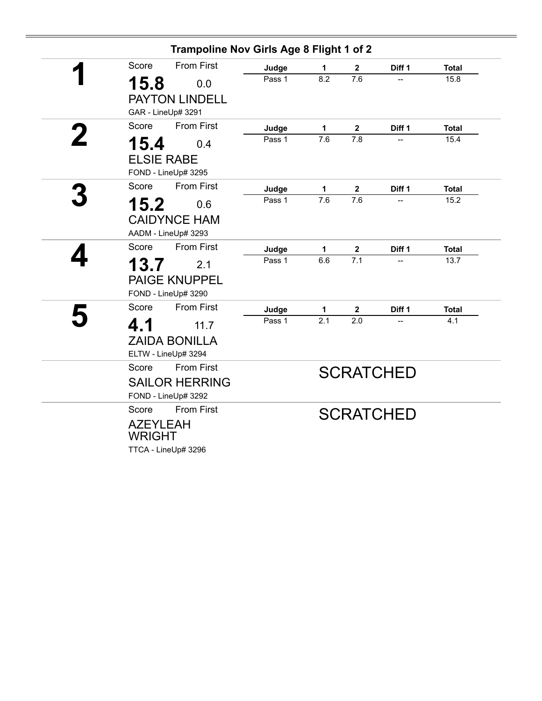|   | Trampoline Nov Girls Age 8 Flight 1 of 2 |        |                  |                  |                  |              |
|---|------------------------------------------|--------|------------------|------------------|------------------|--------------|
|   | <b>From First</b><br>Score               | Judge  | 1                | $\mathbf 2$      | Diff 1           | <b>Total</b> |
|   | 15.8<br>0.0                              | Pass 1 | 8.2              | 7.6              |                  | 15.8         |
|   | <b>PAYTON LINDELL</b>                    |        |                  |                  |                  |              |
|   | GAR - LineUp# 3291                       |        |                  |                  |                  |              |
|   | <b>From First</b><br>Score               | Judge  | 1                | $\mathbf 2$      | Diff 1           | <b>Total</b> |
| 2 | 15.4<br>0.4                              | Pass 1 | 7.6              | 7.8              | --               | 15.4         |
|   | <b>ELSIE RABE</b>                        |        |                  |                  |                  |              |
|   | FOND - LineUp# 3295                      |        |                  |                  |                  |              |
|   | <b>From First</b><br>Score               | Judge  | $\mathbf 1$      | $\boldsymbol{2}$ | Diff 1           | <b>Total</b> |
|   | 15.2<br>0.6                              | Pass 1 | $\overline{7.6}$ | $\overline{7.6}$ |                  | 15.2         |
|   | <b>CAIDYNCE HAM</b>                      |        |                  |                  |                  |              |
|   | AADM - LineUp# 3293                      |        |                  |                  |                  |              |
|   | <b>From First</b><br>Score               | Judge  | $\mathbf 1$      | $\boldsymbol{2}$ | Diff 1           | <b>Total</b> |
|   | 13.7<br>2.1                              | Pass 1 | 6.6              | 7.1              |                  | 13.7         |
|   | <b>PAIGE KNUPPEL</b>                     |        |                  |                  |                  |              |
|   | FOND - LineUp# 3290                      |        |                  |                  |                  |              |
|   | <b>From First</b><br>Score               | Judge  | 1                | $\mathbf{2}$     | Diff 1           | <b>Total</b> |
|   | 4.1<br>11.7                              | Pass 1 | $\overline{2.1}$ | 2.0              |                  | 4.1          |
|   | <b>ZAIDA BONILLA</b>                     |        |                  |                  |                  |              |
|   | ELTW - LineUp# 3294                      |        |                  |                  |                  |              |
|   | <b>From First</b><br>Score               |        |                  |                  | <b>SCRATCHED</b> |              |
|   | <b>SAILOR HERRING</b>                    |        |                  |                  |                  |              |
|   | FOND - LineUp# 3292                      |        |                  |                  |                  |              |
|   | Score<br><b>From First</b>               |        |                  |                  | <b>SCRATCHED</b> |              |
|   | <b>AZEYLEAH</b>                          |        |                  |                  |                  |              |
|   | <b>WRIGHT</b>                            |        |                  |                  |                  |              |
|   | TTCA - LineUp# 3296                      |        |                  |                  |                  |              |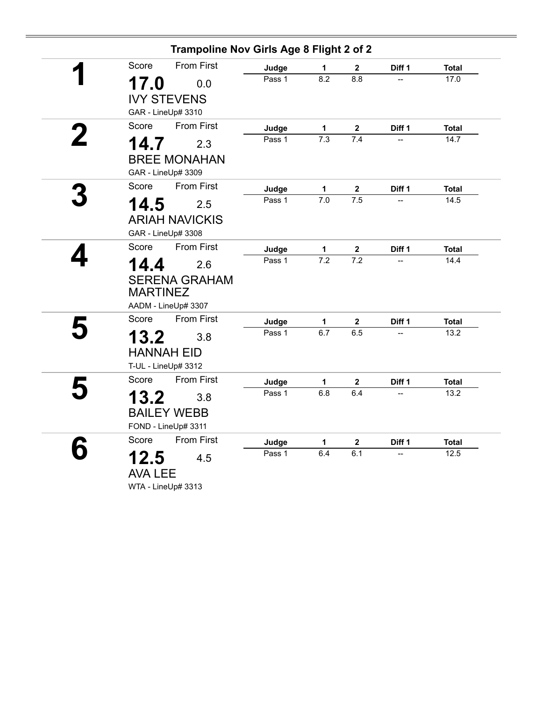|   |                 | Trampoline Nov Girls Age 8 Flight 2 of 2 |        |                  |                         |        |              |
|---|-----------------|------------------------------------------|--------|------------------|-------------------------|--------|--------------|
|   | Score           | <b>From First</b>                        | Judge  | 1                | $\overline{\mathbf{2}}$ | Diff 1 | <b>Total</b> |
|   | 17.0            | 0.0                                      | Pass 1 | 8.2              | 8.8                     |        | 17.0         |
|   |                 | <b>IVY STEVENS</b>                       |        |                  |                         |        |              |
|   |                 | GAR - LineUp# 3310                       |        |                  |                         |        |              |
|   | Score           | <b>From First</b>                        | Judge  | 1                | $\mathbf 2$             | Diff 1 | <b>Total</b> |
| 2 | 14.7            | 2.3                                      | Pass 1 | 7.3              | 7.4                     |        | 14.7         |
|   |                 | <b>BREE MONAHAN</b>                      |        |                  |                         |        |              |
|   |                 | GAR - LineUp# 3309                       |        |                  |                         |        |              |
|   | Score           | <b>From First</b>                        | Judge  | 1                | $\boldsymbol{2}$        | Diff 1 | <b>Total</b> |
|   | 14.5            | 2.5                                      | Pass 1 | $\overline{7.0}$ | 7.5                     | --     | 14.5         |
|   |                 | <b>ARIAH NAVICKIS</b>                    |        |                  |                         |        |              |
|   |                 | GAR - LineUp# 3308                       |        |                  |                         |        |              |
|   | Score           | <b>From First</b>                        | Judge  | 1                | $\mathbf 2$             | Diff 1 | <b>Total</b> |
|   | 14.4            | 2.6                                      | Pass 1 | $\overline{7.2}$ | $\overline{7.2}$        | --     | 14.4         |
|   |                 | <b>SERENA GRAHAM</b>                     |        |                  |                         |        |              |
|   | <b>MARTINEZ</b> |                                          |        |                  |                         |        |              |
|   |                 | AADM - LineUp# 3307                      |        |                  |                         |        |              |
|   | Score           | <b>From First</b>                        | Judge  | 1                | $\mathbf 2$             | Diff 1 | <b>Total</b> |
|   | 13.2            | 3.8                                      | Pass 1 | 6.7              | 6.5                     |        | 13.2         |
|   |                 | <b>HANNAH EID</b>                        |        |                  |                         |        |              |
|   |                 | T-UL - LineUp# 3312                      |        |                  |                         |        |              |
|   | Score           | <b>From First</b>                        | Judge  | 1                | $\mathbf{2}$            | Diff 1 | <b>Total</b> |
|   | 13.2            | 3.8                                      | Pass 1 | 6.8              | 6.4                     |        | 13.2         |
|   |                 | <b>BAILEY WEBB</b>                       |        |                  |                         |        |              |
|   |                 | FOND - LineUp# 3311                      |        |                  |                         |        |              |
|   | Score           | <b>From First</b>                        | Judge  | 1                | $\boldsymbol{2}$        | Diff 1 | <b>Total</b> |
|   | 12.5            | 4.5                                      | Pass 1 | 6.4              | 6.1                     |        | 12.5         |
|   | <b>AVA LEE</b>  |                                          |        |                  |                         |        |              |
|   |                 | WTA - LineUp# 3313                       |        |                  |                         |        |              |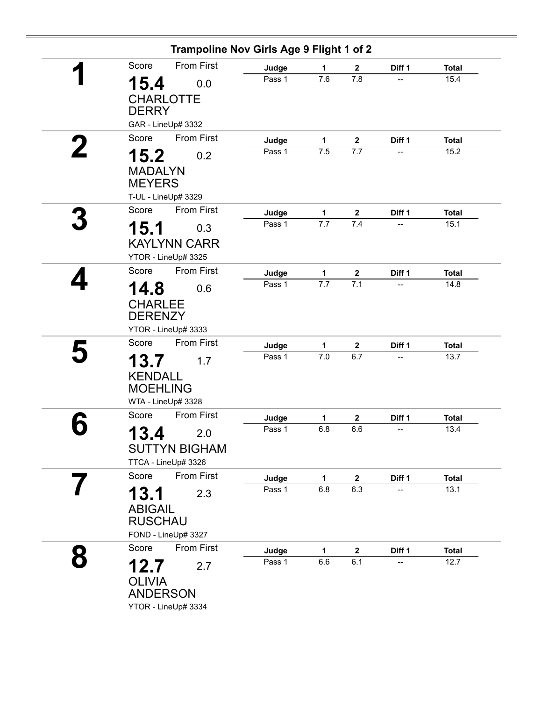|                                   |                      | Trampoline Nov Girls Age 9 Flight 1 of 2 |                     |                         |              |                      |
|-----------------------------------|----------------------|------------------------------------------|---------------------|-------------------------|--------------|----------------------|
| Score                             | <b>From First</b>    | Judge                                    | 1                   | $\mathbf{2}$            | Diff 1       | <b>Total</b>         |
| 15.4                              | 0.0                  | Pass 1                                   | 7.6                 | 7.8                     | --           | 15.4                 |
| <b>CHARLOTTE</b>                  |                      |                                          |                     |                         |              |                      |
| <b>DERRY</b>                      |                      |                                          |                     |                         |              |                      |
|                                   | GAR - LineUp# 3332   |                                          |                     |                         |              |                      |
| Score                             | <b>From First</b>    | Judge                                    | $\mathbf 1$         | $\mathbf 2$             | Diff 1       | <b>Total</b>         |
| 15.2                              | 0.2                  | Pass 1                                   | 7.5                 | 7.7                     | --           | 15.2                 |
| <b>MADALYN</b><br><b>MEYERS</b>   |                      |                                          |                     |                         |              |                      |
|                                   | T-UL - LineUp# 3329  |                                          |                     |                         |              |                      |
| Score                             | <b>From First</b>    | Judge                                    | $\mathbf{1}$        | $\mathbf 2$             | Diff 1       | <b>Total</b>         |
| 15.1                              | 0.3                  | Pass 1                                   | 7.7                 | 7.4                     |              | 15.1                 |
|                                   | <b>KAYLYNN CARR</b>  |                                          |                     |                         |              |                      |
|                                   | YTOR - LineUp# 3325  |                                          |                     |                         |              |                      |
| Score                             | <b>From First</b>    |                                          |                     |                         |              |                      |
|                                   |                      | Judge<br>Pass 1                          | $\mathbf{1}$<br>7.7 | $\boldsymbol{2}$<br>7.1 | Diff 1<br>-- | <b>Total</b><br>14.8 |
| 14.8                              | 0.6                  |                                          |                     |                         |              |                      |
| <b>CHARLEE</b><br><b>DERENZY</b>  |                      |                                          |                     |                         |              |                      |
|                                   | YTOR - LineUp# 3333  |                                          |                     |                         |              |                      |
| Score                             | From First           | Judge                                    | 1                   | $\mathbf{2}$            | Diff 1       | <b>Total</b>         |
|                                   | 1.7                  | Pass 1                                   | 7.0                 | 6.7                     | --           | 13.7                 |
| 13.7                              |                      |                                          |                     |                         |              |                      |
| <b>KENDALL</b><br><b>MOEHLING</b> |                      |                                          |                     |                         |              |                      |
|                                   | WTA - LineUp# 3328   |                                          |                     |                         |              |                      |
| Score                             | <b>From First</b>    | Judge                                    | 1                   | $\mathbf 2$             | Diff 1       | <b>Total</b>         |
|                                   |                      |                                          |                     |                         |              |                      |
|                                   |                      | Pass 1                                   | 6.8                 | 6.6                     | --           | 13.4                 |
| 13.4                              | 2.0                  |                                          |                     |                         |              |                      |
|                                   | <b>SUTTYN BIGHAM</b> |                                          |                     |                         |              |                      |
|                                   | TTCA - LineUp# 3326  |                                          |                     |                         |              |                      |
| Score                             | From First           | Judge                                    | 1                   | $\mathbf{2}$            | Diff 1       | <b>Total</b>         |
| 13.1                              | 2.3                  | Pass 1                                   | 6.8                 | 6.3                     |              | 13.1                 |
| <b>ABIGAIL</b>                    |                      |                                          |                     |                         |              |                      |
| <b>RUSCHAU</b>                    |                      |                                          |                     |                         |              |                      |
|                                   | FOND - LineUp# 3327  |                                          |                     |                         |              |                      |
| Score                             | From First           | Judge                                    | 1                   | $\mathbf 2$             | Diff 1<br>-- | <b>Total</b>         |
| 12.7                              | 2.7                  | Pass 1                                   | 6.6                 | 6.1                     |              | 12.7                 |
| <b>OLIVIA</b><br><b>ANDERSON</b>  |                      |                                          |                     |                         |              |                      |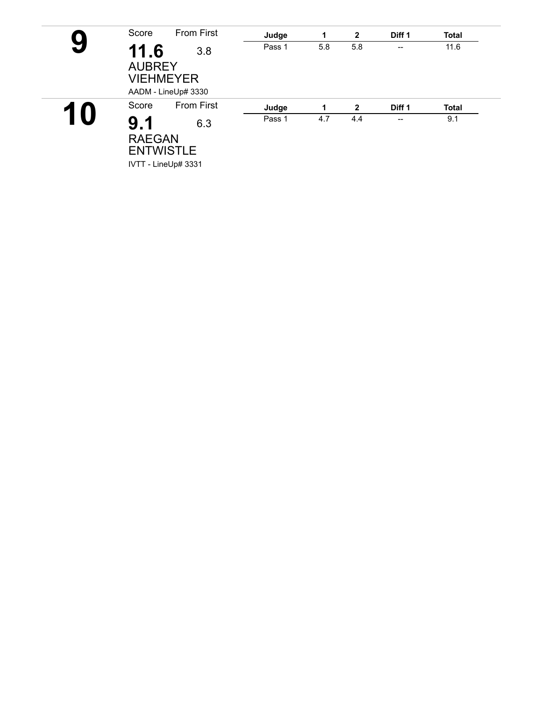|    | Score                                     | <b>From First</b>          | Judge  | 1   | $\mathbf{2}$ | Diff <sub>1</sub>        | <b>Total</b> |  |
|----|-------------------------------------------|----------------------------|--------|-----|--------------|--------------------------|--------------|--|
| 9  | 11.6<br><b>AUBREY</b><br><b>VIEHMEYER</b> | 3.8<br>AADM - LineUp# 3330 | Pass 1 | 5.8 | 5.8          | $\overline{\phantom{a}}$ | 11.6         |  |
|    | Score                                     | <b>From First</b>          | Judge  | 1   | $\mathbf{2}$ | Diff <sub>1</sub>        | <b>Total</b> |  |
| 10 | 9.1<br><b>RAEGAN</b><br><b>ENTWISTLE</b>  | 6.3<br>IVTT - LineUp# 3331 | Pass 1 | 4.7 | 4.4          | $\overline{\phantom{a}}$ | 9.1          |  |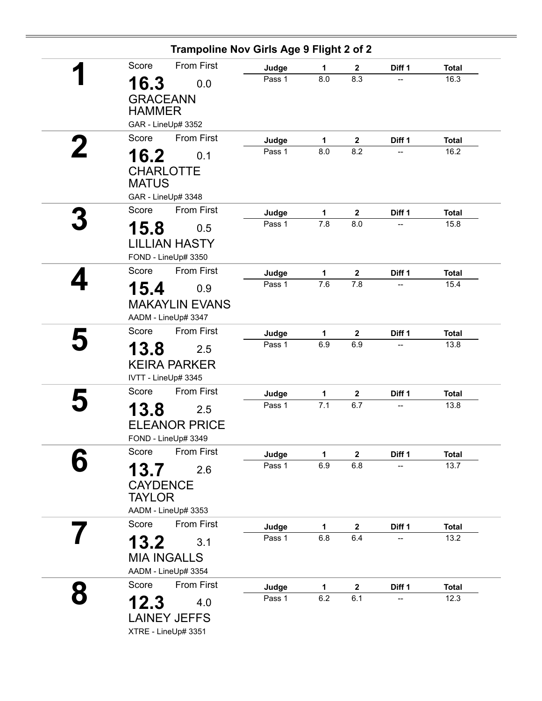|                     | Trampoline Nov Girls Age 9 Flight 2 of 2 |                 |              |                         |                          |                      |
|---------------------|------------------------------------------|-----------------|--------------|-------------------------|--------------------------|----------------------|
| Score               | From First                               | Judge           | 1            | $\mathbf{2}$            | Diff 1                   | <b>Total</b>         |
| 16.3                | 0.0                                      | Pass 1          | 8.0          | 8.3                     |                          | 16.3                 |
| <b>GRACEANN</b>     |                                          |                 |              |                         |                          |                      |
| <b>HAMMER</b>       |                                          |                 |              |                         |                          |                      |
| GAR - LineUp# 3352  |                                          |                 |              |                         |                          |                      |
| Score               | <b>From First</b>                        | Judge           | $\mathbf{1}$ | $\boldsymbol{2}$        | Diff 1                   | <b>Total</b>         |
| 16.2                | 0.1                                      | Pass 1          | 8.0          | 8.2                     | $\overline{\phantom{a}}$ | 16.2                 |
| <b>CHARLOTTE</b>    |                                          |                 |              |                         |                          |                      |
| <b>MATUS</b>        |                                          |                 |              |                         |                          |                      |
| GAR - LineUp# 3348  |                                          |                 |              |                         |                          |                      |
| Score               | <b>From First</b>                        | Judge           | 1            | $\overline{\mathbf{2}}$ | Diff 1                   | <b>Total</b>         |
| 15.8                | 0.5                                      | Pass 1          | 7.8          | 8.0                     |                          | 15.8                 |
|                     | <b>LILLIAN HASTY</b>                     |                 |              |                         |                          |                      |
| FOND - LineUp# 3350 |                                          |                 |              |                         |                          |                      |
| Score               | <b>From First</b>                        | Judge           | 1            | $\boldsymbol{2}$        | Diff 1                   | <b>Total</b>         |
| 15.4                | 0.9                                      | Pass 1          | 7.6          | 7.8                     |                          | 15.4                 |
|                     | <b>MAKAYLIN EVANS</b>                    |                 |              |                         |                          |                      |
| AADM - LineUp# 3347 |                                          |                 |              |                         |                          |                      |
| Score               | <b>From First</b>                        | Judge           | 1            | $\overline{2}$          | Diff 1                   | <b>Total</b>         |
| 13.8                | 2.5                                      | Pass 1          | 6.9          | 6.9                     |                          | 13.8                 |
|                     |                                          |                 |              |                         |                          |                      |
| IVTT - LineUp# 3345 | <b>KEIRA PARKER</b>                      |                 |              |                         |                          |                      |
| Score               | <b>From First</b>                        |                 |              |                         |                          |                      |
|                     |                                          | Judge<br>Pass 1 | 1<br>7.1     | $\boldsymbol{2}$<br>6.7 | Diff 1                   | <b>Total</b><br>13.8 |
| 13.8                | 2.5                                      |                 |              |                         |                          |                      |
|                     | <b>ELEANOR PRICE</b>                     |                 |              |                         |                          |                      |
| FOND - LineUp# 3349 |                                          |                 |              |                         |                          |                      |
| Score               | <b>From First</b>                        | Judge           | 1            | 2                       | Diff 1                   | <b>Total</b>         |
| 13.7                | 2.6                                      | Pass 1          | 6.9          | 6.8                     |                          | 13.7                 |
| <b>CAYDENCE</b>     |                                          |                 |              |                         |                          |                      |
| <b>TAYLOR</b>       |                                          |                 |              |                         |                          |                      |
| AADM - LineUp# 3353 |                                          |                 |              |                         |                          |                      |
| Score               | <b>From First</b>                        | Judge           | 1            | $\mathbf 2$             | Diff 1                   | <b>Total</b>         |
| 13.2                | 3.1                                      | Pass 1          | 6.8          | 6.4                     | --                       | 13.2                 |
| <b>MIA INGALLS</b>  |                                          |                 |              |                         |                          |                      |
| AADM - LineUp# 3354 |                                          |                 |              |                         |                          |                      |
| Score               | From First                               | Judge           | 1            | 2                       | Diff 1                   | <b>Total</b>         |
| 12.3                | 4.0                                      | Pass 1          | 6.2          | 6.1                     | --                       | 12.3                 |
|                     | <b>LAINEY JEFFS</b>                      |                 |              |                         |                          |                      |
| XTRE - LineUp# 3351 |                                          |                 |              |                         |                          |                      |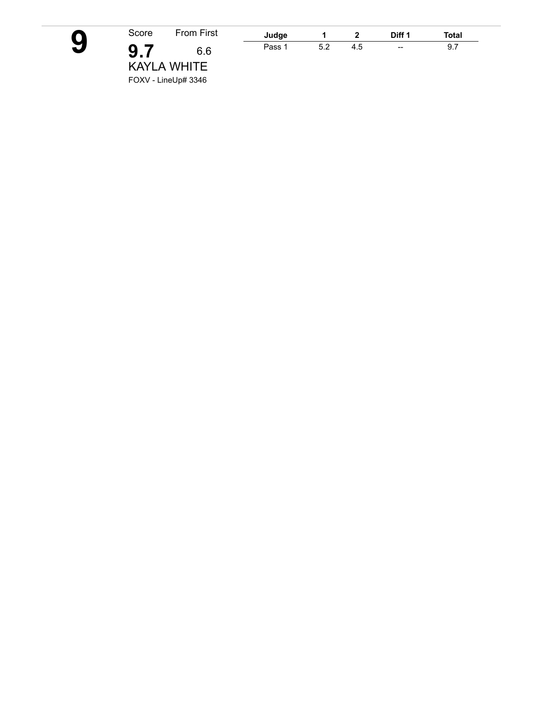**9**

| Score | From First          |
|-------|---------------------|
| 9.7   | 6.6                 |
|       | <b>KAYLA WHITE</b>  |
|       | FOXV - LineUp# 3346 |

| Judge  |    | -   | ר iff 1           | Total |  |
|--------|----|-----|-------------------|-------|--|
| Pass 1 | 52 | 1.5 | $\hspace{0.05cm}$ | 9.,   |  |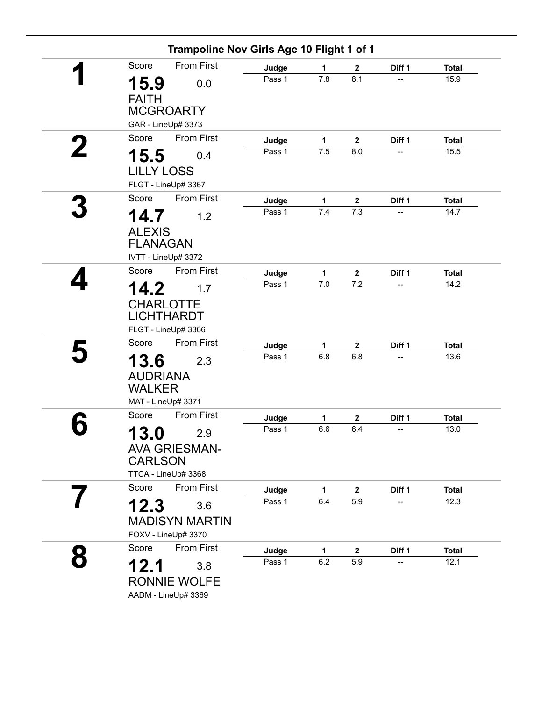| Trampoline Nov Girls Age 10 Flight 1 of 1                                    |        |              |                  |        |              |
|------------------------------------------------------------------------------|--------|--------------|------------------|--------|--------------|
| From First<br>Score                                                          | Judge  | 1            | $\mathbf{2}$     | Diff 1 | <b>Total</b> |
| 15.9<br>0.0<br><b>FAITH</b><br><b>MCGROARTY</b>                              | Pass 1 | 7.8          | 8.1              | --     | 15.9         |
| GAR - LineUp# 3373                                                           |        |              |                  |        |              |
| From First<br>Score                                                          | Judge  | $\mathbf{1}$ | $\boldsymbol{2}$ | Diff 1 | <b>Total</b> |
| 15.5<br>0.4<br><b>LILLY LOSS</b><br>FLGT - LineUp# 3367                      | Pass 1 | 7.5          | 8.0              |        | 15.5         |
| <b>From First</b><br>Score                                                   | Judge  | $\mathbf 1$  | $\mathbf{2}$     | Diff 1 | <b>Total</b> |
| 14.7<br>1.2<br><b>ALEXIS</b><br><b>FLANAGAN</b><br>IVTT - LineUp# 3372       | Pass 1 | 7.4          | 7.3              |        | 14.7         |
| <b>From First</b><br>Score                                                   | Judge  | $\mathbf{1}$ | $\boldsymbol{2}$ | Diff 1 | <b>Total</b> |
| 14.2<br>1.7<br><b>CHARLOTTE</b><br><b>LICHTHARDT</b><br>FLGT - LineUp# 3366  | Pass 1 | 7.0          | 7.2              |        | 14.2         |
| <b>From First</b><br>Score                                                   | Judge  | 1            | $\mathbf{2}$     | Diff 1 | <b>Total</b> |
| 13.6<br>2.3<br><b>AUDRIANA</b><br><b>WALKER</b><br>MAT - LineUp# 3371        | Pass 1 | 6.8          | 6.8              | --     | 13.6         |
| <b>From First</b><br>Score                                                   | Judge  | 1            | $\mathbf 2$      | Diff 1 | <b>Total</b> |
| 13.0<br>2.9<br><b>AVA GRIESMAN-</b><br><b>CARLSON</b><br>TTCA - LineUp# 3368 | Pass 1 | 6.6          | 6.4              | --     | 13.0         |
| From First<br>Score                                                          | Judge  | 1            | $\boldsymbol{2}$ | Diff 1 | <b>Total</b> |
| 12.3<br>3.6<br><b>MADISYN MARTIN</b><br>FOXV - LineUp# 3370                  | Pass 1 | 6.4          | 5.9              |        | 12.3         |
| From First<br>Score                                                          | Judge  | 1            | $\mathbf{2}$     | Diff 1 | <b>Total</b> |
| 12.1<br>3.8<br><b>RONNIE WOLFE</b><br>AADM - LineUp# 3369                    | Pass 1 | 6.2          | 5.9              |        | 12.1         |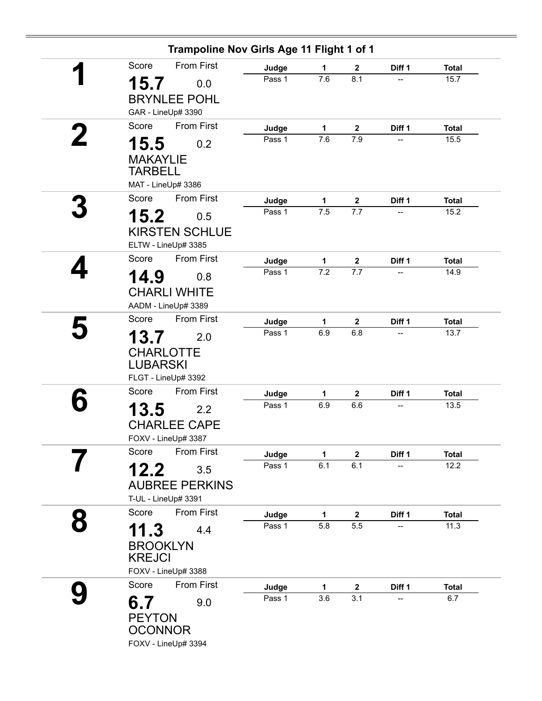|   | Trampoline Nov Girls Age 11 Flight 1 of 1 |        |              |                  |                          |              |
|---|-------------------------------------------|--------|--------------|------------------|--------------------------|--------------|
|   | <b>From First</b><br>Score                | Judge  | 1            | $\overline{2}$   | Diff 1                   | <b>Total</b> |
|   | 15.7<br>0.0                               | Pass 1 | 7.6          | 8.1              | $\overline{\phantom{a}}$ | 15.7         |
|   | <b>BRYNLEE POHL</b>                       |        |              |                  |                          |              |
|   | GAR - LineUp# 3390                        |        |              |                  |                          |              |
|   | <b>From First</b><br>Score                | Judge  | $\mathbf{1}$ | $\mathbf{2}$     | Diff 1                   | <b>Total</b> |
| 2 | 15.5<br>0.2                               | Pass 1 | 7.6          | 7.9              |                          | 15.5         |
|   | <b>MAKAYLIE</b>                           |        |              |                  |                          |              |
|   | <b>TARBELL</b>                            |        |              |                  |                          |              |
|   | MAT - LineUp# 3386                        |        |              |                  |                          |              |
|   | <b>From First</b><br>Score                | Judge  | 1            | $\mathbf{2}$     | Diff 1                   | <b>Total</b> |
|   | 15.2<br>0.5                               | Pass 1 | 7.5          | 7.7              |                          | 15.2         |
|   | <b>KIRSTEN SCHLUE</b>                     |        |              |                  |                          |              |
|   | ELTW - LineUp# 3385                       |        |              |                  |                          |              |
|   | From First<br>Score                       | Judge  | 1            | $\mathbf 2$      | Diff 1                   | <b>Total</b> |
|   | 14.9<br>0.8                               | Pass 1 | 7.2          | 7.7              |                          | 14.9         |
|   | <b>CHARLI WHITE</b>                       |        |              |                  |                          |              |
|   | AADM - LineUp# 3389                       |        |              |                  |                          |              |
|   | <b>From First</b><br>Score                | Judge  | $\mathbf{1}$ | $\mathbf 2$      | Diff 1                   | <b>Total</b> |
|   | 13.7<br>2.0                               | Pass 1 | 6.9          | 6.8              | --                       | 13.7         |
|   | <b>CHARLOTTE</b>                          |        |              |                  |                          |              |
|   | <b>LUBARSKI</b>                           |        |              |                  |                          |              |
|   | FLGT - LineUp# 3392                       |        |              |                  |                          |              |
|   | <b>From First</b><br>Score                | Judge  | 1            | $\mathbf 2$      | Diff 1                   | <b>Total</b> |
|   | 13.5<br>2.2                               | Pass 1 | 6.9          | 6.6              |                          | 13.5         |
|   | <b>CHARLEE CAPE</b>                       |        |              |                  |                          |              |
|   | FOXV - LineUp# 3387                       |        |              |                  |                          |              |
|   | <b>From First</b><br>Score                | Judge  | $\mathbf{1}$ | $\boldsymbol{2}$ | Diff 1                   | <b>Total</b> |
|   | 12.2<br>3.5                               | Pass 1 | 6.1          | 6.1              | --                       | 12.2         |
|   | <b>AUBREE PERKINS</b>                     |        |              |                  |                          |              |
|   | T-UL - LineUp# 3391                       |        |              |                  |                          |              |
|   | <b>From First</b><br>Score                | Judge  | 1            | $\mathbf{2}$     | Diff 1                   | <b>Total</b> |
|   |                                           | Pass 1 | 5.8          | 5.5              |                          | 11.3         |
|   | 11.3<br>4.4                               |        |              |                  |                          |              |
|   | <b>BROOKLYN</b><br><b>KREJCI</b>          |        |              |                  |                          |              |
|   | FOXV - LineUp# 3388                       |        |              |                  |                          |              |
|   | From First<br>Score                       | Judge  | $\mathbf{1}$ | $\boldsymbol{2}$ | Diff 1                   | <b>Total</b> |
|   |                                           | Pass 1 | 3.6          | 3.1              | --                       | 6.7          |
|   | 6.7<br>9.0                                |        |              |                  |                          |              |
|   | <b>PEYTON</b><br><b>OCONNOR</b>           |        |              |                  |                          |              |
|   | FOXV - LineUp# 3394                       |        |              |                  |                          |              |
|   |                                           |        |              |                  |                          |              |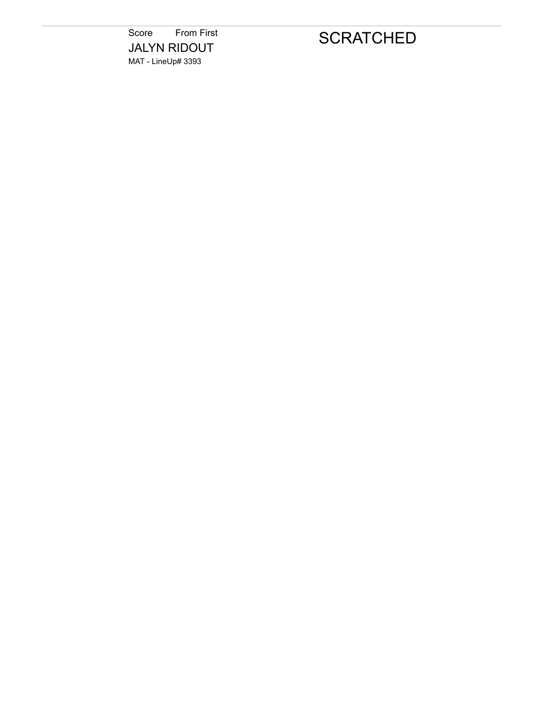Score From First JALYN RIDOUT MAT - LineUp# 3393

## **SCRATCHED**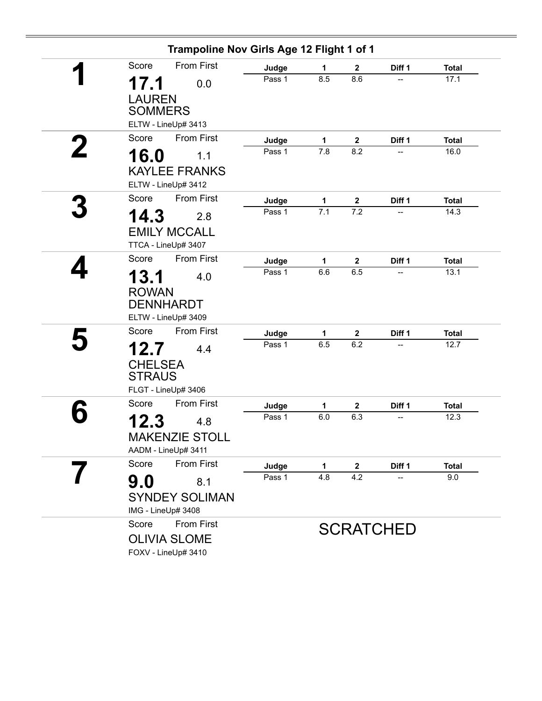| Trampoline Nov Girls Age 12 Flight 1 of 1 |        |                  |              |                  |              |
|-------------------------------------------|--------|------------------|--------------|------------------|--------------|
| From First<br>Score                       | Judge  | 1                | $\mathbf{2}$ | Diff 1           | <b>Total</b> |
| 17.1<br>0.0                               | Pass 1 | 8.5              | 8.6          | --               | 17.1         |
| <b>LAUREN</b><br><b>SOMMERS</b>           |        |                  |              |                  |              |
| ELTW - LineUp# 3413                       |        |                  |              |                  |              |
| <b>From First</b><br>Score                | Judge  | $\mathbf{1}$     | $\mathbf 2$  | Diff 1           | <b>Total</b> |
| <b>16.0</b><br>1.1                        | Pass 1 | 7.8              | 8.2          |                  | 16.0         |
| <b>KAYLEE FRANKS</b>                      |        |                  |              |                  |              |
| ELTW - LineUp# 3412                       |        |                  |              |                  |              |
| <b>From First</b><br>Score                | Judge  | 1                | $\mathbf{2}$ | Diff 1           | <b>Total</b> |
| 14.3<br>2.8                               | Pass 1 | $\overline{7.1}$ | 7.2          |                  | 14.3         |
| <b>EMILY MCCALL</b>                       |        |                  |              |                  |              |
| TTCA - LineUp# 3407                       |        |                  |              |                  |              |
| <b>From First</b><br>Score                | Judge  | 1                | $\mathbf 2$  | Diff 1           | <b>Total</b> |
| 13.1<br>4.0                               | Pass 1 | 6.6              | 6.5          | --               | 13.1         |
| <b>ROWAN</b>                              |        |                  |              |                  |              |
| <b>DENNHARDT</b>                          |        |                  |              |                  |              |
| ELTW - LineUp# 3409                       |        |                  |              |                  |              |
| <b>From First</b><br>Score                | Judge  | 1                | $\mathbf{2}$ | Diff 1           | <b>Total</b> |
| 12.7<br>4.4                               | Pass 1 | 6.5              | 6.2          |                  | 12.7         |
| <b>CHELSEA</b>                            |        |                  |              |                  |              |
| <b>STRAUS</b>                             |        |                  |              |                  |              |
| FLGT - LineUp# 3406                       |        |                  |              |                  |              |
| From First<br>Score                       | Judge  | 1                | $\mathbf 2$  | Diff 1           | <b>Total</b> |
| 12.3<br>4.8                               | Pass 1 | 6.0              | 6.3          |                  | 12.3         |
| <b>MAKENZIE STOLL</b>                     |        |                  |              |                  |              |
| AADM - LineUp# 3411                       |        |                  |              |                  |              |
| From First<br>Score                       | Judge  | 1                | $\mathbf{2}$ | Diff 1           | <b>Total</b> |
| 9.0<br>8.1                                | Pass 1 | 4.8              | 4.2          |                  | 9.0          |
| <b>SYNDEY SOLIMAN</b>                     |        |                  |              |                  |              |
| IMG - LineUp# 3408                        |        |                  |              |                  |              |
| <b>From First</b><br>Score                |        |                  |              |                  |              |
| <b>OLIVIA SLOME</b>                       |        |                  |              | <b>SCRATCHED</b> |              |
| FOXV - LineUp# 3410                       |        |                  |              |                  |              |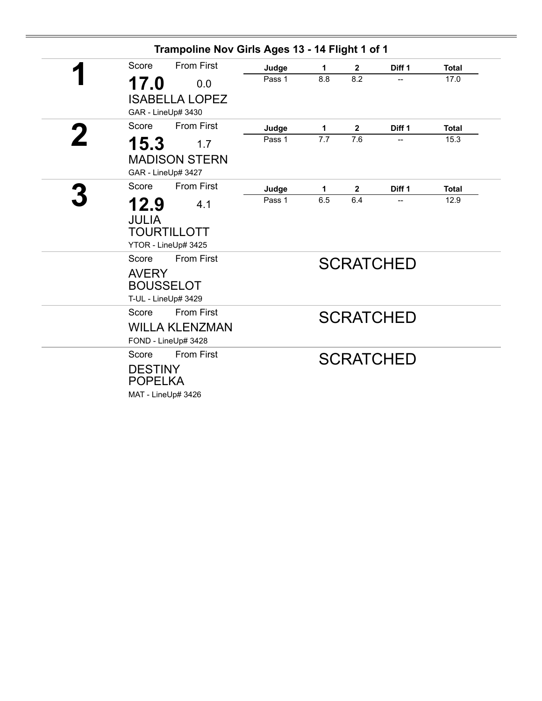|   |                | Trampoline Nov Girls Ages 13 - 14 Flight 1 of 1 |        |                  |              |                  |              |
|---|----------------|-------------------------------------------------|--------|------------------|--------------|------------------|--------------|
|   | Score          | <b>From First</b>                               | Judge  | 1                | $\mathbf{2}$ | Diff 1           | <b>Total</b> |
|   | 17.0           | 0.0                                             | Pass 1 | 8.8              | 8.2          | $\overline{a}$   | 17.0         |
|   |                | <b>ISABELLA LOPEZ</b>                           |        |                  |              |                  |              |
|   |                | GAR - LineUp# 3430                              |        |                  |              |                  |              |
|   | Score          | <b>From First</b>                               | Judge  | 1                | $\mathbf{2}$ | Diff 1           | <b>Total</b> |
| 2 | 15.3           | 1.7                                             | Pass 1 | $\overline{7.7}$ | 7.6          |                  | 15.3         |
|   |                | <b>MADISON STERN</b>                            |        |                  |              |                  |              |
|   |                | GAR - LineUp# 3427                              |        |                  |              |                  |              |
|   | Score          | <b>From First</b>                               | Judge  | 1                | $\mathbf 2$  | Diff 1           | <b>Total</b> |
|   | 12.9           | 4.1                                             | Pass 1 | 6.5              | 6.4          |                  | 12.9         |
|   | <b>JULIA</b>   |                                                 |        |                  |              |                  |              |
|   |                | <b>TOURTILLOTT</b>                              |        |                  |              |                  |              |
|   |                | YTOR - LineUp# 3425                             |        |                  |              |                  |              |
|   | Score          | <b>From First</b>                               |        |                  |              | <b>SCRATCHED</b> |              |
|   | <b>AVERY</b>   |                                                 |        |                  |              |                  |              |
|   |                | <b>BOUSSELOT</b>                                |        |                  |              |                  |              |
|   |                | T-UL - LineUp# 3429                             |        |                  |              |                  |              |
|   | Score          | <b>From First</b>                               |        |                  |              | <b>SCRATCHED</b> |              |
|   |                | <b>WILLA KLENZMAN</b>                           |        |                  |              |                  |              |
|   | Score          | FOND - LineUp# 3428<br><b>From First</b>        |        |                  |              |                  |              |
|   | <b>DESTINY</b> |                                                 |        |                  |              | <b>SCRATCHED</b> |              |
|   | <b>POPELKA</b> |                                                 |        |                  |              |                  |              |
|   |                | MAT - LineUp# 3426                              |        |                  |              |                  |              |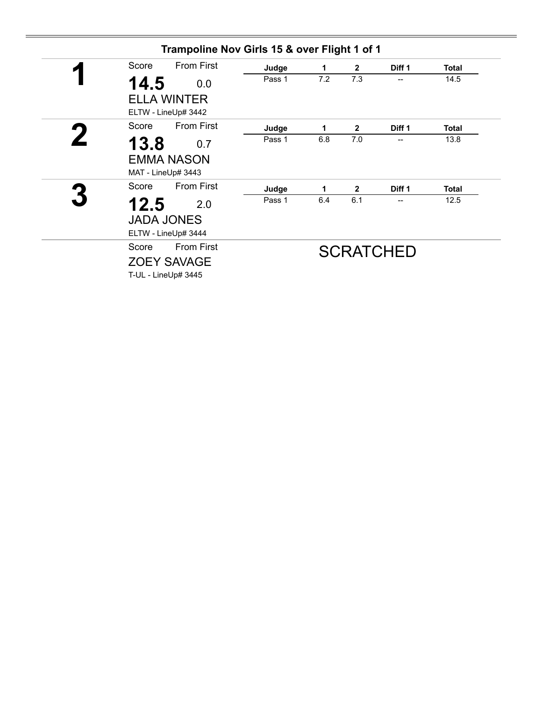| <b>From First</b><br>Score | Judge  | 1   | $\overline{2}$ | Diff 1           | <b>Total</b> |
|----------------------------|--------|-----|----------------|------------------|--------------|
| 14.5<br>0.0                | Pass 1 | 7.2 | 7.3            | --               | 14.5         |
| <b>ELLA WINTER</b>         |        |     |                |                  |              |
| ELTW - LineUp# 3442        |        |     |                |                  |              |
| <b>From First</b><br>Score | Judge  | 1   | $\overline{2}$ | Diff 1           | <b>Total</b> |
| 13.8<br>0.7                | Pass 1 | 6.8 | 7.0            | --               | 13.8         |
| <b>EMMA NASON</b>          |        |     |                |                  |              |
| MAT - LineUp# 3443         |        |     |                |                  |              |
| <b>From First</b><br>Score | Judge  | 1   | $\mathbf{2}$   | Diff 1           | <b>Total</b> |
| 12.5<br>2.0                | Pass 1 | 6.4 | 6.1            |                  | 12.5         |
| <b>JADA JONES</b>          |        |     |                |                  |              |
| ELTW - LineUp# 3444        |        |     |                |                  |              |
| <b>From First</b><br>Score |        |     |                | <b>SCRATCHED</b> |              |
| <b>ZOEY SAVAGE</b>         |        |     |                |                  |              |
| T-UL - LineUp# 3445        |        |     |                |                  |              |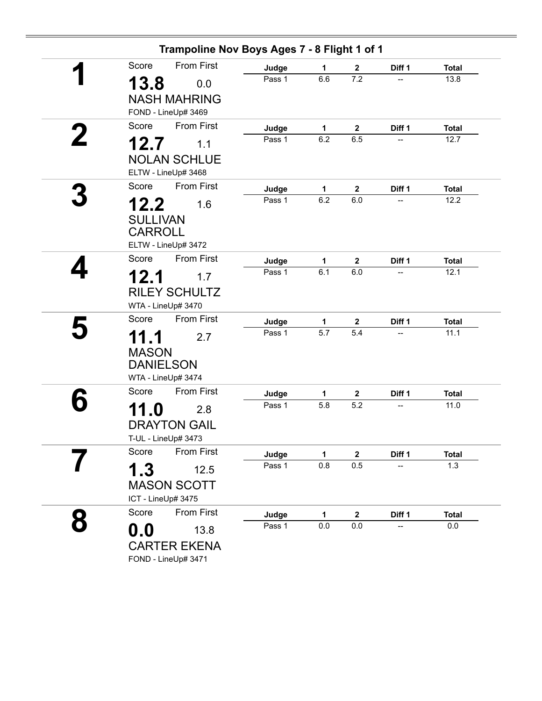| Score                             | <b>From First</b>    | Judge  | 1            | $\mathbf{2}$            | Diff 1 | <b>Total</b> |
|-----------------------------------|----------------------|--------|--------------|-------------------------|--------|--------------|
| 13.8                              | 0.0                  | Pass 1 | 6.6          | 7.2                     | --     | 13.8         |
|                                   | <b>NASH MAHRING</b>  |        |              |                         |        |              |
|                                   | FOND - LineUp# 3469  |        |              |                         |        |              |
| Score                             | <b>From First</b>    | Judge  | $\mathbf{1}$ | $\overline{\mathbf{2}}$ | Diff 1 | <b>Total</b> |
| 12.7                              | 1.1                  | Pass 1 | 6.2          | 6.5                     |        | 12.7         |
|                                   | <b>NOLAN SCHLUE</b>  |        |              |                         |        |              |
|                                   | ELTW - LineUp# 3468  |        |              |                         |        |              |
| Score                             | <b>From First</b>    | Judge  | 1            | $\mathbf 2$             | Diff 1 | <b>Total</b> |
|                                   |                      | Pass 1 | 6.2          | 6.0                     |        | 12.2         |
| 12.2                              | 1.6                  |        |              |                         |        |              |
| <b>SULLIVAN</b><br><b>CARROLL</b> |                      |        |              |                         |        |              |
|                                   | ELTW - LineUp# 3472  |        |              |                         |        |              |
| Score                             | <b>From First</b>    | Judge  | 1            | $\mathbf 2$             | Diff 1 | <b>Total</b> |
| 12.1                              | 1.7                  | Pass 1 | 6.1          | 6.0                     |        | 12.1         |
|                                   | <b>RILEY SCHULTZ</b> |        |              |                         |        |              |
|                                   | WTA - LineUp# 3470   |        |              |                         |        |              |
| Score                             | <b>From First</b>    | Judge  | 1            | $\mathbf 2$             | Diff 1 | <b>Total</b> |
| 11.1                              | 2.7                  | Pass 1 | 5.7          | 5.4                     | --     | 11.1         |
| <b>MASON</b>                      |                      |        |              |                         |        |              |
| <b>DANIELSON</b>                  |                      |        |              |                         |        |              |
|                                   | WTA - LineUp# 3474   |        |              |                         |        |              |
| Score                             | <b>From First</b>    | Judge  | 1            | $\mathbf 2$             | Diff 1 | <b>Total</b> |
| 11.0                              | 2.8                  | Pass 1 | 5.8          | 5.2                     |        | 11.0         |
|                                   | <b>DRAYTON GAIL</b>  |        |              |                         |        |              |
|                                   | T-UL - LineUp# 3473  |        |              |                         |        |              |
| Score                             | From First           | Judge  | 1            | $\mathbf 2$             | Diff 1 | <b>Total</b> |
| 1.3                               | 12.5                 | Pass 1 | 0.8          | 0.5                     |        | 1.3          |
|                                   | <b>MASON SCOTT</b>   |        |              |                         |        |              |
| ICT - LineUp# 3475                |                      |        |              |                         |        |              |
| Score                             | From First           | Judge  | 1            | $\mathbf 2$             | Diff 1 | <b>Total</b> |
| $\mathbf{0.0}$                    | 13.8                 | Pass 1 | 0.0          | $0.0\,$                 |        | 0.0          |
|                                   | <b>CARTER EKENA</b>  |        |              |                         |        |              |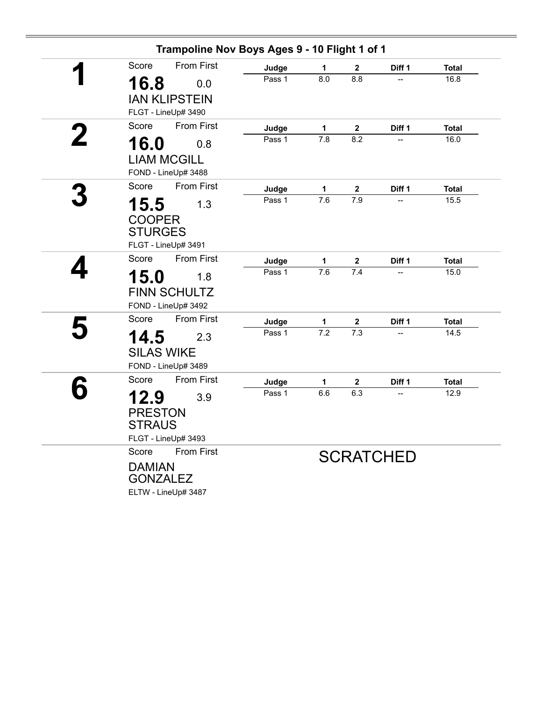|   | Score                           | <b>From First</b>    | Judge  | 1                | $\mathbf 2$      | Diff 1           | <b>Total</b> |
|---|---------------------------------|----------------------|--------|------------------|------------------|------------------|--------------|
|   | 16.8                            | 0.0                  | Pass 1 | 8.0              | 8.8              |                  | 16.8         |
|   |                                 | <b>IAN KLIPSTEIN</b> |        |                  |                  |                  |              |
|   |                                 | FLGT - LineUp# 3490  |        |                  |                  |                  |              |
|   | Score                           | <b>From First</b>    | Judge  | 1                | $\mathbf{2}$     | Diff 1           | <b>Total</b> |
|   | 16.0                            | 0.8                  | Pass 1 | 7.8              | 8.2              |                  | 16.0         |
|   |                                 | <b>LIAM MCGILL</b>   |        |                  |                  |                  |              |
|   |                                 | FOND - LineUp# 3488  |        |                  |                  |                  |              |
|   | Score                           | <b>From First</b>    | Judge  | $\mathbf 1$      | $\mathbf{2}$     | Diff 1           | <b>Total</b> |
|   | 15.5                            | 1.3                  | Pass 1 | 7.6              | 7.9              |                  | 15.5         |
|   |                                 |                      |        |                  |                  |                  |              |
|   | <b>COOPER</b><br><b>STURGES</b> |                      |        |                  |                  |                  |              |
|   |                                 | FLGT - LineUp# 3491  |        |                  |                  |                  |              |
|   | Score                           | <b>From First</b>    | Judge  | 1                | $\boldsymbol{2}$ | Diff 1           | <b>Total</b> |
|   | 15.0                            | 1.8                  | Pass 1 | 7.6              | 7.4              | $\overline{a}$   | 15.0         |
|   |                                 | <b>FINN SCHULTZ</b>  |        |                  |                  |                  |              |
|   |                                 | FOND - LineUp# 3492  |        |                  |                  |                  |              |
|   | Score                           | <b>From First</b>    | Judge  | 1                | $\mathbf 2$      | Diff 1           | <b>Total</b> |
| 5 | 14.5                            | 2.3                  | Pass 1 | $\overline{7.2}$ | 7.3              |                  | 14.5         |
|   | <b>SILAS WIKE</b>               |                      |        |                  |                  |                  |              |
|   |                                 | FOND - LineUp# 3489  |        |                  |                  |                  |              |
|   | Score                           | <b>From First</b>    | Judge  | 1                | $\mathbf{2}$     | Diff 1           | <b>Total</b> |
|   | 12.9                            | 3.9                  | Pass 1 | 6.6              | 6.3              |                  | 12.9         |
|   | <b>PRESTON</b>                  |                      |        |                  |                  |                  |              |
|   | <b>STRAUS</b>                   |                      |        |                  |                  |                  |              |
|   |                                 | FLGT - LineUp# 3493  |        |                  |                  |                  |              |
|   | Score                           | <b>From First</b>    |        |                  |                  |                  |              |
|   | <b>DAMIAN</b>                   |                      |        |                  |                  | <b>SCRATCHED</b> |              |
|   | <b>GONZALEZ</b>                 |                      |        |                  |                  |                  |              |
|   |                                 | ELTW - LineUp# 3487  |        |                  |                  |                  |              |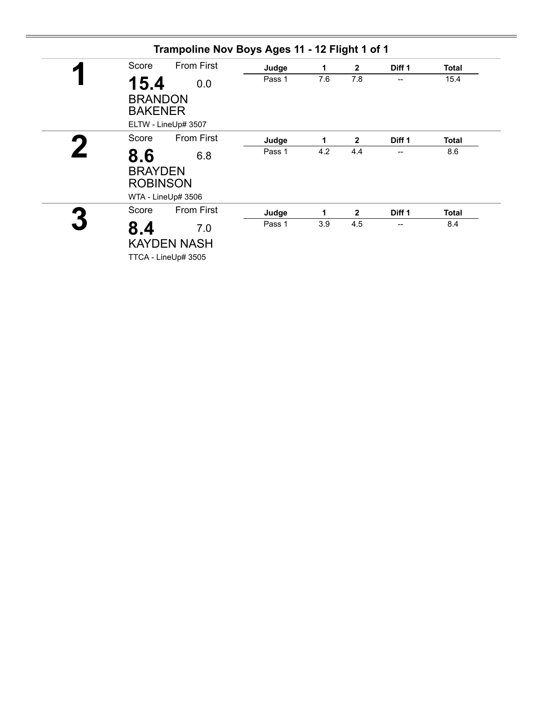| Score                                    | <b>From First</b>                                | Judge  | 1   | $\mathbf{2}$ | Diff 1 | <b>Total</b> |
|------------------------------------------|--------------------------------------------------|--------|-----|--------------|--------|--------------|
| 15.4<br><b>BRANDON</b><br><b>BAKENER</b> | 0.0<br>ELTW - LineUp# 3507                       | Pass 1 | 7.6 | 7.8          | --     | 15.4         |
| Score                                    | <b>From First</b>                                | Judge  | 1   | $\mathbf{2}$ | Diff 1 | <b>Total</b> |
| 8.6<br><b>BRAYDEN</b><br><b>ROBINSON</b> | 6.8<br>WTA - LineUp# 3506                        | Pass 1 | 4.2 | 4.4          | --     | 8.6          |
| Score                                    | <b>From First</b>                                | Judge  | 1   | $\mathbf{2}$ | Diff 1 | <b>Total</b> |
| 8.4                                      | 7.0<br><b>KAYDEN NASH</b><br>TTCA - LineUp# 3505 | Pass 1 | 3.9 | 4.5          | --     | 8.4          |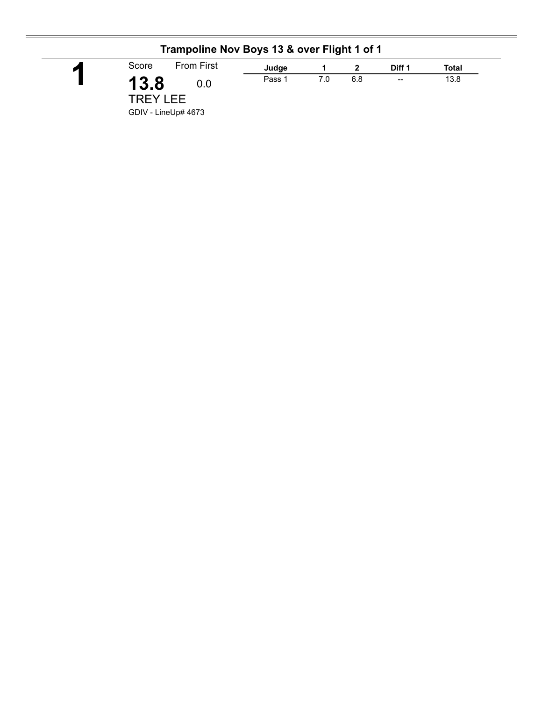| Trampoline Nov Boys 13 & over Flight 1 of 1 |                            |        |     |     |                          |       |  |  |
|---------------------------------------------|----------------------------|--------|-----|-----|--------------------------|-------|--|--|
| П                                           | <b>From First</b><br>Score | Judge  |     |     | Diff 1                   | Total |  |  |
|                                             | 13.8<br>0.0                | Pass 1 | 7.0 | 6.8 | $\overline{\phantom{a}}$ | 13.8  |  |  |
|                                             | <b>TREY LEE</b>            |        |     |     |                          |       |  |  |
|                                             | GDIV - LineUp# 4673        |        |     |     |                          |       |  |  |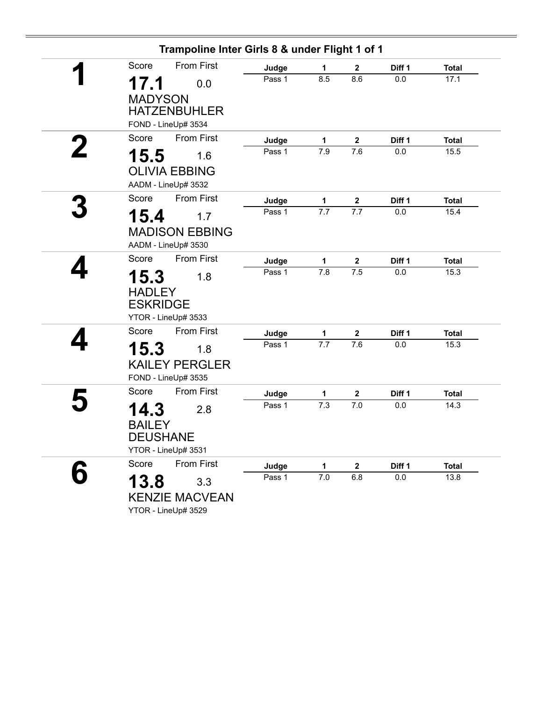|                                          | Trampoline Inter Girls 8 & under Flight 1 of 1      |        |              |                  |         |              |
|------------------------------------------|-----------------------------------------------------|--------|--------------|------------------|---------|--------------|
| Score                                    | <b>From First</b>                                   | Judge  | 1            | 2                | Diff 1  | <b>Total</b> |
| 17.1                                     | 0.0                                                 | Pass 1 | 8.5          | 8.6              | 0.0     | 17.1         |
| <b>MADYSON</b>                           | <b>HATZENBUHLER</b><br>FOND - LineUp# 3534          |        |              |                  |         |              |
| Score                                    | <b>From First</b>                                   | Judge  | $\mathbf{1}$ | $\boldsymbol{2}$ | Diff 1  | <b>Total</b> |
| 15.5                                     | 1.6<br><b>OLIVIA EBBING</b><br>AADM - LineUp# 3532  | Pass 1 | 7.9          | 7.6              | 0.0     | 15.5         |
| Score                                    | <b>From First</b>                                   | Judge  | $\mathbf 1$  | $\mathbf{2}$     | Diff 1  | <b>Total</b> |
| 15.4                                     | 1.7                                                 | Pass 1 | 7.7          | 7.7              | 0.0     | 15.4         |
|                                          | <b>MADISON EBBING</b><br>AADM - LineUp# 3530        |        |              |                  |         |              |
| Score                                    | From First                                          | Judge  | 1            | $\mathbf{2}$     | Diff 1  | <b>Total</b> |
| 15.3<br><b>HADLEY</b><br><b>ESKRIDGE</b> | 1.8                                                 | Pass 1 | 7.8          | 7.5              | 0.0     | 15.3         |
|                                          | YTOR - LineUp# 3533                                 |        |              |                  |         |              |
| Score                                    | <b>From First</b>                                   | Judge  | 1            | $\mathbf{2}$     | Diff 1  | <b>Total</b> |
| 15.3                                     | 1.8<br><b>KAILEY PERGLER</b><br>FOND - LineUp# 3535 | Pass 1 | 7.7          | 7.6              | 0.0     | 15.3         |
| Score                                    | <b>From First</b>                                   | Judge  | 1            | $\mathbf 2$      | Diff 1  | <b>Total</b> |
| 14.3<br><b>BAILEY</b>                    | 2.8<br><b>DEUSHANE</b><br>YTOR - LineUp# 3531       | Pass 1 | 7.3          | 7.0              | $0.0\,$ | 14.3         |
| Score                                    | <b>From First</b>                                   | Judge  | $\mathbf{1}$ | $\mathbf 2$      | Diff 1  | <b>Total</b> |
| 13.8                                     | 3.3<br><b>KENZIE MACVEAN</b><br>YTOR - LineUp# 3529 | Pass 1 | $7.0$        | 6.8              | 0.0     | 13.8         |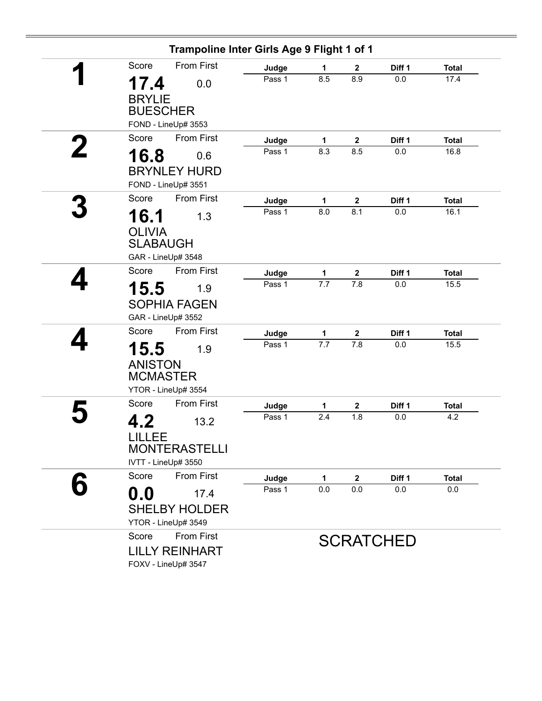|                                                                  |                   | Trampoline Inter Girls Age 9 Flight 1 of 1 |              |                  |        |              |  |
|------------------------------------------------------------------|-------------------|--------------------------------------------|--------------|------------------|--------|--------------|--|
| Score                                                            | <b>From First</b> | Judge                                      | 1            | $\mathbf{2}$     | Diff 1 | <b>Total</b> |  |
| 17.4<br><b>BRYLIE</b><br><b>BUESCHER</b>                         | 0.0               | Pass 1                                     | 8.5          | 8.9              | 0.0    | 17.4         |  |
| FOND - LineUp# 3553                                              |                   |                                            |              |                  |        |              |  |
| Score                                                            | <b>From First</b> | Judge                                      | 1            | $\mathbf{2}$     | Diff 1 | <b>Total</b> |  |
| 16.8<br><b>BRYNLEY HURD</b><br>FOND - LineUp# 3551               | 0.6               | Pass 1                                     | 8.3          | 8.5              | 0.0    | 16.8         |  |
| Score                                                            | From First        | Judge                                      | $\mathbf{1}$ | $\boldsymbol{2}$ | Diff 1 | <b>Total</b> |  |
| 16.1<br><b>OLIVIA</b><br><b>SLABAUGH</b><br>GAR - LineUp# 3548   | 1.3               | Pass 1                                     | 8.0          | 8.1              | 0.0    | 16.1         |  |
| Score                                                            | <b>From First</b> | Judge                                      | $\mathbf 1$  | $\mathbf{2}$     | Diff 1 | <b>Total</b> |  |
| 15.5<br><b>SOPHIA FAGEN</b><br>GAR - LineUp# 3552                | 1.9               | Pass 1                                     | 7.7          | 7.8              | 0.0    | 15.5         |  |
| Score                                                            | From First        | Judge                                      | 1            | $\mathbf 2$      | Diff 1 | <b>Total</b> |  |
| 15.5<br><b>ANISTON</b><br><b>MCMASTER</b><br>YTOR - LineUp# 3554 | 1.9               | Pass 1                                     | 7.7          | 7.8              | 0.0    | 15.5         |  |
| Score                                                            | <b>From First</b> | Judge                                      | 1            | $\mathbf{2}$     | Diff 1 | <b>Total</b> |  |
| 4.2<br>LILLEE<br><b>MONTERASTELLI</b><br>IVTT - LineUp# 3550     | 13.2              | Pass 1                                     | 2.4          | 1.8              | 0.0    | 4.2          |  |
| Score                                                            | <b>From First</b> | Judge                                      | 1            | $\mathbf 2$      | Diff 1 | <b>Total</b> |  |
| $\mathbf{0.0}$<br><b>SHELBY HOLDER</b><br>YTOR - LineUp# 3549    | 17.4              | Pass 1                                     | 0.0          | 0.0              | 0.0    | 0.0          |  |
| Score<br><b>LILLY REINHART</b><br>FOXV - LineUp# 3547            | <b>From First</b> | <b>SCRATCHED</b>                           |              |                  |        |              |  |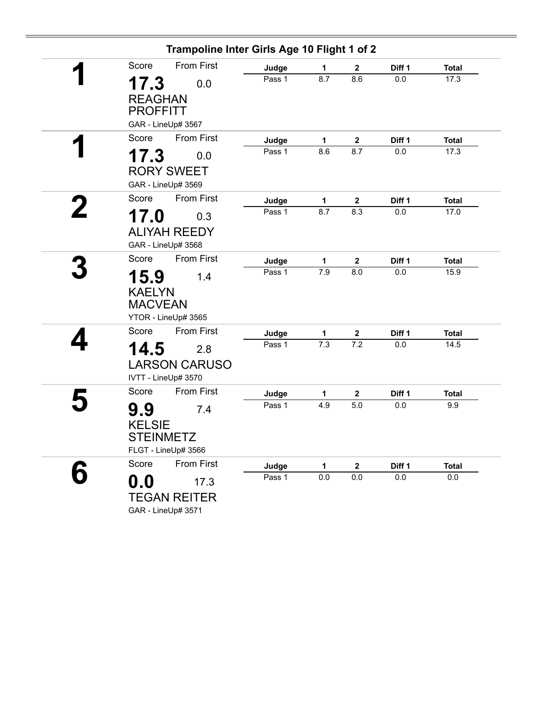|                                         | Trampoline Inter Girls Age 10 Flight 1 of 2 |        |              |                  |         |              |
|-----------------------------------------|---------------------------------------------|--------|--------------|------------------|---------|--------------|
| Score                                   | <b>From First</b>                           | Judge  | 1            | $\mathbf{2}$     | Diff 1  | <b>Total</b> |
| 17.3                                    | 0.0                                         | Pass 1 | 8.7          | 8.6              | 0.0     | 17.3         |
| <b>REAGHAN</b><br><b>PROFFITT</b>       |                                             |        |              |                  |         |              |
|                                         | GAR - LineUp# 3567                          |        |              |                  |         |              |
| Score                                   | <b>From First</b>                           | Judge  | $\mathbf{1}$ | $\boldsymbol{2}$ | Diff 1  | <b>Total</b> |
| 17.3                                    | 0.0                                         | Pass 1 | 8.6          | 8.7              | 0.0     | 17.3         |
|                                         | <b>RORY SWEET</b><br>GAR - LineUp# 3569     |        |              |                  |         |              |
| Score                                   | <b>From First</b>                           | Judge  | 1            | $\mathbf{2}$     | Diff 1  | <b>Total</b> |
| 17.0                                    | 0.3                                         | Pass 1 | 8.7          | 8.3              | 0.0     | 17.0         |
|                                         | <b>ALIYAH REEDY</b><br>GAR - LineUp# 3568   |        |              |                  |         |              |
| Score                                   | <b>From First</b>                           | Judge  | 1            | $\mathbf 2$      | Diff 1  | <b>Total</b> |
| 15.9<br><b>KAELYN</b><br><b>MACVEAN</b> | 1.4                                         | Pass 1 | 7.9          | 8.0              | 0.0     | 15.9         |
|                                         | YTOR - LineUp# 3565                         |        |              |                  |         |              |
| Score                                   | <b>From First</b>                           | Judge  | 1            | $\boldsymbol{2}$ | Diff 1  | <b>Total</b> |
| 14.5                                    | 2.8<br><b>LARSON CARUSO</b>                 | Pass 1 | 7.3          | 7.2              | 0.0     | 14.5         |
|                                         | IVTT - LineUp# 3570                         |        |              |                  |         |              |
| Score                                   | <b>From First</b>                           | Judge  | $\mathbf{1}$ | $\mathbf{2}$     | Diff 1  | <b>Total</b> |
| 9.9<br><b>KELSIE</b>                    | 7.4                                         | Pass 1 | 4.9          | 5.0              | 0.0     | 9.9          |
| <b>STEINMETZ</b>                        | FLGT - LineUp# 3566                         |        |              |                  |         |              |
| Score                                   | From First                                  | Judge  | 1            | $\mathbf 2$      | Diff 1  | <b>Total</b> |
| 0.0                                     | 17.3<br><b>TEGAN REITER</b>                 | Pass 1 | $0.0\,$      | $0.0\,$          | $0.0\,$ | 0.0          |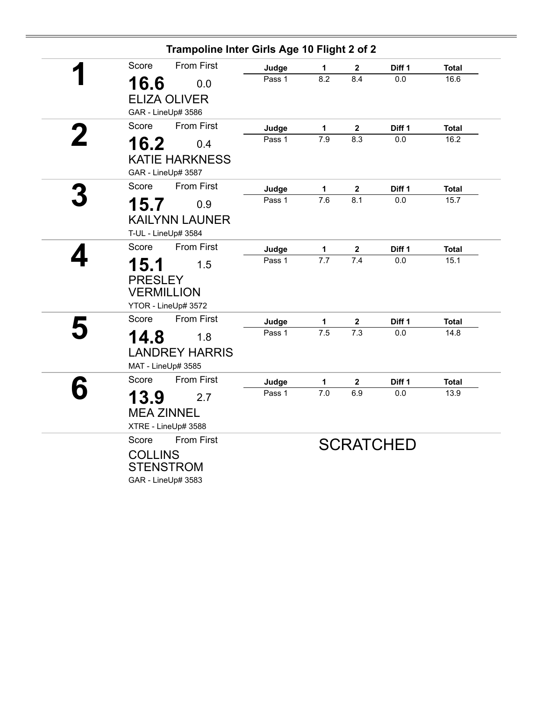| Trampoline Inter Girls Age 10 Flight 2 of 2 |        |                  |                         |                   |              |
|---------------------------------------------|--------|------------------|-------------------------|-------------------|--------------|
| <b>From First</b><br>Score                  | Judge  | 1                | $\mathbf 2$             | Diff 1            | <b>Total</b> |
| 16.6<br>0.0                                 | Pass 1 | 8.2              | 8.4                     | 0.0               | 16.6         |
| <b>ELIZA OLIVER</b>                         |        |                  |                         |                   |              |
| GAR - LineUp# 3586                          |        |                  |                         |                   |              |
| <b>From First</b><br>Score                  | Judge  | 1                | $\boldsymbol{2}$        | Diff 1            | <b>Total</b> |
| 16.2<br>0.4                                 | Pass 1 | 7.9              | 8.3                     | 0.0               | 16.2         |
| <b>KATIE HARKNESS</b>                       |        |                  |                         |                   |              |
| GAR - LineUp# 3587                          |        |                  |                         |                   |              |
| <b>From First</b><br>Score                  | Judge  | $\mathbf{1}$     | $\mathbf{2}$            | Diff <sub>1</sub> | <b>Total</b> |
| 15.7<br>0.9                                 | Pass 1 | $\overline{7.6}$ | 8.1                     | 0.0               | 15.7         |
| <b>KAILYNN LAUNER</b>                       |        |                  |                         |                   |              |
| T-UL - LineUp# 3584                         |        |                  |                         |                   |              |
| <b>From First</b><br>Score                  | Judge  | $\mathbf{1}$     | $\overline{\mathbf{2}}$ | Diff 1            | <b>Total</b> |
| 15.1<br>1.5                                 | Pass 1 | 7.7              | $\overline{7.4}$        | 0.0               | 15.1         |
| <b>PRESLEY</b>                              |        |                  |                         |                   |              |
| <b>VERMILLION</b>                           |        |                  |                         |                   |              |
| YTOR - LineUp# 3572                         |        |                  |                         |                   |              |
| <b>From First</b><br>Score                  | Judge  | $\mathbf{1}$     | $\mathbf 2$             | Diff 1            | <b>Total</b> |
| 14.8<br>1.8                                 | Pass 1 | 7.5              | 7.3                     | 0.0               | 14.8         |
| <b>LANDREY HARRIS</b>                       |        |                  |                         |                   |              |
| MAT - LineUp# 3585                          |        |                  |                         |                   |              |
| Score<br><b>From First</b>                  | Judge  | 1                | $\mathbf 2$             | Diff 1            | <b>Total</b> |
| 13.9<br>2.7                                 | Pass 1 | 7.0              | 6.9                     | 0.0               | 13.9         |
| <b>MEA ZINNEL</b>                           |        |                  |                         |                   |              |
| XTRE - LineUp# 3588                         |        |                  |                         |                   |              |
| <b>From First</b><br>Score                  |        |                  |                         | <b>SCRATCHED</b>  |              |
| <b>COLLINS</b>                              |        |                  |                         |                   |              |
| <b>STENSTROM</b>                            |        |                  |                         |                   |              |
| GAR - LineUp# 3583                          |        |                  |                         |                   |              |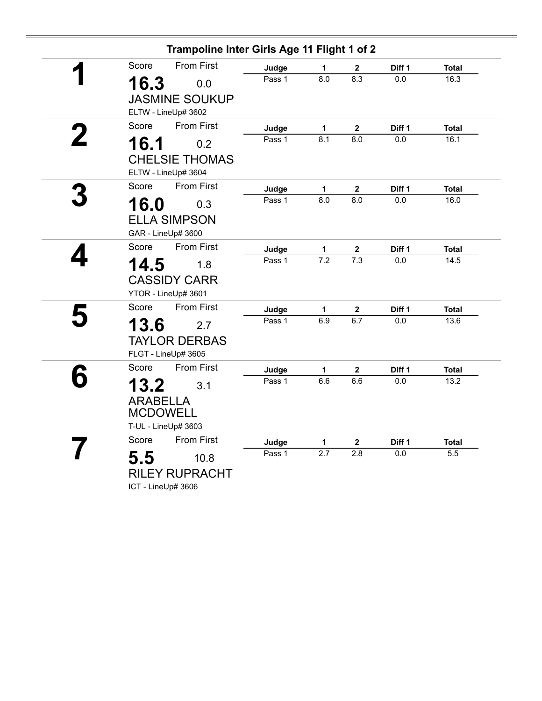|                    | Trampoline Inter Girls Age 11 Flight 1 of 2 |        |                  |                  |                   |              |
|--------------------|---------------------------------------------|--------|------------------|------------------|-------------------|--------------|
| Score              | <b>From First</b>                           | Judge  | 1                | $\mathbf 2$      | Diff 1            | <b>Total</b> |
| 16.3               | 0.0                                         | Pass 1 | 8.0              | 8.3              | 0.0               | 16.3         |
|                    | <b>JASMINE SOUKUP</b>                       |        |                  |                  |                   |              |
|                    | ELTW - LineUp# 3602                         |        |                  |                  |                   |              |
| Score              | <b>From First</b>                           | Judge  | $\mathbf{1}$     | $\boldsymbol{2}$ | Diff 1            | <b>Total</b> |
| 16.1               | 0.2                                         | Pass 1 | 8.1              | 8.0              | 0.0               | 16.1         |
|                    | <b>CHELSIE THOMAS</b>                       |        |                  |                  |                   |              |
|                    | ELTW - LineUp# 3604                         |        |                  |                  |                   |              |
| Score              | <b>From First</b>                           | Judge  | 1                | $\mathbf 2$      | Diff 1            | <b>Total</b> |
| 16.0               | 0.3                                         | Pass 1 | $\overline{8.0}$ | $\overline{8.0}$ | 0.0               | 16.0         |
|                    | <b>ELLA SIMPSON</b>                         |        |                  |                  |                   |              |
|                    | GAR - LineUp# 3600                          |        |                  |                  |                   |              |
| Score              | <b>From First</b>                           | Judge  | 1                | $\mathbf 2$      | Diff 1            | <b>Total</b> |
| 14.5               | 1.8                                         | Pass 1 | $\overline{7.2}$ | $\overline{7.3}$ | 0.0               | 14.5         |
|                    | <b>CASSIDY CARR</b>                         |        |                  |                  |                   |              |
|                    | YTOR - LineUp# 3601                         |        |                  |                  |                   |              |
| Score              | From First                                  | Judge  | $\mathbf{1}$     | $\mathbf 2$      | Diff 1            | <b>Total</b> |
| 13.6               | 2.7                                         | Pass 1 | 6.9              | 6.7              | 0.0               | 13.6         |
|                    | <b>TAYLOR DERBAS</b>                        |        |                  |                  |                   |              |
|                    | FLGT - LineUp# 3605                         |        |                  |                  |                   |              |
| Score              | <b>From First</b>                           | Judge  | $\mathbf 1$      | $\mathbf{2}$     | Diff <sub>1</sub> | <b>Total</b> |
| 13.2               | 3.1                                         | Pass 1 | 6.6              | 6.6              | $0.0\,$           | 13.2         |
| <b>ARABELLA</b>    |                                             |        |                  |                  |                   |              |
| <b>MCDOWELL</b>    |                                             |        |                  |                  |                   |              |
|                    | T-UL - LineUp# 3603                         |        |                  |                  |                   |              |
| Score              | From First                                  | Judge  | $\mathbf 1$      | $\mathbf{2}$     | Diff <sub>1</sub> | <b>Total</b> |
| 5.5                | 10.8                                        | Pass 1 | 2.7              | 2.8              | $0.0\,$           | 5.5          |
|                    | <b>RILEY RUPRACHT</b>                       |        |                  |                  |                   |              |
| ICT - LineUp# 3606 |                                             |        |                  |                  |                   |              |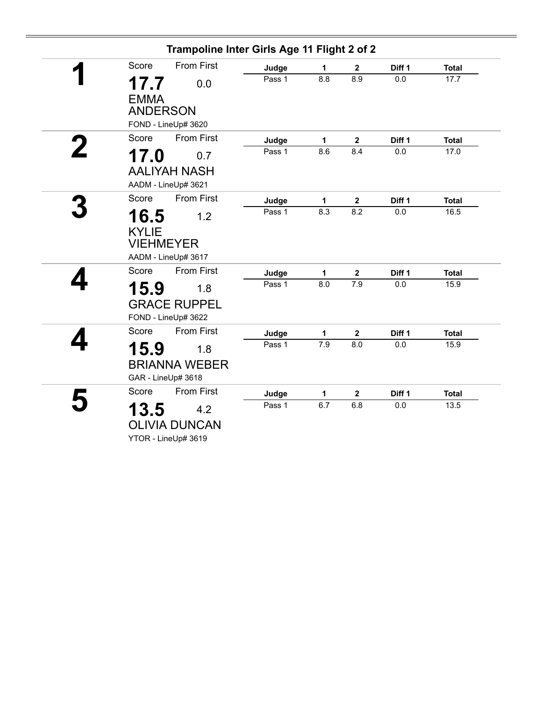| Trampoline Inter Girls Age 11 Flight 2 of 2                            |        |     |                         |        |              |
|------------------------------------------------------------------------|--------|-----|-------------------------|--------|--------------|
| <b>From First</b><br>Score                                             | Judge  | 1   | $\mathbf{2}$            | Diff 1 | <b>Total</b> |
| 17.7<br>0.0<br><b>EMMA</b>                                             | Pass 1 | 8.8 | 8.9                     | 0.0    | 17.7         |
| <b>ANDERSON</b><br>FOND - LineUp# 3620                                 |        |     |                         |        |              |
| <b>From First</b><br>Score                                             | Judge  | 1   | $\mathbf 2$             | Diff 1 | <b>Total</b> |
| 17.0<br>0.7<br><b>AALIYAH NASH</b><br>AADM - LineUp# 3621              | Pass 1 | 8.6 | 8.4                     | 0.0    | 17.0         |
| Score<br><b>From First</b>                                             | Judge  | 1   | $\overline{\mathbf{2}}$ | Diff 1 | <b>Total</b> |
| 16.5<br>1.2<br><b>KYLIE</b><br><b>VIEHMEYER</b><br>AADM - LineUp# 3617 | Pass 1 | 8.3 | 8.2                     | 0.0    | 16.5         |
| <b>From First</b><br>Score                                             | Judge  | 1   | $\mathbf 2$             | Diff 1 | <b>Total</b> |
| 15.9<br>1.8<br><b>GRACE RUPPEL</b><br>FOND - LineUp# 3622              | Pass 1 | 8.0 | 7.9                     | 0.0    | 15.9         |
| From First<br>Score                                                    | Judge  | 1   | $\mathbf 2$             | Diff 1 | <b>Total</b> |
| 15.9<br>1.8                                                            | Pass 1 | 7.9 | 8.0                     | 0.0    | 15.9         |
| <b>BRIANNA WEBER</b><br>GAR - LineUp# 3618                             |        |     |                         |        |              |
| <b>From First</b><br>Score                                             | Judge  | 1   | $\mathbf 2$             | Diff 1 | <b>Total</b> |
| 13.5<br>4.2<br><b>OLIVIA DUNCAN</b><br>YTOR - LineUp# 3619             | Pass 1 | 6.7 | 6.8                     | 0.0    | 13.5         |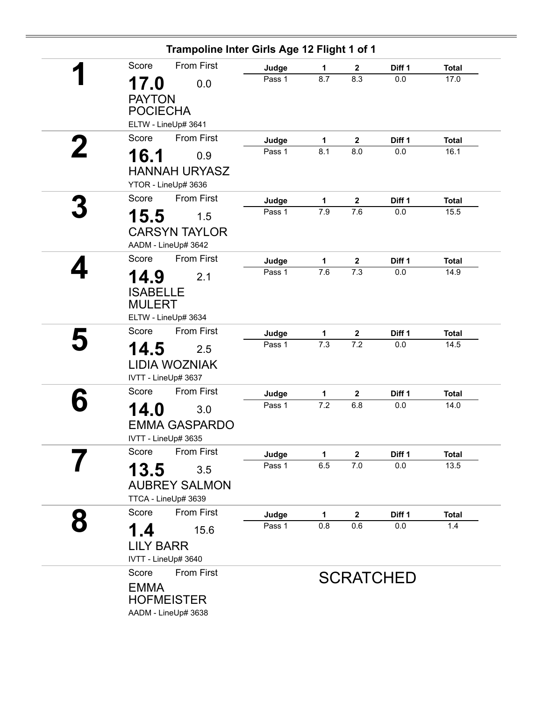|   | Trampoline Inter Girls Age 12 Flight 1 of 1       |                 |          |                                 |                  |                      |
|---|---------------------------------------------------|-----------------|----------|---------------------------------|------------------|----------------------|
|   | <b>From First</b><br>Score                        | Judge           | 1        | $\mathbf{2}$                    | Diff 1           | <b>Total</b>         |
|   | 17.0<br>0.0                                       | Pass 1          | 8.7      | 8.3                             | 0.0              | 17.0                 |
|   | <b>PAYTON</b>                                     |                 |          |                                 |                  |                      |
|   | <b>POCIECHA</b>                                   |                 |          |                                 |                  |                      |
|   | ELTW - LineUp# 3641                               |                 |          |                                 |                  |                      |
|   | <b>From First</b><br>Score                        | Judge           | 1        | $\overline{\mathbf{2}}$         | Diff 1           | <b>Total</b>         |
|   | 16.1<br>0.9                                       | Pass 1          | 8.1      | 8.0                             | 0.0              | 16.1                 |
|   | <b>HANNAH URYASZ</b>                              |                 |          |                                 |                  |                      |
|   | YTOR - LineUp# 3636                               |                 |          |                                 |                  |                      |
|   | <b>From First</b><br>Score                        | Judge           | 1        | $\mathbf{2}$                    | Diff 1           | <b>Total</b>         |
|   | 15.5<br>1.5                                       | Pass 1          | 7.9      | 7.6                             | 0.0              | 15.5                 |
|   |                                                   |                 |          |                                 |                  |                      |
|   | <b>CARSYN TAYLOR</b><br>AADM - LineUp# 3642       |                 |          |                                 |                  |                      |
|   | Score<br>From First                               |                 |          |                                 |                  |                      |
|   |                                                   | Judge<br>Pass 1 | 1<br>7.6 | $\mathbf 2$<br>$\overline{7.3}$ | Diff 1<br>0.0    | <b>Total</b><br>14.9 |
|   | 14.9<br>2.1                                       |                 |          |                                 |                  |                      |
|   | <b>ISABELLE</b>                                   |                 |          |                                 |                  |                      |
|   | <b>MULERT</b>                                     |                 |          |                                 |                  |                      |
|   | ELTW - LineUp# 3634<br><b>From First</b><br>Score |                 |          |                                 |                  |                      |
|   |                                                   | Judge<br>Pass 1 | 1<br>7.3 | $\mathbf{2}$<br>7.2             | Diff 1<br>0.0    | <b>Total</b><br>14.5 |
|   | 14.5<br>2.5                                       |                 |          |                                 |                  |                      |
|   | <b>LIDIA WOZNIAK</b>                              |                 |          |                                 |                  |                      |
|   | IVTT - LineUp# 3637                               |                 |          |                                 |                  |                      |
|   | <b>From First</b><br>Score                        | Judge           | 1        | $\overline{\mathbf{2}}$         | Diff 1           | <b>Total</b>         |
|   | 14.0<br>3.0                                       | Pass 1          | 7.2      | 6.8                             | 0.0              | 14.0                 |
|   | <b>EMMA GASPARDO</b>                              |                 |          |                                 |                  |                      |
|   | IVTT - LineUp# 3635                               |                 |          |                                 |                  |                      |
|   | From First<br>Score                               | Judge           | 1        | $\boldsymbol{2}$                | Diff 1           | <b>Total</b>         |
|   | 13.5<br>3.5                                       | Pass 1          | 6.5      | 7.0                             | 0.0              | 13.5                 |
|   | <b>AUBREY SALMON</b>                              |                 |          |                                 |                  |                      |
|   | TTCA - LineUp# 3639                               |                 |          |                                 |                  |                      |
|   | <b>From First</b><br>Score                        | Judge           | 1        | $\mathbf{2}$                    | Diff 1           | <b>Total</b>         |
| 8 | 1.4<br>15.6                                       | Pass 1          | 0.8      | 0.6                             | 0.0              | 1.4                  |
|   | <b>LILY BARR</b>                                  |                 |          |                                 |                  |                      |
|   | IVTT - LineUp# 3640                               |                 |          |                                 |                  |                      |
|   | <b>From First</b><br>Score                        |                 |          |                                 |                  |                      |
|   | <b>EMMA</b>                                       |                 |          |                                 | <b>SCRATCHED</b> |                      |
|   | <b>HOFMEISTER</b>                                 |                 |          |                                 |                  |                      |
|   | AADM - LineUp# 3638                               |                 |          |                                 |                  |                      |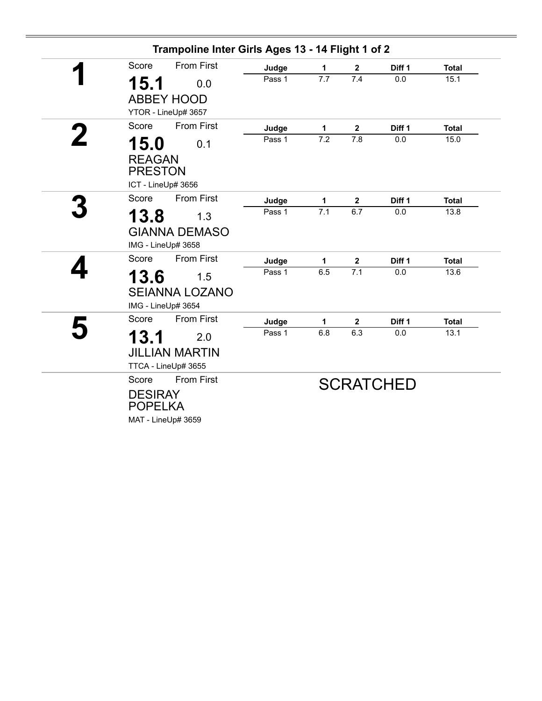| Score                                     | <b>From First</b>                                   | Judge  | $\mathbf{1}$ | $\overline{2}$          | Diff 1           | <b>Total</b> |
|-------------------------------------------|-----------------------------------------------------|--------|--------------|-------------------------|------------------|--------------|
| 15.1                                      | 0.0                                                 | Pass 1 | 7.7          | 7.4                     | 0.0              | 15.1         |
|                                           | <b>ABBEY HOOD</b><br>YTOR - LineUp# 3657            |        |              |                         |                  |              |
| Score                                     | <b>From First</b>                                   | Judge  | $\mathbf 1$  | $\overline{\mathbf{2}}$ | Diff 1           | <b>Total</b> |
| 15.0<br><b>REAGAN</b><br><b>PRESTON</b>   | 0.1<br>ICT - LineUp# 3656                           | Pass 1 | 7.2          | 7.8                     | 0.0              | 15.0         |
| Score                                     | <b>From First</b>                                   | Judge  | $\mathbf{1}$ | $\mathbf 2$             | Diff 1           | <b>Total</b> |
| 13.8                                      | 1.3<br><b>GIANNA DEMASO</b>                         | Pass 1 | 7.1          | 6.7                     | 0.0              | 13.8         |
|                                           | IMG - LineUp# 3658                                  |        |              |                         |                  |              |
| Score                                     | <b>From First</b>                                   | Judge  | 1            | $\mathbf 2$             | Diff 1           | <b>Total</b> |
| 13.6                                      | 1.5<br><b>SEIANNA LOZANO</b><br>IMG - LineUp# 3654  | Pass 1 | 6.5          | 7.1                     | 0.0              | 13.6         |
| Score                                     | <b>From First</b>                                   | Judge  | 1            | $\boldsymbol{2}$        | Diff 1           | <b>Total</b> |
| 13.1                                      | 2.0<br><b>JILLIAN MARTIN</b><br>TTCA - LineUp# 3655 | Pass 1 | 6.8          | 6.3                     | 0.0              | 13.1         |
| Score<br><b>DESIRAY</b><br><b>POPELKA</b> | <b>From First</b><br>MAT - LineUp# 3659             |        |              |                         | <b>SCRATCHED</b> |              |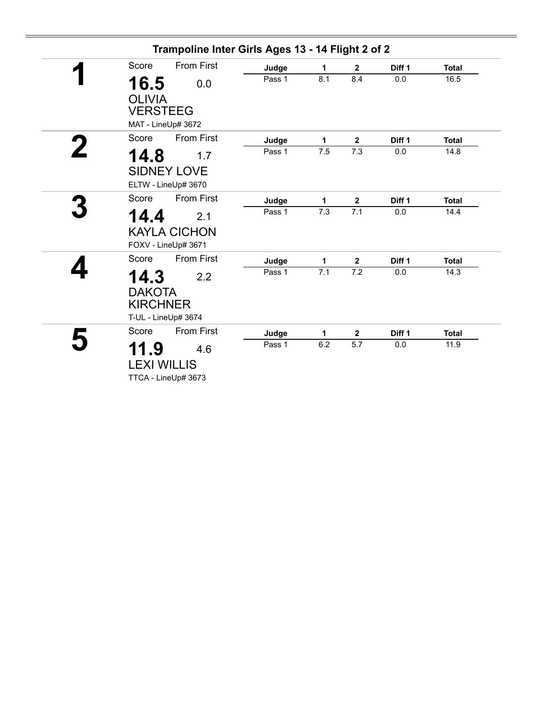| Trampoline Inter Girls Ages 13 - 14 Flight 2 of 2 |                            |                                            |        |     |                  |        |              |  |
|---------------------------------------------------|----------------------------|--------------------------------------------|--------|-----|------------------|--------|--------------|--|
|                                                   | Score                      | <b>From First</b>                          | Judge  | 1   | $\mathbf{2}$     | Diff 1 | <b>Total</b> |  |
|                                                   | 16.5<br><b>OLIVIA</b>      | 0.0                                        | Pass 1 | 8.1 | 8.4              | 0.0    | 16.5         |  |
|                                                   | <b>VERSTEEG</b>            | MAT - LineUp# 3672                         |        |     |                  |        |              |  |
|                                                   | Score                      | <b>From First</b>                          | Judge  | 1   | $\boldsymbol{2}$ | Diff 1 | <b>Total</b> |  |
|                                                   | 14.8                       | 1.7                                        | Pass 1 | 7.5 | 7.3              | 0.0    | 14.8         |  |
|                                                   |                            | <b>SIDNEY LOVE</b><br>ELTW - LineUp# 3670  |        |     |                  |        |              |  |
|                                                   | Score                      | <b>From First</b>                          | Judge  | 1   | $\mathbf 2$      | Diff 1 | <b>Total</b> |  |
|                                                   | 14.4                       | 2.1                                        | Pass 1 | 7.3 | 7.1              | 0.0    | 14.4         |  |
|                                                   |                            | <b>KAYLA CICHON</b><br>FOXV - LineUp# 3671 |        |     |                  |        |              |  |
|                                                   | Score                      | <b>From First</b>                          | Judge  | 1   | $\mathbf 2$      | Diff 1 | <b>Total</b> |  |
|                                                   | 14.3<br><b>DAKOTA</b>      | 2.2                                        | Pass 1 | 7.1 | 7.2              | 0.0    | 14.3         |  |
|                                                   | <b>KIRCHNER</b>            | T-UL - LineUp# 3674                        |        |     |                  |        |              |  |
|                                                   | Score                      | <b>From First</b>                          | Judge  | 1   | $\mathbf{2}$     | Diff 1 | <b>Total</b> |  |
|                                                   | 11.9<br><b>LEXI WILLIS</b> | 4.6<br>TTCA - LineUp# 3673                 | Pass 1 | 6.2 | 5.7              | 0.0    | 11.9         |  |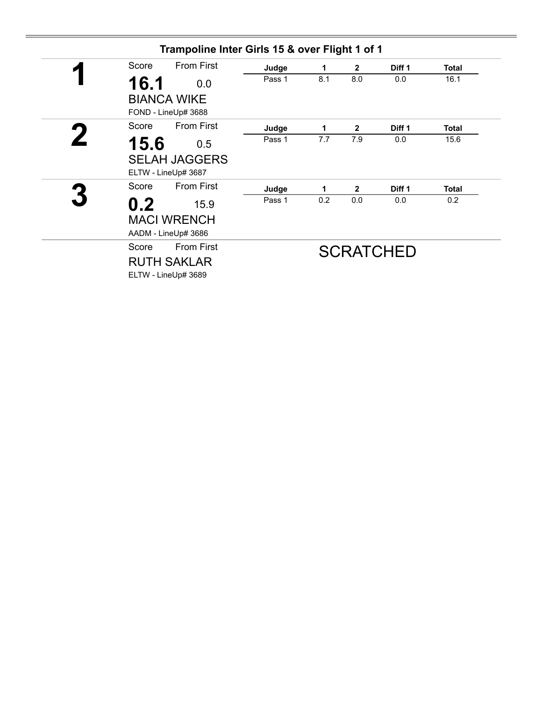| Trampoline Inter Girls 15 & over Flight 1 of 1 |                      |        |     |                |                   |              |  |  |
|------------------------------------------------|----------------------|--------|-----|----------------|-------------------|--------------|--|--|
| Score                                          | <b>From First</b>    | Judge  | 1   | $\overline{2}$ | Diff <sub>1</sub> | <b>Total</b> |  |  |
| 16.1                                           | 0.0                  | Pass 1 | 8.1 | 8.0            | 0.0               | 16.1         |  |  |
|                                                | <b>BIANCA WIKE</b>   |        |     |                |                   |              |  |  |
|                                                | FOND - LineUp# 3688  |        |     |                |                   |              |  |  |
| Score                                          | <b>From First</b>    | Judge  | 1   | $\mathbf{2}$   | Diff <sub>1</sub> | Total        |  |  |
| 15.6                                           | 0.5                  | Pass 1 | 7.7 | 7.9            | 0.0               | 15.6         |  |  |
|                                                | <b>SELAH JAGGERS</b> |        |     |                |                   |              |  |  |
|                                                | ELTW - LineUp# 3687  |        |     |                |                   |              |  |  |
| Score                                          | <b>From First</b>    | Judge  | 1   | $\mathbf{2}$   | Diff <sub>1</sub> | <b>Total</b> |  |  |
| 0.2                                            | 15.9                 | Pass 1 | 0.2 | 0.0            | 0.0               | 0.2          |  |  |
|                                                | <b>MACI WRENCH</b>   |        |     |                |                   |              |  |  |
|                                                | AADM - LineUp# 3686  |        |     |                |                   |              |  |  |
| Score                                          | <b>From First</b>    |        |     |                | <b>SCRATCHED</b>  |              |  |  |
|                                                | <b>RUTH SAKLAR</b>   |        |     |                |                   |              |  |  |
|                                                | ELTW - LineUp# 3689  |        |     |                |                   |              |  |  |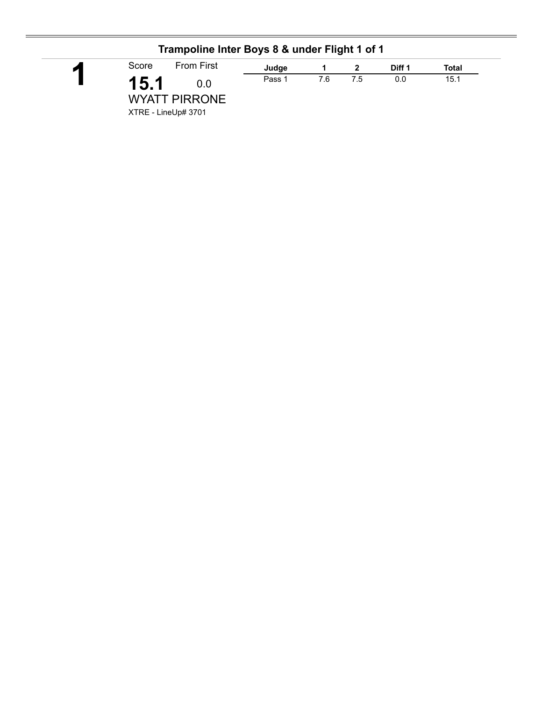|   | Trampoline Inter Boys 8 & under Flight 1 of 1              |        |     |     |        |       |  |  |  |  |  |
|---|------------------------------------------------------------|--------|-----|-----|--------|-------|--|--|--|--|--|
| И | <b>From First</b><br>Score                                 | Judge  |     |     | Diff 1 | Total |  |  |  |  |  |
|   | 15.1<br>0.0<br><b>WYATT PIRRONE</b><br>XTRE - LineUp# 3701 | Pass 1 | 7.6 | 7.5 | 0.0    | 15.1  |  |  |  |  |  |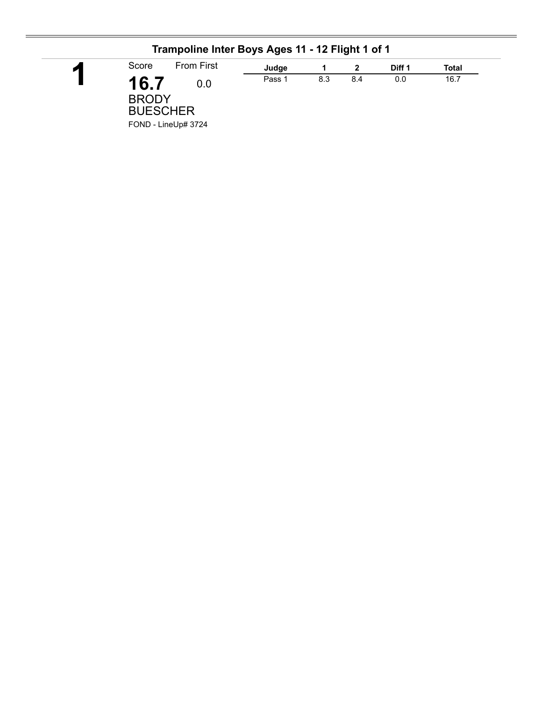| Trampoline Inter Boys Ages 11 - 12 Flight 1 of 1 |        |     |     |        |       |  |
|--------------------------------------------------|--------|-----|-----|--------|-------|--|
| <b>From First</b><br>Score                       | Judge  |     |     | Diff 1 | Total |  |
| 16.7<br>0.0<br><b>BRODY</b><br><b>BUESCHER</b>   | Pass 1 | 8.3 | 8.4 | 0.0    | 16.7  |  |
| FOND - LineUp# 3724                              |        |     |     |        |       |  |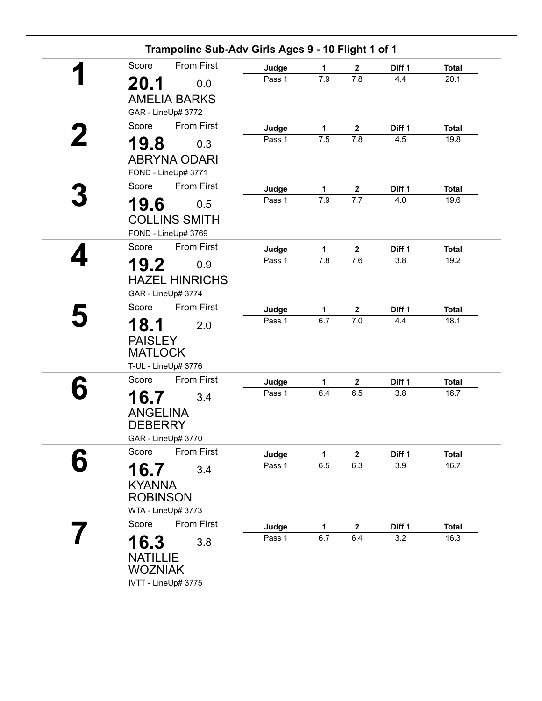|   | Score           | <b>From First</b>                         | Judge           | 1                | $\mathbf{2}$                     | Diff 1        | <b>Total</b>         |
|---|-----------------|-------------------------------------------|-----------------|------------------|----------------------------------|---------------|----------------------|
|   |                 |                                           | Pass 1          | 7.9              | 7.8                              | 4.4           | 20.1                 |
|   | 20.1            | 0.0                                       |                 |                  |                                  |               |                      |
|   |                 | <b>AMELIA BARKS</b><br>GAR - LineUp# 3772 |                 |                  |                                  |               |                      |
|   | Score           | <b>From First</b>                         |                 |                  |                                  |               |                      |
| 2 |                 |                                           | Judge<br>Pass 1 | 1<br>7.5         | $\mathbf{2}$<br>$\overline{7.8}$ | Diff 1<br>4.5 | <b>Total</b><br>19.8 |
|   | 19.8            | 0.3                                       |                 |                  |                                  |               |                      |
|   |                 | <b>ABRYNA ODARI</b>                       |                 |                  |                                  |               |                      |
|   |                 | FOND - LineUp# 3771                       |                 |                  |                                  |               |                      |
|   | Score           | <b>From First</b>                         | Judge<br>Pass 1 | 1<br>7.9         | $\mathbf 2$<br>7.7               | Diff 1<br>4.0 | <b>Total</b><br>19.6 |
|   | 19.6            | 0.5                                       |                 |                  |                                  |               |                      |
|   |                 | <b>COLLINS SMITH</b>                      |                 |                  |                                  |               |                      |
|   |                 | FOND - LineUp# 3769                       |                 |                  |                                  |               |                      |
|   | Score           | <b>From First</b>                         | Judge           | 1                | $\mathbf{2}$                     | Diff 1        | <b>Total</b>         |
|   | 19.2            | 0.9                                       | Pass 1          | $\overline{7.8}$ | 7.6                              | 3.8           | 19.2                 |
|   |                 | <b>HAZEL HINRICHS</b>                     |                 |                  |                                  |               |                      |
|   |                 | GAR - LineUp# 3774                        |                 |                  |                                  |               |                      |
|   | Score           | <b>From First</b>                         | Judge           | 1                | $\mathbf 2$                      | Diff 1        | <b>Total</b>         |
|   | 18.1            | 2.0                                       | Pass 1          | 6.7              | 7.0                              | 4.4           | 18.1                 |
|   | <b>PAISLEY</b>  |                                           |                 |                  |                                  |               |                      |
|   | <b>MATLOCK</b>  |                                           |                 |                  |                                  |               |                      |
|   |                 | T-UL - LineUp# 3776                       |                 |                  |                                  |               |                      |
|   | Score           | <b>From First</b>                         | Judge           | 1                | $\mathbf{2}$                     | Diff 1        | <b>Total</b>         |
|   | 16.7            | 3.4                                       | Pass 1          | 6.4              | 6.5                              | 3.8           | 16.7                 |
|   | <b>ANGELINA</b> |                                           |                 |                  |                                  |               |                      |
|   | <b>DEBERRY</b>  |                                           |                 |                  |                                  |               |                      |
|   |                 | GAR - LineUp# 3770                        |                 |                  |                                  |               |                      |
|   | Score           | From First                                | Judge           | 1                | $\mathbf 2$                      | Diff 1        | <b>Total</b>         |
|   | 16.7            | 3.4                                       | Pass 1          | 6.5              | 6.3                              | 3.9           | 16.7                 |
|   | <b>KYANNA</b>   |                                           |                 |                  |                                  |               |                      |
|   | <b>ROBINSON</b> |                                           |                 |                  |                                  |               |                      |
|   |                 | WTA - LineUp# 3773                        |                 |                  |                                  |               |                      |
|   | Score           | <b>From First</b>                         | Judge           | 1                | $\mathbf{2}$                     | Diff 1        | <b>Total</b>         |
|   | 16.3            | 3.8                                       | Pass 1          | 6.7              | 6.4                              | 3.2           | 16.3                 |
|   | <b>NATILLIE</b> |                                           |                 |                  |                                  |               |                      |
|   | <b>WOZNIAK</b>  |                                           |                 |                  |                                  |               |                      |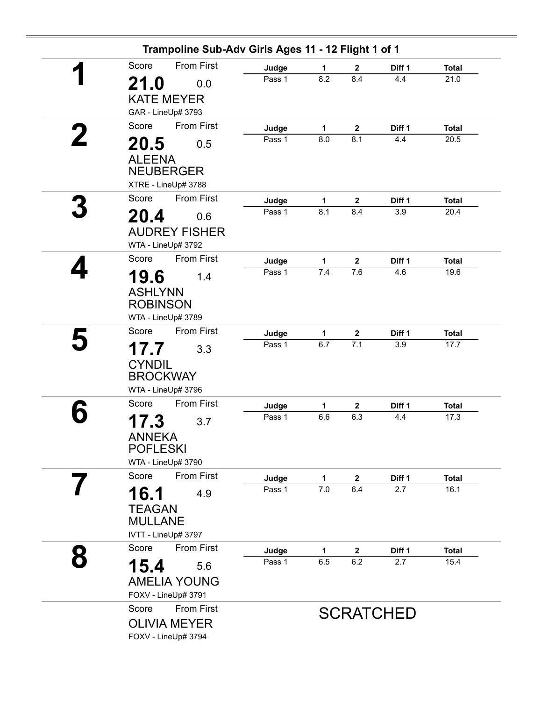|   | Trampoline Sub-Adv Girls Ages 11 - 12 Flight 1 of 1 |                   |              |                  |                  |              |
|---|-----------------------------------------------------|-------------------|--------------|------------------|------------------|--------------|
|   | <b>From First</b><br>Score                          | Judge             | 1            | $\mathbf{2}$     | Diff 1           | <b>Total</b> |
|   | 21.0<br>0.0                                         | Pass 1            | 8.2          | 8.4              | 4.4              | 21.0         |
|   | <b>KATE MEYER</b>                                   |                   |              |                  |                  |              |
|   | GAR - LineUp# 3793                                  |                   |              |                  |                  |              |
|   | <b>From First</b><br>Score                          | Judge             | $\mathbf{1}$ | $\mathbf{2}$     | Diff 1           | <b>Total</b> |
|   | 20.5<br>0.5                                         | Pass 1            | 8.0          | 8.1              | 4.4              | 20.5         |
|   | <b>ALEENA</b>                                       |                   |              |                  |                  |              |
|   | <b>NEUBERGER</b>                                    |                   |              |                  |                  |              |
|   | XTRE - LineUp# 3788                                 |                   |              |                  |                  |              |
|   | <b>From First</b><br>Score                          | Judge             | 1            | $\boldsymbol{2}$ | Diff 1           | <b>Total</b> |
|   | 20.4<br>0.6                                         | Pass 1            | 8.1          | 8.4              | 3.9              | 20.4         |
|   | <b>AUDREY FISHER</b>                                |                   |              |                  |                  |              |
|   | WTA - LineUp# 3792                                  |                   |              |                  |                  |              |
|   | Score<br>From First                                 | Judge             | 1            | $\mathbf{2}$     | Diff 1           | <b>Total</b> |
|   | 19.6<br>1.4                                         | Pass 1            | 7.4          | 7.6              | 4.6              | 19.6         |
|   | <b>ASHLYNN</b>                                      |                   |              |                  |                  |              |
|   | <b>ROBINSON</b>                                     |                   |              |                  |                  |              |
|   | WTA - LineUp# 3789                                  |                   |              |                  |                  |              |
|   | Score<br><b>From First</b>                          | Judge             | 1            | $\boldsymbol{2}$ | Diff 1           | <b>Total</b> |
|   | 17.7<br>3.3                                         | Pass 1            | 6.7          | 7.1              | 3.9              | 17.7         |
|   | <b>CYNDIL</b>                                       |                   |              |                  |                  |              |
|   | <b>BROCKWAY</b>                                     |                   |              |                  |                  |              |
|   | WTA - LineUp# 3796                                  |                   |              |                  |                  |              |
|   | <b>From First</b><br>Score                          | Judge             | 1            | $\mathbf{2}$     | Diff 1           | <b>Total</b> |
|   | 17.3<br>3.7                                         | Pass 1            | 6.6          | 6.3              | 4.4              | 17.3         |
|   | <b>ANNEKA</b>                                       |                   |              |                  |                  |              |
|   | <b>POFLESKI</b>                                     |                   |              |                  |                  |              |
|   | WTA - LineUp# 3790                                  |                   |              |                  |                  |              |
|   | From First<br>Score                                 | Judge             | 1            | $\mathbf{2}$     | Diff 1           | <b>Total</b> |
|   | 16.1<br>4.9                                         | Pass 1            | 7.0          | 6.4              | 2.7              | 16.1         |
|   | <b>TEAGAN</b>                                       |                   |              |                  |                  |              |
|   | <b>MULLANE</b>                                      |                   |              |                  |                  |              |
|   | IVTT - LineUp# 3797                                 |                   |              |                  |                  |              |
| 8 | <b>From First</b><br>Score                          | Judge             | $\mathbf{1}$ | $\boldsymbol{2}$ | Diff 1           | <b>Total</b> |
|   | 15.4<br>5.6                                         | Pass <sub>1</sub> | 6.5          | 6.2              | 2.7              | 15.4         |
|   | <b>AMELIA YOUNG</b>                                 |                   |              |                  |                  |              |
|   | FOXV - LineUp# 3791                                 |                   |              |                  |                  |              |
|   | <b>From First</b><br>Score                          |                   |              |                  | <b>SCRATCHED</b> |              |
|   | <b>OLIVIA MEYER</b>                                 |                   |              |                  |                  |              |
|   | FOXV - LineUp# 3794                                 |                   |              |                  |                  |              |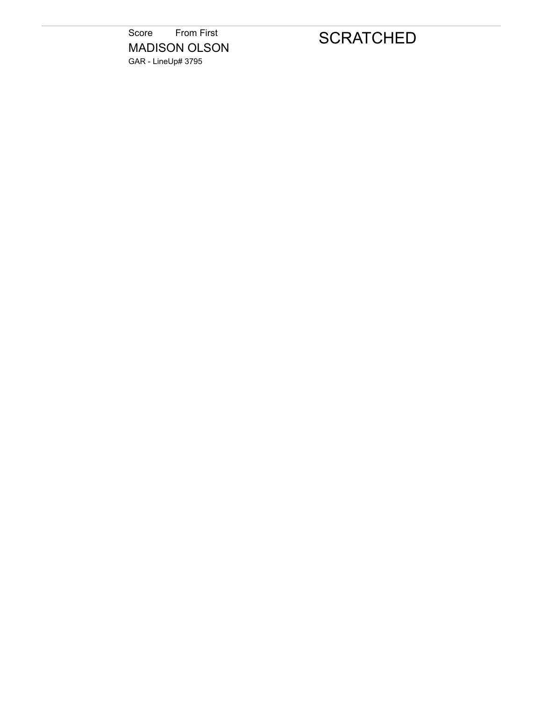Score From First MADISON OLSON GAR - LineUp# 3795

## **SCRATCHED**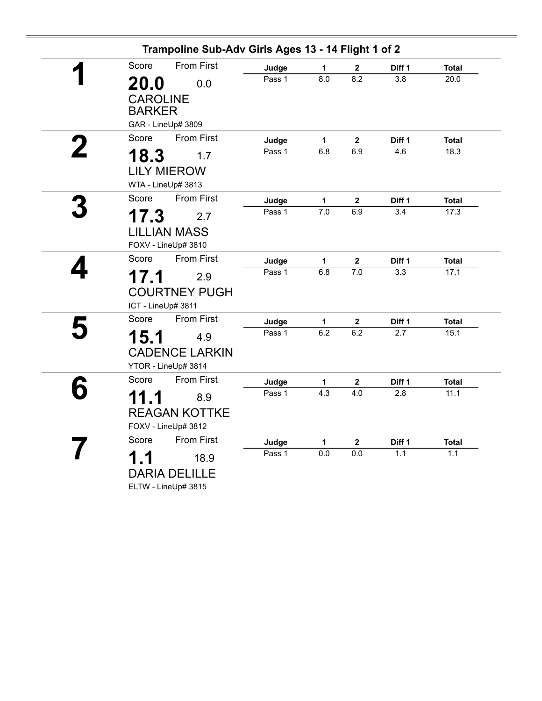| Score       | <b>From First</b>                            | Judge  | 1                | $\boldsymbol{2}$ | Diff 1 | <b>Total</b> |
|-------------|----------------------------------------------|--------|------------------|------------------|--------|--------------|
| <b>20.0</b> | 0.0                                          | Pass 1 | $\overline{8.0}$ | 8.2              | 3.8    | 20.0         |
|             | <b>CAROLINE</b><br><b>BARKER</b>             |        |                  |                  |        |              |
|             | GAR - LineUp# 3809                           |        |                  |                  |        |              |
| Score       | <b>From First</b>                            | Judge  | $\mathbf{1}$     | $\boldsymbol{2}$ | Diff 1 | <b>Total</b> |
| 18.3        | 1.7                                          | Pass 1 | 6.8              | 6.9              | 4.6    | 18.3         |
|             | <b>LILY MIEROW</b><br>WTA - LineUp# 3813     |        |                  |                  |        |              |
| Score       | <b>From First</b>                            | Judge  | $\mathbf{1}$     | $\boldsymbol{2}$ | Diff 1 | <b>Total</b> |
| 17.3        | 2.7                                          | Pass 1 | 7.0              | 6.9              | 3.4    | 17.3         |
|             | <b>LILLIAN MASS</b><br>FOXV - LineUp# 3810   |        |                  |                  |        |              |
| Score       | <b>From First</b>                            | Judge  | $\mathbf{1}$     | $\bf 2$          | Diff 1 | <b>Total</b> |
| 17.1        | 2.9                                          | Pass 1 | 6.8              | $\overline{7.0}$ | 3.3    | 17.1         |
|             | <b>COURTNEY PUGH</b><br>ICT - LineUp# 3811   |        |                  |                  |        |              |
| Score       | <b>From First</b>                            | Judge  | $\mathbf{1}$     | $\bf 2$          | Diff 1 | <b>Total</b> |
| 15.1        | 4.9                                          | Pass 1 | 6.2              | 6.2              | 2.7    | 15.1         |
|             | <b>CADENCE LARKIN</b><br>YTOR - LineUp# 3814 |        |                  |                  |        |              |
| Score       | <b>From First</b>                            | Judge  | 1                | $\boldsymbol{2}$ | Diff 1 | <b>Total</b> |
| 11.1        | 8.9                                          | Pass 1 | 4.3              | 4.0              | 2.8    | 11.1         |
|             | <b>REAGAN KOTTKE</b><br>FOXV - LineUp# 3812  |        |                  |                  |        |              |
| Score       | <b>From First</b>                            | Judge  | $\mathbf{1}$     | $\boldsymbol{2}$ | Diff 1 | <b>Total</b> |
| 1.1         | 18.9                                         | Pass 1 | $\overline{0.0}$ | 0.0              | 1.1    | 1.1          |
|             | <b>DARIA DELILLE</b><br>ELTW - LineUp# 3815  |        |                  |                  |        |              |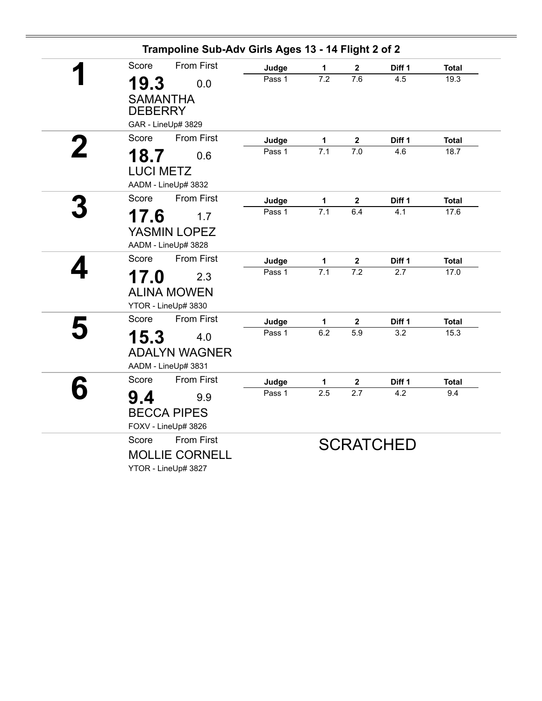| Score            | <b>From First</b>     | Judge  | $\mathbf{1}$     | 2                | Diff 1           | <b>Total</b> |
|------------------|-----------------------|--------|------------------|------------------|------------------|--------------|
| 19.3             | 0.0                   | Pass 1 | $\overline{7.2}$ | $\overline{7.6}$ | 4.5              | 19.3         |
| <b>SAMANTHA</b>  |                       |        |                  |                  |                  |              |
| <b>DEBERRY</b>   |                       |        |                  |                  |                  |              |
|                  | GAR - LineUp# 3829    |        |                  |                  |                  |              |
| Score            | <b>From First</b>     | Judge  | 1                | $\mathbf 2$      | Diff 1           | <b>Total</b> |
| 18.7             | 0.6                   | Pass 1 | 7.1              | 7.0              | 4.6              | 18.7         |
| <b>LUCI METZ</b> |                       |        |                  |                  |                  |              |
|                  | AADM - LineUp# 3832   |        |                  |                  |                  |              |
| Score            | <b>From First</b>     | Judge  | 1                | $\mathbf 2$      | Diff 1           | <b>Total</b> |
| 17.6             | 1.7                   | Pass 1 | $\overline{7.1}$ | 6.4              | 4.1              | 17.6         |
|                  | YASMIN LOPEZ          |        |                  |                  |                  |              |
|                  | AADM - LineUp# 3828   |        |                  |                  |                  |              |
| Score            | <b>From First</b>     | Judge  | 1                | $\mathbf 2$      | Diff 1           | <b>Total</b> |
| 17.0             | 2.3                   | Pass 1 | 7.1              | 7.2              | 2.7              | 17.0         |
|                  | <b>ALINA MOWEN</b>    |        |                  |                  |                  |              |
|                  | YTOR - LineUp# 3830   |        |                  |                  |                  |              |
| Score            | <b>From First</b>     | Judge  | 1                | $\mathbf 2$      | Diff 1           | <b>Total</b> |
| 15.3             | 4.0                   | Pass 1 | 6.2              | 5.9              | 3.2              | 15.3         |
|                  | <b>ADALYN WAGNER</b>  |        |                  |                  |                  |              |
|                  | AADM - LineUp# 3831   |        |                  |                  |                  |              |
| Score            | <b>From First</b>     | Judge  | 1                | $\mathbf 2$      | Diff 1           | <b>Total</b> |
| 9.4              | 9.9                   | Pass 1 | 2.5              | 2.7              | 4.2              | 9.4          |
|                  | <b>BECCA PIPES</b>    |        |                  |                  |                  |              |
|                  | FOXV - LineUp# 3826   |        |                  |                  |                  |              |
| Score            | <b>From First</b>     |        |                  |                  | <b>SCRATCHED</b> |              |
|                  | <b>MOLLIE CORNELL</b> |        |                  |                  |                  |              |
|                  | YTOR - LineUp# 3827   |        |                  |                  |                  |              |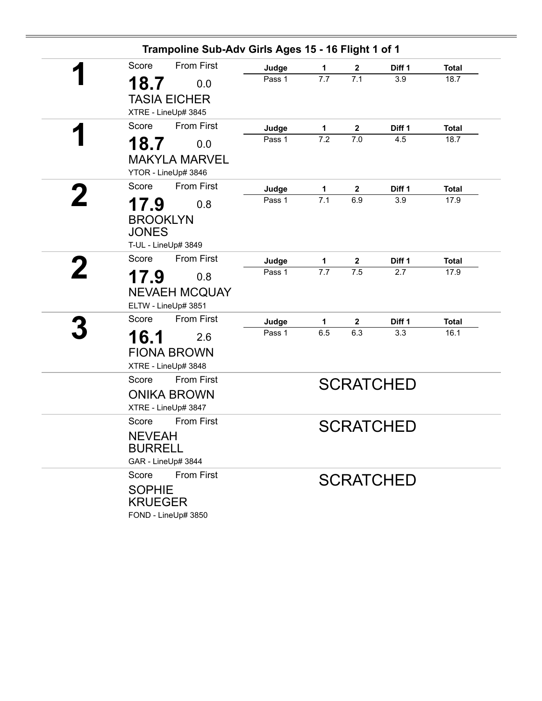|                                          | Trampoline Sub-Adv Girls Ages 15 - 16 Flight 1 of 1            |                 |                       |                     |                  |                      |
|------------------------------------------|----------------------------------------------------------------|-----------------|-----------------------|---------------------|------------------|----------------------|
| Score                                    | <b>From First</b>                                              | Judge           | 1                     | $\mathbf{2}$        | Diff 1           | <b>Total</b>         |
| 18.7                                     | 0.0                                                            | Pass 1          | $\overline{7.7}$      | $\overline{7.1}$    | 3.9              | 18.7                 |
|                                          | <b>TASIA EICHER</b><br>XTRE - LineUp# 3845                     |                 |                       |                     |                  |                      |
| Score                                    | <b>From First</b>                                              | Judge           | 1                     | $\mathbf{2}$        | Diff 1           | <b>Total</b>         |
| 18.7                                     | 0.0                                                            | Pass 1          | $\overline{7.2}$      | 7.0                 | 4.5              | 18.7                 |
|                                          | <b>MAKYLA MARVEL</b><br>YTOR - LineUp# 3846                    |                 |                       |                     |                  |                      |
| Score                                    | <b>From First</b>                                              | Judge           | 1                     | $\mathbf 2$         | Diff 1           | <b>Total</b>         |
| 17.9<br><b>BROOKLYN</b><br><b>JONES</b>  | 0.8                                                            | Pass 1          | 7.1                   | 6.9                 | 3.9              | 17.9                 |
| Score                                    | T-UL - LineUp# 3849<br><b>From First</b>                       |                 |                       |                     |                  |                      |
|                                          |                                                                | Judge<br>Pass 1 | 1<br>$\overline{7.7}$ | $\mathbf{2}$<br>7.5 | Diff 1<br>2.7    | <b>Total</b><br>17.9 |
| 17.9                                     | 0.8<br><b>NEVAEH MCQUAY</b><br>ELTW - LineUp# 3851             |                 |                       |                     |                  |                      |
| Score                                    | <b>From First</b>                                              | Judge           | 1                     | $\mathbf 2$         | Diff 1           | <b>Total</b>         |
| 16.1                                     | 2.6<br><b>FIONA BROWN</b><br>XTRE - LineUp# 3848               | Pass 1          | 6.5                   | 6.3                 | 3.3              | 16.1                 |
| Score                                    | <b>From First</b><br><b>ONIKA BROWN</b><br>XTRE - LineUp# 3847 |                 |                       |                     | <b>SCRATCHED</b> |                      |
| Score<br><b>NEVEAH</b><br><b>BURRELL</b> | <b>From First</b><br>GAR - LineUp# 3844                        |                 |                       |                     | <b>SCRATCHED</b> |                      |
| Score<br><b>SOPHIE</b><br><b>KRUEGER</b> | <b>From First</b><br>FOND - LineUp# 3850                       |                 |                       |                     | <b>SCRATCHED</b> |                      |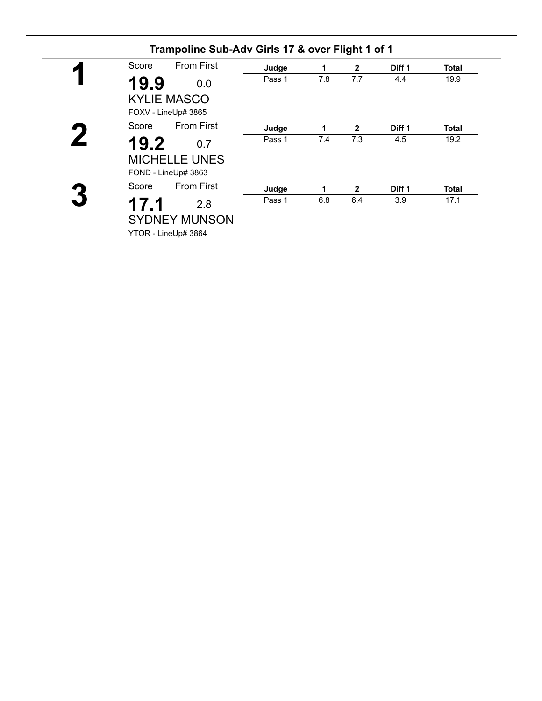| <b>From First</b><br>Score<br>◤           | Judge  | 1   | $\overline{2}$ | Diff 1 | <b>Total</b> |
|-------------------------------------------|--------|-----|----------------|--------|--------------|
| 19.9<br>0.0                               | Pass 1 | 7.8 | 7.7            | 4.4    | 19.9         |
| <b>KYLIE MASCO</b><br>FOXV - LineUp# 3865 |        |     |                |        |              |
| <b>From First</b><br>Score                | Judge  | 1   | 2              | Diff 1 | <b>Total</b> |
| 19.2<br>0.7                               | Pass 1 | 7.4 | 7.3            | 4.5    | 19.2         |
| <b>MICHELLE UNES</b>                      |        |     |                |        |              |
| FOND - LineUp# 3863                       |        |     |                |        |              |
| <b>From First</b><br>Score                | Judge  | 1   | $\overline{2}$ | Diff 1 | <b>Total</b> |
| 17.1<br>2.8                               | Pass 1 | 6.8 | 6.4            | 3.9    | 17.1         |
| <b>SYDNEY MUNSON</b>                      |        |     |                |        |              |
| YTOR - LineUp# 3864                       |        |     |                |        |              |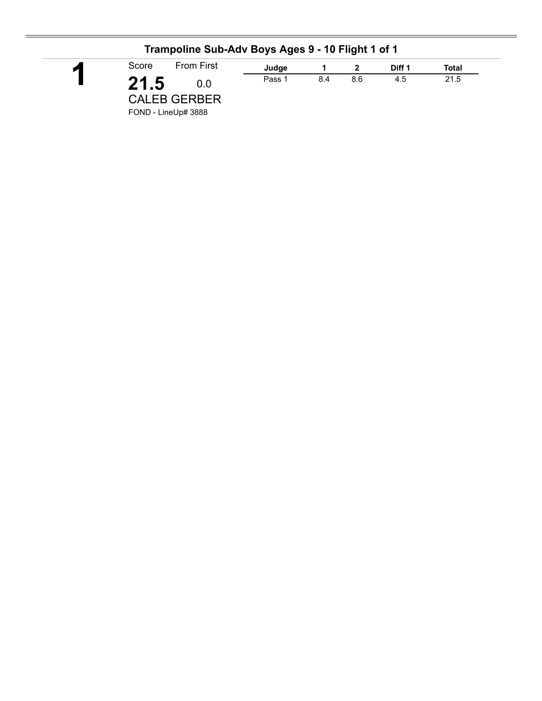| <b>From First</b><br>Score | Judge  |     |     | Diff 1 | Total |
|----------------------------|--------|-----|-----|--------|-------|
| 21.5<br>0.0                | Pass 1 | 8.4 | 8.6 | 4.5    | 21.5  |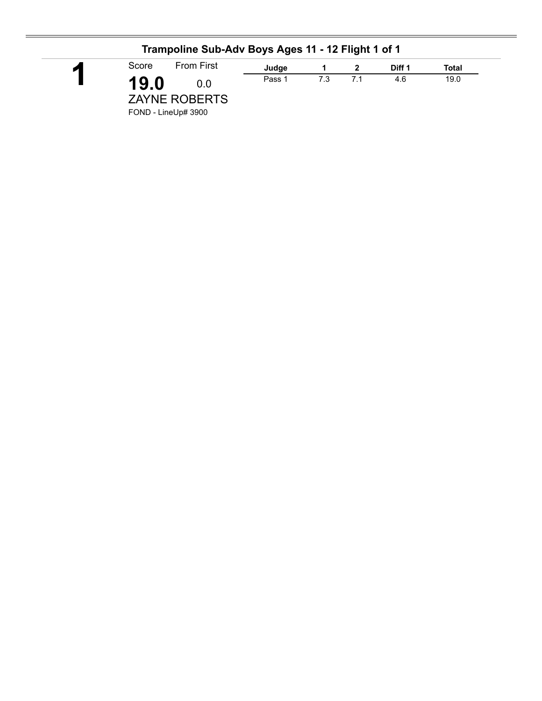|                | Trampoline Sub-Adv Boys Ages 11 - 12 Flight 1 of 1         |        |     |     |        |       |
|----------------|------------------------------------------------------------|--------|-----|-----|--------|-------|
| $\blacksquare$ | <b>From First</b><br>Score                                 | Judge  |     |     | Diff 1 | Total |
|                | 19.0<br>0.0<br><b>ZAYNE ROBERTS</b><br>FOND - LineUp# 3900 | Pass 1 | 7.3 | 7.1 | 4.6    | 19.0  |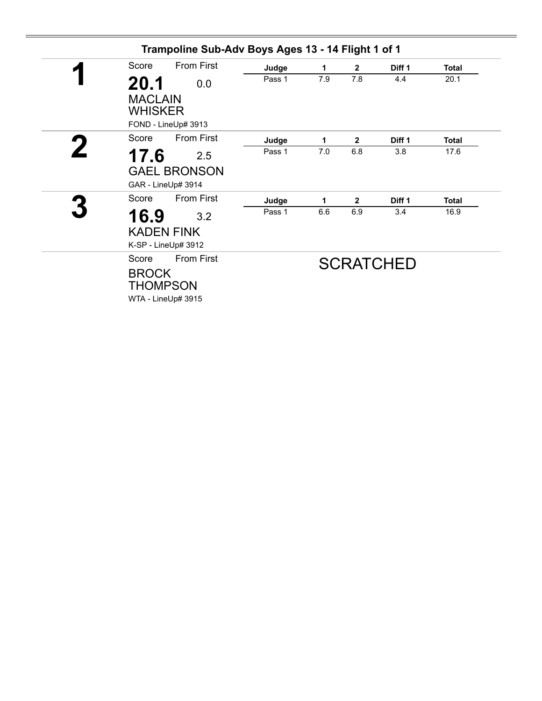| Score          | <b>From First</b>   | Judge  | 1   | $\mathbf{2}$ | Diff 1           | <b>Total</b> |
|----------------|---------------------|--------|-----|--------------|------------------|--------------|
| 20.1           | 0.0                 | Pass 1 | 7.9 | 7.8          | 4.4              | 20.1         |
| <b>MACLAIN</b> |                     |        |     |              |                  |              |
| WHISKER        |                     |        |     |              |                  |              |
|                | FOND - LineUp# 3913 |        |     |              |                  |              |
| Score          | <b>From First</b>   | Judge  | 1   | $\mathbf{2}$ | Diff 1           | Total        |
| 17.6           | 2.5                 | Pass 1 | 7.0 | 6.8          | 3.8              | 17.6         |
|                | <b>GAEL BRONSON</b> |        |     |              |                  |              |
|                | GAR - LineUp# 3914  |        |     |              |                  |              |
| Score          | From First          | Judge  | 1   | $\mathbf{2}$ | Diff 1           | <b>Total</b> |
| 16.9           | 3.2                 | Pass 1 | 6.6 | 6.9          | 3.4              | 16.9         |
|                | <b>KADEN FINK</b>   |        |     |              |                  |              |
|                | K-SP - LineUp# 3912 |        |     |              |                  |              |
| Score          | <b>From First</b>   |        |     |              | <b>SCRATCHED</b> |              |
| <b>BROCK</b>   |                     |        |     |              |                  |              |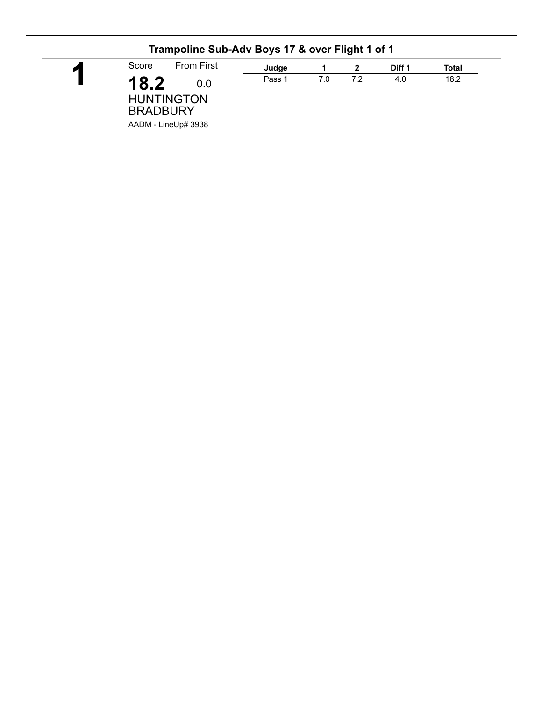| ◚ | Score<br><b>From First</b>                          | Judge  |     |     | Diff 1 | Total |
|---|-----------------------------------------------------|--------|-----|-----|--------|-------|
|   | 18.2<br>0.0<br><b>HUNTINGTON</b><br><b>BRADBURY</b> | Pass 1 | 7.0 | 7.2 | 4.0    | 18.2  |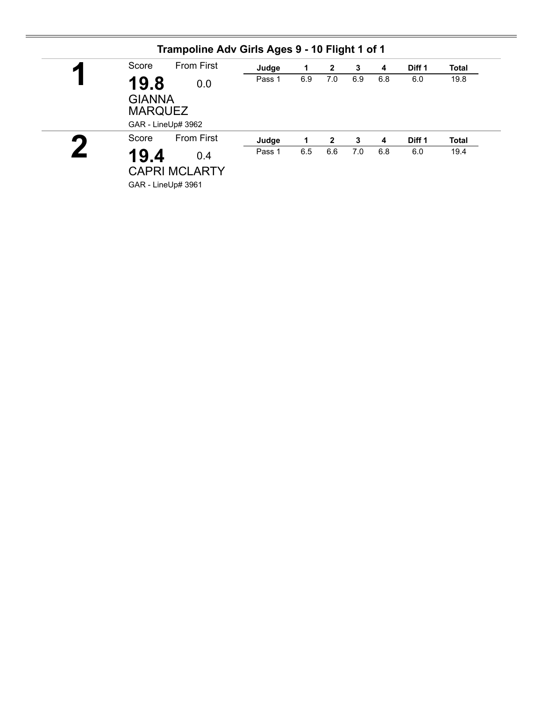| $\blacksquare$ | Score          | <b>From First</b>            | Judge  | 1   | $\mathbf{2}$ | 3   | 4   | Diff <sub>1</sub> | <b>Total</b> |
|----------------|----------------|------------------------------|--------|-----|--------------|-----|-----|-------------------|--------------|
|                | <b>MARQUEZ</b> | 19.8<br>0.0<br><b>GIANNA</b> | Pass 1 | 6.9 | 7.0          | 6.9 | 6.8 | 6.0               | 19.8         |
|                |                | GAR - LineUp# 3962           |        |     |              |     |     |                   |              |
|                | Score          | <b>From First</b>            | Judge  |     | $\mathbf{2}$ | 3   | 4   | Diff <sub>1</sub> | <b>Total</b> |
|                | 19.4           | 0.4                          | Pass 1 | 6.5 | 6.6          | 7.0 | 6.8 | 6.0               | 19.4         |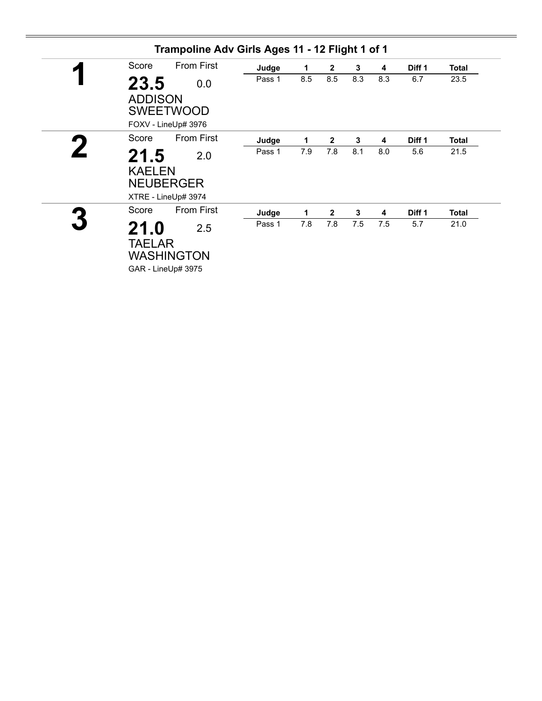| Score                  | <b>From First</b>                              | Judge  | 1   | $\mathbf{2}$   | 3   | 4   | Diff <sub>1</sub> | <b>Total</b> |
|------------------------|------------------------------------------------|--------|-----|----------------|-----|-----|-------------------|--------------|
| 23.5<br><b>ADDISON</b> | 0.0<br><b>SWEETWOOD</b><br>FOXV - LineUp# 3976 | Pass 1 | 8.5 | 8.5            | 8.3 | 8.3 | 6.7               | 23.5         |
| Score                  | <b>From First</b>                              | Judge  | 1   | $\overline{2}$ | 3   | 4   | Diff 1            | <b>Total</b> |
| 21.5<br><b>KAELEN</b>  | 2.0<br><b>NEUBERGER</b><br>XTRE - LineUp# 3974 | Pass 1 | 7.9 | 7.8            | 8.1 | 8.0 | 5.6               | 21.5         |
| Score                  | <b>From First</b>                              | Judge  | 1   | $\overline{2}$ | 3   | 4   | Diff 1            | <b>Total</b> |
| 21.0<br><b>TAELAR</b>  | 2.5<br><b>WASHINGTON</b><br>GAR - LineUp# 3975 | Pass 1 | 7.8 | 7.8            | 7.5 | 7.5 | 5.7               | 21.0         |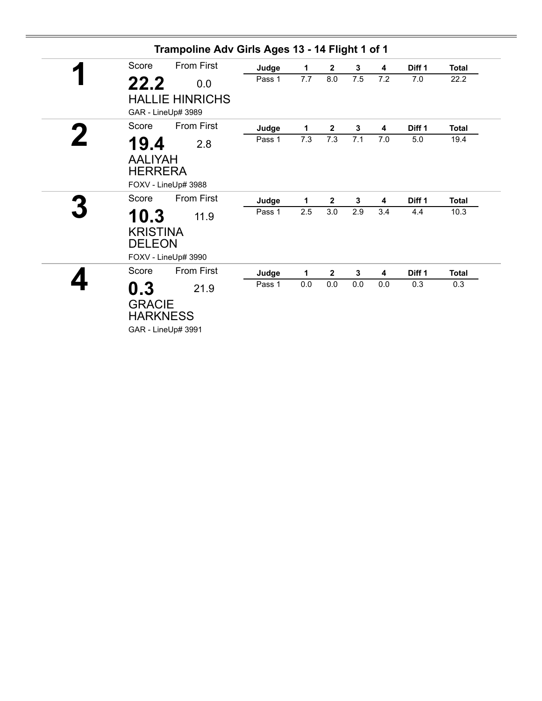| Score                                                           | <b>From First</b>      | Judge  | 1   | $\overline{2}$ | 3            | 4   | Diff <sub>1</sub> | <b>Total</b> |
|-----------------------------------------------------------------|------------------------|--------|-----|----------------|--------------|-----|-------------------|--------------|
| 22.2                                                            | 0.0                    | Pass 1 | 7.7 | 8.0            | 7.5          | 7.2 | 7.0               | 22.2         |
| GAR - LineUp# 3989                                              | <b>HALLIE HINRICHS</b> |        |     |                |              |     |                   |              |
| Score                                                           | <b>From First</b>      | Judge  | 1   | $\mathbf{2}$   | 3            | 4   | Diff <sub>1</sub> | <b>Total</b> |
| 19.4<br><b>AALIYAH</b><br><b>HERRERA</b><br>FOXV - LineUp# 3988 | 2.8                    | Pass 1 | 7.3 | 7.3            | 7.1          | 7.0 | 5.0               | 19.4         |
| Score                                                           | <b>From First</b>      | Judge  | 1   | $\mathbf{2}$   | 3            | 4   | Diff <sub>1</sub> | <b>Total</b> |
| 10.3<br><b>KRISTINA</b><br><b>DELEON</b><br>FOXV - LineUp# 3990 | 11.9                   | Pass 1 | 2.5 | 3.0            | 2.9          | 3.4 | 4.4               | 10.3         |
| Score                                                           | <b>From First</b>      | Judge  | 1   | $\mathbf{2}$   | $\mathbf{3}$ | 4   | Diff <sub>1</sub> | <b>Total</b> |
| 0.3<br><b>GRACIE</b><br><b>HARKNESS</b><br>GAR - LineUp# 3991   | 21.9                   | Pass 1 | 0.0 | 0.0            | 0.0          | 0.0 | 0.3               | 0.3          |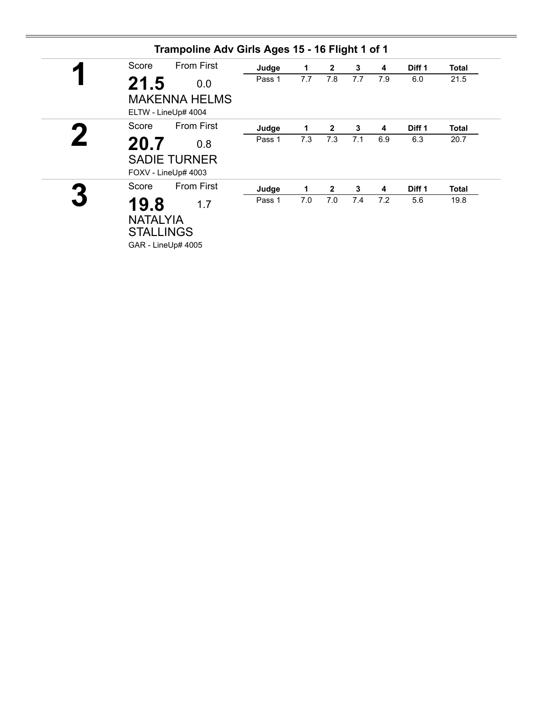| Score                                       | <b>From First</b>                           | Judge  | $\mathbf 1$ | $\overline{2}$ | $\mathbf{3}$ | 4   | Diff 1 | <b>Total</b> |
|---------------------------------------------|---------------------------------------------|--------|-------------|----------------|--------------|-----|--------|--------------|
| 21.5                                        | 0.0                                         | Pass 1 | 7.7         | 7.8            | 7.7          | 7.9 | 6.0    | 21.5         |
|                                             | <b>MAKENNA HELMS</b><br>ELTW - LineUp# 4004 |        |             |                |              |     |        |              |
| Score                                       | <b>From First</b>                           | Judge  | 1           | $\mathbf{2}$   | $\mathbf{3}$ | 4   | Diff 1 | <b>Total</b> |
| 20.7                                        | 0.8                                         | Pass 1 | 7.3         | 7.3            | 7.1          | 6.9 | 6.3    | 20.7         |
|                                             | <b>SADIE TURNER</b><br>FOXV - LineUp# 4003  |        |             |                |              |     |        |              |
| Score                                       | <b>From First</b>                           | Judge  | 1           | $\mathbf{2}$   | 3            | 4   | Diff 1 | <b>Total</b> |
| 19.8<br><b>NATALYIA</b><br><b>STALLINGS</b> | 1.7                                         | Pass 1 | 7.0         | 7.0            | 7.4          | 7.2 | 5.6    | 19.8         |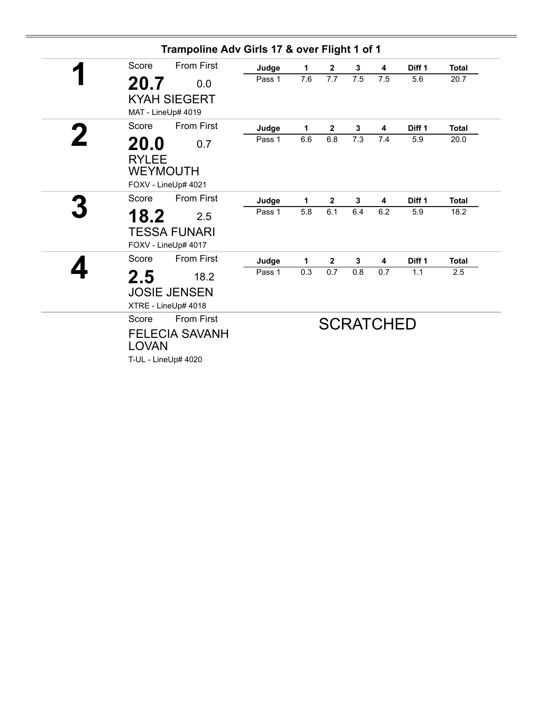| Score        | <b>From First</b>     | Judge  | 1   | $\overline{2}$   | 3   | 4                | Diff <sub>1</sub> | <b>Total</b> |
|--------------|-----------------------|--------|-----|------------------|-----|------------------|-------------------|--------------|
| 20.7         | 0.0                   | Pass 1 | 7.6 | 7.7              | 7.5 | 7.5              | 5.6               | 20.7         |
|              | <b>KYAH SIEGERT</b>   |        |     |                  |     |                  |                   |              |
|              | MAT - LineUp# 4019    |        |     |                  |     |                  |                   |              |
| Score        | <b>From First</b>     | Judge  | 1   | $\mathbf{2}$     | 3   | 4                | Diff <sub>1</sub> | <b>Total</b> |
| 20.0         | 0.7                   | Pass 1 | 6.6 | 6.8              | 7.3 | 7.4              | 5.9               | 20.0         |
| <b>RYLEE</b> |                       |        |     |                  |     |                  |                   |              |
|              | <b>WEYMOUTH</b>       |        |     |                  |     |                  |                   |              |
|              | FOXV - LineUp# 4021   |        |     |                  |     |                  |                   |              |
| Score        | <b>From First</b>     | Judge  | 1   | $\mathbf{2}$     | 3   | 4                | Diff 1            | <b>Total</b> |
| 18.2         | 2.5                   | Pass 1 | 5.8 | 6.1              | 6.4 | 6.2              | 5.9               | 18.2         |
|              | <b>TESSA FUNARI</b>   |        |     |                  |     |                  |                   |              |
|              | FOXV - LineUp# 4017   |        |     |                  |     |                  |                   |              |
| Score        | <b>From First</b>     | Judge  | 1   | $\boldsymbol{2}$ | 3   | 4                | Diff <sub>1</sub> | <b>Total</b> |
| 2.5          | 18.2                  | Pass 1 | 0.3 | 0.7              | 0.8 | 0.7              | 1.1               | 2.5          |
|              | <b>JOSIE JENSEN</b>   |        |     |                  |     |                  |                   |              |
|              | XTRE - LineUp# 4018   |        |     |                  |     |                  |                   |              |
| Score        | <b>From First</b>     |        |     |                  |     | <b>SCRATCHED</b> |                   |              |
|              | <b>FELECIA SAVANH</b> |        |     |                  |     |                  |                   |              |
| <b>LOVAN</b> |                       |        |     |                  |     |                  |                   |              |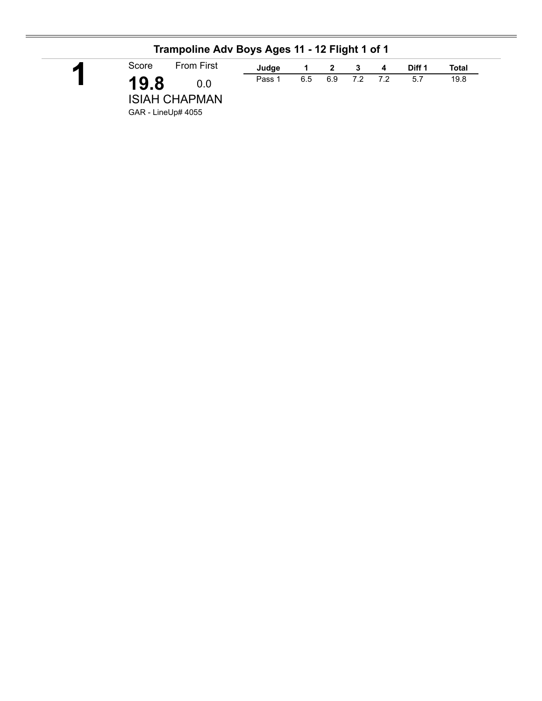| И | Score | <b>From First</b> | Judge  |     | $\overline{\mathbf{2}}$ | 3     | $\overline{\mathbf{4}}$ | Diff 1 | Total |
|---|-------|-------------------|--------|-----|-------------------------|-------|-------------------------|--------|-------|
|   | 19.8  | 0.0               | Pass 1 | 6.5 | 6.9                     | 72 72 |                         | 5.7    | 19.8  |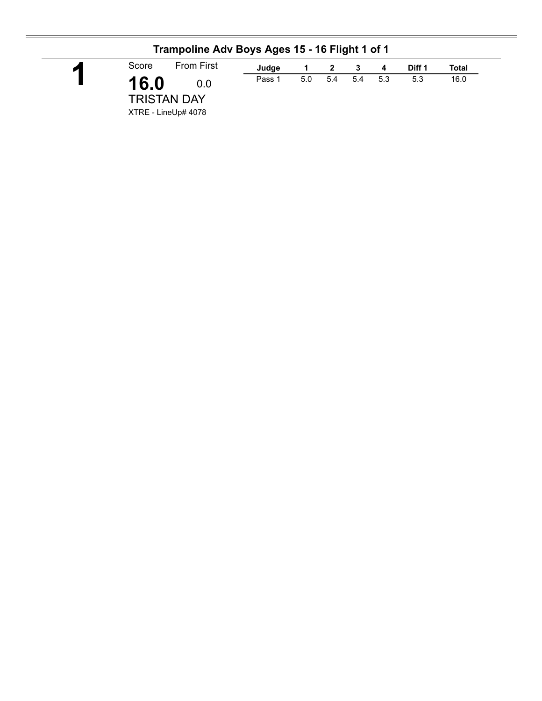| И | Score | <b>From First</b> | Judge  |     | 2   | - 3     | - 4 | Diff 1 | Total |
|---|-------|-------------------|--------|-----|-----|---------|-----|--------|-------|
|   | 16.0  | 0.0               | Pass 1 | 5.0 | 5.4 | 5.4 5.3 |     | 5.3    | 16.0  |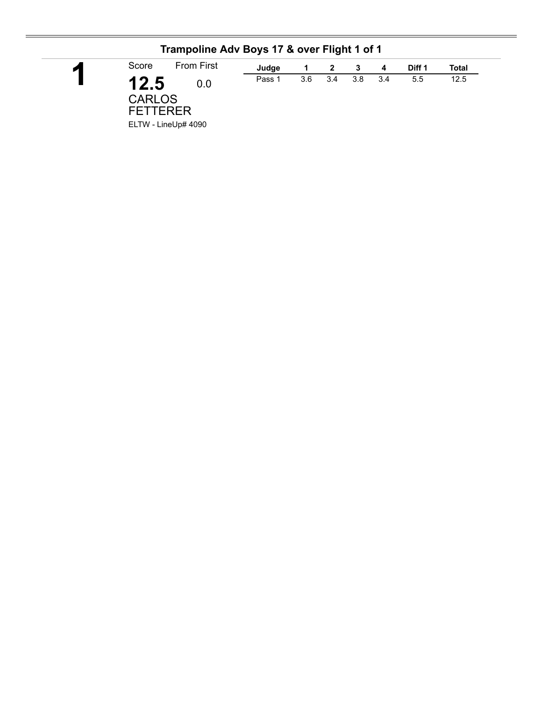| Score                                    | <b>From First</b>          | Judge  |     | 2   | 3   | 4   | Diff 1 | Total |
|------------------------------------------|----------------------------|--------|-----|-----|-----|-----|--------|-------|
| 12.5<br><b>CARLOS</b><br><b>FETTERER</b> | 0.0<br>ELTW - LineUp# 4090 | Pass 1 | 3.6 | 3.4 | 3.8 | 3.4 | 5.5    | 12.5  |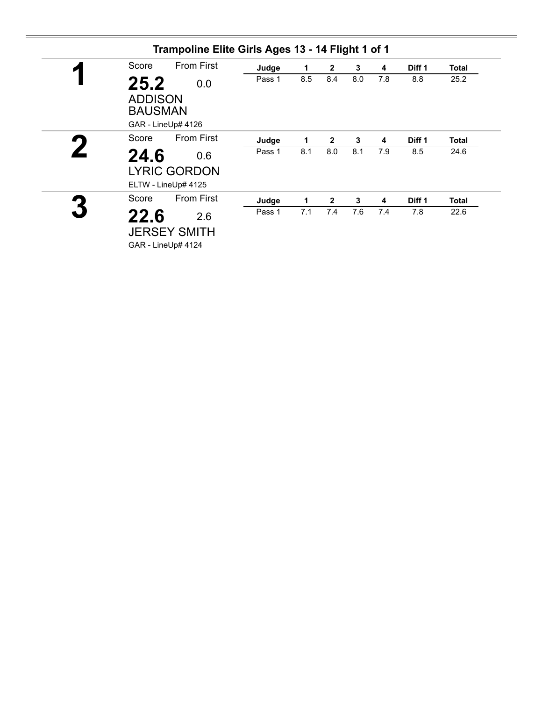| Score                                    | <b>From First</b>                                 | Judge  | 1   | $\mathbf{2}$   | 3   | 4   | Diff 1 | <b>Total</b> |
|------------------------------------------|---------------------------------------------------|--------|-----|----------------|-----|-----|--------|--------------|
| 25.2<br><b>ADDISON</b><br><b>BAUSMAN</b> | 0.0<br>GAR - LineUp# 4126                         | Pass 1 | 8.5 | 8.4            | 8.0 | 7.8 | 8.8    | 25.2         |
| Score                                    | <b>From First</b>                                 | Judge  | 1   | $\overline{2}$ | 3   | 4   | Diff 1 | <b>Total</b> |
| 24.6                                     | 0.6<br><b>LYRIC GORDON</b><br>ELTW - LineUp# 4125 | Pass 1 | 8.1 | 8.0            | 8.1 | 7.9 | 8.5    | 24.6         |
| Score                                    | <b>From First</b>                                 | Judge  | 1   | $\mathbf{2}$   | 3   | 4   | Diff 1 | <b>Total</b> |
| 22.6                                     | 2.6<br><b>JERSEY SMITH</b><br>GAR - LineUp# 4124  | Pass 1 | 7.1 | 7.4            | 7.6 | 7.4 | 7.8    | 22.6         |

÷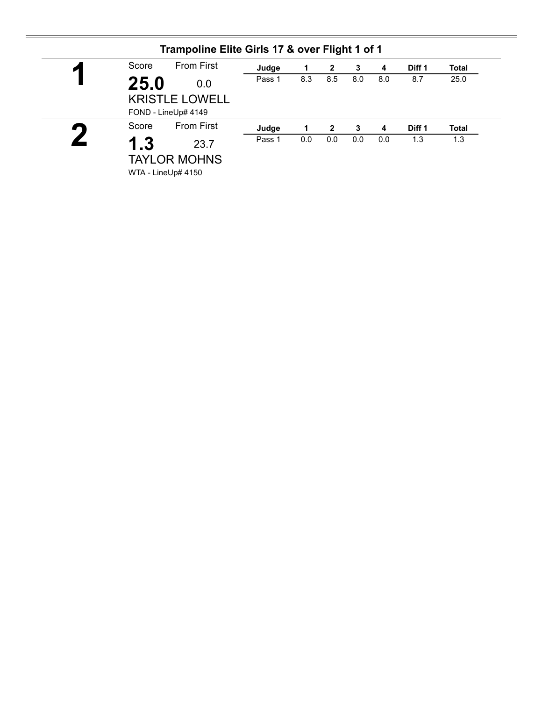| И | Score | <b>From First</b>     | Judge  |     | 2            | 3   | 4                       | Diff 1 | <b>Total</b> |
|---|-------|-----------------------|--------|-----|--------------|-----|-------------------------|--------|--------------|
|   | 25.0  | 0.0                   | Pass 1 | 8.3 | 8.5          | 8.0 | 8.0                     | 8.7    | 25.0         |
|   |       | <b>KRISTLE LOWELL</b> |        |     |              |     |                         |        |              |
|   |       | FOND - LineUp# 4149   |        |     |              |     |                         |        |              |
|   | Score | <b>From First</b>     | Judge  |     | $\mathbf{2}$ | 3   | $\overline{\mathbf{4}}$ | Diff 1 | <b>Total</b> |
|   | 1.3   | 23.7                  | Pass 1 | 0.0 | 0.0          | 0.0 | 0.0                     | 1.3    | 1.3          |
|   |       | <b>TAYLOR MOHNS</b>   |        |     |              |     |                         |        |              |
|   |       |                       |        |     |              |     |                         |        |              |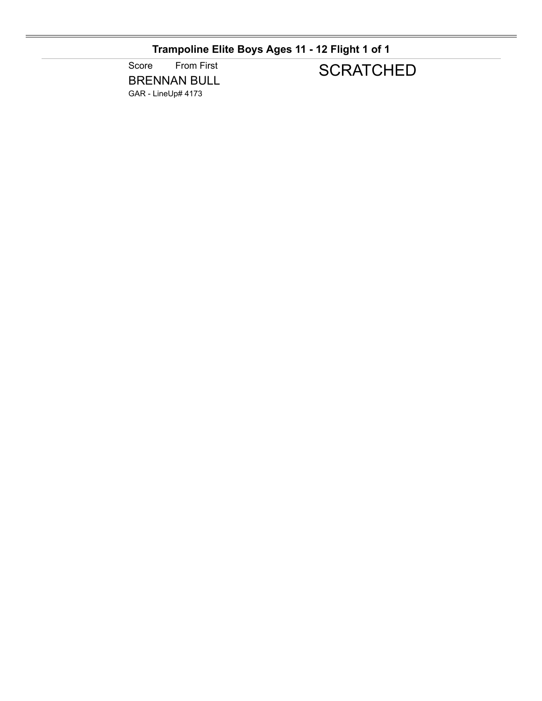## **Trampoline Elite Boys Ages 11 - 12 Flight 1 of 1**

Score From First BRENNAN BULL GAR - LineUp# 4173

## **SCRATCHED**